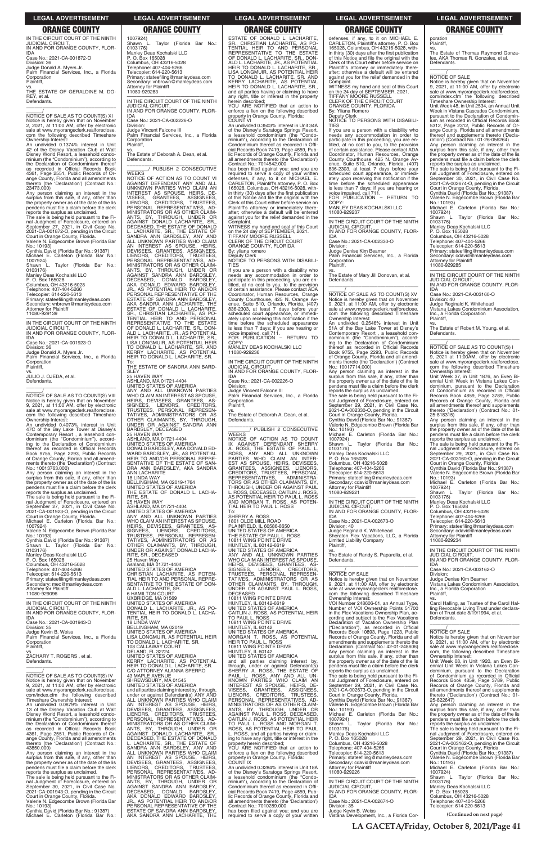IN THE CIRCUIT COURT OF THE NINTH JUDICIAL CIRCUIT, IN AND FOR ORANGE COUNTY, FLOR-

IDA Case No.: 2021-CA-001872-O Division: 36 Judge Donald A. Myers Jr. Palm Financial Services, Inc., a Florida

\_\_\_\_\_\_/ NOTICE OF SALE AS TO COUNT(S) XI Notice is hereby given that on November 2, 2021, at 11:00 AM, offer by electronic sale at www.myorangeclerk.realforeclose. com the following described Timeshare<br>Ownership Interest:

Corporation Plaintiff,

vs. THE ESTATE OF GERALDINE M. DO-REY, et al. Defendants. \_\_\_\_\_\_\_\_\_\_\_\_\_\_\_\_\_\_\_\_\_\_\_\_\_\_\_\_\_\_\_\_\_

Ownership Interest: An undivided 0.1374% interest in Unit 42 of the Disney Vacation Club at Walt Disney World Resort, a leasehold condo-minium (the "Condominium"), according to the Declaration of Condominium thereof<br>as recorded in Official Records Book<br>4361, Page 2551, Public Records of Oras recorded in Official Records Book 4361, Page 2551, Public Records of Orange County, Florida and all amendments thereto (the 'Declaration') (Contract No.: 23473.000)

Case No.: 2021-CA-001923-O Division: 36

Judge Donald A. Myers Jr. Palm Financial Services, Inc., a Florida Corporation

vs. JULIO J. OJEDA, et al. Defendants.  $\overline{\phantom{a}}$  ,  $\overline{\phantom{a}}$  ,  $\overline{\phantom{a}}$  ,  $\overline{\phantom{a}}$  ,  $\overline{\phantom{a}}$  ,  $\overline{\phantom{a}}$  ,  $\overline{\phantom{a}}$  ,  $\overline{\phantom{a}}$  ,  $\overline{\phantom{a}}$  ,  $\overline{\phantom{a}}$  ,  $\overline{\phantom{a}}$  ,  $\overline{\phantom{a}}$  ,  $\overline{\phantom{a}}$  ,  $\overline{\phantom{a}}$  ,  $\overline{\phantom{a}}$  ,  $\overline{\phantom{a}}$ 

Any person claiming an interest in the surplus from this sale, if any, other than the property owner as of the date of the lis pendens must file a claim before the clerk

 $\overline{\text{NOTICE}}$  OF SALE AS TO COUNT(S) VIII Notice is hereby given that on November 9, 2021, at 11:00 AM, offer by electronic sale at www.myorangeclerk.realforeclose. com the following described Timeshare Ownership Interest:

reports the surplus as unclaimed. The sale is being held pursuant to the Final Judgment of Foreclosure, entered on September 27, 2021, in Civil Case No. 2021-CA-001872-O, pending in the Circuit Court in Orange County, Florida. Valerie N. Edgecombe Brown (Florida Bar

No.: 10193) Cynthia David (Florida Bar No.: 91387) Michael E. Carleton (Florida Bar No.:

1007924) Shawn L. Taylor (Florida Bar No.:

0103176) Manley Deas Kochalski LLC

P. O. Box 165028

1007924) Valerie N. Edgecombe Brown (Florida Bar No.: 10193)

Cynthia David (Florida Bar No.: 91387)<br>Shawn I Taylor (Florida Bar No.: Shawn L. Taylor (Florida Bar 0103176)

Columbus, OH 43216-5028 Telephone: 407-404-5266

Telecopier: 614-220-5613

Primary: stateefiling@manleydeas.com Secondary: vnbrown@manleydeas.com Attorney for Plaintiff

11080-929139 —————————————————— IN THE CIRCUIT COURT OF THE NINTH JUDICIAL CIRCUIT, IN AND FOR ORANGE COUNTY, FLOR-IDA

Plaintiff,

An undivided 0.4073% interest in Unit 47C of the Bay Lake Tower at Disney's Contemporary Resort , a leasehold condominium (the "Condominium"), according to the Declaration of Condominium thereof as recorded in Official Records Book 9755, Page 2293, Public Records of Orange County, Florida and all amend-ments thereto (the 'Declaration') (Contract No.: 10013763.000)

### vs. The Estate of Deborah A. Dean, et al. **Defendants**

Any person claiming an interest in the surplus from this sale, if any, other than the property owner as of the date of the lis pendens must file a claim before the clerk reports the surplus as unclaimed.

The sale is being held pursuant to the Fi-nal Judgment of Foreclosure, entered on September 27, 2021, in Civil Case No. 2021-CA-001923-O, pending in the Circuit Court in Orange County, Florida. Michael E. Carleton (Florida Bar No.:

Manley Deas Kochalski LLC P. O. Box 165028 Columbus, OH 43216-5028

Telephone: 407-404-5266 Telecopier: 614-220-5613 Primary: stateefiling@manleydeas.com Secondary: mec@manleydeas.com Attorney for Plaintiff 11080-929096

—————————————————— IN THE CIRCUIT COURT OF THE NINTH **JUDICIAL CIRCU** IN AND FOR ORANGE COUNTY, FLOR-IDA

WARD BARDSLEY, JR., AS POTENTIAL<br>HEIR TO AND/OR PERSONAL REPRE-<br>SENTATIVE OF THE ESTATE OF SAN-<br>DRA ANN BARDSLEY, AKA SANDRA ANN LACHARITE 18 LINDA WAY

25 HAVEN WAY ASHLAND, MA 01721-4404 UNITED STATES OF AMERICA ANY AND ALL UNKNOWN PARTIES<br>WHOCLAIMANINTERESTASSPOUSE,<br>HEIRS, DEVISEES, GRANTEES, AS-<br>SIGNEES, LIENORS, CREDITORS, TRUSTEES, PERSONAL REPRESEN-<br>TATIVES, ADMINISTRATORS OR AS<br>OTHER CLAIMANTS, BY, THROUGH,<br>UNDER OR AGAINST DONALD LACHA-RITE, SR., DECEASED 25 Haven Way Ashland, MA 01721-4404 UNITED STATES OF AMERICA<br>CHRISTIAN LACHARITE AS POTEN-CHRISTIAN LACHARITE TIAL HEIR TO AND PERSONAL REPR

SENTATIVE TO THE ESTATE OF DON-<br>ALD L. LACHARITE, SR.<br>6 HAMILTON COURT<br>UXBRIDGE, MA 01569<br>UNITED STATES OF AMERICA<br>DONALD L. LACHARITE, JR., AS PO-<br>TENTIAL HEIR TO DONALD L. LACHA-<br>RITE, SR.

ESTATE OF DONALD L. LACHARITE,<br>SR., CHRISTIAN LACHARITE, AS PO-<br>TENTIAL HEIR TO AND PERSONAL<br>REPRESENTATIVE TO THE ESTATE OF DONALD L. LACHARITE, SR., DON-ALD L. LACHARITE, JR., AS POTENTIAL HEIR TO DONALD L. LACHARITE, SR.,<br>LISA LONGMUIR, AS POTENTIAL HEIR<br>TO DONALD L. LACHARITE, SR. AND KERRY LACHARITE, AS POTENTIAL HEIR TO DONALD L. LACHARITE, SR., and all parties having or claiming to have any right, title or interest in the property herein described;

1007924) Shawn L. Taylor (Florida Bar No.: 0103176) Manley Deas Kochalski LLC P. O. Box 165028 Columbus, OH 43216-5028 Telephone: 407-404-5266 Telecopier: 614-220-5613 Primary: stateefiling@manleydeas.com Secondary: vnbrown@manleydeas.com Attorney for Plaintiff 11080-929283

—————————————————— IN THE CIRCUIT COURT OF THE NINTH JUDICIAL CIRCUIT, IN AND FOR ORANGE COUNTY, FLOR-IDA

Case No.: 2021-CA-002226-O

has been filed against you; and you are<br>required to serve a copy of your written<br>defenses, if any, to it on MICHAEL E.<br>CARLETON, Plaintiff's attorney, P. O. Box<br>165028, Columbus, OH 43216-5028, within thirty (30) days after the first publication of this Notice and file the original with the Clerk of this Court either before service on Plaintiff's attorney or immediately there-after; otherwise a default will be entered against you for the relief demanded in the Complaint.

Division: Judge Vincent Falcone III Palm Financial Services, Inc., a Florida **Corporation** Plaintiff,

> CLERK OF THE CIRCUIT COURT ORANGE COUNTY, FLORIDA By: yliana romero<br>Deputy Clerk

If you are a person with a disability who needs any accommodation in order to participate in this proceeding, you are en-titled, at no cost to you, to the provision of certain assistance. Please contact ADA Coordinator, Human Resources, Orange County Courthouse, 425 N. Orange Av-enue, Suite 510, Orlando, Florida, (407) 836-2303, at least 7 days before your scheduled court appearance, or immedi-ately upon receiving this notification if the time before the scheduled appearance is less than 7 days; if you are hearing or voice impaired, call 711. voice impaired, call 711.<br>FOR PUBLICATION – RETURN TO

\_\_\_\_\_\_\_\_\_\_\_\_\_\_\_\_\_\_\_\_\_\_\_\_\_\_\_\_\_\_\_ \_\_\_\_\_\_\_\_/ PUBLISH 2 CONSECUTIVE **WEEKS** NOTICE OF ACTION AS TO COUNT VI AGAINST DEFENDANT ANY AND ALL UNKNOWN PARTIES WHO CLAIM AN INTEREST AS SPOUSE, HEIRS, DE-VISEES, GRANTEES, ASSIGNEES, LIENORS, CREDITORS, TRUSTEES, PERSONAL REPRESENTATIVES, AD-MINISTRATORS OR AS OTHER CLAIM-ANTS, BY, THROUGH, UNDER OR AGAINST DONALD LACHARITE, SR., DECEASED, THE ESTATE OF DONALD<br>L. LACHARITE, SR., THE ESTATE OF<br>SANDRA ANN BARDSLEY, ANY AND<br>ALL UNKNOWN PARTIES WHO CLAIM<br>AN INTEREST AS SPOUSE, HEIRS,<br>DEVISEES, GREDITORS, TRUSTEES,<br>LIENORS, CREDITORS, TRUSTEES, PERSONAL REPRESENTATIVES, AD-MINISTRATORS OR AS OTHER CLAIM-ANTS, BY, THROUGH, UNDER OR AGAINST SANDRA ANN BARDSLEY, DECEASED, DONALD BARDSLEY, AKA DONALD EDWARD BARDSLEY, AS POTENTIAL HEIR TO AND/OR PERSONAL REPRESENTATIVE OF THE ESTATE OF SANDRA ANN BARDSLEY, **SANDRA ANN LACHARITE,** ESTATE OF DONALD L. LACHARITE, SR., CHRISTIAN LACHARITE, AS PO-<br>TENTIAL HEIR TO AND PERSONAL<br>REPRESENTATIVE TO THE ESTATE<br>OF DONALD L. LACHARITE, SR., DON-<br>ALD L. LACHARITE, JR., AS POTENTIAL HEIR TO DONALD L. LACHARITE, SR. LISA LONGMUIR, AS POTENTIAL HEIR TO DONALD L. LACHARITE, SR. AND KERRY LACHARITE, AS POTENTIAL HEIR TO DONALD L. LACHARITE, SR.

> **WEEKS** NOTICE OF ACTION AS TO COUNT IX AGAINST DEFENDANT SHERRY A. ROSS, THE ESTATE OF PAUL L. ROSS, ANY AND ALL UNKNOWN<br>PARTIES WHO CLAIM AN INTER-<br>EST AS SPOUSE, HEIRS, DEVISEES,<br>GRANTEES, ASSIGNEES, LIENORS,<br>CREDITORS, TRUSTEES, PERSONAL<br>REPRESENTATIVES, ADMINISTRA-**REPRESENTATIVES, ADMINISTRATIONS OR AS OTHER CLAIMANTS, BY,** THROUGH, UNDER OR AGAINST PAUL L. ROSS, DECEASED, CAITLIN J. ROSS,<br>AS POTENTIAL HEIR TO PAUL L. ROSS AND MORGAN T. ROSS, AS POTEN-TIAL HEIR TO PAUL L. ROSS To:

To: THE ESTATE OF SANDRA ANN BARD-SLE<sup>T</sup> 25 HAVEN WAY ASHLAND, MA 01721-4404 UNITED STATES OF AMERICA ANY AND ALL UNKNOWN PARTIES WHO CLAIM AN INTEREST AS SPOUSE,

HEIRS, DEVISEES, GRANTEES, AS-SIGNEES, LIENORS, CREDITORS, TRUSTEES, PERSONAL REPRESEN-TATIVES, ADMINISTRATORS OR AS OTHER CLAIMANTS, BY, THROUGH, UNDER OR AGAINST SANDRA ANN BARDSLEY, DECEASED 25 HAVEN WAY ASHLAND, MA 01721-4404 UNITED STATES OF AMERICA DONALD BARDSLEY, AKA DONALD ED-

defenses, if any, to it on MICHAEL E. CARLETON, Plaintiff's attorney, P. O. Box 165028, Columbus, OH 43216-5028, within thirty (30) days after the first publication of this Notice and file the original with the Clerk of this Court either before service on Plaintiff's attorney or immediately there-after; otherwise a default will be entered against you for the relief demanded in the **mpla** 

BELLINGHAM, MA 02019-1764 UNITED STATES OF AMERICA THE ESTATE OF DONALD L. LACHA- NOTICE TO PERSONS WITH DISABILI-**TIFS** 

RITE, SR.

COPY MANLEY DEAS KOCHALSKI LLC

————————————————————<br>IN THE CIRCUIT COURT OF THE NINTH JUDICIAL CIRCUIT, IN AND FOR ORANGE COUNTY, FLOR-IDA

vs. The Estate of Mary Jill Donovan, et al. Defendants.  $\overline{\phantom{a}}$  ,  $\overline{\phantom{a}}$  ,  $\overline{\phantom{a}}$  ,  $\overline{\phantom{a}}$  ,  $\overline{\phantom{a}}$  ,  $\overline{\phantom{a}}$  ,  $\overline{\phantom{a}}$  ,  $\overline{\phantom{a}}$  ,  $\overline{\phantom{a}}$  ,  $\overline{\phantom{a}}$  ,  $\overline{\phantom{a}}$  ,  $\overline{\phantom{a}}$  ,  $\overline{\phantom{a}}$  ,  $\overline{\phantom{a}}$  ,  $\overline{\phantom{a}}$  ,  $\overline{\phantom{a}}$ 

\_\_\_\_\_\_/<br>NOTICE OF SALE AS TO COUNT(S) XV Notice is hereby given that on November 9, 2021, at 11:00 AM, offer by electronic sale at www.myorangeclerk.realforeclose. com the following described Timeshare Ownership Interest: An undivided 0.2546% interest in Unit

- L. Taylor (Florida Bar No.: Shawn L<br>0103176)
- Manley Deas Kochalski LLC
- P. O. Box 165028 Columbus, OH 43216-5028 Telephone: 407-404-5266
- Telecopier: 614-220-5613

vs. The Estate of Randy S. Paparella, et al. Defendants.  $\overline{\phantom{a}}$  ,  $\overline{\phantom{a}}$  ,  $\overline{\phantom{a}}$  ,  $\overline{\phantom{a}}$  ,  $\overline{\phantom{a}}$  ,  $\overline{\phantom{a}}$  ,  $\overline{\phantom{a}}$  ,  $\overline{\phantom{a}}$  ,  $\overline{\phantom{a}}$  ,  $\overline{\phantom{a}}$  ,  $\overline{\phantom{a}}$  ,  $\overline{\phantom{a}}$  ,  $\overline{\phantom{a}}$  ,  $\overline{\phantom{a}}$  ,  $\overline{\phantom{a}}$  ,  $\overline{\phantom{a}}$ 

YOU ARE NOTIFIED that an action to enforce a lien on the following described property in Orange County, Florida: COUNT VI

An undivided 0.3503% interest in Unit 34A of the Disney's Saratoga Springs Resort, a leasehold condominium (the "Condominium"), according to the Declaration of Condominium thereof as recorded in Official Records Book 7419, Page 4659, Public Records of Orange County, Florida and all amendments thereto (the 'Declaration') Contract No.: 7014542.000

WITNESS my hand and seal of this Court on the 24 day of SEPTEMBER, 2021. TIFFANY MOORE RUSSELL

Deputy Clerk NOTICE TO PERSONS WITH DISABILI-TIES

COPY: MANLEY DEAS KOCHALSKI LLC 11080-929236

—————————————————— IN THE CIRCUIT COURT OF THE NINTH

JUDICIAL CIRCUIT, IN AND FOR ORANGE COUNTY, FLOR-IDA

Case No.: 2021-CA-002226-O

Division: Judge Vincent Falcone III

Palm Financial Services, Inc., a Florida Corporation Plaintiff,

vs. The Estate of Deborah A. Dean, et al. Defendants.

\_\_\_\_\_\_\_\_\_\_\_\_\_\_\_\_\_\_\_\_\_\_\_\_\_\_\_\_\_\_\_ \_\_\_\_\_\_\_\_/ PUBLISH 2 CONSECUTIVE

SHERRY A. ROSS 1801 OLDE MILL ROAD PLAINFIELD, IL 60586-8650 UNITED STATES OF AMERICA THE ESTATE OF PAUL L. ROSS 10811 WING POINTE DRIVE HUNTLEY, IL 60142-6619 UNITED STATES OF AMERICA ANY AND ALL UNKNOWN PARTIES WHO CLAIM AN INTEREST AS SPOUSE, **HEIRS, DEVISEES, GRANTEES,** SIGNEES, LIENORS, CREDITORS,<br>TRUSTEES, PERSONAL REPRESEN-<br>TATIVES, ADMINISTRATORS OR AS<br>OTHER CLAIMANTS, BY, THROUGH,<br>OTHER OR AGAINST PAUL L. ROSS, DECEASED 10811 WING POINTE DRIVE

HUNTLEY, IL 60142-6619 UNITED STATES OF AMERICA CAITLIN J. ROSS, AS POTENTIAL HEIR TO PAUL L. ROSS

| <b>IDA</b>                                   | RITE, SR.                                      | TO PAUL L. ROSS                                 | cording and subject to the Flex Vacations    | Defendants.                                  |
|----------------------------------------------|------------------------------------------------|-------------------------------------------------|----------------------------------------------|----------------------------------------------|
| Case No.: 2021-CA-001943-O                   | <b>18 LINDA WAY</b>                            | 10811 WING POINTE DRIVE                         | Declaration of Vacation Ownership Plan       |                                              |
| Division: 35                                 | BELLINGHAM, MA 02019                           | HUNTLEY, IL 60142                               | ("Declaration"), as recorded in Official     |                                              |
| Judge Kevin B. Weiss                         | UNITED STATES OF AMERICA                       | UNITED STATES OF AMERICA                        | Records Book 10893, Page 1223, Public        | NOTICE OF SALE                               |
| Palm Financial Services, Inc., a Florida     | LISA LONGMUIR. AS POTENTIAL HEIR               | MORGAN T. ROSS. AS POTENTIAL                    | Records of Orange County, Florida and all    | Notice is hereby given that on November      |
| Corporation                                  | TO DONALD L. LACHARITE, SR.                    | HEIR TO PAUL L. ROSS                            | amendments and supplements thereto the       | 9, 2021, at 11:00 AM, offer by electronic    |
| Plaintiff,                                   | <b>108 CALLAWAY COURT</b>                      | 10811 WING POINTE DRIVE                         | Declaration. (Contract No.: 42-01-248606)    | sale at www.myorangeclerk.realforeclose.     |
|                                              | DELAND, FL 32724                               | HUNTLEY. IL 60142                               | Any person claiming an interest in the       | com, the following described Timeshare       |
| ZACHARY T. ROGERS, et al.                    | UNITED STATES OF AMERICA                       | UNITED STATES OF AMERICA                        | surplus from this sale, if any, other than   | Ownership Interest:                          |
| Defendants.                                  | KERRY LACHARITE, AS POTENTIAL                  | and all parties claiming interest by,           | the property owner as of the date of the lis | Unit Week 08, in Unit 1920, an Even Bi-      |
|                                              | HEIR TO DONALD L. LACHARITE, SR.               | through, under or against Defendant(s)          | pendens must file a claim before the clerk   | ennial Unit Week in Vistana Lakes Con-       |
|                                              | C/O ATTORNEY ALANNA SPERRO                     | SHERRY A. ROSS, THE ESTATE OF                   | reports the surplus as unclaimed.            | dominium, pursuant to the Declaration        |
| NOTICE OF SALE AS TO COUNT(S) IV             | <b>43 MAPLE AVENUE</b>                         | PAUL L. ROSS. ANY AND ALL UN-                   | The sale is being held pursuant to the Fi-   | of Condominium as recorded in Official       |
| Notice is hereby given that on November      | SHREWSBURY, MA 01545                           | KNOWN PARTIES WHO CLAIM AN                      | nal Judgment of Foreclosure, entered on      | Records Book 4859, Page 3789, Public         |
| 9, 2021, at 11:00 AM, offer by electronic    | UNITED STATES OF AMERICA                       | INTEREST AS SPOUSE, HEIRS, DE-                  | September 29, 2021, in Civil Case No.        | Records of Orange County, Florida and        |
| sale at www.myorangeclerk.realforeclose.     | and all parties claiming interest by, through, | VISEES.<br>GRANTEES. ASSIGNEES.                 | 2021-CA-002673-O, pending in the Circuit     | all amendments thereof and supplements       |
| com/index.cfm the following described        | under or against Defendant(s) ANY AND          | LIENORS, CREDITORS, TRUSTEES,                   | Court in Orange County, Florida.             | thereto ('Declaration') (Contract No.: 01-   |
| Timeshare Ownership Interest:                | ALL UNKNOWN PARTIES WHO CLAIM                  | PERSONAL REPRESENTATIVES. AD-                   | Cynthia David (Florida Bar No.: 91387)       | 25-822647)                                   |
| An undivided 0.0879% interest in Unit        | AN INTEREST AS SPOUSE, HEIRS.                  | MINISTRATORS OR AS OTHER CLAIM-                 | Valerie N. Edgecombe Brown (Florida Bar      | Any person claiming an interest in the       |
| 13 of the Disney Vacation Club at Walt       | DEVISEES, GRANTEES, ASSIGNEES.                 | ANTS, BY, THROUGH, UNDER OR                     | No.: 10193)                                  | surplus from this sale, if any, other than   |
| Disney World Resort, a leasehold condo-      | LIENORS, CREDITORS, TRUSTEES.                  | AGAINST PAUL L. ROSS, DECEASED,                 | Michael E. Carleton (Florida Bar No.:        | the property owner as of the date of the lis |
| minium (the "Condominium"), according to     | PERSONAL REPRESENTATIVES, AD-                  | CAITLIN J. ROSS, AS POTENTIAL HEIR              | 1007924)                                     | pendens must file a claim before the clerk   |
| the Declaration of Condominium thereof       | MINISTRATORS OR AS OTHER CLAIM-                | TO PAUL L. ROSS AND MORGAN T.                   | Taylor (Florida Bar No.:<br>Shawn L.         | reports the surplus as unclaimed.            |
| as recorded in Official Records Book         | ANTS, BY, THROUGH, UNDER OR                    | ROSS, AS POTENTIAL HEIR TO PAUL                 | 0103176)                                     | The sale is being held pursuant to the Fi-   |
| 4361, Page 2551, Public Records of Or-       | AGAINST DONALD LACHARITE. SR.                  | L. ROSS, and all parties having or claim-       | Manley Deas Kochalski LLC                    | nal Judgment of Foreclosure, entered on      |
| ange County, Florida and all amendments      | DECEASED. THE ESTATE OF DONALD                 | ing to have any right, title or interest in the | P. O. Box 165028                             | September 29, 2021, in Civil Case No.        |
| thereto (the 'Declaration') (Contract No.:   | L. LACHARITE, SR., THE ESTATE OF               | property herein described;                      | Columbus, OH 43216-5028                      | 2021-CA-003162-O, pending in the Circuit     |
| 43850.000)                                   | SANDRA ANN BARDSLEY, ANY AND                   | YOU ARE NOTIFIED that an action to              | Telephone: 407-404-5266                      | Court in Orange County, Florida.             |
| Any person claiming an interest in the       | ALL UNKNOWN PARTIES WHO CLAIM                  | enforce a lien on the following described       | Telecopier: 614-220-5613                     | Cynthia David (Florida Bar No.: 91387)       |
| surplus from this sale, if any, other than   | AN INTEREST AS SPOUSE, HEIRS.                  | property in Orange County, Florida:             | Primary: stateefiling@manleydeas.com         | Valerie N. Edgecombe Brown (Florida Bar      |
| the property owner as of the date of the lis | DEVISEES, GRANTEES, ASSIGNEES.                 | COUNT IX                                        | Secondary: cdavid@manleydeas.com             | No.: 10193)                                  |
| pendens must file a claim before the clerk   | LIENORS. CREDITORS. TRUSTEES.                  | An undivided 0.3284% interest in Unit 18A       | <b>Attorney for Plaintiff</b>                | Michael E. Carleton (Florida Bar No.:        |
| reports the surplus as unclaimed.            | PERSONAL REPRESENTATIVES. AD-                  | of the Disney's Saratoga Springs Resort,        | 11080-929226                                 | 1007924)                                     |
| The sale is being held pursuant to the Fi-   | MINISTRATORS OR AS OTHER CLAIM-                | a leasehold condominium (the "Condo-            |                                              | Shawn L.<br>Taylor (Florida Bar No.:         |
| nal Judgment of Foreclosure, entered on      | ANTS, BY, THROUGH, UNDER OR                    | minium"), according to the Declaration of       | IN THE CIRCUIT COURT OF THE NINTH            | 0103176)                                     |
| September 30, 2021, in Civil Case No.        | AGAINST SANDRA ANN BARDSLEY                    | Condominium thereof as recorded in Offi-        | <b>JUDICIAL CIRCUIT.</b>                     | Manley Deas Kochalski LLC                    |
| 2021-CA-001943-O, pending in the Circuit     | <b>BARDSLEY</b><br>DECEASED, DONALD            | cial Records Book 7419, Page 4659, Pub-         | IN AND FOR ORANGE COUNTY, FLOR-              | P.O. Box 165028                              |
| Court in Orange County, Florida.             | AKA DONALD EDWARD BARDSLEY.                    | lic Records of Orange County, Florida and       | <b>IDA</b>                                   | Columbus, OH 43216-5028                      |
| Valerie N. Edgecombe Brown (Florida Bar      | JR., AS POTENTIAL HEIR TO AND/OR               | all amendments thereto (the 'Declaration')      | Case No.: 2021-CA-002674-O                   | Telephone: 407-404-5266                      |
| No.: 10193)                                  | PERSONAL REPRESENTATIVE OF THE                 | Contract No.: 7010289.000                       | Division: 35                                 | Telecopier: 614-220-5613                     |
| Cynthia David (Florida Bar No.: 91387)       | ESTATE OF SANDRA ANN BARDSLEY.                 | has been filed against you; and you are         | Judge Kevin B. Weiss                         | (Continued on next page)                     |
| Michael E. Carleton (Florida Bar No.:        | AKA SANDRA ANN LACHARITE, THE                  | required to serve a copy of your written        | Vistana Development, Inc., a Florida Cor-    |                                              |

WITNESS my hand and seal of this Court on the 24 day of SEPTEMBER, 2021. TIFFANY MOORE RUSSELL CLERK OF THE CIRCUIT COURT ORANGE COUNTY, FLORIDA

By: Yliana Romero Deputy Clerk

If you are a person with a disability who needs any accommodation in order to participate in this proceeding, you are en-titled, at no cost to you, to the provision of certain assistance. Please contact ADA Coordinator, Human Resources, Orange County Courthouse, 425 N. Orange Avenue, Suite 510, Orlando, Florida, (407) 836-2303, at least 7 days before your scheduled court appearance, or immediately upon receiving this notification if the time before the scheduled appearance is less than 7 days; if you are hearing or voice impaired, call 711. FOR PUBLICATION – RETURN TO

11080-929237

Case No.: 2021-CA-002330-O Division:

Judge Denise Kim Beamer Palm Financial Services, Inc., a Florida Corporation Plaintiff,

51A of the Bay Lake Tower at Disney's Contemporary Resort , a leasehold condominium (the "Condominium"), according to the Declaration of Condominium thereof as recorded in Official Records Book 9755, Page 2293, Public Records of Orange County, Florida and all amend-ments thereto (the 'Declaration') (Contract No.: 10017714.000)

Any person claiming an interest in the surplus from this sale, if any, other than the property owner as of the date of the lis pendens must file a claim before the clerk reports the surplus as unclaimed.

The sale is being held pursuant to the Fi-nal Judgment of Foreclosure, entered on September 29, 2021, in Civil Case No. 2021-CA-002330-O, pending in the Circuit Court in Orange County, Florida. Cynthia David (Florida Bar No.: 91387)

Valerie N. Edgecombe Brown (Florida Bar

No.: 10193) Michael E. Carleton (Florida Bar No.: 1007924)

Primary: stateefiling@manleydeas.com Secondary: cdavid@manleydeas.com Attorney for Plaintiff 11080-929221

—————————————————— IN THE CIRCUIT COURT OF THE NINTH JUDICIAL CIRCUIT, IN AND FOR ORANGE COUNTY, FLOR-

IDA Case No.: 2021-CA-002673-O

Division: 40

Judge Reginald K. Whitehead Sheraton Flex Vacations, LLC, a Florida Limited Liability Company Plaintiff,

### \_\_\_\_\_\_/ NOTICE OF SALE

Notice is hereby given that on November 9, 2021, at 11:00 AM, offer by electronic sale at www.myorangeclerk.realforeclose. com the following described Timeshare Ownership Interest:

VOI Number 248606-01, an Annual Type, Number of VOI Ownership Points 51700 in the Flex Vacations Ownership Plan, acporation Plaintiff,

vs. The Estate of Thomas Raymond Gonza-les, AKA Thomas R. Gonzales, et al.

 $\overline{\phantom{a}}$  , and the set of the set of the set of the set of the set of the set of the set of the set of the set of the set of the set of the set of the set of the set of the set of the set of the set of the set of the s

Defendants.

No.: 10193)

Notice is hereby given that on November 9, 2021, at 11:00 AM, offer by electronic sale at www.myorangeclerk.realforeclose. com/index.cfm the following described Timeshare Ownership Interest: Unit Week 48, in Unit 2534, an Annual Unit Week in Vistana Cascades Condominium, pursuant to the Declaration of Condominium as recorded in Official Records Book 5312, Page 2312, Public Records of Or-ange County, Florida and all amendments thereof and supplements thereto ('Decla-ration') (Contract No.: 01-26-056264) Any person claiming an interest in the

surplus from this sale, if any, other than the property owner as of the date of the lis pendens must file a claim before the clerk

reports the surplus as unclaimed. The sale is being held pursuant to the Fi-nal Judgment of Foreclosure, entered on September 30, 2021, in Civil Case No. 2021-CA-002674-O, pending in the Circuit Court in Orange County, Florida. Cynthia David (Florida Bar No.: 91387) Valerie N. Edgecombe Brown (Florida Bar

Michael E. Carleton (Florida Bar No.: 1007924) Shawn L. Taylor (Florida Bar No.: 0103176)

Manley Deas Kochalski LLC P. O. Box 165028 Columbus, OH 43216-5028 Telephone: 407-404-5266 Telecopier: 614-220-5613

Primary: stateefiling@manleydeas.com Secondary: cdavid@manleydeas.com Attorney for Plaintiff

11080-929285

—————————————————— IN THE CIRCUIT COURT OF THE NINTH

IN AND FOR ORANGE COUNTY, FLOR-

JUDICIAL CIRCUIT,

 $\frac{1}{\text{NOTICE}}$  OF SALE

IDA

Case No.: 2021-CA-003160-O Division: 40 Judge Reginald K. Whitehead

Vistana Lakes Condominium Association,

Inc., a Florida Corporation

Plaintiff, vs.

The Estate of Robert M. Young, et al.

Defendants.

No.: 10193)

\_\_\_\_\_\_\_\_\_\_\_\_\_\_\_\_\_\_\_\_\_\_\_\_\_\_\_\_\_\_\_\_\_ \_\_\_\_\_\_/ NOTICE OF SALE AS TO COUNT(S) I Notice is hereby given that on November 9, 2021 at 11:00AM, offer by electronic sale at www.myorangeclerk.realforeclose. com the following described Timeshare Ownership Interest: Unit Week 37, in Unit 1876, an Even Biennial Unit Week in Vistana Lakes Condominium, pursuant to the Declaration of Condominium as recorded in Official Records Book 4859, Page 3789, Public Records of Orange County, Florida and all amendments thereof and supplements thereto ('Declaration') (Contract No.: 01- 25-818315) Any person claiming an interest in the surplus from this sale, if any, other than the property owner as of the date of the lis pendens must file a claim before the clerk

reports the surplus as unclaimed. The sale is being held pursuant to the Fi-nal Judgment of Foreclosure, entered on September 29, 2021, in Civil Case No. 2021-CA-003160-O, pending in the Circuit Court in Orange County, Florida. Cynthia David (Florida Bar No.: 91387) Valerie N. Edgecombe Brown (Florida Bar

Michael E. Carleton (Florida Bar No.: 1007924) Shawn L. Taylor (Florida Bar No.: 0103176)

Manley Deas Kochalski LLC P. O. Box 165028 Columbus, OH 43216-5028 Telephone: 407-404-5266 Telecopier: 614-220-5613

Primary: stateefiling@manleydeas.com Secondary: cdavid@manleydeas.com Attorney for Plaintiff

11080-929234

—————————————————— IN THE CIRCUIT COURT OF THE NINTH JUDICIAL CIRCUIT, IN AND FOR ORANGE COUNTY, FLOR-

IDA

Case No.: 2021-CA-003162-O

Division:

Judge Denise Kim Beamer

Vistana Lakes Condominium Association,

Inc., a Florida Corporation Plaintiff,

vs.

Carol Halling, as Trustee of the Carol Hal-ling Revocable Living Trust under declaration of Trust date 8/19/1994, et al.

### **LEGAL ADVERTISEMENT LEGAL ADVERTISEMENT LEGAL ADVERTISEMENT LEGAL ADVERTISEMENT LEGAL ADVERTISEMENT**

### **ORANGE COUNTY ORANGE COUNTY ORANGE COUNTY ORANGE COUNTY ORANGE COUNTY**

**LA GACETA/Friday, October 8, 2021/Page 41**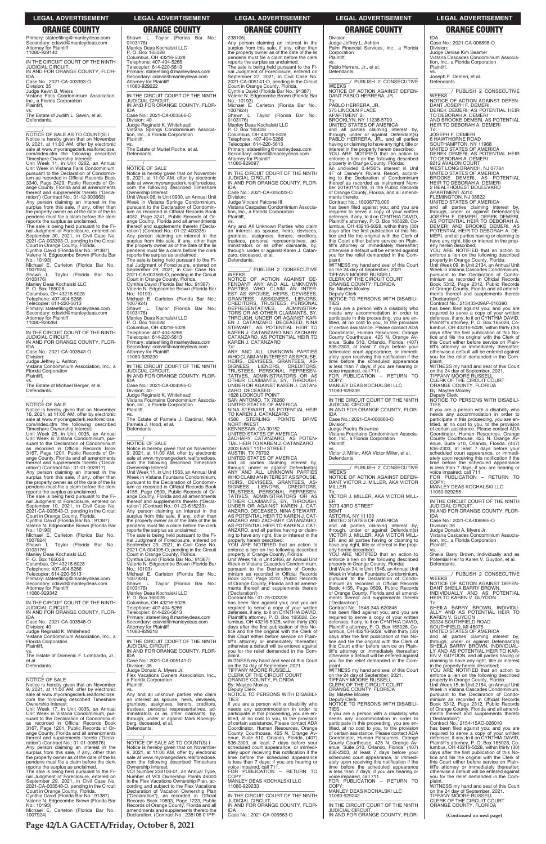238106) Any person claiming an interest in the surplus from this sale, if any, other than the property owner as of the date of the lis pendens must file a claim before the clerk reports the surplus as unclaimed. The sale is being held pursuant to the Fi-nal Judgment of Foreclosure, entered on September 27, 2021, in Civil Case No. 2021-CA-005141-O, pending in the Circuit Court in Orange County, Florida. Cynthia David (Florida Bar No.: 91387) Valerie N. Edgecombe Brown (Florida Bar No.: 10193) Michael E. Carleton (Florida Bar No.: 1007924) Shawn L. Taylor (Florida Bar No.: 0103176) Manley Deas Kochalski LLC P. O. Box 165028 Columbus, OH 43216-5028 Telephone: 407-404-5266 Telecopier: 614-220-5613 Primary: stateefiling@manleydeas.com Secondary: cdavid@manleydeas.com Attorney for Plaintiff 11080-929097 —————————————————— IN THE CIRCUIT COURT OF THE NINTH JUDICIAL CIRCUIT, IN AND FOR ORANGE COUNTY, FLOR-IDA Case No.: 2021-CA-005333-O

WEEKS<br>NOTICE OF ACTION AGAINST DE-<br>FENDANT ANY AND ALL UNKNOWN<br>PARTIES WHO CLAIM AN INTER-<br>EST AS SPOUSE, HEIRS, DEVISEES,<br>GRANTEES, ASSIGNEES, PERSONAL<br>CREDITORS, TRUSTEES, PERSONAL REPRESENTATIVES, ADMINISTRA-TORS OR AS OTHER CLAIMANTS, BY, THROUGH, UNDER OR AGAINST KAR-<br>EN J. CATANZARO, DECEASED, NINA<br>STEWART, AS POTENTIAL HEIR TO<br>KAREN J. CATANZARO AND ZACHARY CATANZARO, AS POTENTIAL HEIR TO KAREN J. CATANZARO

Division: Judge Vincent Falcone III Vistana Cascades Condominium Association, Inc., a Florida Corporation Plaintiff,

vs. Any and All Unknown Parties who claim an interest as spouse, heirs, devisees, grantees, assignees, lienors, creditors, trustees, personal representatives, administrators or as other claimants, by, through, under or against Karen J. Catanzaro, deceased, et al. Defendants.

\_\_\_\_\_\_\_\_\_\_\_\_\_\_\_\_\_\_\_\_\_\_\_\_\_\_\_\_\_\_\_ \_\_\_\_\_\_\_\_/ PUBLISH 2 CONSECUTIVE

To: ANY AND ALL UNKNOWN PARTIES WHO CLAIM AN INTEREST AS SPOUSE HEIRS, DEVISEES, GRANTEES, AS-SIGNEES, LIENORS, CREDITORS, TRUSTEES, PERSONAL REPRESEN-TATIVES, ADMINISTRATORS OR AS OTHER CLAIMANTS, BY, THROUGH, UNDER OR AGAINST KAREN J. CATAN-ZARO, DECEASED<br>1628 LOOKOUT POINT<br>SAN ANTONIO, TX 78260<br>UNITED STATES OF AMERICA<br>NINA STEWART, AS POTENTIAL HEIR<br>TO KAREN J. CATANZARO 4580 STERLING POINTE DRIVE NORTHWEST KENNESAW, GA 30152 UNITED STATES OF AMERICA ZACHARY CATANZARO, AS POTEN-TIAL HEIR TO KAREN J. CATANZARO 2003 EAST 11TH STREET AUSTIN, TX 78702 UNITED STATES OF AMERICA and all parties claiming interest by,<br>through, under or against Defendant(s)<br>ANY AND ALL UNKNOWN PARTIES<br>WHOCLAIMANINTERESTAS SPOUSE,<br>HEIRS, DEVISEES, GRANTEES, AS-<br>SIGNEES, LENORS, CREDITORS,<br>TRUSTEES, PERSONAL REPRESEN-TATIVES, ADMINISTRATORS OR AS OTHER CLAIMANTS, BY, THROUGH, UNDER OR AGAINST KAREN J. CAT-ANZARO, DECEASED, NINA STEWART,<br>AS POTENTIAL HEIR TO KAREN J. CAT-ANZARO AND ZACHARY CATANZARO, AS POTENTIAL HEIR TO KAREN J. CAT-ANZARO, and all parties having or claim-ing to have any right, title or interest in the property herein described; YOU ARE NOTIFIED that an action to enforce a lien on the following described property in Orange County, Florida: Unit Week 19, in Unit 2466, an Annual Unit

 $\frac{1}{\text{NOTICE}}$  OF SALE AS TO COUNT(S) I Notice is hereby given that on November 9, 2021, at 11:00 AM, offer by electronic sale at www.myorangeclerk.realforeclose. com/index.cfm the following described Timeshare Ownership Interest:

 $\overline{\phantom{a}}$  , and the set of the set of the set of the set of the set of the set of the set of the set of the set of the set of the set of the set of the set of the set of the set of the set of the set of the set of the s

The sale is being held pursuant to the Fi-<br>nal Judgment of Foreclosure, entered on<br>September 30, 2021, in Civil Case No.<br>2021-CA-003393-O, pending in the Circuit<br>Court in Orange County, Florida.<br>Cynthia David (Florida Bar Valerie N. Edgecombe Brown (Florida Bar

0103176) Manley Deas Kochalski LLC

> Week in Vistana Cascades Condominium, pursuant to the Declaration of Condominium as recorded in Official Records Book 5312, Page 2312, Public Records of Orange County, Florida and all amendments thereof and supplements thereto ('Declaration') Contract No.: 01-26-033235

Judge Jeffrey L. Ashton Vistana Condominium Association, Inc., a Florida Corporation **Plaintiff** 

> has been filed against you; and you are required to serve a copy of your written defenses, if any, to it on CYNTHIA DAVID, Plaintiff's attorney, P. O. Box 165028, Co-

Primary: stateefiling@manleydeas.com Secondary: cdavid@manleydeas.com Attorney for Plaintiff 11080-929140

—————————————————— IN THE CIRCUIT COURT OF THE NINTH JUDICIAL CIRCUIT, IN AND FOR ORANGE COUNTY, FLOR-IDA

Case No.: 2021-CA-003393-O Division: 35 Judge Kevin B. Weiss Vistana Falls Condominium Association, Inc., a Florida Corporation Plaintiff, vs.

The Estate of Judith L. Sawin, et al. Defendants.

Unit Week 11, in Unit 0262, an Annual Unit Week in Vistana Falls Condominium, pursuant to the Declaration of Condominium as recorded in Official Records Book 3340, Page 2429, Public Records of Orange County, Florida and all amendments thereof and supplements thereto ('Decla-ration') (Contract No.: 01-12-903663)

Any person claiming an interest in the surplus from this sale, if any, other than the property owner as of the date of the lis pendens must file a claim before the clerk reports the surplus as unclaimed.

No.: 10193) Michael E. Carleton (Florida Bar No.: 1007924) Shawn L. Taylor (Florida Bar No.:

P. O. Box 165028

Columbus, OH 43216-5028 Telephone: 407-404-5266

Telecopier: 614-220-5613

Primary: stateefiling@manleydeas.com Secondary: cdavid@manleydeas.com Attorney for Plaintiff 11080-929284

> Telecopier: 614-220-5613 Primary: stateefiling@manleydeas.com

—————————————————— IN THE CIRCUIT COURT OF THE NINTH JUDICIAL CIRCUIT, IN AND FOR ORANGE COUNTY, FLOR-

IDA

Case No.: 2021-CA-003543-O Division:

vs. The Estate of Michael Berger, et al. Defendants.

 $\frac{\gamma}{\text{NOTICE}}$  OF SALE

Notice is hereby given that on November 16, 2021, at 11:00 AM, offer by electronic sale at www.myorangeclerk.realforeclose. com/index.cfm the following described Timeshare Ownership Interest:

Unit Week 25, in Unit 0035, an Annual Unit Week in Vistana Condominium, pursuant to the Declaration of Condominium as recorded in Official Records Book 3167, Page 1201, Public Records of Orange County, Florida and all amendments thereof and supplements thereto ('Decla-ration') (Contract No.: 01-01-002617) Any person claiming an interest in the surplus from this sale, if any, other than

the property owner as of the date of the lis pendens must file a claim before the clerk reports the surplus as unclaimed.

The sale is being held pursuant to the Fi-nal Judgment of Foreclosure, entered on September 10, 2021, in Civil Case No. 2021-CA-003543-O, pending in the Circuit Court in Orange County, Florida. Cynthia David (Florida Bar No.: 91387) Valerie N. Edgecombe Brown (Florida Bar

No.: 10193) Michael E. Carleton (Florida Bar No.: 1007924) Shawn L. Taylor (Florida Bar No.:

If you are a person with a disability who needs any accommodation in order to participate in this proceeding, you are entitled, at no cost to you, to the provision of certain assistance. Please contact ADA Coordinator, Human Resources, Orange County Courthouse, 425 N. Orange Av-enue, Suite 510, Orlando, Florida, (407) 836-2303, at least 7 days before your sco Ecoc, at least r days below you. ately upon receiving this notification if the time before the scheduled appearance is less than 7 days; if you are hearing or voice impaired, call 711. FOR PUBLICATION – RETURN TO

0103176) Manley Deas Kochalski LLC P. O. Box 165028

Columbus, OH 43216-5028

Telephone: 407-404-5266 Telecopier: 614-220-5613 Primary: stateefiling@manleydeas.com Secondary: cdavid@manleydeas.com Attorney for Plaintiff 11080-929342

—————————————————— IN THE CIRCUIT COURT OF THE NINTH JUDICIAL CIRCUIT, IN AND FOR ORANGE COUNTY, FLOR-IDA

—————————————————— IN THE CIRCUIT COURT OF THE NINTH JUDICIAL CIRCUIT, IN AND FOR ORANGE COUNTY, FLOR-

\_\_\_\_\_\_\_\_\_\_\_\_\_\_\_\_\_\_\_\_\_\_\_\_\_\_\_\_\_\_\_\_\_ Primary: stateefiling@manleydeas.com Secondary: cdavid@manleydeas.com Attorney for Plaintiff 11080-929230 —————————————————— IN THE CIRCUIT COURT OF THE NINTH JUDICIAL CIRCUIT, IN AND FOR ORANGE COUNTY, FLOR-

Shawn L. Taylor (Florida Bar No.:

Manley Deas Kochalski LLC P. O. Box 165028 Columbus, OH 43216-5028 Telephone: 407-404-5266 Telecopier: 614-220-5613

Primary: stateefiling@manleydeas.com Secondary: cdavid@manleydeas.com Attorney for Plaintiff

—————————————————— IN THE CIRCUIT COURT OF THE NINTH JUDICIAL CIRCUIT, IN AND FOR ORANGE COUNTY, FLOR-

IDA

Case No.: 2021-CA-003566-O

Division: 40 Judge Reginald K. Whitehead Vistana Springs Condominium Associa-tion, Inc., a Florida Corporation

Plaintiff,

vs. The Estate of Muriel Roche, et al.

0103176)

11080-929222

Defendants.

\_\_\_\_\_\_\_\_\_\_\_\_\_\_\_\_\_\_\_\_\_\_\_\_\_\_\_\_\_\_\_\_\_

Notice is hereby given that on November 9, 2021, at 11:00 AM, offer by electronic sale at www.myorangeclerk.realforeclose. com the following described Timeshare

Ownership Interest:

Unit Week 06, in Unit 0930, an Annual Unit Week in Vistana Springs Condominium, pursuant to the Declaration of Condominium as recorded in Official Records Book 4052, Page 3241, Public Records of Orange County, Florida and all amendments thereof and supplements thereto ('Decla-ration') (Contract No.: 01-22-400335)

Any person claiming an interest in the surplus from this sale, if any, other than the property owner as of the date of the lis pendens must file a claim before the clerk

reports the surplus as unclaimed.

FOR PUBLICATION - RETURN TO COPY: MANLEY DEAS KOCHALSKI LLC

The sale is being held pursuant to the Fi-nal Judgment of Foreclosure, entered on September 29, 2021, in Civil Case No. 2021-CA-003566-O, pending in the Circuit

vs. Sheila Barry Brown, Individually and as Potential Heir to Karen V. Guydon, et al. **Defendants** 

Court in Orange County, Florida. Cynthia David (Florida Bar No.: 91387) Valerie N. Edgecombe Brown (Florida Bar

No.: 10193)

Michael E. Carleton (Florida Bar No.: 1007924) Shawn L. Taylor (Florida Bar No.:

0103176)

 $\frac{\gamma}{\text{NOTICE}}$  OF SALE

Manley Deas Kochalski LLC P. O. Box 165028 Columbus, OH 43216-5028 Telephone: 407-404-5266 Telecopier: 614-220-5613

vs. The Estate of Pamela J. Cardinal, NKA

IDA Case No.: 2021-CA-004395-O Division: 40 Judge Reginald K. Whitehead Vistana Fountains Condominium Association, Inc., a Florida Corporation Plaintiff, Pamela J. Hood, et al. Defendants. \_\_\_\_\_\_\_\_\_\_\_\_\_\_\_\_\_\_\_\_\_\_\_\_\_\_\_\_\_\_\_\_\_  $\frac{\gamma}{\text{NOTICE}}$  OF SALE Ownership Interest:

Notice is hereby given that on November 9, 2021, at 11:00 AM, offer by electronic sale at www.myorangeclerk.realforeclose. com the following described Timeshare Unit Week 11, in Unit 1563, an Annual Unit Week in Vistana Fountains Condominium, pursuant to the Declaration of Condominium as recorded in Official Records Book No.: 10193) Michael E. Carleton (Florida Bar No.: 1007924) Shawn L. Taylor (Florida Bar No.: 0103176) Manley Deas Kochalski LLC P. O. Box 165028 Columbus, OH 43216-5028

4155, Page 0509, Public Records of Orange County, Florida and all amendments thereof and supplements thereto ('Decla-ration') (Contract No.: 01-23-615233) Any person claiming an interest in the surplus from this sale, if any, other than the property owner as of the date of the lis pendens must file a claim before the clerk reports the surplus as unclaimed. The sale is being held pursuant to the Fi-nal Judgment of Foreclosure, entered on September 29, 2021, in Civil Case No. 2021-CA-004395-O, pending in the Circuit Court in Orange County, Florida. Cynthia David (Florida Bar No.: 91387) Valerie N. Edgecombe Brown (Florida Bar

Telephone: 407-404-5266

| Vistana Condominium Association, Inc., a<br>this Court either before service on Plain-<br>days after the first publication of this No-<br>and all parties claiming interest by,<br>IN THE CIRCUIT COURT OF THE NINTH<br><b>Florida Corporation</b><br>tiff's attorney or immediately thereafter;<br>through, under or against Defendant(s)<br>tice and file the original with the Clerk of<br>Plaintiff.<br><b>JUDICIAL CIRCUIT,</b><br>SHEILA BARRY BROWN, INDIVIDUAL-<br>otherwise a default will be entered against<br>this Court either before service on Plain-<br>IN AND FOR ORANGE COUNTY, FLOR-<br>vou for the relief demanded in the Com-<br>LY AND AS POTENTIAL HEIR TO KAR-<br>tiff's attorney or immediately thereafter;<br>The Estate of Domenic F. Lombardo, Jr.,<br>EN V. GUYDON, and all parties having or<br><b>IDA</b><br>plaint.<br>otherwise a default will be entered against<br>WITNESS my hand and seal of this Court<br>Case No.: 2021-CA-005141-O<br>you for the relief demanded in the Com-<br>claiming to have any right, title or interest<br>et al.<br>Defendants.<br>Division: 36<br>on the 24 day of September, 2021.<br>plaint.<br>in the property herein described;<br>WITNESS my hand and seal of this Court<br>TIFFANY MOORE RUSSELL<br>YOU ARE NOTIFIED that an action to<br>Judge Donald A. Myers Jr.<br>Flex Vacations Owners Association, Inc.,<br>CLERK OF THE CIRCUIT COURT<br>on the 24 day of September, 2021.<br>enforce a lien on the following described<br><b>NOTICE OF SALE</b><br><b>TIFFANY MOORE RUSSELL</b><br>ORANGE COUNTY, FLORIDA<br>a Florida Corporation<br>property in Orange County, Florida: |  |
|-----------------------------------------------------------------------------------------------------------------------------------------------------------------------------------------------------------------------------------------------------------------------------------------------------------------------------------------------------------------------------------------------------------------------------------------------------------------------------------------------------------------------------------------------------------------------------------------------------------------------------------------------------------------------------------------------------------------------------------------------------------------------------------------------------------------------------------------------------------------------------------------------------------------------------------------------------------------------------------------------------------------------------------------------------------------------------------------------------------------------------------------------------------------------------------------------------------------------------------------------------------------------------------------------------------------------------------------------------------------------------------------------------------------------------------------------------------------------------------------------------------------------------------------------------------------------------------------------------------------------------------------------------------|--|
|                                                                                                                                                                                                                                                                                                                                                                                                                                                                                                                                                                                                                                                                                                                                                                                                                                                                                                                                                                                                                                                                                                                                                                                                                                                                                                                                                                                                                                                                                                                                                                                                                                                           |  |
|                                                                                                                                                                                                                                                                                                                                                                                                                                                                                                                                                                                                                                                                                                                                                                                                                                                                                                                                                                                                                                                                                                                                                                                                                                                                                                                                                                                                                                                                                                                                                                                                                                                           |  |
|                                                                                                                                                                                                                                                                                                                                                                                                                                                                                                                                                                                                                                                                                                                                                                                                                                                                                                                                                                                                                                                                                                                                                                                                                                                                                                                                                                                                                                                                                                                                                                                                                                                           |  |
|                                                                                                                                                                                                                                                                                                                                                                                                                                                                                                                                                                                                                                                                                                                                                                                                                                                                                                                                                                                                                                                                                                                                                                                                                                                                                                                                                                                                                                                                                                                                                                                                                                                           |  |
|                                                                                                                                                                                                                                                                                                                                                                                                                                                                                                                                                                                                                                                                                                                                                                                                                                                                                                                                                                                                                                                                                                                                                                                                                                                                                                                                                                                                                                                                                                                                                                                                                                                           |  |
|                                                                                                                                                                                                                                                                                                                                                                                                                                                                                                                                                                                                                                                                                                                                                                                                                                                                                                                                                                                                                                                                                                                                                                                                                                                                                                                                                                                                                                                                                                                                                                                                                                                           |  |
|                                                                                                                                                                                                                                                                                                                                                                                                                                                                                                                                                                                                                                                                                                                                                                                                                                                                                                                                                                                                                                                                                                                                                                                                                                                                                                                                                                                                                                                                                                                                                                                                                                                           |  |
|                                                                                                                                                                                                                                                                                                                                                                                                                                                                                                                                                                                                                                                                                                                                                                                                                                                                                                                                                                                                                                                                                                                                                                                                                                                                                                                                                                                                                                                                                                                                                                                                                                                           |  |
| Unit Week 15, in Unit 2154, an Annual Unit<br>CLERK OF THE CIRCUIT COURT<br>Notice is hereby given that on November<br>Plaintiff.<br>By: Maytee Moxley                                                                                                                                                                                                                                                                                                                                                                                                                                                                                                                                                                                                                                                                                                                                                                                                                                                                                                                                                                                                                                                                                                                                                                                                                                                                                                                                                                                                                                                                                                    |  |
| ORANGE COUNTY, FLORIDA<br>Week in Vistana Cascades Condominium,<br>9, 2021, at 11:00 AM, offer by electronic<br>Deputy Clerk<br>VS.                                                                                                                                                                                                                                                                                                                                                                                                                                                                                                                                                                                                                                                                                                                                                                                                                                                                                                                                                                                                                                                                                                                                                                                                                                                                                                                                                                                                                                                                                                                       |  |
| NOTICE TO PERSONS WITH DISABILI-<br>sale at www.myorangeclerk.realforeclose.<br>Any and all unknown parties who claim<br>By: Maytee Moxley<br>pursuant to the Declaration of Condo-                                                                                                                                                                                                                                                                                                                                                                                                                                                                                                                                                                                                                                                                                                                                                                                                                                                                                                                                                                                                                                                                                                                                                                                                                                                                                                                                                                                                                                                                       |  |
| Deputy Clerk<br><b>TIES</b><br>minium as recorded in Official Records<br>com the following described Timeshare<br>an interest as spouse, heirs, devisees,                                                                                                                                                                                                                                                                                                                                                                                                                                                                                                                                                                                                                                                                                                                                                                                                                                                                                                                                                                                                                                                                                                                                                                                                                                                                                                                                                                                                                                                                                                 |  |
| NOTICE TO PERSONS WITH DISABILI-<br>If you are a person with a disability who<br>Ownership Interest:<br>grantees, assignees, lienors, creditors,<br>Book 5312, Page 2312, Public Records                                                                                                                                                                                                                                                                                                                                                                                                                                                                                                                                                                                                                                                                                                                                                                                                                                                                                                                                                                                                                                                                                                                                                                                                                                                                                                                                                                                                                                                                  |  |
| <b>TIES</b><br>Unit Week 17, in Unit 0035, an Annual<br>trustees, personal respresentatives, ad-<br>needs any accommodation in order to<br>of Orange County, Florida and all amend-                                                                                                                                                                                                                                                                                                                                                                                                                                                                                                                                                                                                                                                                                                                                                                                                                                                                                                                                                                                                                                                                                                                                                                                                                                                                                                                                                                                                                                                                       |  |
| Unit Week in Vistana Condominium, pur-<br>ministrators or as other claimants, by,<br>ments thereof and supplements thereto<br>participate in this proceeding, you are en-<br>If you are a person with a disability who                                                                                                                                                                                                                                                                                                                                                                                                                                                                                                                                                                                                                                                                                                                                                                                                                                                                                                                                                                                                                                                                                                                                                                                                                                                                                                                                                                                                                                    |  |
| suant to the Declaration of Condominium<br>through, under or against Mark Koenigs-<br>needs any accommodation in order to<br>('Declaration')<br>titled, at no cost to you, to the provision                                                                                                                                                                                                                                                                                                                                                                                                                                                                                                                                                                                                                                                                                                                                                                                                                                                                                                                                                                                                                                                                                                                                                                                                                                                                                                                                                                                                                                                               |  |
| Contract No.: 2154-15AO-026010<br>as recorded in Official Records Book<br>of certain assistance. Please contact ADA<br>participate in this proceeding, you are en-<br>berg, deceased, et al.                                                                                                                                                                                                                                                                                                                                                                                                                                                                                                                                                                                                                                                                                                                                                                                                                                                                                                                                                                                                                                                                                                                                                                                                                                                                                                                                                                                                                                                              |  |
| 3167, Page 1201, Public Records of Or-<br>Defendants.<br>Coordinator, Human Resources, Orange<br>titled, at no cost to you, to the provision<br>has been filed against you; and you are<br>of certain assistance. Please contact ADA                                                                                                                                                                                                                                                                                                                                                                                                                                                                                                                                                                                                                                                                                                                                                                                                                                                                                                                                                                                                                                                                                                                                                                                                                                                                                                                                                                                                                      |  |
| ange County, Florida and all amendments<br>County Courthouse, 425 N. Orange Av-<br>required to serve a copy of your written<br>defenses, if any, to it on CYNTHIA DAVID,<br>thereof and supplements thereto ('Decla-<br>enue, Suite 510, Orlando, Florida, (407)<br>Coordinator, Human Resources, Orange                                                                                                                                                                                                                                                                                                                                                                                                                                                                                                                                                                                                                                                                                                                                                                                                                                                                                                                                                                                                                                                                                                                                                                                                                                                                                                                                                  |  |
| NOTICE OF SALE AS TO COUNT(S) I<br>ration') (Contract No.: 01-01-008676)<br>836-2303, at least 7 days before your<br>County Courthouse, 425 N. Orange Av-<br>Plaintiff's attorney, P. O. Box 165028, Co-                                                                                                                                                                                                                                                                                                                                                                                                                                                                                                                                                                                                                                                                                                                                                                                                                                                                                                                                                                                                                                                                                                                                                                                                                                                                                                                                                                                                                                                  |  |
| Any person claiming an interest in the<br>Notice is hereby given that on November<br>enue, Suite 510, Orlando, Florida, (407)<br>lumbus, OH 43216-5028, within thirty (30)<br>scheduled court appearance, or immedi-                                                                                                                                                                                                                                                                                                                                                                                                                                                                                                                                                                                                                                                                                                                                                                                                                                                                                                                                                                                                                                                                                                                                                                                                                                                                                                                                                                                                                                      |  |
| 9, 2021, at 11:00 AM, offer by electronic<br>days after the first publication of this No-<br>surplus from this sale, if any, other than<br>ately upon receiving this notification if the<br>836-2303, at least 7 days before your                                                                                                                                                                                                                                                                                                                                                                                                                                                                                                                                                                                                                                                                                                                                                                                                                                                                                                                                                                                                                                                                                                                                                                                                                                                                                                                                                                                                                         |  |
| the property owner as of the date of the lis<br>time before the scheduled appearance<br>tice and file the original with the Clerk of<br>sale at www.myorangeclerk.realforeclose.<br>scheduled court appearance, or immedi-                                                                                                                                                                                                                                                                                                                                                                                                                                                                                                                                                                                                                                                                                                                                                                                                                                                                                                                                                                                                                                                                                                                                                                                                                                                                                                                                                                                                                                |  |
| pendens must file a claim before the clerk<br>com the following described Timeshare<br>is less than 7 days; if you are hearing or<br>this Court either before service on Plain-<br>ately upon receiving this notification if the                                                                                                                                                                                                                                                                                                                                                                                                                                                                                                                                                                                                                                                                                                                                                                                                                                                                                                                                                                                                                                                                                                                                                                                                                                                                                                                                                                                                                          |  |
| time before the scheduled appearance<br>tiff's attorney or immediately thereafter;<br>reports the surplus as unclaimed.<br>Ownership Interest:<br>voice impaired, call 711.                                                                                                                                                                                                                                                                                                                                                                                                                                                                                                                                                                                                                                                                                                                                                                                                                                                                                                                                                                                                                                                                                                                                                                                                                                                                                                                                                                                                                                                                               |  |
| FOR PUBLICATION - RETURN TO<br>VOI Number 238106-01, an Annual Type,<br>otherwise a default will be entered against<br>The sale is being held pursuant to the Fi-<br>is less than 7 days; if you are hearing or                                                                                                                                                                                                                                                                                                                                                                                                                                                                                                                                                                                                                                                                                                                                                                                                                                                                                                                                                                                                                                                                                                                                                                                                                                                                                                                                                                                                                                           |  |
| COPY:<br>nal Judgment of Foreclosure, entered on<br>Number of VOI Ownership Points 46000<br>voice impaired, call 711.<br>you for the relief demanded in the Com-                                                                                                                                                                                                                                                                                                                                                                                                                                                                                                                                                                                                                                                                                                                                                                                                                                                                                                                                                                                                                                                                                                                                                                                                                                                                                                                                                                                                                                                                                          |  |
| MANLEY DEAS KOCHALSKI LLC<br>September 29, 2021, in Civil Case No.<br>FOR PUBLICATION - RETURN TO<br>in the Flex Vacations Ownership Plan, ac-<br>plaint.                                                                                                                                                                                                                                                                                                                                                                                                                                                                                                                                                                                                                                                                                                                                                                                                                                                                                                                                                                                                                                                                                                                                                                                                                                                                                                                                                                                                                                                                                                 |  |
| COPY:<br>WITNESS my hand and seal of this Court<br>2021-CA-003548-O, pending in the Circuit<br>11080-929233<br>cording and subject to the Flex Vacations                                                                                                                                                                                                                                                                                                                                                                                                                                                                                                                                                                                                                                                                                                                                                                                                                                                                                                                                                                                                                                                                                                                                                                                                                                                                                                                                                                                                                                                                                                  |  |
| MANLEY DEAS KOCHALSKI LLC<br>Court in Orange County, Florida.<br>Declaration of Vacation Ownership Plan<br>on the 24 day of September, 2021.<br>IN THE CIRCUIT COURT OF THE NINTH<br>Cynthia David (Florida Bar No.: 91387)<br>TIFFANY MOORE RUSSELL<br>11080-929242                                                                                                                                                                                                                                                                                                                                                                                                                                                                                                                                                                                                                                                                                                                                                                                                                                                                                                                                                                                                                                                                                                                                                                                                                                                                                                                                                                                      |  |
| ("Declaration"), as recorded in Official<br>Valerie N. Edgecombe Brown (Florida Bar<br><b>CLERK OF THE CIRCUIT COURT</b><br><b>JUDICIAL CIRCUIT.</b><br>Records Book 10893, Page 1223, Public                                                                                                                                                                                                                                                                                                                                                                                                                                                                                                                                                                                                                                                                                                                                                                                                                                                                                                                                                                                                                                                                                                                                                                                                                                                                                                                                                                                                                                                             |  |
| IN AND FOR ORANGE COUNTY, FLOR-<br>IN THE CIRCUIT COURT OF THE NINTH<br>No.: 10193)<br>Records of Orange County, Florida and all<br>ORANGE COUNTY, FLORIDA                                                                                                                                                                                                                                                                                                                                                                                                                                                                                                                                                                                                                                                                                                                                                                                                                                                                                                                                                                                                                                                                                                                                                                                                                                                                                                                                                                                                                                                                                                |  |
| <b>IDA</b><br>Michael E. Carleton (Florida Bar No.:<br>amendments and supplements thereto the<br><b>JUDICIAL CIRCUIT.</b>                                                                                                                                                                                                                                                                                                                                                                                                                                                                                                                                                                                                                                                                                                                                                                                                                                                                                                                                                                                                                                                                                                                                                                                                                                                                                                                                                                                                                                                                                                                                 |  |
| 1007924)<br>Case No.: 2021-CA-006563-O<br>IN AND FOR ORANGE COUNTY, FLOR-<br>Declaration. (Contract No.: 238106-01PP-<br>(Continued on next page)                                                                                                                                                                                                                                                                                                                                                                                                                                                                                                                                                                                                                                                                                                                                                                                                                                                                                                                                                                                                                                                                                                                                                                                                                                                                                                                                                                                                                                                                                                         |  |

Division:

Judge Jeffrey L. Ashton

Palm Financial Services, Inc., a Florida

Corporation Plaintiff,

vs. Pablo Herrera, Jr., et al.

Defendants.

\_\_\_\_\_\_\_\_\_\_\_\_\_\_\_\_\_\_\_\_\_\_\_\_\_\_\_\_\_\_\_ \_\_\_\_\_\_\_\_/ PUBLISH 2 CONSECUTIVE WEEKS NOTICE OF ACTION AGAINST DEFEN-DANT PABLO HERRERA, JR.

To: PABLO HERRERA, JR. 375 LINCOLN PLACE APARTMENT 2I

BROOKLYN, NY 11238-5709

UNITED STATES OF AMERICA and all parties claiming interest by, through, under or against Defendant(s) PABLO HERRERA, JR., and all parties having or claiming to have any right, title or interest in the property herein described; YOU ARE NOTIFIED that an action to enforce a lien on the following described property in Orange County, Florida:<br>An undivided 0.4436% interest in Unit An undivided 0.4436% interest in Unit 4F of Disney's Riviera Resort, accord-ing to the Declaration of Condominium

thereof as recorded as Instrument Number 20190114799, in the Public Records of Orange County, Florida, and all amendments thereto. Contract No.: 16006773.000

has been filed against you; and you are required to serve a copy of your written defenses, if any, to it on CYNTHIA DAVID, Plaintiff's attorney, P. O. Box 165028, Co-lumbus, OH 43216-5028, within thirty (30) days after the first publication of this No-tice and file the original with the Clerk of this Court either before service on Plaintiff's attorney or immediately thereafter; otherwise a default will be entered against you for the relief demanded in the Complaint.

WITNESS my hand and seal of this Court on the 24 day of September, 2021. TIFFANY MOORE RUSSELL CLERK OF THE CIRCUIT COURT ORANGE COUNTY, FLORIDA By: Maytee Moxley

Deputy Clerk NOTICE TO PERSONS WITH DISABILI-TIES

COPY: MANLEY DEAS KOCHALSKI LLC 11080-929239

IDA Case No.: 2021-CA-006860-O

Division: Judge Paetra Brownlee

Vistana Fountains Condominium Association, Inc., a Florida Corporation Plaintiff,

vs. Victor J. Miller, AKA Victor Miller, et al. Defendants.

\_\_\_\_\_\_\_\_\_\_\_\_\_\_\_\_\_\_\_\_\_\_\_\_\_\_\_\_\_\_\_ \_\_\_\_\_\_\_\_/ PUBLISH 2 CONSECUTIVE **WEEKS** NOTICE OF ACTION AGAINST DEFEN-

DANT VICTOR J. MILLER, AKA VICTOR MILLER To: VICTOR J. MILLER, AKA VICTOR MILL-

ER 3073 43RD STREET

BSMT ASTORIA, NY 11103 UNITED STATES OF AMERICA

and all parties claiming interest by, through, under or against Defendant(s) VICTOR J. MILLER, AKA VICTOR MILL-ER, and all parties having or claiming to have any right, title or interest in the property herein described;

YOU ARE NOTIFIED that an action to enforce a lien on the following described property in Orange County, Florida: Unit Week 34, in Unit 1546, an Annual Unit

Week in Vistana Fountains Condominium, pursuant to the Declaration of Condo-minium as recorded in Official Records Book 4155, Page 0509, Public Records of Orange County, Florida and all amendments thereof and supplements thereto

('Declaration') Contract No.: 1546-34A-620846

has been filed against you; and you are required to serve a copy of your written

IDA Case No.: 2021-CA-006898-O Division: Judge Denise Kim Beamer Vistana Cascades Condominium Association, Inc., a Florida Corporation Plaintiff, vs.

Joseph F. Demeri, et al. Defendants.

\_\_\_\_\_\_\_\_\_\_\_\_\_\_\_\_\_\_\_\_\_\_\_\_\_\_\_\_\_\_\_ \_\_\_\_\_\_\_\_/ PUBLISH 2 CONSECUTIVE WEEKS

NOTICE OF ACTION AGAINST DEFEN-DANT JOSEPH F. DEMERI, DEREK DEMERI, AS POTENTIAL HEIR TO DEBORAH A. DEMERI AND BROOKE DEMERI, AS POTENTIAL HEIR TO DEBORAH A. DEMERI

To: JOSEPH F. DEMERI 6 HAWTHORNE ROAD

SOUTHAMPTON, NY 11968 UNITED STATES OF AMERICA DEREK DEMERI, AS POTENTIAL HEIR

TO DEBORAH A. DEMERI<br>9212 AVALON COURT<br>WEST LONG BRANCH, NJ 07764<br>UNITED STATES OF AMERICA<br>BROOKE DEMERI, AS POTENTIAL<br>HEIR TO DEBORAH A. DEMERI

2 HEALTHQUEST BOULEVARD APARTMENT A310 FLEMINGTON, NJ 08822 UNITED STATES OF AMERICA

and all parties claiming interest by, through, under or against Defendant(s) JOSEPH F. DEMERI, DEREK DEMERI, AS POTENTIAL HEIR TO DEBORAH A. DEMERI AND BROOKE DEMERI, AS POTENTIAL HEIR TO DEBORAH A. DE-MERI, and all parties having or claiming to have any right, title or interest in the prop-erty herein described; YOU ARE NOTIFIED that an action to enforce a lien on the following described property in Orange County, Florida: Unit Week 09, in Unit 2134, an Annual Unit Week in Vistana Cascades Condominium, pursuant to the Declaration of Condominium as recorded in Official Records Book 5312, Page 2312, Public Records of Orange County, Florida and all amendments thereof and supplements thereto ('Declaration') Contract No.: 213433-09AP-016390 has been filed against you; and you are

required to serve a copy of your written<br>defenses, if any, to it on CYNTHIA DAVID,<br>Plaintiff's attorney, P. O. Box 165028, Co-<br>lumbus, OH 43216-5028, within thirty (30)<br>days after the first publication of this No-

tice and file the original with the Clerk of this Court either before service on Plaintiff's attorney or immediately thereafter; otherwise a default will be entered against you for the relief demanded in the Com-

WITNESS my hand and seal of this Court on the 24 day of September, 2021.<br>TIFFANY MOORE BUSSELL TIFFANY MOORE RUSSELL CLERK OF THE CIRCUIT COURT ORANGE COUNTY, FLORIDA

By: Maytee Moxley

Deputy Clerk NOTICE TO PERSONS WITH DISABILI-

If you are a person with a disability who

.<br>nlaint

TIES

needs any accommodation in order to participate in this proceeding, you are entitled, at no cost to you, to the provision of certain assistance. Please contact ADA Coordinator, Human Resources, Orange County Courthouse, 425 N. Orange Av-enue, Suite 510, Orlando, Florida, (407) enue, Suite 510, Orlando, Florida, (407)<br>836-2303, at least 7 days before your scheduled court appearance, or immediately upon receiving this notification if the time before the scheduled appearance is less than 7 days; if you are hearing or voice impaired, call 711.

11080-929255

—————————————————— IN THE CIRCUIT COURT OF THE NINTH JUDICIAL CIRCUIT, IN AND FOR ORANGE COUNTY, FLOR-IDA

Case No.: 2021-CA-006965-O

Division: 36 Judge Donald A. Myers Jr. Vistana Cascades Condominium Associa-

tion, Inc., a Florida Corporation Plaintiff,

\_\_\_\_\_\_\_\_\_\_\_\_\_\_\_\_\_\_\_\_\_\_\_\_\_\_\_\_\_\_\_ \_\_\_\_\_\_\_\_/ PUBLISH 2 CONSECUTIVE WEEKS

NOTICE OF ACTION AGAINST DEFEN-DANT SHEILA BARRY BROWN, INDIVIDUALLY AND AS POTENTIAL HEIR TO KAREN V. GUYDON

To: SHEILA BARRY BROWN, INDIVIDU-ALLY AND AS POTENTIAL HEIR TO KAREN V. GUYDON

**LEGAL ADVERTISEMENT LEGAL ADVERTISEMENT LEGAL ADVERTISEMENT LEGAL ADVERTISEMENT LEGAL ADVERTISEMENT**

### **ORANGE COUNTY ORANGE COUNTY ORANGE COUNTY ORANGE COUNTY ORANGE COUNTY**

**Page 42/LA GACETA/Friday, October 8, 2021**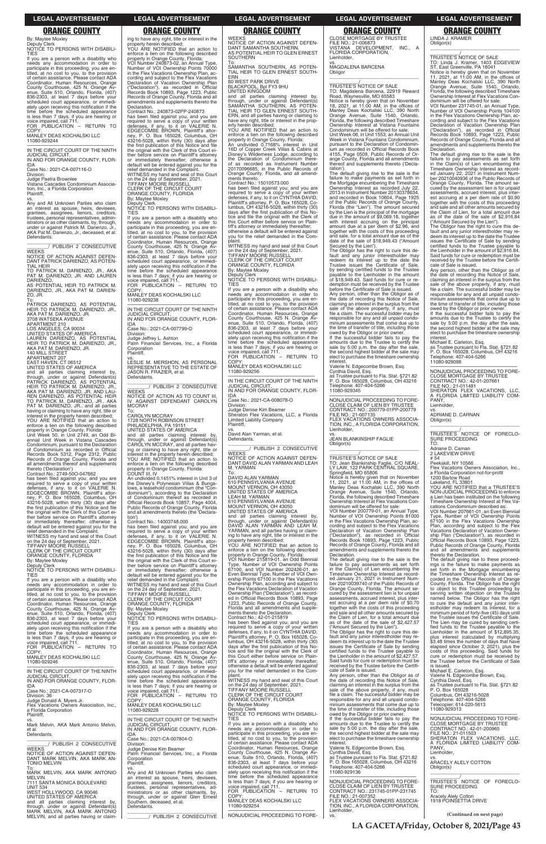# ing to have any right, title or interest in the

property herein described; YOU ARE NOTIFIED that an action to enforce a lien on the following described property in Orange County, Florida: VOI Number 240873-02, an Annual Type, Number of VOI Ownership Points 70000 in the Flex Vacations Ownership Plan, according and subject to the Flex Vacations Declaration of Vacation Ownership Plan ("Declaration"), as recorded in Official Records Book 10893, Page 1223, Public Records of Orange County, Florida and all amendments and supplements thereto the

Contract No.: 240873-02PP-240873 has been filed against you; and you are required to serve a copy of your written defenses, if any, to it on VALERIE N. EDGECOMBE BROWN, Plaintiff's attorney, P. O. Box 165028, Columbus, OH 43216-5028, within thirty (30) days after the first publication of this Notice and file the original with the Clerk of this Court ei-ther before service on Plaintiff's attorney or immediately thereafter; otherwise a default will be entered against you for the relief demanded in the Complaint. WITNESS my hand and seal of this Court

on the 24 day of September, 2021. TIFFANY MOORE RUSSELL CLERK OF THE CIRCUIT COURT ORANGE COUNTY, FLORIDA

Deputy Clerk NOTICE TO PERSONS WITH DISABILI-

If you are a person with a disability who needs any accommodation in order to participate in this proceeding, you are entitled, at no cost to you, to the provision of certain assistance. Please contact ADA Coordinator, Human Resources, Orange County Courthouse, 425 N. Orange Avenue, Suite 510, Orlando, Florida, (407) 836-2303, at least 7 days before your scheduled court appearance, or immediately upon receiving this notification if the time before the scheduled appearance is less than 7 days; if you are hearing or voice impaired, call 711. FOR PUBLICATION – RETURN TO

By: Maytee Moxley

...<br>TIES

COPY:

MANLEY DEAS KOCHALSKI LLC

11080-929238

**Declaration** 

—————————————————— IN THE CIRCUIT COURT OF THE NINTH JUDICIAL CIRCUIT, IN AND FOR ORANGE COUNTY, FLOR-

IDA

Case No.: 2021-CA-007799-O

Division:

Judge Jeffrey L. Ashton Palm Financial Services, Inc., a Florida

Corporation Plaintiff,

vs. LESLIE M. MERSHON, AS PERSONAL REPRESENTATIVE TO THE ESTATE OF

JASON R. FRAZIER, et al.

Defendants.

**WEEKS** 

**MCCRAY** 

\_\_\_\_\_\_\_\_\_\_\_\_\_\_\_\_\_\_\_\_\_\_\_\_\_\_\_\_\_\_\_ \_\_\_\_\_\_\_\_/ PUBLISH 2 CONSECUTIVE

NOTICE OF ACTION AS TO COUNT III, IV AGAINST DEFENDANT CAROLYN

To: CAROLYN MCCRAY

1728 NORTH ROBINSON STREET PHILADELPHIA, PA 19151 UNITED STATES OF AMERICA

and all parties claiming interest by, through, under or against Defendant(s) CAROLYN MCCRAY, and all parties hav-

COPY MANLEY DEAS KOCHALSKI LLC 11080-929244

> ing or claiming to have any right, title or interest in the property herein described; YOU ARE NOTIFIED that an action to enforce a lien on the following described property in Orange County, Florida: COUNT III, IV An undivided 0.1451% interest in Unit 3 of the Disney's Polynesian Villas & Bunga-lows, a leasehold condominium (the "Condominium"), according to the Declaration of Condominium thereof as recorded in Official Records Book 10857, Page 4004, Public Records of Orange County, Florida and all amendments thereto (the 'Declara-Contract No.: 14003748.000 has been filed against you; and you are<br>required to serve a copy of your written<br>defenses, if any, to it on VALERIE N.<br>EDGECOMBE BROWN, Plaintiff's attor-<br>ney, P. O. Box 165028, Columbus, OH 43216-5028, within thirty (30) days after the first publication of this Notice and file the original with the Clerk of this Court either before service on Plaintiff's attorney or immediately thereafter; otherwise a default will be entered against you for the

tion')

relief demanded in the Complaint. WITNESS my hand and seal of this Court<br>on the 24 day of September, 2021.<br>TIFFANY MOORE RUSSELL<br>CLERK OF THE CIRCUIT COURT ORANGE COUNTY, FLORIDA By: Maytee Moxley Deputy Clerk NOTICE TO PERSONS WITH DISABILI-

By: Maytee Moxley

Deputy Clerk NOTICE TO PERSONS WITH DISABILI-TIES

If you are a person with a disability who needs any accommodation in order to participate in this proceeding, you are entitled, at no cost to you, to the provision of certain assistance. Please contact ADA Coordinator, Human Resources, Orange County Courthouse, 425 N. Orange Av-enue, Suite 510, Orlando, Florida, (407) 836-2303, at least 7 days before your scheduled court appearance, or immediately upon receiving this notification if the time before the scheduled appearance is less than 7 days; if you are hearing or voice impaired, call 711. FOR PUBLICATION – RETURN TO

> Contract No.: 15010573.000<br>has been filed against you; and you are<br>required to serve a copy of your written<br>defenses, if any, to it on CYNTHIA DAVID,<br>Plainiff's attorney, P. O. Box 165028, Co-<br>lumbus, OH 43216-5028, within days after the first publication of this No-tice and file the original with the Clerk of this Court either before service on Plaintiff's attorney or immediately thereafter; otherwise a default will be entered against you for the relief demanded in the Com-

> plaint. WITNESS my hand and seal of this Court on the 24 day of September, 2021. TIFFANY MÓORE RUSSELL

—————————————————— IN THE CIRCUIT COURT OF THE NINTH JUDICIAL CIRCUIT IN AND FOR ORANGE COUNTY, FLOR-IDA

Case No.: 2021-CA-007116-O

Division:

Judge Paetra Brownlee Vistana Cascades Condominium Association, Inc., a Florida Corporation Plaintiff,

vs. Any and All Unknown Parties who claim an interest as spouse, heirs, devisees, grantees, assignees, lienors, creditors, trustees, personal representatives, administrators or as other claimants, by, through, under or against Patrick M. Darienzo, Jr., AKA Pat M. Darienzo, Jr., deceased, et al. Defendants.

\_\_\_\_\_\_\_\_\_\_\_\_\_\_\_\_\_\_\_\_\_\_\_\_\_\_\_\_\_\_\_ \_\_\_\_\_\_\_\_/ PUBLISH 2 CONSECUTIVE WEEKS

NOTICE OF ACTION AGAINST DEFEN-DANT PATRICK DARIENZO, AS POTEN-TIAL HEIR

TO PATRICK M. DARIENZO, JR., AKA PAT M. DARIENZO, JR. AND LAUREN DARIENZO,

AS POTENTIAL HEIR TO PATRICK M. DARIENZO, JR., AKA PAT M. DARIEN-ZO, JR.

To: PATRICK DARIENZO, AS POTENTIAL HEIR TO PATRICK M. DARIENZO, JR., AKA PAT M. DARIENZO, JR.

3708 WATSEKA AVENUE

APARTMENT 210 LOS ANGELES, CA 90034

UNITED STATES OF AMERICA

LAUREN DARIENZO, AS POTENTIAL HEIR TO PATRICK M. DARIENZO, JR., AKA PAT M. DARIENZO, JR.

140 MILL STREET APARTMENT 207

EAST HAVEN, CT 06512

UNITED STATES OF AMERICA and all parties claiming interest by, through, under or against Defendant(s)<br>PATRICK DARIENZO, AS POTENTIAL<br>HEIR TO PATRICK M. DARIENZO, JR., AKA PAT M. DARIENZO, JR. AND LAU-REN DARIENZO, AS POTENTIAL HEIR TO PATRICK M. DARIENZO, JR., AKA PAT M. DARIENZO, JR., and all parties having or claiming to have any right, title or interest in the property herein described; YOU ARE NOTIFIED that an action to enforce a lien on the following described property in Orange County, Florida: CLOSE MORTGAGE BY TRUSTEE FILE NO.: 21-006873 VISTANA DEVELOPMENT, INC., A FLORIDA CORPORATION, Lienholder,

Unit Week 50, in Unit 2749, an Odd Bi-ennial Unit Week in Vistana Cascades Condominium, pursuant to the Declaration of Condominium as recorded in Official Records Book 5312, Page 2312, Public Records of Orange County, Florida and all amendments thereof and supplements thereto ('Declaration') Contract No.: 2749-50O-047662

The default giving rise to the sale is the failure to make payments as set forth in the Mortgage encumbering the Timeshare Ownership Interest as recorded July 22, 2013 in Instrument Number 20130378634, and recorded in Book 10604. Page 1925 of the Public Records of Orange County, Florida (the "Lien"). The amount secured by the Lien is the principal of the mortgage due in the amount of \$9,069.18, together with interest accruing on the principal<br>amount due at a per diem of \$2.96, and<br>together with the costs of this proceeding<br>and sale, for a total amount due as of the<br>date of the sale of \$18,949.43 ("Amount

has been filed against you; and you are required to serve a copy of your written<br>defenses, if any, to it on VALERIE N.<br>EDGECOMBE BROWN, Plaintiff's attor-<br>ney, P. O. Box 165028, Columbus, OH<br>43216-5028, within thirty (30) days after the first publication of this Notice and file the original with the Clerk of this Court ei-ther before service on Plaintiff's attorney or immediately thereafter; otherwise a default will be entered against you for the relief demanded in the Complaint. WITNESS my hand and seal of this Court

on the 24 day of September, 2021. TIFFANY MOORE RUSSELL CLERK OF THE CIRCUIT COURT

ORANGE COUNTY, FLORIDA By: Maytee Moxley

Deputy Clerk NOTICE TO PERSONS WITH DISABILI-

TIES If you are a person with a disability who

needs any accommodation in order to participate in this proceeding, you are entitled, at no cost to you, to the provision of certain assistance. Please contact ADA Coordinator, Human Resources, Orange County Courthouse, 425 N. Orange Av-enue, Suite 510, Orlando, Florida, (407) 836-2303, at least 7 days before your

WEEKS NOTICE OF ACTION AGAINST DEFEN-DANT SAMANTHA SOUTHERN, AS POTENTIAL HEIR TO GLEN ERNEST **SOUTHERN** To:

SAMANTHA SOUTHERN, AS POTEN-TIAL HEIR TO GLEN ERNEST SOUTH-ERN

80 WEST PARK DRIVE

BLACKPOOL, Bpl FY3 9HU UNITED KINGDOM

and all parties claiming interest by, through, under or against Defendant(s) SAMANTHA SOUTHERN, AS POTEN-TIAL HEIR TO GLEN ERNEST SOUTH-ERN, and all parties having or claiming to have any right, title or interest in the property herein described; YOU ARE NOTIFIED that an action to

enforce a lien on the following described

property in Orange County, Florida: An undivided 0.7168% interest in Unit 16D of Copper Creek Villas & Cabins at Disney's Wilderness Lodge, according to the Declaration of Condominium there-of as recorded as Instrument Number 20170096685, in the Public Records of Orange County, Florida, and all amendments thereto.

CLERK OF THE CIRCUIT COURT ORANGE COUNTY, FLORIDA By: Maytee Moxley Deputy Clerk NOTICE TO PERSONS WITH DISABILI-

**TIES** 

\_\_\_\_\_\_\_\_\_\_\_\_\_\_\_\_\_\_\_\_\_\_\_\_\_\_\_\_\_\_\_\_\_ \_\_\_\_\_\_\_\_\_\_\_/<br>TRUSTEE'S NOTICE OF FORECLO-<br>SURE PROCEEDING

If you are a person with a disability who needs any accommodation in order to participate in this proceeding, you are en-titled, at no cost to you, to the provision of certain assistance. Please contact ADA Coordinator, Human Resources, Orange County Courthouse, 425 N. Orange Av-enue, Suite 510, Orlando, Florida, (407) 836-2303, at least 7 days before your scheduled court appearance, or immedi-ately upon receiving this notification if the time before the scheduled appearance is less than 7 days; if you are hearing or voice impaired, call 711. FOR PUBLICATION – RETURN TO

COPY: MANLEY DEAS KOCHALSKI LLC 11080-929256

—————————————————— IN THE CIRCUIT COURT OF THE NINTH JUDICIAL CIRCUIT, IN AND FOR ORANGE COUNTY, FLOR-

IDA Case No.: 2021-CA-008078-O

Division: Judge Denise Kim Beamer Sheraton Flex Vacations, LLC, a Florida Limited Liability Company Plaintiff,

vs. David Alan Yarman, et al. Defendants.

\_\_\_\_\_\_\_\_\_\_\_\_\_\_\_\_\_\_\_\_\_\_\_\_\_\_\_\_\_\_\_ \_\_\_\_\_\_\_\_/ PUBLISH 2 CONSECUTIVE **WEEKS** NOTICE OF ACTION AGAINST DEFEN-

DANT DAVID ALAN YARMAN AND LEAH M. YARMAN

| <b>TIES</b><br>scheduled court appearance, or immedi-<br>("Amount Secured by the Lien").<br>required to serve a copy of your written<br>fied funds to the Trustee payable to the<br>ately upon receiving this notification if the<br>If you are a person with a disability who<br>defenses, if any, to it on CYNTHIA DAVID,<br>The Obligor has the right to cure this de-<br>Lienholder in the amount of \$12,895.35,<br>time before the scheduled appearance<br>needs any accommodation in order to<br>Plaintiff's attorney, P. O. Box 165028, Co-<br>fault and any junior interestholder may re-<br>plus interest (calculated by multiplying<br>is less than 7 days; if you are hearing or<br>participate in this proceeding, you are en-<br>lumbus, OH 43216-5028, within thirty (30)<br>deem its interest up to the date the Trustee<br>\$3.48 times the number of days that have<br>voice impaired, call 711.<br>titled, at no cost to you, to the provision<br>issues the Certificate of Sale by sending<br>days after the first publication of this No-<br>elapsed since October 3, 2021), plus the<br>FOR PUBLICATION - RETURN TO<br>of certain assistance. Please contact ADA<br>certified funds to the Trustee payable to<br>costs of this proceeding. Said funds for<br>tice and file the original with the Clerk of<br>COPY:<br>Coordinator, Human Resources, Orange<br>the Lienholder in the amount of \$2.427.57.<br>this Court either before service on Plain-<br>cure or redemption must be received by<br>MANLEY DEAS KOCHALSKI LLC<br>County Courthouse, 425 N. Orange Av-<br>tiff's attorney or immediately thereafter;<br>Said funds for cure or redemption must be<br>the Trustee before the Certificate of Sale<br>11080-929246<br>enue, Suite 510, Orlando, Florida, (407)<br>received by the Trustee before the Certifi-<br>is issued.<br>otherwise a default will be entered against<br>836-2303, at least 7 days before your<br>Michael E. Carleton, Esq.<br>vou for the relief demanded in the Com-<br>cate of Sale is issued.<br>IN THE CIRCUIT COURT OF THE NINTH<br>scheduled court appearance, or immedi-<br>Valerie N. Edgecombe Brown, Esg.<br>Any person, other than the Obligor as of<br>plaint.<br>ately upon receiving this notification if the<br><b>JUDICIAL CIRCUIT.</b><br>the date of recording this Notice of Sale,<br>WITNESS my hand and seal of this Court<br>Cynthia David, Esq.<br>IN AND FOR ORANGE COUNTY, FLOR-<br>time before the scheduled appearance<br>claiming an interest in the surplus from the<br>on the 24 day of September, 2021.<br>as Trustee pursuant to Fla. Stat. §721.82<br><b>IDA</b><br>is less than 7 days; if you are hearing or<br>TIFFANY MÓORE RUSSELL<br>sale of the above property, if any, must<br>P. O. Box 165028<br>Case No.: 2021-CA-007317-O<br>voice impaired, call 711.<br>CLERK OF THE CIRCUIT COURT<br>file a claim. The successful bidder may be<br>Columbus, OH 43216-5028<br>FOR PUBLICATION - RETURN TO<br>Division: 36<br>responsible for any and all unpaid condo-<br>ORANGE COUNTY, FLORIDA<br>Telephone: 407-404-5266<br>COPY:<br>Judge Donald A. Myers Jr.<br>By: Maytee Moxley<br>minium assessments that come due up to<br>Telecopier: 614-220-5613<br>MANLEY DEAS KOCHALSKI LLC<br>Flex Vacations Owners Association, Inc.,<br>Deputy Clerk<br>the time of transfer of title, including those<br>11080-929313<br>11080-929228<br>a Florida Corporation<br>NOTICE TO PERSONS WITH DISABILI-<br>owed by the Obligor or prior owner.<br>Plaintiff.<br>NONJUDICIAL PROCEEDING TO FORE-<br><b>TIES</b><br>If the successful bidder fails to pay the<br>IN THE CIRCUIT COURT OF THE NINTH<br>VS.<br>amounts due to the Trustee to certify the<br><b>CLOSE MORTGAGE BY TRUSTEE</b><br>If you are a person with a disability who<br>Mark Melvin, AKA Mark Antonio Melvin,<br><b>JUDICIAL CIRCUIT.</b><br>sale by 5:00 p.m. the day after the sale,<br>CONTRACT NO.: 42-01-200965<br>needs any accommodation in order to<br>IN AND FOR ORANGE COUNTY. FLOR-<br>et al.<br>participate in this proceeding, you are en-<br>the second highest bidder at the sale may<br>FILE NO.: 21-011503<br>Defendants.<br><b>IDA</b><br>SHERATON FLEX VACATIONS. LLC.<br>titled, at no cost to you, to the provision<br>elect to purchase the timeshare ownership<br>Case No.: 2021-CA-007804-O<br>of certain assistance. Please contact ADA<br>interest.<br>A FLORIDA LIMITED LIABILITY COM-<br>PUBLISH 2 CONSECUTIVE<br>Division:<br>Valerie N. Edgecombe Brown, Esg.<br>PANY.<br>Coordinator, Human Resources, Orange<br><b>WEEKS</b><br>Judge Denise Kim Beamer<br>County Courthouse, 425 N. Orange Av-<br>Cynthia David, Esq.<br>Lienholder.<br>NOTICE OF ACTION AGAINST DEFEN-<br>Palm Financial Services. Inc., a Florida<br>as Trustee pursuant to Fla. Stat. §721.82<br>enue, Suite 510, Orlando, Florida, (407)<br>DANT MARK MELVIN, AKA MARK AN-<br>Corporation<br>VS.<br>ARACELY ALELY COTTON<br>P. O. Box 165028, Columbus, OH 43216<br>836-2303, at least 7 days before your<br><b>TONIO MELVIN</b><br>Plaintiff,<br>scheduled court appearance, or immedi-<br>Telephone: 407-404-5266<br>Obligor(s)<br>To:<br>VS.<br>11080-929136<br>ately upon receiving this notification if the<br>MARK MELVIN, AKA MARK ANTONIO<br>Any and All Unknown Parties who claim<br>time before the scheduled appearance<br><b>MELVIN</b><br>an interest as spouse, heirs, devisees,<br>TRUSTEE'S NOTICE OF FORECLO-<br>NONJUDICIAL PROCEEDING TO FORE-<br>is less than 7 days; if you are hearing or<br>7111 SANTA MONICA BOULEVARD<br>grantees, assignees, lienors, creditors,<br>CLOSE CLAIM OF LIEN BY TRUSTEE<br><b>SURE PROCEEDING</b><br>voice impaired, call 711.<br><b>UNIT 534</b><br>trustees, personal representatives, ad-<br>FOR PUBLICATION - RETURN TO<br>CONTRACT NO.: 231745-01PP-231745<br>TO:<br>WEST HOLLYWOOD, CA 90046<br>ministrators or as other claimants, by,<br>COPY:<br>FILE NO.: 21-007352<br><b>Aracely Alely Cotton</b><br>UNITED STATES OF AMERICA<br>through, under or against Glen Ernest<br>FLEX VACATIONS OWNERS ASSOCIA-<br>1918 POINSETTIA DRIVE<br>MANLEY DEAS KOCHALSKI LLC<br>and all parties claiming interest by,<br>Southern, deceased, et al.<br>11080-929254<br>TION, INC., A FLORIDA CORPORATION,<br>through, under or against Defendant(s)<br>Defendants.<br>Lienholder,<br>MARK MELVIN, AKA MARK ANTONIÓ<br>(Continued on next page)<br>NONJUDICIAL PROCEEDING TO FORE-<br>PUBLISH 2 CONSECUTIVE<br>VS.<br>MELVIN, and all parties having or claim- | 836-2303, at least 7 days before your | NOTICE TO PERSONS WITH DISABILI- | Contract No.: 42-01-215819<br>has been filed against you; and you are | the Claim of Lien, for a total amount due<br>as of the date of the sale of \$2,427.57 | the Trustee issues the Certificate of Sale.<br>The Lien may be cured by sending certi- |
|-----------------------------------------------------------------------------------------------------------------------------------------------------------------------------------------------------------------------------------------------------------------------------------------------------------------------------------------------------------------------------------------------------------------------------------------------------------------------------------------------------------------------------------------------------------------------------------------------------------------------------------------------------------------------------------------------------------------------------------------------------------------------------------------------------------------------------------------------------------------------------------------------------------------------------------------------------------------------------------------------------------------------------------------------------------------------------------------------------------------------------------------------------------------------------------------------------------------------------------------------------------------------------------------------------------------------------------------------------------------------------------------------------------------------------------------------------------------------------------------------------------------------------------------------------------------------------------------------------------------------------------------------------------------------------------------------------------------------------------------------------------------------------------------------------------------------------------------------------------------------------------------------------------------------------------------------------------------------------------------------------------------------------------------------------------------------------------------------------------------------------------------------------------------------------------------------------------------------------------------------------------------------------------------------------------------------------------------------------------------------------------------------------------------------------------------------------------------------------------------------------------------------------------------------------------------------------------------------------------------------------------------------------------------------------------------------------------------------------------------------------------------------------------------------------------------------------------------------------------------------------------------------------------------------------------------------------------------------------------------------------------------------------------------------------------------------------------------------------------------------------------------------------------------------------------------------------------------------------------------------------------------------------------------------------------------------------------------------------------------------------------------------------------------------------------------------------------------------------------------------------------------------------------------------------------------------------------------------------------------------------------------------------------------------------------------------------------------------------------------------------------------------------------------------------------------------------------------------------------------------------------------------------------------------------------------------------------------------------------------------------------------------------------------------------------------------------------------------------------------------------------------------------------------------------------------------------------------------------------------------------------------------------------------------------------------------------------------------------------------------------------------------------------------------------------------------------------------------------------------------------------------------------------------------------------------------------------------------------------------------------------------------------------------------------------------------------------------------------------------------------------------------------------------------------------------------------------------------------------------------------------------------------------------------------------------------------------------------------------------------------------------------------------------------------------------------------------------------------------------------------------------------------------------------------------------------------------------------------------------------------------------------------------------------------------------------------------------------------------------------------------------------------------------------------------------------------------------------------------------------------------------------------------------------------------------------------------------------------------------------------------------------------------------------------------------------------------------------------------------------------------------------------------------------------------------------------------------------------------------------------------------------------------------------------------------------------------------------------------------------------------------------------------------------------------------------------------------------------------------------------------------------------------------------------------------------------------------------------------------------------------------------------------------------------------------------------------------------------------------------------------------------------------------------------------------------------------------------------------------------------------------------------------------------------------------------------|---------------------------------------|----------------------------------|-----------------------------------------------------------------------|---------------------------------------------------------------------------------------|----------------------------------------------------------------------------------------|
|                                                                                                                                                                                                                                                                                                                                                                                                                                                                                                                                                                                                                                                                                                                                                                                                                                                                                                                                                                                                                                                                                                                                                                                                                                                                                                                                                                                                                                                                                                                                                                                                                                                                                                                                                                                                                                                                                                                                                                                                                                                                                                                                                                                                                                                                                                                                                                                                                                                                                                                                                                                                                                                                                                                                                                                                                                                                                                                                                                                                                                                                                                                                                                                                                                                                                                                                                                                                                                                                                                                                                                                                                                                                                                                                                                                                                                                                                                                                                                                                                                                                                                                                                                                                                                                                                                                                                                                                                                                                                                                                                                                                                                                                                                                                                                                                                                                                                                                                                                                                                                                                                                                                                                                                                                                                                                                                                                                                                                                                                                                                                                                                                                                                                                                                                                                                                                                                                                                                                                                                                                                                                                                                                                                                                                                                                                                                                                                                                                                                                                                                                                             |                                       |                                  |                                                                       |                                                                                       |                                                                                        |
|                                                                                                                                                                                                                                                                                                                                                                                                                                                                                                                                                                                                                                                                                                                                                                                                                                                                                                                                                                                                                                                                                                                                                                                                                                                                                                                                                                                                                                                                                                                                                                                                                                                                                                                                                                                                                                                                                                                                                                                                                                                                                                                                                                                                                                                                                                                                                                                                                                                                                                                                                                                                                                                                                                                                                                                                                                                                                                                                                                                                                                                                                                                                                                                                                                                                                                                                                                                                                                                                                                                                                                                                                                                                                                                                                                                                                                                                                                                                                                                                                                                                                                                                                                                                                                                                                                                                                                                                                                                                                                                                                                                                                                                                                                                                                                                                                                                                                                                                                                                                                                                                                                                                                                                                                                                                                                                                                                                                                                                                                                                                                                                                                                                                                                                                                                                                                                                                                                                                                                                                                                                                                                                                                                                                                                                                                                                                                                                                                                                                                                                                                                             |                                       |                                  |                                                                       |                                                                                       |                                                                                        |
|                                                                                                                                                                                                                                                                                                                                                                                                                                                                                                                                                                                                                                                                                                                                                                                                                                                                                                                                                                                                                                                                                                                                                                                                                                                                                                                                                                                                                                                                                                                                                                                                                                                                                                                                                                                                                                                                                                                                                                                                                                                                                                                                                                                                                                                                                                                                                                                                                                                                                                                                                                                                                                                                                                                                                                                                                                                                                                                                                                                                                                                                                                                                                                                                                                                                                                                                                                                                                                                                                                                                                                                                                                                                                                                                                                                                                                                                                                                                                                                                                                                                                                                                                                                                                                                                                                                                                                                                                                                                                                                                                                                                                                                                                                                                                                                                                                                                                                                                                                                                                                                                                                                                                                                                                                                                                                                                                                                                                                                                                                                                                                                                                                                                                                                                                                                                                                                                                                                                                                                                                                                                                                                                                                                                                                                                                                                                                                                                                                                                                                                                                                             |                                       |                                  |                                                                       |                                                                                       |                                                                                        |
|                                                                                                                                                                                                                                                                                                                                                                                                                                                                                                                                                                                                                                                                                                                                                                                                                                                                                                                                                                                                                                                                                                                                                                                                                                                                                                                                                                                                                                                                                                                                                                                                                                                                                                                                                                                                                                                                                                                                                                                                                                                                                                                                                                                                                                                                                                                                                                                                                                                                                                                                                                                                                                                                                                                                                                                                                                                                                                                                                                                                                                                                                                                                                                                                                                                                                                                                                                                                                                                                                                                                                                                                                                                                                                                                                                                                                                                                                                                                                                                                                                                                                                                                                                                                                                                                                                                                                                                                                                                                                                                                                                                                                                                                                                                                                                                                                                                                                                                                                                                                                                                                                                                                                                                                                                                                                                                                                                                                                                                                                                                                                                                                                                                                                                                                                                                                                                                                                                                                                                                                                                                                                                                                                                                                                                                                                                                                                                                                                                                                                                                                                                             |                                       |                                  |                                                                       |                                                                                       |                                                                                        |
|                                                                                                                                                                                                                                                                                                                                                                                                                                                                                                                                                                                                                                                                                                                                                                                                                                                                                                                                                                                                                                                                                                                                                                                                                                                                                                                                                                                                                                                                                                                                                                                                                                                                                                                                                                                                                                                                                                                                                                                                                                                                                                                                                                                                                                                                                                                                                                                                                                                                                                                                                                                                                                                                                                                                                                                                                                                                                                                                                                                                                                                                                                                                                                                                                                                                                                                                                                                                                                                                                                                                                                                                                                                                                                                                                                                                                                                                                                                                                                                                                                                                                                                                                                                                                                                                                                                                                                                                                                                                                                                                                                                                                                                                                                                                                                                                                                                                                                                                                                                                                                                                                                                                                                                                                                                                                                                                                                                                                                                                                                                                                                                                                                                                                                                                                                                                                                                                                                                                                                                                                                                                                                                                                                                                                                                                                                                                                                                                                                                                                                                                                                             |                                       |                                  |                                                                       |                                                                                       |                                                                                        |
|                                                                                                                                                                                                                                                                                                                                                                                                                                                                                                                                                                                                                                                                                                                                                                                                                                                                                                                                                                                                                                                                                                                                                                                                                                                                                                                                                                                                                                                                                                                                                                                                                                                                                                                                                                                                                                                                                                                                                                                                                                                                                                                                                                                                                                                                                                                                                                                                                                                                                                                                                                                                                                                                                                                                                                                                                                                                                                                                                                                                                                                                                                                                                                                                                                                                                                                                                                                                                                                                                                                                                                                                                                                                                                                                                                                                                                                                                                                                                                                                                                                                                                                                                                                                                                                                                                                                                                                                                                                                                                                                                                                                                                                                                                                                                                                                                                                                                                                                                                                                                                                                                                                                                                                                                                                                                                                                                                                                                                                                                                                                                                                                                                                                                                                                                                                                                                                                                                                                                                                                                                                                                                                                                                                                                                                                                                                                                                                                                                                                                                                                                                             |                                       |                                  |                                                                       |                                                                                       |                                                                                        |
|                                                                                                                                                                                                                                                                                                                                                                                                                                                                                                                                                                                                                                                                                                                                                                                                                                                                                                                                                                                                                                                                                                                                                                                                                                                                                                                                                                                                                                                                                                                                                                                                                                                                                                                                                                                                                                                                                                                                                                                                                                                                                                                                                                                                                                                                                                                                                                                                                                                                                                                                                                                                                                                                                                                                                                                                                                                                                                                                                                                                                                                                                                                                                                                                                                                                                                                                                                                                                                                                                                                                                                                                                                                                                                                                                                                                                                                                                                                                                                                                                                                                                                                                                                                                                                                                                                                                                                                                                                                                                                                                                                                                                                                                                                                                                                                                                                                                                                                                                                                                                                                                                                                                                                                                                                                                                                                                                                                                                                                                                                                                                                                                                                                                                                                                                                                                                                                                                                                                                                                                                                                                                                                                                                                                                                                                                                                                                                                                                                                                                                                                                                             |                                       |                                  |                                                                       |                                                                                       |                                                                                        |
|                                                                                                                                                                                                                                                                                                                                                                                                                                                                                                                                                                                                                                                                                                                                                                                                                                                                                                                                                                                                                                                                                                                                                                                                                                                                                                                                                                                                                                                                                                                                                                                                                                                                                                                                                                                                                                                                                                                                                                                                                                                                                                                                                                                                                                                                                                                                                                                                                                                                                                                                                                                                                                                                                                                                                                                                                                                                                                                                                                                                                                                                                                                                                                                                                                                                                                                                                                                                                                                                                                                                                                                                                                                                                                                                                                                                                                                                                                                                                                                                                                                                                                                                                                                                                                                                                                                                                                                                                                                                                                                                                                                                                                                                                                                                                                                                                                                                                                                                                                                                                                                                                                                                                                                                                                                                                                                                                                                                                                                                                                                                                                                                                                                                                                                                                                                                                                                                                                                                                                                                                                                                                                                                                                                                                                                                                                                                                                                                                                                                                                                                                                             |                                       |                                  |                                                                       |                                                                                       |                                                                                        |
|                                                                                                                                                                                                                                                                                                                                                                                                                                                                                                                                                                                                                                                                                                                                                                                                                                                                                                                                                                                                                                                                                                                                                                                                                                                                                                                                                                                                                                                                                                                                                                                                                                                                                                                                                                                                                                                                                                                                                                                                                                                                                                                                                                                                                                                                                                                                                                                                                                                                                                                                                                                                                                                                                                                                                                                                                                                                                                                                                                                                                                                                                                                                                                                                                                                                                                                                                                                                                                                                                                                                                                                                                                                                                                                                                                                                                                                                                                                                                                                                                                                                                                                                                                                                                                                                                                                                                                                                                                                                                                                                                                                                                                                                                                                                                                                                                                                                                                                                                                                                                                                                                                                                                                                                                                                                                                                                                                                                                                                                                                                                                                                                                                                                                                                                                                                                                                                                                                                                                                                                                                                                                                                                                                                                                                                                                                                                                                                                                                                                                                                                                                             |                                       |                                  |                                                                       |                                                                                       |                                                                                        |
|                                                                                                                                                                                                                                                                                                                                                                                                                                                                                                                                                                                                                                                                                                                                                                                                                                                                                                                                                                                                                                                                                                                                                                                                                                                                                                                                                                                                                                                                                                                                                                                                                                                                                                                                                                                                                                                                                                                                                                                                                                                                                                                                                                                                                                                                                                                                                                                                                                                                                                                                                                                                                                                                                                                                                                                                                                                                                                                                                                                                                                                                                                                                                                                                                                                                                                                                                                                                                                                                                                                                                                                                                                                                                                                                                                                                                                                                                                                                                                                                                                                                                                                                                                                                                                                                                                                                                                                                                                                                                                                                                                                                                                                                                                                                                                                                                                                                                                                                                                                                                                                                                                                                                                                                                                                                                                                                                                                                                                                                                                                                                                                                                                                                                                                                                                                                                                                                                                                                                                                                                                                                                                                                                                                                                                                                                                                                                                                                                                                                                                                                                                             |                                       |                                  |                                                                       |                                                                                       |                                                                                        |
|                                                                                                                                                                                                                                                                                                                                                                                                                                                                                                                                                                                                                                                                                                                                                                                                                                                                                                                                                                                                                                                                                                                                                                                                                                                                                                                                                                                                                                                                                                                                                                                                                                                                                                                                                                                                                                                                                                                                                                                                                                                                                                                                                                                                                                                                                                                                                                                                                                                                                                                                                                                                                                                                                                                                                                                                                                                                                                                                                                                                                                                                                                                                                                                                                                                                                                                                                                                                                                                                                                                                                                                                                                                                                                                                                                                                                                                                                                                                                                                                                                                                                                                                                                                                                                                                                                                                                                                                                                                                                                                                                                                                                                                                                                                                                                                                                                                                                                                                                                                                                                                                                                                                                                                                                                                                                                                                                                                                                                                                                                                                                                                                                                                                                                                                                                                                                                                                                                                                                                                                                                                                                                                                                                                                                                                                                                                                                                                                                                                                                                                                                                             |                                       |                                  |                                                                       |                                                                                       |                                                                                        |
|                                                                                                                                                                                                                                                                                                                                                                                                                                                                                                                                                                                                                                                                                                                                                                                                                                                                                                                                                                                                                                                                                                                                                                                                                                                                                                                                                                                                                                                                                                                                                                                                                                                                                                                                                                                                                                                                                                                                                                                                                                                                                                                                                                                                                                                                                                                                                                                                                                                                                                                                                                                                                                                                                                                                                                                                                                                                                                                                                                                                                                                                                                                                                                                                                                                                                                                                                                                                                                                                                                                                                                                                                                                                                                                                                                                                                                                                                                                                                                                                                                                                                                                                                                                                                                                                                                                                                                                                                                                                                                                                                                                                                                                                                                                                                                                                                                                                                                                                                                                                                                                                                                                                                                                                                                                                                                                                                                                                                                                                                                                                                                                                                                                                                                                                                                                                                                                                                                                                                                                                                                                                                                                                                                                                                                                                                                                                                                                                                                                                                                                                                                             |                                       |                                  |                                                                       |                                                                                       |                                                                                        |
|                                                                                                                                                                                                                                                                                                                                                                                                                                                                                                                                                                                                                                                                                                                                                                                                                                                                                                                                                                                                                                                                                                                                                                                                                                                                                                                                                                                                                                                                                                                                                                                                                                                                                                                                                                                                                                                                                                                                                                                                                                                                                                                                                                                                                                                                                                                                                                                                                                                                                                                                                                                                                                                                                                                                                                                                                                                                                                                                                                                                                                                                                                                                                                                                                                                                                                                                                                                                                                                                                                                                                                                                                                                                                                                                                                                                                                                                                                                                                                                                                                                                                                                                                                                                                                                                                                                                                                                                                                                                                                                                                                                                                                                                                                                                                                                                                                                                                                                                                                                                                                                                                                                                                                                                                                                                                                                                                                                                                                                                                                                                                                                                                                                                                                                                                                                                                                                                                                                                                                                                                                                                                                                                                                                                                                                                                                                                                                                                                                                                                                                                                                             |                                       |                                  |                                                                       |                                                                                       |                                                                                        |
|                                                                                                                                                                                                                                                                                                                                                                                                                                                                                                                                                                                                                                                                                                                                                                                                                                                                                                                                                                                                                                                                                                                                                                                                                                                                                                                                                                                                                                                                                                                                                                                                                                                                                                                                                                                                                                                                                                                                                                                                                                                                                                                                                                                                                                                                                                                                                                                                                                                                                                                                                                                                                                                                                                                                                                                                                                                                                                                                                                                                                                                                                                                                                                                                                                                                                                                                                                                                                                                                                                                                                                                                                                                                                                                                                                                                                                                                                                                                                                                                                                                                                                                                                                                                                                                                                                                                                                                                                                                                                                                                                                                                                                                                                                                                                                                                                                                                                                                                                                                                                                                                                                                                                                                                                                                                                                                                                                                                                                                                                                                                                                                                                                                                                                                                                                                                                                                                                                                                                                                                                                                                                                                                                                                                                                                                                                                                                                                                                                                                                                                                                                             |                                       |                                  |                                                                       |                                                                                       |                                                                                        |
|                                                                                                                                                                                                                                                                                                                                                                                                                                                                                                                                                                                                                                                                                                                                                                                                                                                                                                                                                                                                                                                                                                                                                                                                                                                                                                                                                                                                                                                                                                                                                                                                                                                                                                                                                                                                                                                                                                                                                                                                                                                                                                                                                                                                                                                                                                                                                                                                                                                                                                                                                                                                                                                                                                                                                                                                                                                                                                                                                                                                                                                                                                                                                                                                                                                                                                                                                                                                                                                                                                                                                                                                                                                                                                                                                                                                                                                                                                                                                                                                                                                                                                                                                                                                                                                                                                                                                                                                                                                                                                                                                                                                                                                                                                                                                                                                                                                                                                                                                                                                                                                                                                                                                                                                                                                                                                                                                                                                                                                                                                                                                                                                                                                                                                                                                                                                                                                                                                                                                                                                                                                                                                                                                                                                                                                                                                                                                                                                                                                                                                                                                                             |                                       |                                  |                                                                       |                                                                                       |                                                                                        |
|                                                                                                                                                                                                                                                                                                                                                                                                                                                                                                                                                                                                                                                                                                                                                                                                                                                                                                                                                                                                                                                                                                                                                                                                                                                                                                                                                                                                                                                                                                                                                                                                                                                                                                                                                                                                                                                                                                                                                                                                                                                                                                                                                                                                                                                                                                                                                                                                                                                                                                                                                                                                                                                                                                                                                                                                                                                                                                                                                                                                                                                                                                                                                                                                                                                                                                                                                                                                                                                                                                                                                                                                                                                                                                                                                                                                                                                                                                                                                                                                                                                                                                                                                                                                                                                                                                                                                                                                                                                                                                                                                                                                                                                                                                                                                                                                                                                                                                                                                                                                                                                                                                                                                                                                                                                                                                                                                                                                                                                                                                                                                                                                                                                                                                                                                                                                                                                                                                                                                                                                                                                                                                                                                                                                                                                                                                                                                                                                                                                                                                                                                                             |                                       |                                  |                                                                       |                                                                                       |                                                                                        |
|                                                                                                                                                                                                                                                                                                                                                                                                                                                                                                                                                                                                                                                                                                                                                                                                                                                                                                                                                                                                                                                                                                                                                                                                                                                                                                                                                                                                                                                                                                                                                                                                                                                                                                                                                                                                                                                                                                                                                                                                                                                                                                                                                                                                                                                                                                                                                                                                                                                                                                                                                                                                                                                                                                                                                                                                                                                                                                                                                                                                                                                                                                                                                                                                                                                                                                                                                                                                                                                                                                                                                                                                                                                                                                                                                                                                                                                                                                                                                                                                                                                                                                                                                                                                                                                                                                                                                                                                                                                                                                                                                                                                                                                                                                                                                                                                                                                                                                                                                                                                                                                                                                                                                                                                                                                                                                                                                                                                                                                                                                                                                                                                                                                                                                                                                                                                                                                                                                                                                                                                                                                                                                                                                                                                                                                                                                                                                                                                                                                                                                                                                                             |                                       |                                  |                                                                       |                                                                                       |                                                                                        |
|                                                                                                                                                                                                                                                                                                                                                                                                                                                                                                                                                                                                                                                                                                                                                                                                                                                                                                                                                                                                                                                                                                                                                                                                                                                                                                                                                                                                                                                                                                                                                                                                                                                                                                                                                                                                                                                                                                                                                                                                                                                                                                                                                                                                                                                                                                                                                                                                                                                                                                                                                                                                                                                                                                                                                                                                                                                                                                                                                                                                                                                                                                                                                                                                                                                                                                                                                                                                                                                                                                                                                                                                                                                                                                                                                                                                                                                                                                                                                                                                                                                                                                                                                                                                                                                                                                                                                                                                                                                                                                                                                                                                                                                                                                                                                                                                                                                                                                                                                                                                                                                                                                                                                                                                                                                                                                                                                                                                                                                                                                                                                                                                                                                                                                                                                                                                                                                                                                                                                                                                                                                                                                                                                                                                                                                                                                                                                                                                                                                                                                                                                                             |                                       |                                  |                                                                       |                                                                                       |                                                                                        |
|                                                                                                                                                                                                                                                                                                                                                                                                                                                                                                                                                                                                                                                                                                                                                                                                                                                                                                                                                                                                                                                                                                                                                                                                                                                                                                                                                                                                                                                                                                                                                                                                                                                                                                                                                                                                                                                                                                                                                                                                                                                                                                                                                                                                                                                                                                                                                                                                                                                                                                                                                                                                                                                                                                                                                                                                                                                                                                                                                                                                                                                                                                                                                                                                                                                                                                                                                                                                                                                                                                                                                                                                                                                                                                                                                                                                                                                                                                                                                                                                                                                                                                                                                                                                                                                                                                                                                                                                                                                                                                                                                                                                                                                                                                                                                                                                                                                                                                                                                                                                                                                                                                                                                                                                                                                                                                                                                                                                                                                                                                                                                                                                                                                                                                                                                                                                                                                                                                                                                                                                                                                                                                                                                                                                                                                                                                                                                                                                                                                                                                                                                                             |                                       |                                  |                                                                       |                                                                                       |                                                                                        |
|                                                                                                                                                                                                                                                                                                                                                                                                                                                                                                                                                                                                                                                                                                                                                                                                                                                                                                                                                                                                                                                                                                                                                                                                                                                                                                                                                                                                                                                                                                                                                                                                                                                                                                                                                                                                                                                                                                                                                                                                                                                                                                                                                                                                                                                                                                                                                                                                                                                                                                                                                                                                                                                                                                                                                                                                                                                                                                                                                                                                                                                                                                                                                                                                                                                                                                                                                                                                                                                                                                                                                                                                                                                                                                                                                                                                                                                                                                                                                                                                                                                                                                                                                                                                                                                                                                                                                                                                                                                                                                                                                                                                                                                                                                                                                                                                                                                                                                                                                                                                                                                                                                                                                                                                                                                                                                                                                                                                                                                                                                                                                                                                                                                                                                                                                                                                                                                                                                                                                                                                                                                                                                                                                                                                                                                                                                                                                                                                                                                                                                                                                                             |                                       |                                  |                                                                       |                                                                                       |                                                                                        |
|                                                                                                                                                                                                                                                                                                                                                                                                                                                                                                                                                                                                                                                                                                                                                                                                                                                                                                                                                                                                                                                                                                                                                                                                                                                                                                                                                                                                                                                                                                                                                                                                                                                                                                                                                                                                                                                                                                                                                                                                                                                                                                                                                                                                                                                                                                                                                                                                                                                                                                                                                                                                                                                                                                                                                                                                                                                                                                                                                                                                                                                                                                                                                                                                                                                                                                                                                                                                                                                                                                                                                                                                                                                                                                                                                                                                                                                                                                                                                                                                                                                                                                                                                                                                                                                                                                                                                                                                                                                                                                                                                                                                                                                                                                                                                                                                                                                                                                                                                                                                                                                                                                                                                                                                                                                                                                                                                                                                                                                                                                                                                                                                                                                                                                                                                                                                                                                                                                                                                                                                                                                                                                                                                                                                                                                                                                                                                                                                                                                                                                                                                                             |                                       |                                  |                                                                       |                                                                                       |                                                                                        |
|                                                                                                                                                                                                                                                                                                                                                                                                                                                                                                                                                                                                                                                                                                                                                                                                                                                                                                                                                                                                                                                                                                                                                                                                                                                                                                                                                                                                                                                                                                                                                                                                                                                                                                                                                                                                                                                                                                                                                                                                                                                                                                                                                                                                                                                                                                                                                                                                                                                                                                                                                                                                                                                                                                                                                                                                                                                                                                                                                                                                                                                                                                                                                                                                                                                                                                                                                                                                                                                                                                                                                                                                                                                                                                                                                                                                                                                                                                                                                                                                                                                                                                                                                                                                                                                                                                                                                                                                                                                                                                                                                                                                                                                                                                                                                                                                                                                                                                                                                                                                                                                                                                                                                                                                                                                                                                                                                                                                                                                                                                                                                                                                                                                                                                                                                                                                                                                                                                                                                                                                                                                                                                                                                                                                                                                                                                                                                                                                                                                                                                                                                                             |                                       |                                  |                                                                       |                                                                                       |                                                                                        |
|                                                                                                                                                                                                                                                                                                                                                                                                                                                                                                                                                                                                                                                                                                                                                                                                                                                                                                                                                                                                                                                                                                                                                                                                                                                                                                                                                                                                                                                                                                                                                                                                                                                                                                                                                                                                                                                                                                                                                                                                                                                                                                                                                                                                                                                                                                                                                                                                                                                                                                                                                                                                                                                                                                                                                                                                                                                                                                                                                                                                                                                                                                                                                                                                                                                                                                                                                                                                                                                                                                                                                                                                                                                                                                                                                                                                                                                                                                                                                                                                                                                                                                                                                                                                                                                                                                                                                                                                                                                                                                                                                                                                                                                                                                                                                                                                                                                                                                                                                                                                                                                                                                                                                                                                                                                                                                                                                                                                                                                                                                                                                                                                                                                                                                                                                                                                                                                                                                                                                                                                                                                                                                                                                                                                                                                                                                                                                                                                                                                                                                                                                                             |                                       |                                  |                                                                       |                                                                                       |                                                                                        |
|                                                                                                                                                                                                                                                                                                                                                                                                                                                                                                                                                                                                                                                                                                                                                                                                                                                                                                                                                                                                                                                                                                                                                                                                                                                                                                                                                                                                                                                                                                                                                                                                                                                                                                                                                                                                                                                                                                                                                                                                                                                                                                                                                                                                                                                                                                                                                                                                                                                                                                                                                                                                                                                                                                                                                                                                                                                                                                                                                                                                                                                                                                                                                                                                                                                                                                                                                                                                                                                                                                                                                                                                                                                                                                                                                                                                                                                                                                                                                                                                                                                                                                                                                                                                                                                                                                                                                                                                                                                                                                                                                                                                                                                                                                                                                                                                                                                                                                                                                                                                                                                                                                                                                                                                                                                                                                                                                                                                                                                                                                                                                                                                                                                                                                                                                                                                                                                                                                                                                                                                                                                                                                                                                                                                                                                                                                                                                                                                                                                                                                                                                                             |                                       |                                  |                                                                       |                                                                                       |                                                                                        |
|                                                                                                                                                                                                                                                                                                                                                                                                                                                                                                                                                                                                                                                                                                                                                                                                                                                                                                                                                                                                                                                                                                                                                                                                                                                                                                                                                                                                                                                                                                                                                                                                                                                                                                                                                                                                                                                                                                                                                                                                                                                                                                                                                                                                                                                                                                                                                                                                                                                                                                                                                                                                                                                                                                                                                                                                                                                                                                                                                                                                                                                                                                                                                                                                                                                                                                                                                                                                                                                                                                                                                                                                                                                                                                                                                                                                                                                                                                                                                                                                                                                                                                                                                                                                                                                                                                                                                                                                                                                                                                                                                                                                                                                                                                                                                                                                                                                                                                                                                                                                                                                                                                                                                                                                                                                                                                                                                                                                                                                                                                                                                                                                                                                                                                                                                                                                                                                                                                                                                                                                                                                                                                                                                                                                                                                                                                                                                                                                                                                                                                                                                                             |                                       |                                  |                                                                       |                                                                                       |                                                                                        |
|                                                                                                                                                                                                                                                                                                                                                                                                                                                                                                                                                                                                                                                                                                                                                                                                                                                                                                                                                                                                                                                                                                                                                                                                                                                                                                                                                                                                                                                                                                                                                                                                                                                                                                                                                                                                                                                                                                                                                                                                                                                                                                                                                                                                                                                                                                                                                                                                                                                                                                                                                                                                                                                                                                                                                                                                                                                                                                                                                                                                                                                                                                                                                                                                                                                                                                                                                                                                                                                                                                                                                                                                                                                                                                                                                                                                                                                                                                                                                                                                                                                                                                                                                                                                                                                                                                                                                                                                                                                                                                                                                                                                                                                                                                                                                                                                                                                                                                                                                                                                                                                                                                                                                                                                                                                                                                                                                                                                                                                                                                                                                                                                                                                                                                                                                                                                                                                                                                                                                                                                                                                                                                                                                                                                                                                                                                                                                                                                                                                                                                                                                                             |                                       |                                  |                                                                       |                                                                                       |                                                                                        |
|                                                                                                                                                                                                                                                                                                                                                                                                                                                                                                                                                                                                                                                                                                                                                                                                                                                                                                                                                                                                                                                                                                                                                                                                                                                                                                                                                                                                                                                                                                                                                                                                                                                                                                                                                                                                                                                                                                                                                                                                                                                                                                                                                                                                                                                                                                                                                                                                                                                                                                                                                                                                                                                                                                                                                                                                                                                                                                                                                                                                                                                                                                                                                                                                                                                                                                                                                                                                                                                                                                                                                                                                                                                                                                                                                                                                                                                                                                                                                                                                                                                                                                                                                                                                                                                                                                                                                                                                                                                                                                                                                                                                                                                                                                                                                                                                                                                                                                                                                                                                                                                                                                                                                                                                                                                                                                                                                                                                                                                                                                                                                                                                                                                                                                                                                                                                                                                                                                                                                                                                                                                                                                                                                                                                                                                                                                                                                                                                                                                                                                                                                                             |                                       |                                  |                                                                       |                                                                                       |                                                                                        |
|                                                                                                                                                                                                                                                                                                                                                                                                                                                                                                                                                                                                                                                                                                                                                                                                                                                                                                                                                                                                                                                                                                                                                                                                                                                                                                                                                                                                                                                                                                                                                                                                                                                                                                                                                                                                                                                                                                                                                                                                                                                                                                                                                                                                                                                                                                                                                                                                                                                                                                                                                                                                                                                                                                                                                                                                                                                                                                                                                                                                                                                                                                                                                                                                                                                                                                                                                                                                                                                                                                                                                                                                                                                                                                                                                                                                                                                                                                                                                                                                                                                                                                                                                                                                                                                                                                                                                                                                                                                                                                                                                                                                                                                                                                                                                                                                                                                                                                                                                                                                                                                                                                                                                                                                                                                                                                                                                                                                                                                                                                                                                                                                                                                                                                                                                                                                                                                                                                                                                                                                                                                                                                                                                                                                                                                                                                                                                                                                                                                                                                                                                                             |                                       |                                  |                                                                       |                                                                                       |                                                                                        |
|                                                                                                                                                                                                                                                                                                                                                                                                                                                                                                                                                                                                                                                                                                                                                                                                                                                                                                                                                                                                                                                                                                                                                                                                                                                                                                                                                                                                                                                                                                                                                                                                                                                                                                                                                                                                                                                                                                                                                                                                                                                                                                                                                                                                                                                                                                                                                                                                                                                                                                                                                                                                                                                                                                                                                                                                                                                                                                                                                                                                                                                                                                                                                                                                                                                                                                                                                                                                                                                                                                                                                                                                                                                                                                                                                                                                                                                                                                                                                                                                                                                                                                                                                                                                                                                                                                                                                                                                                                                                                                                                                                                                                                                                                                                                                                                                                                                                                                                                                                                                                                                                                                                                                                                                                                                                                                                                                                                                                                                                                                                                                                                                                                                                                                                                                                                                                                                                                                                                                                                                                                                                                                                                                                                                                                                                                                                                                                                                                                                                                                                                                                             |                                       |                                  |                                                                       |                                                                                       |                                                                                        |
|                                                                                                                                                                                                                                                                                                                                                                                                                                                                                                                                                                                                                                                                                                                                                                                                                                                                                                                                                                                                                                                                                                                                                                                                                                                                                                                                                                                                                                                                                                                                                                                                                                                                                                                                                                                                                                                                                                                                                                                                                                                                                                                                                                                                                                                                                                                                                                                                                                                                                                                                                                                                                                                                                                                                                                                                                                                                                                                                                                                                                                                                                                                                                                                                                                                                                                                                                                                                                                                                                                                                                                                                                                                                                                                                                                                                                                                                                                                                                                                                                                                                                                                                                                                                                                                                                                                                                                                                                                                                                                                                                                                                                                                                                                                                                                                                                                                                                                                                                                                                                                                                                                                                                                                                                                                                                                                                                                                                                                                                                                                                                                                                                                                                                                                                                                                                                                                                                                                                                                                                                                                                                                                                                                                                                                                                                                                                                                                                                                                                                                                                                                             |                                       |                                  |                                                                       |                                                                                       |                                                                                        |
|                                                                                                                                                                                                                                                                                                                                                                                                                                                                                                                                                                                                                                                                                                                                                                                                                                                                                                                                                                                                                                                                                                                                                                                                                                                                                                                                                                                                                                                                                                                                                                                                                                                                                                                                                                                                                                                                                                                                                                                                                                                                                                                                                                                                                                                                                                                                                                                                                                                                                                                                                                                                                                                                                                                                                                                                                                                                                                                                                                                                                                                                                                                                                                                                                                                                                                                                                                                                                                                                                                                                                                                                                                                                                                                                                                                                                                                                                                                                                                                                                                                                                                                                                                                                                                                                                                                                                                                                                                                                                                                                                                                                                                                                                                                                                                                                                                                                                                                                                                                                                                                                                                                                                                                                                                                                                                                                                                                                                                                                                                                                                                                                                                                                                                                                                                                                                                                                                                                                                                                                                                                                                                                                                                                                                                                                                                                                                                                                                                                                                                                                                                             |                                       |                                  |                                                                       |                                                                                       |                                                                                        |
|                                                                                                                                                                                                                                                                                                                                                                                                                                                                                                                                                                                                                                                                                                                                                                                                                                                                                                                                                                                                                                                                                                                                                                                                                                                                                                                                                                                                                                                                                                                                                                                                                                                                                                                                                                                                                                                                                                                                                                                                                                                                                                                                                                                                                                                                                                                                                                                                                                                                                                                                                                                                                                                                                                                                                                                                                                                                                                                                                                                                                                                                                                                                                                                                                                                                                                                                                                                                                                                                                                                                                                                                                                                                                                                                                                                                                                                                                                                                                                                                                                                                                                                                                                                                                                                                                                                                                                                                                                                                                                                                                                                                                                                                                                                                                                                                                                                                                                                                                                                                                                                                                                                                                                                                                                                                                                                                                                                                                                                                                                                                                                                                                                                                                                                                                                                                                                                                                                                                                                                                                                                                                                                                                                                                                                                                                                                                                                                                                                                                                                                                                                             |                                       |                                  |                                                                       |                                                                                       |                                                                                        |
|                                                                                                                                                                                                                                                                                                                                                                                                                                                                                                                                                                                                                                                                                                                                                                                                                                                                                                                                                                                                                                                                                                                                                                                                                                                                                                                                                                                                                                                                                                                                                                                                                                                                                                                                                                                                                                                                                                                                                                                                                                                                                                                                                                                                                                                                                                                                                                                                                                                                                                                                                                                                                                                                                                                                                                                                                                                                                                                                                                                                                                                                                                                                                                                                                                                                                                                                                                                                                                                                                                                                                                                                                                                                                                                                                                                                                                                                                                                                                                                                                                                                                                                                                                                                                                                                                                                                                                                                                                                                                                                                                                                                                                                                                                                                                                                                                                                                                                                                                                                                                                                                                                                                                                                                                                                                                                                                                                                                                                                                                                                                                                                                                                                                                                                                                                                                                                                                                                                                                                                                                                                                                                                                                                                                                                                                                                                                                                                                                                                                                                                                                                             |                                       |                                  |                                                                       |                                                                                       |                                                                                        |
|                                                                                                                                                                                                                                                                                                                                                                                                                                                                                                                                                                                                                                                                                                                                                                                                                                                                                                                                                                                                                                                                                                                                                                                                                                                                                                                                                                                                                                                                                                                                                                                                                                                                                                                                                                                                                                                                                                                                                                                                                                                                                                                                                                                                                                                                                                                                                                                                                                                                                                                                                                                                                                                                                                                                                                                                                                                                                                                                                                                                                                                                                                                                                                                                                                                                                                                                                                                                                                                                                                                                                                                                                                                                                                                                                                                                                                                                                                                                                                                                                                                                                                                                                                                                                                                                                                                                                                                                                                                                                                                                                                                                                                                                                                                                                                                                                                                                                                                                                                                                                                                                                                                                                                                                                                                                                                                                                                                                                                                                                                                                                                                                                                                                                                                                                                                                                                                                                                                                                                                                                                                                                                                                                                                                                                                                                                                                                                                                                                                                                                                                                                             |                                       |                                  |                                                                       |                                                                                       |                                                                                        |
|                                                                                                                                                                                                                                                                                                                                                                                                                                                                                                                                                                                                                                                                                                                                                                                                                                                                                                                                                                                                                                                                                                                                                                                                                                                                                                                                                                                                                                                                                                                                                                                                                                                                                                                                                                                                                                                                                                                                                                                                                                                                                                                                                                                                                                                                                                                                                                                                                                                                                                                                                                                                                                                                                                                                                                                                                                                                                                                                                                                                                                                                                                                                                                                                                                                                                                                                                                                                                                                                                                                                                                                                                                                                                                                                                                                                                                                                                                                                                                                                                                                                                                                                                                                                                                                                                                                                                                                                                                                                                                                                                                                                                                                                                                                                                                                                                                                                                                                                                                                                                                                                                                                                                                                                                                                                                                                                                                                                                                                                                                                                                                                                                                                                                                                                                                                                                                                                                                                                                                                                                                                                                                                                                                                                                                                                                                                                                                                                                                                                                                                                                                             |                                       |                                  |                                                                       |                                                                                       |                                                                                        |
|                                                                                                                                                                                                                                                                                                                                                                                                                                                                                                                                                                                                                                                                                                                                                                                                                                                                                                                                                                                                                                                                                                                                                                                                                                                                                                                                                                                                                                                                                                                                                                                                                                                                                                                                                                                                                                                                                                                                                                                                                                                                                                                                                                                                                                                                                                                                                                                                                                                                                                                                                                                                                                                                                                                                                                                                                                                                                                                                                                                                                                                                                                                                                                                                                                                                                                                                                                                                                                                                                                                                                                                                                                                                                                                                                                                                                                                                                                                                                                                                                                                                                                                                                                                                                                                                                                                                                                                                                                                                                                                                                                                                                                                                                                                                                                                                                                                                                                                                                                                                                                                                                                                                                                                                                                                                                                                                                                                                                                                                                                                                                                                                                                                                                                                                                                                                                                                                                                                                                                                                                                                                                                                                                                                                                                                                                                                                                                                                                                                                                                                                                                             |                                       |                                  |                                                                       |                                                                                       |                                                                                        |
|                                                                                                                                                                                                                                                                                                                                                                                                                                                                                                                                                                                                                                                                                                                                                                                                                                                                                                                                                                                                                                                                                                                                                                                                                                                                                                                                                                                                                                                                                                                                                                                                                                                                                                                                                                                                                                                                                                                                                                                                                                                                                                                                                                                                                                                                                                                                                                                                                                                                                                                                                                                                                                                                                                                                                                                                                                                                                                                                                                                                                                                                                                                                                                                                                                                                                                                                                                                                                                                                                                                                                                                                                                                                                                                                                                                                                                                                                                                                                                                                                                                                                                                                                                                                                                                                                                                                                                                                                                                                                                                                                                                                                                                                                                                                                                                                                                                                                                                                                                                                                                                                                                                                                                                                                                                                                                                                                                                                                                                                                                                                                                                                                                                                                                                                                                                                                                                                                                                                                                                                                                                                                                                                                                                                                                                                                                                                                                                                                                                                                                                                                                             |                                       |                                  |                                                                       |                                                                                       |                                                                                        |
|                                                                                                                                                                                                                                                                                                                                                                                                                                                                                                                                                                                                                                                                                                                                                                                                                                                                                                                                                                                                                                                                                                                                                                                                                                                                                                                                                                                                                                                                                                                                                                                                                                                                                                                                                                                                                                                                                                                                                                                                                                                                                                                                                                                                                                                                                                                                                                                                                                                                                                                                                                                                                                                                                                                                                                                                                                                                                                                                                                                                                                                                                                                                                                                                                                                                                                                                                                                                                                                                                                                                                                                                                                                                                                                                                                                                                                                                                                                                                                                                                                                                                                                                                                                                                                                                                                                                                                                                                                                                                                                                                                                                                                                                                                                                                                                                                                                                                                                                                                                                                                                                                                                                                                                                                                                                                                                                                                                                                                                                                                                                                                                                                                                                                                                                                                                                                                                                                                                                                                                                                                                                                                                                                                                                                                                                                                                                                                                                                                                                                                                                                                             |                                       |                                  |                                                                       |                                                                                       |                                                                                        |
|                                                                                                                                                                                                                                                                                                                                                                                                                                                                                                                                                                                                                                                                                                                                                                                                                                                                                                                                                                                                                                                                                                                                                                                                                                                                                                                                                                                                                                                                                                                                                                                                                                                                                                                                                                                                                                                                                                                                                                                                                                                                                                                                                                                                                                                                                                                                                                                                                                                                                                                                                                                                                                                                                                                                                                                                                                                                                                                                                                                                                                                                                                                                                                                                                                                                                                                                                                                                                                                                                                                                                                                                                                                                                                                                                                                                                                                                                                                                                                                                                                                                                                                                                                                                                                                                                                                                                                                                                                                                                                                                                                                                                                                                                                                                                                                                                                                                                                                                                                                                                                                                                                                                                                                                                                                                                                                                                                                                                                                                                                                                                                                                                                                                                                                                                                                                                                                                                                                                                                                                                                                                                                                                                                                                                                                                                                                                                                                                                                                                                                                                                                             |                                       |                                  |                                                                       |                                                                                       |                                                                                        |
|                                                                                                                                                                                                                                                                                                                                                                                                                                                                                                                                                                                                                                                                                                                                                                                                                                                                                                                                                                                                                                                                                                                                                                                                                                                                                                                                                                                                                                                                                                                                                                                                                                                                                                                                                                                                                                                                                                                                                                                                                                                                                                                                                                                                                                                                                                                                                                                                                                                                                                                                                                                                                                                                                                                                                                                                                                                                                                                                                                                                                                                                                                                                                                                                                                                                                                                                                                                                                                                                                                                                                                                                                                                                                                                                                                                                                                                                                                                                                                                                                                                                                                                                                                                                                                                                                                                                                                                                                                                                                                                                                                                                                                                                                                                                                                                                                                                                                                                                                                                                                                                                                                                                                                                                                                                                                                                                                                                                                                                                                                                                                                                                                                                                                                                                                                                                                                                                                                                                                                                                                                                                                                                                                                                                                                                                                                                                                                                                                                                                                                                                                                             |                                       |                                  |                                                                       |                                                                                       |                                                                                        |

To: DAVID ALAN YARMAN 610 PENNSYLVANIA AVENUE MOUNT VERNON, OH 43050 UNITED STATES OF AMERICA LEAH M. YARMAN 610 PENNSYLVANIA AVENUE MOUNT VERNON, OH 43050 UNITED STATES OF AMERICA and all parties claiming interest by, through, under or against Defendant(s) DAVID ALAN YARMAN AND LEAH M. YARMAN, and all parties having or claim-ing to have any right, title or interest in the property herein described; YOU ARE NOTIFIED that an action to enforce a lien on the following described property in Orange County, Florida: VOI Number 215819-01, an Odd Biennial Type, Number of VOI Ownership Points 67100, and VOI Number 202426-01, an Even Biennial Type, Number of VOI Own-ership Points 67100 in the Flex Vacations Ownership Plan, according and subject to the Flex Vacations Declaration of Vacation Ownership Plan ("Declaration"), as record-ed in Official Records Book 10893, Page 1223, Public Records of Orange County, Florida and all amendments and supple-ments thereto the Declaration.

vs. MAGDALENA BARCENA Obligor

\_\_\_\_\_\_\_\_\_\_\_\_\_\_\_\_\_\_\_\_\_\_\_\_\_\_\_\_\_\_\_\_\_

### \_\_\_\_\_\_\_\_\_\_\_/ TRUSTEE'S NOTICE OF SALE

TO: Magdalena Barcena, 22919 Reward Road, Waynesville, MO 65583 Notice is hereby given that on November 18, 2021, at 11:00 AM, in the offices of Manley Deas Kochalski LLC, 390 North Orange Avenue, Suite 1540, Orlando, Florida, the following described Timeshare Ownership Interest at Vistana Fountains

Condominium will be offered for sale: Unit Week 06, in Unit 1553, an Annual Unit Week in Vistana Fountains Condominium, pursuant to the Declaration of Condomin-ium as recorded in Official Records Book 4155, Page 0509, Public Records of Orange County, Florida and all amendments thereof and supplements thereto ('Declaration').

Secured by the Lien"). The Obligor has the right to cure this default and any junior interestholder may redeem its interest up to the date the Trustee issues the Certificate of Sale, by sending certified funds to the Trustee payable to the Lienholder in the amount of \$18,949.43. Said funds for cure or redemption must be received by the Trustee

before the Certificate of Sale is issued. Any person, other than the Obligor as of the date of recording this Notice of Sale, claiming an interest in the surplus from the sale of the above property, if any, must file a claim. The successful bidder may be responsible for any and all unpaid condominium assessments that come due up to the time of transfer of title, including those

owed by the Obligor or prior owner. If the successful bidder fails to pay the amounts due to the Trustee to certify the sale by 5:00 p.m. the day after the sale, the second highest bidder at the sale may elect to purchase the timeshare ownership interest.

Valerie N. Edgecombe Brown, Esq. Cynthia David, Esq. as Trustee pursuant to Fla. Stat. §721.82 P. O. Box 165028, Columbus, OH 43216 Telephone: 407-404-5266 11080-929345

—————————————————— NONJUDICIAL PROCEEDING TO FORE-CLOSE CLAIM OF LIEN BY TRUSTEE CONTRACT NO.: 200779-01PP-200779 FILE NO.: 21-007135 FLEX VACATIONS OWNERS ASSOCIA-TION, INC., A FLORIDA CORPORATION, Lienholder,

vs. JEAN BLANKINSHIP FAGLIE Obligor(s)

\_\_\_\_\_\_\_\_\_\_\_\_\_\_\_\_\_\_\_\_\_\_\_\_\_\_\_\_\_\_\_\_\_ \_\_\_\_\_\_\_\_\_\_\_/ TRUSTEE'S NOTICE OF SALE TO: Jean Blankinship Faglie, C/O NEAL-LY LAW, 122 PARK CENTRAL SQUARE,

Springfield, MO 65806 Notice is hereby given that on November<br>11, 2021, at 11:00 AM, in the offices of<br>Manley Deas Kochalski LLC, 390 North<br>Orange Avenue, Suite 1540, Orlando,<br>Florida, the following described Timeshare Ownership Interest at Flex Vacations Con-

dominium will be offered for sale: VOI Number 200779-01, an Annual Type, Number of VOI Ownership Points 81000 in the Flex Vacations Ownership Plan, according and subject to the Flex Vacations Declaration of Vacation Ownership Plan ("Declaration"), as recorded in Official Records Book 10893, Page 1223, Public Records of Orange County, Florida and all amendments and supplements thereto the Declaration.

The default giving rise to the sale is the failure to pay assessments as set forth in the Claim(s) of Lien encumbering the Timeshare Ownership Interest as record-ed January 21, 2021 in Instrument Num-ber 20210039740 of the Public Records of Orange County, Florida. The amount secured by the assessment lien is for unpaid assessments, accrued interest, plus interest accruing at a per diem rate of \$0.70 together with the costs of this proceeding and sale and all other amounts secured by

LINDA J. KRAMER Obligor(s)

\_\_\_\_\_\_\_\_\_\_\_\_\_\_\_\_\_\_\_\_\_\_\_\_\_\_\_\_\_\_\_\_\_ \_\_\_\_\_\_\_\_\_\_\_/ TRUSTEE'S NOTICE OF SALE TO: Linda J. Kramer, 1403 EDGEVIEW ST, East Greenville, PA 18041

Notice is hereby given that on November 11, 2021, at 11:00 AM, in the offices of Manley Deas Kochalski LLC, 390 North Orange Avenue, Suite 1540, Orlando, Florida, the following described Timeshare Ownership Interest at Flex Vacations Con-dominium will be offered for sale: VOI Number 231745-01, an Annual Type,

Number of VOI Ownership Points 104100 in the Flex Vacations Ownership Plan, ac-cording and subject to the Flex Vacations Declaration of Vacation Ownership Plan ("Declaration"), as recorded in Official Records Book 10893, Page 1223, Public Records of Orange County, Florida and all amendments and supplements thereto the Declaration.

The default giving rise to the sale is the failure to pay assessments as set forth in the Claim(s) of Lien encumbering the Timeshare Ownership Interest as record-ed January 22, 2021 in Instrument Num-ber 20210040936 of the Public Records of Orange County, Florida. The amount se-cured by the assessment lien is for unpaid assessments, accrued interest, plus interest accruing at a per diem rate of \$0.90 together with the costs of this proceeding and sale and all other amounts secured by the Claim of Lien, for a total amount due as of the date of the sale of \$2,916.84 ("Amount Secured by the Lien").

The Obligor has the right to cure this de-fault and any junior interestholder may re-deem its interest up to the date the Trustee issues the Certificate of Sale by sending certified funds to the Trustee payable to the Lienholder in the amount of \$2,916.84. Said funds for cure or redemption must be received by the Trustee before the Certifi-cate of Sale is issued.

Any person, other than the Obligor as of the date of recording this Notice of Sale, claiming an interest in the surplus from the sale of the above property, if any, must file a claim. The successful bidder may be responsible for any and all unpaid condominium assessments that come due up to the time of transfer of title, including those owed by the Obligor or prior owner.

If the successful bidder fails to pay the amounts due to the Trustee to certify the sale by 5:00 p.m. the day after the sale, the second highest bidder at the sale may elect to purchase the timeshare ownership interest.

Michael E. Carleton, Esq. as Trustee pursuant to Fla. Stat. §721.82 P. O. Box 165028, Columbus, OH 43216 Telephone: 407-404-5266 11080-929098

—————————————————— NONJUDICIAL PROCEEDING TO FORE-CLOSE MORTGAGE BY TRUSTEE CONTRACT NO.: 42-01-207661

FILE NO.: 21-011481 SHERATON FLEX VACATIONS, LLC, A FLORIDA LIMITED LIABILITY COM-PANY,

Lienholder,

vs. ADRIANE D. CARNAN Obligor(s)

TO:

Adriane D. Carnan 2 LAKEVIEW DRIVE

# 54

Peekskill, NY 10566 Flex Vacations Owners Association, Inc., a Florida Corporation not-for-profit 1200 Bartow Road Lakeland, FL 33801

YOU ARE NOTIFIED that a TRUSTEE'S NON-JUDICIAL PROCEEDING to enforce a Lien has been instituted on the following Timeshare Ownership Interest at Flex Va-cations Condominium described as: VOI Number 207661-01, an Even Biennial

Type, Number of VOI Ownership Points 67100 in the Flex Vacations Ownership Plan, according and subject to the Flex Vacations Declaration of Vacation Owner-ship Plan ("Declaration"), as recorded in Official Records Book 10893, Page 1223, Public Records of Orange County, Florida and all amendments and supplements thereto the Declaration.

The default giving rise to these proceed-ings is the failure to make payments as set forth in the Mortgage encumbering the Timeshare Ownership Interest as re-corded in the Official Records of Orange County, Florida. The Obligor has the right to object to this Trustee proceeding by serving written objection on the Trustee named below. The Obligor has the right to cure the default and any junior inter-estholder may redeem its interest, for a minimum period of forty-five (45) days until the Trustee issues the Certificate of Sale. The Lien may be cured by sending certi-

**LA GACETA/Friday, October 8, 2021/Page 43**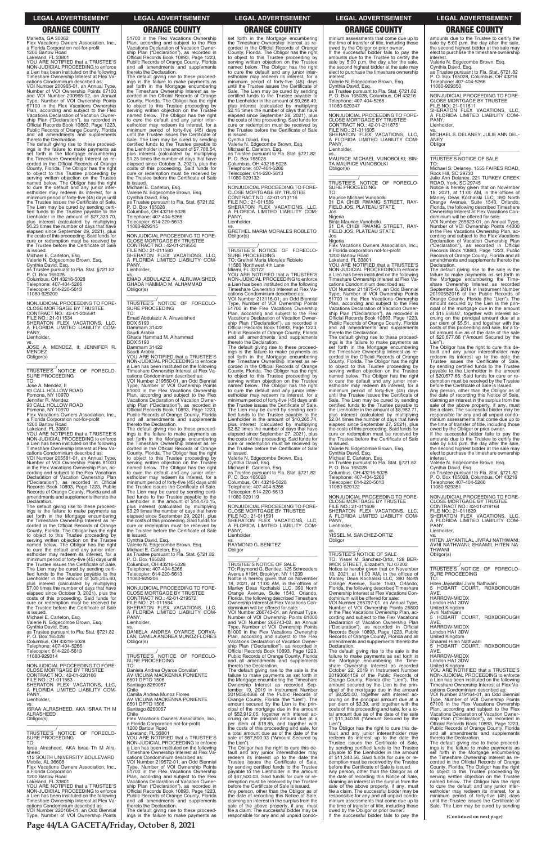Marietta, GA 30062 Flex Vacations Owners Association, Inc., a Florida Corporation not-for-profit 1200 Bartow Road

Lakeland, FL 33801 YOU ARE NOTIFIED that a TRUSTEE'S NON-JUDICIAL PROCEEDING to enforce a Lien has been instituted on the following Timeshare Ownership Interest at Flex Vacations Condominium described as:

VOI Number 200965-01, an Annual Type, Number of VOI Ownership Points 67100 and VOI Number 200965-02, an Annual Type, Number of VOI Ownership Points 67100 in the Flex Vacations Ownership Plan, according and subject to the Flex Vacations Declaration of Vacation Owner-ship Plan ("Declaration"), as recorded in Official Records Book 10893, Page 1223, Public Records of Orange County, Florida and all amendments and supplements thereto the Declaration.

The default giving rise to these proceed-ings is the failure to make payments as set forth in the Mortgage encumbering the Timeshare Ownership Interest as re-corded in the Official Records of Orange County, Florida. The Obligor has the right to object to this Trustee proceeding by serving written objection on the Trustee named below. The Obligor has the right to cure the default and any junior inter-estholder may redeem its interest, for a minimum period of forty-five (45) days until the Trustee issues the Certificate of Sale. The Lien may be cured by sending certi-fied funds to the Trustee payable to the Lienholder in the amount of \$27,333.70, plus interest (calculated by multiplying \$6.23 times the number of days that have elapsed since September 29, 2021), plus the costs of this proceeding. Said funds for cure or redemption must be received by the Trustee before the Certificate of Sale is issued. Michael E. Carleton, Esq.

Valerie N. Edgecombe Brown, Esq. Cynthia David, Esq. as Trustee pursuant to Fla. Stat. §721.82 P. O. Box 165028 Columbus, OH 43216-5028 Telephone: 407-404-5266

Telecopier: 614-220-5613 11080-929209

—————————————————— NONJUDICIAL PROCEEDING TO FORE-CLOSE MORTGAGE BY TRUSTEE CONTRACT NO.: 42-01-205581 FILE NO.: 21-011534 SHERATON FLEX VACATIONS, LLC, A FLORIDA LIMITED LIABILITY COM-PANY Lienholder, vs.

JOSE A. MENDEZ, II; JENNIFER R. MENDEZ Obligor(s) \_\_\_\_\_\_\_\_\_\_\_\_\_\_\_\_\_\_\_\_\_\_\_\_\_\_\_\_\_\_\_\_\_

\_\_\_\_\_\_\_\_\_\_\_/ TRUSTEE'S NOTICE OF FORECLO-SURE PROCEEDING

TO: Jose A. Mendez, II 93 CALL HOLLOW ROAD Pomona, NY 10970 Jennifer R. Mendez

93 CALL HOLLOW ROAD Pomona, NY 10970

Flex Vacations Owners Association, Inc., a Florida Corporation not-for-profit 1200 Bartow Road

Lakeland, FL 33801 YOU ARE NOTIFIED that a TRUSTEE'S NON-JUDICIAL PROCEEDING to enforce a Lien has been instituted on the following Timeshare Ownership Interest at Flex Va-

cations Condominium described as: VOI Number 205581-01, an Annual Type, Number of VOI Ownership Points 81000 in the Flex Vacations Ownership Plan, according and subject to the Flex Vacations Declaration of Vacation Ownership Plan ("Declaration"), as recorded in Official Records Book 10893, Page 1223, Public Records of Orange County, Florida and all amendments and supplements thereto the Declaration.

The default giving rise to these proceed-ings is the failure to make payments as set forth in the Mortgage encumbering the Timeshare Ownership Interest as re-corded in the Official Records of Orange County, Florida. The Obligor has the right to object to this Trustee proceeding by serving written objection on the Trustee named below. The Obligor has the right to cure the default and any junior interestholder may redeem its interest, for a minimum period of forty-five (45) days until the Trustee issues the Certificate of Sale. The Lien may be cured by sending certi-<br>fied funds to the Trustee payable to the<br>Lienholder in the amount of \$25,205.60,<br>plus interest (calculated by multiplying<br>\$7.00 times the number of days that have elapsed since October 3, 2021), plus the costs of this proceeding. Said funds for cure or redemption must be received by the Trustee before the Certificate of Sale

The default giving rise to these proceed-<br>ings is the failure to make payments as<br>set forth in the Mortgage encumbering<br>the Timeshare Ownership Interest as re-<br>corded in the Official Records of Orange<br>County, Florida. The to object to this Trustee proceeding by serving written objection on the Trustee named below. The Obligor has the right to cure the default and any junior inter-estholder may redeem its interest, for a minimum period of forty-five (45) days until the Trustee issues the Certificate of Sale. The Lien may be cured by sending certified funds to the Trustee payable to the<br>Lienholder in the amount of \$14,470.15, plus interest (calculated by multiplying \$3.29 times the number of days that have elapsed since September 29, 2021), plus the costs of this proceeding. Said funds for cure or redemption must be received by the Trustee before the Certificate of Sale

—————————————————— NONJUDICIAL PROCEEDING TO FORE-CLOSE MORTGAGE BY TRUSTEE CONTRACT NO.: 42-01-219572 FILE NO.: 21-011584 SHERATON FLEX VACATIONS, LLC, A FLORIDA LIMITED LIABILITY COM-A FLO<br>PANY

51700 in the Flex Vacations Ownership Plan, according and subject to the Flex Vacations Declaration of Vacation Ownership Plan ("Declaration"), as recorded in Official Records Book 10893, Page 1223, Public Records of Orange County, Florida and all amendments and supplements

set forth in the Mortgage encumbering the Timeshare Ownership Interest as re-corded in the Official Records of Orange County, Florida. The Obligor has the right to object to this Trustee proceeding by serving written objection on the Trustee named below. The Obligor has the right to cure the default and any junior inter-estholder may redeem its interest, for a minimum period of forty-five (45) days until the Trustee issues the Certificate of Sale. The Lien may be cured by sending certified funds to the Trustee payable to the Lienholder in the amount of \$9,266.49, plus interest (calculated by multiplying \$2.15 times the number of days that have elapsed since September 28, 2021), plus the costs of this proceeding. Said funds for cure or redemption must be received by the Trustee before the Certificate of Sale is issued.

thereto the Declaration. The default giving rise to these proceed-ings is the failure to make payments as set forth in the Mortgage encumbering the Timeshare Ownership Interest as re-corded in the Official Records of Orange County, Florida. The Obligor has the right to object to this Trustee proceeding by serving written objection on the Trustee named below. The Obligor has the right<br>to cure the default and any junior inter-<br>estholder may redeem its interest, for a<br>minimum period of forty-five (45) days<br>until the Trustee issues the Certificate of Sale. The Lien may be cured by sending certified funds to the Trustee payable to the Lienholder in the amount of \$7,788.54, plus interest (calculated by multiplying \$1.25 times the number of days that have elapsed since October 3, 2021), plus the costs of this proceeding. Said funds for cure or redemption must be received by the Trustee before the Certificate of Sale is issued.

> Public Records of Orange County, Florida and all amendments and supplements thereto the Declaration. The default giving rise to these proceed-ings is the failure to make payments as set forth in the Mortgage encumbering

Michael E. Carleton, Esq. Valerie N. Edgecombe Brown, Esq. Cynthia David, Esq. as Trustee pursuant to Fla. Stat. §721.82 P. O. Box 165028 Columbus, OH 43216-5028 Telephone: 407-404-5266 Telecopier: 614-220-5613 11080-929315

—————————————————— NONJUDICIAL PROCEEDING TO FORE-CLOSE MORTGAGE BY TRUSTEE CONTRACT NO.: 42-01-219550 FILE NO.: 21-011580 SHERATON FLEX VACATIONS, LLC, FLORIDA LIMITED LIABILITY COM-A FLC<br>PANY, Lienholder,

> —————————————————— NONJUDICIAL PROCEEDING TO FORE-CLOSE MORTGAGE BY TRUSTEE FILE NO.: 21-011591 SHERATON FLEX VACATIONS, LLC, A FLORIDA LIMITED LIABILITY COM-A FLU<br>PANY, Lienholder,

vs. RAYMOND G. BENITEZ **Obligor** 

vs. EMAD ABDULAZIZ A. ALRUWAISHED; GHADA HAMMAD M. ALHAMMAD Obligor(s)

\_\_\_\_\_\_\_\_\_\_\_\_\_\_\_\_\_\_\_\_\_\_\_\_\_\_\_\_\_\_\_\_\_ \_\_\_\_\_\_\_\_\_\_\_/ TRUSTEE'S NOTICE OF FORECLO-SURE PROCEEDING TO: Emad Abdulaziz A. Alruwaished BOX 5190 Dammam 31422 Saudi Arabia Ghada Hammad M. Alhammad BOX 5190 Dammam 31422 Saudi Arabia YOU ARE NOTIFIED that a TRUSTEE'S NON-JUDICIAL PROCEEDING to enforce a Lien has been instituted on the following Timeshare Ownership Interest at Flex Vacations Condominium described as: VOI Number 219550-01, an Odd Biennial Type, Number of VOI Ownership Points 81000 in the Flex Vacations Ownership Plan, according and subject to the Flex Vacations Declaration of Vacation Ownership Plan ("Declaration"), as recorded in Official Records Book 10893, Page 1223,

Public Records of Orange County, Florida and all amendments and supplements thereto the Declaration.

—————————————————— NONJUDICIAL PROCEEDING TO FORE-CLOSE MORTGAGE BY TRUSTEE CONTRACT NO.: 42-01-211875 FILE NO.: 21-011605 SHERATON FLEX VACATIONS, LLC, A FLORIDA LIMITED LIABILITY COM-PANY

Jos **Nigeria** 

is issued. Cynthia David, Esq. Valerie N. Edgecombe Brown, Esq. Michael E. Carleton, Esq. as Trustee pursuant to Fla. Stat. §721.82 P. O. Box 165028

Columbus, OH 43216-5028 Telephone: 407-404-5266 Telecopier: 614-220-5613 11080-929206

Cynthia David, Esq. Valerie N. Edgecombe Brown, Esq. Michael E. Carleton, Esq. as Trustee pursuant to Fla. Stat. §721.82 P. O. Box 165028 Columbus, OH 43216-5028 Telephone: 407-404-5266 copier: 614-220-5613 11080-929132

> The default giving rise to the sale is the failure to make payments as set forth in the Mortgage encumbering the Timeshare Ownership Interest as recorded September 6, 2019 in Instrument Number 20190552016 of the Public Records of Orange County, Florida (the "Lien"). The amount secured by the Lien is the principal of the mortgage due in the amount of \$15,558.67, together with interest accruing on the principal amount due at a per diem of \$5.51, and together with the costs of this proceeding and sale, for a to-tal amount due as of the date of the sale of \$20,677.66 ("Amount Secured by the Lien")

—————————————————— NONJUDICIAL PROCEEDING TO FORE-CLOSE MORTGAGE BY TRUSTEE CONTRACT NO.: 42-01-213116 FILE NO.: 21-011589 SHERATON FLEX VACATIONS, LLC, A FLORIDA LIMITED LIABILITY COM-PANY, Lienholder, vs.

GRETHEL MARIA MORALES ROBLETO Obligor(s) \_\_\_\_\_\_\_\_\_\_\_\_\_\_\_\_\_\_\_\_\_\_\_\_\_\_\_\_\_\_\_\_\_

\_\_\_\_\_\_\_\_\_\_\_/<br>TRUSTEE'S NOTICE OF FORECLO-<br>SURE PROCEEDING

TO: Grethel Maria Morales Robleto 11580 Northwest 4th Lane Miami, FL 33172

YOU ARE NOTIFIED that a TRUSTEE'S NON-JUDICIAL PROCEEDING to enforce a Lien has been instituted on the following Timeshare Ownership Interest at Flex Vacations Condominium described as: VOI Number 213116-01, an Odd Biennial Type, Number of VOI Ownership Points 51700 in the Flex Vacations Ownership Plan, according and subject to the Flex Vacations Declaration of Vacation Owner-ship Plan ("Declaration"), as recorded in Official Records Book 10893, Page 1223,

> \_\_\_\_\_\_\_\_\_\_\_/<br>TRUSTEE'S NOTICE OF FORECLO-<br>SURE PROCEEDING TO:

the Timeshare Ownership Interest as re-corded in the Official Records of Orange County, Florida. The Obligor has the right to object to this Trustee proceeding by serving written objection on the Trustee named below. The Obligor has the right to cure the default and any junior inter-estholder may redeem its interest, for a minimum period of forty-five (45) days until the Trustee issues the Certificate of Sale. The Lien may be cured by sending certi-<br>fied funds to the Trustee payable to the<br>Lienholder in the amount of \$10,265.74,<br>plus interest (calculated by multiplying<br>\$2.82 times the number of days that have elapsed since September 27, 2021), plus the costs of this proceeding. Said funds for cure or redemption must be received by the Trustee before the Certificate of Sale is issued. Valerie N. Edgecombe Brown, Esq.

| is issued.                                  | A FLORIDA LIMITED LIABILITY COM-            | VOI Number 266743-01, an Annual Type.        | in the Flex Vacations Ownership Plan, ac-      | Avni Nathwani                               |
|---------------------------------------------|---------------------------------------------|----------------------------------------------|------------------------------------------------|---------------------------------------------|
| Michael E. Carleton, Esq.                   | PANY.                                       | Number of VOI Ownership Points 81000         | cording and subject to the Flex Vacations      | 5 HOBART COURT. ROXBOROUGH                  |
| Valerie N. Edgecombe Brown, Esg.            | Lienholder,                                 | and VOI Number 266743-02, an Annual          | Declaration of Vacation Ownership Plan         | AVE.                                        |
| Cynthia David, Esg.                         | VS.                                         | Type, Number of VOI Ownership Points         | ("Declaration"), as recorded in Official       | <b>HARROW-MIDDX</b>                         |
| as Trustee pursuant to Fla. Stat. §721.82   | DANIELA ANDREA OYARCE CORVA-                | 81000 in the Flex Vacations Ownership        | Records Book 10893, Page 1223, Public          | London HA1 3DW                              |
| P. O. Box 165028                            | LAN; CAMILA ANDREA MUNOZ FLORES             | Plan, according and subject to the Flex      | Records of Orange County, Florida and all      | <b>United Kingdom</b>                       |
| Columbus, OH 43216-5028                     | Obligor(s)                                  | Vacations Declaration of Vacation Owner-     | amendments and supplements thereto the         | Shaamil Hiten Nathwani                      |
| Telephone: 407-404-5266                     |                                             | ship Plan ("Declaration"), as recorded in    | Declaration.                                   | 5 HOBART COURT. ROXBOROUGH                  |
| Telecopier: 614-220-5613                    |                                             | Official Records Book 10893, Page 1223,      | The default giving rise to the sale is the     | AVE.                                        |
| 11080-929314                                | TRUSTEE'S NOTICE OF FORECLO-                | Public Records of Orange County, Florida     | failure to make payments as set forth in       | <b>HARROW-MIDDX</b>                         |
|                                             |                                             |                                              |                                                |                                             |
|                                             | <b>SURE PROCEEDING</b>                      | and all amendments and supplements           | the Mortgage encumbering the Time-             | London HA1 3DW                              |
| NONJUDICIAL PROCEEDING TO FORE-             | TO:                                         | thereto the Declaration.                     | share Ownership Interest as recorded           | <b>United Kingdom</b>                       |
| <b>CLOSE MORTGAGE BY TRUSTEE</b>            | Daniela Andrea Oyarce Corvalan              | The default giving rise to the sale is the   | October 22, 2019 in Instrument Number          | YOU ARE NOTIFIED that a TRUSTEE'S           |
| CONTRACT NO.: 42-01-220166                  | AV VICUNA MACKENNA PONIENTE                 | failure to make payments as set forth in     | 20190661159 of the Public Records of           | NON-JUDICIAL PROCEEDING to enforce          |
| FILE NO.: 21-011563                         | 6501 DPTO 1506                              | the Mortgage encumbering the Timeshare       | Orange County, Florida (the "Lien"). The       | a Lien has been instituted on the following |
| SHERATON FLEX VACATIONS. LLC.               | Santiago 8260057                            | Ownership Interest as recorded Sep-          | amount secured by the Lien is the prin-        | Timeshare Ownership Interest at Flex Va-    |
| A FLORIDA LIMITED LIABILITY COM-            | Chile                                       | tember 19, 2019 in Instrument Number         | cipal of the mortgage due in the amount        | cations Condominium described as:           |
| PANY.                                       | Camila Andrea Munoz Flores                  | 20190584666 of the Public Records of         | of \$8,220.00, together with interest ac-      | VOI Number 219164-01, an Odd Biennial       |
| Lienholder,                                 | AV VICUNA MACKENNA PONIENTE                 | Orange County, Florida (the "Lien"). The     | cruing on the principal amount due at a        | Type, Number of VOI Ownership Points        |
| VS.                                         | 6501 DPTO 1506                              | amount secured by the Lien is the prin-      | per diem of \$3.39, and together with the      | 67100 in the Flex Vacations Ownership       |
| ISRAA ALRASHEED, AKA ISRAA TH M             | Santiago 8260057                            | cipal of the mortgage due in the amount      | costs of this proceeding and sale, for a to-   | Plan, according and subject to the Flex     |
| <b>ALRASHEED</b>                            | Chile                                       | of \$52,912.05, together with interest ac-   | tal amount due as of the date of the sale      | Vacations Declaration of Vacation Owner-    |
| Obligor(s)                                  | Flex Vacations Owners Association, Inc.,    | cruing on the principal amount due at a      | of \$11,340.56 ("Amount Secured by the         | ship Plan ("Declaration"), as recorded in   |
|                                             | a Florida Corporation not-for-profit        | per diem of \$18.85, and together with       | Lien").                                        | Official Records Book 10893, Page 1223,     |
|                                             | 1200 Bartow Road                            | the costs of this proceeding and sale, for   | The Obligor has the right to cure this de-     | Public Records of Orange County, Florida    |
| TRUSTEE'S NOTICE OF FORECLO-                | Lakeland, FL 33801                          | a total amount due as of the date of the     | fault and any junior interestholder may        | and all amendments and supplements          |
| SURE PROCEEDING                             | YOU ARE NOTIFIED that a TRUSTEE'S           | sale of \$67,500.03 ("Amount Secured by      | redeem its interest up to the date the         | thereto the Declaration.                    |
| TO:                                         | NON-JUDICIAL PROCEEDING to enforce          | the Lien")                                   | Trustee issues the Certificate of Sale,        | The default giving rise to these proceed-   |
| Israa Alrasheed, AKA Israa Th M Alra-       | a Lien has been instituted on the following | The Obligor has the right to cure this de-   | by sending certified funds to the Trustee      | ings is the failure to make payments as     |
| sheed                                       | Timeshare Ownership Interest at Flex Va-    | fault and any junior interestholder may      | payable to the Lienholder in the amount        | set forth in the Mortgage encumbering       |
| 112 SOUTH UNIVERSITY BOULEVARD              | cations Condominium described as:           | redeem its interest up to the date the       | of \$11,340.56. Said funds for cure or re-     | the Timeshare Ownership Interest as re-     |
| Mobile, AL 36608                            | VOI Number 219572-01, an Odd Biennial       | Trustee issues the Certificate of Sale,      | demption must be received by the Trustee       | corded in the Official Records of Orange    |
| Flex Vacations Owners Association. Inc      | Type, Number of VOI Ownership Points        | by sending certified funds to the Trustee    | before the Certificate of Sale is issued.      | County, Florida. The Obligor has the right  |
| a Florida Corporation                       | 51700 in the Flex Vacations Ownership       | pavable to the Lienholder in the amount      | Any person, other than the Obligor as of       | to object to this Trustee proceeding by     |
| 1200 Bartow Road                            | Plan, according and subject to the Flex     | of \$67,500.03. Said funds for cure or re-   | the date of recording this Notice of Sale,     | serving written objection on the Trustee    |
| Lakeland. FL 33801                          | Vacations Declaration of Vacation Owner-    | demption must be received by the Trustee     | claiming an interest in the surplus from the   | named below. The Obligor has the right      |
| YOU ARE NOTIFIED that a TRUSTEE'S           | ship Plan ("Declaration"), as recorded in   | before the Certificate of Sale is issued.    | sale of the above property, if any, must       | to cure the default and any junior inter-   |
| NON-JUDICIAL PROCEEDING to enforce          | Official Records Book 10893, Page 1223,     | Any person, other than the Obligor as of     | file a claim. The successful bidder may be     | estholder may redeem its interest, for a    |
| a Lien has been instituted on the following | Public Records of Orange County, Florida    | the date of recording this Notice of Sale,   | responsible for any and all unpaid condo-      | minimum period of forty-five (45) days      |
| Timeshare Ownership Interest at Flex Va-    | and all amendments and supplements          | claiming an interest in the surplus from the | minium assessments that come due up to         | until the Trustee issues the Certificate of |
| cations Condominium described as:           | thereto the Declaration.                    | sale of the above property, if any, must     | the time of transfer of title, including those | Sale. The Lien may be cured by sending      |
| VOI Number 220166-01, an Odd Biennial       | The default giving rise to these proceed-   | file a claim. The successful bidder may be   | owed by the Obligor or prior owner.            |                                             |
| Type, Number of VOI Ownership Points        | ings is the failure to make payments as     | responsible for any and all unpaid condo-    | If the successful bidder fails to pay the      |                                             |
|                                             |                                             |                                              |                                                | (Continued on next page)                    |

Cynthia David, Esq. Michael E. Carleton, Esq. as Trustee pursuant to Fla. Stat. §721.82

P. O. Box 165028 Columbus, OH 43216-5028 Telephone: 407-404-5266 copier: 614-220-5613 11080-929119

### \_\_\_\_\_\_\_\_\_\_\_\_\_\_\_\_\_\_\_\_\_\_\_\_\_\_\_\_\_\_\_\_\_

\_\_\_\_\_\_\_\_\_\_\_/ TRUSTEE'S NOTICE OF SALE TO: Raymond G. Benitez, 125 Schroeders Avenue #19H, Brooklyn, NY 11239 Notice is hereby given that on November 18, 2021, at 11:00 AM, in the offices of Manley Deas Kochalski LLC, 390 North Orange Avenue, Suite 1540, Orlando, Florida, the following described Timeshare Ownership Interest at Flex Vacations Condominium will be offered for sale: VOI Number 266743-01, an Annual Type, Number of VOI Ownership Points 81000 minium assessments that come due up to the time of transfer of title, including those owed by the Obligor or prior owner. If the successful bidder fails to pay the amounts due to the Trustee to certify the sale by 5:00 p.m. the day after the sale, the second highest bidder at the sale may elect to purchase the timeshare ownership interest.

Valerie N. Edgecombe Brown, Esq.

Cynthia David, Esq. as Trustee pursuant to Fla. Stat. §721.82 P. O. Box 165028, Columbus, OH 43216 Telephone: 407-404-5266 11080-929347

Lienholder, vs.

MAURICE MICHAEL VUNOBOLKI; BIN-TA MAURICE VUNOBOLKI Obligor(s) \_\_\_\_\_\_\_\_\_\_\_\_\_\_\_\_\_\_\_\_\_\_\_\_\_\_\_\_\_\_\_\_\_

\_\_\_\_\_\_\_\_\_\_\_\_\_/<br>TRUSTEE'S NOTICE OF FORECLO-SURE PROCEEDING

TO: Maurice Michael Vunobolki

31 DA CHIBI RWANG STREET, RAY-FIELD JOS, PLATEAU STATE

Binta Maurice Vunobolki 31 DA CHIBI RWANG STREET, RAY-FIELD JOS, PLATEAU STATE

Jos Nigeria

Flex Vacations Owners Association, Inc., a Florida corporation not-for-profit 1200 Bartow Road

Lakeland, FL 33801 YOU ARE NOTIFIED that a TRUSTEE'S NON-JUDICIAL PROCEEDING to enforce a Lien has been instituted on the following Timeshare Ownership Interest at Flex Vacations Condominium described as:

VOI Number 211875-01, an Odd Biennial Type, Number of VOI Ownership Points 51700 in the Flex Vacations Ownership Plan, according and subject to the Flex Vacations Declaration of Vacation Ownership Plan ("Declaration"), as recorded in Official Records Book 10893, Page 1223, Public Records of Orange County, Florida and all amendments and supplements thereto the Declaration.

The default giving rise to these proceed-ings is the failure to make payments as set forth in the Mortgage encumbering the Timeshare Ownership Interest as re-corded in the Official Records of Orange County, Florida. The Obligor has the right to object to this Trustee proceeding by serving written objection on the Trustee named below. The Obligor has the right to cure the default and any junior inter-estholder may redeem its interest, for a minimum period of forty-five (45) days until the Trustee issues the Certificate of Sale. The Lien may be cured by sending certified funds to the Trustee payable to the Lienholder in the amount of \$8,982.71, plus interest (calculated by multiplying \$2.04 times the number of days that have elapsed since September 27, 2021), plus the costs of this proceeding. Said funds for cure or redemption must be received by the Trustee before the Certificate of Sale

is issued. Valerie N. Edgecombe Brown, Esq. Cynthia David, Esq. Michael E. Carleton, Esq. as Trustee pursuant to Fla. Stat. §721.82 P. O. Box 165028 Columbus, OH 43216-5028 Telephone: 407-404-5266 Telecopier: 614-220-5613 11080-929122

—————————————————— NONJUDICIAL PROCEEDING TO FORE-CLOSE MORTGAGE BY TRUSTEE FILE NO.: 21-011609 SHERATON FLEX VACATIONS, LLC, A FLORIDA LIMITED LIABILITY COM-PANY Lienholder, vs.

YISSEL M. SANCHEZ-ORTIZ Obligor \_\_\_\_\_\_\_\_\_\_\_\_\_\_\_\_\_\_\_\_\_\_\_\_\_\_\_\_\_\_\_\_\_

\_\_\_\_\_\_\_\_\_\_\_/ TRUSTEE'S NOTICE OF SALE TO: Yissel M. Sanchez-Ortiz, 128 BER-WICK STREET, Elizabeth, NJ 07202 Notice is hereby given that on November 18, 2021, at 11:00 AM, in the offices of Manley Deas Kochalski LLC, 390 North Orange Avenue, Suite 1540, Orlando, Florida, the following described Timeshare Ownership Interest at Flex Vacations Condominium will be offered for sale: VOI Number 265797-01, an Annual Type, Number of VOI Ownership Points 25800 in the Flex Vacations Ownership Plan, ac-

cording and subject to the Flex Vacations

amounts due to the Trustee to certify the sale by 5:00 p.m. the day after the sale, the second highest bidder at the sale may elect to purchase the timeshare ownership

interest. Valerie N. Edgecombe Brown, Esq.

Cynthia David, Esq.

as Trustee pursuant to Fla. Stat. §721.82 P. O. Box 165028, Columbus, OH 43216 Telephone: 407-404-5266 11080-929350

—————————————————— NONJUDICIAL PROCEEDING TO FORE-CLOSE MORTGAGE BY TRUSTEE FILE NO.: 21-011611 SHERATON FLEX VACATIONS, LLC,

A FLORIDA LIMITED LIABILITY COM-PANY, Lienholder,

vs. MICHAEL S. DELANEY; JULIE ANN DEL-ANEY **Obligor** \_\_\_\_\_\_\_\_\_\_\_\_\_\_\_\_\_\_\_\_\_\_\_\_\_\_\_\_\_\_\_\_\_

### \_\_\_\_\_\_\_\_\_\_\_/ TRUSTEE'S NOTICE OF SALE

TO: Michael S. Delaney, 1555 FAIRES ROAD, Rock Hill, SC 29730 Julie Ann Delaney, 221 TURKEY CREEK ROAD, York, SC 29745

Notice is hereby given that on November<br>18, 2021, at 11:00 AM, in the offices of<br>Manley Deas Kochalski LLC, 390 North<br>Orange Avenue, Suite 1540, Orlando,<br>Florida, the following described Timeshare

Ownership Interest at Flex Vacations Con-

dominium will be offered for sale:<br>VOI Number 265823-01, an Annual Type,<br>Number of VOI Ownership Points 44000<br>in the Flex Vacations Ownership Plan, ac-<br>cording and subject to the Flex Vacations<br>Declaration of Vacation Owne ("Declaration"), as recorded in Official Records Book 10893, Page 1223, Public Records of Orange County, Florida and all amendments and supplements thereto the **Declaration** 

The Obligor has the right to cure this default and any junior interestholder may redeem its interest up to the date the Trustee issues the Certificate of Sale, by sending certified funds to the Trustee payable to the Lienholder in the amount \$20,677.66. Said funds for cure or redemption must be received by the Trustee before the Certificate of Sale is issued.

Any person, other than the Obligor as of the date of recording this Notice of Sale, claiming an interest in the surplus from the sale of the above property, if any, must file a claim. The successful bidder may be responsible for any and all unpaid condo-minium assessments that come due up to the time of transfer of title, including those owed by the Obligor or prior owner.

If the successful bidder fails to pay the amounts due to the Trustee to certify the sale by 5:00 p.m. the day after the sale. the second highest bidder at the sale may elect to purchase the timeshare ownership interest.

Valerie N. Edgecombe Brown, Esq. Cynthia David, Esq. as Trustee pursuant to Fla. Stat. §721.82 P. O. Box 165028, Columbus, OH 43216 Telephone: 407-404-5266 11080-929351

—————————————————— NONJUDICIAL PROCEEDING TO FORE-CLOSE MORTGAGE BY TRUSTEE CONTRACT NO.: 42-01-219164 FILE NO.: 21-011629 SHERATON FLEX VACATIONS, LLC, A FLORIDA LIMITED LIABILITY COM-PANY, Lienholder,

vs. HITEN JAYANTILAL JIVRAJ NATHWANI; AVNI NATHWANI; SHAAMIL HITEN NA-THWANI Obligor(s) \_\_\_\_\_\_\_\_\_\_\_\_\_\_\_\_\_\_\_\_\_\_\_\_\_\_\_\_\_\_\_\_\_

Hiten Jayantilal Jivraj Nathwani 5 HOBART COURT, ROXBOROUGH AVE. HARROW-MIDDX

London HA1 3DW United Kingdom

### **LEGAL ADVERTISEMENT LEGAL ADVERTISEMENT LEGAL ADVERTISEMENT LEGAL ADVERTISEMENT LEGAL ADVERTISEMENT**

# **ORANGE COUNTY ORANGE COUNTY ORANGE COUNTY ORANGE COUNTY ORANGE COUNTY**

**Page 44/LA GACETA/Friday, October 8, 2021**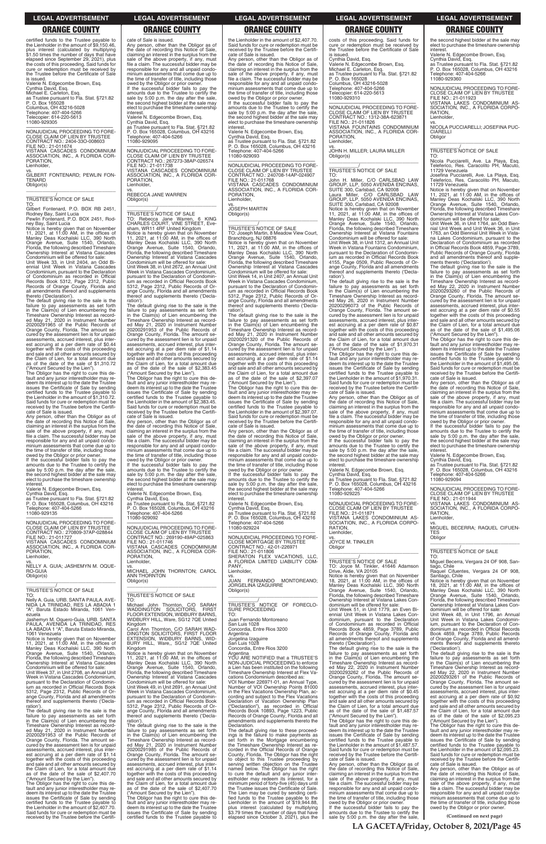**(Continued on next page)**

certified funds to the Trustee payable to the Lienholder in the amount of \$9,150.46, plus interest (calculated by multiplying \$1.50 times the number of days that have elapsed since September 29, 2021), plus the costs of this proceeding. Said funds for cure or redemption must be received by the Trustee before the Certificate of Sale is issued.

Valerie N. Edgecombe Brown, Esq. Cynthia David, Esq. Michael E. Carleton, Esq. as Trustee pursuant to Fla. Stat. §721.82 P. O. Box 165028 Columbus, OH 43216-5028 Telephone: 407-404-5266 Telecopier: 614-220-5613 11080-929305

—————————————————— NONJUDICIAL PROCEEDING TO FORE-CLOSE CLAIM OF LIEN BY TRUSTEE CONTRACT NO.: 2404-33O-008603 FILE NO.: 21-011674 VISTANA CASCADES CONDOMINIUM ASSOCIATION, INC., A FLORIDA COR-PORATION, Lienholder,

vs. GILBERT FONTENARD; PEWLIN FON-**TENARD** Obligor(s) \_\_\_\_\_\_\_\_\_\_\_\_\_\_\_\_\_\_\_\_\_\_\_\_\_\_\_\_\_\_\_\_\_

### \_\_\_\_\_\_\_\_\_\_\_/ TRUSTEE'S NOTICE OF SALE

TO: Gilbert Fontenard, P.O. BOX RB 2451, Rodney Bay, Saint Lucia Pewlin Fontenard, P.O. BOX 2451, Rod-

ney Bay, Saint Lucia Notice is hereby given that on November 11, 2021, at 11:00 AM, in the offices of Manley Deas Kochalski LLC, 390 North Orange Avenue, Suite 1540, Orlando, Florida, the following described Timeshare Ownership Interest at Vistana Cascades

Condominium will be offered for sale: Unit Week 33, in Unit 2404, an Odd Biennial Unit Week in Vistana Cascades Condominium, pursuant to the Declaration of Condominium as recorded in Official Records Book 5312, Page 2312, Public Records of Orange County, Florida and all amendments thereof and supplements thereto ('Declaration').

owed by the Obligor or prior owner. If the successful bidder fails to pay the amounts due to the Trustee to certify the sale by 5:00 p.m. the day after the sale, the second highest bidder at the sale may elect to purchase the timeshare ownership interest

The default giving rise to the sale is the failure to pay assessments as set forth in the Claim(s) of Lien encumbering the Timeshare Ownership Interest as recorded May 21, 2020 in Instrument Number 20200291965 of the Public Records of Orange County, Florida. The amount secured by the assessment lien is for unpaid assessments, accrued interest, plus interest accruing at a per diem rate of \$0.44 together with the costs of this proceeding and sale and all other amounts secured by the Claim of Lien, for a total amount due as of the date of the sale of \$1,310.72 ("Amount Secured by the Lien").

The Obligor has the right to cure this de-fault and any junior interestholder may re-deem its interest up to the date the Trustee issues the Certificate of Sale by sending certified funds to the Trustee payable to the Lienholder in the amount of \$1,310.72. Said funds for cure or redemption must be received by the Trustee before the Certificate of Sale is issued.

Any person, other than the Obligor as of<br>the date of recording this Notice of Sale date of recording this Notice of Sale claiming an interest in the surplus from the sale of the above property, if any, must file a claim. The successful bidder may be responsible for any and all unpaid condominium assessments that come due up to the time of transfer of title, including those

The Obligor has the right to cure this default and any junior interestholder may redeem its interest up to the date the Trustee issues the Certificate of Sale by sending certified funds to the Trustee payable to the Lienholder in the amount of \$2,407.70. Said funds for cure or redemption must be received by the Trustee before the Certifi-

Valerie N. Edgecombe Brown, Esq.

Cynthia David, Esq. as Trustee pursuant to Fla. Stat. §721.82 P. O. Box 165028, Columbus, OH 43216 Telephone: 407-404-5266 11080-929135

—————————————————— NONJUDICIAL PROCEEDING TO FORE-CLOSE CLAIM OF LIEN BY TRUSTEE CONTRACT NO.: 270809-37AP-028844

FILE NO.: 21-011727 VISTANA CASCADES CONDOMINIUM ASSOCIATION, INC., A FLORIDA COR-PORATION. Lienholder,

vs. NELLY A. GUIA; JASHEMYN M. OQUE-RO-GUIA Obligor(s) \_\_\_\_\_\_\_\_\_\_\_\_\_\_\_\_\_\_\_\_\_\_\_\_\_\_\_\_\_\_\_\_\_

### \_\_\_\_\_\_\_\_\_\_\_/ TRUSTEE'S NOTICE OF SALE

TO: Nelly A. Guia, URB. SANTA PAULA, AVE-NIDA LA TRINIDAD, RES LA ABADIA 1 "A", Baruta Estado Miranda, 1061 Venezuela

Jashemyn M. Oquero-Guia, URB. SANTA PAULA, AVENIDA LA TRINIDAD, RES LA ABADIA 1 "A", Baruta Estado Miranda, 1061 Venezuela

Notice is hereby given that on November 11, 2021, at 11:00 AM, in the offices of Manley Deas Kochalski LLC, 390 North Orange Avenue, Suite 1540, Orlando, Florida, the following described Timeshare Ownership Interest at Vistana Cascades

person, other than the Obligor as of the date of recording this Notice of Sale, claiming an interest in the surplus from the sale of the above property, if any, must file a claim. The successful bidder may be responsible for any and all unpaid condominium assessments that come due up to the time of transfer of title, including those

Condominium will be offered for sale: Unit Week 37, in Unit 2708, an Annual Unit Week in Vistana Cascades Condominium, pursuant to the Declaration of Condomin ium as recorded in Official Records Book 5312, Page 2312, Public Records of Orange County, Florida and all amendments thereof and supplements thereto ('Declaration').

The default giving rise to the sale is the failure to pay assessments as set forth in the Claim(s) of Lien encumbering the Timeshare Ownership Interest as record-ed May 21, 2020 in Instrument Number 20200291953 of the Public Records of Orange County, Florida. The amount se-cured by the assessment lien is for unpaid assessments, accrued interest, plus interest accruing at a per diem rate of \$1.14 together with the costs of this proceeding and sale and all other amounts secured by the Claim of Lien, for a total amount due as of the date of the sale of \$2,407.70 ("Amount Secured by the Lien").

Notice is hereby given that on November<br>11, 2021, at 11:00 AM, in the offices of<br>Manley Deas Kochalski LLC, 390 North<br>Orange Avenue, Suite 1540, Orlando,<br>Florida, the following described Timeshare Ownership Interest at Vistana Cascades Condominium will be offered for sale:

The Obligor has the right to cure this default and any junior interestholder may redeem its interest up to the date the Trustee issues the Certificate of Sale by sending certified funds to the Trustee payable to

cate of Sale is issued. Any person, other than the Obligor as of the date of recording this Notice of Sale, claiming an interest in the surplus from the sale of the above property, if any, must file a claim. The successful bidder may be responsible for any and all unpaid condo-minium assessments that come due up to the time of transfer of title, including those owed by the Obligor or prior owner. If the successful bidder fails to pay the

> If the successful bidder fails to pay the amounts due to the Trustee to certify the sale by 5:00 p.m. the day after the sale, the second highest bidder at the sale may elect to purchase the timeshare ownership interest

amounts due to the Trustee to certify the sale by 5:00 p.m. the day after the sale. the second highest bidder at the sale may elect to purchase the timeshare ownership

interest. Valerie N. Edgecombe Brown, Esq. Cynthia David, Esq. as Trustee pursuant to Fla. Stat. §721.82 P. O. Box 165028, Columbus, OH 43216 Telephone: 407-404-5266

11080-929095 —————————————————— NONJUDICIAL PROCEEDING TO FORE-CLOSE CLAIM OF LIEN BY TRUSTEE

CONTRACT NO.: 267273-38AP-026574 FILE NO.: 21-011738 VISTANA CASCADES CONDOMINIUM ASSOCIATION, INC., A FLORIDA COR-PORATION, Lienholder,

vs. REBECCA JANE WARREN Obligor(s) \_\_\_\_\_\_\_\_\_\_\_\_\_\_\_\_\_\_\_\_\_\_\_\_\_\_\_\_\_\_\_\_\_

\_\_\_\_\_\_\_\_\_\_\_/ TRUSTEE'S NOTICE OF SALE TO: Rebecca Jane Warren, 6 KING<br>CHARLES COURT, VINE STREET, Eve-<br>sham, WR11 4RF United Kingdom<br>Notice is hereby given that on November<br>11, 2021, at 11:00 AM, in the offices of<br>Manley Deas Kochalski LLC, 390 North Orange Avenue, Suite 1540, Orlando, Florida, the following described Timeshare Ownership Interest at Vistana Cascades Condominium will be offered for sale: Unit Week 38, in Unit 2672, an Annual Unit Week in Vistana Cascades Condominium,<br>pursuant to the Declaration of Condominpursuant to the Declaration of Condomin-ium as recorded in Official Records Book 5312, Page 2312, Public Records of Or-ange County, Florida and all amendments thereof and supplements thereto ('Declaration').

> PANY Lienholder,

TO: Juan Fernando Montore

The default giving rise to the sale is the failure to pay assessments as set forth<br>Timeshare Ownership Interest as record-<br>Ed May 21, 2020 in Instrument Number<br>20200291953 of the Public Records of Orange County, Florida. The amount se-cured by the assessment lien is for unpaid assessments, accrued interest, plus interest accruing at a per diem rate of \$1.14 together with the costs of this proceeding and sale and all other amounts secured by the Claim of Lien, for a total amount due as of the date of the sale of \$2,383.45

("Amount Secured by the Lien"). The Obligor has the right to cure this de-fault and any junior interestholder may redeem its interest up to the date the Trustee issues the Certificate of Sale by sending certified funds to the Trustee payable to the Lienholder in the amount of \$2,383.45. Said funds for cure or redemption must be received by the Trustee before the Certificate of Sale is issued.

SUITE 300, Carlsbad, CA 92008 Laura Miller, C/O CARLSBAD LAW GROUP, LLP, 5050 AVENIDA ENCINAS, SUITE 300, Carlsbad, CA 92008<br>Notice is hereby given that on November<br>11, 2021, at 11:00 AM, in the offices of<br>Manley Deas Kochalski LLC, 390 North<br>Orange Avenue, Suite 1540, Orlando,<br>Florida, the following described Times

owed by the Obligor or prior owner. If the successful bidder fails to pay the amounts due to the Trustee to certify the sale by 5:00 p.m. the day after the sale, the second highest bidder at the sale may elect to purchase the timeshare ownership

interest. Valerie N. Edgecombe Brown, Esq. Cynthia David, Esq. as Trustee pursuant to Fla. Stat. §721.82 P. O. Box 165028, Columbus, OH 43216 Telephone: 407-404-5266 11080-929092

—————————————————— NONJUDICIAL PROCEEDING TO FORE-CLOSE CLAIM OF LIEN BY TRUSTEE CONTRACT NO.: 269190-49AP-025863 FILE NO.: 21-011746 VISTANA CASCADES CONDOMINIUM ASSOCIATION, INC., A FLORIDA COR-PORATION, Lienholder,

vs. MICHAEL JOHN THORNTON; CAROL ANN THORNTON Obligor(s) \_\_\_\_\_\_\_\_\_\_\_\_\_\_\_\_\_\_\_\_\_\_\_\_\_\_\_\_\_\_\_\_\_

\_\_\_\_\_\_\_\_\_\_\_/ TRUSTEE'S NOTICE OF SALE

TO:

Michael John Thornton, C/O SARAH WADDINGTON SOLICITORS, FIRST FLOOR EXTENSION, WIDBURY BARNS, WIDBURY HILL, Ware, SG12 7QE United

The Obligor has the right to cure this default and any junior interestholder may re-deem its interest up to the date the Trustee issues the Certificate of Sale by sending certified funds to the Trustee payable to the Lienholder in the amount of \$1,970.31. Said funds for cure or redemption must be received by the Trustee before the Certificate of Sale is issued.

Kingdom

Carol Ann Thornton, C/O SARAH WAD-DINGTON SOLICITORS, FIRST FLOOR EXTENSION, WIDBURY BARNS, WID-BURY HILL, Ware,, SG12 7QE United Kingdom

Unit Week 49, in Unit 2691, an Annual Unit Week in Vistana Cascades Condominium, pursuant to the Declaration of Condominium as recorded in Official Records Book 5312, Page 2312, Public Records of Orange County, Florida and all amendments thereof and supplements thereto ('Declaration').

The default giving rise to the sale is the failure to pay assessments as set forth<br>Timeshare Ownership Interest as record-<br>Ed May 21, 2020 in Instrument Number<br>20200291985 of the Public Records of Orange County, Florida. The amount secured by the assessment lien is for unpaid assessments, accrued interest, plus interest accruing at a per diem rate of \$1.14 together with the costs of this proceeding and sale and all other amounts secured by the Claim of Lien, for a total amount due as of the date of the sale of \$2,407.70 ("Amount Secured by the Lien").

The Obligor has the right to cure this default and any junior interestholder may redeem its interest up to the date the Trustee issues the Certificate of Sale by sending certified funds to the Trustee payable to the Lienholder in the amount of \$1,487.57. Said funds for cure or redemption must be received by the Trustee before the Certificate of Sale is issued.

the second highest bidder at the sale may elect to purchase the timeshare ownership interest.

the Lienholder in the amount of \$2,407.70. Said funds for cure or redemption must be received by the Trustee before the Certificate of Sale is issued.

> —————————————————— NONJUDICIAL PROCEEDING TO FORE-CLOSE CLAIM OF LIEN BY TRUSTEE FILE NO.: 21-011923 VISTANA LAKES CONDOMINIUM AS-SOCIATION, INC., A FLORIDA CORPO-RATION, Lienholder

Any person, other than the Obligor as of the date of recording this Notice of Sale, claiming an interest in the surplus from the sale of the above property, if any, must file a claim. The successful bidder may be responsible for any and all unpaid condominium assessments that come due up to the time of transfer of title, including those owed by the Obligor or prior owner.

Valerie N. Edgecombe Brown, Esq. Cynthia David, Esq. as Trustee pursuant to Fla. Stat. §721.82 P. O. Box 165028, Columbus, OH 43216

Telephone: 407-404-5266 11080-929093

—————————————————— NONJUDICIAL PROCEEDING TO FORE-CLOSE CLAIM OF LIEN BY TRUSTEE CONTRACT NO.: 240708-14AP-024907 FILE NO.: 21-011768 VISTANA CASCADES CONDOMINIUM ASSOCIATION, INC., A FLORIDA COR-PORATION, Lienholder,

vs. JOSEPH MARTIN Obligor(s)

\_\_\_\_\_\_\_\_\_\_\_\_\_\_\_\_\_\_\_\_\_\_\_\_\_\_\_\_\_\_\_\_\_

The Obligor has the right to cure this default and any junior interestholder may re-deem its interest up to the date the Trustee issues the Certificate of Sale by sending certified funds to the Trustee payable to the Lienholder in the amount of \$1,495.06. Said funds for cure or redemption must be received by the Trustee before the Certifi-cate of Sale is issued.

\_\_\_\_\_\_\_\_\_\_\_/ TRUSTEE'S NOTICE OF SALE

TO: Joseph Martin, 8 Meadow View Court, Branchburg, NJ 08876

Notice is hereby given that on November 11, 2021, at 11:00 AM, in the offices of Manley Deas Kochalski LLC, 390 North Orange Avenue, Suite 1540, Orlando, Florida, the following described Timeshare Ownership Interest at Vistana Cascades Condominium will be offered for sale: Unit Week 14, in Unit 2407, an Annual Unit Week in Vistana Cascades Condominium, pursuant to the Declaration of Condominium as recorded in Official Records Book 5312, Page 2312, Public Records of Orange County, Florida and all amendments thereof and supplements thereto ('Declaration').

> **TES** Obligor

Notice is hereby given that on November<br>18, 2021, at 11:00 AM, in the offices of<br>Manley Deas Kochalski LLC, 390 North<br>Orange Avenue, Suite 1540, Orlando,<br>Florida, the following described Timeshare Ownership Interest at Vistana Lakes Condominium will be offered for sale: Unit Week 48, in Unit 1796, an Annual

Week in Vistana Lakes ium, pursuant to the Declaration of Condominium as recorded in Official Records Book 4859, Page 3789, Public Records of Orange County, Florida and all amendments thereof and supplements thereto ('Declaration').

The default giving rise to the sale is the failure to pay assessments as set forth in the Claim(s) of Lien encumbering the Timeshare Ownership Interest as recorded May 21, 2020 in Instrument Number 20200291320 of the Public Records of Orange County, Florida. The amount se-cured by the assessment lien is for unpaid assessments, accrued interest, plus interest accruing at a per diem rate of \$1.14 together with the costs of this proceeding and sale and all other amounts secured by the Claim of Lien, for a total amount due as of the date of the sale of \$2,397.07 ("Amount Secured by the Lien").

The Obligor has the right to cure this de-fault and any junior interestholder may re-deem its interest up to the date the Trustee issues the Certificate of Sale by sending certified funds to the Trustee payable to the Lienholder in the amount of \$2,397.07. Said funds for cure or redemption must be received by the Trustee before the Certificate of Sale is issued.

Any person, other than the Obligor as of the date of recording this Notice of Sale, claiming an interest in the surplus from the sale of the above property, if any, must file a claim. The successful bidder may be responsible for any and all unpaid condominium assessments that come due up to the time of transfer of title, including those

owed by the Obligor or prior owner. If the successful bidder fails to pay the amounts due to the Trustee to certify the sale by 5:00 p.m. the day after the sale, the second highest bidder at the sale may elect to purchase the timeshare ownership interest.

Valerie N. Edgecombe Brown, Esq.

Cynthia David, Esq. as Trustee pursuant to Fla. Stat. §721.82 P. O. Box 165028, Columbus, OH 43216 Telephone: 407-404-5266 11080-929224

—————————————————— NONJUDICIAL PROCEEDING TO FORE-CLOSE MORTGAGE BY TRUSTEE CONTRACT NO.: 42-01-226971 FILE NO.: 21-011806 SHERATON FLEX VACATIONS, LLC, A FLORIDA LIMITED LIABILITY COM-

vs. JUAN FERNANDO MONTOREANO; JORGELINA IZAGUIRRE Obligor(s)

\_\_\_\_\_\_\_\_\_\_\_\_\_\_\_\_\_\_\_\_\_\_\_\_\_\_\_\_\_\_\_\_\_ \_\_\_\_\_\_\_\_\_\_\_/ TRUSTEE'S NOTICE OF FORECLO-SURE PROCEEDING

San Luis 1028 Concordia, Entre Rios 3200 **Argentina** Jorgelina Izaguirre San Luis 1028 Concordia, Entre Rios 3200 **Argentina** YOU ARE NOTIFIED that a TRUSTEE'S NON-JUDICIAL PROCEEDING to enforce a Lien has been instituted on the following Timeshare Ownership Interest at Flex Vacations Condominium described as: VOI Number 226971-01, an Annual Type, Number of VOI Ownership Points 81000 in the Flex Vacations Ownership Plan, according and subject to the Flex Vacations Declaration of Vacation Ownership Plan ("Declaration"), as recorded in Official Records Book 10893, Page 1223, Public Records of Orange County, Florida and all amendments and supplements thereto the Declaration. The default giving rise to these proceedings is the failure to make payments as set forth in the Mortgage encumbering set forth in the Mortgage encumbering<br>the Timeshare Ownership Interest as recorded in the Official Records of Orange to object to this Trustee proceeding by

County, Florida. The Obligor has the right serving written objection on the Trustee named below. The Obligor has the right to cure the default and any junior interestholder may redeem its interest, for a minimum period of forty-five (45) days until the Trustee issues the Certificate of Sale. The Lien may be cured by sending certi-<br>fied funds to the Trustee payable to the  $fied$  funds to the Trustee Lienholder in the amount of \$19,944.88, plus interest (calculated by multiplying \$3.79 times the number of days that have elapsed since October 3, 2021), plus the

costs of this proceeding. Said funds for cure or redemption must be received by the Trustee before the Certificate of Sale is issued. Cynthia David, Esq. Valerie N. Edgecombe Brown, Esq. Michael E. Carleton, Esq. as Trustee pursuant to Fla. Stat. §721.82 P. O. Box 165028 Columbus, OH 43216-5028

Telephone: 407-404-5266 Telecopier: 614-220-5613 11080-929310

—————————————————— NONJUDICIAL PROCEEDING TO FORE-CLOSE CLAIM OF LIEN BY TRUSTEE CONTRACT NO.: 1312-38A-623871 FILE NO.: 21-011826 VISTANA FOUNTAINS CONDOMINIUM ASSOCIATION, INC., A FLORIDA COR-PORATION, Lienholder,

vs. JOHN H. MILLER; LAURA MILLER Obligor(s) \_\_\_\_\_\_\_\_\_\_\_\_\_\_\_\_\_\_\_\_\_\_\_\_\_\_\_\_\_\_\_\_\_

### \_\_\_\_\_\_\_\_\_\_\_/ TRUSTEE'S NOTICE OF SALE TO:

John H. Miller, C/O CARLSBAD LAW GROUP, LLP, 5050 AVENIDA ENCINAS,

Condominium will be offered for sale: Unit Week 38, in Unit 1312, an Annual Unit Week in Vistana Fountains Condominium, pursuant to the Declaration of Condominium as recorded in Official Records Book 4155, Page 0509, Public Records of Orange County, Florida and all amendments thereof and supplements thereto ('Declaration').

The default giving rise to the sale is the failure to pay assessments as set forth in the Claim(s) of Lien encumbering the Timeshare Ownership Interest as recorded May 26, 2020 in Instrument Number 20200296073 of the Public Records of Orange County, Florida. The amount secured by the assessment lien is for unpaid assessments, accrued interest, plus interest accruing at a per diem rate of \$0.87 together with the costs of this proceeding and sale and all other amounts secured by the Claim of Lien, for a total amount due as of the date of the sale of \$1,970.31 ("Amount Secured by the Lien").

Any person, other than the Obligor as of the date of recording this Notice of Sale, claiming an interest in the surplus from the sale of the above property, if any, must file a claim. The successful bidder may be responsible for any and all unpaid condominium assessments that come due up to the time of transfer of title, including those

owed by the Obligor or prior owner. If the successful bidder fails to pay the amounts due to the Trustee to certify the sale by 5:00 p.m. the day after the sale the second highest bidder at the sale may elect to purchase the timeshare ownership interest.

Valerie N. Edgecombe Brown, Esq.

Cynthia David, Esq. as Trustee pursuant to Fla. Stat. §721.82 P. O. Box 165028, Columbus, OH 43216 Telephone: 407-404-5266 11080-929225

—————————————————— NONJUDICIAL PROCEEDING TO FORE-CLOSE CLAIM OF LIEN BY TRUSTEE FILE NO.: 21-011871 VISTANA LAKES CONDOMINIUM AS-SOCIATION, INC., A FLORIDA CORPO-RATION, Lienholder,

vs. JOYCE M. TINKLER

**Obligor** 

\_\_\_\_\_\_\_\_\_\_\_\_\_\_\_\_\_\_\_\_\_\_\_\_\_\_\_\_\_\_\_\_\_

\_\_\_\_\_\_\_\_\_\_\_/ TRUSTEE'S NOTICE OF SALE TO: Joyce M. Tinkler, 41646 Adamson Drive, Aldie, VA 20105

Notice is hereby given that on November 18, 2021, at 11:00 AM, in the offices of Manley Deas Kochalski LLC, 390 North Orange Avenue, Suite 1540, Orlando, Florida, the following described Timeshare Ownership Interest at Vistana Lakes Condominium will be offered for sale:

Unit Week 51, in Unit 1779, an Even Biennial Unit Week in Vistana Lakes Condominium, pursuant to the Declaration

of Condominium as recorded in Official Records Book 4859, Page 3789, Public Records of Orange County, Florida and all amendments thereof and supplements thereto ('Declaration'). The default giving rise to the sale is the failure to pay assessments as set forth in the Claim(s) of Lien encumbering the Timeshare Ownership Interest as record-

ed May 22, 2020 in Instrument Number 20200293262 of the Public Records of Orange County, Florida. The amount secured by the assessment lien is for unpaid assessments, accrued interest, plus interest accruing at a per diem rate of \$0.45 together with the costs of this proceeding and sale and all other amounts secured by the Claim of Lien, for a total amount due as of the date of the sale of \$1,487.57 ("Amount Secured by the Lien").

Any person, other than the Obligor as of date of recording this Notice of Sale claiming an interest in the surplus from the sale of the above property, if any, must file a claim. The successful bidder may be responsible for any and all unpaid condominium assessments that come due up to the time of transfer of title, including those owed by the Obligor or prior owner.

If the successful bidder fails to pay the amounts due to the Trustee to certify the sale by 5:00 p.m. the day after the sale,

Valerie N. Edgecombe Brown, Esq. Cynthia David, Esq. as Trustee pursuant to Fla. Stat. §721.82 P. O. Box 165028, Columbus, OH 43216 Telephone: 407-404-5266 11080-929360

vs. NICOLA PUCCIARELLI; JOSEFINA PUC-CIARELLI **Obligor** \_\_\_\_\_\_\_\_\_\_\_\_\_\_\_\_\_\_\_\_\_\_\_\_\_\_\_\_\_\_\_\_\_

\_\_\_\_\_\_\_\_\_\_\_/ TRUSTEE'S NOTICE OF SALE

TO:

Nicola Pucciarelli, Ave. La Playa, Esq. Teleferico, Res. Caracolito PH, Macuto, 11729 Venezuela

Josefina Pucciarelli, Ave. La Playa, Esq. Teleferico, Res. Caracolito PH, Macuto, 11729 Venezuela

Notice is hereby given that on November 11, 2021, at 11:00 AM, in the offices of Manley Deas Kochalski LLC, 390 North Orange Avenue, Suite 1540, Orlando, Florida, the following described Timeshare Ownership Interest at Vistana Lakes Condominium will be offered for sale:

Unit Week 36, in Unit 1764, an Odd Bien-nial Unit Week and Unit Week 36, in Unit 1763, an Odd Biennial Unit Week in Vistana Lakes Condominium, pursuant to the Declaration of Condominium as recorded in Official Records Book 4859, Page 3789, Public Records of Orange County, Florida and all amendments thereof and supple-

ments thereto ('Declaration'). The default giving rise to the sale is the failure to pay assessments as set forth in the Claim(s) of Lien encumbering the Timeshare Ownership Interest as recorded May 22, 2020 in Instrument Number 20200293260 of the Public Records of Orange County, Florida. The amount secured by the assessment lien is for unpaid assessments, accrued interest, plus interest accruing at a per diem rate of \$0.55 together with the costs of this proceeding and sale and all other amounts secured by the Claim of Lien, for a total amount due as of the date of the sale of \$1,495.06 ("Amount Secured by the Lien").

Any person, other than the Obligor as of the date of recording this Notice of Sale, claiming an interest in the surplus from the sale of the above property, if any, must file a claim. The successful bidder may be responsible for any and all unpaid condominium assessments that come due up to the time of transfer of title, including those owed by the Obligor or prior owner. If the successful bidder fails to pay the amounts due to the Trustee to certify the sale by 5:00 p.m. the day after the sale, the second highest bidder at the sale may elect to purchase the timeshare ownership

interest.

Valerie N. Edgecombe Brown, Esq. Cynthia David, Esq. as Trustee pursuant to Fla. Stat. §721.82 P. O. Box 165028, Columbus, OH 43216

Telephone: 407-404-5266 11080-929094

—————————————————— NONJUDICIAL PROCEEDING TO FORE-CLOSE CLAIM OF LIEN BY TRUSTEE FILE NO.: 21-011944 VISTANA LAKES CONDOMINIUM AS-SOCIATION, INC., A FLORIDA CORPO-

RATION, Lienholder,

vs. MIGUEL BECERRA; RAQUEL CIFUEN-

\_\_\_\_\_\_\_\_\_\_\_\_\_\_\_\_\_\_\_\_\_\_\_\_\_\_\_\_\_\_\_\_\_ \_\_\_\_\_\_\_\_\_\_\_/ TRUSTEE'S NOTICE OF SALE

TO:

Miguel Becerra, Vergara 24 OF 908, San-

tiago, Chile

Raquel Cifuentes, Vergara 24 OF 908,

Santiago, Chile

The default giving rise to the sale is the failure to pay assessments as set forth in the Claim(s) of Lien encumbering the Timeshare Ownership Interest as record-ed May 22, 2020 in Instrument Number 20200293261 of the Public Records of Orange County, Florida. The amount se-cured by the assessment lien is for unpaid assessments, accrued interest, plus interest accruing at a per diem rate of \$0.92 together with the costs of this proceeding and sale and all other amounts secured by the Claim of Lien, for a total amount due as of the date of the sale of \$2,095.23

("Amount Secured by the Lien"). The Obligor has the right to cure this default and any junior interestholder may redeem its interest up to the date the Trustee issues the Certificate of Sale by sending certified funds to the Trustee payable to the Lienholder in the amount of \$2,095.23. Said funds for cure or redemption must be received by the Trustee before the Certificate of Sale is issued.

Any person, other than the Obligor as of the date of recording this Notice of Sale, claiming an interest in the surplus from the sale of the above property, if any, must file a claim. The successful bidder may be responsible for any and all unpaid condominium assessments that come due up to the time of transfer of title, including those owed by the Obligor or prior owner.

**LA GACETA/Friday, October 8, 2021/Page 45**

### **LEGAL ADVERTISEMENT LEGAL ADVERTISEMENT LEGAL ADVERTISEMENT LEGAL ADVERTISEMENT LEGAL ADVERTISEMENT**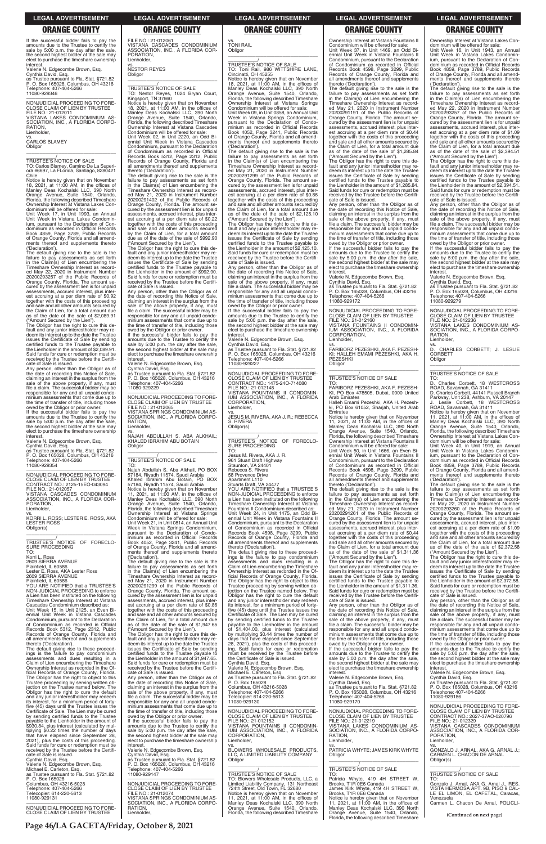**Page 46/LA GACETA/Friday, October 8, 2021**

Ownership Interest at Vistana Lakes Condominium will be offered for sale: Unit Week 16, in Unit 1943, an Annual Unit Week in Vistana Lakes Condomin-ium, pursuant to the Declaration of Con-dominium as recorded in Official Records Book 4859, Page 3789, Public Records of Orange County, Florida and all amendments thereof and supplements thereto ('Declaration'). The default giving rise to the sale is the

failure to pay assessments as set forth in the Claim(s) of Lien encumbering the Timeshare Ownership Interest as record-ed May 22, 2020 in Instrument Number 20200293257 of the Public Records of Orange County, Florida. The amount se-cured by the assessment lien is for unpaid assessments, accrued interest, plus interest accruing at a per diem rate of \$1.09 together with the costs of this proceeding and sale and all other amounts secured by the Claim of Lien, for a total amount due as of the date of the sale of \$2,394.51

owed by the Obligor or prior owner. If the successful bidder fails to pay the amounts due to the Trustee to certify the sale by 5:00 p.m. the day after the sale, the second highest bidder at the sale may elect to purchase the timeshare ownership **interest** 

("Amount Secured by the Lien"). The Obligor has the right to cure this default and any junior interestholder may redeem its interest up to the date the Trustee issues the Certificate of Sale by sending certified funds to the Trustee payable to the Lienholder in the amount of \$2,394.51. Said funds for cure or redemption must received by the Trustee before the Certifi-

Unit Week 40, in Unit 1919, an Annual Unit Week in Vistana Lakes Condomin-ium, pursuant to the Declaration of Condominium as recorded in Official Records Book 4859, Page 3789, Public Records of Orange County, Florida and all amendments thereof and supplements thereto claration').

cate of Sale is issued. Any person, other than the Obligor as of the date of recording this Notice of Sale, claiming an interest in the surplus from the sale of the above property, if any, must file a claim. The successful bidder may be responsible for any and all unpaid condo-minium assessments that come due up to the time of transfer of title, including those

Valerie N. Edgecombe Brown, Esq. Cynthia David, Esq.

as Trustee pursuant to Fla. Stat. §721.82 P. O. Box 165028, Columbus, OH 43216 Telephone: 407-404-5266 11080-929279

The Obligor has the right to cure this default and any junior interestholder may re-deem its interest up to the date the Trustee issues the Certificate of Sale by sending certified funds to the Trustee payable to the Lienholder in the amount of \$2,372.58. Said funds for cure or redemption must be received by the Trustee before the Certifi-cate of Sale is issued.

—————————————————— NONJUDICIAL PROCEEDING TO FORE-CLOSE CLAIM OF LIEN BY TRUSTEE FILE NO.: 21-012236 VISTANA LAKES CONDOMINIUM AS-SOCIATION, INC., A FLORIDA CORPO-RATION, Lienholder,

 $\overline{D}$ . CHARLES CORBETT; J. LESLIE CORBETT Obligor  $\overline{\phantom{a}}$  , and the set of the set of the set of the set of the set of the set of the set of the set of the set of the set of the set of the set of the set of the set of the set of the set of the set of the set of the s

\_\_\_\_\_\_\_\_\_\_\_/ TRUSTEE'S NOTICE OF SALE

TO: D. Charles Corbett, 18 WESTCROSS ROAD, Savannah, GA 31411 D. Charles Corbett, 44141 Russell Branch Parkway, Unit 238, Ashburn, VA 20147

J. Leslie Corbett, 18 WESTCROSS ROAD, Savannah, GA 31411

Notice is hereby given that on November 11, 2021, at 11:00 AM, in the offices of Manley Deas Kochalski LLC, 390 North Orange Avenue, Suite 1540, Orlando, Florida, the following described Timeshare Ownership Interest at Vistana Lakes Con-dominium will be offered for sale:

—————————————————— NONJUDICIAL PROCEEDING TO FORE-CLOSE CLAIM OF LIEN BY TRUSTEE FILE NO.: 21-012011 VISTANA LAKES CONDOMINIUM AS-SOCIATION, INC., A FLORIDA CORPO-RATION, Lienholder,

> The default giving rise to the sale is the failure to pay assessments as set forth in the Claim(s) of Lien encumbering the Timeshare Ownership Interest as recorded May 22, 2020 in Instrument Number 20200293260 of the Public Records of Orange County, Florida. The amount secured by the assessment lien is for unpaid assessments, accrued interest, plus inter-est accruing at a per diem rate of \$1.09 together with the costs of this proceeding and sale and all other amounts secured by the Claim of Lien, for a total amount due as of the date of the sale of \$2,372.58 ("Amount Secured by the Lien").

Any person, other than the Obligor as of the date of recording this Notice of Sale, claiming an interest in the surplus from the sale of the above property, if any, must file a claim. The successful bidder may be

\_\_\_\_\_\_\_\_\_\_\_\_\_\_/<br>TRUSTEE'S NOTICE OF FORECLO-SURE PROCEEDING

vs. NESTOR REYES **Obligor** 

If the successful bidder fails to pay the amounts due to the Trustee to certify the sale by 5:00 p.m. the day after the sale, the second highest bidder at the sale may elect to purchase the timeshare ownership interest.

Valerie N. Edgecombe Brown, Esq. Cynthia David, Esq. as Trustee pursuant to Fla. Stat. §721.82 P. O. Box 165028, Columbus, OH 43216 Telephone: 407-404-5266 11080-929346

vs. CARLOS BLAMEY Obligor

\_\_\_\_\_\_\_\_\_\_\_\_\_\_\_\_\_\_\_\_\_\_\_\_\_\_\_\_\_\_\_\_\_

\_\_\_\_\_\_\_\_\_\_\_/ TRUSTEE'S NOTICE OF SALE

TO: Carlos Blamey, Camino De La Superiora #6697, La FLorida, Santiago, 8280421 Chile

Notice is hereby given that on November 18, 2021, at 11:00 AM, in the offices of Manley Deas Kochalski LLC, 390 North Orange Avenue, Suite 1540, Orlando, Florida, the following described Timeshare Ownership Interest at Vistana Lakes Con-dominium will be offered for sale:

Unit Week 17, in Unit 1993, an Annual Unit Week in Vistana Lakes Condomin-ium, pursuant to the Declaration of Condominium as recorded in Official Records Book 4859, Page 3789, Public Records of Orange County, Florida and all amendments thereof and supplements thereto ('Declaration').

> —————————————————— NONJUDICIAL PROCEEDING TO FORE-CLOSE CLAIM OF LIEN BY TRUSTEE FILE NO.: 21-012065 VISTANA SPRINGS CONDOMINIUM AS-SOCIATION, INC., A FLORIDA CORPO-

**RATION** Lienholder,

The default giving rise to the sale is the failure to pay assessments as set forth in the Claim(s) of Lien encumbering the Timeshare Ownership Interest as recorded May 22, 2020 in Instrument Number 20200293257 of the Public Records of Orange County, Florida. The amount secured by the assessment lien is for unpaid assessments, accrued interest, plus inter-est accruing at a per diem rate of \$0.92 together with the costs of this proceeding and sale and all other amounts secured by the Claim of Lien, for a total amount due as of the date of the sale of \$2,089.91 ("Amount Secured by the Lien"). The Obligor has the right to cure this de-

fault and any junior interestholder may re-deem its interest up to the date the Trustee issues the Certificate of Sale by sending certified funds to the Trustee payable to the Lienholder in the amount of \$2,089.91. Said funds for cure or redemption must be received by the Trustee before the Certifi-cate of Sale is issued. Any person, other than the Obligor as of

the date of recording this Notice of Sale, claiming an interest in the surplus from the sale of the above property, if any, must file a claim. The successful bidder may be responsible for any and all unpaid condominium assessments that come due up to the time of transfer of title, including those owed by the Obligor or prior owner. If the successful bidder fails to pay the

amounts due to the Trustee to certify the sale by 5:00 p.m. the day after the sale, the second highest bidder at the sale may elect to purchase the timeshare ownership interest. Valerie N. Edgecombe Brown, Esq.

Cynthia David, Esq. as Trustee pursuant to Fla. Stat. §721.82 P. O. Box 165028, Columbus, OH 43216 Telephone: 407-404-5266 11080-929354

—————————————————— NONJUDICIAL PROCEEDING TO FORE-CLOSE CLAIM OF LIEN BY TRUSTEE CONTRACT NO.: 2125-15EO-043094 FILE NO.: 21-012057 VISTANA CASCADES CONDOMINIUM ASSOCIATION, INC., A FLORIDA COR-PORATION,

Lienholder, vs.

KORRI L. ROSS; LESTER E. ROSS, AKA LESTER ROSS Obligor(s) \_\_\_\_\_\_\_\_\_\_\_\_\_\_\_\_\_\_\_\_\_\_\_\_\_\_\_\_\_\_\_\_\_

TO: Korri L. Ross

2609 SIERRA AVENUE Plainfield, IL 60586 Lester E. Ross, AKA Lester Ross 2609 SIERRA AVENUE

Plainfield, IL 60586 YOU ARE NOTIFIED that a TRUSTEE'S NON-JUDICIAL PROCEEDING to enforce Lien has been instituted on the fo Timeshare Ownership Interest at Vistana Cascades Condominium described as: Unit Week 15, in Unit 2125, an Even Bi-ennial Unit Week in Vistana Cascades  $\overline{\phantom{a}}$  , and the set of the set of the set of the set of the set of the set of the set of the set of the set of the set of the set of the set of the set of the set of the set of the set of the set of the set of the s Jesus M. Rivera, AKA J. R.

> thereto ('Declaration').<br>The default giving rise to these proceed-<br>ings is the failure to pay condominium<br>assessments and dues resulting in a<br>Claim of Lien encumbering the Timeshare<br>Ownership Interest as recorded in the Of ficial Records of Orange County, Florida. The Obligor has the right to object to this Trustee proceeding by serving written objection on the Trustee named below. The Obligor has the right to cure the default and any junior interestholder may redeem its interest, for a minimum period of forty-five (45) days until the Trustee issues the Certificate of Sale. The Lien may be cured by sending certified funds to the Trustee

FILE NO.: 21-012061 VISTANA CASCADES CONDOMINIUM ASSOCIATION, INC., A FLORIDA COR-PORATION, Lienholder,

\_\_\_\_\_\_\_\_\_\_\_\_\_\_\_\_\_\_\_\_\_\_\_\_\_\_\_\_\_\_\_\_\_ \_\_\_\_\_\_\_\_\_\_\_/ TRUSTEE'S NOTICE OF SALE TO: Nestor Reyes, 1024 Bryan Court,

Kingsport, TN 37660

**Obligor** 

Notice is hereby given that on November 18, 2021, at 11:00 AM, in the offices of Manley Deas Kochalski LLC, 390 North Orange Avenue, Suite 1540, Orlando, Florida, the following described Timeshare

Ownership Interest at Vistana Cascades Condominium will be offered for sale: Unit Week 02, in Unit 2220, an Odd Biennial Unit Week in Vistana Cascades Condominium, pursuant to the Declaration of Condominium as recorded in Official Records Book 5312, Page 2312, Public Records of Orange County, Florida and all amendments thereof and supplements thereto ('Declaration'). The default giving rise to the sale is the failure to pay assessments as set forth in the Claim(s) of Lien encumbering the Timeshare Ownership Interest as record-ed May 21, 2020 in Instrument Number 20200291402 of the Public Records of Orange County, Florida. The amount se-cured by the assessment lien is for unpaid assessments, accrued interest, plus interest accruing at a per diem rate of \$0.22 together with the costs of this proceeding and sale and all other amounts secured by the Claim of Lien, for a total amount due as of the date of the sale of \$992.90

("Amount Secured by the Lien"). The Obligor has the right to cure this de-fault and any junior interestholder may re-

deem its interest up to the date the Trustee issues the Certificate of Sale by sending certified funds to the Trustee payable to

the Lienholder in the amount of \$992.90. Said funds for cure or redemption must be received by the Trustee before the Certifi-

cate of Sale is issued. Any person, other than the Obligor as of the date of recording this Notice of Sale,

claiming an interest in the surplus from the sale of the above property, if any, must file a claim. The successful bidder may be

responsible for any and all unpaid condo-minium assessments that come due up to the time of transfer of title, including those

owed by the Obligor or prior owner. If the successful bidder fails to pay the amounts due to the Trustee to certify the sale by 5:00 p.m. the day after the sale, the second highest bidder at the sale may elect to purchase the timeshare ownership

Valerie N. Edgecombe Brown, Esq. Cynthia David, Esq. as Trustee pursuant to Fla. Stat. §721.82 P. O. Box 165028, Columbus, OH 43216 Telephone: 407-404-5266

**interest** 

11080-929229

vs. NAJAH ABDULLAH S. ABA ALKHAIL; KHALED IBRAHIM ABU BOTAIN

Obligor

\_\_\_\_\_\_\_\_\_\_\_/ TRUSTEE'S NOTICE OF SALE

TO: Najah Abdullah S. Aba Alkhail, PO BOX 57184, Riyadh 11574, Saudi Arabia Khaled Ibrahim Abu Botain, PO BOX 57184, Riyadh 11574, Saudi Arabia

Notice is hereby given that on November 11, 2021, at 11:00 AM, in the offices of Manley Deas Kochalski LLC, 390 North

Orange Avenue, Suite 1540, Orlando, Florida, the following described Timeshare Ownership Interest at Vistana Springs

Condominium will be offered for sale: Unit Week 21, in Unit 0814, an Annual Unit Week in Vistana Springs Condominium,

pursuant to the Declaration of Condo-minium as recorded in Official Records Book 4052, Page 3241, Public Records of Orange County, Florida and all amend-ments thereof and supplements thereto

('Declaration').

The default giving rise to the sale is the failure to pay assessments as set forth in the Claim(s) of Lien encumbering the Timeshare Ownership Interest as record-ed May 21, 2020 in Instrument Number 20200291299 of the Public Records of Orange County, Florida. The amount se-cured by the assessment lien is for unpaid assessments, accrued interest, plus interest accruing at a per diem rate of \$0.86 together with the costs of this proceeding and sale and all other amounts secured by

| Condominium, pursuant to the Declaration<br>of Condominium as recorded in Official<br>Records Book 5312, Page 2312, Public<br>Records of Orange County, Florida and<br>all amendments thereof and supplements<br>thereto ('Declaration').<br>The default giving rise to these proceed-<br>ings is the failure to pay condominium<br>assessments and dues resulting in a                                            | the Claim of Lien, for a total amount due<br>as of the date of the sale of \$1,947.65<br>("Amount Secured by the Lien").<br>The Obligor has the right to cure this de-<br>fault and any junior interestholder may re-<br>deem its interest up to the date the Trustee<br>issues the Certificate of Sale by sending<br>certified funds to the Trustee payable to<br>the Lienholder in the amount of \$1,947.65. | by sending certified funds to the Trustee<br>payable to the Lienholder in the amount<br>of \$1,404.00, plus interest (calculated<br>by multiplying \$0.44 times the number of<br>days that have elapsed since September<br>28, 2021), plus the costs of this proceed-<br>ing. Said funds for cure or redemption<br>must be received by the Trustee before<br>the Certificate of Sale is issued. | sale of the above property, if any, must<br>file a claim. The successful bidder may be<br>responsible for any and all unpaid condo-<br>minium assessments that come due up to<br>the time of transfer of title, including those<br>owed by the Obligor or prior owner.<br>If the successful bidder fails to pay the<br>amounts due to the Trustee to certify the<br>sale by 5:00 p.m. the day after the sale, | file a claim. The successful bidder may be<br>responsible for any and all unpaid condo-<br>minium assessments that come due up to<br>the time of transfer of title, including those<br>owed by the Obligor or prior owner.<br>If the successful bidder fails to pay the<br>amounts due to the Trustee to certify the<br>sale by 5:00 p.m. the day after the sale,<br>the second highest bidder at the sale may |
|--------------------------------------------------------------------------------------------------------------------------------------------------------------------------------------------------------------------------------------------------------------------------------------------------------------------------------------------------------------------------------------------------------------------|----------------------------------------------------------------------------------------------------------------------------------------------------------------------------------------------------------------------------------------------------------------------------------------------------------------------------------------------------------------------------------------------------------------|-------------------------------------------------------------------------------------------------------------------------------------------------------------------------------------------------------------------------------------------------------------------------------------------------------------------------------------------------------------------------------------------------|---------------------------------------------------------------------------------------------------------------------------------------------------------------------------------------------------------------------------------------------------------------------------------------------------------------------------------------------------------------------------------------------------------------|----------------------------------------------------------------------------------------------------------------------------------------------------------------------------------------------------------------------------------------------------------------------------------------------------------------------------------------------------------------------------------------------------------------|
| Claim of Lien encumbering the Timeshare<br>Ownership Interest as recorded in the Of-<br>ficial Records of Orange County, Florida.<br>The Obligor has the right to object to this<br>Trustee proceeding by serving written ob-<br>iection on the Trustee named below. The<br>Obligor has the right to cure the default<br>and any junior interestholder may redeem<br>its interest, for a minimum period of forty-  | Said funds for cure or redemption must be<br>received by the Trustee before the Certifi-<br>cate of Sale is issued.<br>Any person, other than the Obligor as of<br>the date of recording this Notice of Sale,<br>claiming an interest in the surplus from the<br>sale of the above property, if any, must<br>file a claim. The successful bidder may be<br>responsible for any and all unpaid condo-           | Cynthia David, Esq.<br>Valerie N. Edgecombe Brown, Esg.<br>Michael E. Carleton, Esq.<br>as Trustee pursuant to Fla. Stat. §721.82<br>P. O. Box 165028<br>Columbus, OH 43216-5028<br>Telephone: 407-404-5266<br>Telecopier: 614-220-5613<br>11080-929130                                                                                                                                         | the second highest bidder at the sale may<br>elect to purchase the timeshare ownership<br>interest.<br>Valerie N. Edgecombe Brown, Esq.<br>Cynthia David, Esq.<br>as Trustee pursuant to Fla. Stat. §721.82<br>P. O. Box 165028, Columbus, OH 43216<br>Telephone: 407-404-5266<br>11080-929170                                                                                                                | elect to purchase the timeshare ownership<br>interest.<br>Valerie N. Edgecombe Brown, Esq.<br>Cynthia David, Esg.<br>as Trustee pursuant to Fla. Stat. §721.82<br>P. O. Box 165028, Columbus, OH 43216<br>Telephone: 407-404-5266<br>11080-929186                                                                                                                                                              |
| five (45) days until the Trustee issues the<br>Certificate of Sale. The Lien may be cured<br>by sending certified funds to the Trustee<br>payable to the Lienholder in the amount of<br>\$930.84, plus interest (calculated by mul-<br>tiplying \$0.22 times the number of davs<br>that have elapsed since September 28,<br>2021), plus the costs of this proceeding.<br>Said funds for cure or redemption must be | minium assessments that come due up to<br>the time of transfer of title, including those<br>owed by the Obligor or prior owner.<br>If the successful bidder fails to pay the<br>amounts due to the Trustee to certify the<br>sale by 5:00 p.m. the day after the sale,<br>the second highest bidder at the sale may<br>elect to purchase the timeshare ownership<br>interest.                                  | NONJUDICIAL PROCEEDING TO FORE-<br>CLOSE CLAIM OF LIEN BY TRUSTEE<br>FILE NO.: 21-012152<br>VISTANA FOUNTAINS II CONDOMIN-<br>IUM ASSOCIATION, INC., A FLORIDA<br>CORPORATION.<br>Lienholder.                                                                                                                                                                                                   | NONJUDICIAL PROCEEDING TO FORE-<br>CLOSE CLAIM OF LIEN BY TRUSTEE<br>FILE NO.: 21-012219<br>VISTANA LAKES CONDOMINIUM AS-<br>SOCIATION, INC., A FLORIDA CORPO-<br>RATION.<br>Lienholder.                                                                                                                                                                                                                      | NONJUDICIAL PROCEEDING TO FORE-<br>CLOSE CLAIM OF LIEN BY TRUSTEE<br>CONTRACT NO.: 2627-37AO-020796<br>FILE NO.: 21-012329<br>VISTANA CASCADES CONDOMINIUM<br>ASSOCIATION, INC., A FLORIDA COR-<br>PORATION.<br>Lienholder.                                                                                                                                                                                    |
| received by the Trustee before the Certifi-<br>cate of Sale is issued.<br>Cvnthia David, Esg.<br>Valerie N. Edgecombe Brown, Esq.                                                                                                                                                                                                                                                                                  | Valerie N. Edgecombe Brown, Esg.<br>Cynthia David, Esq.<br>as Trustee pursuant to Fla. Stat. §721.82<br>P. O. Box 165028, Columbus, OH 43216                                                                                                                                                                                                                                                                   | VS.<br>BLOWERS WHOLESALE PRODUCTS.<br>LLC. A LIMITED LIABILITY COMPANY<br>Obligor                                                                                                                                                                                                                                                                                                               | VS.<br>PATRICIA WHYTE; JAMES KIRK WHYTE<br>Obligor                                                                                                                                                                                                                                                                                                                                                            | VS.<br>GONZALO J. ARNAL, AKA G. ARNAL J.;<br>CARMEN L. CHACON DE ARNAL<br>Obligor(s)                                                                                                                                                                                                                                                                                                                           |
| Michael E. Carleton, Esg.<br>as Trustee pursuant to Fla. Stat. §721.82<br>P. O. Box 165028                                                                                                                                                                                                                                                                                                                         | Telephone: 407-404-5266<br>11080-929147                                                                                                                                                                                                                                                                                                                                                                        | <b>TRUSTEE'S NOTICE OF SALE</b><br>TO: Blowers Wholesale Products, LLC, a                                                                                                                                                                                                                                                                                                                       | TRUSTEE'S NOTICE OF SALE<br>TO:<br>Patricia Whyte, 419 4H STREET W,                                                                                                                                                                                                                                                                                                                                           | TRUSTEE'S NOTICE OF SALE<br>TO:                                                                                                                                                                                                                                                                                                                                                                                |
| Columbus, OH 43216-5028<br>Telephone: 407-404-5266<br>Telecopier: 614-220-5613<br>11080-929131                                                                                                                                                                                                                                                                                                                     | NONJUDICIAL PROCEEDING TO FORE-<br>CLOSE CLAIM OF LIEN BY TRUSTEE<br>FILE NO.: 21-012074<br>VISTANA SPRINGS CONDOMINIUM AS-<br>SOCIATION, INC., A FLORIDA CORPO-                                                                                                                                                                                                                                               | Limited Liability Company, 131 Northeast<br>724th Street. Old Town. FL 32680<br>Notice is hereby given that on November<br>11, 2021, at 11:00 AM, in the offices of<br>Manley Deas Kochalski LLC, 390 North                                                                                                                                                                                     | Brooks, T1R 0E6 Canada<br>James Kirk Whyte, 419 4H STREET W,<br>Brooks, T1R 0E6 Canada<br>Notice is hereby given that on November<br>11. 2021. at $11:00$ AM. in the offices of                                                                                                                                                                                                                               | Gonzalo J. Arnal, AKA G. Arnal J., RES.<br>VISTA HERMOSA APT. 9B, PISO 9 CAL-<br>LE EL LIMON, EL CAFETAL, Caracas,<br>Venezuela<br>Carmen L. Chacon De Arnal. POLICLI-                                                                                                                                                                                                                                         |
| NONJUDICIAL PROCEEDING TO FORE-<br>CLOSE CLAIM OF LIEN BY TRUSTEE                                                                                                                                                                                                                                                                                                                                                  | RATION.<br>Lienholder,                                                                                                                                                                                                                                                                                                                                                                                         | Orange Avenue, Suite 1540, Orlando,<br>Florida, the following described Timeshare                                                                                                                                                                                                                                                                                                               | Manley Deas Kochalski LLC, 390 North<br>Orange Avenue, Suite 1540, Orlando,<br>Florida, the following described Timeshare                                                                                                                                                                                                                                                                                     | (Continued on next page)                                                                                                                                                                                                                                                                                                                                                                                       |

# vs. TONI RAIL

\_\_\_\_\_\_\_\_\_\_\_\_\_\_\_\_\_\_\_\_\_\_\_\_\_\_\_\_\_\_\_\_\_

\_\_\_\_\_\_\_\_\_\_\_/ TRUSTEE'S NOTICE OF SALE TO: Toni Rail, 986 WITTSHIRE LANE, Cincinatti, OH 45255 Notice is hereby given that on November 18, 2021, at 11:00 AM, in the offices of Manley Deas Kochalski LLC, 390 North Orange Avenue, Suite 1540, Orlando, Florida, the following described Timeshare Ownership Interest at Vistana Springs Condominium will be offered for sale: Unit Week 09, in Unit 0858, an Annual Unit Week in Vistana Springs Condominium, pursuant to the Declaration of Condominium as recorded in Official Records Book 4052, Page 3241, Public Records of Orange County, Florida and all amendments thereof and supplements thereto ('Declaration'). The default giving rise to the sale is the

failure to pay assessments as set forth in the Claim(s) of Lien encumbering the Timeshare Ownership Interest as recorded May 21, 2020 in Instrument Number 20200291299 of the Public Records of Orange County, Florida. The amount secured by the assessment lien is for unpaid assessments, accrued interest, plus inter-est accruing at a per diem rate of \$0.86 together with the costs of this proceeding and sale and all other amounts secured by the Claim of Lien, for a total amount due as of the date of the sale of \$2,125.10 ("Amount Secured by the Lien"). The Obligor has the right to cure this de-

fault and any junior interestholder may re-deem its interest up to the date the Trustee issues the Certificate of Sale by sending certified funds to the Trustee payable to the Lienholder in the amount of \$2,125.10. Said funds for cure or redemption must be received by the Trustee before the Certifi-cate of Sale is issued. Any person, other than the Obligor as of

the date of recording this Notice of Sale, claiming an interest in the surplus from the sale of the above property, if any, must file a claim. The successful bidder may be responsible for any and all unpaid condominium assessments that come due up to the time of transfer of title, including those owed by the Obligor or prior owner. If the successful bidder fails to pay the

amounts due to the Trustee to certify the sale by 5:00 p.m. the day after the sale, the second highest bidder at the sale may elect to purchase the timeshare ownership

interest. Valerie N. Edgecombe Brown, Esq. Cynthia David, Esq. as Trustee pursuant to Fla. Stat. §721.82 P. O. Box 165028, Columbus, OH 43216 Telephone: 407-404-5266 11080-929227

—————————————————— NONJUDICIAL PROCEEDING TO FORE-CLOSE CLAIM OF LIEN BY TRUSTEE CONTRACT NO.: 1475-24O-714080 FILE NO.: 21-012148 VISTANA FOUNTAINS II CONDOMIN-IUM ASSOCIATION, INC., A FLORIDA CORPORATION, Lienholder,

vs. JESUS M. RIVERA, AKA J. R.; REBECCA S. RIVERA Obligor(s) \_\_\_\_\_\_\_\_\_\_\_\_\_\_\_\_\_\_\_\_\_\_\_\_\_\_\_\_\_\_\_\_\_

\_\_\_\_\_\_\_\_\_\_\_/ TRUSTEE'S NOTICE OF FORECLO-SURE PROCEEDING TO:

961 Stuart Draft Highway Staunton, VA 24401 Rebecca S. Rivera

58 Provence Drive Apartment L110 Stuarts Draft, VA 24477

YOU ARE NOTIFIED that a TRUSTEE'S NON-JUDICIAL PROCEEDING to enforce a Lien has been instituted on the following Timeshare Ownership Interest at Vistana Fountains II Condominium described as: Unit Week 24, in Unit 1475, an Odd Biennial Unit Week in Vistana Fountains II Condominium, pursuant to the Declaration of Condominium as recorded in Official Records Book 4598, Page 3299, Public Records of Orange County, Florida and all amendments thereof and supplements

Ownership Interest at Vistana Fountains II Condominium will be offered for sale: Unit Week 37, in Unit 1469, an Odd Biennial Unit Week in Vistana Fountains II Condominium, pursuant to the Declaration of Condominium as recorded in Official Records Book 4598, Page 3299, Public Records of Orange County, Florida and all amendments thereof and supplements thereto ('Declaration'). The default giving rise to the sale is the failure to pay assessments as set forth in the Claim(s) of Lien encumbering the Timeshare Ownership Interest as record-ed May 21, 2020 in Instrument Number

20200291191 of the Public Records of Orange County, Florida. The amount se-cured by the assessment lien is for unpaid

assessments, accrued interest, plus inter-est accruing at a per diem rate of \$0.44 together with the costs of this proceeding

and sale and all other amounts secured by the Claim of Lien, for a total amount due as of the date of the sale of \$1,285.84

("Amount Secured by the Lien"). The Obligor has the right to cure this de-fault and any junior interestholder may re-

deem its interest up to the date the Trustee issues the Certificate of Sale by sending certified funds to the Trustee payable to

the Lienholder in the amount of \$1,285.84. Said funds for cure or redemption must be received by the Trustee before the Certifi-

cate of Sale is issued. Any person, other than the Obligor as of the date of recording this Notice of Sale,

claiming an interest in the surplus from the sale of the above property, if any, must file a claim. The successful bidder may be

responsible for any and all unpaid condo-minium assessments that come due up to the time of transfer of title, including those

owed by the Obligor or prior owner. If the successful bidder fails to pay the amounts due to the Trustee to certify the sale by 5:00 p.m. the day after the sale, the second highest bidder at the sale may elect to purchase the timeshare ownership

interest.

Valerie N. Edgecombe Brown, Esq.

Cynthia David, Esq.

as Trustee pursuant to Fla. Stat. §721.82 P. O. Box 165028, Columbus, OH 43216 Telephone: 407-404-5266

11080-929172

—————————————————— NONJUDICIAL PROCEEDING TO FORE-CLOSE CLAIM OF LIEN BY TRUSTEE FILE NO.: 21-012160 VISTANA FOUNTAINS II CONDOMIN-IUM ASSOCIATION, INC., A FLORIDA CORPORATION,

vs.<br>FARIBORZ PEZESHKI, AKA F. PEZESH-<br>KI; HALLEH EMAMI PEZESHKI, AKA H.

Lienholder,

PEZESHKI Obligor

\_\_\_\_\_\_\_\_\_\_\_\_\_\_\_\_\_\_\_\_\_\_\_\_\_\_\_\_\_\_\_\_\_ \_\_\_\_\_\_\_\_\_\_\_/ TRUSTEE'S NOTICE OF SALE

TO:

ki, PO Bo<br>Emirates

FARIBORZ PEZESHKI, AKA F. PEZESH-KI, PO Box 478505, Dubai, 0000 United Arab Emirates Halleh Emami Pezeshki, AKA H. Pezeshki, PO Box 61052, Sharjah, United Arab

Notice is hereby given that on November 11, 2021, at 11:00 AM, in the offices of Manley Deas Kochalski LLC, 390 North

Orange Avenue, Suite 1540, Orlando, Florida, the following described Timeshare Ownership Interest at Vistana Fountains II

Condominium will be offered for sale: Unit Week 50, in Unit 1666, an Even Bi-ennial Unit Week in Vistana Fountains II

Condominium, pursuant to the Declaration of Condominium as recorded in Official Records Book 4598, Page 3299, Public Records of Orange County, Florida and all amendments thereof and supplements

thereto ('Declaration').

The default giving rise to the sale is the failure to pay assessments as set forth in the Claim(s) of Lien encumbering the

Timeshare Ownership Interest as record-ed May 21, 2020 in Instrument Number 20200291261 of the Public Records of

Orange County, Florida. The amount se-cured by the assessment lien is for unpaid assessments, accrued interest, plus inter-

est accruing at a per diem rate of \$0.44 together with the costs of this proceeding and sale and all other amounts secured by

the Claim of Lien, for a total amount due as of the date of the sale of \$1,311.36 ("Amount Secured by the Lien").

The Obligor has the right to cure this de-fault and any junior interestholder may re-deem its interest up to the date the Trustee

issues the Certificate of Sale by sending certified funds to the Trustee payable to the Lienholder in the amount of \$1,311.36.

Said funds for cure or redemption must be received by the Trustee before the Certifi-cate of Sale is issued. Any person, other than the Obligor as of the date of recording this Notice of Sale, claiming an interest in the surplus from the

**LEGAL ADVERTISEMENT LEGAL ADVERTISEMENT LEGAL ADVERTISEMENT LEGAL ADVERTISEMENT LEGAL ADVERTISEMENT**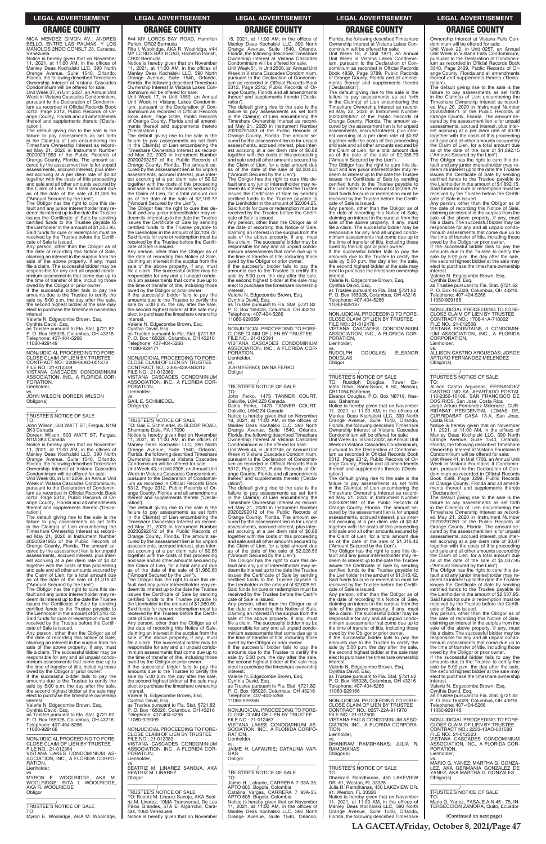NICA MENDEZ GIMON AV., ANDRES BELLO, ENTRE LAS PALMAS, Y LOS MANOLOS 2NDO CONSLT 23, Caracas, Venezuela

Notice is hereby given that on November 11, 2021, at 11:00 AM, in the offices of Manley Deas Kochalski LLC, 390 North Orange Avenue, Suite 1540, Orlando, Florida, the following described Timeshare Ownership Interest at Vistana Cascades Condominium will be offered for sale:

Unit Week 37, in Unit 2627, an Annual Unit Week in Vistana Cascades Condominium, pursuant to the Declaration of Condominium as recorded in Official Records Book 5312, Page 2312, Public Records of Orange County, Florida and all amendments thereof and supplements thereto ('Decla-

ration'). The default giving rise to the sale is the failure to pay assessments as set forth in the Claim(s) of Lien encumbering the Timeshare Ownership Interest as recorded May 21, 2020 in Instrument Number 20200291953 of the Public Records of Orange County, Florida. The amount se-cured by the assessment lien is for unpaid assessments, accrued interest, plus interest accruing at a per diem rate of \$0.42 together with the costs of this proceeding and sale and all other amounts secured by the Claim of Lien, for a total amount due as of the date of the sale of \$1,305.95 ("Amount Secured by the Lien").

The Obligor has the right to cure this de-fault and any junior interestholder may re-deem its interest up to the date the Trustee issues the Certificate of Sale by sending certified funds to the Trustee payable to the Lienholder in the amount of \$1,305.95. Said funds for cure or redemption must be received by the Trustee before the Certifi-cate of Sale is issued.

Any person, other than the Obligor as of the date of recording this Notice of Sale, claiming an interest in the surplus from the sale of the above property, if any, must file a claim. The successful bidder may be responsible for any and all unpaid condominium assessments that come due up to the time of transfer of title, including those owed by the Obligor or prior owner.

If the successful bidder fails to pay the amounts due to the Trustee to certify the sale by 5:00 p.m. the day after the sale, the second highest bidder at the sale may elect to purchase the timeshare ownership

interest. Valerie N. Edgecombe Brown, Esq. Cynthia David, Esq. as Trustee pursuant to Fla. Stat. §721.82 P. O. Box 165028, Columbus, OH 43216 lephone: 407-404-5266 11080-929149

—————————————————— NONJUDICIAL PROCEEDING TO FORE-CLOSE CLAIM OF LIEN BY TRUS CONTRACT NO.: 2209-06AO-001272

FILE NO.: 21-012339 VISTANA CASCADES CONDOMINIUM ASSOCIATION, INC., A FLORIDA COR-PORATION, Lienholder,

vs. JOHN WILSON; DOREEN WILSON Obligor(s) \_\_\_\_\_\_\_\_\_\_\_\_\_\_\_\_\_\_\_\_\_\_\_\_\_\_\_\_\_\_\_\_\_

### \_\_\_\_\_\_\_\_\_\_\_/ TRUSTEE'S NOTICE OF SALE

TO: John Wilson, 503 WATT ST, Fergus, N1M 3K3 Canada Doreen Wilson, 503 WATT ST, Fergus,

N1M 3K3 Canada Notice is hereby given that on November 11, 2021, at 11:00 AM, in the offices of Manley Deas Kochalski LLC, 390 North Orange Avenue, Suite 1540, Orlando, Florida, the following described Timeshare Ownership Interest at Vistana Cascades Condominium will be offered for sale:

Unit Week 06, in Unit 2209, an Annual Unit Week in Vistana Cascades Condominium, pursuant to the Declaration of Condominium as recorded in Official Records Book 5312, Page 2312, Public Records of Or-ange County, Florida and all amendments thereof and supplements thereto ('Declaration').

The default giving rise to the sale is the failure to pay assessments as set forth in the Claim(s) of Lien encumbering the Timeshare Ownership Interest as recorded May 21, 2020 in Instrument Number 20200291955 of the Public Records of Orange County, Florida. The amount secured by the assessment lien is for unpaid assessments, accrued interest, plus inter-est accruing at a per diem rate of \$0.42 together with the costs of this proceeding and sale and all other amounts secured by the Claim of Lien, for a total amount due as of the date of the sale of \$1,316.42

 $\overline{\phantom{a}}$  ,  $\overline{\phantom{a}}$  ,  $\overline{\phantom{a}}$  ,  $\overline{\phantom{a}}$  ,  $\overline{\phantom{a}}$  ,  $\overline{\phantom{a}}$  ,  $\overline{\phantom{a}}$  ,  $\overline{\phantom{a}}$  ,  $\overline{\phantom{a}}$  ,  $\overline{\phantom{a}}$  ,  $\overline{\phantom{a}}$  ,  $\overline{\phantom{a}}$  ,  $\overline{\phantom{a}}$  ,  $\overline{\phantom{a}}$  ,  $\overline{\phantom{a}}$  ,  $\overline{\phantom{a}}$ \_\_\_\_\_\_\_\_\_\_\_/ TRUSTEE'S NOTICE OF SALE

("Amount Secured by the Lien"). The Obligor has the right to cure this default and any junior interestholder may redeem its interest up to the date the Trustee issues the Certificate of Sale by sending certified funds to the Trustee payable to the Lienholder in the amount of \$1,316.42. Said funds for cure or redemption must be #44 MY LORDS BAY ROAD, Hamilton

18, 2021, at 11:00 AM, in the offices of Manley Deas Kochalski LLC, 390 North Orange Avenue, Suite 1540, Orlando, Florida, the following described Timeshare Ownership Interest at Vistana Cascades Condominium will be offered for sale: Unit Week 51, in Unit 2506, an Annual Unit Week in Vistana Cascades Condominium, pursuant to the Declaration of Condomination ium as recorded in Official Records Book 5312, Page 2312, Public Records of Orange County, Florida and all amendments thereof and supplements thereto ('Declaration')

Parish, CR02 Bermuda

Rita I. Woolridge, AKA R. Woolridge, #44 MY LORDS BAY ROAD, Hamilton Parish,

CR02 Bermuda

Notice is hereby given that on November 11, 2021, at 11:00 AM, in the offices of Manley Deas Kochalski LLC, 390 North Orange Avenue, Suite 1540, Orlando, Florida, the following described Timeshare Ownership Interest at Vistana Lakes Condominium will be offered for sale: Unit Week 17, in Unit 1859, an Annual Unit Week in Vistana Lakes Condominium, pursuant to the Declaration of Con-dominium as recorded in Official Records Book 4859, Page 3789, Public Records of Orange County, Florida and all amend-ments thereof and supplements thereto

('Declaration').

owed by the Obligor or prior owner. If the successful bidder fails to pay the amounts due to the Trustee to certify the sale by 5:00 p.m. the day after the sale the second highest bidder at the sale may elect to purchase the timeshare ownership **interest** 

—————————————————— NONJUDICIAL PROCEEDING TO FORE-CLOSE CLAIM OF LIEN BY TRUSTEE FILE NO.: 21-012391 VISTANA CASCADES CONDOMINIUM ASSOCIATION, INC., A FLORIDA COR-PORATION, **Lienholder** 

The default giving rise to the sale is the failure to pay assessments as set forth in the Claim(s) of Lien encumbering the Timeshare Ownership Interest as record-ed May 22, 2020 in Instrument Number 20200293257 of the Public Records of Orange County, Florida. The amount se-cured by the assessment lien is for unpaid assessments, accrued interest, plus interest accruing at a per diem rate of \$0.92 together with the costs of this proceeding and sale and all other amounts secured by the Claim of Lien, for a total amount due as of the date of the sale of \$2,109.72 ("Amount Secured by the Lien"). The Obligor has the right to cure this de-fault and any junior interestholder may redeem its interest up to the date the Trustee issues the Certificate of Sale by sending certified funds to the Trustee payable to the Lienholder in the amount of \$2,109.72. Said funds for cure or redemption must be received by the Trustee before the Certifi-

> vs. JOHN FERKO; DAINA FERKO **Obligor**

TO:<br>John Ferko, 1473 TANNER COURT,<br>Oakville, L6M 2Z3 Canada<br>Daina Ferko, 1473 TANNER COURT,<br>Oakville, L6M2Z4 Canada<br>Notice is hereby given that on November<br>18, 2021, at 11:00 AM, in the offices of<br>Manley Deas Kochalski LLC Florida, the following described Timeshare Ownership Interest at Vistana Cascades Condominium will be offered for sale:

cate of Sale is issued.

**interest** 

Any person, other than the Obligor as of the date of recording this Notice of Sale, claiming an interest in the surplus from the sale of the above property, if any, must file a claim. The successful bidder may be responsible for any and all unpaid condo-minium assessments that come due up to the time of transfer of title, including those

owed by the Obligor or prior owner. If the successful bidder fails to pay the amounts due to the Trustee to certify the sale by 5:00 p.m. the day after the sale the second highest bidder at the sale may elect to purchase the timeshare ownership

Valerie N. Edgecombe Brown, Esq. Cynthia David, Esq. as Trustee pursuant to Fla. Stat. §721.82 P. O. Box 165028, Columbus, OH 43216 Telephone: 407-404-5266

11080-929171

—————————————————— NONJUDICIAL PROCEEDING TO FORE-CLOSE CLAIM OF LIEN BY TRUSTEE CONTRACT NO.: 2305-43A-046312

FILE NO.: 21-012369

VISTANA CASCADES CONDOMINIUM ASSOCIATION, INC., A FLORIDA COR-

PORATION, Lienholder,

vs. GAIL E. SCHMIEDEL

Obligor(s)

TO: Gail E. Schmiedel, 25 SLOOP ROAD, Shermans Dale, PA 17090 Notice is hereby given that on November 11, 2021, at 11:00 AM, in the offices of Manley Deas Kochalski LLC, 390 North

Orange Avenue, Suite 1540, Orlando, Florida, the following described Timeshare Ownership Interest at Vistana Cascades Condominium will be offered for sale: Unit Week 43, in Unit 2305, an Annual Unit Week in Vistana Cascades Condominium, pursuant to the Declaration of Condominium as recorded in Official Records Book 5312, Page 2312, Public Records of Orange County, Florida and all amendments thereof and supplements thereto ('Declaration'). The default giving rise to the sale is the failure to pay assessments as set forth in the Claim(s) of Lien encumbering the Timeshare Ownership Interest as recorded May 21, 2020 in Instrument Number 20200292012 of the Public Records of Orange County, Florida. The amount secured by the assessment lien is for unpaid assessments, accrued interest, plus interest accruing at a per diem rate of \$0.88 together with the costs of this proceeding and sale and all other amounts secured by the Claim of Lien, for a total amount due as of the date of the sale of \$1,980.60 ("Amount Secured by the Lien"). The Obligor has the right to cure this default and any junior interestholder may re-deem its interest up to the date the Trustee issues the Certificate of Sale by sending certified funds to the Trustee payable to the Lienholder in the amount of \$1,980.60. Said funds for cure or redemption must be

PORATION, Lienholder, **RUDOLPH** 

 $\overline{\phantom{a}}$  , and the set of the set of the set of the set of the set of the set of the set of the set of the set of the set of the set of the set of the set of the set of the set of the set of the set of the set of the s \_\_\_\_\_\_\_\_\_\_\_/ TRUSTEE'S NOTICE OF SALE

reof and supplements thereto ('Declaration') The default giving rise to the sale is the failure to pay assessments as set forth in the Claim(s) of Lien encumbering the Timeshare Ownership Interest as recorded May 20, 2020 in Instrument Number 20200288971 of the Public Records of Orange County, Florida. The amount se-cured by the assessment lien is for unpaid assessments, accrued interest, plus interest accruing at a per diem rate of \$0.90 together with the costs of this proceeding and sale and all other amounts secured by

The default giving rise to the sale is the failure to pay assessments as set forth in the Claim(s) of Lien encumbering the Timeshare Ownership Interest as record-ed May 21, 2020 in Instrument Number 20200291483 of the Public Records of Orange County, Florida. The amount se-cured by the assessment lien is for unpaid assessments, accrued interest, plus interest accruing at a per diem rate of \$0.88 together with the costs of this proceeding and sale and all other amounts secured by the Claim of Lien, for a total amount due as of the date of the sale of \$2,004.25

> If the successful bidder fails to pay the amounts due to the Trustee to certify the sale by 5:00 p.m. the day after the sale, the second highest bidder at the sale may elect to purchase the timeshare ownership

> vs. ALLISON CASTRO ARGUEDAS; JORGE ARTURO FERNANDEZ MELENDEZ Obligor(s)  $\overline{\phantom{a}}$  , and the set of the set of the set of the set of the set of the set of the set of the set of the set of the set of the set of the set of the set of the set of the set of the set of the set of the set of the s

("Amount Secured by the Lien"). The Obligor has the right to cure this de-fault and any junior interestholder may redeem its interest up to the date the Trustee issues the Certificate of Sale by sending certified funds to the Trustee payable to the Lienholder in the amount of \$2,004.25. Said funds for cure or redemption must be received by the Trustee before the Certificate of Sale is issued.

Any person, other than the Obligor as of the date of recording this Notice of Sale, claiming an interest in the surplus from the sale of the above property, if any, must file a claim. The successful bidder may be responsible for any and all unpaid condominium assessments that come due up to the time of transfer of title, including those

Valerie N. Edgecombe Brown, Esq. Cynthia David, Esq.

as Trustee pursuant to Fla. Stat. §721.82 P. O. Box 165028, Columbus, OH 43216 Telephone: 407-404-5266 11080-929359

\_\_\_\_\_\_\_\_\_\_\_\_\_\_\_\_\_\_\_\_\_\_\_\_\_\_\_\_\_\_\_\_\_

### \_\_\_\_\_\_\_\_\_\_\_/ TRUSTEE'S NOTICE OF SALE

| certified funds to the Trustee payable to<br>the Lienholder in the amount of \$1.316.42. | Said funds for cure or redemption must be<br>received by the Trustee before the Certifi- | the date of recording this Notice of Sale.<br>claiming an interest in the surplus from the | sale of the above property, if any, must<br>file a claim. The successful bidder may be | cate of Sale is issued.<br>Any person, other than the Obligor as of                   |
|------------------------------------------------------------------------------------------|------------------------------------------------------------------------------------------|--------------------------------------------------------------------------------------------|----------------------------------------------------------------------------------------|---------------------------------------------------------------------------------------|
| Said funds for cure or redemption must be                                                | cate of Sale is issued.                                                                  | sale of the above property, if any, must                                                   | responsible for any and all unpaid condo-                                              | the date of recording this Notice of Sale.                                            |
| received by the Trustee before the Certifi-                                              | Any person, other than the Obligor as of                                                 | file a claim. The successful bidder may be                                                 | minium assessments that come due up to                                                 | claiming an interest in the surplus from the                                          |
| cate of Sale is issued.                                                                  | the date of recording this Notice of Sale,                                               | responsible for any and all unpaid condo-                                                  | the time of transfer of title, including those                                         | sale of the above property, if any, must                                              |
| Any person, other than the Obligor as of                                                 | claiming an interest in the surplus from the                                             | minium assessments that come due up to                                                     | owed by the Obligor or prior owner.                                                    | file a claim. The successful bidder may be                                            |
| the date of recording this Notice of Sale,                                               | sale of the above property, if any, must                                                 | the time of transfer of title, including those                                             | If the successful bidder fails to pay the                                              | responsible for any and all unpaid condo-                                             |
| claiming an interest in the surplus from the                                             | file a claim. The successful bidder may be                                               | owed by the Obligor or prior owner.                                                        | amounts due to the Trustee to certify the                                              | minium assessments that come due up to                                                |
| sale of the above property, if any, must<br>file a claim. The successful bidder may be   | responsible for any and all unpaid condo-<br>minium assessments that come due up to      | If the successful bidder fails to pay the<br>amounts due to the Trustee to certify the     | sale by 5:00 p.m. the day after the sale,<br>the second highest bidder at the sale may | the time of transfer of title, including those<br>owed by the Obligor or prior owner. |
| responsible for any and all unpaid condo-                                                | the time of transfer of title, including those                                           | sale by 5:00 p.m. the day after the sale.                                                  | elect to purchase the timeshare ownership                                              | If the successful bidder fails to pay the                                             |
| minium assessments that come due up to                                                   | owed by the Obligor or prior owner.                                                      | the second highest bidder at the sale may                                                  | interest.                                                                              | amounts due to the Trustee to certify the                                             |
| the time of transfer of title, including those                                           | If the successful bidder fails to pay the                                                | elect to purchase the timeshare ownership                                                  | Valerie N. Edgecombe Brown, Esg.                                                       | sale by 5:00 p.m. the day after the sale,                                             |
| owed by the Obligor or prior owner.                                                      | amounts due to the Trustee to certify the                                                | interest.                                                                                  | Cynthia David, Esq.                                                                    | the second highest bidder at the sale may                                             |
| If the successful bidder fails to pay the                                                | sale by 5:00 p.m. the day after the sale,                                                | Valerie N. Edgecombe Brown, Esq.                                                           | as Trustee pursuant to Fla. Stat. §721.82                                              | elect to purchase the timeshare ownership                                             |
| amounts due to the Trustee to certify the                                                | the second highest bidder at the sale may                                                | Cynthia David, Esq.                                                                        | P. O. Box 165028, Columbus, OH 43216                                                   | interest.                                                                             |
| sale by 5:00 p.m. the day after the sale,                                                | elect to purchase the timeshare ownership                                                | as Trustee pursuant to Fla. Stat. §721.82                                                  | Telephone: 407-404-5266                                                                | Valerie N. Edgecombe Brown, Esg.                                                      |
| the second highest bidder at the sale may                                                | interest.                                                                                | P. O. Box 165028, Columbus, OH 43216                                                       | 11080-929166                                                                           | Cynthia David, Esq.                                                                   |
| elect to purchase the timeshare ownership                                                | Valerie N. Edgecombe Brown, Esq.                                                         | Telephone: 407-404-5266                                                                    |                                                                                        | as Trustee pursuant to Fla. Stat. §721.82                                             |
| interest.                                                                                | Cynthia David, Esg.                                                                      | 11080-929356                                                                               | NONJUDICIAL PROCEEDING TO FORE-<br>CLOSE CLAIM OF LIEN BY TRUSTEE                      | P. O. Box 165028, Columbus, OH 43216<br>Telephone: 407-404-5266                       |
| Valerie N. Edgecombe Brown, Esq.<br>Cynthia David, Esq.                                  | as Trustee pursuant to Fla. Stat. §721.82<br>P. O. Box 165028, Columbus, OH 43216        | NONJUDICIAL PROCEEDING TO FORE-                                                            | CONTRACT NO.: 0257-22A-911970                                                          | 11080-929148                                                                          |
| as Trustee pursuant to Fla. Stat. §721.82                                                | Telephone: 407-404-5266                                                                  | CLOSE CLAIM OF LIEN BY TRUSTEE                                                             | FILE NO.: 21-012500                                                                    |                                                                                       |
| P. O. Box 165028, Columbus, OH 43216                                                     | 11080-929099                                                                             | FILE NO.: 21-012467                                                                        | VISTANA FALLS CONDOMINIUM ASSO-                                                        | NONJUDICIAL PROCEEDING TO FORE-                                                       |
| Telephone: 407-404-5266                                                                  |                                                                                          | VISTANA LAKES CONDOMINIUM AS-                                                              | CIATION, INC., A FLORIDA CORPORA-                                                      | CLOSE CLAIM OF LIEN BY TRUSTEE                                                        |
| 11080-929168                                                                             | NONJUDICIAL PROCEEDING TO FORE-                                                          | SOCIATION, INC., A FLORIDA CORPO-                                                          | TION.                                                                                  | CONTRACT NO.: 2233-10AO-001580                                                        |
|                                                                                          | CLOSE CLAIM OF LIEN BY TRUSTEE                                                           | RATION.                                                                                    | Lienholder.                                                                            | FILE NO.: 21-012523                                                                   |
| NONJUDICIAL PROCEEDING TO FORE-                                                          | FILE NO.: 21-012383                                                                      | Lienholder,                                                                                | VS.                                                                                    | VISTANA CASCADES CONDOMINIUM                                                          |
| CLOSE CLAIM OF LIEN BY TRUSTEE                                                           | VISTANA CASCADES CONDOMINIUM                                                             | VS.                                                                                        | DHANIRAM RAMDHANAS; JULIA R.                                                           | ASSOCIATION, INC., A FLORIDA COR-                                                     |
| FILE NO.: 21-012364<br>VISTANA LAKES CONDOMINIUM AS-                                     | ASSOCIATION, INC., A FLORIDA COR-<br>PORATION,                                           | JAIME H. LAFAURIE; CATALINA VAR-<br>GAS                                                    | <b>RAMDHANAS</b><br>Obligor(s)                                                         | PORATION.<br>Lienholder,                                                              |
| SOCIATION, INC., A FLORIDA CORPO-                                                        | Lienholder.                                                                              | Obligor                                                                                    |                                                                                        | VS.                                                                                   |
| RATION.                                                                                  | VS.                                                                                      |                                                                                            |                                                                                        | MARIO G. YANEZ: MARTHA G. GONZA-                                                      |
| Lienholder,                                                                              | BEATRIZ M. LINAREZ SANOJA, AKA                                                           |                                                                                            | TRUSTEE'S NOTICE OF SALE                                                               | LEZ. AKA GERMANIA GONZALEZ DE                                                         |
| VS.                                                                                      | <b>BEATRIZ M. LINAREZ</b>                                                                | TRUSTEE'S NOTICE OF SALE                                                                   | TO:                                                                                    | YANEZ, AKA MARTHA G. GONZALES                                                         |
| MYRON E. WOOLRIDGE, AKA M.                                                               | Obligor                                                                                  | TO:                                                                                        | Dhaniram Ramdhanas, 450 LAKEVIEW                                                       | Obligor(s)                                                                            |
| WOOLRIDGE; RITA I. WOOLRIDGE,                                                            |                                                                                          | Jaime H. Lafaurie, CARRERA 7 93A-35,                                                       | DR. #1, Weston, FL 33326                                                               |                                                                                       |
| AKA R. WOOLRIDGE                                                                         |                                                                                          | APTO 805, Bogota, Colombia                                                                 | Julia R. Ramdhanas, 450 LAKEVIEW DR.                                                   |                                                                                       |
| Obligor                                                                                  | TRUSTEE'S NOTICE OF SALE<br>TO: Beatriz M. Linarez Sanoja, AKA Beat-                     | Catalina Vargas, CARRERA 7 93A-35,<br>APTO 805, Bogota, Colombia                           | #1, Weston, FL 33326                                                                   | TRUSTEE'S NOTICE OF SALE<br>TO:                                                       |
|                                                                                          | riz M. Linarez, 10MA Transversal, De Los                                                 | Notice is hereby given that on November                                                    | Notice is hereby given that on November<br>11, 2021, at 11:00 AM, in the offices of    | Mario G. Yanez, PASAJE A N 45 - 75, IN-                                               |
| TRUSTEE'S NOTICE OF SALE                                                                 | Palos Grandes, 5TA El Algarrobo, Cara-                                                   | 11, 2021, at $11:00$ AM, in the offices of                                                 | Manley Deas Kochalski LLC, 390 North                                                   | TERSECCION ZAMORA, Quito, Ecuador                                                     |
| TO:                                                                                      | cas, 1060 Venezuela                                                                      | Manley Deas Kochalski LLC, 390 North                                                       | Orange Avenue, Suite 1540, Orlando,                                                    |                                                                                       |
| Myron E. Woolridge, AKA M. Woolridge,                                                    | Notice is hereby given that on November                                                  | Orange Avenue, Suite 1540, Orlando,                                                        | Florida, the following described Timeshare                                             | (Continued on next page)                                                              |
|                                                                                          |                                                                                          |                                                                                            |                                                                                        |                                                                                       |

Unit Week 44, in Unit 2745, an Annual Unit Week in Vistana Cascades Condominium, pursuant to the Declaration of Condominium as recorded in Official Records Book 5312, Page 2312, Public Records of Or-ange County, Florida and all amendments thereof and supplements thereto ('Declaration').

The default giving rise to the sale is the failure to pay assessments as set forth in the Claim(s) of Lien encumbering the Timeshare Ownership Interest as recorded May 21, 2020 in Instrument Number 20200292012 of the Public Records of Orange County, Florida. The amount secured by the assessment lien is for unpaid assessments, accrued interest, plus inter-est accruing at a per diem rate of \$0.88 together with the costs of this proceeding and sale and all other amounts secured by the Claim of Lien, for a total amount due as of the date of the sale of \$2,028.50

("Amount Secured by the Lien"). The Obligor has the right to cure this default and any junior interestholder may re-deem its interest up to the date the Trustee issues the Certificate of Sale by sending certified funds to the Trustee payable to the Lienholder in the amount of \$2,028.50. Said funds for cure or redemption must be received by the Trustee before the Certificate of Sale is issued. Any person, other than the Obligor as of

the date of recording this Notice of Sale, claiming an interest in the surplus from the sale of the above property, if any, must

Florida, the following described Timeshare Ownership Interest at Vistana Lakes Condominium will be offered for sale: Unit Week 18, in Unit 1871, an Annual Unit Week in Vistana Lakes Condominium, pursuant to the Declaration of Con-dominium as recorded in Official Records Book 4859, Page 3789, Public Records of Orange County, Florida and all amend-ments thereof and supplements thereto

('Declaration').

The default giving rise to the sale is the failure to pay assessments as set forth in the Claim(s) of Lien encumbering the Timeshare Ownership Interest as record-ed May 22, 2020 in Instrument Number 20200293257 of the Public Records of Orange County, Florida. The amount se-cured by the assessment lien is for unpaid assessments, accrued interest, plus interest accruing at a per diem rate of \$0.92 together with the costs of this proceeding and sale and all other amounts secured by the Claim of Lien, for a total amount due as of the date of the sale of \$2,088.79

("Amount Secured by the Lien"). The Obligor has the right to cure this de-fault and any junior interestholder may redeem its interest up to the date the Trustee issues the Certificate of Sale by sending certified funds to the Trustee payable to the Lienholder in the amount of \$2,088.79. Said funds for cure or redemption must be received by the Trustee before the Certifi-

cate of Sale is issued.

Any person, other than the Obligor as of the date of recording this Notice of Sale, claiming an interest in the surplus from the sale of the above property, if any, must file a claim. The successful bidder may be responsible for any and all unpaid condo-minium assessments that come due up to the time of transfer of title, including those

owed by the Obligor or prior owner. If the successful bidder fails to pay the amounts due to the Trustee to certify the sale by 5:00 p.m. the day after the sale, the second highest bidder at the sale may elect to purchase the timeshare ownership

interest.

Valerie N. Edgecombe Brown, Esq. Cynthia David, Esq. as Trustee pursuant to Fla. Stat. §721.82 P. O. Box 165028, Columbus, OH 43216 Telephone: 407-404-5266

11080-929187

—————————————————— NONJUDICIAL PROCEEDING TO FORE-CLOSE CLAIM OF LIEN BY TRUSTEE FILE NO.: 21-012478 VISTANA CASCADES CONDOMINIUM ASSOCIATION, INC., A FLORIDA COR-

DOUGLAS Obligor

ro: Hudolph Do<br>tates Drive, Sans-S<br>CB11054 Bahamas

TO: Rudolph Douglas, Tower Es-tates Drive, Sans-Souci, # 50, Nassau,

Eleanor Douglas, P.O. Box N8719, Nas-sau, Bahamas Notice is hereby given that on November 11, 2021, at 11:00 AM, in the offices of Manley Deas Kochalski LLC, 390 North

Orange Avenue, Suite 1540, Orlando, Florida, the following described Timeshare Ownership Interest at Vistana Cascades Condominium will be offered for sale: Unit Week 45, in Unit 2622, an Annual Unit Week in Vistana Cascades Condominium, pursuant to the Declaration of Condominium as recorded in Official Records Book 5312, Page 2312, Public Records of Orange County, Florida and all amendments thereof and supplements thereto ('Declaration'). The default giving rise to the sale is the failure to pay assessments as set forth in the Claim(s) of Lien encumbering the Timeshare Ownership Interest as recorded May 21, 2020 in Instrument Number 20200291981 of the Public Records of Orange County, Florida. The amount secured by the assessment lien is for unpaid assessments, accrued interest, plus interest accruing at a per diem rate of \$0.42 together with the costs of this proceeding and sale and all other amounts secured by the Claim of Lien, for a total amount due as of the date of the sale of \$1,316.42 ("Amount Secured by the Lien"). The Obligor has the right to cure this de-fault and any junior interestholder may re-deem its interest up to the date the Trustee

issues the Certificate of Sale by sending certified funds to the Trustee payable to the Lienholder in the amount of \$1,316.42. Said funds for cure or redemption must be received by the Trustee before the Certifi-cate of Sale is issued. Any person, other than the Obligor as of the date of recording this Notice of Sale, claiming an interest in the surplus from the

DOUGLAS: FLEANOR

Ownership Interest at Vistana Falls Condominium will be offered for sale: Unit Week 22, in Unit 0257, an Annual Unit Week in Vistana Falls Condominium, pursuant to the Declaration of Condominium as recorded in Official Records Book 3340, Page 2429, Public Records of Or-

ange County, Florida and all amendments

the Claim of Lien, for a total amount due as of the date of the sale of \$1,892.15 ("Amount Secured by the Lien").

The Obligor has the right to cure this de-fault and any junior interestholder may re-deem its interest up to the date the Trustee issues the Certificate of Sale by sending certified funds to the Trustee payable to the Lienholder in the amount of \$1,892.15. Said funds for cure or redemption must be received by the Trustee before the Certifi-cate of Sale is issued.

Any person, other than the Obligor as of the date of recording this Notice of Sale, claiming an interest in the surplus from the sale of the above property, if any, must file a claim. The successful bidder may be responsible for any and all unpaid condominium assessments that come due up to the time of transfer of title, including those owed by the Obligor or prior owner.

interest. Valerie N. Edgecombe Brown, Esq.

Cynthia David, Esq. as Trustee pursuant to Fla. Stat. §721.82 P. O. Box 165028, Columbus, OH 43216 Telephone: 407-404-5266 11080-929188

—————————————————— NONJUDICIAL PROCEEDING TO FORE-CLOSE CLAIM OF LIEN BY TRUSTEE CONTRACT NO.: 1706-41A-718002 FILE NO.: 21-012506 VISTANA FOUNTAINS II CONDOMIN-

IUM ASSOCIATION, INC., A FLORIDA CORPORATION, Lienholder,

### \_\_\_\_\_\_\_\_\_\_\_/ TRUSTEE'S NOTICE OF SALE

TO: Allison Castro Arguedas, FERNANDEZ CASTRO IND SA, APARTADO POSTAL 110-2350-10106, SAN FRANCISCO DE DOS RIOS, San Jose, Costa Rica

Jorge Arturo Fernandez Melendez, CUR-RIDABAT RESIDENTIAL LOMAS DE, CURRIDABAT CASA 13-A, San Jose, Costa Rica

Notice is hereby given that on November 11, 2021, at 11:00 AM, in the offices of Manley Deas Kochalski LLC, 390 North Orange Avenue, Suite 1540, Orlando, Florida, the following described Timeshare Ownership Interest at Vistana Fountains II Condominium will be offered for sale:

Unit Week 41, in Unit 1706, an Annual Unit Week in Vistana Fountains II Condominium, pursuant to the Declaration of Con-dominium as recorded in Official Records Book 4598, Page 3299, Public Records of Orange County, Florida and all amend-ments thereof and supplements thereto ('Declaration').

The default giving rise to the sale is the failure to pay assessments as set forth in the Claim(s) of Lien encumbering the Timeshare Ownership Interest as record-ed May 21, 2020 in Instrument Number 20200291261 of the Public Records of Orange County, Florida. The amount se-cured by the assessment lien is for unpaid assessments, accrued interest, plus interest accruing at a per diem rate of \$0.87 together with the costs of this proceeding and sale and all other amounts secured by the Claim of Lien, for a total amount due as of the date of the sale of \$2,037.95 ("Amount Secured by the Lien").

The Obligor has the right to cure this de-fault and any junior interestholder may redeem its interest up to the date the Trustee issues the Certificate of Sale by sending certified funds to the Trustee payable to the Lienholder in the amount of \$2,037.95. Said funds for cure or redemption must be received by the Trustee before the Certificate of Sale is issued.

### **LEGAL ADVERTISEMENT LEGAL ADVERTISEMENT LEGAL ADVERTISEMENT LEGAL ADVERTISEMENT LEGAL ADVERTISEMENT**

### **ORANGE COUNTY ORANGE COUNTY ORANGE COUNTY ORANGE COUNTY ORANGE COUNTY**

**LA GACETA/Friday, October 8, 2021/Page 47**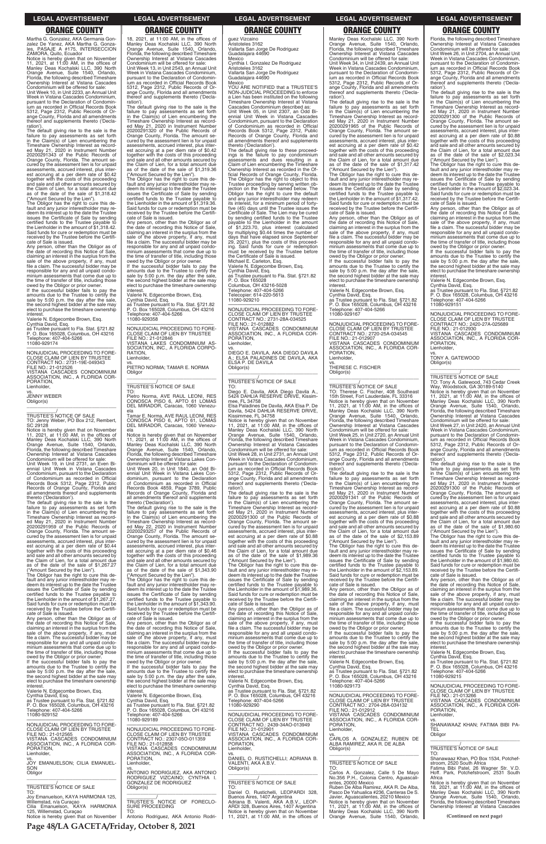Martha G. Gonzalez, AKA Germania Gonzalez De Yanez, AKA Martha G. Gonza-les, PASAJE A #175, INTERSECCION ZAMORA, Quito, Ecuador

Notice is hereby given that on November 11, 2021, at 11:00 AM, in the offices of Manley Deas Kochalski LLC, 390 North Orange Avenue, Suite 1540, Orlando, Florida, the following described Timeshare Ownership Interest at Vistana Cascades Condominium will be offered for sale:

Unit Week 10, in Unit 2233, an Annual Unit Week in Vistana Cascades Condominium, pursuant to the Declaration of Condominium as recorded in Official Records Book 5312, Page 2312, Public Records of Orange County, Florida and all amendments thereof and supplements thereto ('Declaration').

The default giving rise to the sale is the failure to pay assessments as set forth in the Claim(s) of Lien encumbering the Timeshare Ownership Interest as recorded May 21, 2020 in Instrument Number 20200291343 of the Public Records of Orange County, Florida. The amount secured by the assessment lien is for unpaid assessments, accrued interest, plus interest accruing at a per diem rate of \$0.42 together with the costs of this proceeding and sale and all other amounts secured by the Claim of Lien, for a total amount due as of the date of the sale of \$1,318.42 ("Amount Secured by the Lien").

The Obligor has the right to cure this de-fault and any junior interestholder may re-deem its interest up to the date the Trustee issues the Certificate of Sale by sending certified funds to the Trustee payable to the Lienholder in the amount of \$1,318.42. Said funds for cure or redemption must be received by the Trustee before the Certifi-cate of Sale is issued.

Any person, other than the Obligor as of the date of recording this Notice of Sale, claiming an interest in the surplus from the sale of the above property, if any, must file a claim. The successful bidder may be responsible for any and all unpaid condominium assessments that come due up to the time of transfer of title, including those owed by the Obligor or prior owner.

If the successful bidder fails to pay the amounts due to the Trustee to certify the sale by 5:00 p.m. the day after the sale, the second highest bidder at the sale may elect to purchase the timeshare ownership interest.

Valerie N. Edgecombe Brown, Esq. Cynthia David, Esq. as Trustee pursuant to Fla. Stat. §721.82 P. O. Box 165028, Columbus, OH 43216 Telephone: 407-404-5266 11080-929174

—————————————————— NONJUDICIAL PROCEEDING TO FORE-CLOSE CLAIM OF LIEN BY TRUSTEE CONTRACT NO.: 2731-19E-049343 FILE NO.: 21-012526 VISTANA CASCADES CONDOMINIUM ASSOCIATION, INC., A FLORIDA COR-PORATION, Lienholder,

vs. JENNY WEBER Obligor(s) \_\_\_\_\_\_\_\_\_\_\_\_\_\_\_\_\_\_\_\_\_\_\_\_\_\_\_\_\_\_\_\_\_

\_\_\_\_\_\_\_\_\_\_\_/ TRUSTEE'S NOTICE OF SALE TO: Jenny Weber, PO Box 212, Rembert, SC 29128

Notice is hereby given that on November 11, 2021, at 11:00 AM, in the offices of Manley Deas Kochalski LLC, 390 North Orange Avenue, Suite 1540, Orlando, Florida, the following described Timeshare Ownership Interest at Vistana Cascades Condominium will be offered for sale:

Unit Week 19, in Unit 2731, an Even Biennial Unit Week in Vistana Cascades Condominium, pursuant to the Declaration of Condominium as recorded in Official Records Book 5312, Page 2312, Public Records of Orange County, Florida and all amendments thereof and supplements

thereto ('Declaration'). The default giving rise to the sale is the failure to pay assessments as set forth in the Claim(s) of Lien encumbering the Timeshare Ownership Interest as recorded May 21, 2020 in Instrument Number 20200291959 of the Public Records of Orange County, Florida. The amount secured by the assessment lien is for unpaid assessments, accrued interest, plus inter-est accruing at a per diem rate of \$0.44 together with the costs of this proceeding and sale and all other amounts secured by the Claim of Lien, for a total amount due as of the date of the sale of \$1,267.27

("Amount Secured by the Lien"). The Obligor has the right to cure this default and any junior interestholder may redeem its interest up to the date the Trustee issues the Certificate of Sale by sending certified funds to the Trustee payable to the Lienholder in the amount of \$1,267.27. Said funds for cure or redemption must be received by the Trustee before the Certifi-

cate of Sale is issued. Any person, other than the Obligor as of

18, 2021, at 11:00 AM, in the offices of Manley Deas Kochalski LLC, 390 North Orange Avenue, Suite 1540, Orlando, Florida, the following described Timeshare Ownership Interest at Vistana Cascades Condominium will be offered for sale: Unit Week 13, in Unit 2543, an Annual Unit Week in Vistana Cascades Condominium, pursuant to the Declaration of Condomin-ium as recorded in Official Records Book 5312, Page 2312, Public Records of Orange County, Florida and all amendments thereof and supplements thereto ('Declaration').

The default giving rise to the sale is the failure to pay assessments as set forth in the Claim(s) of Lien encumbering the Timeshare Ownership Interest as record-ed May 21, 2020 in Instrument Number 20200291320 of the Public Records of Orange County, Florida. The amount se-cured by the assessment lien is for unpaid assessments, accrued interest, plus interest accruing at a per diem rate of \$0.42 together with the costs of this proceeding and sale and all other amounts secured by the Claim of Lien, for a total amount due as of the date of the sale of \$1,319.36 ("Amount Secured by the Lien").

The Obligor has the right to cure this de-fault and any junior interestholder may redeem its interest up to the date the Trustee issues the Certificate of Sale by sending certified funds to the Trustee payable to the Lienholder in the amount of \$1,319.36. Said funds for cure or redemption must be received by the Trustee before the Certificate of Sale is issued.

> Condominium will be offered for sale: Unit Week 28, in Unit 2731, an Annual Unit Week in Vistana Cascades Condominium, pursuant to the Declaration of Condominium as recorded in Official Records Book 5312, Page 2312, Public Records of Orange County, Florida and all amendments reof and supplements thereto ('Declaration')

Any person, other than the Obligor as of the date of recording this Notice of Sale, claiming an interest in the surplus from the sale of the above property, if any, must file a claim. The successful bidder may be responsible for any and all unpaid condominium assessments that come due up to the time of transfer of title, including those

owed by the Obligor or prior owner. If the successful bidder fails to pay the amounts due to the Trustee to certify the sale by 5:00 p.m. the day after the sale, the second bighest bidder at the sale may the second highest bidder at the sale may elect to purchase the timeshare ownership interest.

Valerie N. Edgecombe Brown, Esq. Cynthia David, Esq.

as Trustee pursuant to Fla. Stat. §721.82 P. O. Box 165028, Columbus, OH 43216 Telephone: 407-404-5266 11080-929358

—————————————————— NONJUDICIAL PROCEEDING TO FORE-CLOSE CLAIM OF LIEN BY TRUSTEE FILE NO.: 21-012846 VISTANA LAKES CONDOMINIUM AS-SOCIATION, INC., A FLORIDA CORPO-RATION, Lienholder,

vs. PIETRO NORMA; TAMAR E. NORMA **Obligor** \_\_\_\_\_\_\_\_\_\_\_\_\_\_\_\_\_\_\_\_\_\_\_\_\_\_\_\_\_\_\_\_\_

### \_\_\_\_\_\_\_\_\_\_\_/ TRUSTEE'S NOTICE OF SALE TO:

Pietro Norma, AVE RAUL LEONI, RES CONOSCA PISO 6, APTO 61 LOMAS DEL MIRADOR, Caracas, 1060 Venezu-

ela Tamar E. Norma, AVE RAUL LEONI, RES CONOSCA PISO 6, APTO 61, LOMAS DEL MIRADOR, Caracas, 1060 Venezuela

Notice is hereby given that on November 11, 2021, at 11:00 AM, in the offices of Manley Deas Kochalski LLC, 390 North Orange Avenue, Suite 1540, Orlando, Florida, the following described Timeshare Ownership Interest at Vistana Lakes Con-

dominium will be offered for sale: Unit Week 20, in Unit 1840, an Odd Bi-ennial Unit Week in Vistana Lakes Condominium, pursuant to the Declaration of Condominium as recorded in Official Records Book 4859, Page 3789, Public Records of Orange County, Florida and all amendments thereof and supplements thereto ('Declaration').

The default giving rise to the sale is the failure to pay assessments as set forth in the Claim(s) of Lien encumbering the Timeshare Ownership Interest as recorded May 22, 2020 in Instrument Number 20200293257 of the Public Records of Orange County, Florida. The amount secured by the assessment lien is for unpaid assessments, accrued interest, plus interest accruing at a per diem rate of \$0.46 together with the costs of this proceeding and sale and all other amounts secured by the Claim of Lien, for a total amount due as of the date of the sale of \$1,343.90 ("Amount Secured by the Lien").

—————————————————— NONJUDICIAL PROCEEDING TO FORE-CLOSE CLAIM OF LIEN BY TRUSTEE CONTRACT NO.: 2720-25A-034545 FILE NO.: 21-012907 VISTANA CASCADES CONDOMINIUM ASSOCIATION, INC., A FLORIDA COR-PORATION, **Lienholder** 

The Obligor has the right to cure this default and any junior interestholder may re-deem its interest up to the date the Trustee issues the Certificate of Sale by sending certified funds to the Trustee payable to the Lienholder in the amount of \$1,343.90. Said funds for cure or redemption must be received by the Trustee before the Certifi-cate of Sale is issued.

## guez Vizcaino

Aristoteles 3162 Vallarta San Jorge De Rodriguez Guadalajara 44690 Mexico

Cynthia I. Gonzalez De Rodriguez Aristoteles 3162 Vallarta San Jorge De Rodriguez Guadalajara 44690

Mexico YOU ARE NOTIFIED that a TRUSTEE'S NON-JUDICIAL PROCEEDING to enforce a Lien has been instituted on the following Timeshare Ownership Interest at Vistana Cascades Condominium described as: Unit Week 05, in Unit 2307, an Odd Bi-ennial Unit Week in Vistana Cascades Condominium, pursuant to the Declaration of Condominium as recorded in Official Records Book 5312, Page 2312, Public Records of Orange County, Florida and all amendments thereof and supplements thereto ('Declaration').

The default giving rise to these proceed-ings is the failure to pay condominium assessments and dues resulting in a Claim of Lien encumbering the Timeshare Ownership Interest as recorded in the Official Records of Orange County, Florida. The Obligor has the right to object to this Trustee proceeding by serving written objection on the Trustee named below. The Obligor has the right to cure the default and any junior interestholder may redeem its interest, for a minimum period of fortyfive (45) days until the Trustee issues the Certificate of Sale. The Lien may be cured by sending certified funds to the Trustee payable to the Lienholder in the amount<br>of \$1,223.70, plus interest (calculated<br>by multiplying \$0.44 times the number of<br>days that have elapsed since September<br>29, 2021), plus the costs of this proceeding. Said funds for cure or redemption must be received by the Trustee before the Certificate of Sale is issued.

> Notice is hereby given that on November<br>11, 2021, at 11:00 AM, in the offices of<br>Manley Deas Kochalski LLC, 390 North<br>Orange Avenue, Suite 1540, Orlando,<br>Florida, the following described Timeshare<br>Ownership Interest at Vis Condominium will be offered for sale:

> Unit Week 27, in Unit 2420, an Annual Unit Week in Vistana Cascades Condominium, pursuant to the Declaration of Condominium as recorded in Official Records Book 5312, Page 2312, Public Records of Orange County, Florida and all amendments thereof and supplements thereto ('Declaration')

Michael E. Carleton, Esq. Valerie N. Edgecombe Brown, Esq. Cynthia David, Esq.

as Trustee pursuant to Fla. Stat. §721.82 P. O. Box 165028 Columbus, OH 43216-5028 Telephone: 407-404-5266 Telecopier: 614-220-5613 11080-929210

—————————————————— NONJUDICIAL PROCEEDING TO FORE-CLAIM OF LIEN BY CONTRACT NO.: 2731-28A-034525 FILE NO.: 21-012882 VISTANA CASCADES CONDOMINIUM ASSOCIATION, INC., A FLORIDA COR-PORATION, Lienholder,

vs. DIEGO E. DAVILA, AKA DIEGO DAVILA A.; ELSA PALADINES DE DAVILA, AKA ELSA P. DE DAVILA Obligor(s) \_\_\_\_\_\_\_\_\_\_\_\_\_\_\_\_\_\_\_\_\_\_\_\_\_\_\_\_\_\_\_\_\_

\_\_\_\_\_\_\_\_\_\_\_/ TRUSTEE'S NOTICE OF SALE

TO: Diego E. Davila, AKA Diego Davila A., 5424 DAHLIA RESERVE DRIVE, Kissimmee, FL 34758

Elsa Paladines De Davila, AKA Elsa P. De Davila, 5424 DAHLIA RESERVE DRIVE, Kissimmee, FL 34758

Notice is hereby given that on November 11, 2021, at 11:00 AM, in the offices of Manley Deas Kochalski LLC, 390 North Orange Avenue, Suite 1540, Orlando, Florida, the following described Timeshare Ownership Interest at Vistana Cascades

The default giving rise to the sale is the failure to pay assessments as set forth in the Claim(s) of Lien encumbering the Timeshare Ownership Interest as recorded May 21, 2020 in Instrument Number 20200291300 of the Public Records of Orange County, Florida. The amount secured by the assessment lien is for unpaid assessments, accrued interest, plus interest accruing at a per diem rate of \$0.88 together with the costs of this proceeding and sale and all other amounts secured by the Claim of Lien, for a total amount due as of the date of the sale of \$1,989.36 ("Amount Secured by the Lien").

The Obligor has the right to cure this de-fault and any junior interestholder may re-deem its interest up to the date the Trustee issues the Certificate of Sale by sending certified funds to the Trustee payable to the Lienholder in the amount of \$1,989.36. Said funds for cure or redemption must be received by the Trustee before the Certificate of Sale is issued.

Any person, other than the Obligor as of the date of recording this Notice of Sale, claiming an interest in the surplus from the sale of the above property, if any, must

| the date of recording this Notice of Sale.<br>claiming an interest in the surplus from the<br>sale of the above property, if any, must | Any person, other than the Obligor as of<br>the date of recording this Notice of Sale,<br>claiming an interest in the surplus from the | sale of the above property, if any, must<br>file a claim. The successful bidder may be<br>responsible for any and all unpaid condo- | the time of transfer of title, including those<br>owed by the Obligor or prior owner.<br>If the successful bidder fails to pay the | If the successful bidder fails to pay the<br>amounts due to the Trustee to certify the<br>sale by 5:00 p.m. the day after the sale, |
|----------------------------------------------------------------------------------------------------------------------------------------|----------------------------------------------------------------------------------------------------------------------------------------|-------------------------------------------------------------------------------------------------------------------------------------|------------------------------------------------------------------------------------------------------------------------------------|-------------------------------------------------------------------------------------------------------------------------------------|
| file a claim. The successful bidder may be<br>responsible for any and all unpaid condo-                                                | sale of the above property, if any, must<br>file a claim. The successful bidder may be                                                 | minium assessments that come due up to<br>the time of transfer of title, including those                                            | amounts due to the Trustee to certify the<br>sale by 5:00 p.m. the day after the sale,                                             | the second highest bidder at the sale may<br>elect to purchase the timeshare ownership                                              |
| minium assessments that come due up to                                                                                                 | responsible for any and all unpaid condo-                                                                                              | owed by the Obligor or prior owner.                                                                                                 | the second highest bidder at the sale may                                                                                          | interest.                                                                                                                           |
| the time of transfer of title, including those                                                                                         | minium assessments that come due up to                                                                                                 | If the successful bidder fails to pay the                                                                                           | elect to purchase the timeshare ownership<br>interest.                                                                             | Valerie N. Edgecombe Brown, Esq.                                                                                                    |
| owed by the Obligor or prior owner.<br>If the successful bidder fails to pay the                                                       | the time of transfer of title, including those<br>owed by the Obligor or prior owner.                                                  | amounts due to the Trustee to certify the<br>sale by 5:00 p.m. the day after the sale,                                              | Valerie N. Edgecombe Brown, Esg.                                                                                                   | Cynthia David, Esq.<br>as Trustee pursuant to Fla. Stat. §721.82                                                                    |
| amounts due to the Trustee to certify the                                                                                              | If the successful bidder fails to pay the                                                                                              | the second highest bidder at the sale may                                                                                           | Cynthia David, Esq.                                                                                                                | P. O. Box 165028, Columbus, OH 43216                                                                                                |
| sale by 5:00 p.m. the day after the sale,<br>the second highest bidder at the sale may                                                 | amounts due to the Trustee to certify the<br>sale by 5:00 p.m. the day after the sale,                                                 | elect to purchase the timeshare ownership<br>interest.                                                                              | as Trustee pursuant to Fla. Stat. §721.82<br>P. O. Box 165028, Columbus, OH 43216                                                  | Telephone: 407-404-5266<br>11080-929215                                                                                             |
| elect to purchase the timeshare ownership                                                                                              | the second highest bidder at the sale may                                                                                              | Valerie N. Edgecombe Brown, Esg.                                                                                                    | Telephone: 407-404-5266                                                                                                            |                                                                                                                                     |
| interest.<br>Valerie N. Edgecombe Brown, Esg.                                                                                          | elect to purchase the timeshare ownership<br>interest.                                                                                 | Cynthia David, Esq.<br>as Trustee pursuant to Fla. Stat. §721.82                                                                    | 11080-929173                                                                                                                       | NONJUDICIAL PROCEEDING TO FORE-<br>CLOSE CLAIM OF LIEN BY TRUSTEE                                                                   |
| Cynthia David, Esg.                                                                                                                    | Valerie N. Edgecombe Brown, Esq.                                                                                                       | P. O. Box 165028, Columbus, OH 43216                                                                                                | NONJUDICIAL PROCEEDING TO FORE-                                                                                                    | FILE NO.: 21-013266                                                                                                                 |
| as Trustee pursuant to Fla. Stat. §721.82<br>P. O. Box 165028, Columbus, OH 43216                                                      | Cynthia David. Esg.<br>as Trustee pursuant to Fla. Stat. §721.82                                                                       | Telephone: 407-404-5266<br>11080-929290                                                                                             | CLOSE CLAIM OF LIEN BY TRUSTEE<br>CONTRACT NO.: 2704-26A-034132                                                                    | VISTANA CASCADES CONDOMINIUM<br>ASSOCIATION, INC., A FLORIDA COR-                                                                   |
| Telephone: 407-404-5266                                                                                                                | P. O. Box 165028, Columbus, OH 43216                                                                                                   |                                                                                                                                     | FILE NO.: 21-012912                                                                                                                | PORATION.                                                                                                                           |
| 11080-929152                                                                                                                           | Telephone: 407-404-5266                                                                                                                | NONJUDICIAL PROCEEDING TO FORE-<br>CLOSE CLAIM OF LIEN BY TRUSTEE                                                                   | VISTANA CASCADES CONDOMINIUM                                                                                                       | Lienholder.                                                                                                                         |
| NONJUDICIAL PROCEEDING TO FORE-                                                                                                        | 11080-929189                                                                                                                           | CONTRACT NO.: 2439-34AO-013949                                                                                                      | ASSOCIATION, INC., A FLORIDA COR-<br>PORATION.                                                                                     | VS.<br>SHANAWAAZ KHAN; FATIMA BIBI PA-                                                                                              |
| CLOSE CLAIM OF LIEN BY TRUSTEE                                                                                                         | NONJUDICIAL PROCEEDING TO FORE-                                                                                                        | FILE NO.: 21-012901                                                                                                                 | Lienholder,                                                                                                                        | <b>TEL</b>                                                                                                                          |
| FILE NO.: 21-012565<br>VISTANA CASCADES CONDOMINIUM                                                                                    | CLOSE CLAIM OF LIEN BY TRUSTEE<br>CONTRACT NO.: 2307-050-011359                                                                        | VISTANA CASCADES CONDOMINIUM<br>ASSOCIATION, INC., A FLORIDA COR-                                                                   | VS.<br>CARLOS A. GONZALEZ: RUBEN DE                                                                                                | Obligor                                                                                                                             |
| ASSOCIATION, INC., A FLORIDA COR-                                                                                                      | FILE NO.: 21-012858                                                                                                                    | PORATION.                                                                                                                           | ALBA RAMIREZ, AKA R. DE ALBA                                                                                                       |                                                                                                                                     |
| PORATION,<br>Lienholder,                                                                                                               | VISTANA CASCADES CONDOMINIUM<br>ASSOCIATION, INC., A FLORIDA COR-                                                                      | Lienholder.<br>VS.                                                                                                                  | Obligor(s)                                                                                                                         | TRUSTEE'S NOTICE OF SALE<br>TO.                                                                                                     |
| VS.                                                                                                                                    | PORATION.                                                                                                                              | DANIEL O. RUSTICHELLI; ADRIANA B.                                                                                                   |                                                                                                                                    | Shanawaaz Khan, PO Box 1534, Potchef-                                                                                               |
| JOY EMANUELSON; CILIA EMANUEL-<br>SON                                                                                                  | Lienholder.<br>VS.                                                                                                                     | VALENTI. AKA A.B.V.<br>Obligor(s)                                                                                                   | TRUSTEE'S NOTICE OF SALE<br>TO:                                                                                                    | stroom, 2520 South Africa<br>Fatima Bibi Patel, 26 Wagner Str. V.D.                                                                 |
| Obligor                                                                                                                                | ANTONIO RODRIGUEZ, AKA ANTONIO                                                                                                         |                                                                                                                                     | Carlos A. Gonzalez, Calle 5 De Mayo                                                                                                | Hoff. Park, Potchefstroom, 2531 South                                                                                               |
|                                                                                                                                        | RODRIGUEZ VIZCAINO: CYNTHIA I.<br><b>GONZALEZ DE RODRIGUEZ</b>                                                                         | <b>TRUSTEE'S NOTICE OF SALE</b>                                                                                                     | No.356 P.H., Colonia Centro, Aguascali-<br>entes, 20000 Mexico                                                                     | Africa<br>Notice is hereby given that on November                                                                                   |
| TRUSTEE'S NOTICE OF SALE                                                                                                               | Obligor(s)                                                                                                                             | TO:                                                                                                                                 | Ruben De Alba Ramirez, AKA R. De Alba,                                                                                             | 18, 2021, at 11:00 AM, in the offices of                                                                                            |
| TO:<br>Joy Emanuelson, KAYA HARMONIA 125,                                                                                              |                                                                                                                                        | Daniel O. Rustichelli, LEOPARDI 328.<br>Buenos Aires, 1407 Argentina                                                                | Pasco De Yahualica #236, Canteras De S.<br>Javier, Aguascalientes, 20210 Mexico                                                    | Manley Deas Kochalski LLC, 390 North<br>Orange Avenue, Suite 1540, Orlando,                                                         |
| Willemstad, n/a Curaçao                                                                                                                | TRUSTEE'S NOTICE OF FORECLO-                                                                                                           | Adriana B. Valenti, AKA A.B.V., LEOP-                                                                                               | Notice is hereby given that on November                                                                                            | Florida, the following described Timeshare                                                                                          |
| Cilia Emanuelson, KAYA HARMONIA                                                                                                        | SURE PROCEEDING<br>TO:                                                                                                                 | ARDI 328, Buenos Aires, 1407 Argentina                                                                                              | 11, 2021, at $11:00$ AM, in the offices of                                                                                         | Ownership Interest at Vistana Cascades                                                                                              |
| 125, Willemstad, Curaçao<br>Notice is hereby given that on November                                                                    | Antonio Rodriguez, AKA Antonio Rodri-                                                                                                  | Notice is hereby given that on November<br>11, 2021, at 11:00 AM, in the offices of                                                 | Manley Deas Kochalski LLC, 390 North<br>Orange Avenue, Suite 1540, Orlando,                                                        | (Continued on next page)                                                                                                            |

Manley Deas Kochalski LLC, 390 North Orange Avenue, Suite 1540, Orlando, Florida, the following described Timeshare Ownership Interest at Vistana Cascades Condominium will be offered for sale: Unit Week 34, in Unit 2439, an Annual Unit Week in Vistana Cascades Condominium, pursuant to the Declaration of Condomin-ium as recorded in Official Records Book 5312, Page 2312, Public Records of Or-

ange County, Florida and all amendments ereof and supplements thereto ('Declaration'). The default giving rise to the sale is the

failure to pay assessments as set forth in the Claim(s) of Lien encumbering the Timeshare Ownership Interest as recorded May 21, 2020 in Instrument Number 20200291965 of the Public Records of Orange County, Florida. The amount secured by the assessment lien is for unpaid assessments, accrued interest, plus interest accruing at a per diem rate of \$0.42 together with the costs of this proceeding and sale and all other amounts secured by the Claim of Lien, for a total amount due as of the date of the sale of \$1,317.42 ("Amount Secured by the Lien").

The Obligor has the right to cure this de-fault and any junior interestholder may re-deem its interest up to the date the Trustee issues the Certificate of Sale by sending certified funds to the Trustee payable to the Lienholder in the amount of \$1,317.42. Said funds for cure or redemption must be received by the Trustee before the Certifi-cate of Sale is issued.

Any person, other than the Obligor as of the date of recording this Notice of Sale, claiming an interest in the surplus from the sale of the above property, if any, must file a claim. The successful bidder may be responsible for any and all unpaid condominium assessments that come due up to the time of transfer of title, including those owed by the Obligor or prior owner.

If the successful bidder fails to pay the amounts due to the Trustee to certify the sale by 5:00 p.m. the day after the sale, the second highest bidder at the sale may elect to purchase the timeshare ownership interest.

Valerie N. Edgecombe Brown, Esq. Cynthia David, Esq. as Trustee pursuant to Fla. Stat. §721.82 P. O. Box 165028, Columbus, OH 43216 Telephone: 407-404-5266 11080-929167

vs. THERESE C. FISCHER Obligor(s)

\_\_\_\_\_\_\_\_\_\_\_\_\_\_\_\_\_\_\_\_\_\_\_\_\_\_\_\_\_\_\_\_\_

\_\_\_\_\_\_\_\_\_\_\_/ TRUSTEE'S NOTICE OF SALE

TO: Therese C. Fischer, 408 Southeast 15th Street, Fort Lauderdale, FL 33316 Notice is hereby given that on November 11, 2021, at 11:00 AM, in the offices of Manley Deas Kochalski LLC, 390 North Orange Avenue, Suite 1540, Orlando, Florida, the following described Timeshare Ownership Interest at Vistana Cascades Condominium will be offered for sale:

Unit Week 25, in Unit 2720, an Annual Unit Week in Vistana Cascades Condominium, pursuant to the Declaration of Condominium as recorded in Official Records Book 5312, Page 2312, Public Records of Or-ange County, Florida and all amendments thereof and supplements thereto ('Decla-

ration'). The default giving rise to the sale is the failure to pay assessments as set forth in the Claim(s) of Lien encumbering the Timeshare Ownership Interest as recorded May 21, 2020 in Instrument Number 20200291341 of the Public Records of Orange County, Florida. The amount secured by the assessment lien is for unpaid assessments, accrued interest, plus inter-est accruing at a per diem rate of \$0.88 together with the costs of this proceeding and sale and all other amounts secured by the Claim of Lien, for a total amount due as of the date of the sale of \$2,153.89

("Amount Secured by the Lien"). The Obligor has the right to cure this default and any junior interestholder may redeem its interest up to the date the Trustee issues the Certificate of Sale by sending certified funds to the Trustee payable to the Lienholder in the amount of \$2,153.89. Said funds for cure or redemption must be received by the Trustee before the Certifi-

cate of Sale is issued. Any person, other than the Obligor as of the date of recording this Notice of Sale,<br>claiming an interest in the surplus from the<br>sale of the above property, if any, must<br>file a claim. The successful bidder may be responsible for any and all unpaid condo-minium assessments that come due up to

Florida, the following described Timeshare Ownership Interest at Vistana Cascades Condominium will be offered for sale: Unit Week 26, in Unit 2704, an Annual Unit Week in Vistana Cascades Condominium, pursuant to the Declaration of Condomin-ium as recorded in Official Records Book 5312, Page 2312, Public Records of Orange County, Florida and all amendments thereof and supplements thereto ('Declaration').

The default giving rise to the sale is the failure to pay assessments as set forth in the Claim(s) of Lien encumbering the Timeshare Ownership Interest as record-ed May 21, 2020 in Instrument Number 20200291300 of the Public Records of Orange County, Florida. The amount se-cured by the assessment lien is for unpaid assessments, accrued interest, plus interest accruing at a per diem rate of \$0.88 together with the costs of this proceeding and sale and all other amounts secured by the Claim of Lien, for a total amount due as of the date of the sale of \$2,023.34 ("Amount Secured by the Lien").

The Obligor has the right to cure this de-fault and any junior interestholder may redeem its interest up to the date the Trustee issues the Certificate of Sale by sending certified funds to the Trustee payable to the Lienholder in the amount of \$2,023.34. Said funds for cure or redemption must be received by the Trustee before the Certificate of Sale is issued.

Any person, other than the Obligor as of the date of recording this Notice of Sale, claiming an interest in the surplus from the sale of the above property, if any, must file a claim. The successful bidder may be responsible for any and all unpaid condominium assessments that come due up to the time of transfer of title, including those

owed by the Obligor or prior owner. If the successful bidder fails to pay the amounts due to the Trustee to certify the sale by 5:00 p.m. the day after the sale the second highest bidder at the sale may elect to purchase the timeshare ownership interest.

Valerie N. Edgecombe Brown, Esq. Cynthia David, Esq.

as Trustee pursuant to Fla. Stat. §721.82 P. O. Box 165028, Columbus, OH 43216 Telephone: 407-404-5266 11080-929151

—————————————————— NONJUDICIAL PROCEEDING TO FORE-CLOSE CLAIM OF LIEN BY TRUSTEE CONTRACT NO.: 2420-27A-025689 FILE NO.: 21-012930 VISTANA CASCADES CONDOMINIUM ASSOCIATION, INC., A FLORIDA COR-PORATION,

Lienholder, vs. TONY A. GATEWOOD Obligor(s)

\_\_\_\_\_\_\_\_\_\_\_\_\_\_\_\_\_\_\_\_\_\_\_\_\_\_\_\_\_\_\_\_\_

\_\_\_\_\_\_\_\_\_\_\_/ TRUSTEE'S NOTICE OF SALE TO: Tony A. Gatewood, 743 Cedar Creek Way, Woodstock, GA 30189-5140

The default giving rise to the sale is the failure to pay assessments as set forth in the Claim(s) of Lien encumbering the Timeshare Ownership Interest as recorded May 21, 2020 in Instrument Number 20200291300 of the Public Records of Orange County, Florida. The amount se-cured by the assessment lien is for unpaid assessments, accrued interest, plus interest accruing at a per diem rate of \$0.88 together with the costs of this proceeding and sale and all other amounts secured by the Claim of Lien, for a total amount due as of the date of the sale of \$1,980.60 ("Amount Secured by the Lien").

The Obligor has the right to cure this de-fault and any junior interestholder may re-deem its interest up to the date the Trustee issues the Certificate of Sale by sending certified funds to the Trustee payable to the Lienholder in the amount of \$1,980.60. Said funds for cure or redemption must be received by the Trustee before the Certificate of Sale is issued.

Any person, other than the Obligor as of the date of recording this Notice of Sale, claiming an interest in the surplus from the sale of the above property, if any, must file a claim. The successful bidder may be responsible for any and all unpaid condominium assessments that come due up to the time of transfer of title, including those owed by the Obligor or prior owner.

**Page 48/LA GACETA/Friday, October 8, 2021**

### **LEGAL ADVERTISEMENT LEGAL ADVERTISEMENT LEGAL ADVERTISEMENT LEGAL ADVERTISEMENT LEGAL ADVERTISEMENT**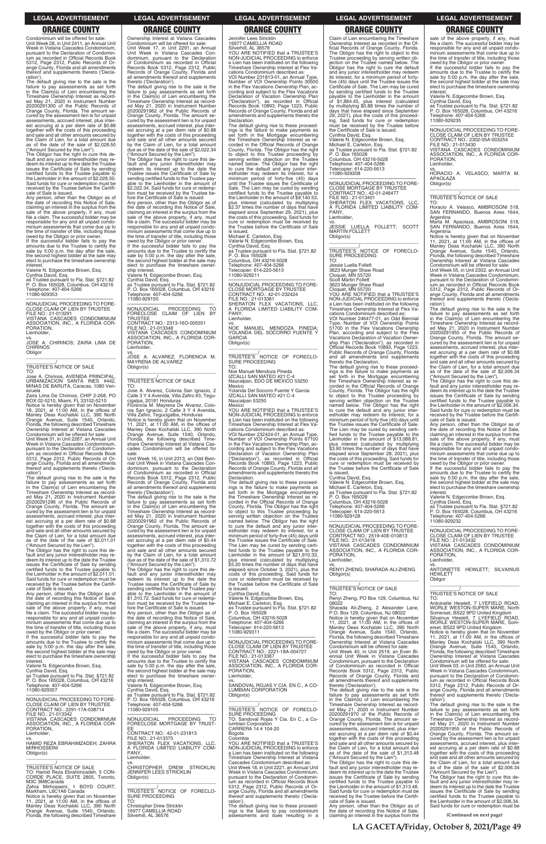Condominium will be offered for sale: Unit Week 28, in Unit 2411, an Annual Unit Week in Vistana Cascades Condominium, pursuant to the Declaration of Condomin ium as recorded in Official Records Book 5312, Page 2312, Public Records of Orange County, Florida and all amendments thereof and supplements thereto ('Declaration').

The default giving rise to the sale is the failure to pay assessments as set forth in the Claim(s) of Lien encumbering the Timeshare Ownership Interest as record-ed May 21, 2020 in Instrument Number 20200291300 of the Public Records of Orange County, Florida. The amount se-cured by the assessment lien is for unpaid assessments, accrued interest, plus interest accruing at a per diem rate of \$0.88 together with the costs of this proceeding and sale and all other amounts secured by the Claim of Lien, for a total amount due as of the date of the sale of \$2,028.50 ("Amount Secured by the Lien").

CLOSE CLAIM OF LIEN BY TRUSTEE FILE NO.: 21-013291 VISTANA CASCADES CONDOMINIUM ASSOCIATION, INC., A FLORIDA COR-PORATION, **Lienholder** 

The Obligor has the right to cure this de-fault and any junior interestholder may redeem its interest up to the date the Trustee issues the Certificate of Sale by sending certified funds to the Trustee payable to the Lienholder in the amount of \$2,028.50. Said funds for cure or redemption must be received by the Trustee before the Certificate of Sale is issued.

vs. JOSE A. CHIRINOS; ZAIRA LIMA DE **CHIRINOS Obligor** 

Any person, other than the Obligor as of the date of recording this Notice of Sale, claiming an interest in the surplus from the sale of the above property, if any, must file a claim. The successful bidder may be responsible for any and all unpaid condominium assessments that come due up to the time of transfer of title, including those

owed by the Obligor or prior owner. If the successful bidder fails to pay the amounts due to the Trustee to certify the sale by 5:00 p.m. the day after the sale, the second highest bidder at the sale may elect to purchase the timeshare ownership interest.

Valerie N. Edgecombe Brown, Esq. Cynthia David, Esq.

as Trustee pursuant to Fla. Stat. §721.82 P. O. Box 165028, Columbus, OH 43216 Telephone: 407-404-5266

11080-929353 —————————————————— NONJUDICIAL PROCEEDING TO FORE-

\_\_\_\_\_\_\_\_\_\_\_\_\_\_\_\_\_\_\_\_\_\_\_\_\_\_\_\_\_\_\_\_\_

\_\_\_\_\_\_\_\_\_\_\_/ TRUSTEE'S NOTICE OF SALE TO:

Jose A. Chirinos, AVENIDA PRINCIPAL, URBANIZACION SANTA INES #442, MINAS DE BARUTA, Caracas, 1080 Venezuela

Zaira Lima De Chirinos, CHIP 2-268, PO BOX 02-5210, Miami, FL 33102-5210 Notice is hereby given that on November 18, 2021, at 11:00 AM, in the offices of Manley Deas Kochalski LLC, 390 North Orange Avenue, Suite 1540, Orlando, Florida, the following described Timeshare Ownership Interest at Vistana Cascades Condominium will be offered for sale:

Unit Week 31, in Unit 2267, an Annual Unit Week in Vistana Cascades Condominium, pursuant to the Declaration of Condominium as recorded in Official Records Book 5312, Page 2312, Public Records of Or-ange County, Florida and all amendments thereof and supplements thereto ('Decla-

ration'). The default giving rise to the sale is the failure to pay assessments as set forth in the Claim(s) of Lien encumbering the Timeshare Ownership Interest as recorded May 21, 2020 in Instrument Number 20200291296 of the Public Records of Orange County, Florida. The amount secured by the assessment lien is for unpaid assessments, accrued interest, plus inter-est accruing at a per diem rate of \$0.88 together with the costs of this proceeding and sale and all other amounts secured by the Claim of Lien, for a total amount due as of the date of the sale of \$2,011.01

("Amount Secured by the Lien"). The Obligor has the right to cure this default and any junior interestholder may re-deem its interest up to the date the Trustee issues the Certificate of Sale by sending certified funds to the Trustee payable to the Lienholder in the amount of \$2,011.01. Said funds for cure or redemption must be received by the Trustee before the Certifi-

cate of Sale is issued. Any person, other than the Obligor as of the date of recording this Notice of Sale, claiming an interest in the surplus from the sale of the above property, if any, must file a claim. The successful bidder may be

nia San Ignacio, 2 Calle 3 Y 4 Avenida,<br>Villa Zafiro, Tegucigalba, Honduras<br>Notice is hereby given that on November<br>11, 2021, at 11:00 AM, in the offices of<br>Manley Deas Kochalski LLC, 390 North<br>Orange Avenue, Suite 1540, O Florida, the following described Time-share Ownership Interest at Vistana Cas-cades Condominium will be offered for

Ownership Interest at Vistana Cascades Condominium will be offered for sale: Unit Week 17, in Unit 2291, an Annual Unit Week in Vistana Cascades Condominium, pursuant to the Declaration of Condominium as recorded in Official Records Book 5312, Page 2312, Public Records of Orange County, Florida and all amendments thereof and supplements

thereto ('Declaration'). The default giving rise to the sale is the failure to pay assessments as set forth in the Claim(s) of Lien encumbering the Timeshare Ownership Interest as recorded May 21, 2020 in Instrument Number 20200291962 of the Public Records of Orange County, Florida. The amount secured by the assessment lien is for unpaid assessments, accrued interest, plus inter-est accruing at a per diem rate of \$0.88 together with the costs of this proceeding and sale and all other amounts secured by the Claim of Lien, for a total amount due as of the date of the sale of \$2,022.34

> Michael E. Carleton, Esq. Valerie N. Edgecombe Brown, Esq. Cynthia David, Esq. as Trustee pursuant to Fla. Stat. §721.82 P. O. Box 165028 Columbus, OH 43216-5028 Telephone: 407-404-5266

Noe Manuel Mendoza Pineda IZCALLI SAN MATEO #21 C Naucalpan, EDO DE MEXICO 53250 Mexico

("Amount Secured by the Lien"). The Obligor has the right to cure this default and any junior interestholder may redeem its interest up to the date the Trustee issues the Certificate of Sale by sending certified funds to the Trustee payable to the Lienholder in the amount of \$2,022.34. Said funds for cure or redemption must be received by the Trustee be-fore the Certificate of Sale is issued. Any person, other than the Obligor as of

the date of recording this Notice of Sale, claiming an interest in the surplus from the sale of the above property, if any, must file a claim. The successful bidder may be responsible for any and all unpaid condo-minium assessments that come due up to the time of transfer of title, including those owed by the Obligor or prior owner. If the successful bidder fails to pay the

amounts due to the Trustee to certify the sale by 5:00 p.m. the day after the sale, the second highest bidder at the sale may elect to purchase the timeshare ownership interest. Valerie N. Edgecombe Brown, Esq.

Cynthia David, Esq. as Trustee pursuant to Fla. Stat. §721.82 P. O. Box 165028, Columbus, OH 43216 Telephone: 407-404-5266 11080-929150

—————————————————— NONJUDICIAL PROCEEDING TO FORECLOSE CLAIM OF LIEN BY **TRUSTEE** CONTRACT NO.: 2313-16O-005551 FILE NO.: 21-013348 VISTANA CASCADES CONDOMINIUM ASSOCIATION, INC., A FLORIDA COR-PORATION, Lienholder,

vs. JOSE A. ALVAREZ; FLORENCIA M. MAYRENA DE ALVAREZ Obligor(s) \_\_\_\_\_\_\_\_\_\_\_\_\_\_\_\_\_\_\_\_\_\_\_\_\_\_\_\_\_\_\_\_\_

### \_\_\_\_\_\_\_\_\_\_\_/ TRUSTEE'S NOTICE OF SALE

TO: Iose A. Alvarez, Colonia San Ignacio, 2 Calle 3 Y 4 Avenida, Villa Zafiro #3, Tegucigalpa, 20181 Honduras Florencia M. Mayrena De Alvarez, Colo-

—————————————————— NONJUDICIAL PROCEEDING TO FORE-CLOSE MORTGAGE BY TRUSTEE CONTRACT NO.: 42-01-246477 FILE NO.: 21-013401 SHERATON FLEX VACATIONS, LLC, A FLORIDA LIMITED LIABILITY COM-PANY

Lienholder.

sale: Unit Week 16, in Unit 2313, an Odd Bien-nial Unit Week in Vistana Cascades Condominium, pursuant to the Declaration of Condominium as recorded in Official Records Book 5312, Page 2312, Public Records of Orange County, Florida and all amendments thereof and supplements thereto ('Declaration').

The default giving rise to the sale is the failure to pay assessments as set forth in the Claim(s) of Lien encumbering the Timeshare Ownership Interest as recorded May 21, 2020 in Instrument Number 20200291962 of the Public Records of Orange County, Florida. The amount se-cured by the assessment lien is for unpaid assessments, accrued interest, plus interest accruing at a per diem rate of \$0.44 together with the costs of this proceeding and sale and all other amounts secured by the Claim of Lien, for a total amount due as of the date of the sale of \$1,310.72 ("Amount Secured by the Lien").

The Obligor has the right to cure this de-fault and any junior interestholder may redeem its interest up to the date the Trustee issues the Certificate of Sale by sending certified funds to the Trustee pay-able to the Lienholder in the amount of \$1,310.72. Said funds for cure or redemption must be received by the Trustee be-fore the Certificate of Sale is issued.

TO: Renyi Zheng, PO Box 129, Columbus, NJ 08022

Jennifer Lees Stricklin 16977 CAMELLIA ROAD

as Trustee pursuant to Fla. Stat. §721.82<br>P. O. Box 165028 Calina P. O. Box 165028, Columbus, OH 43216 Telephone: 407-404-5266 11080-929235

Silverhill, AL 36576 YOU ARE NOTIFIED that a TRUSTEE'S NON-JUDICIAL PROCEEDING to enforce a Lien has been instituted on the following Timeshare Ownership Interest at Flex Va-cations Condominium described as:

VOI Number 231813-01, an Annual Type, Number of VOI Ownership Points 30500 in the Flex Vacations Ownership Plan, according and subject to the Flex Vacations Declaration of Vacation Ownership Plan ("Declaration"), as recorded in Official Records Book 10893, Page 1223, Public Records of Orange County, Florida and all amendments and supplements thereto the Declaration.

> The Obligor has the right to cure this default and any junior interestholder may re-deem its interest up to the date the Trustee issues the Certificate of Sale by sending certified funds to the Trustee payable to the Lienholder in the amount of \$2,006.34. Said funds for cure or redemption must be received by the Trustee before the Certifi-cate of Sale is issued.

The default giving rise to these proceed-ings is the failure to make payments as set forth in the Mortgage encumbering the Timeshare Ownership Interest as re-corded in the Official Records of Orange County, Florida. The Obligor has the right to object to this Trustee proceeding by serving written objection on the Trustee named below. The Obligor has the right to cure the default and any junior inter-estholder may redeem its interest, for a minimum period of forty-five (45) days until the Trustee issues the Certificate of Sale. The Lien may be cured by sending certified funds to the Trustee payable to the Lienholder in the amount of \$9,140.53, plus interest (calculated by multiplying \$2.37 times the number of days that have elapsed since September 29, 2021), plus the costs of this proceeding. Said funds for cure or redemption must be received by the Trustee before the Certificate of Sale is issued.

Telecopier: 614-220-5613 11080-929211

—————————————————— NONJUDICIAL PROCEEDING TO FORE-LOSE MORTGAGE BY CONTRACT NO.: 42-01-232424 FILE NO.: 21-013381 SHERATON FLEX VACATIONS, LLC, A FLORIDA LIMITED LIABILITY COM-PANY, Lienholder,

vs. NOE MANUEL MENDOZA PINEDA; YOLANDA DEL SOCORRO FUENTE Y GARCIA Obligor(s)

\_\_\_\_\_\_\_\_\_\_\_\_\_\_\_\_\_\_\_\_\_\_\_\_\_\_\_\_\_\_\_\_\_ \_\_\_\_\_\_\_\_\_\_\_/ TRUSTEE'S NOTICE OF FORECLO-SURE PROCEEDING TO:

Yolanda Del Socorro Fuente Y Garcia IZCALLI SAN MATEO #21 C-4 Naucalpan 53250

Mexico YOU ARE NOTIFIED that a TRUSTEE'S NON-JUDICIAL PROCEEDING to enforce a Lien has been instituted on the following Timeshare Ownership Interest at Flex Vacations Condominium described as: VOI Number 232424-01, an Annual Type, Number of VOI Ownership Points 67100 in the Flex Vacations Ownership Plan, ac-cording and subject to the Flex Vacations Declaration of Vacation Ownership Plan<br>("Declaration") as recorded in Official ("Declaration"), as recorded in Official Records Book 10893, Page 1223, Public Records of Orange County, Florida and all amendments and supplements thereto the Declaration.

The default giving rise to these proceed-ings is the failure to make payments as set forth in the Mortgage encumbering the Timeshare Ownership Interest as re-corded in the Official Records of Orange County, Florida. The Obligor has the right to object to this Trustee proceeding by serving written objection on the Trustee named below. The Obligor has the right to cure the default and any junior inter-estholder may redeem its interest, for a minimum period of forty-five (45) days until the Trustee issues the Certificate of Sale. The Lien may be cured by sending certi-fied funds to the Trustee payable to the Lienholder in the amount of \$21,910.33, plus interest (calculated by multiplying \$5.20 times the number of days that have elapsed since October 3, 2021), plus the costs of this proceeding. Said funds for cure or redemption must be received by the Trustee before the Certificate of Sale is issued.

Cynthia David, Esq.

Valerie N. Edgecombe Brown, Esq. Michael E. Carleton, Esq. as Trustee pursuant to Fla. Stat. §721.82 P. O. Box 165028

|                                                                     | file a claim. The successful bidder may be<br>responsible for any and all unpaid condo-<br>minium assessments that come due up to<br>the time of transfer of title, including those<br>owed by the Obligor or prior owner.                                                                                                                                                                                                                                                                                       | Any person, other than the Obligor as of<br>the date of recording this Notice of Sale,<br>claiming an interest in the surplus from the<br>sale of the above property, if any, must<br>file a claim. The successful bidder may be                                                                                                                                                                                                                                                                                              | P. O. Box 165028<br>Columbus, OH 43216-5028<br>Telephone: 407-404-5266<br>Telecopier: 614-220-5613<br>11080-929311                                                                                                                                                                                                                                                                                                                                                                                                                                                                                                                                                                                                  | P.O. Box 129, Columbus, NJ 08022<br>Notice is hereby given that on November<br>11, 2021, at 11:00 AM, in the offices of<br>Manley Deas Kochalski LLC, 390 North<br>Orange Avenue, Suite 1540, Orlando,                                                                                                                                                                                                                                                                                                                                                                                                                                                                                                                                                                                                                                                                                                                                                                                                                               | Somerset, BS22 9PD United Kingdom<br>Silvainus Hewlett. 7 LYEFIELD ROAD.<br>WORLE WESTON-SUPER MARE, Som-<br>erset, BS22 9PD United Kingdom<br>Notice is hereby given that on November                                                                                                                                                                                                                                                                                                                                                                                                                                                                                                                                                                                                                                                                                                                                                                                                                               |
|---------------------------------------------------------------------|------------------------------------------------------------------------------------------------------------------------------------------------------------------------------------------------------------------------------------------------------------------------------------------------------------------------------------------------------------------------------------------------------------------------------------------------------------------------------------------------------------------|-------------------------------------------------------------------------------------------------------------------------------------------------------------------------------------------------------------------------------------------------------------------------------------------------------------------------------------------------------------------------------------------------------------------------------------------------------------------------------------------------------------------------------|---------------------------------------------------------------------------------------------------------------------------------------------------------------------------------------------------------------------------------------------------------------------------------------------------------------------------------------------------------------------------------------------------------------------------------------------------------------------------------------------------------------------------------------------------------------------------------------------------------------------------------------------------------------------------------------------------------------------|--------------------------------------------------------------------------------------------------------------------------------------------------------------------------------------------------------------------------------------------------------------------------------------------------------------------------------------------------------------------------------------------------------------------------------------------------------------------------------------------------------------------------------------------------------------------------------------------------------------------------------------------------------------------------------------------------------------------------------------------------------------------------------------------------------------------------------------------------------------------------------------------------------------------------------------------------------------------------------------------------------------------------------------|----------------------------------------------------------------------------------------------------------------------------------------------------------------------------------------------------------------------------------------------------------------------------------------------------------------------------------------------------------------------------------------------------------------------------------------------------------------------------------------------------------------------------------------------------------------------------------------------------------------------------------------------------------------------------------------------------------------------------------------------------------------------------------------------------------------------------------------------------------------------------------------------------------------------------------------------------------------------------------------------------------------------|
| interest.<br>11080-929357                                           | If the successful bidder fails to pay the<br>amounts due to the Trustee to certify the<br>sale by 5:00 p.m. the day after the sale,<br>the second highest bidder at the sale may<br>elect to purchase the timeshare ownership<br>Valerie N. Edgecombe Brown, Esq.<br>Cynthia David, Esg.<br>as Trustee pursuant to Fla. Stat. §721.82<br>P. O. Box 165028, Columbus, OH 43216<br>Telephone: 407-404-5266                                                                                                         | responsible for any and all unpaid condo-<br>minium assessments that come due up to<br>the time of transfer of title, including those<br>owed by the Obligor or prior owner.<br>If the successful bidder fails to pay the<br>amounts due to the Trustee to certify the<br>sale by 5:00 p.m. the day after the sale,<br>the second highest bidder at the sale may<br>elect to purchase the timeshare owner-<br>ship interest.<br>Valerie N. Edgecombe Brown, Esg.<br>Cynthia David, Esg.                                       | NONJUDICIAL PROCEEDING TO FORE-<br>CLOSE CLAIM OF LIEN BY TRUSTEE<br>CONTRACT NO.: 2221-18A-004727<br>FILE NO.: 21-013387<br>VISTANA CASCADES CONDOMINIUM<br>ASSOCIATION, INC., A FLORIDA COR-<br>PORATION.<br>Lienholder.<br>SANDOVAL ROJAS Y CIA. EN C., A CO-<br>LUMBIAN CORPORATION                                                                                                                                                                                                                                                                                                                                                                                                                             | Florida, the following described Timeshare<br>Ownership Interest at Vistana Cascades<br>Condominium will be offered for sale:<br>Unit Week 40, in Unit 2519, an Even Bi-<br>ennial Unit Week in Vistana Cascades<br>Condominium, pursuant to the Declaration<br>of Condominium as recorded in Official<br>Records Book 5312, Page 2312, Public<br>Records of Orange County, Florida and<br>all amendments thereof and supplements<br>thereto ('Declaration').<br>The default giving rise to the sale is the                                                                                                                                                                                                                                                                                                                                                                                                                                                                                                                          | 11, 2021, at 11:00 AM, in the offices of<br>Manley Deas Kochalski LLC, 390 North<br>Orange Avenue, Suite 1540, Orlando,<br>Florida, the following described Timeshare<br>Ownership Interest at Vistana Cascades<br>Condominium will be offered for sale:<br>Unit Week 03. in Unit 2560, an Annual Unit<br>Week in Vistana Cascades Condominium.<br>pursuant to the Declaration of Condomin-<br>jum as recorded in Official Records Book<br>5312, Page 2312, Public Records of Or-<br>ange County, Florida and all amendments                                                                                                                                                                                                                                                                                                                                                                                                                                                                                         |
| PORATION.<br>Lienholder,<br>VS.<br><b>MIRHOSSEINI</b><br>Obligor(s) | NONJUDICIAL PROCEEDING TO FORE-<br>CLOSE CLAIM OF LIEN BY TRUSTEE<br>CONTRACT NO.: 2291-17A-038714<br>FILE NO.: 21-013342<br>VISTANA CASCADES CONDOMINIUM<br>ASSOCIATION, INC., A FLORIDA COR-<br>HAMID REZA EBRAHIMZADEH: ZAHRA<br>TRUSTEE'S NOTICE OF SALE<br>TO: Hamid Reza Ebrahimzadeh, 5 CON-<br>CORDE PLACE, SUITE 2805, Toronto,<br>M3C 3M8Canada<br>Zahra Mirhosseini. 1 BOYD COURT.<br>Markham, L6C1A6 Canada<br>Notice is hereby given that on November<br>11, 2021, at $11:00$ AM, in the offices of | as Trustee pursuant to Fla. Stat. §721.82<br>P. O. Box 165028, Columbus, OH 43216<br>Telephone: 407-404-5266<br>11080-929105<br><b>NONJUDICIAL</b><br>PROCEEDING<br><b>TO</b><br>FORECLOSE MORTGAGE BY TRUST-<br>EE.<br>CONTRACT NO.: 42-01-231813<br>FILE NO.: 21-013375<br>SHERATON FLEX VACATIONS. LLC.<br>A FLORIDA LIMITED LIABILITY COM-<br>PANY.<br>Lienholder.<br>VS.<br>CHRISTOPHER DREW STRICKLIN:<br><b>JENNIFER LEES STRICKLIN</b><br>Obligor(s)<br>TRUSTEE'S NOTICE OF FORECLO-<br><b>SURE PROCEEDING</b><br>TO: | Obligor(s)<br>TRUSTEE'S NOTICE OF FORECLO-<br>SURE PROCEEDING<br>TO: Sandoval Rojas Y Cia. En C., a Co-<br>lumbian Corporation<br>CARRERA 14 # 104-20<br>Bogota<br>Colombia<br>YOU ARE NOTIFIED that a TRUSTEE'S<br>NON-JUDICIAL PROCEEDING to enforce<br>a Lien has been instituted on the following<br>Timeshare Ownership Interest at Vistana<br>Cascades Condominium described as:<br>Unit Week 18, in Unit 2221, an Annual Unit<br>Week in Vistana Cascades Condominium,<br>pursuant to the Declaration of Condomin-<br>ium as recorded in Official Records Book<br>5312, Page 2312, Public Records of Or-<br>ange County, Florida and all amendments<br>thereof and supplements thereto ('Decla-<br>ration'). | failure to pay assessments as set forth<br>in the Claim(s) of Lien encumbering the<br>Timeshare Ownership Interest as record-<br>ed May 21, 2020 in Instrument Number<br>20200291970 of the Public Records of<br>Orange County, Florida. The amount se-<br>cured by the assessment lien is for unpaid<br>assessments, accrued interest, plus inter-<br>est accruing at a per diem rate of \$0.44<br>together with the costs of this proceeding<br>and sale and all other amounts secured by<br>the Claim of Lien, for a total amount due<br>as of the date of the sale of \$1,313.48<br>("Amount Secured by the Lien").<br>The Obligor has the right to cure this de-<br>fault and any junior interestholder may re-<br>deem its interest up to the date the Trustee<br>issues the Certificate of Sale by sending<br>certified funds to the Trustee payable to<br>the Lienholder in the amount of \$1,313.48.<br>Said funds for cure or redemption must be<br>received by the Trustee before the Certifi-<br>cate of Sale is issued. | thereof and supplements thereto ('Decla-<br>ration').<br>The default giving rise to the sale is the<br>failure to pay assessments as set forth<br>in the Claim(s) of Lien encumbering the<br>Timeshare Ownership Interest as record-<br>ed May 21, 2020 in Instrument Number<br>20200291955 of the Public Records of<br>Orange County, Florida. The amount se-<br>cured by the assessment lien is for unpaid<br>assessments, accrued interest, plus inter-<br>est accruing at a per diem rate of \$0.88<br>together with the costs of this proceeding<br>and sale and all other amounts secured by<br>the Claim of Lien, for a total amount due<br>as of the date of the sale of \$2,006.34<br>("Amount Secured by the Lien").<br>The Obligor has the right to cure this de-<br>fault and any junior interestholder may re-<br>deem its interest up to the date the Trustee<br>issues the Certificate of Sale by sending<br>certified funds to the Trustee pavable to<br>the Lienholder in the amount of \$2,006.34. |
|                                                                     | Manley Deas Kochalski LLC, 390 North<br>Orange Avenue, Suite 1540, Orlando,<br>Florida, the following described Timeshare                                                                                                                                                                                                                                                                                                                                                                                        | Christopher Drew Stricklin<br>16977 CAMELLIA ROAD<br>Silverhill, AL 36576                                                                                                                                                                                                                                                                                                                                                                                                                                                     | The default giving rise to these proceed-<br>ings is the failure to pay condominium<br>assessments and dues resulting in a                                                                                                                                                                                                                                                                                                                                                                                                                                                                                                                                                                                          | Any person, other than the Obligor as of<br>the date of recording this Notice of Sale.<br>claiming an interest in the surplus from the                                                                                                                                                                                                                                                                                                                                                                                                                                                                                                                                                                                                                                                                                                                                                                                                                                                                                               | Said funds for cure or redemption must be<br>(Continued on next page)                                                                                                                                                                                                                                                                                                                                                                                                                                                                                                                                                                                                                                                                                                                                                                                                                                                                                                                                                |

Claim of Lien encumbering the Timeshare Ownership Interest as recorded in the Official Records of Orange County, Florida. The Obligor has the right to object to this Trustee proceeding by serving written objection on the Trustee named below. The Obligor has the right to cure the default and any junior interestholder may redeem its interest, for a minimum period of fortyfive (45) days until the Trustee issues the Certificate of Sale. The Lien may be cured by sending certified funds to the Trustee payable to the Lienholder in the amount of \$1,884.45, plus interest (calculated by multiplying \$0.88 times the number of days that have elapsed since September 29, 2021), plus the costs of this proceeding. Said funds for cure or redemption must be received by the Trustee before the Certificate of Sale is issued.

Cynthia David, Esq. Valerie N. Edgecombe Brown, Esq. Michael E. Carleton, Esq. as Trustee pursuant to Fla. Stat. §721.82 P. O. Box 165028 Columbus, OH 43216-5028 Telephone: 407-404-5266 Telecopier: 614-220-5613 11080-929208

vs. JESSIE LUELLA FOLLETT; SCOTT MARTIN FOLLETT Obligor(s) \_\_\_\_\_\_\_\_\_\_\_\_\_\_\_\_\_\_\_\_\_\_\_\_\_\_\_\_\_\_\_\_\_

\_\_\_\_\_\_\_\_\_\_\_/ TRUSTEE'S NOTICE OF FORECLO-SURE PROCEEDING TO:

Jessie Luella Follett 3623 Munger Shaw Road Cloquet, MN 55720

Scott Martin Follett

3623 Munger Shaw Road Cloquet, MN 55720

YOU ARE NOTIFIED that a TRUSTEE'S NON-JUDICIAL PROCEEDING to enforce a Lien has been instituted on the following Timeshare Ownership Interest at Flex Va-

cations Condominium described as: VOI Number 246477-01, an Odd Biennial Type, Number of VOI Ownership Points 51700 in the Flex Vacations Ownership Plan, according and subject to the Flex Vacations Declaration of Vacation Ownership Plan ("Declaration"), as recorded in Official Records Book 10893, Page 1223, Public Records of Orange County, Florida and all amendments and supplements thereto the Declaration.

The default giving rise to these proceed-ings is the failure to make payments as set forth in the Mortgage encumbering the Timeshare Ownership Interest as re-corded in the Official Records of Orange County, Florida. The Obligor has the right to object to this Trustee proceeding by serving written objection on the Trustee named below. The Obligor has the right to cure the default and any junior inter-estholder may redeem its interest, for a minimum period of forty-five (45) days until the Trustee issues the Certificate of Sale. The Lien may be cured by sending certi-fied funds to the Trustee payable to the Lienholder in the amount of \$13,088.81, plus interest (calculated by multiplying \$3.90 times the number of days that have elapsed since September 28, 2021), plus the costs of this proceeding. Said funds for cure or redemption must be received by the Trustee before the Certificate of Sale is issued.

Cynthia David, Esq.

Valerie N. Edgecombe Brown, Esq. Michael E. Carleton, Esq. as Trustee pursuant to Fla. Stat. §721.82

P. O. Box 165028

Columbus, OH 43216-5028 Telephone: 407-404-5266 Telecopier: 614-220-5613 11080-929128

—————————————————— NONJUDICIAL PROCEEDING TO FORE-CLOSE CLAIM OF LIEN BY TRUSTEE CONTRACT NO.: 2519-40E-010813 FILE NO.: 21-013418 VISTANA CASCADES CONDOMINIUM ASSOCIATION, INC., A FLORIDA COR-PORATION, Lienholder,

vs. RENYI ZHENG; SHARADA ALI-ZHENG Obligor(s) \_\_\_\_\_\_\_\_\_\_\_\_\_\_\_\_\_\_\_\_\_\_\_\_\_\_\_\_\_\_\_\_\_

# \_\_\_\_\_\_\_\_\_\_\_/ TRUSTEE'S NOTICE OF SALE

Sharada Ali-Zheng, 2 Alexander Lane, P.O. Box 129, Columbus, NJ 08022 Notice is hereby given that on November

sale of the above property, if any, must file a claim. The successful bidder may be responsible for any and all unpaid condominium assessments that come due up to the time of transfer of title, including those owed by the Obligor or prior owner.

If the successful bidder fails to pay the amounts due to the Trustee to certify the sale by 5:00 p.m. the day after the sale, the second highest bidder at the sale may elect to purchase the timeshare ownership interest.

Valerie N. Edgecombe Brown, Esq. Cynthia David, Esq.

—————————————————— NONJUDICIAL PROCEEDING TO FORE-CLOSE CLAIM OF LIEN BY TRUSTEE CONTRACT NO.: 2302-05A-003254 FILE NO.: 21-013430

VISTANA CASCADES CONDOMINIUM ASSOCIATION, INC., A FLORIDA COR-PORATION, Lienholder,

vs. HORACIO A. VELASCO; MARTA M. APAOLAZA Obligor(s) \_\_\_\_\_\_\_\_\_\_\_\_\_\_\_\_\_\_\_\_\_\_\_\_\_\_\_\_\_\_\_\_\_

### \_\_\_\_\_\_\_\_\_\_\_/ TRUSTEE'S NOTICE OF SALE

TO: Horacio A. Velasco, AMBROSONI 518, SAN FERNANDO, Buenos Aires 1644, Argentina

Marta M. Apaolaza, AMBROSONI 518, SAN FERNANDO, Buenos Aires 1644, Argentina

Notice is hereby given that on November 11, 2021, at 11:00 AM, in the offices of Manley Deas Kochalski LLC, 390 North Orange Avenue, Suite 1540, Orlando, Florida, the following described Timeshare Ownership Interest at Vistana Cascades Condominium will be offered for sale:

Unit Week 05, in Unit 2302, an Annual Unit Week in Vistana Cascades Condominium, pursuant to the Declaration of Condominium as recorded in Official Records Book 5312, Page 2312, Public Records of Orange County, Florida and all amendments thereof and supplements thereto ('Decla-

ration'). The default giving rise to the sale is the failure to pay assessments as set forth in the Claim(s) of Lien encumbering the Timeshare Ownership Interest as recorded May 21, 2020 in Instrument Number 20200291955 of the Public Records of Orange County, Florida. The amount secured by the assessment lien is for unpaid assessments, accrued interest, plus interest accruing at a per diem rate of \$0.88 together with the costs of this proceeding and sale and all other amounts secured by the Claim of Lien, for a total amount due as of the date of the sale of \$2,006.34 ("Amount Secured by the Lien").

Any person, other than the Obligor as of the date of recording this Notice of Sale, claiming an interest in the surplus from the sale of the above property, if any, must file a claim. The successful bidder may be responsible for any and all unpaid condominium assessments that come due up to the time of transfer of title, including those owed by the Obligor or prior owner.

If the successful bidder fails to pay the amounts due to the Trustee to certify the sale by 5:00 p.m. the day after the sale, the second highest bidder at the sale may elect to purchase the timeshare ownership

interest. Valerie N. Edgecombe Brown, Esq. Cynthia David, Esq. as Trustee pursuant to Fla. Stat. §721.82 P. O. Box 165028, Columbus, OH 43216

Telephone: 407-404-5266 11080-929232

—————————————————— NONJUDICIAL PROCEEDING TO FORE-CLOSE CLAIM OF LIEN BY TRUSTEE FILE NO.: 21-013432 VISTANA CASCADES CONDOMINIUM ASSOCIATION, INC., A FLORIDA COR-PORATION, Lienholder,

vs. ANTOINETTE HEWLETT; SILVAINUS **HEWLETT** Obligor \_\_\_\_\_\_\_\_\_\_\_\_\_\_\_\_\_\_\_\_\_\_\_\_\_\_\_\_\_\_\_\_\_

\_\_\_\_\_\_\_\_\_\_\_/ TRUSTEE'S NOTICE OF SALE

TO:

Antoinette Hewlett, 7 LYEFIELD ROAD, WORLE WESTON-SUPER MARE, North Somerset, BS22 9PD United Kingdom

**LA GACETA/Friday, October 8, 2021/Page 49**

### **LEGAL ADVERTISEMENT LEGAL ADVERTISEMENT LEGAL ADVERTISEMENT LEGAL ADVERTISEMENT LEGAL ADVERTISEMENT**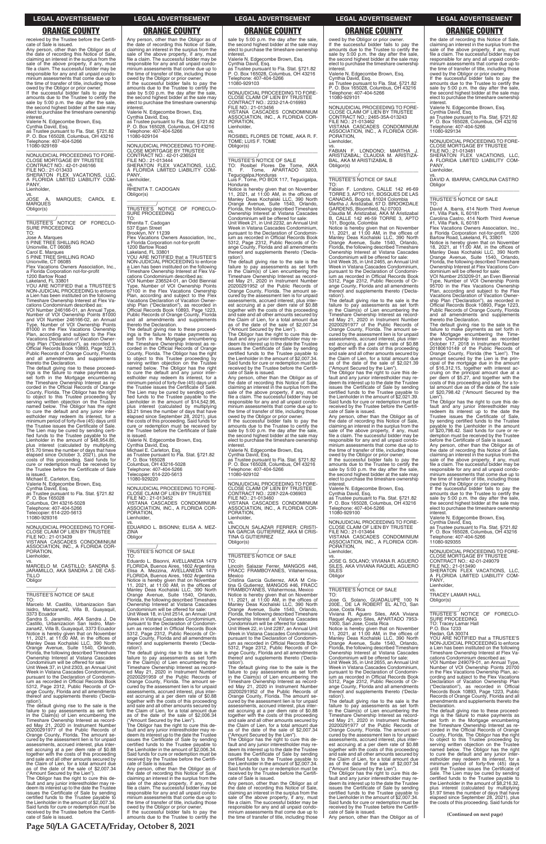received by the Trustee before the Certifi-

cate of Sale is issued. Any person, other than the Obligor as of the date of recording this Notice of Sale, claiming an interest in the surplus from the sale of the above property, if any, must file a claim. The successful bidder may be responsible for any and all unpaid condo-minium assessments that come due up to the time of transfer of title, including those

owed by the Obligor or prior owner. If the successful bidder fails to pay the amounts due to the Trustee to certify the sale by 5:00 p.m. the day after the sale, the second highest bidder at the sale may elect to purchase the timeshare ownership interest.

vs.<br>JOSE A. MARQUES; CAROL E. MARQUES Obligor(s) \_\_\_\_\_\_\_\_\_\_\_\_\_\_\_\_\_\_\_\_\_\_\_\_\_\_\_\_\_\_\_\_\_

\_\_\_\_\_\_\_\_\_\_\_/<br>TRUSTEE'S NOTICE OF FORECLO-<br>SURE PROCEEDING TO:

Valerie N. Edgecombe Brown, Esq. Cynthia David, Esq.

as Trustee pursuant to Fla. Stat. §721.82 P. O. Box 165028, Columbus, OH 43216 Telephone: 407-404-5266 11080-929169

cations Condominium described as: VOI Number 246166-01, an Annual Type, Number of VOI Ownership Points 81000 and VOI Number 246166-02, an Annual Type, Number of VOI Ownership Points 81000 in the Flex Vacations Ownership Plan, according and subject to the Flex<br>Vacations Declaration of Vacation Owner-<br>ship Plan ("Declaration"), as recorded in<br>Official Records Book 10893, Page 1223,<br>Public Records of Orange County, Florida<br>and all amendments

—————————————————— NONJUDICIAL PROCEEDING TO FORE-CLOSE MORTGAGE BY TRUSTEE CONTRACT NO.: 42-01-246166 FILE NO.: 21-013433 SHERATON FLEX VACATIONS, LLC, A FLORIDA LIMITED LIABILITY COM-A FLC<br>PANY, Lienholder,

Jose A. Marques 5 PINE TREE SHILLING ROAD

Unionville, CT 06085 Carol E. Marques 5 PINE TREE SHILLING ROAD

Unionville, CT 06085 Flex Vacations Owners Association, Inc., a Florida Corporation not-for-profit

1200 Bartow Road Lakeland, FL 33801 YOU ARE NOTIFIED that a TRUSTEE'S

NON-JUDICIAL PROCEEDING to enforce a Lien has been instituted on the following Timeshare Ownership Interest at Flex Va-

—————————————————— NONJUDICIAL PROCEEDING TO FORE-CLOSE CLAIM OF LIEN BY TRUSTEE FILE NO.: 21-013439 VISTANA CASCADES CONDOMINIUM ASSOCIATION, INC., A FLORIDA COR-PORATION, **Lienholder** 

thereto the Declaration. The default giving rise to these proceed-ings is the failure to make payments as set forth in the Mortgage encumbering the Timeshare Ownership Interest as re-corded in the Official Records of Orange County, Florida. The Obligor has the right to object to this Trustee proceeding by serving written objection on the Trustee named below. The Obligor has the right to cure the default and any junior inter-estholder may redeem its interest, for a minimum period of forty-five (45) days until the Trustee issues the Certificate of Sale. The Lien may be cured by sending certified funds to the Trustee payable to the Lienholder in the amount of \$48,954.85, plus interest (calculated by multiplying \$15.70 times the number of days that have elapsed since October 3, 2021), plus the costs of this proceeding. Said funds for cure or redemption must be received by the Trustee before the Certificate of Sale is issued.

Michael E. Carleton, Fsn. Valerie N. Edgecombe Brown, Esq. Cynthia David, Esq. as Trustee pursuant to Fla. Stat. §721.82 P. O. Box 165028 Columbus, OH 43216-5028 Telephone: 407-404-5266 Telecopier: 614-220-5613 Telecopier: 614<br>11080-929316

\_\_\_\_\_\_\_\_\_\_\_/<br>TRUSTEE'S NOTICE OF FORECLO-<br>SURE PROCEEDING TO:

vs. MARCELO M. CASTILLO; SANDRA S. JARAMILLO, AKA SANDRA J. DE CAS-TILLO **Obligor** \_\_\_\_\_\_\_\_\_\_\_\_\_\_\_\_\_\_\_\_\_\_\_\_\_\_\_\_\_\_\_\_\_

## \_\_\_\_\_\_\_\_\_\_\_/ TRUSTEE'S NOTICE OF SALE

TO: Marcelo M. Castillo, Urbanizacion San Isidro, Manzana#2, Villa B, Guayaquil, 3373 Ecuador Sandra S. Jaramillo, AKA Sandra J. De

Castillo, Urbanizacion San Isidro, Manzana#2, Villa B, Guayaquil, 3373 Ecuador Notice is hereby given that on November 11, 2021, at 11:00 AM, in the offices of Manley Deas Kochalski LLC, 390 North Orange Avenue, Suite 1540, Orlando, Florida, the following described Timeshare Ownership Interest at Vistana Cascades Condominium will be offered for sale: Unit Week 37, in Unit 2303, an Annual Unit Week in Vistana Cascades Condominium, pursuant to the Declaration of Condominium as recorded in Official Records Book 5312, Page 2312, Public Records of Or-ange County, Florida and all amendments thereof and supplements thereto ('Declaration'). The default giving rise to the sale is the

failure to pay assessments as set forth in the Claim(s) of Lien encumbering the Timeshare Ownership Interest as recorded May 21, 2020 in Instrument Number 20200291977 of the Public Records of Orange County, Florida. The amount secured by the assessment lien is for unpaid assessments, accrued interest, plus inter-est accruing at a per diem rate of \$0.88 together with the costs of this proceeding and sale and all other amounts secured by the Claim of Lien, for a total amount due as of the date of the sale of \$2,007.34 ("Amount Secured by the Lien"). The Obligor has the right to cure this de-

fault and any junior interestholder may re-deem its interest up to the date the Trustee issues the Certificate of Sale by sending certified funds to the Trustee payable to the Lienholder in the amount of \$2,007.34. Said funds for cure or redemption must be received by the Trustee before the Certifi-cate of Sale is issued.

Any person, other than the Obligor as of the date of recording this Notice of Sale, claiming an interest in the surplus from the sale of the above property, if any, must file a claim. The successful bidder may be responsible for any and all unpaid condominium assessments that come due up to the time of transfer of title, including those owed by the Obligor or prior owner. If the successful bidder fails to pay the

amounts due to the Trustee to certify the sale by 5:00 p.m. the day after the sale, the second highest bidder at the sale may elect to purchase the timeshare ownership

interest. Valerie N. Edgecombe Brown, Esq.

Cynthia David, Esq. as Trustee pursuant to Fla. Stat. §721.82 P. O. Box 165028, Columbus, OH 43216 Telephone: 407-404-5266 11080-929104

—————————————————— NONJUDICIAL PROCEEDING TO FORE-CLOSE MORTGAGE BY TRUSTEE CONTRACT NO.: 42-01-236524 FILE NO.: 21-013444 SHERATON FLEX VACATIONS, LLC, A FLORIDA LIMITED LIABILITY COM-PANY, Lienholder, vs. RHENITA T. CADOGAN

Obligor(s) \_\_\_\_\_\_\_\_\_\_\_\_\_\_\_\_\_\_\_\_\_\_\_\_\_\_\_\_\_\_\_\_\_

Rhenita T. Cadogan 537 Egan Street

Brooklyn, NY 11239 Flex Vacations Owners Association, Inc., a Florida Corporation not-for-profit

1200 Bartow Road Lakeland, FL 33801 YOU ARE NOTIFIED that a TRUSTEE'S NON-JUDICIAL PROCEEDING to enforce a Lien has been instituted on the following Timeshare Ownership Interest at Flex Va-

cations Condominium described as: VOI Number 236524-01, an Odd Biennial Type, Number of VOI Ownership Points 67100 in the Flex Vacations Ownership Plan, according and subject to the Flex Vacations Declaration of Vacation Ownership Plan ("Declaration"), as recorded in Official Records Book 10893, Page 1223, Public Records of Orange County, Florida and all amendments and supplements thereto the Declaration. The default giving rise to these proceed-

ings is the failure to make payments as set forth in the Mortgage encumbering the Timeshare Ownership Interest as recorded in the Official Records of Orange County, Florida. The Obligor has the right to object to this Trustee proceeding by serving written objection on the Trustee named below. The Obligor has the right to cure the default and any junior interestholder may redeem its interest, for a minimum period of forty-five (45) days until the Trustee issues the Certificate of Sale. The Lien may be cured by sending certi-fied funds to the Trustee payable to the Lienholder in the amount of \$14,542.96, plus interest (calculated by multiplying \$3.21 times the number of days that have elapsed since September 28, 2021), plus the costs of this proceeding. Said funds for cure or redemption must be received by the Trustee before the Certificate of Sale is issued.

Valerie N. Edgecombe Brown, Esq. Cynthia David, Esq. Michael E. Carleton, Esq. as Trustee pursuant to Fla. Stat. §721.82 P. O. Box 165028 Columbus, OH 43216-5028 Telephone: 407-404-5266 Telecopier: 614-220-5613

11080-929220

—————————————————— NONJUDICIAL PROCEEDING TO FORE-CLOSE CLAIM OF LIEN BY TRUSTEE FILE NO.: 21-013452 VISTANA CASCADES CONDOMINIUM ASSOCIATION, INC., A FLORIDA COR-PORATION, Lienholder,

vs. EDUARDO L. BISONNI; ELISA A. MEZ-ZINA **Obligor** \_\_\_\_\_\_\_\_\_\_\_\_\_\_\_\_\_\_\_\_\_\_\_\_\_\_\_\_\_\_\_\_\_

vs.<br>FABIAN F. LONDONO; MARTHA J.<br>ARISTIZABAL; CLAUDIA M. ARISTIZA-BAL, AKA M ARISTIZABAL B Obligor(s)

### \_\_\_\_\_\_\_\_\_\_\_/ TRUSTEE'S NOTICE OF SALE

TO: Eduardo L. Bisonni, AVELLANEDA 1479 FLORIDA, Buenos Aires, 1602 Argentina Elisa A. Mezzina, AVELLANEDA 1479 FLORIDA, Buenos Aires, 1602 Argentina Notice is hereby given that on November 11, 2021, at 11:00 AM, in the offices of Manley Deas Kochalski LLC, 390 North Orange Avenue, Suite 1540, Orlando, Florida, the following described Timeshare Ownership Interest at Vistana Cascades Condominium will be offered for sale: Unit Week 18, in Unit 2514, an Annual Unit Week in Vistana Cascades Condominium,

sale by 5:00 p.m. the day after the sale. the second highest bidder at the sale may elect to purchase the timeshare ownership **interest** 

pursuant to the Declaration of Condominium as recorded in Official Records Book 5312, Page 2312, Public Records of Orange County, Florida and all amendments thereof and supplements thereto ('Declaration').

The Obligor has the right to cure this default and any junior interestholder may re-deem its interest up to the date the Trustee issues the Certificate of Sale by sending certified funds to the Trustee payable to the Lienholder in the amount of \$2,021.39. Said funds for cure or redemption must be received by the Trustee before the Certifi-cate of Sale is issued. Any person, other than the Obligor as of

The default giving rise to the sale is the failure to pay assessments as set forth in the Claim(s) of Lien encumbering the Timeshare Ownership Interest as record-ed May 21, 2020 in Instrument Number 20200291959 of the Public Records of Orange County, Florida. The amount se-cured by the assessment lien is for unpaid assessments, accrued interest, plus interest accruing at a per diem rate of \$0.88 together with the costs of this proceeding and sale and all other amounts secured by the Claim of Lien, for a total amount due as of the date of the sale of \$2,006.34 ("Amount Secured by the Lien").

The Obligor has the right to cure this de-fault and any junior interestholder may re-deem its interest up to the date the Trustee issues the Certificate of Sale by sending certified funds to the Trustee payable to the Lienholder in the amount of \$2,006.34. Said funds for cure or redemption must be received by the Trustee before the Certifi-cate of Sale is issued.

Any person, other than the Obligor as of the date of recording this Notice of Sale, claiming an interest in the surplus from the sale of the above property, if any, must file a claim. The successful bidder may be responsible for any and all unpaid condominium assessments that come due up to the time of transfer of title, including those owed by the Obligor or prior owner.

If the successful bidder fails to pay the amounts due to the Trustee to certify the

Valerie N. Edgecombe Brown, Esq. Cynthia David, Esq. as Trustee pursuant to Fla. Stat. §721.82 P. O. Box 165028, Columbus, OH 43216 Telephone: 407-404-5266 11080-929103

—————————————————— NONJUDICIAL PROCEEDING TO FORE-CLOSE CLAIM OF LIEN BY TRUSTEE CONTRACT NO.: 2232-21A-016993 FILE NO.: 21-013456 VISTANA CASCADES CONDOMINIUM ASSOCIATION, INC., A FLORIDA COR-PORATION,

Lienholder,

vs. ROSIBEL FLORES DE TOME, AKA R. F. TOME; LUIS F. TOME Obligor(s)

# \_\_\_\_\_\_\_\_\_\_\_\_\_\_\_\_\_\_\_\_\_\_\_\_\_\_\_\_\_\_\_\_\_

\_\_\_\_\_\_\_\_\_\_\_/ TRUSTEE'S NOTICE OF SALE TO: Rosibel Flores De Tome, AKA R. F. Tome, APARTADO 3203,

Tegucigalpa,Honduras Luis F. Tome, PO BOX 117, Tegucigalpa, Honduras

Notice is hereby given that on November 11, 2021, at 11:00 AM, in the offices of Manley Deas Kochalski LLC, 390 North Orange Avenue, Suite 1540, Orlando, Florida, the following described Timeshare Ownership Interest at Vistana Cascades

Condominium will be offered for sale: Unit Week 21, in Unit 2232, an Annual Unit Week in Vistana Cascades Condominium, pursuant to the Declaration of Condomin-ium as recorded in Official Records Book 5312, Page 2312, Public Records of Orange County, Florida and all amendments thereof and supplements thereto ('Declaration').

The default giving rise to the sale is the failure to pay assessments as set forth in the Claim(s) of Lien encumbering the Timeshare Ownership Interest as record-ed May 21, 2020 in Instrument Number 20200291952 of the Public Records of Orange County, Florida. The amount se-cured by the assessment lien is for unpaid assessments, accrued interest, plus interest accruing at a per diem rate of \$0.88 together with the costs of this proceeding and sale and all other amounts secured by the Claim of Lien, for a total amount due as of the date of the sale of \$2,007.34 ("Amount Secured by the Lien").

The Obligor has the right to cure this de-fault and any junior interestholder may re-deem its interest up to the date the Trustee issues the Certificate of Sale by sending certified funds to the Trustee payable to the Lienholder in the amount of \$2,007.34. Said funds for cure or redemption must be received by the Trustee before the Certifi-cate of Sale is issued.

Any person, other than the Obligor as of the date of recording this Notice of Sale, claiming an interest in the surplus from the sale of the above property, if any, must file a claim. The successful bidder may be responsible for any and all unpaid condominium assessments that come due up to the time of transfer of title, including those owed by the Obligor or prior owner.

If the successful bidder fails to pay the amounts due to the Trustee to certify the sale by 5:00 p.m. the day after the sale, the second highest bidder at the sale may elect to purchase the timeshare ownership interest.

Valerie N. Edgecombe Brown, Esq. Cynthia David, Esq. as Trustee pursuant to Fla. Stat. §721.82 P. O. Box 165028, Columbus, OH 43216 Telephone: 407-404-5266 11080-929102

—————————————————— NONJUDICIAL PROCEEDING TO FORE-CLOSE CLAIM OF LIEN BY TRUSTEE CONTRACT NO.: 2287-22A-036903 FILE NO.: 21-013460 VISTANA CASCADES CONDOMINIUM ASSOCIATION, INC., A FLORIDA COR-

PORATION, Lienholder,

vs. LINCOLN SALAZAR FERRER; CRISTI-NA GARCIA GUTIERREZ, AKA M CRIS-TINA G GUTIERREZ Obligor(s) \_\_\_\_\_\_\_\_\_\_\_\_\_\_\_\_\_\_\_\_\_\_\_\_\_\_\_\_\_\_\_\_\_

### \_\_\_\_\_\_\_\_\_\_\_/ TRUSTEE'S NOTICE OF SALE

TO:

Lincoln Salazar Ferrer, MANGOS #46, FRACC FRAMBOYANES, Villahermosa, Mexico

Cristina Garcia Gutierrez, AKA M Cris-tina G Gutierrez, MANGOS #46, FRACC FRAMBOYANES, Villahermosa, Mexico Notice is hereby given that on November 11, 2021, at 11:00 AM, in the offices of Manley Deas Kochalski LLC, 390 North Orange Avenue, Suite 1540, Orlando, Florida, the following described Timeshare Ownership Interest at Vistana Cascades Condominium will be offered for sale: Unit Week 22, in Unit 2287, an Annual Unit Week in Vistana Cascades Condominium, pursuant to the Declaration of Condominium as recorded in Official Records Book 5312, Page 2312, Public Records of Orange County, Florida and all amendments of and supplements thereto ('Declaration'). The default giving rise to the sale is the failure to pay assessments as set forth in the Claim(s) of Lien encumbering the Timeshare Ownership Interest as record-ed May 21, 2020 in Instrument Number 20200291952 of the Public Records of Orange County, Florida. The amount se-cured by the assessment lien is for unpaid assessments, accrued interest, plus interest accruing at a per diem rate of \$0.88 together with the costs of this proceeding and sale and all other amounts secured by the Claim of Lien, for a total amount due as of the date of the sale of \$2,007.34 ("Amount Secured by the Lien"). The Obligor has the right to cure this de-fault and any junior interestholder may re-deem its interest up to the date the Trustee issues the Certificate of Sale by sending certified funds to the Trustee payable to the Lienholder in the amount of \$2,007.34. Said funds for cure or redemption must be received by the Trustee before the Certifi-cate of Sale is issued. Any person, other than the Obligor as of the date of recording this Notice of Sale, claiming an interest in the surplus from the sale of the above property, if any, must file a claim. The successful bidder may be responsible for any and all unpaid condominium assessments that come due up to the time of transfer of title, including those

owed by the Obligor or prior owner. If the successful bidder fails to pay the amounts due to the Trustee to certify the sale by 5:00 p.m. the day after the sale, the second highest bidder at the sale may elect to purchase the timeshare ownership interest.

Valerie N. Edgecombe Brown, Esq. Cynthia David, Esq. as Trustee pursuant to Fla. Stat. §721.82 P. O. Box 165028, Columbus, OH 43216 Telephone: 407-404-5266 11080-929101

—————————————————— NONJUDICIAL PROCEEDING TO FORE-CLOSE CLAIM OF LIEN BY TRUSTEE CONTRACT NO.: 2465-35A-013243 FILE NO.: 21-013462 VISTANA CASCADES CONDOMINIUM ASSOCIATION, INC., A FLORIDA COR-ORATION, Lienholder,

### \_\_\_\_\_\_\_\_\_\_\_\_\_\_\_\_\_\_\_\_\_\_\_\_\_\_\_\_\_\_\_\_\_ \_\_\_\_\_\_\_\_\_\_\_/ TRUSTEE'S NOTICE OF SALE

TO: Fabian F. Londono, CALLE 142 #6-69 TORRE 3, APTO 101, BOSQUES DE LAS CANADAS, Bogota, 81024 Colombia Martha J. Aristizabal, 67 D. BROOKDALE GARDENS, Bloomfield, NJ 07003 Claudia M. Aristizabal, AKA M Aristizabal

B, CALLE 142 #6-59 TORRE 3, APTO

101, Bogota, Colombia Notice is hereby given that on November 11, 2021, at 11:00 AM, in the offices of Manley Deas Kochalski LLC, 390 North Orange Avenue, Suite 1540, Orlando, Florida, the following described Timeshare Ownership Interest at Vistana Cascades Condominium will be offered for sale:

Unit Week 35, in Unit 2465, an Annual Unit Week in Vistana Cascades Condominium, pursuant to the Declaration of Condominium as recorded in Official Records Book 5312, Page 2312, Public Records of Or-ange County, Florida and all amendments thereof and supplements thereto ('Decla-

ration'). The default giving rise to the sale is the failure to pay assessments as set forth in the Claim(s) of Lien encumbering the Timeshare Ownership Interest as recorded May 21, 2020 in Instrument Number 20200291977 of the Public Records of Orange County, Florida. The amount secured by the assessment lien is for unpaid assessments, accrued interest, plus interest accruing at a per diem rate of \$0.88 together with the costs of this proceeding and sale and all other amounts secured by the Claim of Lien, for a total amount due as of the date of the sale of \$2,021.39 ("Amount Secured by the Lien").

the date of recording this Notice of Sale, claiming an interest in the surplus from the sale of the above property, if any, must file a claim. The successful bidder may be responsible for any and all unpaid condo-minium assessments that come due up to the time of transfer of title, including those owed by the Obligor or prior owner. If the successful bidder fails to pay the

amounts due to the Trustee to certify the sale by 5:00 p.m. the day after the sale, the second highest bidder at the sale may elect to purchase the timeshare ownership

interest. Valerie N. Edgecombe Brown, Esq.

Cynthia David, Esq. as Trustee pursuant to Fla. Stat. §721.82 P. O. Box 165028, Columbus, OH 43216 Telephone: 407-404-5266 11080-929100

—————————————————— NONJUDICIAL PROCEEDING TO FORE-CLOSE CLAIM OF LIEN BY TRUSTEE FILE NO.: 21-013464 VISTANA CASCADES CONDOMINIUM ASSOCIATION, INC., A FLORIDA COR-PORATION, Lienholder,

vs. JOSE G. SOLANO; VIVIANA R. AGUERO SILES, AKA VIVIANA RAQUEL AGUERO SILES **Obligor** \_\_\_\_\_\_\_\_\_\_\_\_\_\_\_\_\_\_\_\_\_\_\_\_\_\_\_\_\_\_\_\_\_

### \_\_\_\_\_\_\_\_\_\_\_/ TRUSTEE'S NOTICE OF SALE

TO: Jose G. Solano, GUADALUPE 100 N 200E., DE LA ROBERT EL ALTO, San

Jose, Costa Rica Viviana R. Aguero Siles, AKA Viviana Raquel Aguero Siles, APARTADO 7953-

1000, San Jose, Costa Rica Notice is hereby given that on November 11, 2021, at 11:00 AM, in the offices of Manley Deas Kochalski LLC, 390 North Orange Avenue, Suite 1540, Orlando, Florida, the following described Timeshare Ownership Interest at Vistana Cascades Condominium will be offered for sale: Unit Week 35, in Unit 2655, an Annual Unit

Week in Vistana Cascades Condominium, pursuant to the Declaration of Condomin-ium as recorded in Official Records Book 5312, Page 2312, Public Records of Orange County, Florida and all amendments thereof and supplements thereto ('Declaration'). The default giving rise to the sale is the

failure to pay assessments as set forth in the Claim(s) of Lien encumbering the Timeshare Ownership Interest as record-ed May 21, 2020 in Instrument Number 20200291977 of the Public Records of Orange County, Florida. The amount se-cured by the assessment lien is for unpaid assessments, accrued interest, plus interest accruing at a per diem rate of \$0.88 together with the costs of this proceeding and sale and all other amounts secured by the Claim of Lien, for a total amount due as of the date of the sale of \$2,007.34

("Amount Secured by the Lien"). The Obligor has the right to cure this de-fault and any junior interestholder may redeem its interest up to the date the Trustee issues the Certificate of Sale by sending certified funds to the Trustee payable to the Lienholder in the amount of \$2,007.34. Said funds for cure or redemption must be received by the Trustee before the Certifi-

cate of Sale is issued. Any person, other than the Obligor as of

the date of recording this Notice of Sale, claiming an interest in the surplus from the sale of the above property, if any, must file a claim. The successful bidder may be responsible for any and all unpaid condo-minium assessments that come due up to the time of transfer of title, including those

owed by the Obligor or prior owner. If the successful bidder fails to pay the amounts due to the Trustee to certify the sale by 5:00 p.m. the day after the sale, the second highest bidder at the sale may elect to purchase the timeshare ownership interest.

Valerie N. Edgecombe Brown, Esq. Cynthia David, Esq.

as Trustee pursuant to Fla. Stat. §721.82 P. O. Box 165028, Columbus, OH 43216 Telephone: 407-404-5266 11080-929134

—————————————————— NONJUDICIAL PROCEEDING TO FORE-CLOSE MORTGAGE BY TRUSTEE FILE NO.: 21-013481 SHERATON FLEX VACATIONS, LLC,

A FLORIDA LIMITED LIABILITY COM-PANY, Lienholder,

vs. DAVID A. IBARRA; CAROLINA CASTRO **Obligor** \_\_\_\_\_\_\_\_\_\_\_\_\_\_\_\_\_\_\_\_\_\_\_\_\_\_\_\_\_\_\_\_\_

\_\_\_\_\_\_\_\_\_\_\_/ TRUSTEE'S NOTICE OF SALE

TO:

David A. Ibarra, 414 North Third Avenue #1, Villa Park, IL 60181 Carolina Castro, 414 North Third Avenue #1, Villa Park, IL 60181 Flex Vacations Owners Association, Inc. a Florida Corporation not-for-profit, 1200 Bartow Road, Lakeland, FL 33801 Notice is hereby given that on November

18, 2021, at 11:00 AM, in the offices of Manley Deas Kochalski LLC, 390 North Orange Avenue, Suite 1540, Orlando,

Florida, the following described Timeshare Ownership Interest at Flex Vacations Con-dominium will be offered for sale:

VOI Number 253209-01, an Even Biennial Type, Number of VOI Ownership Points 95700 in the Flex Vacations Ownership

Plan, according and subject to the Flex Vacations Declaration of Vacation Owner-ship Plan ("Declaration"), as recorded in

Official Records Book 10893, Page 1223, Public Records of Orange County, Florida and all amendments and supplements

thereto the Declaration. The default giving rise to the sale is the failure to make payments as set forth in

the Mortgage encumbering the Time-share Ownership Interest as recorded October 17, 2018 in Instrument Number

20180610149 of the Public Records of Orange County, Florida (the "Lien"). The amount secured by the Lien is the prin-

cipal of the mortgage due in the amount of \$16,312.15, together with interest ac-cruing on the principal amount due at a

per diem of \$5.27, and together with the costs of this proceeding and sale, for a to-tal amount due as of the date of the sale of \$20,798.42 ("Amount Secured by the Lien"). The Obligor has the right to cure this default and any junior interestholder may redeem its interest up to the date the Trustee issues the Certificate of Sale,

by sending certified funds to the Trustee payable to the Lienholder in the amount of \$20,798.42. Said funds for cure or re-

demption must be received by the Trustee before the Certificate of Sale is issued. Any person, other than the Obligor as of the date of recording this Notice of Sale, claiming an interest in the surplus from the sale of the above property, if any, must file a claim. The successful bidder may be responsible for any and all unpaid condo-minium assessments that come due up to

the time of transfer of title, including those owed by the Obligor or prior owner. If the successful bidder fails to pay the

amounts due to the Trustee to certify the sale by 5:00 p.m. the day after the sale, the second highest bidder at the sale may elect to purchase the timeshare ownership interest. Valerie N. Edgecombe Brown, Esq. Cynthia David, Esq. as Trustee pursuant to Fla. Stat. §721.82 P. O. Box 165028, Columbus, OH 43216

Telephone: 407-404-5266

11080-929355

—————————————————— NONJUDICIAL PROCEEDING TO FORE-CLOSE MORTGAGE BY TRUSTEE CONTRACT NO.: 42-01-249079

FILE NO.: 21-013490 SHERATON FLEX VACATIONS, LLC, A FLORIDA LIMITED LIABILITY COM-

PANY, Lienholder,

vs. TRACEY LAMAR HALL

Obligor(s)

\_\_\_\_\_\_\_\_\_\_\_\_\_\_\_\_\_\_\_\_\_\_\_\_\_\_\_\_\_\_\_\_\_ \_\_\_\_\_\_\_\_\_\_\_/ TRUSTEE'S NOTICE OF FORECLO-

SURE PROCEEDING TO: Tracey Lamar Hall P.O. Box 1233 Redan, GA 30074 YOU ARE NOTIFIED that a TRUSTEE'S NON-JUDICIAL PROCEEDING to enforce a Lien has been instituted on the following Timeshare Ownership Interest at Flex Va-cations Condominium described as: VOI Number 249079-01, an Annual Type, Number of VOI Ownership Points 20700 in the Flex Vacations Ownership Plan, ac-cording and subject to the Flex Vacations Declaration of Vacation Ownership Plan ("Declaration"), as recorded in Official Records Book 10893, Page 1223, Public Records of Orange County, Florida and all amendments and supplements thereto the Declaration.

The default giving rise to these proceed-ings is the failure to make payments as set forth in the Mortgage encumbering the Timeshare Ownership Interest as re-corded in the Official Records of Orange County, Florida. The Obligor has the right to object to this Trustee proceeding by serving written objection on the Trustee named below. The Obligor has the right to cure the default and any junior inter-estholder may redeem its interest, for a minimum period of forty-five (45) days until the Trustee issues the Certificate of Sale. The Lien may be cured by sending certified funds to the Trustee payable to the Lienholder in the amount of \$8,216.32, plus interest (calculated by multiplying \$1.97 times the number of days that have elapsed since September 28, 2021), plus the costs of this proceeding. Said funds for

**Page 50/LA GACETA/Friday, October 8, 2021**

### **LEGAL ADVERTISEMENT LEGAL ADVERTISEMENT LEGAL ADVERTISEMENT LEGAL ADVERTISEMENT LEGAL ADVERTISEMENT**

# **ORANGE COUNTY ORANGE COUNTY ORANGE COUNTY ORANGE COUNTY ORANGE COUNTY**

**(Continued on next page)**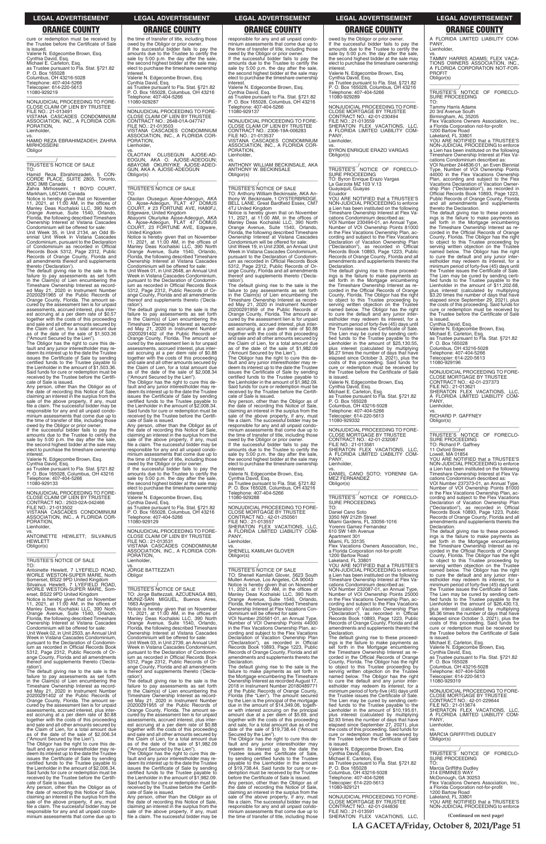cure or redemption must be received by the Trustee before the Certificate of Sale is issued. Valerie N. Edgecombe Brown, Esq. Cynthia David, Esq. Michael E. Carleton, Esq. as Trustee pursuant to Fla. Stat. §721.82 P. O. Box 165028 Columbus, OH 43216-5028 Telephone: 407-404-5266 Telecopier: 614-220-5613 11080-929219

—————————————————— NONJUDICIAL PROCEEDING TO FORE-CLOSE CLAIM OF LIEN BY TRUSTEE FILE NO.: 21-013491 VISTANA CASCADES CONDOMINIUM ASSOCIATION, INC., A FLORIDA COR-PORATION, Lienholder,

vs. HAMID REZA EBRAHIMZADEH; ZAHRA MIRHOSSEINI **Obligor** \_\_\_\_\_\_\_\_\_\_\_\_\_\_\_\_\_\_\_\_\_\_\_\_\_\_\_\_\_\_\_\_\_

\_\_\_\_\_\_\_\_\_\_\_/ TRUSTEE'S NOTICE OF SALE

TO: Hamid Reza Ebrahimzadeh, 5 CON-CORDE PLACE, SUITE 2805, Toronto, M3C 3M8 Canada

Zahra Mirhosseini, 1 BOYD COURT, Markham, L6C1A6 Canada Notice is hereby given that on November 11, 2021, at 11:00 AM, in the offices of Manley Deas Kochalski LLC, 390 North Orange Avenue, Suite 1540, Orlando,

Florida, the following described Timeshare Ownership Interest at Vistana Cascades Condominium will be offered for sale: Unit Week 35, in Unit 2134, an Odd Bi-

ennial Unit Week in Vistana Cascades Condominium, pursuant to the Declaration of Condominium as recorded in Official Records Book 5312, Page 2312, Public Records of Orange County, Florida and all amendments thereof and supplements

owed by the Obligor or prior owner. If the successful bidder fails to pay the amounts due to the Trustee to certify the sale by 5:00 p.m. the day after the sale, the second highest bidder at the sale may elect to purchase the timeshare ownership interest

thereto ('Declaration'). The default giving rise to the sale is the failure to pay assessments as set forth in the Claim(s) of Lien encumbering the Timeshare Ownership Interest as recorded May 21, 2020 in Instrument Number 20200291965 of the Public Records of Orange County, Florida. The amount secured by the assessment lien is for unpaid assessments, accrued interest, plus inter-est accruing at a per diem rate of \$0.57 together with the costs of this proceeding and sale and all other amounts secured by the Claim of Lien, for a total amount due as of the date of the sale of \$1,503.36

Ownership Interest at Vistana Cascades Condominium will be offered for sale: Unit Week 02, in Unit 2503, an Annual Unit Week in Vistana Cascades Condominium, pursuant to the Declaration of Condomin-ium as recorded in Official Records Book 5312, Page 2312, Public Records of Orange County, Florida and all amendments thereof and supplements thereto ('Declaration')

("Amount Secured by the Lien"). The Obligor has the right to cure this default and any junior interestholder may re-deem its interest up to the date the Trustee issues the Certificate of Sale by sending certified funds to the Trustee payable to the Lienholder in the amount of \$1,503.36. Said funds for cure or redemption must be received by the Trustee before the Certifi-cate of Sale is issued. Any person, other than the Obligor as of

the date of recording this Notice of Sale, claiming an interest in the surplus from the sale of the above property, if any, must file a claim. The successful bidder may be responsible for any and all unpaid condo-minium assessments that come due up to the time of transfer of title, including those

Valerie N. Edgecombe Brown, Esq.

Cynthia David, Esq. as Trustee pursuant to Fla. Stat. §721.82 P. O. Box 165028, Columbus, OH 43216

PORATION, Lienholder, OLAOTAN

Telephone: 407-404-5266 11080-929133

—————————————————— NONJUDICIAL PROCEEDING TO FORE-CLOSE CLAIM OF LIEN BY TRUSTEE CONTRACT NO.: 2503-02A-042466

 $\overline{\phantom{a}}$  ,  $\overline{\phantom{a}}$  ,  $\overline{\phantom{a}}$  ,  $\overline{\phantom{a}}$  ,  $\overline{\phantom{a}}$  ,  $\overline{\phantom{a}}$  ,  $\overline{\phantom{a}}$  ,  $\overline{\phantom{a}}$  ,  $\overline{\phantom{a}}$  ,  $\overline{\phantom{a}}$  ,  $\overline{\phantom{a}}$  ,  $\overline{\phantom{a}}$  ,  $\overline{\phantom{a}}$  ,  $\overline{\phantom{a}}$  ,  $\overline{\phantom{a}}$  ,  $\overline{\phantom{a}}$ \_\_\_\_\_\_\_\_\_\_\_/ TRUSTEE'S NOTICE OF SALE

FILE NO.: 21-013502 VISTANA CASCADES CONDOMINIUM ASSOCIATION, INC., A FLORIDA COR-PORATION, Lienholder,

vs. ANTOINETTE HEWLETT; SILVAINUS **HEWLETT** Obligor(s) \_\_\_\_\_\_\_\_\_\_\_\_\_\_\_\_\_\_\_\_\_\_\_\_\_\_\_\_\_\_\_\_\_

### \_\_\_\_\_\_\_\_\_\_\_/ TRUSTEE'S NOTICE OF SALE

TO:<br>Antoinette Hewlett. 7 LYEFIELD ROAD. Antoinette Hewlett, 7 LYEFIELD ROAD,<br>WORLE WESTON-SUPER MARE, North<br>Somerset, BS22 9PD United Kingdom<br>Silvainus Hewlett, 7 LYEFIELD ROAD,<br>WORLE WESTON-SUPER MARE, Som-

erset, BS22 9PD United Kingdom Notice is hereby given that on November 11, 2021, at 11:00 AM, in the offices of Manley Deas Kochalski LLC, 390 North Orange Avenue, Suite 1540, Orlando, Florida, the following described Timeshare

The default giving rise to the sale is the failure to pay assessments as set forth in the Claim(s) of Lien encumbering the Timeshare Ownership Interest as record-ed May 21, 2020 in Instrument Number 20200291402 of the Public Records of Orange County, Florida. The amount se-cured by the assessment lien is for unpaid assessments, accrued interest, plus interest accruing at a per diem rate of \$0.88 together with the costs of this proceeding and sale and all other amounts secured by the Claim of Lien, for a total amount due as of the date of the sale of \$2,006.34 ("Amount Secured by the Lien").

Notice is hereby given that on November 11, 2021, at 11:00 AM, in the offices of Manley Deas Kochalski LLC, 390 North Orange Avenue, Suite 1540, Orlando, Florida, the following described Timeshare Ownership Interest at Vistana Cascades Condominium will be offered for sale: Unit Week 03, in Unit 2739, an Annual Unit Week in Vistana Cascades Condominium, pursuant to the Declaration of Condominium as recorded in Official Records Book 5312, Page 2312, Public Records of Orange County, Florida and all amendments reof and supplements thereto ('Decla-

The Obligor has the right to cure this de-fault and any junior interestholder may redeem its interest up to the date the Trustee issues the Certificate of Sale by sending certified funds to the Trustee payable to the Lienholder in the amount of \$2,006.34. Said funds for cure or redemption must be received by the Trustee before the Certificate of Sale is issued.

Any person, other than the Obligor as of the date of recording this Notice of Sale, claiming an interest in the surplus from the sale of the above property, if any, must file a claim. The successful bidder may be responsible for any and all unpaid condo-minium assessments that come due up to responsible for any and all unpaid condominium assessments that come due up to the time of transfer of title, including those owed by the Obligor or prior owner. If the successful bidder fails to pay the amounts due to the Trustee to certify the sale by 5:00 p.m. the day after the sale, the second highest bidder at the sale may elect to purchase the timeshare ownership nterest.

the time of transfer of title, including those owed by the Obligor or prior owner. If the successful bidder fails to pay the amounts due to the Trustee to certify the sale by 5:00 p.m. the day after the sale, the second highest bidder at the sale may elect to purchase the timeshare ownership

interest.

Valerie N. Edgecombe Brown, Esq. Cynthia David, Esq. as Trustee pursuant to Fla. Stat. §721.82 P. O. Box 165028, Columbus, OH 43216 Telephone: 407-404-5266

> vs. ANTHONY WILLIAM BECKINSALE, AKA ANTHONY W. BECKINSALE Obligor(s)  $\overline{\phantom{a}}$  , and the set of the set of the set of the set of the set of the set of the set of the set of the set of the set of the set of the set of the set of the set of the set of the set of the set of the set of the s

11080-929287

—————————————————— NONJUDICIAL PROCEEDING TO FORE-CLOSE CLAIM OF LIEN BY TRUSTEE CONTRACT NO.: 2648-01A-047747 FILE NO.: 21-013503 VISTANA CASCADES CONDOMINIUM ASSOCIATION, INC., A FLORIDA COR-

OLAOTAN OLUSEGUN AJOSE-AD-EOGUN, AKA O. AJOSE-ADEOGUN; ABAYOMI OKURIYIKE AJOSE-ADEO-GUN, AKA A. AJOSE-ADEOGUN

Obligor(s)

TO: Olaotan Olusegun Ajose-Adeogun, AKA O. Ajose-Adeogun, FLAT 47 DOMUS COURT, # 23 FORTUNE AVE, HA80FJ,

Edgeware, United Kingdom

Abayomi Okuriyike Ajose-Adeogun, AKA A. Ajose-Adeogun, FLAT 47 DOMUS COURT, 23 FORTUNE AVE, Edgware,

Notice is hereby given that on November<br>11, 2021, at 11:00 AM, in the offices of<br>Manley Deas Kochalski LLC, 390 North<br>Orange Avenue, Suite 1540, Orlando,<br>Florida, the following described Timeshare

United Kingdom

Ownership Interest at Vistana Cascades Condominium will be offered for sale: Unit Week 01, in Unit 2648, an Annual Unit Week in Vistana Cascades Condominium, pursuant to the Declaration of Condominium as recorded in Official Records Book 5312, Page 2312, Public Records of Orange County, Florida and all amendments thereof and supplements thereto ('Decla-

> **interest** Valerie N. Edgecombe Brown, Esq.

ration').

—————————————————— NONJUDICIAL PROCEEDING TO FORE-CLOSE MORTGAGE BY TRUSTEE<br>CONTRACT NO.: 42-01-250561<br>FILE NO.: 21-013557<br>SHERATON FLEX VACATIONS, LLC,<br>A FLORIDA LIMITED LIABILITY COM-

The default giving rise to the sale is the failure to pay assessments as set forth in the Claim(s) of Lien encumbering the Timeshare Ownership Interest as record-ed May 21, 2020 in Instrument Number 20200291402 of the Public Records of Orange County, Florida. The amount se-cured by the assessment lien is for unpaid assessments, accrued interest, plus interest accruing at a per diem rate of \$0.88 together with the costs of this proceeding and sale and all other amounts secured by the Claim of Lien, for a total amount due as of the date of the sale of \$2,008.34 ("Amount Secured by the Lien"). The Obligor has the right to cure this de-fault and any junior interestholder may redeem its interest up to the date the Trustee issues the Certificate of Sale by sending certified funds to the Trustee payable to the Lienholder in the amount of \$2,008.34. Said funds for cure or redemption must be received by the Trustee before the Certifi-

cate of Sale is issued.

owed by the Obligor or prior owner. If the successful bidder fails to pay the amounts due to the Trustee to certify the sale by 5:00 p.m. the day after the sale, the second highest bidder at the sale may elect to purchase the timeshare ownership interest

Any person, other than the Obligor as of the date of recording this Notice of Sale, claiming an interest in the surplus from the sale of the above property, if any, must file a claim. The successful bidder may be responsible for any and all unpaid condo-minium assessments that come due up to the time of transfer of title, including those owed by the Obligor or prior owner. If the successful bidder fails to pay the amounts due to the Trustee to certify the sale by 5:00 p.m. the day after the sale, the second highest bidder at the sale may elect to purchase the timeshare ownership

\_\_\_\_\_\_\_\_\_\_\_/<br>TRUSTEE'S NOTICE OF FORECLO-<br>SURE PROCEEDING TO: Byron Enrique Erazo Vargas La Garzota MZ 103 V.13 Guayaquil, Guayas

interest. Valerie N. Edgecombe Brown, Esq. Cynthia David, Esq. as Trustee pursuant to Fla. Stat. §721.82 P. O. Box 165028, Columbus, OH 43216 Telephone: 407-404-5266

cations Condominium described as: VOI Number 230494-01, an Annual Type, Number of VOI Ownership Points 81000 in the Flex Vacations Ownership Plan, according and subject to the Flex Vacations Declaration of Vacation Ownership Plan ("Declaration"), as recorded in Official Records Book 10893, Page 1223, Public Records of Orange County, Florida and all amendments and supplements thereto the **Declaration** 

11080-929129

—————————————————— NONJUDICIAL PROCEEDING TO FORE-CLOSE CLAIM OF LIEN BY TRUSTEE

PORATION, Lienholder,

vs. JORGE BATTEZZATI

Obligor

\_\_\_\_\_\_\_\_\_\_\_\_\_\_\_\_\_\_\_\_\_\_\_\_\_\_\_\_\_\_\_\_\_ \_\_\_\_\_\_\_\_\_\_\_/ TRUSTEE'S NOTICE OF SALE

TO: Jorge Battezzati, AZCUENAGA 883, MUNIZ-SAN MIGUEL, Buenos Aires,

1663 Argentina

\_\_\_\_\_\_\_\_\_\_\_/ TRUSTEE'S NOTICE OF FORECLO-SURE PROCEEDING

ration'). The default giving rise to the sale is the failure to pay assessments as set forth in the Claim(s) of Lien encumbering the Timeshare Ownership Interest as recorded May 21, 2020 in Instrument Number 20200291955 of the Public Records of Orange County, Florida. The amount secured by the assessment lien is for unpaid assessments, accrued interest, plus interest accruing at a per diem rate of \$0.88 together with the costs of this proceeding and sale and all other amounts secured by the Claim of Lien, for a total amount due as of the date of the sale of \$1,982.09 ("Amount Secured by the Lien").

The Obligor has the right to cure this default and any junior interestholder may re-deem its interest up to the date the Trustee issues the Certificate of Sale by sending certified funds to the Trustee payable to the Lienholder in the amount of \$1,982.09. Said funds for cure or redemption must be received by the Trustee before the Certifi-cate of Sale is issued.

Any person, other than the Obligor as of the date of recording this Notice of Sale, claiming an interest in the surplus from the sale of the above property, if any, must file a claim. The successful bidder may be

Valerie N. Edgecombe Brown, Esq. Cynthia David, Esq. as Trustee pursuant to Fla. Stat. §721.82 P. O. Box 165028, Columbus, OH 43216 Telephone: 407-404-5266 11080-929137

—————————————————— NONJUDICIAL PROCEEDING TO FORE-CLOSE CLAIM OF LIEN BY TRUSTEE CONTRACT NO.: 2306-19A-006283 FILE NO.: 21-013537 VISTANA CASCADES CONDOMINIUM ASSOCIATION, INC., A FLORIDA COR-PORATION, Lienholder,

FILE NO.: 21-013531 VISTANA CASCADES CONDOMINIUM ASSOCIATION, INC., A FLORIDA COR-PANY, Lienholder,

thereto the Declaration.<br>The default giving rise to these proceed-The default giving rise to these proceed-ings is the failure to make payments as set forth in the Mortgage encumbering the Timeshare Ownership Interest as recorded in the Official Records of Orange County, Florida. The Obligor has the right to object to this Trustee proceeding by serving written objection on the Trustee named below. The Obligor has the right to cure the default and any junior interestholder may redeem its interest, for a minimum period of forty-five (45) days until the Trustee issues the Certificate of Sale. The Lien may be cured by sending certified funds to the Trustee payable to the Lienholder in the amount of \$11,202.68, plus interest (calculated by multiplying \$3.20 times the number of days that have elapsed since September 29, 2021), plus the costs of this proceeding. Said funds for cure or redemption must be received by the Trustee before the Certificate of Sale is issued.

 $\overline{\phantom{a}}$  , and the set of the set of the set of the set of the set of the set of the set of the set of the set of the set of the set of the set of the set of the set of the set of the set of the set of the set of the s \_\_\_\_\_\_\_\_\_\_\_/ TRUSTEE'S NOTICE OF FORECLO-

\_\_\_\_\_\_\_\_\_\_\_/ TRUSTEE'S NOTICE OF SALE TO: Anthony William Beckinsale, AKA An-thony W. Beckinsale, 1 OYSTERBRIDGE, BELL LANE, Great Bardfield Essex, CM7 4TJ United Kingdom Notice is hereby given that on November 11, 2021, at 11:00 AM, in the offices of Manley Deas Kochalski LLC, 390 North Orange Avenue, Suite 1540, Orlando, Florida, the following described Timeshare Ownership Interest at Vistana Cascades Condominium will be offered for sale:

Unit Week 19, in Unit 2306, an Annual Unit Week in Vistana Cascades Condominium, pursuant to the Declaration of Condominium as recorded in Official Records Book 5312, Page 2312, Public Records of Or-ange County, Florida and all amendments thereof and supplements thereto ('Declaration').

The default giving rise to the sale is the failure to pay assessments as set forth in the Claim(s) of Lien encumbering the Timeshare Ownership Interest as recorded May 21, 2020 in Instrument Number 20200291959 of the Public Records of Orange County, Florida. The amount secured by the assessment lien is for unpaid assessments, accrued interest, plus inter-est accruing at a per diem rate of \$0.88 together with the costs of this proceeding and sale and all other amounts secured by the Claim of Lien, for a total amount due as of the date of the sale of \$1,982.09

("Amount Secured by the Lien"). The Obligor has the right to cure this default and any junior interestholder may re-deem its interest up to the date the Trustee issues the Certificate of Sale by sending certified funds to the Trustee payable to the Lienholder in the amount of \$1,982.09. Said funds for cure or redemption must be received by the Trustee before the Certifi-

cate of Sale is issued. Any person, other than the Obligor as of the date of recording this Notice of Sale, claiming an interest in the surplus from the sale of the above property, if any, must file a claim. The successful bidder may be responsible for any and all unpaid condo-minium assessments that come due up to the time of transfer of title, including those owed by the Obligor or prior owner. If the successful bidder fails to pay the amounts due to the Trustee to certify the sale by 5:00 p.m. the day after the sale, the second highest bidder at the sale may elect to purchase the timeshare ownership

Cynthia David, Esq. as Trustee pursuant to Fla. Stat. §721.82 P. O. Box 165028, Columbus, OH 43216 Telephone: 407-404-5266 11080-929288

### vs. SHENELL KAMILAH GLOVER Obligor(s)

\_\_\_\_\_\_\_\_\_\_\_\_\_\_\_\_\_\_\_\_\_\_\_\_\_\_\_\_\_\_\_\_\_

\_\_\_\_\_\_\_\_\_\_\_/ TRUSTEE'S NOTICE OF SALE TO: Shenell Kamilah Glover, 5623 South Mullen Avenue, Los Angeles, CA 90043 Notice is hereby given that on November 11, 2021, at 11:00 AM, in the offices of Manley Deas Kochalski LLC, 390 North Orange Avenue, Suite 1540, Orlando, Florida, the following described Timeshare Ownership Interest at Flex Vacations Condominium will be offered for sale: VOI Number 250561-01, an Annual Type, Number of VOI Ownership Points 44000 in the Flex Vacations Ownership Plan, ac-cording and subject to the Flex Vacations Declaration of Vacation Ownership Plan ("Declaration"), as recorded in Official Records Book 10893, Page 1223, Public Records of Orange County, Florida and all amendments and supplements thereto the Declaration. The default giving rise to the sale is the failure to make payments as set forth in the Mortgage encumbering the Timeshare Ownership Interest as recorded August 17, 2018 in Instrument Number 20180489771 of the Public Records of Orange County, Florida (the "Lien"). The amount secured by the Lien is the principal of the mortgage due in the amount of \$14,349.06, together with interest accruing on the principal amount due at a per diem of \$5.69, and together with the costs of this proceeding and sale, for a total amount due as of the date of the sale of \$19,738.44 ("Amount Secured by the Lien"). The Obligor has the right to cure this de-fault and any junior interestholder may redeem its interest up to the date the Trustee issues the Certificate of Sale, by sending certified funds to the Trustee payable to the Lienholder in the amount of \$19,738.44. Said funds for cure or redemption must be received by the Trustee before the Certificate of Sale is issued. Any person, other than the Obligor as of the date of recording this Notice of Sale, claiming an interest in the surplus from the sale of the above property, if any, must file a claim. The successful bidder may be responsible for any and all unpaid condominium assessments that come due up to the time of transfer of title, including those

Valerie N. Edgecombe Brown, Esq. Cynthia David, Esq. as Trustee pursuant to Fla. Stat. §721.82 P. O. Box 165028, Columbus, OH 43216 Telephone: 407-404-5266 11080-929289

—————————————————— NONJUDICIAL PROCEEDING TO FORE-CLOSE MORTGAGE BY TRUSTEE CONTRACT NO.: 42-01-230494 FILE NO.: 21-013559 SHERATON FLEX VACATIONS, LLC, A FLORIDA LIMITED LIABILITY COM-PANY, Lienholder,

vs. BYRON ENRIQUE ERAZO VARGAS Obligor(s) \_\_\_\_\_\_\_\_\_\_\_\_\_\_\_\_\_\_\_\_\_\_\_\_\_\_\_\_\_\_\_\_\_

Ecuador YOU ARE NOTIFIED that a TRUSTEE'S NON-JUDICIAL PROCEEDING to enforce a Lien has been instituted on the following Timeshare Ownership Interest at Flex Va-

The default giving rise to these proceedings is the failure to make payments as set forth in the Mortgage encumbering the Timeshare Ownership Interest as recorded in the Official Records of Orange County, Florida. The Obligor has the right to object to this Trustee proceeding by serving written objection on the Trustee named below. The Obligor has the right to cure the default and any junior interestholder may redeem its interest, for a minimum period of forty-five (45) days until the Trustee issues the Certificate of Sale. The Lien may be cured by sending certi-fied funds to the Trustee payable to the Lienholder in the amount of \$25,130.55, plus interest (calculated by multiplying \$6.27 times the number of days that have elapsed since October 3, 2021), plus the costs of this proceeding. Said funds for cure or redemption must be received by the Trustee before the Certificate of Sale

is issued. Valerie N. Edgecombe Brown, Esq. Cynthia David, Esq. Michael E. Carleton, Esq. as Trustee pursuant to Fla. Stat. §721.82 P. O. Box 165028 Columbus, OH 43216-5028

Telephone: 407-404-5266 Telecopier: 614-220-5613 11080-929332

—————————————————— NONJUDICIAL PROCEEDING TO FORE-CLOSE MORTGAGE BY TRUSTEE CONTRACT NO.: 42-01-232087 FILE NO.: 21-013581 SHERATON FLEX VACATIONS, LLC, A FLORIDA LIMITED LIABILITY COM-PANY,

Lienholder,

vs. DANIEL CANO SOTO; YORENNI GA-MEZ FERNANDEZ Obligor(s) \_\_\_\_\_\_\_\_\_\_\_\_\_\_\_\_\_\_\_\_\_\_\_\_\_\_\_\_\_\_\_\_\_

TO: Daniel Cano Soto 3350 NW 212th Street

Miami Gardens, FL 33056-1016 Yorenni Gamez Fernandez 610 SW 14th Avenue

Apartment 301 Miami, FL 33135

Flex Vacations Owners Association, Inc., a Florida Corporation not-for-profit

1200 Bartow Road Lakeland, FL 33801

YOU ARE NOTIFIED that a TRUSTEE'S NON-JUDICIAL PROCEEDING to enforce a Lien has been instituted on the following Timeshare Ownership Interest at Flex Va-

cations Condominium described as: VOI Number 232087-01, an Annual Type, Number of VOI Ownership Points 25000 in the Flex Vacations Ownership Plan, ac-cording and subject to the Flex Vacations Declaration of Vacation Ownership Plan ("Declaration"), as recorded in Official Records Book 10893, Page 1223, Public

Records of Orange County, Florida and all amendments and supplements thereto the Declaration.

The default giving rise to these proceed-ings is the failure to make payments as set forth in the Mortgage encumbering the Timeshare Ownership Interest as recorded in the Official Records of Orange County, Florida. The Obligor has the right to object to this Trustee proceeding by serving written objection on the Trustee named below. The Obligor has the right to cure the default and any junior inter-estholder may redeem its interest, for a minimum period of forty-five (45) days until the Trustee issues the Certificate of Sale. The Lien may be cured by sending certi-fied funds to the Trustee payable to the Lienholder in the amount of \$10,195.61. plus interest (calculated by multiplying \$2.93 times the number of days that have elapsed since September 27, 2021), plus the costs of this proceeding. Said funds for cure or redemption must be received by the Trustee before the Certificate of Sale is issued. Valerie N. Edgecombe Brown, Esq. Cynthia David, Esq. Michael E. Carleton, Esq. as Trustee pursuant to Fla. Stat. §721.82 P. O. Box 165028 Columbus, OH 43216-5028 Telephone: 407-404-5266 Telecopier: 614-220-5613 11080-929121

—————————————————— NONJUDICIAL PROCEEDING TO FORE-CLOSE MORTGAGE BY TRUSTEE CONTRACT NO.: 42-01-244836 FILE NO.: 21-013591 SHERATON FLEX VACATIONS, LLC,

A FLORIDA LIMITED LIABILITY COM-PANY, Lienholder,

vs. TAMMY HARRIS ADAMS; FLEX VACA-TIONS OWNERS ASSOCIATION, INC., A FLORIDA CORPORATION NOT-FOR-PROFIT Obligor(s)

\_\_\_\_\_\_\_\_\_\_\_\_\_\_\_\_\_\_\_\_\_\_\_\_\_\_\_\_\_\_\_\_\_ \_\_\_\_\_\_\_\_\_\_\_/ TRUSTEE'S NOTICE OF FORECLO-SURE PROCEEDING TO:

Tammy Harris Adams

20 3rd Avenue South

Birmingham, AL 35205 Flex Vacations Owners Association, Inc., a Florida Corporation not-for-profit 1200 Bartow Road

Lakeland, FL 33801 YOU ARE NOTIFIED that a TRUSTEE'S NON-JUDICIAL PROCEEDING to enforce a Lien has been instituted on the following Timeshare Ownership Interest at Flex Vacations Condominium described as:

VOI Number 244836-01, an Even Biennial Type, Number of VOI Ownership Points 44000 in the Flex Vacations Ownership Plan, according and subject to the Flex Vacations Declaration of Vacation Ownership Plan ("Declaration"), as recorded in Official Records Book 10893, Page 1223, Public Records of Orange County, Florida and all amendments and supplements

Cynthia David, Esq. Valerie N. Edgecombe Brown, Esq.

Michael E. Carleton, Esq. as Trustee pursuant to Fla. Stat. §721.82 P. O. Box 165028 Columbus, OH 43216-5028 Telephone: 407-404-5266 Telecopier: 614-220-5613

11080-929196

—————————————————— NONJUDICIAL PROCEEDING TO FORE-CLOSE MORTGAGE BY TRUSTEE CONTRACT NO.: 42-01-237373 FILE NO.: 21-013621 SHERATON FLEX VACATIONS, LLC, A FLORIDA LIMITED LIABILITY COM-PANY, Lienholder, vs. RICHARD P. GAFFNEY Obligor(s)

SURE PROCEEDING TO: Richard P. Gaffney 11 Oxford Street

Lowell, MA 01854

YOU ARE NOTIFIED that a TRUSTEE'S NON-JUDICIAL PROCEEDING to enforce a Lien has been instituted on the following Timeshare Ownership Interest at Flex Vacations Condominium described as:

VOI Number 237373-01, an Annual Type, Number of VOI Ownership Points 81000 in the Flex Vacations Ownership Plan, according and subject to the Flex Vacations Declaration of Vacation Ownership Plan ("Declaration"), as recorded in Official Records Book 10893, Page 1223, Public Records of Orange County, Florida and all amendments and supplements thereto the Declaration.

The default giving rise to these proceedings is the failure to make payments as set forth in the Mortgage encumbering the Timeshare Ownership Interest as recorded in the Official Records of Orange County, Florida. The Obligor has the right to object to this Trustee proceeding by serving written objection on the Trustee named below. The Obligor has the right to cure the default and any junior interestholder may redeem its interest, for a minimum period of forty-five (45) days until the Trustee issues the Certificate of Sale. The Lien may be cured by sending certified funds to the Trustee payable to the Lienholder in the amount of \$26,430.13, plus interest (calculated by multiplying \$6.36 times the number of days that have elapsed since October 3, 2021), plus the costs of this proceeding. Said funds for cure or redemption must be received by the Trustee before the Certificate of Sale is issued. Michael E. Carleton, Esq. Valerie N. Edgecombe Brown, Esq. Cynthia David, Esq. as Trustee pursuant to Fla. Stat. §721.82 P. O. Box 165028 Columbus, OH 43216-5028 Telephone: 407-404-5266 Telecopier: 614-220-5613 11080-929319 —————————————————— NONJUDICIAL PROCEEDING TO FORE-CLOSE MORTGAGE BY TRUSTEE CONTRACT NO.: 42-01-229644 FILE NO.: 21-013674 SHERATON FLEX VACATIONS, LLC, FLORIDA LIMITED LIABILITY COM-PANY Lienholder, vs. MARCIA GRIFFITHS DUDLEY Obligor(s)  $\overline{\phantom{a}}$  , and the set of the set of the set of the set of the set of the set of the set of the set of the set of the set of the set of the set of the set of the set of the set of the set of the set of the set of the s \_\_\_\_\_\_\_\_\_\_\_/<br>TRUSTEE'S NOTICE OF FORECLO-<br>SURE PROCEEDING TO: Marcia Griffiths Dudley 314 ERMINES WAY McDonough, GA 30253 Flex Vacations Owners Association, Inc., a Florida Corporation not-for-profit 1200 Bartow Road Lakeland, FL 33801 YOU ARE NOTIFIED that a TRUSTEE'S NON-JUDICIAL PROCEEDING to enforce

**(Continued on next page)**

**LA GACETA/Friday, October 8, 2021/Page 51**

### **LEGAL ADVERTISEMENT LEGAL ADVERTISEMENT LEGAL ADVERTISEMENT LEGAL ADVERTISEMENT LEGAL ADVERTISEMENT**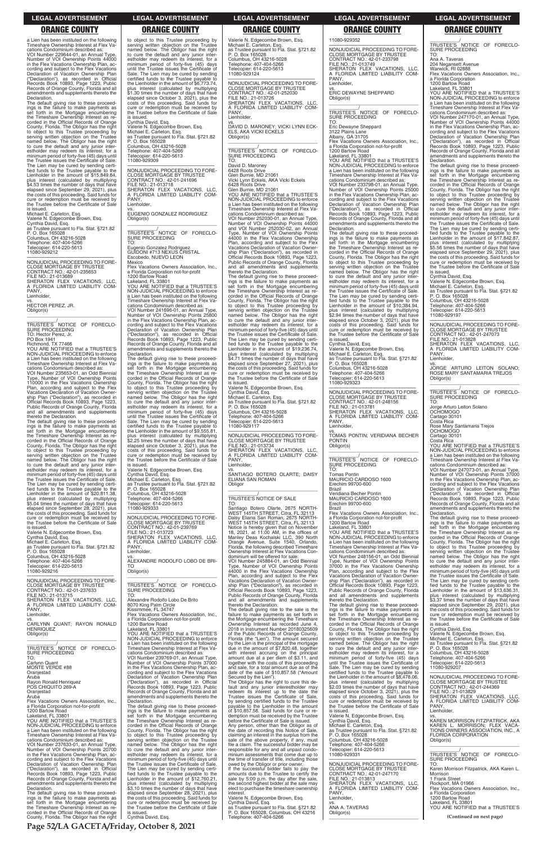**Page 52/LA GACETA/Friday, October 8, 2021**

a Lien has been instituted on the following Timeshare Ownership Interest at Flex Va-cations Condominium described as:

VOI Number 229644-01, an Annual Type, Number of VOI Ownership Points 44000 in the Flex Vacations Ownership Plan, according and subject to the Flex Vacations Declaration of Vacation Ownership Plan ("Declaration"), as recorded in Official Records Book 10893, Page 1223, Public Records of Orange County, Florida and all amendments and supplements thereto the Declaration.

The default giving rise to these proceedings is the failure to make payments as set forth in the Mortgage encumbering the Timeshare Ownership Interest as re-corded in the Official Records of Orange County, Florida. The Obligor has the right<br>to object to this Trustee proceeding by<br>serving written objection on the Trustee<br>named below. The Obligor has the right<br>to cure the default and any junior inter-<br>estholder may red minimum period of forty-five (45) days until the Trustee issues the Certificate of Sale. The Lien may be cured by sending certified funds to the Trustee payable to the Lienholder in the amount of \$15,849.84, plus interest (calculated by multiplying \$4.53 times the number of days that have elapsed since September 29, 2021), plus the costs of this proceeding. Said funds for cure or redemption must be received by the Trustee before the Certificate of Sale

\_\_\_\_\_\_\_\_\_\_\_/<br>TRUSTEE'S NOTICE OF FORECLO-<br>SURE PROCEEDING TO: Hector Perez, Jr.

 $\overline{\phantom{a}}$  , and the set of the set of the set of the set of the set of the set of the set of the set of the set of the set of the set of the set of the set of the set of the set of the set of the set of the set of the s

is issued. Michael E. Carleton, Esq. Valerie N. Edgecombe Brown, Esq. Cynthia David, Esq. as Trustee pursuant to Fla. Stat. §721.82 P. O. Box 165028 Columbus, OH 43216-5028 Telephone: 407-404-5266 Telecopier: 614-220-5613 11080-929212

—————————————————— NONJUDICIAL PROCEEDING TO FORE-CLOSE MORTGAGE BY TRUSTEE CONTRACT NO.: 42-01-235653 FILE NO.: 21-013689 SHERATON FLEX VACATIONS, LLC, A FLORIDA LIMITED LIABILITY COM-PANY, Lienholder, vs. HECTOR PEREZ, JR.

—————————————————— NONJUDICIAL PROCEEDING TO FORE-CLOSE MORTGAGE BY TRUSTEE CONTRACT NO.: 42-01-237633 FILE NO.: 21-013715 SHERATON FLEX VACATIONS, LLC, A FLORIDA LIMITED LIABILITY COM-PANY, Lienholder

Obligor(s)

PO Box 1941 Richmond, TX 77466 YOU ARE NOTIFIED that a TRUSTEE'S NON-JUDICIAL PROCEEDING to enforce a Lien has been instituted on the following Timeshare Ownership Interest at Flex Vacations Condominium described as:

VOI Number 235653-01, an Odd Biennial Type, Number of VOI Ownership Points 110000 in the Flex Vacations Ownership Plan, according and subject to the Flex Vacations Declaration of Vacation Owner-ship Plan ("Declaration"), as recorded in Official Records Book 10893, Page 1223, Public Records of Orange County, Florida and all amendments and supplements

—————————————————— NONJUDICIAL PROCEEDING TO FORE-CLOSE MORTGAGE BY TRUSTEE CONTRACT NO.: 42-01-241696 FILE NO.: 21-013718 SHERATON FLEX VACATIONS, LLC, FLORIDA LIMITED LIABILITY COM-A FL Lienholder.

thereto the Declaration. The default giving rise to these proceed-ings is the failure to make payments as set forth in the Mortgage encumbering the Timeshare Ownership Interest as re-corded in the Official Records of Orange County, Florida. The Obligor has the right to object to this Trustee proceeding by serving written objection on the Trustee named below. The Obligor has the right to cure the default and any junior interestholder may redeem its interest, for a minimum period of forty-five (45) days until the Trustee issues the Certificate of Sale. The Lien may be cured by sending certified funds to the Trustee payable to the Lienholder in the amount of \$20,811.38, plus interest (calculated by multiplying \$5.04 times the number of days that have elapsed since September 28, 2021), plus the costs of this proceeding. Said funds for cure or redemption must be received by the Trustee before the Certificate of Sale

is issued. Valerie N. Edgecombe Brown, Esq. Cynthia David, Esq. Michael E. Carleton, Esq. as Trustee pursuant to Fla. Stat. §721.82 P. O. Box 165028 Columbus, OH 43216-5028 Telephone: 407-404-5266 Telecopier: 614-220-5613 11080-929216

 $\overline{\phantom{a}}$  , and the set of the set of the set of the set of the set of the set of the set of the set of the set of the set of the set of the set of the set of the set of the set of the set of the set of the set of the s \_\_\_\_\_\_\_\_\_\_\_/<br>TRUSTEE'S NOTICE OF FORECLO-<br>SURE PROCEEDING TO:

—————————————————— NONJUDICIAL PROCEEDING TO FORE-CLOSE MORTGAGE BY TRUSTEE CONTRACT NO.: 42-01-252030 FILE NO.: 21-013726 SHERATON FLEX VACATIONS, LLC, FLORIDA LIMITED LIABILITY COM-**PANY** Lienholder

 $\overline{\phantom{a}}$  , and the set of the set of the set of the set of the set of the set of the set of the set of the set of the set of the set of the set of the set of the set of the set of the set of the set of the set of the s \_\_\_\_\_\_\_\_\_\_\_/<br>TRUSTEE'S NOTICE OF FORECLO-<br>SURE PROCEEDING TO:

to object to this Trustee proceeding by serving written objection on the Trustee named below. The Obligor has the right to cure the default and any junior inter-estholder may redeem its interest, for a minimum period of forty-five (45) days until the Trustee issues the Certificate of Sale. The Lien may be cured by sending certified funds to the Trustee payable to the Lienholder in the amount of \$6,773.74, plus interest (calculated by multiplying \$1.30 times the number of days that have elapsed since October 3, 2021), plus the costs of this proceeding. Said funds for cure or redemption must be received by the Trustee before the Certificate of Sale is issued.

Cynthia David, Esq.

Valerie N. Edgecombe Brown, Esq. Michael E. Carleton, Esq. as Trustee pursuant to Fla. Stat. §721.82 P. O. Box 165028 Columbus, OH 43216-5028 Telephone: 407-404-5266 Telecopier: 614-220-5613 11080-929309

vs. EUGENIO GONZALEZ RODRIGUEZ Obligor(s) \_\_\_\_\_\_\_\_\_\_\_\_\_\_\_\_\_\_\_\_\_\_\_\_\_\_\_\_\_\_\_\_\_

\_\_\_\_\_\_\_\_\_\_\_/ TRUSTEE'S NOTICE OF FORECLO-SURE PROCEEDING TO:

Eugenio Gonzalez Rodriguez GUIDONI #713 NEXUS CRISTAL Escobedo, NUEVO LEON Mexico

> vs. SANTIAGO BOTERO OLARTE; DAISY ELIANA SAN ROMAN **Obligor**  $\overline{\phantom{a}}$  , and the set of the set of the set of the set of the set of the set of the set of the set of the set of the set of the set of the set of the set of the set of the set of the set of the set of the set of the s

Flex Vacations Owners Association, Inc., a Florida Corporation not-for-profit 1200 Bartow Road

Lakeland, FL 33801 YOU ARE NOTIFIED that a TRUSTEE'S NON-JUDICIAL PROCEEDING to enforce a Lien has been instituted on the following Timeshare Ownership Interest at Flex Vacations Condominium described as: VOI Number 241696-01, an Annual Type, Number of VOI Ownership Points 25800 in the Flex Vacations Ownership Plan, ac-cording and subject to the Flex Vacations Declaration of Vacation Ownership Plan<br>
"Declaration"), as recorded in Official ("Declaration"), as recorded in Official Records Book 10893, Page 1223, Public Records of Orange County, Florida and all amendments and supplements thereto the Declaration.

The default giving rise to these proceed-ings is the failure to make payments as set forth in the Mortgage encumbering the Timeshare Ownership Interest as re-corded in the Official Records of Orange County, Florida. The Obligor has the right to object to this Trustee proceeding by serving written objection on the Trustee named below. The Obligor has the right to cure the default and any junior inter-estholder may redeem its interest, for a minimum period of forty-five (45) days until the Trustee issues the Certificate of Sale. The Lien may be cured by sending certified funds to the Trustee payable to the Lienholder in the amount of \$9,555.81, plus interest (calculated by multiplying \$2.25 times the number of days that have elapsed since October 3, 2021), plus the costs of this proceeding. Said funds for cure or redemption must be received by the Trustee before the Certificate of Sale

is issued. Valerie N. Edgecombe Brown, Esq. Cynthia David, Esq. Michael E. Carleton, Esq. as Trustee pursuant to Fla. Stat. §721.82 P. O. Box 165028 Columbus, OH 43216-5028 Telephone: 407-404-5266 Telecopier: 614-220-5613 11080-929333

YOU ARE NOTIFIED that a TRUSTEE'S NON-JUDICIAL PROCEEDING to enforce a Lien has been instituted on the following Timeshare Ownership Interest at Flex Vacations Condominium described as: VOI Number 233798-01, an Annual Type, Number of VOI Ownership Points 25000 in the Flex Vacations Ownership Plan, according and subject to the Flex Vacations Declaration of Vacation Ownership Plan ("Declaration"), as recorded in Official Records Book 10893, Page 1223, Public Records of Orange County, Florida and all amendments and supplements thereto the

—————————————————— NONJUDICIAL PROCEEDING TO FORE-CLOSE MORTGAGE BY TRUSTEE CONTRACT NO.: 42-01-239769 FILE NO.: 21-013723 SHERATON FLEX VACATIONS, LLC, FLORIDA LIMITED LIABILITY COM-A FL Lienholder,

vs. ALEXANDRE RODOLFO LOBO DE BRI-TO Obligor(s)

Alexandre Rodolfo Lobo De Brito 8070 King Palm Circle Kissimmee, FL 34747 Flex Vacations Owners Association, Inc., a Florida Corporation not-for-profit

NONJUDICIAL PROCEEDING TO FORE NONJUDICIAL PROCEEDING TO FORE-CLOSE MORTGAGE BY TRUSTEE CONTRACT NO.: 42-01-248156 FILE NO.: 21-013781 SHERATON FLEX VACATIONS, LLC, A FLORIDA LIMITED LIABILITY COM-

Valerie N. Edgecombe Brown, Esq. Michael E. Carleton, Esq. as Trustee pursuant to Fla. Stat. §721.82 P. O. Box 165028 Columbus, OH 43216-5028 Telephone: 407-404-5266 Telecopier: 614-220-5613 11080-929124

> cations Condominium described as: VOI Number 247170-01, an Annual Type, Number of VOI Ownership Points 44000 in the Flex Vacations Ownership Plan, according and subject to the Flex Vacations Declaration of Vacation Ownership Plan ("Declaration"), as recorded in Official Records Book 10893, Page 1223, Public Records of Orange County, Florida and all amendments and supplements thereto the **Declaration**

vs. DAVID D. MARONEY; VICKI LYNN ECK-ELS, AKA VICKI ECKELS Obligor(s)

David D. Maroney 6428 Roots Drive

Glen Burnie, MD 21061 Vicki Lynn Eckels, AKA Vicki Eckels 6428 Roots Drive

Glen Burnie, MD 21061 YOU ARE NOTIFIED that a TRUSTEE'S NON-JUDICIAL PROCEEDING to enforce

a Lien has been instituted on the following Timeshare Ownership Interest at Flex Vacations Condominium described as: VOI Number 252030-01, an Annual Type,

> A FLORIDA LIMITED LIABILITY COM-PANY, Lienholder,

Number of VOI Ownership Points 44000 and VOI Number 252030-02, an Annual Type, Number of VOI Ownership Points 44000 in the Flex Vacations Ownership Plan, according and subject to the Flex Vacations Declaration of Vacation Owner-ship Plan ("Declaration"), as recorded in Official Records Book 10893, Page 1223, Public Records of Orange County, Florida and all amendments and supplements thereto the Declaration.

The default giving rise to these proceedings is the failure to make payments as set forth in the Mortgage encumbering the Timeshare Ownership Interest as re-corded in the Official Records of Orange County, Florida. The Obligor has the right to object to this Trustee proceeding by serving written objection on the Trustee named below. The Obligor has the right to cure the default and any junior inter-estholder may redeem its interest, for a minimum period of forty-five (45) days until<br>the Trustee issues the Certificate of Sale. the Trustee issues the Certificate of Sale.<br>The Lien may be cured by sending certified funds to the Trustee payable to the<br>Lienholder in the amount of \$19,236.74,<br>plus interest (calculated by multiplying<br>\$4.71 times the nu the Trustee before the Certificate of Sale is issued.

Valerie N. Edgecombe Brown, Esq.

Cynthia David, Esq. Michael E. Carleton, Esq. as Trustee pursuant to Fla. Stat. §721.82 P. O. Box 165028 Columbus, OH 43216-5028 Telephone: 407-404-5266 Telecopier: 614-220-5613

11080-929117

—————————————————— NONJUDICIAL PROCEEDING TO FORE-CLOSE MORTGAGE BY TRUSTEE FILE NO.: 21-013734 SHERATON FLEX VACATIONS, LLC, FLORIDA LIMITED LIABILITY COM-PANY, Lienholder,

### \_\_\_\_\_\_\_\_\_\_\_/ TRUSTEE'S NOTICE OF SALE

TO: Santiago Botero Olarte, 2675 NORTH-WEST 145TH STREET, Citra, FL 32113 Daisy Eliana San Roman, 2675 NORTH-WEST 145TH STREET, Citra, FL 32113 Notice is hereby given that on November<br>18, 2021, at 11:00 AM, in the offices of<br>Manley Deas Kochalski LLC, 390 North<br>Orange Avenue, Suite 1540, Orlando,<br>Florida, the following described Timeshare Ownership Interest at Flex Vacations Condominium will be offered for sale:

VOI Number 245884-01, an Odd Biennial Type, Number of VOI Ownership Points 44000 in the Flex Vacations Ownership Plan, according and subject to the Flex Vacations Declaration of Vacation Ownership Plan ("Declaration"), as recorded in Official Records Book 10893, Page 1223, Public Records of Orange County, Florida and all amendments and supplements thereto the Declaration.

| A FLORIDA LIMITED LIABILITY COM-            | 8070 King Palm Circle                        | thereto the Declaration.                       | The default giving rise to these proceed-   | elapsed since September 29, 2021), plus      |
|---------------------------------------------|----------------------------------------------|------------------------------------------------|---------------------------------------------|----------------------------------------------|
| PANY,                                       | Kissimmee, FL 34747                          | The default giving rise to the sale is the     | ings is the failure to make payments as     | the costs of this proceeding. Said funds for |
| Lienholder,                                 | Flex Vacations Owners Association. Inc       | failure to make payments as set forth in       | set forth in the Mortgage encumbering       | cure or redemption must be received by       |
| VS.                                         | a Florida Corporation not-for-profit         | the Mortgage encumbering the Timeshare         | the Timeshare Ownership Interest as re-     | the Trustee before the Certificate of Sale   |
| CARLYNN QUANT; RAYON RONALD                 | 1200 Bartow Road                             | Ownership Interest as recorded June 4,         | corded in the Official Records of Orange    | is issued.                                   |
| <b>HENRIQUEZ</b>                            | Lakeland. FL 33801                           | 2018 in Instrument Number 20180325609          | County, Florida. The Obligor has the right  | Cynthia David, Esq.                          |
| Obligor(s)                                  | YOU ARE NOTIFIED that a TRUSTEE'S            | of the Public Records of Orange County,        | to object to this Trustee proceeding by     | Valerie N. Edgecombe Brown, Esq.             |
|                                             | NON-JUDICIAL PROCEEDING to enforce           | Florida (the "Lien"). The amount secured       | serving written objection on the Trustee    | Michael E. Carleton, Esg.                    |
|                                             | a Lien has been instituted on the following  | by the Lien is the principal of the mortgage   | named below. The Obligor has the right      | as Trustee pursuant to Fla. Stat. §721.82    |
| TRUSTEE'S NOTICE OF FORECLO-                | Timeshare Ownership Interest at Flex Va-     | due in the amount of \$7,820.48, together      | to cure the default and any junior inter-   | P. O. Box 165028                             |
| SURE PROCEEDING                             | cations Condominium described as:            | with interest accruing on the principal        | estholder may redeem its interest, for a    | Columbus, OH 43216-5028                      |
| TO:                                         | VOI Number 239769-01, an Annual Type,        | amount due at a per diem of \$3.11, and        | minimum period of forty-five (45) days      | Telephone: 407-404-5266                      |
| Carlynn Quant                               | Number of VOI Ownership Points 37000         | together with the costs of this proceeding     | until the Trustee issues the Certificate of | Telecopier: 614-220-5613                     |
| MONTE VERDE #88                             | in the Flex Vacations Ownership Plan, ac-    | and sale, for a total amount due as of the     | Sale. The Lien may be cured by sending      | 11080-929207                                 |
| Oranjestad                                  | cording and subject to the Flex Vacations    | date of the sale of \$10,857.58 ("Amount       | certified funds to the Trustee payable to   |                                              |
| Aruba                                       | Declaration of Vacation Ownership Plan       | Secured by the Lien").                         | the Lienholder in the amount of \$8,478.06, | NONJUDICIAL PROCEEDING TO FORE-              |
| Rayon Ronald Henriquez                      | ("Declaration"), as recorded in Official     | The Obligor has the right to cure this de-     | plus interest (calculated by multiplying    | <b>CLOSE MORTGAGE BY TRUSTEE</b>             |
| POS CHIQUITO 269-A                          | Records Book 10893, Page 1223, Public        | fault and any junior interestholder may        | \$2.03 times the number of days that have   | CONTRACT NO.: 42-01-244369                   |
| Oranjestad                                  | Records of Orange County, Florida and all    | redeem its interest up to the date the         | elapsed since October 3, 2021), plus the    | FILE NO.: 21-013829                          |
| Aruba                                       | amendments and supplements thereto the       | Trustee issues the Certificate of Sale,        | costs of this proceeding. Said funds for    | SHERATON FLEX VACATIONS, LLC,                |
| Flex Vacations Owners Association. Inc      | Declaration.                                 | by sending certified funds to the Trustee      | cure or redemption must be received by      | A FLORIDA LIMITED LIABILITY COM-             |
| a Florida Corporation not-for-profit        | The default giving rise to these proceed-    | payable to the Lienholder in the amount        | the Trustee before the Certificate of Sale  | PANY.                                        |
| 1200 Bartow Road                            | ings is the failure to make payments as      | of \$10,857.58. Said funds for cure or re-     | is issued.                                  | Lienholder,                                  |
| Lakeland, FL 33801                          | set forth in the Mortgage encumbering        | demption must be received by the Trustee       | Valerie N. Edgecombe Brown, Esg.            | VS.                                          |
| YOU ARE NOTIFIED that a TRUSTEE'S           | the Timeshare Ownership Interest as re-      | before the Certificate of Sale is issued.      | Cynthia David, Esq.                         | KAREN MORRISON FITZPATRICK, AKA              |
| NON-JUDICIAL PROCEEDING to enforce          | corded in the Official Records of Orange     | Any person, other than the Obligor as of       | Michael E. Carleton, Esq.                   | KAREN L. MORRISON: FLEX VACA-                |
| a Lien has been instituted on the following | County, Florida. The Obligor has the right   | the date of recording this Notice of Sale,     | as Trustee pursuant to Fla. Stat. §721.82   | TIONS OWNERS ASSOCIATION, INC., A            |
| Timeshare Ownership Interest at Flex Va-    | to object to this Trustee proceeding by      | claiming an interest in the surplus from the   | P. O. Box 165028                            | FLORIDA CORPORATION                          |
| cations Condominium described as:           | serving written objection on the Trustee     | sale of the above property, if any, must       | Columbus, OH 43216-5028                     | Obligor(s)                                   |
| VOI Number 237633-01, an Annual Type,       | named below. The Obligor has the right       | file a claim. The successful bidder may be     | Telephone: 407-404-5266                     |                                              |
| Number of VOI Ownership Points 20700        | to cure the default and any junior inter-    | responsible for any and all unpaid condo-      | Telecopier: 614-220-5613                    |                                              |
| in the Flex Vacations Ownership Plan, ac-   | estholder may redeem its interest, for a     | minium assessments that come due up to         | 11080-929331                                | TRUSTEE'S NOTICE OF FORECLO-                 |
| cording and subject to the Flex Vacations   | minimum period of forty-five (45) days until | the time of transfer of title, including those |                                             | SURE PROCEEDING                              |
| Declaration of Vacation Ownership Plan      | the Trustee issues the Certificate of Sale.  | owed by the Obligor or prior owner.            | NONJUDICIAL PROCEEDING TO FORE-             | TO:                                          |
| ("Declaration"), as recorded in Official    | The Lien may be cured by sending certi-      | If the successful bidder fails to pay the      | <b>CLOSE MORTGAGE BY TRUSTEE</b>            | Karen Morrison Fitzpatrick, AKA Karen L.     |
| Records Book 10893, Page 1223, Public       | fied funds to the Trustee payable to the     | amounts due to the Trustee to certify the      | CONTRACT NO.: 42-01-247170                  | Morrison                                     |
| Records of Orange County, Florida and all   | Lienholder in the amount of \$12,760.21,     | sale by 5:00 p.m. the day after the sale,      | FILE NO.: 21-013813                         | 1 Frank Street                               |
| amendments and supplements thereto the      | plus interest (calculated by multiplying     | the second highest bidder at the sale may      | SHERATON FLEX VACATIONS, LLC,               | Rockport, MA 01966                           |
| Declaration.                                | \$3.10 times the number of days that have    | elect to purchase the timeshare ownership      | A FLORIDA LIMITED LIABILITY COM-            | Flex Vacations Owners Association, Inc.,     |
| The default giving rise to these proceed-   | elapsed since September 28, 2021), plus      | interest.                                      | PANY.                                       | a Florida Corporation                        |
| ings is the failure to make payments as     | the costs of this proceeding. Said funds for | Valerie N. Edgecombe Brown, Esg.               | Lienholder,                                 | 1200 Bartow Road                             |
| set forth in the Mortgage encumbering       | cure or redemption must be received by       | Cynthia David, Esg.                            | VS.                                         | Lakeland. FL 33801                           |
| the Timeshare Ownership Interest as re-     | the Trustee before the Certificate of Sale   | as Trustee pursuant to Fla. Stat. §721.82      | ANA A. TAVERAS                              | YOU ARE NOTIFIED that a TRUSTEE'S            |
| corded in the Official Records of Orange    | is issued.                                   | P. O. Box 165028, Columbus, OH 43216           | Obligor(s)                                  |                                              |
| County, Florida. The Obligor has the right  | Cynthia David, Esg.                          | Telephone: 407-404-5266                        |                                             | (Continued on next page)                     |

11080-929352

—————————————————— NONJUDICIAL PROCEEDING TO FORE-CLOSE MORTGAGE BY TRUSTEE CONTRACT NO.: 42-01-233798 FILE NO.: 21-013749 SHERATON FLEX VACATIONS, LLC, A FLORIDA LIMITED LIABILITY COM-

PANY, Lienholder,

vs. ERIC DEWAYNE SHEPPARD

Obligor(s)

\_\_\_\_\_\_\_\_\_\_\_/<br>TRUSTEE'S NOTICE OF FORECLO-<br>SURE PROCEEDING

\_\_\_\_\_\_\_\_\_\_\_\_\_\_\_\_\_\_\_\_\_\_\_\_\_\_\_\_\_\_\_\_\_ \_\_\_\_\_\_\_\_\_\_\_/ TRUSTEE'S NOTICE OF FORECLO-

SURE PROCEEDING TO: Eric Dewayne Sheppard

3122 Plains Lane Albany, GA 31705 Flex Vacations Owners Association, Inc., a Florida Corporation not-for-profit

1200 Bartow Road Lakeland, FL 33801

Declaration.

The default giving rise to these proceedings is the failure to make payments as set forth in the Mortgage encumbering the Timeshare Ownership Interest as re-corded in the Official Records of Orange County, Florida. The Obligor has the right to object to this Trustee proceeding by serving written objection on the Trustee named below. The Obligor has the right to cure the default and any junior interestholder may redeem its interest, for a minimum period of forty-five (45) days until the Trustee issues the Certificate of Sale. The Lien may be cured by sending certified funds to the Trustee payable to the Lienholder in the amount of \$10,384.94, plus interest (calculated by multiplying \$2.94 times the number of days that have elapsed since October 3, 2021), plus the costs of this proceeding. Said funds for cure or redemption must be received by the Trustee before the Certificate of Sale

is issued. Cynthia David, Esq.

Valerie N. Edgecombe Brown, Esq. Michael E. Carleton, Esq. as Trustee pursuant to Fla. Stat. §721.82 P. O. Box 165028

Columbus, OH 43216-5028 Telephone: 407-404-5266 Telecopier: 614-220-5613 11080-929323

PANY, Lienholder,

vs. TOMAS PONTIN; VERIDIANA BECHER

PONTIN Obligor(s)

\_\_\_\_\_\_\_\_\_\_\_\_\_\_\_\_\_\_\_\_\_\_\_\_\_\_\_\_\_\_\_\_\_ \_\_\_\_\_\_\_\_\_\_\_/ TRUSTEE'S NOTICE OF FORECLO-

SURE PROCEEDING

TO: Tomas Pontin

MAURICIO CARDOSO 1600 Erechim 99700-600

Brazil

Veridiana Becher Pontin MAURICIO CARDOSO 1600 Erechim 99700-600

Brazil

Flex Vacations Owners Association, Inc.,

a Florida Corporation not-for-profit<br>1200 Bartow Road<br>Lakeland, FL 33801<br>YOU ARE NOTIFIED that a TRUSTEE'S<br>NON-JUDICIAL PROCEEDING to enforce

a Lien has been instituted on the following

Timeshare Ownership Interest at Flex Va-cations Condominium described as: VOI Number 248156-01, an Odd Biennial Type, Number of VOI Ownership Points 37000 in the Flex Vacations Ownership

Plan, according and subject to the Flex Vacations Declaration of Vacation Ownership Plan ("Declaration"), as recorded in Official Records Book 10893, Page 1223, Public Records of Orange County, Florida and all amendments and supplements

thereto the Declaration.

### **LEGAL ADVERTISEMENT LEGAL ADVERTISEMENT LEGAL ADVERTISEMENT LEGAL ADVERTISEMENT LEGAL ADVERTISEMENT**

# **ORANGE COUNTY ORANGE COUNTY ORANGE COUNTY ORANGE COUNTY ORANGE COUNTY**

TO: Ana A. Taveras

204 Negansett Avenue Warwick, RI 02888

Flex Vacations Owners Association, Inc.,

a Florida Corporation

1200 Bartow Road Lakeland, FL 33801 YOU ARE NOTIFIED that a TRUSTEE'S NON-JUDICIAL PROCEEDING to enforce a Lien has been instituted on the following Timeshare Ownership Interest at Flex Va-

The default giving rise to these proceed-ings is the failure to make payments as set forth in the Mortgage encumbering the Timeshare Ownership Interest as recorded in the Official Records of Orange County, Florida. The Obligor has the right to object to this Trustee proceeding by serving written objection on the Trustee named below. The Obligor has the right to cure the default and any junior inter-estholder may redeem its interest, for a minimum period of forty-five (45) days until the Trustee issues the Certificate of Sale. The Lien may be cured by sending certi-fied funds to the Trustee payable to the Lienholder in the amount of \$17,842.87, plus interest (calculated by multiplying \$5.56 times the number of days that have elapsed since September 29, 2021), plus the costs of this proceeding. Said funds for cure or redemption must be received by the Trustee before the Certificate of Sale is issued. Cynthia David, Esq.

Valerie N. Edgecombe Brown, Esq.<br>Michael E. Carleton, Esq.<br>as Trustee pursuant to Fla. Stat. §721.82<br>P. O. Box 165028<br>Telephone: 407-404-5266<br>Telephone: 407-404-5266<br>Telecopier: 614-220-5613<br>1080-929197

NONJUDICIAL PROCEEDING TO FORE-CLOSE MORTGAGE BY TRUSTEE CONTRACT NO.: 42-01-247073 FILE NO.: 21-013828 SHERATON FLEX VACATIONS, LLC,

vs. JORGE ARTURO LEITON SOLANO; ROSE MARY SANTAMARIA TREJOS Obligor(s) \_\_\_\_\_\_\_\_\_\_\_\_\_\_\_\_\_\_\_\_\_\_\_\_\_\_\_\_\_\_\_\_\_

\_\_\_\_\_\_\_\_\_\_\_/<br>TRUSTEE'S NOTICE OF FORECLO-<br>SURE PROCEEDING

TO: Jorge Arturo Leiton Solano OCHOMOGO

Cartago 30101 Costa Rica Rose Mary Santamaria Trejos OCHOMOGO

Cartago 30101 Costa Rica YOU ARE NOTIFIED that a TRUSTEE'S NON-JUDICIAL PROCEEDING to enforce a Lien has been instituted on the following Timeshare Ownership Interest at Flex Vacations Condominium described as:

VOI Number 247073-01, an Annual Type, Number of VOI Ownership Points 37000 in the Flex Vacations Ownership Plan, ac-cording and subject to the Flex Vacations Declaration of Vacation Ownership Plan ("Declaration"), as recorded in Official Records Book 10893, Page 1223, Public Records of Orange County, Florida and all amendments and supplements thereto the Declaration.

The default giving rise to these proceed-ings is the failure to make payments as set forth in the Mortgage encumbering the Timeshare Ownership Interest as re-corded in the Official Records of Orange County, Florida. The Obligor has the right to object to this Trustee proceeding by serving written objection on the Trustee named below. The Obligor has the right to cure the default and any junior inter-estholder may redeem its interest, for a minimum period of forty-five (45) days until the Trustee issues the Certificate of Sale. The Lien may be cured by sending certi-fied funds to the Trustee payable to the Lienholder in the amount of \$13,636.31, plus interest (calculated by multiplying \$3.37 times the number of days that have elapsed since September 29, 2021), plus the costs of this proceeding. Said funds for cure or redemption must be received by the Trustee before the Certificate of Sale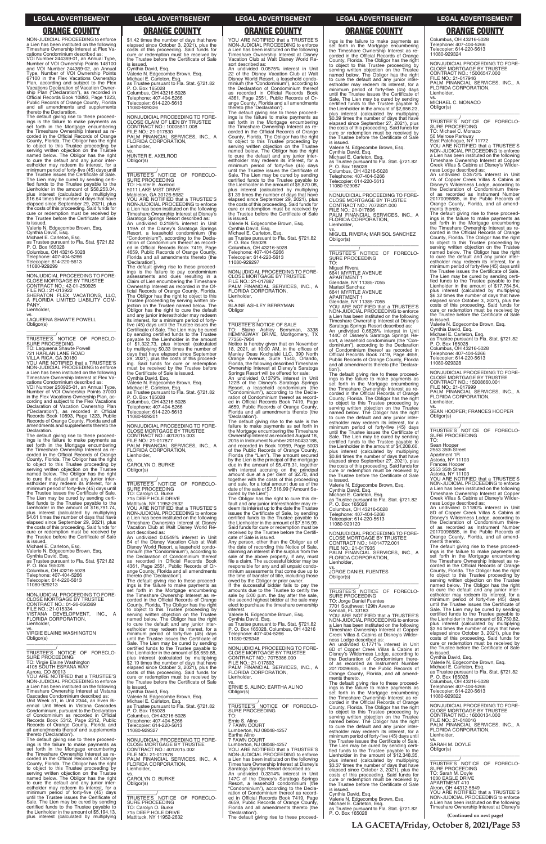NON-JUDICIAL PROCEEDING to enforce a Lien has been instituted on the following Timeshare Ownership Interest at Flex Vacations Condominium described as:

VOI Number 244369-01, an Annual Type, Number of VOI Ownership Points 148100 and VOI Number 244369-02, an Annual Type, Number of VOI Ownership Points 67100 in the Flex Vacations Ownership Plan, according and subject to the Flex Vacations Declaration of Vacation Ownership Plan ("Declaration"), as recorded in Official Records Book 10893, Page 1223, Public Records of Orange County, Florida and all amendments and supplements thereto the Declaration.

The default giving rise to these proceed-<br>ings is the failure to make payments as<br>set forth in the Mortgage encumbering<br>the Timeshare Ownership Interest as re-<br>corded in the Official Records of Orange<br>County, Florida. The to object to this Trustee proceeding by serving written objection on the Trustee named below. The Obligor has the right to cure the default and any junior inter-estholder may redeem its interest, for a minimum period of forty-five (45) days until the Trustee issues the Certificate of Sale. The Lien may be cured by sending certi-fied funds to the Trustee payable to the Lienholder in the amount of \$58,253.04, plus interest (calculated by multiplying \$16.64 times the number of days that have elapsed since September 29, 2021), plus the costs of this proceeding. Said funds for cure or redemption must be received by the Trustee before the Certificate of Sale

### $\overline{\phantom{a}}$  , and the set of the set of the set of the set of the set of the set of the set of the set of the set of the set of the set of the set of the set of the set of the set of the set of the set of the set of the s \_\_\_\_\_\_\_\_\_\_\_/<br>TRUSTEE'S NOTICE OF FORECLO-<br>SURE PROCEEDING TO: Laqueena Shawte Powell

cations Condominium described as:<br>VOI Number 250925-01, an Annual Type,<br>Number of VOI Ownership Points 37000<br>in the Flex Vacations Ownership Plan, ac-<br>cording and subject to the Flex Vacations<br>Declaration of Vacation Owner ("Declaration"), as recorded in Official Records Book 10893, Page 1223, Public Records of Orange County, Florida and all amendments and supplements thereto the Declaration.

is issued. Valerie N. Edgecombe Brown, Esq. Cynthia David, Esq.

Michael E. Carleton, Esq. as Trustee pursuant to Fla. Stat. §721.82 P. O. Box 165028

Columbus, OH 43216-5028 Telephone: 407-404-5266 Telecopier: 614-220-5613 11080-929299

—————————————————— NONJUDICIAL PROCEEDING TO FORE-CLOSE MORTGAGE BY TRUSTEE CONTRACT NO.: 42-01-250925 FILE NO.: 21-013922 SHERATON FLEX VACATIONS, LLC, A FLORIDA LIMITED LIABILITY COM-PANY, Lienholder,

vs. LAQUEENA SHAWTE POWELL Obligor(s)

721 HARLAN LANE ROAD VILLA RICA, GA 30180 YOU ARE NOTIFIED that a TRUSTEE'S

NON-JUDICIAL PROCEEDING to enforce a Lien has been instituted on the following Timeshare Ownership Interest at Flex Va-

The default giving rise to these proceedings is the failure to make payments as set forth in the Mortgage encumbering the Timeshare Ownership Interest as re-corded in the Official Records of Orange County, Florida. The Obligor has the right to object to this Trustee proceeding by<br>serving written objection on the Trustee<br>named below. The Obligor has the right<br>to cure the default and any junior inter-<br>estholder may redeem its interest, for a<br>minimum period of f the Trustee issues the Certificate of Sale. The Lien may be cured by sending certi-fied funds to the Trustee payable to the Lienholder in the amount of \$16,791.74, plus interest (calculated by multiplying \$4.61 times the number of days that have elapsed since September 29, 2021), plus the costs of this proceeding. Said funds for cure or redemption must be received by the Trustee before the Certificate of Sale

TRUSTEE'S NOTICE OF FORECLO-<br>SURE PROCEEDING<br>TO: Hunter E. Axelrod<br>5011 LAKE MIST DRIVE<br>Mableton, GA 30126-5982<br>YOU ARE NOTIFIED that a TRUSTEE'S<br>NON-JUDICIAL PROCEEDING to enforce<br>a Lien has been instituted on the followi Timeshare Ownership Interest at Disney's<br>Saratoga Springs Resort described as:<br>An undivided 0.2189% interest in Unit<br>119A of the Disney's Saratoga Springs<br>Resort, a leasehold condominium (the<br>"Condominium"), according to t ration of Condominium thereof as recorded in Official Records Book 7419, Page 4659, Public Records of Orange County, Florida and all amendments thereto (the 'Declaration').

is issued. Michael E. Carleton, Esq. Valerie N. Edgecombe Brown, Esq. Cynthia David, Esq. as Trustee pursuant to Fla. Stat. §721.82 P. O. Box 165028

Columbus, OH 43216-5028 Telephone: 407-404-5266 Telecopier: 614-220-5613 11080-929213

—————————————————— NONJUDICIAL PROCEEDING TO FORE-CLOSE MORTGAGE BY TRUSTEE CONTRACT NO.: 01-26-056369 FILE NO.: 21-015334 VISTANA DEVELOPMENT, INC., A FLORIDA CORPORATION,

YOU ARE NOTIFIED that a TRUSTEE'S NON-JUDICIAL PROCEEDING to enforce a Lien has been instituted on the following Timeshare Ownership Interest at Disney Vacation Club at Walt Disney World Resort described as: An undivided 0.0575% interest in Unit

### \$1.42 times the number of days that have elapsed since October 3, 2021), plus the costs of this proceeding. Said funds for cure or redemption must be received by the Trustee before the Certificate of Sale

is issued. Cynthia David, Esq. Valerie N. Edgecombe Brown, Esq. Michael E. Carleton, Esq. as Trustee pursuant to Fla. Stat. §721.82 P. O. Box 165028 Columbus, OH 43216-5028 Telephone: 407-404-5266 Telecopier: 614-220-5613

11080-929326 —————————————————— NONJUDICIAL PROCEEDING TO FORE-CLOSE CLAIM OF LIEN BY TRUSTEE CONTRACT NO.: 10005811.008

FILE NO.: 21-017830 PALM FINANCIAL SERVICES, INC., A FLORIDA CORPORATION, Lienholder, vs. HUNTER E. AXELROD

Obligor(s)

vs. BLAINE ASHLEY BERRYMAN Obligor  $\overline{\phantom{a}}$  ,  $\overline{\phantom{a}}$  ,  $\overline{\phantom{a}}$  ,  $\overline{\phantom{a}}$  ,  $\overline{\phantom{a}}$  ,  $\overline{\phantom{a}}$  ,  $\overline{\phantom{a}}$  ,  $\overline{\phantom{a}}$  ,  $\overline{\phantom{a}}$  ,  $\overline{\phantom{a}}$  ,  $\overline{\phantom{a}}$  ,  $\overline{\phantom{a}}$  ,  $\overline{\phantom{a}}$  ,  $\overline{\phantom{a}}$  ,  $\overline{\phantom{a}}$  ,  $\overline{\phantom{a}}$ 

The default giving rise to these proceed-ings is the failure to pay condominium assessments and dues resulting in a Claim of Lien encumbering the Timeshare Ownership Interest as recorded in the Of-ficial Records of Orange County, Florida. The Obligor has the right to object to this Trustee proceeding by serving written ob-jection on the Trustee named below. The Obligor has the right to cure the default and any junior interestholder may redeem its interest, for a minimum period of forty-five (45) days until the Trustee issues the Certificate of Sale. The Lien may be cured by sending certified funds to the Trustee payable to the Lienholder in the amount of \$1,322.73, plus interest (calculated of \$1,322.73, plus interest (calculated<br>by multiplying \$0.33 times the number of days that have elapsed since September 29, 2021), plus the costs of this proceed-ing. Said funds for cure or redemption must be received by the Trustee before the Certificate of Sale is issued.

Cynthia David, Esq.<br>Valerie N. Edgecombe Brown, Esq.<br>Michael E. Carleton, Esq.<br>as Trustee pursuant to Fla. Stat. §721.82<br>P. O. Box 165028<br>Columbus, OH 43216-5028<br>Telephone: 407-404-5266<br>Telecopier: 614-220-5613<br>1080-929201

NONJUDICIAL PROCEEDING TO FORE-CLOSE MORTGAGE BY TRUSTEE CONTRACT NO.: 4012015.003 FILE NO.: 21-017877 PALM FINANCIAL SERVICES, INC., A FLORIDA CORPORATION, Lienholder,

vs. CAROLYN O. BURKE

Obligor(s) \_\_\_\_\_\_\_\_\_\_\_\_\_\_\_\_\_\_\_\_\_\_\_\_\_\_\_\_\_\_\_\_\_

\_\_\_\_\_\_\_\_\_\_\_/<br>TRUSTEE'S NOTICE OF FORECLO-<br>SURE PROCEEDING

TO: Carolyn O. Burke 715 DEEP HOLE DRIVE Mattituck, NY 11952-2632

YOU ARE NOTIFIED that a TRUSTEE'S NON-JUDICIAL PROCEEDING to enforce a Lien has been instituted on the following Timeshare Ownership Interest at Disney Vacation Club at Walt Disney World Resort described as:

An undivided 0.0549% interest in Unit 54 of the Disney Vacation Club at Walt Disney World Resort, a leasehold condominium (the "Condominium"), according to the Declaration of Condominium thereof as recorded in Official Records Book 4361, Page 2551, Public Records of Or-

ange County, Florida and all amendments thereto (the 'Declaration'). The default giving rise to these proceed-ings is the failure to make payments as set forth in the Mortgage encumbering the Timeshare Ownership Interest as re-corded in the Official Records of Orange County, Florida. The Obligor has the right to object to this Trustee proceeding by serving written objection on the Trustee named below. The Obligor has the right

\_\_\_\_\_\_\_\_\_\_\_\_/<br>TRUSTEE'S NOTICE OF FORECLO-<br>SURE PROCEEDING TO: Jorge Daniel Fuentes 7701 Southwest 129th Avenue Kendall, FL 33183

—————————————————— NONJUDICIAL PROCEEDING TO FORE-CLOSE MORTGAGE BY TRUSTEE CONTRACT NO.: 15006547.000 FILE NO.: 21-017946 PALM FINANCIAL SERVICES, INC., A FLORIDA CORPORATION, Lienholder.

\_\_\_\_\_\_\_\_\_\_\_\_\_\_\_\_\_\_\_\_\_\_\_\_\_\_\_\_\_\_\_\_\_ \_\_\_\_\_\_\_\_\_\_\_/<br>TRUSTEE'S NOTICE OF FORECLO-<br>SURE PROCEEDING

22 of the Disney Vacation Club at Walt Disney World Resort, a leasehold condominium (the "Condominium"), according to the Declaration of Condominium thereof as recorded in Official Records Book 4361, Page 2551, Public Records of Orange County, Florida and all amendments thereto (the 'Declaration'). The default giving rise to these proceed-ings is the failure to make payments as

set forth in the Mortgage encumbering the Timeshare Ownership Interest as re-corded in the Official Records of Orange County, Florida. The Obligor has the right to object to this Trustee proceeding by serving written objection on the Trustee named below. The Obligor has the right to cure the default and any junior inter-estholder may redeem its interest, for a minimum period of forty-five (45) days until the Trustee issues the Certificate of Sale. The Lien may be cured by sending certified funds to the Trustee payable to the Lienholder in the amount of \$5,870.08, plus interest (calculated by multiplying \$1.39 times the number of days that have elapsed since September 29, 2021), plus the costs of this proceeding. Said funds for cure or redemption must be received by the Trustee before the Certificate of Sale is issued.

> TO: Sean Hooper

Valerie N. Edgecombe Brown, Esq. Cynthia David, Esq. Michael E. Carleton, Esq. as Trustee pursuant to Fla. Stat. §721.82 P. O. Box 165028 Columbus, OH 43216-5028 Telephone: 407-404-5266 Telecopier: 614-220-5613 11080-929297

—————————————————— NONJUDICIAL PROCEEDING TO FORE-CLOSE MORTGAGE BY TRUSTEE FILE NO.: 21-017887 PALM FINANCIAL SERVICES, INC., A FLORIDA CORPORATION, Lienholder,

\_\_\_\_\_\_\_\_\_\_\_/ TRUSTEE'S NOTICE OF SALE TO: Blaine Ashley Berryman, 3338 HEMINGWAY DRIVE, Montgomery, TX 77356-7904

Notice is hereby given that on November 18, 2021, at 10:00 AM, in the offices of Manley Deas Kochalski LLC, 390 North Orange Avenue, Suite 1540, Orlando, Florida, the following described Timeshare Ownership Interest at Disney's Saratoga Springs Resort will be offered for sale:

An undivided 0.1379% interest in Unit 122B of the Disney's Saratoga Springs Resort, a leasehold condominium (the "Condominium"), according to the Decla-ration of Condominium thereof as recorded in Official Records Book 7419, Page 4659, Public Records of Orange County, Florida and all amendments thereto (the 'Declaration').

The default giving rise to the sale is the failure to make payments as set forth in the Mortgage encumbering the Timeshare Ownership Interest as recorded August 18, 2015 in Instrument Number 20150433188, and recorded in Book 10969, Page 5003 of the Public Records of Orange County, Florida (the "Lien"). The amount secured by the Lien is the principal of the mortgage due in the amount of \$5,478.31, together with interest accruing on the principal<br>amount due at a per diem of \$2.70, and<br>together with the costs of this proceeding<br>and sale, for a total amount due as of the date of the sale of \$7,516.99 ("Amount Se-

cured by the Lien"). The Obligor has the right to cure this default and any junior interestholder may re-deem its interest up to the date the Trustee issues the Certificate of Sale, by sending certified funds to the Trustee payable to the Lienholder in the amount of \$7,516.99. Said funds for cure or redemption must be received by the Trustee before the Certificate of Sale is issued.

Any person, other than the Obligor as of the date of recording this Notice of Sale, claiming an interest in the surplus from the sale of the above property, if any, must file a claim. The successful bidder may be responsible for any and all unpaid condo-minium assessments that come due up to the time of transfer of title, including those

owed by the Obligor or prior owner. If the successful bidder fails to pay the amounts due to the Trustee to certify the sale by 5:00 p.m. the day after the sale, the second highest bidder at the sale may elect to purchase the timeshare ownership interest.

Valerie N. Edgecombe Brown, Esq. Cynthia David, Esq.

| . בטו ווטרו טטו וו טו וואז וטו<br>Lienholder.<br>VS.<br><b>VIRGIE ELAINE WASHINGTON</b><br>Obligor(s)                                                                                                                                                                                                                                                                                                                                                                                                                                           | Hallied Delow. The Obligor has the right<br>to cure the default and any junior inter-<br>estholder may redeem its interest, for a<br>minimum period of forty-five (45) days<br>until the Trustee issues the Certificate of<br>Sale. The Lien may be cured by sending                                                                                                                                                                                                    | Gynuna Daviu, LSY.<br>as Trustee pursuant to Fla. Stat. §721.82<br>P. O. Box 165028, Columbus, OH 43216<br>Telephone: 407-404-5266<br>11080-929348                                                                                                                                                                                                                                                                                                                                                  | NON-JUDICIAL PROCEEDING to enforce<br>a Lien has been instituted on the following<br>Timeshare Ownership Interest at Copper<br>Creek Villas & Cabins at Disney's Wilder-<br>ness Lodge described as:<br>An undivided 0.1771% interest in Unit                                                                                                                                                                                                                                                                                                      | <u>ult Littlingut in the annuint of 53.700.02.</u><br>plus interest (calculated by multiplying<br>\$3.94 times the number of days that have<br>elapsed since October 3, 2021), plus the<br>costs of this proceeding. Said funds for<br>cure or redemption must be received by                                                               |
|-------------------------------------------------------------------------------------------------------------------------------------------------------------------------------------------------------------------------------------------------------------------------------------------------------------------------------------------------------------------------------------------------------------------------------------------------------------------------------------------------------------------------------------------------|-------------------------------------------------------------------------------------------------------------------------------------------------------------------------------------------------------------------------------------------------------------------------------------------------------------------------------------------------------------------------------------------------------------------------------------------------------------------------|-----------------------------------------------------------------------------------------------------------------------------------------------------------------------------------------------------------------------------------------------------------------------------------------------------------------------------------------------------------------------------------------------------------------------------------------------------------------------------------------------------|----------------------------------------------------------------------------------------------------------------------------------------------------------------------------------------------------------------------------------------------------------------------------------------------------------------------------------------------------------------------------------------------------------------------------------------------------------------------------------------------------------------------------------------------------|---------------------------------------------------------------------------------------------------------------------------------------------------------------------------------------------------------------------------------------------------------------------------------------------------------------------------------------------|
| TRUSTEE'S NOTICE OF FORECLO-<br><b>SURE PROCEEDING</b><br>TO: Virgie Elaine Washington<br>4105 SOUTH ESPANA WAY<br>Aurora, CO 80013<br>YOU ARE NOTIFIED that a TRUSTEE'S<br>NON-JUDICIAL PROCEEDING to enforce<br>a Lien has been instituted on the following<br>Timeshare Ownership Interest at Vistana<br>Cascades Condominium described as:<br>Unit Week 51, in Unit 2344, an Even Bi-                                                                                                                                                       | certified funds to the Trustee payable to<br>the Lienholder in the amount of \$8,659.68.<br>plus interest (calculated by multiplying<br>\$2.19 times the number of days that have<br>elapsed since October 3, 2021), plus the<br>costs of this proceeding. Said funds for<br>cure or redemption must be received by<br>the Trustee before the Certificate of Sale<br>is issued.<br>Cynthia David. Esg.<br>Valerie N. Edgecombe Brown, Esg.<br>Michael E. Carleton, Esq. | NONJUDICIAL PROCEEDING TO FORE-<br><b>CLOSE MORTGAGE BY TRUSTEE</b><br>CONTRACT NO.: 7075386.000<br>FILE NO.: 21-017892<br>PALM FINANCIAL SERVICES, INC., A<br>FLORIDA CORPORATION,<br>Lienholder,<br>VS.<br>ERNIE S. ALINO: EARTHA ALINO<br>Obligor(s)                                                                                                                                                                                                                                             | 6D of Copper Creek Villas & Cabins at<br>Disney's Wilderness Lodge, according to<br>the Declaration of Condominium there-<br>of as recorded as Instrument Number<br>20170096685, in the Public Records of<br>Orange County, Florida, and all amend-<br>ments thereto.<br>The default giving rise to these proceed-<br>ings is the failure to make payments as<br>set forth in the Mortgage encumbering<br>the Timeshare Ownership Interest as re-                                                                                                  | the Trustee before the Certificate of Sale<br>is issued.<br>Cynthia David, Esq.<br>Valerie N. Edgecombe Brown, Esq.<br>Michael E. Carleton, Esg.<br>as Trustee pursuant to Fla. Stat. §721.82<br>P. O. Box 165028<br>Columbus, OH 43216-5028<br>Telephone: 407-404-5266<br>Telecopier: 614-220-5613<br>11080-929322                         |
| ennial Unit Week in Vistana Cascades<br>Condominium, pursuant to the Declaration<br>of Condominium as recorded in Official<br>Records Book 5312, Page 2312, Public<br>Records of Orange County, Florida and<br>all amendments thereof and supplements<br>thereto ('Declaration').<br>The default giving rise to these proceed-<br>ings is the failure to make payments as<br>set forth in the Mortgage encumbering<br>the Timeshare Ownership Interest as re-                                                                                   | as Trustee pursuant to Fla. Stat. §721.82<br>P. O. Box 165028<br>Columbus, OH 43216-5028<br>Telephone: 407-404-5266<br>Telecopier: 614-220-5613<br>11080-929327<br>NONJUDICIAL PROCEEDING TO FORE-<br><b>CLOSE MORTGAGE BY TRUSTEE</b><br>CONTRACT NO.: 4012015.002<br>FILE NO.: 21-017878                                                                                                                                                                              | TRUSTEE'S NOTICE OF FORECLO-<br>SURE PROCEEDING<br>TO:<br>Ernie S. Alino<br>7 FAWN COURT<br>Lumberton, NJ 08048-4257<br>Eartha Alino<br>7 FAWN COURT<br>Lumberton, NJ 08048-4257<br>YOU ARE NOTIFIED that a TRUSTEE'S<br>NON-JUDICIAL PROCEEDING to enforce                                                                                                                                                                                                                                         | corded in the Official Records of Orange<br>County, Florida. The Obligor has the right<br>to object to this Trustee proceeding by<br>serving written objection on the Trustee<br>named below. The Obligor has the right<br>to cure the default and any junior inter-<br>estholder may redeem its interest, for a<br>minimum period of forty-five (45) days until<br>the Trustee issues the Certificate of Sale.<br>The Lien may be cured by sending certi-<br>fied funds to the Trustee payable to the<br>Lienholder in the amount of \$12.348.35. | NONJUDICIAL PROCEEDING TO FORE-<br><b>CLOSE MORTGAGE BY TRUSTEE</b><br>CONTRACT NO.: 16000134.000<br>FILE NO.: 21-018016<br>PALM FINANCIAL SERVICES, INC., A<br>FLORIDA CORPORATION.<br>Lienholder,<br>VS.<br>SARAH M. DOYLE<br>Obligor(s)                                                                                                  |
| corded in the Official Records of Orange<br>County, Florida. The Obligor has the right<br>to object to this Trustee proceeding by<br>serving written objection on the Trustee<br>named below. The Obligor has the right<br>to cure the default and any junior inter-<br>estholder may redeem its interest, for a<br>minimum period of forty-five (45) days<br>until the Trustee issues the Certificate of<br>Sale. The Lien may be cured by sending<br>certified funds to the Trustee payable to<br>the Lienholder in the amount of \$5,194.13, | PALM FINANCIAL SERVICES, INC., A<br>FLORIDA CORPORATION,<br>Lienholder.<br>VS.<br>CAROLYN O. BURKE<br>Obligor(s)<br>TRUSTEE'S NOTICE OF FORECLO-<br>SURE PROCEEDING<br>TO: Carolyn O. Burke<br>715 DEEP HOLE DRIVE                                                                                                                                                                                                                                                      | a Lien has been instituted on the following<br>Timeshare Ownership Interest at Disney's<br>Saratoga Springs Resort described as:<br>An undivided 0.3314% interest in Unit<br>147C of the Disney's Saratoga Springs<br>Resort, a leasehold condominium (the<br>"Condominium"), according to the Decla-<br>ration of Condominium thereof as record-<br>ed in Official Records Book 7419, Page<br>4659, Public Records of Orange County,<br>Florida and all amendments thereto (the<br>'Declaration'). | plus interest (calculated by multiplying<br>\$3.37 times the number of days that have<br>elapsed since October 3, 2021), plus the<br>costs of this proceeding. Said funds for<br>cure or redemption must be received by<br>the Trustee before the Certificate of Sale<br>is issued.<br>Cynthia David, Esq.<br>Valerie N. Edgecombe Brown, Esg.<br>Michael E. Carleton, Esq.<br>as Trustee pursuant to Fla. Stat. §721.82<br>P. O. Box 165028                                                                                                       | TRUSTEE'S NOTICE OF FORECLO-<br><b>SURE PROCEEDING</b><br>TO: Sarah M. Doyle<br>1030 EAGLE DRIVE<br>APARTMENT 410<br>Akron, OH 44312-5849<br>YOU ARE NOTIFIED that a TRUSTEE'S<br>NON-JUDICIAL PROCEEDING to enforce<br>a Lien has been instituted on the following<br>Timeshare Ownership Interest at Disney's<br>(Continued on next page) |
| plus interest (calculated by multiplying                                                                                                                                                                                                                                                                                                                                                                                                                                                                                                        | Mattituck, NY 11952-2632                                                                                                                                                                                                                                                                                                                                                                                                                                                | The default giving rise to these proceed-                                                                                                                                                                                                                                                                                                                                                                                                                                                           |                                                                                                                                                                                                                                                                                                                                                                                                                                                                                                                                                    | LA GACETA/Friday, October 8, 2021/Page 53                                                                                                                                                                                                                                                                                                   |

ings is the failure to make payments as set forth in the Mortgage encumbering the Timeshare Ownership Interest as re-corded in the Official Records of Orange County, Florida. The Obligor has the right to object to this Trustee proceeding by serving written objection on the Trustee named below. The Obligor has the right to cure the default and any junior inter-estholder may redeem its interest, for a minimum period of forty-five (45) days until the Trustee issues the Certificate of Sale. The Lien may be cured by sending certified funds to the Trustee payable to the Lienholder in the amount of \$2,656.23, plus interest (calculated by multiplying \$0.39 times the number of days that have elapsed since September 27, 2021), plus the costs of this proceeding. Said funds for cure or redemption must be received by the Trustee before the Certificate of Sale

is issued. Valerie N. Edgecombe Brown, Esq. Cynthia David, Esq. Michael E. Carleton, Esq. as Trustee pursuant to Fla. Stat. §721.82 P. O. Box 165028 Columbus, OH 43216-5028 Telephone: 407-404-5266 Telecopier: 614-220-5613 11080-929087

—————————————————— NONJUDICIAL PROCEEDING TO FORE-CLOSE MORTGAGE BY TRUSTEE CONTRACT NO.: 7072831.000 FILE NO.: 21-017896 PALM FINANCIAL SERVICES, INC., A FLORIDA CORPORATION, Lienholder,

vs. MIGUEL RIVERA; MARISOL SANCHEZ Obligor(s)

\_\_\_\_\_\_\_\_\_\_\_\_\_\_\_\_\_\_\_\_\_\_\_\_\_\_\_\_\_\_\_\_\_ \_\_\_\_\_\_\_\_\_\_\_/ TRUSTEE'S NOTICE OF FORECLO-SURE PROCEEDING TO:

Miguel Rivera 6641 MYRTLE AVENUE APARTMENT 1

Glendale, NY 11385-7055 Marisol Sanchez 6641 MYRTLE AVENUE

APARTMENT 1 Glendale, NY 11385-7055 YOU ARE NOTIFIED that a TRUSTEE'S

NON-JUDICIAL PROCEEDING to enforce a Lien has been instituted on the following Timeshare Ownership Interest at Disney's

Saratoga Springs Resort described as: An undivided 0.6628% interest in Unit 144C of Disney's Saratoga Springs Resort, a leasehold condominium (the "Con-dominium"), according to the Declaration of Condominium thereof as recorded in Official Records Book 7419, Page 4659, Public Records of Orange County, Florida and all amendments thereto (the 'Declara-

tion'). The default giving rise to these proceed-ings is the failure to make payments as set forth in the Mortgage encumbering the Timeshare Ownership Interest as re-corded in the Official Records of Orange County, Florida. The Obligor has the right to object to this Trustee proceeding by serving written objection on the Trustee named below. The Obligor has the right to cure the default and any junior inter-estholder may redeem its interest, for a minimum period of forty-five (45) days until the Trustee issues the Certificate of Sale. The Lien may be cured by sending certified funds to the Trustee payable to the Lienholder in the amount of \$4,208.60, plus interest (calculated by multiplying \$0.84 times the number of days that have elapsed since September 27, 2021), plus the costs of this proceeding. Said funds for cure or redemption must be received by the Trustee before the Certificate of Sale is issued.

Valerie N. Edgecombe Brown, Esq. Cynthia David, Esq. Michael E. Carleton, Esq. as Trustee pursuant to Fla. Stat. §721.82 P. O. Box 165028 Columbus, OH 43216-5028 Telephone: 407-404-5266 Telecopier: 614-220-5613 11080-929120

—————————————————— NONJUDICIAL PROCEEDING TO FORE-CLOSE MORTGAGE BY TRUSTEE CONTRACT NO.: 14014772.001 FILE NO.: 21-017935 PALM FINANCIAL SERVICES, INC., A FLORIDA CORPORATION, Lienholder,

vs. JORGE DANIEL FUENTES Obligor(s) \_\_\_\_\_\_\_\_\_\_\_\_\_\_\_\_\_\_\_\_\_\_\_\_\_\_\_\_\_\_\_\_\_

YOU ARE NOTIFIED that a TRUSTEE'S NON-JUDICIAL PROCEEDING to enforce

Columbus, OH 43216-5028 Telephone: 407-404-5266 Telecopier: 614-220-5613 11080-929324

vs. MICHAEL C. MONACO Obligor(s)

TO: Michael C. Monaco

50 Melrose Parkway East Patchogue, NY 11772 YOU ARE NOTIFIED that a TRUSTEE'S NON-JUDICIAL PROCEEDING to enforce a Lien has been instituted on the following Timeshare Ownership Interest at Copper Creek Villas & Cabins at Disney's Wilderness Lodge described as:

An undivided 0.3573% interest in Unit 7A of Copper Creek Villas & Cabins at Disney's Wilderness Lodge, according to the Declaration of Condominium there-of as recorded as Instrument Number 20170096685, in the Public Records of Orange County, Florida, and all amend-ments thereto. The default giving rise to these proceed-

ings is the failure to make payments as set forth in the Mortgage encumbering the Timeshare Ownership Interest as recorded in the Official Records of Orange County, Florida. The Obligor has the right to object to this Trustee proceeding by serving written objection on the Trustee<br>named below. The Obligor has the right<br>to cure the default and any junior inter-<br>estholder may redeem its interest, for a<br>minimum period of forty-five (45) days until<br>the Trustee is The Lien may be cured by sending certi-fied funds to the Trustee payable to the Lienholder in the amount of \$17,784.54, plus interest (calculated by multiplying \$6.32 times the number of days that have elapsed since October 3, 2021), plus the costs of this proceeding. Said funds for cure or redemption must be received by the Trustee before the Certificate of Sale

is issued. Valerie N. Edgecombe Brown, Esq. Cynthia David, Esq.

Michael E. Carleton, Esq. as Trustee pursuant to Fla. Stat. §721.82 P. O. Box 165028

Columbus, OH 43216-5028 Telephone: 407-404-5266 Telecopier: 614-220-5613

11080-929328

—————————————————— NONJUDICIAL PROCEEDING TO FORE-CLOSE MORTGAGE BY TRUSTEE CONTRACT NO.: 15008660.001 FILE NO.: 21-017999 PALM FINANCIAL SERVICES, INC., A FLORIDA CORPORATION,

Lienholder,

vs. SEAN HOOPER; FRANCES HOOPER Obligor(s)

\_\_\_\_\_\_\_\_\_\_\_\_\_\_\_\_\_\_\_\_\_\_\_\_\_\_\_\_\_\_\_\_\_ \_\_\_\_\_\_\_\_\_\_\_/ TRUSTEE'S NOTICE OF FORECLO-SURE PROCEEDING

2553 35th Street Apartment 1R Astoria, NY 11103

Frances Hooper 2553 35th Street Astoria, NY 11103

YOU ARE NOTIFIED that a TRUSTEE'S NON-JUDICIAL PROCEEDING to enforce a Lien has been instituted on the following Timeshare Ownership Interest at Copper Creek Villas & Cabins at Disney's Wilder-ness Lodge described as:

An undivided 0.1180% interest in Unit 8D of Copper Creek Villas & Cabins at Disney's Wilderness Lodge, according to the Declaration of Condominium there-of as recorded as Instrument Number 20170096685, in the Public Records of Orange County, Florida, and all amend-ments thereto. The default giving rise to these proceed-

ings is the failure to make payments as set forth in the Mortgage encumbering the Timeshare Ownership Interest as recorded in the Official Records of Orange County, Florida. The Obligor has the right to object to this Trustee proceeding by serving written objection on the Trustee named below. The Obligor has the right to cure the default and any junior interestholder may redeem its interest, for a minimum period of forty-five (45) days until the Trustee issues the Certificate of Sale. The Lien may be cured by sending certified funds to the Trustee payable to the Lienholder in the amount of \$9,750.82,

### **LEGAL ADVERTISEMENT LEGAL ADVERTISEMENT LEGAL ADVERTISEMENT LEGAL ADVERTISEMENT LEGAL ADVERTISEMENT**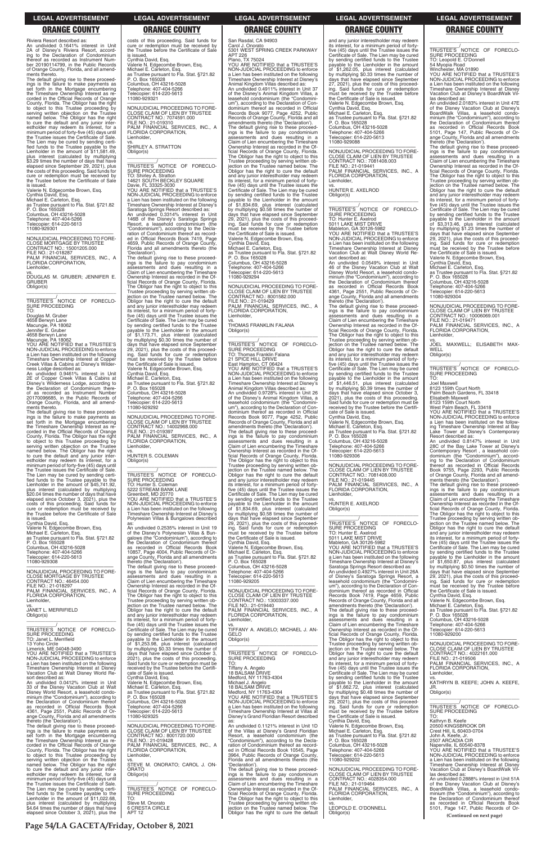**Page 54/LA GACETA/Friday, October 8, 2021**

Riviera Resort described as: An undivided 0.1641% interest in Unit 2A of Disney's Riviera Resort, accord-ing to the Declaration of Condominium thereof as recorded as Instrument Number 20190114799, in the Public Records of Orange County, Florida, and all amend-ments thereto.

The default giving rise to these proceed-ings is the failure to make payments as set forth in the Mortgage encumbering the Timeshare Ownership Interest as recorded in the Official Records of Orange County, Florida. The Obligor has the right to object to this Trustee proceeding by serving written objection on the Trustee named below. The Obligor has the right to cure the default and any junior inter-estholder may redeem its interest, for a minimum period of forty-five (45) days until the Trustee issues the Certificate of Sale. The Lien may be cured by sending certi-fied funds to the Trustee payable to the Lienholder in the amount of \$11,581.49, plus interest (calculated by multiplying \$3.29 times the number of days that have elapsed since September 29, 2021), plus the costs of this proceeding. Said funds for cure or redemption must be received by the Trustee before the Certificate of Sale is issued.

Valerie N. Edgecombe Brown, Esq. Cynthia David, Esq. Michael E. Carleton, Esq. as Trustee pursuant to Fla. Stat. §721.82 P. O. Box 165028 Columbus, OH 43216-5028 Telephone: 407-404-5266 Telecopier: 614-220-5613 11080-929301

—————————————————— NONJUDICIAL PROCEEDING TO FORE-CLOSE MORTGAGE BY TRUSTEE CONTRACT NO.: 15001205.000 FILE NO.: 21-018287 PALM FINANCIAL SERVICES, INC., A FLORIDA CORPORATION, Lienholder,

vs. DOUGLAS M. GRUBER; JENNIFER E. GRUBER Obligor(s) \_\_\_\_\_\_\_\_\_\_\_\_\_\_\_\_\_\_\_\_\_\_\_\_\_\_\_\_\_\_\_\_\_

\_\_\_\_\_\_\_\_\_\_\_/ TRUSTEE'S NOTICE OF FORECLO-SURE PROCEEDING TO:

Douglas M. Gruber 4658 Berwyn Lane Macungie, PA 18062 Jennifer E. Gruber 4658 Berwyn Lane Macungie, PA 18062 YOU ARE NOTIFIED that a TRUSTEE'S NON-JUDICIAL PROCEEDING to enforce

a Lien has been instituted on the following Timeshare Ownership Interest at Copper Creek Villas & Cabins at Disney's Wilder-

ness Lodge described as: An undivided 0.9461% interest in Unit 2E of Copper Creek Villas & Cabins at Disney's Wilderness Lodge, according to the Declaration of Condominium there-of as recorded as Instrument Number 20170096685, in the Public Records of Orange County, Florida, and all amend-ments thereto.

The default giving rise to these proceed-ings is the failure to make payments as set forth in the Mortgage encumbering the Timeshare Ownership Interest as recorded in the Official Records of Orange County, Florida. The Obligor has the right to object to this Trustee proceeding by serving written objection on the Trustee named below. The Obligor has the right to cure the default and any junior inter-estholder may redeem its interest, for a minimum period of forty-five (45) days until the Trustee issues the Certificate of Sale. The Lien may be cured by sending certi-fied funds to the Trustee payable to the Lienholder in the amount of \$45,741.92, plus interest (calculated by multiplying \$20.04 times the number of days that have elapsed since October 3, 2021), plus the costs of this proceeding. Said funds for cure or redemption must be received by the Trustee before the Certificate of Sale is issued.

Cynthia David, Esq. Valerie N. Edgecombe Brown, Esq. Michael E. Carleton, Esq. as Trustee pursuant to Fla. Stat. §721.82 P. O. Box 165028 Columbus, OH 43216-5028 Telephone: 407-404-5266 Telecopier: 614-220-5613 11080-929308

—————————————————— NONJUDICIAL PROCEEDING TO FORE-CLOSE MORTGAGE BY TRUSTEE CONTRACT NO.: 46454.000 FILE NO.: 21-018297 PALM FINANCIAL SERVICES, INC., A FLORIDA CORPORATION, Lienholder, vs. JANET L. MERRIFIELD Obligor(s)

payable to the Lienholder in the amount<br>of \$1,173.71, plus interest (calculated<br>by multiplying \$0.30 times the number of<br>days that have elapsed since September<br>29, 2021), plus the costs of this proceeding. Said funds for cure or redemption must be received by the Trustee before the Certificate of Sale is issued. Valerie N. Edgecombe Brown, Esq. Cynthia David, Esq. Michael E. Carleton, Esq.

costs of this proceeding. Said funds for cure or redemption must be received by the Trustee before the Certificate of Sale is issued. Cynthia David, Esq. Valerie N. Edgecombe Brown, Esq. Michael E. Carleton, Esq. as Trustee pursuant to Fla. Stat. §721.82

P. O. Box 165028 Columbus, OH 43216-5028 Telephone: 407-404-5266 Telecopier: 614-220-5613

11080-929321

 $\overline{\phantom{a}}$  , and the set of the set of the set of the set of the set of the set of the set of the set of the set of the set of the set of the set of the set of the set of the set of the set of the set of the set of the s \_\_\_\_\_\_\_\_\_\_\_/ TRUSTEE'S NOTICE OF FORECLO-TO: Shirley A. Stratton 14621 SOUTH BECKLEY SQUARE Davie, FL 33325-3030 YOU ARE NOTIFIED that a TRUSTEE'S NON-JUDICIAL PROCEEDING to enforce a Lien has been instituted on the following Timeshare Ownership Interest at Disney's APT 226 Plano, TX 75024 YOU ARE NOTIFIED that a TRUSTEE'S NON-JUDICIAL PROCEEDING to enforce a Lien has been instituted on the following Timeshare Ownership Interest at Disney's Animal Kingdom Villas described as: An undivided 0.4911% interest in Unit 37 of the Disney's Animal Kingdom Villas, a leasehold condominium (the "Condomini-um"), according to the Declaration of Condominium thereof as recorded in Official Records Book 9077, Page 4252, Public Records of Orange County, Florida and all amendments thereto (the 'Declaration'). The default giving rise to these proceed-ings is the failure to pay condominium assessments and dues resulting in a Claim of Lien encumbering the Timeshare Ownership Interest as recorded in the Official Records of Orange County, Florida. The Obligor has the right to object to this Trustee proceeding by serving written objection on the Trustee named below. The Obligor has the right to cure the default and any junior interestholder may redeem its interest, for a minimum period of fortyfive (45) days until the Trustee issues the Certificate of Sale. The Lien may be cured by sending certified funds to the Trustee

payable to the Lienholder in the amount<br>of \$1,834.69, plus interest (calculated<br>by multiplying \$0.58 times the number of<br>days that have elapsed since September<br>29, 2021), plus the costs of this proceeding. Said funds for cure or redemption must be received by the Trustee before the Certificate of Sale is issued. Valerie N. Edgecombe Brown, Esq. Cynthia David, Esq. Michael E. Carleton, Esq. as Trustee pursuant to Fla. Stat. §721.82 P. O. Box 165028 Columbus, OH 43216-5028 Telephone: 407-404-5266 copier: 614-220-5613

—————————————————— NONJUDICIAL PROCEEDING TO FORE-CLOSE CLAIM OF LIEN BY TRUSTEE CONTRACT NO.: 7074591.000 FILE NO.: 21-019310 PALM FINANCIAL SERVICES, INC., A FLORIDA CORPORATION,

Lienholder,

vs. SHIRLEY A. STRATTON Obligor(s)

SURE PROCEEDING

Saratoga Springs Resort described as: An undivided 0.3314% interest in Unit 146B of the Disney's Saratoga Springs Resort, a leasehold condominium (the "Condominium"), according to the Decla-ration of Condominium thereof as recorded in Official Records Book 7419, Page 4659, Public Records of Orange County, Florida and all amendments thereto (the

'Declaration').

The default giving rise to these proceed-ings is the failure to pay condominium assessments and dues resulting in a Claim of Lien encumbering the Timeshare Ownership Interest as recorded in the Official Records of Orange County, Florida. The Obligor has the right to object to this Trustee proceeding by serving written objection on the Trustee named below. The Obligor has the right to cure the default and any junior interestholder may redeem its interest, for a minimum period of fortyfive (45) days until the Trustee issues the Certificate of Sale. The Lien may be cured by sending certified funds to the Trustee

> CLOSE CLAIM OF LIEN BY CONTRACT NO.: 13003337.000 FILE NO.: 21-019440 PALM FINANCIAL SERVICES, INC., A FLORIDA CORPORATION,

as Trustee pursuant to Fla. Stat. §721.82

P. O. Box 165028 Columbus, OH 43216-5028 Telephone: 407-404-5266 Telecopier: 614-220-5613 11080-929292

—————————————————— NONJUDICIAL PROCEEDING TO FORE-CLOSE CLAIM OF LIEN BY TRUSTEE CONTRACT NO.: 14002968.000 FILE NO.: 21-019397 PALM FINANCIAL SERVICES, INC., A

FLORIDA CORPORATION,

vs. HUNTER S. COLEMAN

Obligor(s)

\_\_\_\_\_\_\_\_\_\_\_\_\_\_\_\_\_\_\_\_\_\_\_\_\_\_\_\_\_\_\_\_\_ \_\_\_\_\_\_\_\_\_\_\_/ TRUSTEE'S NOTICE OF FORECLO-

SURE PROCEEDING TO: Hunter S. Coleman 5222 STREAM BANK LANE

**Lienholder** 

Greenbelt, MD 20770 YOU ARE NOTIFIED that a TRUSTEE'S NON-JUDICIAL PROCEEDING to enforce a Lien has been instituted on the following Timeshare Ownership Interest at Disney's Polynesian Villas & Bungalows described as: An undivided 0.2535% interest in Unit 19 of the Disney's Polynesian Villas & Bun-galows (the "Condominium"), according to the Declaration of Condominium thereof as recorded in Official Records Book 10857, Page 4004, Public Records of Orange County, Florida and all amendments thereto (the 'Declaration'). The default giving rise to these proceedings is the failure to pay condominium assessments and dues resulting in a Claim of Lien encumbering the Timeshare Ownership Interest as recorded in the Official Records of Orange County, Florida. The Obligor has the right to object to this Trustee proceeding by serving written ob-jection on the Trustee named below. The Obligor has the right to cure the default

ange County, Florida and all amendments<br>thereto (the 'Declaration').<br>The default giving rise to these proceed-<br>ings is the failure to pay condominium<br>assessments and dues resulting in a<br>Claim of Lien encumbering the Timesh Ownership Interest as recorded in the Official Records of Orange County, Florida. The Obligor has the right to object to this Trustee proceeding by serving written ob-jection on the Trustee named below. The Obligor has the right to cure the default and any junior interestholder may redeem its interest, for a minimum period of forty-five (45) days until the Trustee issues the Certificate of Sale. The Lien may be cured by sending certified funds to the Trustee payable to the Lienholder in the amount of \$1,446.51, plus interest (calculated by multiplying \$0.39 times the number of days that have elapsed since October 3, 2021), plus the costs of this proceeding. Said funds for cure or redemption must be received by the Trustee before the Certificate of Sale is issued. Cynthia David, Esq.

# San Rasdal, CA 94903 Carol J. Onorato 5301 WEST SPRING CREEK PARKWAY

 $\overline{\phantom{a}}$  ,  $\overline{\phantom{a}}$  ,  $\overline{\phantom{a}}$  ,  $\overline{\phantom{a}}$  ,  $\overline{\phantom{a}}$  ,  $\overline{\phantom{a}}$  ,  $\overline{\phantom{a}}$  ,  $\overline{\phantom{a}}$  ,  $\overline{\phantom{a}}$  ,  $\overline{\phantom{a}}$  ,  $\overline{\phantom{a}}$  ,  $\overline{\phantom{a}}$  ,  $\overline{\phantom{a}}$  ,  $\overline{\phantom{a}}$  ,  $\overline{\phantom{a}}$  ,  $\overline{\phantom{a}}$ \_\_\_\_\_\_\_\_\_\_\_/<br>TRUSTEE'S NOTICE OF FORECLO-<br>SURE PROCEEDING TO: Leopold E. O'Donnell

ange County, Florida and all amendments<br>thereto (the 'Declaration').<br>The default giving rise to these proceed-<br>ings is the failure to pay condominium<br>assessments and dues resulting in a<br>Claim of Lien encumbering the Timesh Ownership Interest as recorded in the Official Records of Orange County, Florida. The Obligor has the right to object to this Trustee proceeding by serving written ob-jection on the Trustee named below. The Obligor has the right to cure the default and any junior interestholder may redeem its interest, for a minimum period of forty-five (45) days until the Trustee issues the Certificate of Sale. The Lien may be cured by sending certified funds to the Trustee payable to the Lienholder in the amount of \$3,313.46, plus interest (calculated by multiplying \$1.23 times the number of days that have elapsed since September 29, 2021), plus the costs of this proceed-ing. Said funds for cure or redemption must be received by the Trustee before the Certificate of Sale is issued.

 $\overline{\phantom{a}}$  ,  $\overline{\phantom{a}}$  ,  $\overline{\phantom{a}}$  ,  $\overline{\phantom{a}}$  ,  $\overline{\phantom{a}}$  ,  $\overline{\phantom{a}}$  ,  $\overline{\phantom{a}}$  ,  $\overline{\phantom{a}}$  ,  $\overline{\phantom{a}}$  ,  $\overline{\phantom{a}}$  ,  $\overline{\phantom{a}}$  ,  $\overline{\phantom{a}}$  ,  $\overline{\phantom{a}}$  ,  $\overline{\phantom{a}}$  ,  $\overline{\phantom{a}}$  ,  $\overline{\phantom{a}}$ \_\_\_\_\_\_\_\_\_\_\_/<br>TRUSTEE'S NOTICE OF FORECLO-<br>SURE PROCEEDING TO:

Joel Maxwell 8123 159th Court North Palm Beach Gardens, FL 33418 Elisabeth Maxwell 8123 159th Court North West Palm Beach, FL 33418 YOU ARE NOTIFIED that a TRUSTEE'S NON-JUDICIAL PROCEEDING to enforce a Lien has been instituted on the following Timeshare Ownership Interest at Bay Lake Tower at Disney's Contemporary Resort described as: An undivided 0.8147% interest in Unit 28C of the Bay Lake Tower at Disney's Contemporary Resort , a leasehold condominium (the "Condominium"), according to the Declaration of Condominium thereof as recorded in Official Records Book 9755, Page 2293, Public Records of Orange County, Florida and all amend-ments thereto (the 'Declaration'). The default giving rise to these proceed-ings is the failure to pay condominium assessments and dues resulting in a Claim of Lien encumbering the Timeshare Ownership Interest as recorded in the Of-ficial Records of Orange County, Florida. The Obligor has the right to object to this Trustee proceeding by serving written ob-jection on the Trustee named below. The Obligor has the right to cure the default and any junior interestholder may redeem its interest, for a minimum period of fortyfive (45) days until the Trustee issues the Certificate of Sale. The Lien may be cured by sending certified funds to the Trustee payable to the Lienholder in the amount<br>of \$1,650.87 plus interest

11080-929294 —————————————————— NONJUDICIAL PROCEEDING TO FORE-CLOSE CLAIM OF LIEN BY TRUSTEE CONTRACT NO.: 8001582.000 FILE NO.: 21-019429 PALM FINANCIAL SERVICES, INC., A FLORIDA CORPORATION,

Lienholder,

vs. THOMAS FRANKLIN FALANA Obligor(s)

\_\_\_\_\_\_\_\_\_\_\_\_\_\_\_\_\_\_\_\_\_\_\_\_\_\_\_\_\_\_\_\_\_

| Obligor(s)                                   | and any junior interestholder may redeem     | FLORIDA CORPORATION,                        | ings is the failure to pay condominium       | P. O. Box 165028                            |
|----------------------------------------------|----------------------------------------------|---------------------------------------------|----------------------------------------------|---------------------------------------------|
|                                              | its interest, for a minimum period of forty- | Lienholder.                                 | assessments and dues resulting in a          | Columbus, OH 43216-5028                     |
|                                              | five (45) days until the Trustee issues the  | VS.                                         | Claim of Lien encumbering the Timeshare      | Telephone: 407-404-5266                     |
| TRUSTEE'S NOTICE OF FORECLO-                 | Certificate of Sale. The Lien may be cured   | TIFFANY A. ANGELO; MICHAEL J. AN-           | Ownership Interest as recorded in the Of-    | Telecopier: 614-220-5613                    |
| SURE PROCEEDING                              | by sending certified funds to the Trustee    | GELO                                        | ficial Records of Orange County, Florida.    | 11080-929200                                |
| TO: Janet L. Merrifield                      | payable to the Lienholder in the amount      | Obligor(s)                                  | The Obligor has the right to object to this  |                                             |
| 13 Yoho Circle                               | of \$1,253.98, plus interest (calculated     |                                             | Trustee proceeding by serving written ob-    | NONJUDICIAL PROCEEDING TO FORE-             |
| Limerick, ME 04048-3490                      | by multiplying \$0.33 times the number of    |                                             | jection on the Trustee named below. The      | CLOSE CLAIM OF LIEN BY TRUSTEE              |
| YOU ARE NOTIFIED that a TRUSTEE'S            | days that have elapsed since October 3,      | TRUSTEE'S NOTICE OF FORECLO-                | Obligor has the right to cure the default    | CONTRACT NO.: 4022161.000                   |
| NON-JUDICIAL PROCEEDING to enforce           | 2021), plus the costs of this proceeding.    | SURE PROCEEDING                             | and any junior interestholder may redeem     | FILE NO.: 21-019506                         |
| a Lien has been instituted on the following  | Said funds for cure or redemption must be    | TO:                                         | its interest, for a minimum period of forty- | PALM FINANCIAL SERVICES, INC., A            |
| Timeshare Ownership Interest at Disney       | received by the Trustee before the Certifi-  | Tiffany A. Angelo                           | five (45) days until the Trustee issues the  | FLORIDA CORPORATION.                        |
| Vacation Club at Walt Disney World Re-       | cate of Sale is issued.                      | 18 BALSAM DRIVE                             | Certificate of Sale. The Lien may be cured   | Lienholder,                                 |
| sort described as:                           | Cynthia David, Esq.                          | Medford, NY 11763-4304                      | by sending certified funds to the Trustee    | VS.                                         |
| An undivided 0.0412% interest in Unit        | Valerie N. Edgecombe Brown, Esq.             | Michael J. Angelo                           | pavable to the Lienholder in the amount      | KATHRYN B. KEEFE; JOHN A. KEEFE,            |
| 33 of the Disney Vacation Club at Walt       | Michael E. Carleton, Esq.                    | 18 BALSAM DRIVE                             | of \$1,662.72, plus interest (calculated     | JR.                                         |
| Disney World Resort, a leasehold condo-      | as Trustee pursuant to Fla. Stat. §721.82    | Medford, NY 11763-4304                      | by multiplying \$0.48 times the number of    | Obligor(s)                                  |
| minium (the "Condominium"), according to     | P. O. Box 165028                             | YOU ARE NOTIFIED that a TRUSTEE'S           | days that have elapsed since September       |                                             |
| the Declaration of Condominium thereof       | Columbus, OH 43216-5028                      | NON-JUDICIAL PROCEEDING to enforce          | 29, 2021), plus the costs of this proceed-   |                                             |
| as recorded in Official Records Book         | Telephone: 407-404-5266                      | a Lien has been instituted on the following | ing. Said funds for cure or redemption       | TRUSTEE'S NOTICE OF FORECLO-                |
| 4361, Page 2551, Public Records of Or-       | Telecopier: 614-220-5613                     | Timeshare Ownership Interest at Villas at   | must be received by the Trustee before       | SURE PROCEEDING                             |
| ange County, Florida and all amendments      | 11080-929325                                 | Disney's Grand Floridian Resort described   | the Certificate of Sale is issued.           | TO:                                         |
| thereto (the 'Declaration').                 |                                              | as:                                         | Cynthia David, Esg.                          | Kathryn B. Keefe                            |
| The default giving rise to these proceed-    | NONJUDICIAL PROCEEDING TO FORE-              | An undivided 0.1121% interest in Unit 1D    | Valerie N. Edgecombe Brown, Esg.             | 20500 KINGSBROOK DR                         |
| ings is the failure to make payments as      | CLOSE CLAIM OF LIEN BY TRUSTEE               | of the Villas at Disney's Grand Floridian   | Michael E. Carleton, Esq.                    | Crest Hill. IL 60403-0704                   |
| set forth in the Mortgage encumbering        | CONTRACT NO.: 8001720.000                    | Resort, a leasehold condominium (the        | as Trustee pursuant to Fla. Stat. §721.82    | John A. Keefe. Jr.                          |
| the Timeshare Ownership Interest as re-      | FILE NO.: 21-019428                          | "Condominium"), according to the Decla-     | P. O. Box 165028                             | 2507 ARCADIA CIR                            |
| corded in the Official Records of Orange     | PALM FINANCIAL SERVICES, INC., A             | ration of Condominium thereof as record-    | Columbus, OH 43216-5028                      | Naperville, IL 60540-8378                   |
| County, Florida. The Obligor has the right   | FLORIDA CORPORATION,                         | ed in Official Records Book 10545, Page     | Telephone: 407-404-5266                      | YOU ARE NOTIFIED that a TRUSTEE'S           |
| to object to this Trustee proceeding by      | Lienholder.                                  | 3964, Public Records of Orange County,      | Telecopier: 614-220-5613                     | NON-JUDICIAL PROCEEDING to enforce          |
| serving written objection on the Trustee     | VS.                                          | Florida and all amendments thereto (the     | 11080-929202                                 | a Lien has been instituted on the following |
| named below. The Obligor has the right       | STEVE M. ONORATO; CAROL J. ON-               | 'Declaration').                             |                                              | Timeshare Ownership Interest at Disney      |
| to cure the default and any junior inter-    | <b>ORATO</b>                                 | The default giving rise to these proceed-   | NONJUDICIAL PROCEEDING TO FORE-              | Vacation Club at Disney's BoardWalk Vil-    |
| estholder may redeem its interest, for a     | Obligor(s)                                   | ings is the failure to pay condominium      | CLOSE CLAIM OF LIEN BY TRUSTEE               | las described as:                           |
| minimum period of forty-five (45) days until |                                              | assessments and dues resulting in a         | CONTRACT NO.: 4028354.000                    | An undivided 0.2888% interest in Unit 51A   |
| the Trustee issues the Certificate of Sale.  |                                              | Claim of Lien encumbering the Timeshare     | FILE NO.: 21-019464                          | of the Disney Vacation Club at Disney's     |
| The Lien may be cured by sending certi-      | TRUSTEE'S NOTICE OF FORECLO-                 | Ownership Interest as recorded in the Of-   | PALM FINANCIAL SERVICES, INC., A             | BoardWalk Villas, a leasehold condo-        |
| fied funds to the Trustee payable to the     | <b>SURE PROCEEDING</b>                       | ficial Records of Orange County, Florida.   | <b>FLORIDA CORPORATION.</b>                  | minium (the "Condominium"), according to    |
| Lienholder in the amount of \$11,022.68.     | TO:                                          | The Obligor has the right to object to this | Lienholder,                                  | the Declaration of Condominium thereof      |
| plus interest (calculated by multiplying     | Steve M. Onorato                             | Trustee proceeding by serving written ob-   | VS.                                          | as recorded in Official Records Book        |
| \$4.64 times the number of days that have    | <b>6 CRESTA CIRCLE</b>                       | jection on the Trustee named below. The     | LEOPOLD E. O'DONNELL                         | 5101, Page 147, Public Records of Or-       |
| elapsed since October 3, 2021), plus the     | <b>APT 12</b>                                | Obligor has the right to cure the default   | Obligor(s)                                   | (Continued on next page)                    |
|                                              |                                              |                                             |                                              |                                             |

\_\_\_\_\_\_\_\_\_\_\_/ TRUSTEE'S NOTICE OF FORECLO-SURE PROCEEDING TO: Thomas Franklin Falana 21 SPICE HILL DRIVE East Hampton, CT 06424 YOU ARE NOTIFIED that a TRUSTEE'S NON-JUDICIAL PROCEEDING to enforce a Lien has been instituted on the following Timeshare Ownership Interest at Disney's Animal Kingdom Villas described as: An undivided 0.9728% interest in Unit 26 of the Disney's Animal Kingdom Villas, a leasehold condominium (the "Condomini-um"), according to the Declaration of Condominium thereof as recorded in Official Records Book 9077, Page 4252, Public Records of Orange County, Florida and all amendments thereto (the 'Declaration'). The default giving rise to these proceed-ings is the failure to pay condominium assessments and dues resulting in a Claim of Lien encumbering the Timeshare Ownership Interest as recorded in the Official Records of Orange County, Florida. The Obligor has the right to object to this Trustee proceeding by serving written objection on the Trustee named below. The Obligor has the right to cure the default and any junior interestholder may redeem its interest, for a minimum period of forty-five (45) days until the Trustee issues the Certificate of Sale. The Lien may be cured by sending certified funds to the Trustee payable to the Lienholder in the amount<br>of \$1,834.69, plus interest (calculated<br>by multiplying \$0.58 times the number of<br>days that have elapsed since September<br>29, 2021), plus the costs of this proceeding. Said funds for cure or redemption must be received by the Trustee before the Certificate of Sale is issued. Cynthia David, Esq. Valerie N. Edgecombe Brown, Esq. Michael E. Carleton, Esq. as Trustee pursuant to Fla. Stat. §721.82 P. O. Box 165028

Columbus, OH 43216-5028 Telephone: 407-404-5266 Telecopier: 614-220-5613 11080-929205 —————————————————— NONJUDICIAL PROCEEDING TO FORE-

and any junior interestholder may redeem its interest, for a minimum period of fortyfive (45) days until the Trustee issues the Certificate of Sale. The Lien may be cured by sending certified funds to the Trustee payable to the Lienholder in the amount of \$1,262.05, plus interest (calculated by multiplying \$0.33 times the number of days that have elapsed since September 27, 2021), plus the costs of this proceed-ing. Said funds for cure or redemption must be received by the Trustee before the Certificate of Sale is issued. Valerie N. Edgecombe Brown, Esq. Cynthia David, Esq. Michael E. Carleton, Esq. as Trustee pursuant to Fla. Stat. §721.82 P. O. Box 165028 Columbus, OH 43216-5028 Telephone: 407-404-5266 Telecopier: 614-220-5613 11080-929088

—————————————————— NONJUDICIAL PROCEEDING TO FORE-CLOSE CLAIM OF LIEN BY TRUSTEE CONTRACT NO.: 7081408.003 FILE NO.: 21-019441 PALM FINANCIAL SERVICES, INC., A FLORIDA CORPORATION, Lienholder,

vs. HUNTER E. AXELROD Obligor(s) \_\_\_\_\_\_\_\_\_\_\_\_\_\_\_\_\_\_\_\_\_\_\_\_\_\_\_\_\_\_\_\_\_

\_\_\_\_\_\_\_\_\_\_\_/ TRUSTEE'S NOTICE OF FORECLO-SURE PROCEEDING TO: Hunter E. Axelrod 5011 LAKE MIST DRIVE Mableton, GA 30126-5982 YOU ARE NOTIFIED that a TRUSTEE'S NON-JUDICIAL PROCEEDING to enforce a Lien has been instituted on the following Timeshare Ownership Interest at Disney Vacation Club at Walt Disney World Resort described as: An undivided 0.0549% interest in Unit

46 of the Disney Vacation Club at Walt Disney World Resort, a leasehold condo-minium (the "Condominium"), according to the Declaration of Condominium thereof as recorded in Official Records Book 4361, Page 2551, Public Records of Or-

Valerie N. Edgecombe Brown, Esq.

Michael E. Carleton, Esq. as Trustee pursuant to Fla. Stat. §721.82 P. O. Box 165028 Columbus, OH 43216-5028 Telephone: 407-404-5266 Telecopier: 614-220-5613

11080-929306

—————————————————— NONJUDICIAL PROCEEDING TO FORE-CLOSE CLAIM OF LIEN BY TRUSTEE CONTRACT NO.: 7081408.000 FILE NO.: 21-019445 PALM FINANCIAL SERVICES, INC., A FLORIDA CORPORATION, Lienholder,

vs. HUNTER E. AXELROD Obligor(s) \_\_\_\_\_\_\_\_\_\_\_\_\_\_\_\_\_\_\_\_\_\_\_\_\_\_\_\_\_\_\_\_\_

\_\_\_\_\_\_\_\_\_\_\_/ TRUSTEE'S NOTICE OF FORECLO-SURE PROCEEDING TO: Hunter E. Axelrod 5011 LAKE MIST DRIVE Mableton, GA 30126-5982 YOU ARE NOTIFIED that a TRUSTEE'S NON-JUDICIAL PROCEEDING to enforce a Lien has been instituted on the following Timeshare Ownership Interest at Disney's Saratoga Springs Resort described as: An undivided 0.4927% interest in Unit 26A of Disney's Saratoga Springs Resort, a leasehold condominium (the "Condominium"), according to the Declaration of Condominium thereof as recorded in Official Records Book 7419, Page 4659, Public Records of Orange County, Florida and all amendments thereto (the 'Declaration'). The default giving rise to these proceedings is the failure to pay condominium assessments and dues resulting in a

54 Myopia Road

Winchester, MA 01890 YOU ARE NOTIFIED that a TRUSTEE'S NON-JUDICIAL PROCEEDING to enforce a Lien has been instituted on the following Timeshare Ownership Interest at Disney Vacation Club at Disney's BoardWalk Vil-

las described as: An undivided 2.0183% interest in Unit 47E of the Disney Vacation Club at Disney's BoardWalk Villas, a leasehold condo-minium (the "Condominium"), according to the Declaration of Condominium thereof as recorded in Official Records Book 5101, Page 147, Public Records of Or-

Valerie N. Edgecombe Brown, Esq. Cynthia David, Esq.

Michael E. Carleton, Esq. as Trustee pursuant to Fla. Stat. §721.82 P. O. Box 165028 Columbus, OH 43216-5028

Telephone: 407-404-5266 Telecopier: 614-220-5613

11080-929304

—————————————————— NONJUDICIAL PROCEEDING TO FORE-CLOSE CLAIM OF LIEN BY TRUSTEE CONTRACT NO.: 10006069.001 FILE NO.: 21-019471 PALM FINANCIAL SERVICES, INC., A FLORIDA CORPORATION, Lienholder,

vs. JOEL MAXWELL; ELISABETH MAX-**WELL** Obligor(s)

of \$1,650.87, plus interest (calculated by multiplying \$0.50 times the number of days that have elapsed since September 29, 2021), plus the costs of this proceed-ing. Said funds for cure or redemption must be received by the Trustee before

the Certificate of Sale is issued. Cynthia David, Esq.

Valerie N. Edgecombe Brown, Esq. Michael E. Carleton, Esq. as Trustee pursuant to Fla. Stat. §721.82 P. O. Box 165028

### **LEGAL ADVERTISEMENT LEGAL ADVERTISEMENT LEGAL ADVERTISEMENT LEGAL ADVERTISEMENT LEGAL ADVERTISEMENT**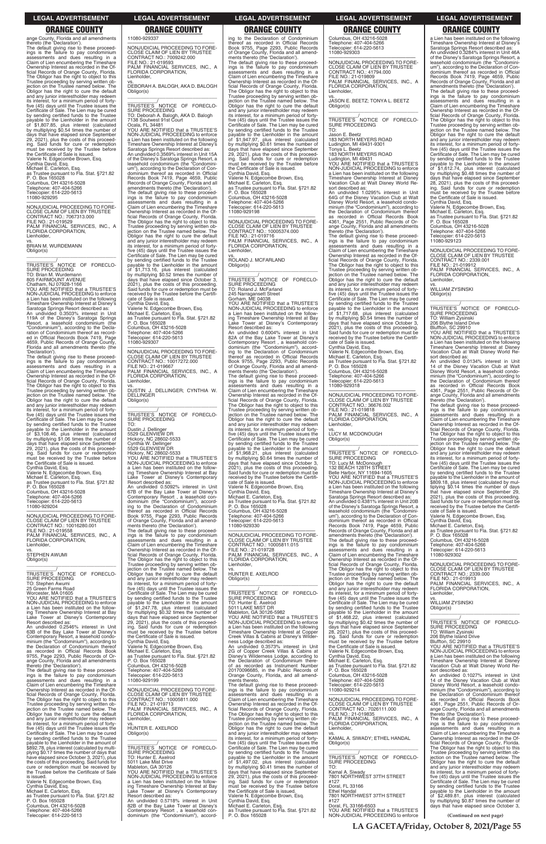**LA GACETA/Friday, October 8, 2021/Page 55**

ange County, Florida and all amendments thereto (the 'Declaration'). The default giving rise to these proceed-ings is the failure to pay condominium assessments and dues resulting in a Claim of Lien encumbering the Timeshare Ownership Interest as recorded in the Official Records of Orange County, Florida. The Obligor has the right to object to this Trustee proceeding by serving written ob-jection on the Trustee named below. The Obligor has the right to cure the default and any junior interestholder may redeem its interest, for a minimum period of forty-five (45) days until the Trustee issues the Certificate of Sale. The Lien may be cured by sending certified funds to the Trustee payable to the Lienholder in the amount of \$1,807.85, plus interest (calculated by multiplying \$0.54 times the number of days that have elapsed since September 29, 2021), plus the costs of this proceeding. Said funds for cure or redemption must be received by the Trustee before the Certificate of Sale is issued. Valerie N. Edgecombe Brown, Esq. Cynthia David, Esq. Michael E. Carleton, Esq. as Trustee pursuant to Fla. Stat. §721.82 P. O. Box 165028 Columbus, OH 43216-5028 Telephone: 407-404-5266 Telecopier: 614-220-5613 11080-929295

\_\_\_\_\_\_\_\_\_\_\_/<br>TRUSTEE'S NOTICE OF FORECLO-<br>SURE PROCEEDING TO: Brian M. Wurdemann 805 FAIRMOUNT AVENUE

—————————————————— NONJUDICIAL PROCEEDING TO FORE-CLOSE CLAIM OF LIEN BY TRUSTEE CONTRACT NO.: 7067313.000 FILE NO.: 21-019529 PALM FINANCIAL SERVICES, INC., A FLORIDA CORPORATION, Lienholder, vs. BRIAN M. WURDEMANN Obligor(s) \_\_\_\_\_\_\_\_\_\_\_\_\_\_\_\_\_\_\_\_\_\_\_\_\_\_\_\_\_\_\_\_\_

Chatham, NJ 07928-1166

YOU ARE NOTIFIED that a TRUSTEE'S NON-JUDICIAL PROCEEDING to enforce a Lien has been instituted on the following Timeshare Ownership Interest at Disney's Saratoga Springs Resort described as: An undivided 0.3503% interest in Unit 119A of the Disney's Saratoga Springs Resort, a leasehold condominium (the "Condominium"), according to the Decla-ration of Condominium thereof as record-ed in Official Records Book 7419, Page 4659, Public Records of Orange County, Florida and all amendments thereto (the 'Declaration').

The default giving rise to these proceed-ings is the failure to pay condominium assessments and dues resulting in a Claim of Lien encumbering the Timeshare Ownership Interest as recorded in the Of-ficial Records of Orange County, Florida. The Obligor has the right to object to this Trustee proceeding by serving written ob-jection on the Trustee named below. The Obligor has the right to cure the default and any junior interestholder may redeem its interest, for a minimum period of fortyfive (45) days until the Trustee issues the Certificate of Sale. The Lien may be cured by sending certified funds to the Trustee payable to the Lienholder in the amount of \$3,108.46, plus interest (calculated by multiplying \$1.06 times the number of days that have elapsed since September 29, 2021), plus the costs of this proceed-ing. Said funds for cure or redemption must be received by the Trustee before the Certificate of Sale is issued. Cynthia David, Esq. Valerie N. Edgecombe Brown, Esq. Michael E. Carleton, Esq. as Trustee pursuant to Fla. Stat. §721.82 P. O. Box 165028 Columbus, OH 43216-5028 Telephone: 407-404-5266 Telecopier: 614-220-5613 11080-929204

\_\_\_\_\_\_\_\_\_\_\_/<br>TRUSTEE'S NOTICE OF FORECLO-<br>SURE PROCEEDING TO: Deborah A. Balogh, AKA D. Balogh 7138 Soutwest 91st Court

—————————————————— NONJUDICIAL PROCEEDING TO FORE-CLOSE CLAIM OF LIEN BY TRUSTEE CONTRACT NO.: 10016280.001 FILE NO.: 21-019558 PALM FINANCIAL SERVICES, INC., A FLORIDA CORPORATION, Lienholder, vs. STEPHEN AWUMI

Obligor(s) \_\_\_\_\_\_\_\_\_\_\_\_\_\_\_\_\_\_\_\_\_\_\_\_\_\_\_\_\_\_\_\_\_ \_\_\_\_\_\_\_\_\_\_\_/ TRUSTEE'S NOTICE OF FORECLO-

SURE PROCEEDING TO: Stephen Awumi 25 Green Farms Road Worcester, MA 01605 YOU ARE NOTIFIED that a TRUSTEE'S NON-JUDICIAL PROCEEDING to enforce a Lien has been instituted on the follow-ing Timeshare Ownership Interest at Bay Lake Tower at Disney's Contemporary Resort described as:

\_\_\_\_\_\_\_\_\_\_\_\_\_\_\_\_\_\_\_\_\_\_\_\_\_\_\_\_\_\_\_\_\_ \_\_\_\_\_\_\_\_\_\_\_/ TRUSTEE'S NOTICE OF FORECLO-SURE PROCEEDING

The default giving rise to these proceed-<br>ings is the failure to pay condominium<br>assessments and dues resulting in a<br>Claim of Lien encumbering the Timeshare<br>Ownership Interest as recorded in the Of-<br>ficial Records of Orang The Obligor has the right to object to this Trustee proceeding by serving written ob-jection on the Trustee named below. The Obligor has the right to cure the default and any junior interestholder may redeem its interest, for a minimum period of fortyfive (45) days until the Trustee issues the Certificate of Sale. The Lien may be cured by sending certified funds to the Trustee payable to the Lienholder in the amount of \$1,247.78, plus interest (calculated by multiplying \$0.32 times the number of days that have elapsed since September 29, 2021), plus the costs of this proceed-

11080-929337

—————————————————— NONJUDICIAL PROCEEDING TO FORE-CLOSE CLAIM OF LIEN BY TRUSTEE CONTRACT NO.: 7009242.000 FILE NO.: 21-019593 PALM FINANCIAL SERVICES, INC., A FLORIDA CORPORATION, Lienholder,

vs. DEBORAH A. BALOGH, AKA D. BALOGH Obligor(s) \_\_\_\_\_\_\_\_\_\_\_\_\_\_\_\_\_\_\_\_\_\_\_\_\_\_\_\_\_\_\_\_\_

Ocala, FL 34481 YOU ARE NOTIFIED that a TRUSTEE'S NON-JUDICIAL PROCEEDING to enforce a Lien has been instituted on the following Timeshare Ownership Interest at Disney's Saratoga Springs Resort described as: An undivided 0.3569% interest in Unit 15A of the Disney's Saratoga Springs Resort, a leasehold condominium (the "Condominium"), according to the Declaration of Con-dominium thereof as recorded in Official Records Book 7419, Page 4659, Public Records of Orange County, Florida and all amendments thereto (the 'Declaration'). The default giving rise to these proceed-ings is the failure to pay condominium assessments and dues resulting in a Claim of Lien encumbering the Timeshare Ownership Interest as recorded in the Official Records of Orange County, Florida. The Obligor has the right to object to this Trustee proceeding by serving written ob-jection on the Trustee named below. The Obligor has the right to cure the default and any junior interestholder may redeem its interest, for a minimum period of forty-five (45) days until the Trustee issues the Certificate of Sale. The Lien may be cured by sending certified funds to the Trustee payable to the Lienholder in the amount of \$1,713.16, plus interest (calculated by multiplying \$0.52 times the number of days that have elapsed since October 3, 2021), plus the costs of this proceeding. Said funds for cure or redemption must b received by the Trustee before the Certificate of Sale is issued.

Cynthia David, Esq. Valerie N. Edgecombe Brown, Esq. Michael E. Carleton, Esq. as Trustee pursuant to Fla. Stat. §721.82 P. O. Box 165028 Columbus, OH 43216-5028 Telephone: 407-404-5266 Telecopier: 614-220-5613 11080-929307

—————————————————— NONJUDICIAL PROCEEDING TO FORE-CLOSE CLAIM OF LIEN BY TRUSTEE CONTRACT NO.: 10017272.000 FILE NO.: 21-019667 PALM FINANCIAL SERVICES, INC., A FLORIDA CORPORATION, Lienholder,

vs. DUSTIN J. DELLINGER; CYNTHIA W. DELLINGER Obligor(s)

\_\_\_\_\_\_\_\_\_\_\_/<br>TRUSTEE'S NOTICE OF FORECLO-<br>SURE PROCEEDING TO:

TO: Dustin J. Dellinger 5529 GLENVIEW DR Hickory, NC 28602-5533 Cynthia W. Dellinger 5529 GLENVIEW DR Hickory, NC 28602-5533 YOU ARE NOTIFIED that a TRUSTEE'S NON-JUDICIAL PROCEEDING to enforce a Lien has been instituted on the following Timeshare Ownership Interest at Bay ake Tower at Disney's Contemporary Resort described as: An undivided 0.5092% interest in Unit 67B of the Bay Lake Tower at Disney's Contemporary Resort , a leasehold con-dominium (the "Condominium"), according to the Declaration of Condominium thereof as recorded in Official Records Book 9755, Page 2293, Public Records of Orange County, Florida and all amend-ments thereto (the 'Declaration').

ange County, Florida and all amendments<br>thereto (the 'Declaration').<br>The default giving rise to these proceed-<br>ings is the failure to pay condominium<br>assessments and dues resulting in a<br>Claim of Lien encumbering the Timesh ficial Records of Orange County, Florida. The Obligor has the right to object to this Trustee proceeding by serving written ob-jection on the Trustee named below. The Obligor has the right to cure the default and any junior interestholder may redeem its interest, for a minimum period of forty-five (45) days until the Trustee issues the Certificate of Sale. The Lien may be cured by sending certified funds to the Trustee payable to the Lienholder in the amount of \$1,717.68, plus interest (calculated by multiplying \$0.54 times the number of days that have elapsed since October 3, 2021), plus the costs of this proceeding. Said funds for cure or redemption must be received by the Trustee before the Certificate of Sale is issued.

\_\_\_\_\_\_\_\_\_\_\_/<br>TRUSTEE'S NOTICE OF FORECLO-<br>SURE PROCEEDING TO: Lucy M. McDonough 132 BEACH 128TH STREET Belle Harbor, NY 11694-1605 YOU ARE NOTIFIED that a TRUSTEE'S NON-JUDICIAL PROCEEDING to enforce a Lien has been instituted on the following Timeshare Ownership Interest at Disney's Saratoga Springs Resort described as: An undivided 0.4381% interest in Unit 20B of the Disney's Saratoga Springs Resort, a leasehold condominium (the "Condominium"), according to the Declaration of Con-dominium thereof as recorded in Official Records Book 7419, Page 4659, Public Records of Orange County, Florida and all amendments thereto (the 'Declaration'). The default giving rise to these proceed-ings is the failure to pay condominium assessments and dues resulting in a Claim of Lien encumbering the Timeshare Ownership Interest as recorded in the Official Records of Orange County, Florida. The Obligor has the right to object to this Trustee proceeding by serving written ob-jection on the Trustee named below. The Obligor has the right to cure the default and any junior interestholder may redeem its interest, for a minimum period of forty-five (45) days until the Trustee issues the Certificate of Sale. The Lien may be cured by sending certified funds to the Trustee

\_\_\_\_\_\_\_\_\_\_\_\_\_\_\_\_\_\_\_\_\_\_\_\_\_\_\_\_\_\_\_\_\_ \_\_\_\_\_\_\_\_\_\_\_/<br>TRUSTEE'S NOTICE OF FORECLO-<br>SURE PROCEEDING

ing to the Declaration of Condominium thereof as recorded in Official Records Book 9755, Page 2293, Public Records of Orange County, Florida and all amendments thereto (the 'Declaration'). The default giving rise to these proceed-ings is the failure to pay condominium assessments and dues resulting in a Claim of Lien encumbering the Timeshare Ownership Interest as recorded in the Official Records of Orange County, Florida. The Obligor has the right to object to this Trustee proceeding by serving written ob-jection on the Trustee named below. The Obligor has the right to cure the default and any junior interestholder may redeem its interest, for a minimum period of fortyfive (45) days until the Trustee issues the Certificate of Sale. The Lien may be cured by sending certified funds to the Trustee payable to the Lienholder in the amount of \$1,947.97, plus interest (calculated by multiplying \$0.61 times the number of days that have elapsed since September 29, 2021), plus the costs of this proceeding. Said funds for cure or redemption must be received by the Trustee before the Certificate of Sale is issued. Cynthia David, Esq. Valerie N. Edgecombe Brown, Esq. Michael E. Carleton, Esq. as Trustee pursuant to Fla. Stat. §721.82 P. O. Box 165028 Columbus, OH 43216-5028 Telephone: 407-404-5266 Telecopier: 614-220-5613 11080-929198 —————————————————— NONJUDICIAL PROCEEDING TO FORE-CLOSE CLAIM OF LIEN BY TRUSTEE CONTRACT NO.: 10005374.000 FILE NO.: 21-019716 PALM FINANCIAL SERVICES, INC., A FLORIDA CORPORATION, Lienholder, vs. ROLAND J. MCFARLAND Obligor(s) \_\_\_\_\_\_\_\_\_\_\_\_\_\_\_\_\_\_\_\_\_\_\_\_\_\_\_\_\_\_\_\_\_ \_\_\_\_\_\_\_\_\_\_\_/<br>TRUSTEE'S NOTICE OF FORECLO-<br>SURE PROCEEDING TO: Roland J. McFarland 245 Narragansett Street Gorham, ME 04038 YOU ARE NOTIFIED that a TRUSTEE'S NON-JUDICIAL PROCEEDING to enforce a Lien has been instituted on the following Timeshare Ownership Interest at Bay Lake Tower at Disney's Contemporary Resort described as: An undivided 0.6004% interest in Unit 82A of the Bay Lake Tower at Disney's Contemporary Resort , a leasehold condominium (the "Condominium"), accord-ing to the Declaration of Condominium thereof as recorded in Official Records Book 9755, Page 2293, Public Records of Orange County, Florida and all amendments thereto (the 'Declaration'). The default giving rise to these proceed-ings is the failure to pay condominium assessments and dues resulting in a Claim of Lien encumbering the Timeshare Ownership Interest as recorded in the Official Records of Orange County, Florida. The Obligor has the right to object to this Trustee proceeding by serving written ob-jection on the Trustee named below. The Obligor has the right to cure the default and any junior interestholder may redeem its interest, for a minimum period of fortyfive (45) days until the Trustee issues the Certificate of Sale. The Lien may be cured by sending certified funds to the Trustee<br>payable to the Lienholder in the amount<br>of \$1,968.21, plus interest (calculated<br>by multiplying \$0.64 times the number of<br>days that have elapsed since October 3, 2021), plus the costs of this proceeding. Said funds for cure or redemption must be received by the Trustee before the Certifi-cate of Sale is issued. Valerie N. Edgecombe Brown, Esq. Cynthia David, Esq. Michael E. Carleton, Esq. as Trustee pursuant to Fla. Stat. §721.82 P. O. Box 165028 Columbus, OH 43216-5028 Telephone: 407-404-5266 pier: 614-220-5613 11080-929330 —————————————————— NONJUDICIAL PROCEEDING TO FORE-CLOSE CLAIM OF LIEN BY TRUSTEE CONTRACT NO.: 10005811.015 FILE NO.: 21-019728 PALM FINANCIAL SERVICES, INC., A FLORIDA CORPORATION, Lienholder,

vs. HUNTER E. AXELROD

 $\overline{\phantom{a}}$  , and the set of the set of the set of the set of the set of the set of the set of the set of the set of the set of the set of the set of the set of the set of the set of the set of the set of the set of the s TRUSTEE'S<br>SURE PROCEEDING<br>TO: Hunter E. Axelrod

Obligor(s)

5011 LAKE MIST DR Mableton, GA 30126-5982 YOU ARE NOTIFIED that a TRUSTEE'S

| Lake Tower at Disney's Contemporary<br>Resort described as:<br>An undivided 0.2546% interest in Unit<br>63B of the Bay Lake Tower at Disney's<br>Contemporary Resort, a leasehold condo-<br>minium (the "Condominium"), according to<br>the Declaration of Condominium thereof<br>as recorded in Official Records Book<br>9755, Page 2293, Public Records of Or-<br>ange County, Florida and all amendments<br>thereto (the 'Declaration').<br>The default giving rise to these proceed-<br>ings is the failure to pay condominium<br>assessments and dues resulting in a<br>Claim of Lien encumbering the Timeshare<br>Ownership Interest as recorded in the Of-<br>ficial Records of Orange County, Florida.<br>The Obligor has the right to object to this<br>Trustee proceeding by serving written ob-<br>jection on the Trustee named below. The<br>Obligor has the right to cure the default<br>and any junior interestholder may redeem<br>its interest, for a minimum period of forty-<br>five (45) days until the Trustee issues the<br>Certificate of Sale. The Lien may be cured<br>by sending certified funds to the Trustee<br>payable to the Lienholder in the amount of<br>\$892.78, plus interest (calculated by multi-<br>plying \$0.17 times the number of days that<br>have elapsed since October 3, 2021), plus<br>the costs of this proceeding. Said funds for<br>cure or redemption must be received by<br>the Trustee before the Certificate of Sale<br>is issued.<br>Valerie N. Edgecombe Brown, Esg.<br>Cynthia David, Esg.<br>Michael E. Carleton, Esq.<br>as Trustee pursuant to Fla. Stat. §721.82 | days that have elapsed since September<br>29, 2021), plus the costs of this proceed-<br>ing. Said funds for cure or redemption<br>must be received by the Trustee before<br>the Certificate of Sale is issued.<br>Cynthia David, Esg.<br>Valerie N. Edgecombe Brown, Esg.<br>Michael E. Carleton, Esq.<br>as Trustee pursuant to Fla. Stat. §721.82<br>P. O. Box 165028<br>Columbus, OH 43216-5028<br>Telephone: 407-404-5266<br>Telecopier: 614-220-5613<br>11080-929199<br>NONJUDICIAL PROCEEDING TO FORE-<br>CLOSE CLAIM OF LIEN BY TRUSTEE<br>CONTRACT NO.: 10005811.000<br>FILE NO.: 21-019713<br>PALM FINANCIAL SERVICES, INC., A<br>FLORIDA CORPORATION.<br>Lienholder,<br>VS.<br>HUNTER E. AXELROD<br>Obligor(s)<br>TRUSTEE'S NOTICE OF<br>FORECLO-<br>SURE PROCEEDING<br>TO: Hunter E. Axelrod<br>5011 Lake Mist Drive<br>Mableton, GA 30126<br>YOU ARE NOTIFIED that a TRUSTEE'S<br>NON-JUDICIAL PROCEEDING to enforce<br>a Lien has been instituted on the follow-<br>ing Timeshare Ownership Interest at Bay<br>Lake Tower at Disney's Contemporary<br>Resort described as: | YOU ARE NOTIFIED that a TRUSTEE'S<br>NON-JUDICIAL PROCEEDING to enforce<br>a Lien has been instituted on the following<br>Timeshare Ownership Interest at Copper<br>Creek Villas & Cabins at Disney's Wilder-<br>ness Lodge described as:<br>An undivided 0.3573% interest in Unit<br>2G of Copper Creek Villas & Cabins at<br>Disney's Wilderness Lodge, according to<br>the Declaration of Condominium there-<br>of as recorded as Instrument Number<br>20170096685, in the Public Records of<br>Orange County, Florida, and all amend-<br>ments thereto.<br>The default giving rise to these proceed-<br>ings is the failure to pay condominium<br>assessments and dues resulting in a<br>Claim of Lien encumbering the Timeshare<br>Ownership Interest as recorded in the Of-<br>ficial Records of Orange County, Florida.<br>The Obligor has the right to object to this<br>Trustee proceeding by serving written ob-<br>jection on the Trustee named below. The<br>Obligor has the right to cure the default<br>and any junior interestholder may redeem<br>its interest, for a minimum period of forty-<br>five (45) days until the Trustee issues the<br>Certificate of Sale. The Lien may be cured<br>by sending certified funds to the Trustee<br>payable to the Lienholder in the amount<br>of \$1,497.02, plus interest (calculated<br>by multiplying \$0.41 times the number of<br>days that have elapsed since September<br>29, 2021), plus the costs of this proceed-<br>ing. Said funds for cure or redemption<br>must be received by the Trustee before<br>the Certificate of Sale is issued.<br>Valerie N. Edgecombe Brown, Esg. | of \$1,468.22, plus interest (calculated<br>by multiplying \$0.42 times the number of<br>days that have elapsed since September<br>28, 2021), plus the costs of this proceed-<br>ing. Said funds for cure or redemption<br>must be received by the Trustee before<br>the Certificate of Sale is issued.<br>Valerie N. Edgecombe Brown, Esg.<br>Cynthia David, Esg.<br>Michael E. Carleton, Esq.<br>as Trustee pursuant to Fla. Stat. §721.82<br>P. O. Box 165028<br>Columbus, OH 43216-5028<br>Telephone: 407-404-5266<br>Telecopier: 614-220-5613<br>11080-929214<br>NONJUDICIAL PROCEEDING TO FORE-<br><b>CLOSE CLAIM OF LIEN BY TRUSTEE</b><br>CONTRACT NO.: 7026111.000<br>FILE NO.: 21-019835<br>PALM FINANCIAL SERVICES, INC., A<br>FLORIDA CORPORATION.<br>Lienholder.<br>VS.<br>KAMAL A. SIWADY; ETHEL HANDAL<br>Obligor(s)<br>TRUSTEE'S NOTICE OF FORECLO-<br><b>SURE PROCEEDING</b><br>TO:<br>Kamal A. Siwady<br>7801 NORTHWEST 37TH STREET<br>#127<br>Doral, FL 33166<br><b>Ethel Handal</b><br>7801 NORTHWEST 37TH STREET | TRUSTEE'S NOTICE OF FORECLO-<br>SURE PROCEEDING<br>TO: William Zysinski<br>206 Blythe Island Drive<br>Bluffton, SC 29910<br>YOU ARE NOTIFIED that a TRUSTEE'S<br>NON-JUDICIAL PROCEEDING to enforce<br>a Lien has been instituted on the following<br>Timeshare Ownership Interest at Disney<br>Vacation Club at Walt Disney World Re-<br>sort described as:<br>An undivided 0.1027% interest in Unit<br>14 of the Disney Vacation Club at Walt<br>Disney World Resort, a leasehold condo-<br>minium (the "Condominium"), according to<br>the Declaration of Condominium thereof<br>as recorded in Official Records Book<br>4361, Page 2551, Public Records of Or-<br>ange County, Florida and all amendments<br>thereto (the 'Declaration').<br>The default giving rise to these proceed-<br>ings is the failure to pay condominium<br>assessments and dues resulting in a<br>Claim of Lien encumbering the Timeshare<br>Ownership Interest as recorded in the Of-<br>ficial Records of Orange County, Florida.<br>The Obligor has the right to object to this<br>Trustee proceeding by serving written ob-<br>jection on the Trustee named below. The<br>Obligor has the right to cure the default<br>and any junior interestholder may redeem<br>its interest, for a minimum period of forty-<br>five (45) days until the Trustee issues the<br>Certificate of Sale. The Lien may be cured<br>by sending certified funds to the Trustee<br>payable to the Lienholder in the amount<br>of \$2,489.81, plus interest (calculated |
|--------------------------------------------------------------------------------------------------------------------------------------------------------------------------------------------------------------------------------------------------------------------------------------------------------------------------------------------------------------------------------------------------------------------------------------------------------------------------------------------------------------------------------------------------------------------------------------------------------------------------------------------------------------------------------------------------------------------------------------------------------------------------------------------------------------------------------------------------------------------------------------------------------------------------------------------------------------------------------------------------------------------------------------------------------------------------------------------------------------------------------------------------------------------------------------------------------------------------------------------------------------------------------------------------------------------------------------------------------------------------------------------------------------------------------------------------------------------------------------------------------------------------------------------------------------------------------------------------------------------------------|-----------------------------------------------------------------------------------------------------------------------------------------------------------------------------------------------------------------------------------------------------------------------------------------------------------------------------------------------------------------------------------------------------------------------------------------------------------------------------------------------------------------------------------------------------------------------------------------------------------------------------------------------------------------------------------------------------------------------------------------------------------------------------------------------------------------------------------------------------------------------------------------------------------------------------------------------------------------------------------------------------------------------------------------------------------------------------------------|----------------------------------------------------------------------------------------------------------------------------------------------------------------------------------------------------------------------------------------------------------------------------------------------------------------------------------------------------------------------------------------------------------------------------------------------------------------------------------------------------------------------------------------------------------------------------------------------------------------------------------------------------------------------------------------------------------------------------------------------------------------------------------------------------------------------------------------------------------------------------------------------------------------------------------------------------------------------------------------------------------------------------------------------------------------------------------------------------------------------------------------------------------------------------------------------------------------------------------------------------------------------------------------------------------------------------------------------------------------------------------------------------------------------------------------------------------------------------------------------------------------------------------------------------------------------------------------------------------------------------------------------------|---------------------------------------------------------------------------------------------------------------------------------------------------------------------------------------------------------------------------------------------------------------------------------------------------------------------------------------------------------------------------------------------------------------------------------------------------------------------------------------------------------------------------------------------------------------------------------------------------------------------------------------------------------------------------------------------------------------------------------------------------------------------------------------------------------------------------------------------------------------------------------------------------------------------------------------------------------------------------------------------------------------------------------------|-----------------------------------------------------------------------------------------------------------------------------------------------------------------------------------------------------------------------------------------------------------------------------------------------------------------------------------------------------------------------------------------------------------------------------------------------------------------------------------------------------------------------------------------------------------------------------------------------------------------------------------------------------------------------------------------------------------------------------------------------------------------------------------------------------------------------------------------------------------------------------------------------------------------------------------------------------------------------------------------------------------------------------------------------------------------------------------------------------------------------------------------------------------------------------------------------------------------------------------------------------------------------------------------------------------------------------------------------------------------------------------------------------------------------------------------------------------------------------------------------------------------------------------|
| P. O. Box 165028<br>Columbus, OH 43216-5028<br>Telephone: 407-404-5266<br>Telecopier: 614-220-5613                                                                                                                                                                                                                                                                                                                                                                                                                                                                                                                                                                                                                                                                                                                                                                                                                                                                                                                                                                                                                                                                                                                                                                                                                                                                                                                                                                                                                                                                                                                             | An undivided 0.5718% interest in Unit<br>82B of the Bay Lake Tower at Disney's<br>Contemporary Resort, a leasehold con-<br>dominium (the "Condominium"), accord-                                                                                                                                                                                                                                                                                                                                                                                                                                                                                                                                                                                                                                                                                                                                                                                                                                                                                                                        | Cynthia David, Esg.<br>Michael E. Carleton, Esg.<br>as Trustee pursuant to Fla. Stat. §721.82<br>P. O. Box 165028                                                                                                                                                                                                                                                                                                                                                                                                                                                                                                                                                                                                                                                                                                                                                                                                                                                                                                                                                                                                                                                                                                                                                                                                                                                                                                                                                                                                                                                                                                                                  | #127<br>Doral, FL 33166-6503<br>YOU ARE NOTIFIED that a TRUSTEE'S<br>NON-JUDICIAL PROCEEDING to enforce                                                                                                                                                                                                                                                                                                                                                                                                                                                                                                                                                                                                                                                                                                                                                                                                                                                                                                                               | by multiplying \$0.87 times the number of<br>days that have elapsed since October 3,<br>(Continued on next page)                                                                                                                                                                                                                                                                                                                                                                                                                                                                                                                                                                                                                                                                                                                                                                                                                                                                                                                                                                                                                                                                                                                                                                                                                                                                                                                                                                                                                  |
|                                                                                                                                                                                                                                                                                                                                                                                                                                                                                                                                                                                                                                                                                                                                                                                                                                                                                                                                                                                                                                                                                                                                                                                                                                                                                                                                                                                                                                                                                                                                                                                                                                |                                                                                                                                                                                                                                                                                                                                                                                                                                                                                                                                                                                                                                                                                                                                                                                                                                                                                                                                                                                                                                                                                         |                                                                                                                                                                                                                                                                                                                                                                                                                                                                                                                                                                                                                                                                                                                                                                                                                                                                                                                                                                                                                                                                                                                                                                                                                                                                                                                                                                                                                                                                                                                                                                                                                                                    |                                                                                                                                                                                                                                                                                                                                                                                                                                                                                                                                                                                                                                                                                                                                                                                                                                                                                                                                                                                                                                       |                                                                                                                                                                                                                                                                                                                                                                                                                                                                                                                                                                                                                                                                                                                                                                                                                                                                                                                                                                                                                                                                                                                                                                                                                                                                                                                                                                                                                                                                                                                                   |

Columbus, OH 43216-5028 Telephone: 407-404-5266 Telecopier: 614-220-5613 11080-929303

—————————————————— NONJUDICIAL PROCEEDING TO FORE-CLOSE CLAIM OF LIEN BY TRUSTEE CONTRACT NO.: 41794.000 FILE NO.: 21-019809 PALM FINANCIAL SERVICES, INC., A FLORIDA CORPORATION, Lienholder,

vs. JASON E. BEETZ; TONYA L. BEETZ Obligor(s) \_\_\_\_\_\_\_\_\_\_\_\_\_\_\_\_\_\_\_\_\_\_\_\_\_\_\_\_\_\_\_\_\_

Jason E. Beetz 183 NORTH MEYERS ROAD Ludington, MI 49431-9301 Tonya L. Beetz 183 NORTH MEYERS ROAD

Ludington, MI 49431 YOU ARE NOTIFIED that a TRUSTEE'S NON-JUDICIAL PROCEEDING to enforce a Lien has been instituted on the following Timeshare Ownership Interest at Disney Vacation Club at Walt Disney World Re-

sort described as: An undivided 1.0295% interest in Unit 64G of the Disney Vacation Club at Walt Disney World Resort, a leasehold condo-minium (the "Condominium"), according to the Declaration of Condominium thereof as recorded in Official Records Book 4361, Page 2551, Public Records of Or-

Cynthia David, Esq. Valerie N. Edgecombe Brown, Esq. Michael E. Carleton, Esq. as Trustee pursuant to Fla. Stat. §721.82 P. O. Box 165028 Columbus, OH 43216-5028

Telephone: 407-404-5266 Telecopier: 614-220-5613 11080-929318

—————————————————— NONJUDICIAL PROCEEDING TO FORE-CLOSE CLAIM OF LIEN BY TRUSTEE CONTRACT NO.: 36676.002 FILE NO.: 21-019818 PALM FINANCIAL SERVICES, INC., A FLORIDA CORPORATION, Lienholder,

vs. LUCY M. MCDONOUGH Obligor(s)

\_\_\_\_\_\_\_\_\_\_\_\_\_\_\_\_\_\_\_\_\_\_\_\_\_\_\_\_\_\_\_\_\_

payable to the Lienholder in the amount

a Lien has been instituted on the following Timeshare Ownership Interest at Disney's Saratoga Springs Resort described as: An undivided 0.3284% interest in Unit 46A of the Disney's Saratoga Springs Resort, a leasehold condominium (the "Condominium"), according to the Declaration of Con-dominium thereof as recorded in Official Records Book 7419, Page 4659, Public Records of Orange County, Florida and all amendments thereto (the 'Declaration'). The default giving rise to these proceed-ings is the failure to pay condominium assessments and dues resulting in a Claim of Lien encumbering the Timeshare Ownership Interest as recorded in the Official Records of Orange County, Florida. The Obligor has the right to object to this Trustee proceeding by serving written ob-jection on the Trustee named below. The Obligor has the right to cure the default and any junior interestholder may redeem its interest, for a minimum period of fortyfive (45) days until the Trustee issues the Certificate of Sale. The Lien may be cured by sending certified funds to the Trustee payable to the Lienholder in the amount \$1,612.74, plus interest (calculated by multiplying \$0.48 times the number of days that have elapsed since September 28, 2021), plus the costs of this proceeding. Said funds for cure or redemption must be received by the Trustee before the Certificate of Sale is issued. Cynthia David, Esq. Valerie N. Edgecombe Brown, Esq. Michael E. Carleton, Esq. as Trustee pursuant to Fla. Stat. §721.82 P. O. Box 165028 Columbus, OH 43216-5028

Telephone: 407-404-5266 Telecopier: 614-220-5613 11080-929123

—————————————————— NONJUDICIAL PROCEEDING TO FORE-CLOSE CLAIM OF LIEN BY TRUSTEE CONTRACT NO.: 2339.001 FILE NO.: 21-019912 PALM FINANCIAL SERVICES, INC., A FLORIDA CORPORATION, Lienholder,

vs. WILLIAM ZYSINSKI Obligor(s)

TO: William Zysinski 206 Blythe Island Drive Bluffton, SC 29910

YOU ARE NOTIFIED that a TRUSTEE'S NON-JUDICIAL PROCEEDING to enforce a Lien has been instituted on the following Timeshare Ownership Interest at Disney Vacation Club at Walt Disney World Resort described as:

An undivided 0.0134% interest in Unit 14 of the Disney Vacation Club at Walt Disney World Resort, a leasehold condominium (the "Condominium"), according to the Declaration of Condominium thereof as recorded in Official Records Book 4361, Page 2551, Public Records of Or-ange County, Florida and all amendments thereto (the 'Declaration').

The default giving rise to these proceed-ings is the failure to pay condominium assessments and dues resulting in a Claim of Lien encumbering the Time Ownership Interest as recorded in the Official Records of Orange County, Florida. The Obligor has the right to object to this Trustee proceeding by serving written ob-jection on the Trustee named below. The Obligor has the right to cure the default and any junior interestholder may redeem its interest, for a minimum period of forty-five (45) days until the Trustee issues the Certificate of Sale. The Lien may be cured by sending certified funds to the Trustee payable to the Lienholder in the amount of \$809.18, plus interest (calculated by mul-tiplying \$0.14 times the number of days that have elapsed since September 29, 2021), plus the costs of this proceeding. Said funds for cure or redemption must be received by the Trustee before the Certificate of Sale is issued. Valerie N. Edgecombe Brown, Esq.

Cynthia David, Esq. Michael E. Carleton, Esq. as Trustee pursuant to Fla. Stat. §721.82 P. O. Box 165028 Columbus, OH 43216-5028 Telephone: 407-404-5266 Telecopier: 614-220-5613 11080-929302

—————————————————— NONJUDICIAL PROCEEDING TO FORE-CLOSE CLAIM OF LIEN BY TRUSTEE CONTRACT NO.: 2339.000 FILE NO.: 21-019913 PALM FINANCIAL SERVICES, INC., A FLORIDA CORPORATION, Lienholder, vs. WILLIAM ZYSINSKI

 $\overline{\phantom{a}}$  , and the set of the set of the set of the set of the set of the set of the set of the set of the set of the set of the set of the set of the set of the set of the set of the set of the set of the set of the s

Obligor(s)

**LEGAL ADVERTISEMENT LEGAL ADVERTISEMENT LEGAL ADVERTISEMENT LEGAL ADVERTISEMENT LEGAL ADVERTISEMENT**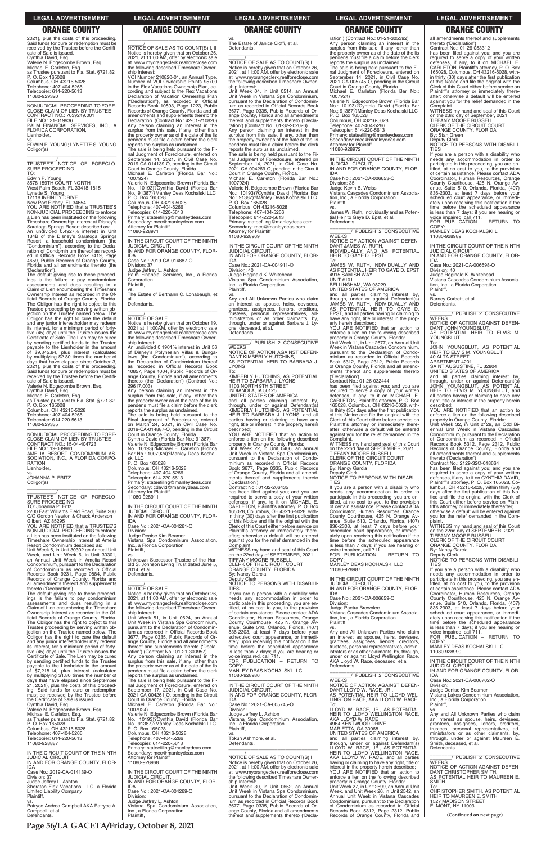**Page 56/LA GACETA/Friday, October 8, 2021**

2021), plus the costs of this proceeding. Said funds for cure or redemption must be received by the Trustee before the Certificate of Sale is issued. Cynthia David, Esq. Valerie N. Edgecombe Brown, Esq. Michael E. Carleton, Esq. as Trustee pursuant to Fla. Stat. §721.82 P. O. Box 165028 Columbus, OH 43216-5028 Telephone: 407-404-5266 Telecopier: 614-220-5613 11080-929320

—————————————————— NONJUDICIAL PROCEEDING TO FORE-CLOSE CLAIM OF LIEN BY TRUSTEE CONTRACT NO.: 7039249.001 FILE NO.: 21-019936 PALM FINANCIAL SERVICES, INC., A FLORIDA CORPORATION, Lienholder,

Lynette S. Young<br>12118 INFINITY DRIVE<br>New Port Richey, FL 34654<br>YOU ARE NOTIFIED that a TRUSTEE'S NON-JUDICIAL PROCEEDING to enforce a Lien has been instituted on the following Timeshare Ownership Interest at Disney's

vs. EDWIN P. YOUNG; LYNETTE S. YOUNG Obligor(s) \_\_\_\_\_\_\_\_\_\_\_\_\_\_\_\_\_\_\_\_\_\_\_\_\_\_\_\_\_\_\_\_\_

\_\_\_\_\_\_\_\_\_\_\_/ TRUSTEE'S NOTICE OF FORECLO-SURE PROCEEDING TO:

Edwin P. Young 8578 159TH COURT NORTH West Palm Beach, FL 33418-1815

Saratoga Springs Resort described as: An undivided 0.4927% interest in Unit 134B of the Disney's Saratoga Springs Resort, a leasehold condominium (the "Condominium"), according to the Declaration of Condominium thereof as record-Official Records Book 7419, Page 4659, Public Records of Orange County, Florida and all amendments thereto (the

Week, and Unit Week 6, in Unit 30301,<br>an Annual Unit Week in Amelia Resort<br>Condominium, pursuant*t*o the Declaration of Condominium as recorded in Official Records Book 9231, Page 0884, Public Records of Orange County, Florida and all amendments thereof and supplements

'Declaration'). The default giving rise to these proceedings is the failure to pay condominium assessments and dues resulting in a Claim of Lien encumbering the Timeshare Ownership Interest as recorded in the Official Records of Orange County, Florida. The Obligor has the right to object to this Trustee proceeding by serving written ob-jection on the Trustee named below. The Obligor has the right to cure the default and any junior interestholder may redeem its interest, for a minimum period of forty-five (45) days until the Trustee issues the Certificate of Sale. The Lien may be cured by sending certified funds to the Trustee payable to the Lienholder in the amount of \$9,345.84, plus interest (calculated by multiplying \$2.80 times the number of days that have elapsed since October 3, 2021), plus the costs of this proceeding. Said funds for cure or redemption must be received by the Trustee before the Certificate of Sale is issued.

Valerie N. Edgecombe Brown, Esq. Cynthia David, Esq.

Michael E. Carleton, Esq. as Trustee pursuant to Fla. Stat. §721.82 P. O. Box 165028

Columbus, OH 43216-5028 Telephone: 407-404-5266 Telecopier: 614-220-5613

11080-929335 —————————————————— NONJUDICIAL PROCEEDING TO FORE-

CLOSE CLAIM OF LIEN BY TRUSTEE CONTRACT NO.: 15-04-404723 FILE NO.: 19-039961 AMELIA RESORT CONDOMINIUM AS-SOCIATION, INC., A FLORIDA CORPO-RATION,

 $\overline{\phantom{a}}$  , and the set of the set of the set of the set of the set of the set of the set of the set of the set of the set of the set of the set of the set of the set of the set of the set of the set of the set of the s  $\overline{\mathrm{NOTICE}}$  OF SALE AS TO COUNT(S) I, II Notice is hereby given that on October 26, 2021, at 11:00 AM, offer by electronic sale at www.myorangeclerk.realforeclose.com the following described Timeshare Owner-ship Interest: VOI Number 210820-01, an Annual Type, Number of VOI Ownership Points 95700 in the Flex Vacations Ownership Plan, ac-

cording and subject to the Flex Vacations<br>Declaration of Vacation Ownership Plan<br>("Declaration"), as recorded in Official<br>Records Book 10893, Page 1223, Public

Lienholder,

vs. JOHANNA P. FRITZ Obligor(s) \_\_\_\_\_\_\_\_\_\_\_\_\_\_\_\_\_\_\_\_\_\_\_\_\_\_\_\_\_\_\_\_\_

\_\_\_\_\_\_\_\_\_\_\_/ TRUSTEE'S NOTICE OF FORECLO-

### SURE PROCEEDING TO: Johanna P. Fritz

2200 East Williams Field Road, Suite 200 C/O Gordon Newton & Chuck Anderson Gilbert, AZ 85295 YOU ARE NOTIFIED that a TRUSTEE'S

Valerie N. Edgecombe Brown (Florida Bar No.: 10193)?Cynthia David (Florida Bar No.: 91387)?Manley Deas Kochalski LLC<br>P. O. Box 165028

NON-JUDICIAL PROCEEDING to enforce a Lien has been instituted on the following Timeshare Ownership Interest at Amelia Resort Condominium described as: Unit Week 6, in Unit 30302 an Annual Unit **Corporation** Plaintiff,

thereto ('Declaration'). The default giving rise to these proceedings is the failure to pay condominium assessments and dues resulting in a Claim of Lien encumbering the Timeshare Ownership Interest as recorded in the Of-

 $O.$  Box 165028 Columbus, OH 43216-5028 Telephone: 407-404-5266 Telecopier: 614-220-5613

2014, et al. **Defendants** 

vs. The Estate of Janice Cioffi, et al. Defendants.  $\overline{\phantom{a}}$  , and the set of the set of the set of the set of the set of the set of the set of the set of the set of the set of the set of the set of the set of the set of the set of the set of the set of the set of the s

Unit Week 04, in Unit 0514, an Annual Unit Week in Vistana Spa Condominium, pursuant to the Declaration of Condominium as recorded in Official Records Book<br>3677 Page 0335 Public Records of Or-3677, Page 0335, Public Records of Or-ange County, Florida and all amendments thereof and supplements thereto ('Decla-<br>ration') (Contract No.: 01-32-202026)<br>Any person claiming an interest in the<br>surplus from this sale, if any, other than<br>the property owner as of the date of the lis<br>pendens must fil

Records of Orange County, Florida and all amendments and supplements thereto the Declaration. (Contract No.: 42-01-210820) Any person claiming an interest in the surplus from this sale, if any, other than the property owner as of the date of the lis pendens must file a claim before the clerk reports the surplus as unclaimed.

> IN AND FOR ORANGE COUNTY. FLOR-IDA Case No.: 2021-CA-004911-O

\_\_\_\_\_\_\_\_\_\_\_\_\_\_\_\_\_\_\_\_\_\_\_\_\_\_\_\_\_\_\_ \_\_\_\_\_\_\_\_/ PUBLISH 2 CONSECUTIVE **WEEKS** 

The sale is being held pursuant to the Fi-nal Judgment of Foreclosure, entered on September 14, 2021, in Civil Case No. 2019-CA-014139-O, pending in the Circuit Court in Orange County, Florida. Michael E. Carleton (Florida Bar No.:

1007924)

P. O. Box 165028 Columbus, OH 43216-5028 Telephone: 407-404-5266 Telecopier: 614-220-5613

Primary: stateefiling@manleydeas.com Secondary: mec@manleydeas.com

Attorney for Plaintiff 11080-928971

—————————————————— IN THE CIRCUIT COURT OF THE NINTH

JUDICIAL CIRCUIT,

IN AND FOR ORANGE COUNTY, FLOR-

IDA

Case No.: 2019-CA-014887-O

Division: 37

Judge Jeffrey L. Ashton Palm Financial Services, Inc., a Florida

vs. The Estate of Berthann C. Lonabaugh, et

 $\overline{\phantom{a}}$  ,  $\overline{\phantom{a}}$  ,  $\overline{\phantom{a}}$  ,  $\overline{\phantom{a}}$  ,  $\overline{\phantom{a}}$  ,  $\overline{\phantom{a}}$  ,  $\overline{\phantom{a}}$  ,  $\overline{\phantom{a}}$  ,  $\overline{\phantom{a}}$  ,  $\overline{\phantom{a}}$  ,  $\overline{\phantom{a}}$  ,  $\overline{\phantom{a}}$  ,  $\overline{\phantom{a}}$  ,  $\overline{\phantom{a}}$  ,  $\overline{\phantom{a}}$  ,  $\overline{\phantom{a}}$ 

al. Defendants.

Notice is hereby given that on October 19, 2021 at 11:00AM, offer by electronic sale at www.myorangeclerk.realforeclose.com the following described Timeshare Owner-

ship Interest:

An undivided 0.1901% interest in Unit 56 of Disney's Polynesian Villas & Bunga-lows (the 'Condominium'), according to the Declaration of Condominium thereof as recorded in Official Records Book 10857, Page 4004, Public Records of Or-ange County, Florida and all amendments thereto (the 'Declaration') (Contract No.:

29617.003)

ski  $\overline{L}$ l

Any person claiming an interest in the surplus from this sale, if any, other than the property owner as of the date of the lis pendens must file a claim before the clerk

reports the surplus as unclaimed. The sale is being held pursuant to the Final Judgment of Foreclosure, entered on March 24, 2021, in Civil Case No. 2019-CA-014887-O, pending in the Circuit Court in Orange County, Florida. Cynthia David (Florida Bar No.: 91387) Valerie N. Edgecombe Brown (Florida Bar No.: 10193)?Michael E. Carleton (Florida Bar No.: 1007924)?Manley Deas Kochal-

Primary: stateefiling@manleydeas.com Secondary: cdavid@manleydeas.com Attorney for Plaintiff

\_\_\_\_\_\_\_\_\_\_\_\_\_\_\_\_\_\_\_\_\_\_\_\_\_\_\_\_\_\_\_ \_\_\_\_\_\_\_\_/ PUBLISH 2 CONSECUTIVE **WEEKS** NOTICE OF ACTION AGAINST DEFEN-

11080-928911

—————————————————— IN THE CIRCUIT COURT OF THE NINTH

JUDICIAL CIRCUIT,

IN AND FOR ORANGE COUNTY, FLOR-

IDA

Case No.: 2021-CA-004261-O Division: Judge Denise Kim Beamer

BELLINGHAM, WA 98229 UNITED STATES OF AMERICA

Vistana Spa Condominium Association,

Inc., a Florida Corporation

 $\frac{\gamma}{\text{NOTICE}}$  OF SALE

Plaintiff, vs.

Unknown Successor Trustee of the Har-old S. Johnson Living Trust dated June 5,

 $\overline{\phantom{a}}$  , and the set of the set of the set of the set of the set of the set of the set of the set of the set of the set of the set of the set of the set of the set of the set of the set of the set of the set of the s

\_\_\_\_\_\_/ NOTICE OF SALE

Notice is hereby given that on October 26, 2021, at 11:00 AM, offer by electronic sale at www.myorangeclerk.realforeclose.com the following described Timeshare Owner-

ship Interest:

WITNESS my hand and seal of this Court on the 22nd day of SEPTEMBER, 2021. TIFFANY MOORE RUSSELL CLERK OF THE CIRCUIT COURT ORANGE COUNTY, FLORIDA

you are a person with a disability who needs any accommodation in order to participate in this proceeding, you are en-titled, at no cost to you, to the provision of certain assistance. Please contact ADA Coordinator, Human Resources, Orange County Courthouse, 425 N. Orange Av-enue, Suite 510, Orlando, Florida, (407) 836-2303, at least 7 days before your scheduled court appearance, or immedi-ately upon receiving this notification if the time before the scheduled appearance is less than 7 days; if you are hearing or voice impaired, call 711. FOR PUBLICATION – RETURN TO

COPY MANLEY DEAS KOCHALSKI LLC 11080-928987

\_\_\_\_\_\_/ NOTICE OF SALE AS TO COUNT(S) I Notice is hereby given that on October 26, 2021, at 11:00 AM, offer by electronic sale at www.myorangeclerk.realforeclose.com the following described Timeshare Ownership Interest:

has been filed against you; and you are required to serve a copy of your written<br>defenses, if any, to it on MICHAEL E.<br>CARLETON, Plaintiff's attorney, P. O. Box<br>165028, Columbus, OH 43216-5028, within thirty (30) days after the first publication of this Notice and file the original with the Clerk of this Court either before service on Plaintiff's attorney or immediately there-after; otherwise a default will be entered against you for the relief demanded in the

reports the surplus as unclaimed. The sale is being held pursuant to the Fi-nal Judgment of Foreclosure, entered on September 14, 2021, in Civil Case No. 2021-CA-004269-O, pending in the Circuit Court in Orange County, Florida.

Michael E. Carleton (Florida Bar No.: 1007924) Valerie N. Edgecombe Brown (Florida Bar

No.: 10193)?Cynthia David (Florida Bar No.: 91387)?Manley Deas Kochalski LLC P. O. Box 165028 Columbus, OH 43216-5028

Telephone: 407-404-5266 Telecopier: 614-220-5613 Primary: stateefiling@manleydeas.com Secondary: mec@manleydeas.com Attorney for Plaintiff

11080-928969 —————————————————— IN THE CIRCUIT COURT OF THE NINTH JUDICIAL CIRCUIT,

Division: 40 Judge Reginald K. Whitehead Vistana Spa Condominium Association, Inc., a Florida Corporation Plaintiff,

vs. Any and All Unknown Parties who claim an interest as spouse, heirs, devisees, grantees, assignees, lienors, creditors, trustees, personal representatives, adtrustees, personal representatives, ad-ministrators or as other claimants, by, through, under or against Barbara J. Lyons, deceased, et al. Defendants.

NOTICE OF ACTION AGAINST DEFEN-DANT KIMBERLY HUTCHINS, AS POTENTIAL HEIR TO BARBARA J. LYONS

To: KIMBERLY HUTCHINS, AS POTENTIAL HEIR TO BARBARA J. LYONS 1103 NORTH 9TH STREET INDIANOLA, IA 50125

UNITED STATES OF AMERICA

and all parties claiming interest by, through, under or against Defendant(s) KIMBERLY HUTCHINS, AS POTENTIAL HEIR TO BARBARA J. LYONS, and all parties having or claiming to have any right, title or interest in the property herein described;

YOU ARE NOTIFIED that an action to enforce a lien on the following described property in Orange County, Florida: Unit Week 22, in Unit 0406, an Annual Unit Week in Vistana Spa Condominium, pursuant to the Declaration of Condo-minium as recorded in Official Records Book 3677, Page 0335, Public Records of Orange County, Florida and all amend-ments thereof and supplements thereto

('Declaration') Contract No.: 01-32-206435

has been filed against you; and you are required to serve a copy of your written defenses, if any, to it on MICHAEL E. CARLETON, Plaintiff's attorney, P. O. Box 165028, Columbus, OH 43216-5028, within thirty (30) days after the first publication of this Notice and file the original with the Clerk of this Court either before service on Plaintiff's attorney or immediately there-after; otherwise a default will be entered against you for the relief demanded in the Complaint.

WITNESS my hand and seal of this Court on the 22nd day of SEPTEMBER, 2021.<br>TIFFANY MOORE RUSSELL<br>CLERK OF THE CIRCUIT COURT<br>ORANGE COUNTY, FLORIDA

By: Nancy Garcia Deputy Clerk

NOTICE TO PERSONS WITH DISABILI-TIES

If you are a person with a disability who needs any accommodation in order to participate in this proceeding, you are en-titled, at no cost to you, to the provision of certain assistance. Please contact ADA

| ficial Records of Orange County, Florida.<br>The Obligor has the right to object to this<br>Trustee proceeding by serving written ob-<br>iection on the Trustee named below. The<br>Obligor has the right to cure the default<br>and any junior interestholder may redeem<br>its interest, for a minimum period of forty-<br>five (45) days until the Trustee issues the<br>Certificate of Sale. The Lien may be cured | Unit Week 51, in Unit 0624, an Annual<br>Unit Week in Vistana Spa Condominium,<br>pursuant to the Declaration of Condomin-<br>jum as recorded in Official Records Book<br>3677, Page 0335, Public Records of Or-<br>ange County, Florida and all amendments<br>thereof and supplements thereto ('Decla-<br>ration') (Contract No.: 01-21-300957)<br>Any person claiming an interest in the | Coordinator, Human Resources, Orange<br>County Courthouse, 425 N. Orange Av-<br>enue, Suite 510, Orlando, Florida, (407)<br>836-2303, at least 7 days before your<br>scheduled court appearance, or immedi-<br>ately upon receiving this notification if the<br>time before the scheduled appearance<br>is less than 7 days; if you are hearing or<br>voice impaired, call 711. | tion, Inc., a Florida Corporation<br>Plaintiff.<br>VS.<br>Any and All Unknown Parties who claim<br>an interest as spouse, heirs, devisees,<br>grantees, assignees, lienors, creditors,<br>trustees, personal representatives, admin-<br>istrators or as other claimants, by, through,<br>under or against Lloyd Wellington Race, | ately upon receiving this notification if the<br>time before the scheduled appearance<br>is less than 7 days; if you are hearing or<br>voice impaired, call 711.<br>FOR PUBLICATION - RETURN TO<br>COPY:<br>MANLEY DEAS KOCHALSKI LLC<br>11080-928990 |
|------------------------------------------------------------------------------------------------------------------------------------------------------------------------------------------------------------------------------------------------------------------------------------------------------------------------------------------------------------------------------------------------------------------------|--------------------------------------------------------------------------------------------------------------------------------------------------------------------------------------------------------------------------------------------------------------------------------------------------------------------------------------------------------------------------------------------|---------------------------------------------------------------------------------------------------------------------------------------------------------------------------------------------------------------------------------------------------------------------------------------------------------------------------------------------------------------------------------|----------------------------------------------------------------------------------------------------------------------------------------------------------------------------------------------------------------------------------------------------------------------------------------------------------------------------------|-------------------------------------------------------------------------------------------------------------------------------------------------------------------------------------------------------------------------------------------------------|
| by sending certified funds to the Trustee<br>payable to the Lienholder in the amount<br>of \$7,218.14, plus interest (calculated<br>by multiplying \$1.80 times the number of<br>days that have elapsed since September<br>21, 2021), plus the costs of this proceed-<br>ing. Said funds for cure or redemption                                                                                                        | surplus from this sale, if any, other than<br>the property owner as of the date of the lis<br>pendens must file a claim before the clerk<br>reports the surplus as unclaimed.<br>The sale is being held pursuant to the Fi-<br>nal Judgment of Foreclosure, entered on<br>September 17, 2021, in Civil Case No.                                                                            | FOR PUBLICATION - RETURN TO<br>COPY:<br>MANLEY DEAS KOCHALSKI LLC<br>11080-928986<br>IN THE CIRCUIT COURT OF THE NINTH<br><b>JUDICIAL CIRCUIT.</b>                                                                                                                                                                                                                              | AKA Llovd W. Race, deceased, et al.<br>Defendants.<br>PUBLISH 2 CONSECUTIVE<br><b>WEEKS</b><br>NOTICE OF ACTION AGAINST DEFEN-<br>DANT LLOYD W. RACE, JR.,                                                                                                                                                                       | IN THE CIRCUIT COURT OF THE NINTH<br><b>JUDICIAL CIRCUIT.</b><br>IN AND FOR ORANGE COUNTY, FLOR-<br><b>IDA</b><br>Case No.: 2021-CA-006702-O<br>Division:<br>Judge Denise Kim Beamer                                                                  |
| must be received by the Trustee before<br>the Certificate of Sale is issued.<br>Cynthia David, Esq.<br>Valerie N. Edgecombe Brown, Esg.<br>Michael E. Carleton, Esg.<br>as Trustee pursuant to Fla. Stat. §721.82<br>P. O. Box 165028                                                                                                                                                                                  | 2021-CA-004261-O, pending in the Circuit<br>Court in Orange County, Florida.<br>Michael E. Carleton (Florida Bar No.:<br>1007924)<br>Valerie N. Edgecombe Brown (Florida Bar<br>No.: 10193)?Cynthia David (Florida Bar<br>No.: 91387)?Manley Deas Kochalski LLC                                                                                                                            | IN AND FOR ORANGE COUNTY, FLOR-<br><b>IDA</b><br>Case No.: 2021-CA-005745-O<br>Division:<br>Judge Jeffrey L. Ashton<br>Vistana Spa Condominium Association,<br>Inc., a Florida Corporation                                                                                                                                                                                      | AS POTENTIAL HEIR TO LLOYD WEL-<br>LINGTON RACE, AKA LLOYD W. RACE<br>To:<br>LLOYD W. RACE, JR., AS POTENTIAL<br>HEIR TO LLOYD WELLINGTON RACE.<br>AKA LLOYD W. RACE<br>4964 KENTWOOD DRIVE                                                                                                                                      | Vistana Lakes Condominium Association,<br>Inc., a Florida Corporation<br>Plaintiff,<br>VS.<br>Any and All Unknown Parties who claim<br>an interest as spouse, heirs, devisees,<br>grantees, assignees, lienors, creditors,                            |
| Columbus, OH 43216-5028<br>Telephone: 407-404-5266<br>Telecopier: 614-220-5613<br>11080-928887<br>IN THE CIRCUIT COURT OF THE NINTH                                                                                                                                                                                                                                                                                    | P. O. Box 165028<br>Columbus, OH 43216-5028<br>Telephone: 407-404-5266<br>Telecopier: 614-220-5613<br>Primary: stateefiling@manleydeas.com<br>Secondary: mec@manleydeas.com                                                                                                                                                                                                                | Plaintiff.<br>Tokun Ashmore, et al.<br>Defendants.                                                                                                                                                                                                                                                                                                                              | MARIETTA, GA 30068<br>UNITED STATES OF AMERICA<br>and all parties claiming interest by.<br>through, under or against Defendant(s)<br>LLOYD W. RACE, JR., AS POTENTIAL<br>HEIR TO LLOYD WELLINGTON RACE,                                                                                                                          | trustees, personal representatives, ad-<br>ministrators or as other claimants, by,<br>through, under or against Maureen E.<br>Smith, deceased, et al.<br>Defendants.                                                                                  |
| JUDICIAL CIRCUIT.<br>IN AND FOR ORANGE COUNTY, FLOR-<br>IDA<br>Case No.: 2019-CA-014139-O<br>Division: 37<br>Judge Jeffrey L. Ashton                                                                                                                                                                                                                                                                                   | <b>Attorney for Plaintiff</b><br>11080-928968<br>IN THE CIRCUIT COURT OF THE NINTH<br><b>JUDICIAL CIRCUIT.</b><br>IN AND FOR ORANGE COUNTY, FLOR-                                                                                                                                                                                                                                          | NOTICE OF SALE AS TO COUNT(S) I<br>Notice is hereby given that on October 26,<br>2021, at 11:00 AM, offer by electronic sale<br>at www.myorangeclerk.realforeclose.com<br>the following described Timeshare Owner-<br>ship Interest:                                                                                                                                            | AKA LLOYD W. RACE, and all parties<br>having or claiming to have any right, title or<br>interest in the property herein described;<br>YOU ARE NOTIFIED that an action to<br>enforce a lien on the following described<br>property in Orange County, Florida:                                                                     | PUBLISH 2 CONSECUTIVE<br><b>WEEKS</b><br>NOTICE OF ACTION AGAINST DEFEN-<br>DANT CHRISTOPHER SMITH.<br>AS POTENTIAL HEIR TO MAUREEN E.<br><b>SMITH</b>                                                                                                |
| Sheraton Flex Vacations, LLC, a Florida<br><b>Limited Liability Company</b><br>Plaintiff.<br>VS.<br>Patryce Andrea Campbell AKA Patryce A.<br>Campbell, et al.<br>Defendants.                                                                                                                                                                                                                                          | IDA<br>Case No.: 2021-CA-004269-O<br>Division:<br>Judge Jeffrey L. Ashton<br>Vistana Spa Condominium Association,<br>Inc., a Florida Corporation<br>Plaintiff.                                                                                                                                                                                                                             | Unit Week 30, in Unit 0652, an Annual<br>Unit Week in Vistana Spa Condominium,<br>pursuant to the Declaration of Condomin-<br>ium as recorded in Official Records Book<br>3677, Page 0335, Public Records of Or-<br>ange County, Florida and all amendments<br>thereof and supplements thereto ('Decla-                                                                         | Unit Week 27, in Unit 2699, an Annual Unit<br>Week, and Unit Week 26, in Unit 2542, an<br>Annual Unit Week in Vistana Cascades<br>Condominium, pursuant to the Declaration<br>of Condominium as recorded in Official<br>Records Book 5312, Page 2312, Public<br>Records of Orange County, Florida and                            | To:<br>CHRISTOPHER SMITH, AS POTENTIAL<br>HEIR TO MAUREEN E. SMITH<br><b>1527 MADISON STREET</b><br>ELMONT. NY 11003<br>(Continued on next page)                                                                                                      |

# ration') (Contract No.: 01-21-305392)

Any person claiming an interest in the surplus from this sale, if any, other than the property owner as of the date of the lis pendens must file a claim before the clerk reports the surplus as unclaimed. The sale is being held pursuant to the Fi-nal Judgment of Foreclosure, entered on September 14, 2021, in Civil Case No. 2021-CA-005745-O, pending in the Circuit Court in Orange County, Florida.

Michael E. Carleton (Florida Bar No.: 1007924) Valerie N. Edgecombe Brown (Florida Bar

No.: 10193)?Cynthia David (Florida Bar No.: 91387)?Manley Deas Kochalski LLC

P. O. Box 165028 Columbus, OH 43216-5028 Telephone: 407-404-5266

Telecopier: 614-220-5613 Primary: stateefiling@manleydeas.com Secondary: mec@manleydeas.com Attorney for Plaintiff

11080-928972

—————————————————— IN THE CIRCUIT COURT OF THE NINTH JUDICIAL CIRCUIT, IN AND FOR ORANGE COUNTY, FLOR-IDA

Case No.: 2021-CA-006653-O

Division: 35 Judge Kevin B. Weiss

Vistana Cascades Condominium Association, Inc., a Florida Corporation Plaintiff,

vs. James W. Ruth, Individually and as Potential Heir to Gaye D. Epst, et al. Defendants.

DANT JAMES W. RUTH, INDIVIDUALLY AND AS POTENTIAL HEIR TO GAYE D. EPST

To: JAMES W. RUTH, INDIVIDUALLY AND AS POTENTIAL HEIR TO GAYE D. EPST 4915 SAMISH WAY UNIT #101

and all parties claiming interest by, through, under or against Defendant(s) JAMES W. RUTH, INDIVIDUALLY AND AS POTENTIAL HEIR TO GAYE D. EPST, and all parties having or claiming to have any right, title or interest in the property herein described;

YOU ARE NOTIFIED that an action to enforce a lien on the following described

property in Orange County, Florida: Unit Week 11, in Unit 2677, an Annual Unit Week in Vistana Cascades Condominium, pursuant to the Declaration of Condominium as recorded in Official Records Book 5312, Page 2312, Public Records of Orange County, Florida and all amend-ments thereof and supplements thereto ('Declaration') Contract No.: 01-26-032444

has been filed against you; and you are required to serve a copy of your written defenses, if any, to it on MICHAEL E. CARLETON, Plaintiff's attorney, P. O. Box 165028, Columbus, OH 43216-5028, within thirty (30) days after the first publication of this Notice and file the original with the Clerk of this Court either before service on Plaintiff's attorney or immediately there-after; otherwise a default will be entered against you for the relief demanded in the Complaint.

By: Nancy Garcia Deputy Clerk NOTICE TO PERSONS WITH DISABILI-

TIES

—————————————————— IN THE CIRCUIT COURT OF THE NINTH JUDICIAL CIRCUIT, IN AND FOR ORANGE COUNTY, FLOR-

IDA Case No.: 2021-CA-006659-O

Division: Judge Paetra Brownlee

Vistana Cascades Condominium Associa-

all amendments thereof and supplements

thereto ('Declaration') Contract No.: 01-26-053312

Complaint. WITNESS my hand and seal of this Court on the 23rd day of September, 2021. TIFFANY MOORE RUSSELL

CLERK OF THE CIRCUIT COURT ORANGE COUNTY, FLORIDA

By: Stan Green

Deputy Clerk NOTICE TO PERSONS WITH DISABILI-

TIES If you are a person with a disability who needs any accommodation in order to participate in this proceeding, you are en-titled, at no cost to you, to the provision of certain assistance. Please contact ADA Coordinator, Human Resources, Orange County Courthouse, 425 N. Orange Av-enue, Suite 510, Orlando, Florida, (407) 836-2303, at least 7 days before your scheduled court appearance, or immedi-ately upon receiving this notification if the time before the scheduled appearance is less than 7 days; if you are hearing or voice impaired, call 711.

FOR PUBLICATION – RETURN TO COPY: MANLEY DEAS KOCHALSKI L

11080-928989

—————————————————— IN THE CIRCUIT COURT OF THE NINTH JUDICIAL CIRCUIT, IN AND FOR ORANGE COUNTY, FLOR-

IDA Case No.: 2021-CA-006698-O

Division: 40 Judge Reginald K. Whitehead Vistana Cascades Condominium Association, Inc., a Florida Corporation Plaintiff,

vs. Barney Corbett, et al. Defendants.

**WEEKS** 

\_\_\_\_\_\_\_\_\_\_\_\_\_\_\_\_\_\_\_\_\_\_\_\_\_\_\_\_\_\_\_ \_\_\_\_\_\_\_\_/ PUBLISH 2 CONSECUTIVE

NOTICE OF ACTION AGAINST DEFEN-DANT JOHN YOUNGBLUT, AS POTENTIAL HEIR TO ELVIS M.

YOUNGBLUT

To: JOHN YOUNGBLUT, AS POTENTIAL HEIR TO ELVIS M. YOUNGBLUT 40 ALTA STREET

SAINT AUGUSTINE, FL 32804<br>UNITED STATES OF AMERICA<br>and all parties claiming interest by,<br>through, under or against Defendant(s)<br>JOHN YOUNGBLUT, AS POTENTIAL<br>HEIR TO ELVIS M. YOUNGBLUT, and

APARTMENT 4201

By: Nancy Garcia

all parties having or claiming to have any right, title or interest in the property herein described; YOU ARE NOTIFIED that an action to enforce a lien on the following described property in Orange County, Florida: Unit Week 32, in Unit 2129, an Odd Biennial Unit Week in Vistana Cascades Condominium, pursuant to the Declaration of Condominium as recorded in Official Records Book 5312, Page 2312, Public Records of Orange County, Florida and all amendments thereof and supplements thereto ('Declaration') Contract No.: 2129-32O-018664

has been filed against you; and you are required to serve a copy of your written defenses, if any, to it on CYNTHIA DAVID, Plaintiff's attorney, P. O. Box 165028, Co-lumbus, OH 43216-5028, within thirty (30) days after the first publication of this tice and file the original with the Clerk of this Court either before service on Plain-tiff's attorney or immediately thereafter; otherwise a default will be entered against you for the relief demanded in the plaint. WITNESS my hand and seal of this Court on the 22nd day of SEPTEMBER, 2021. TIFFANY MOORE RUSSELL CLERK OF THE CIRCUIT COURT ORANGE COUNTY, FLORIDA

Deputy Clerk NOTICE TO PERSONS WITH DISABILI-

TIES

If you are a person with a disability who needs any accommodation in order to participate in this proceeding, you are entitled, at no cost to you, to the provision of certain assistance. Please contact ADA Coordinator, Human Resources, Orange County Courthouse, 425 N. Orange Avenue, Suite 510, Orlando, Florida, (407) 836-2303, at least 7 days before your scheduled court appearance, or immedi-

### **LEGAL ADVERTISEMENT LEGAL ADVERTISEMENT LEGAL ADVERTISEMENT LEGAL ADVERTISEMENT LEGAL ADVERTISEMENT**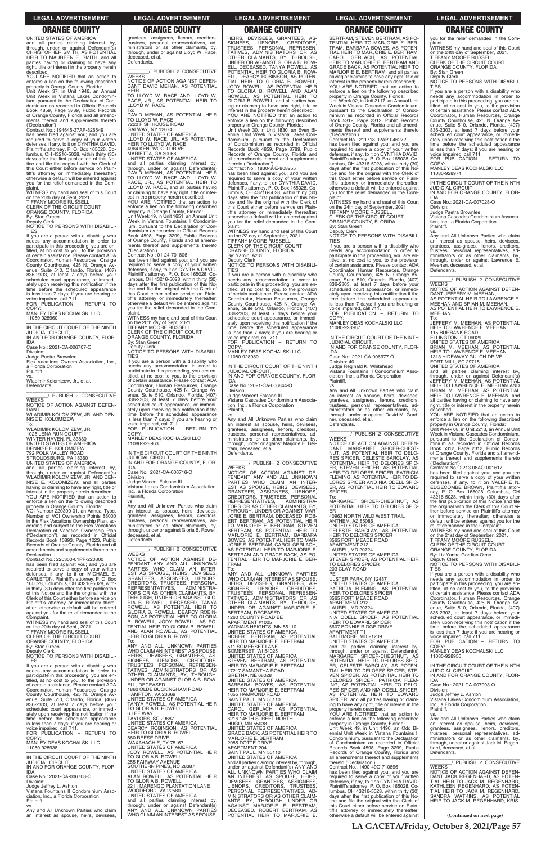**LA GACETA/Friday, October 8, 2021/Page 57**

UNITED STATES OF AMERICA and all parties claiming interest by, through, under or against Defendant(s) CHRISTOPHER SMITH, AS POTENTIAL HEIR TO MAUREEN E. SMITH, and all parties having or claiming to have any right, title or interest in the property herein described; YOU ARE NOTIFIED that an action to

enforce a lien on the following described property in Orange County, Florida: Unit Week 37, in Unit 1946, an Annual

Unit Week in Vistana Lakes Condomin-ium, pursuant to the Declaration of Con-dominium as recorded in Official Records Book 4859, Page 3789, Public Records of Orange County, Florida and all amend-ments thereof and supplements thereto

('Declaration') Contract No.: 194645-37AP-826549 has been filed against you; and you are

required to serve a copy of your written defenses, if any, to it on CYNTHIA DAVID, Plaintiff's attorney, P. O. Box 165028, Columbus, OH 43216-5028, within thirty (30) days after the first publication of this No-tice and file the original with the Clerk of this Court either before service on Plain-tiff's attorney or immediately thereafter; otherwise a default will be entered against you for the relief demanded in the Com-

plaint. WITNESS my hand and seal of this Court on the 20th day of Sept, 2021. TIFFANY MOORE RUSSELL CLERK OF THE CIRCUIT COURT

ORANGE COUNTY, FLORIDA By: Stan Green Deputy Clerk

NOTICE TO PERSONS WITH DISABILI-TIES If you are a person with a disability who

needs any accommodation in order to participate in this proceeding, you are en-titled, at no cost to you, to the provision of certain assistance. Please contact ADA Coordinator, Human Resources, Orange County Courthouse, 425 N. Orange Avenue, Suite 510, Orlando, Florida, (407) 836-2303, at least 7 days before your scheduled court appearance, or immediately upon receiving this notification if the time before the scheduled appearance is less than 7 days; if you are hearing or voice impaired, call 711. FOR PUBLICATION – RETURN TO

.....<br>COPY

MANLEY DEAS KOCHALSKI LLC 11080-928960

—————————————————— IN THE CIRCUIT COURT OF THE NINTH JUDICIAL CIRCUIT, IN AND FOR ORANGE COUNTY, FLOR-IDA

...<br>ase No.: 2021-CA-006707-O

Division:

Judge Paetra Brownlee Flex Vacations Owners Association, Inc., a Florida Corporation Plaintiff,

vs. Wladimir Kolomizew, Jr., et al. Defendants.

\_\_\_\_\_\_\_\_\_\_\_\_\_\_\_\_\_\_\_\_\_\_\_\_\_\_\_\_\_\_\_ \_\_\_\_\_\_\_\_/ PUBLISH 2 CONSECUTIVE

WEEKS NOTICE OF ACTION AGAINST DEFEN-DANT

WLADIMIR KOLOMIZEW, JR. AND DEN-NISE E. KOLOMIZEW To:

WLADIMIR KOLOMIZEW, JR. 1028 LENA RUN COURT WINTER HAVEN, FL 33880 UNITED STATES OF AMERICA DENNISE E. KOLOMIZEW 792 POLK VALLEY ROAD

grantees, assignees, lienors, creditors trustees, personal representatives, ad-ministrators or as other claimants, by, through, under or against Lloyd W. Race ised, et al. Defendants.

GALWAY, NY 12074 UNITED STATES OF AMERICA LLOYD W. RACE, JR., AS POTENTIAL<br>HEIR TO LLOYD W. RACE<br>4964 KENTWOOD DRIVE

STROUDSBURG, PA 18360 UNITED STATES OF AMERICA and all parties claiming interest by, through, under or against Defendant(s) WLADIMIR KOLOMIZEW, JR. AND DEN-NISE E. KOLOMIZEW, and all parties having or claiming to have any right, title or interest in the property herein described; YOU ARE NOTIFIED that an action to

enforce a lien on the following described property in Orange County, Florida: VOI Number 220300-01, an Annual Type,

Number of VOI Ownership Points 88000 in the Flex Vacations Ownership Plan, ac-cording and subject to the Flex Vacations Declaration of Vacation Ownership Plan ("Declaration"), as recorded in Official Records Book 10893, Page 1223, Public Records of Orange County, Florida and all amendments and supplements thereto the Declaration.

Contract No.: 220300-01PP-220300 has been filed against you; and you are required to serve a copy of your written defenses, if any, to it on MICHAEL E. CARLETON, Plaintiff's attorney, P. O. Box 165028, Columbus, OH 43216-5028, within thirty (30) days after the first publication of this Notice and file the original with the Clerk of this Court either before service on Plaintiff's attorney or immediately there-after; otherwise a default will be entered against you for the relief demanded in the Complaint.

COPY MANLEY DEAS KOCHALSKI LLC dominium, pursuant to the Declaration of Condominium as recorded in Official Records Book 4859, Page 3789, Public Records of Orange County, Florida and all amendments thereof and supplements thereto ('Declaration')<br>Contract No : 1830-30E-808255

\_\_\_\_\_\_\_\_\_\_\_\_\_\_\_\_\_\_\_\_\_\_\_\_\_\_\_\_\_\_\_ \_\_\_\_\_\_\_\_/ PUBLISH 2 CONSECUTIVE **WEEKS** NOTICE OF ACTION AGAINST DEFEN-DANT DAVID MEHAN, AS POTENTIAL

HEIR TO LLOYD W. RACE AND LLOYD W. RACE, JR., AS POTENTIAL HEIR TO LLOYD W. RACE

To: DAVID MEHAN, AS POTENTIAL HEIR TO LLOYD W. RACE 7220 FISH HOUSE ROAD

> Contract No.: 1830-30E-808255<br>has been filed against you; and you are<br>required to serve a copy of your written<br>defenses, if any, to it on CYNTHIA DAVID,<br>Plaintiff's attorney, P. O. Box 165028, Co-<br>lumbus, OH 43216-5028, wi days after the first publication of this Notice and file the original with the Clerk of this Court either before service on Plaintiff's attorney or immediately thereafter; otherwise a default will be entered against you for the relief demanded in the Complaint.

MARIETTA, GA 30068 UNITED STATES OF AMERICA and all parties claiming interest by,<br>through, under or against Defendant(s)<br>DAVID MEHAN, AS POTENTIAL HEIR<br>TO LLOYD W. RACE AND LLOYD W.<br>RACE, JR., AS POTENTIAL HEIR TO LLOYD W. RACE, and all parties having or claiming to have any right, title or inter-

est in the property herein described; YOU ARE NOTIFIED that an action to enforce a lien on the following described property in Orange County, Florida: Unit Week 49, in Unit 1651, an Annual Unit Week in Vistana Fountains II Condominium, pursuant to the Declaration of Condominium as recorded in Official Records Book 4598, Page 3299, Public Records of Orange County, Florida and all amend-ments thereof and supplements thereto ('Declaration')

Contract No.: 01-24-701806 has been filed against you; and you are<br>required to serve a copy of your written<br>defenses, if any, to it on CYNTHIA DAVID,<br>Plaintiff's attorney, P. O. Box 165028, Co-<br>lumbus, OH 43216-5028, within thirty (30) days after the first publication of this Notice and file the original with the Clerk of this Court either before service on Plain-

tiff's attorney or immediately thereafter; otherwise a default will be entered against you for the relief demanded in the Com-

plaint. WITNESS my hand and seal of this Court on the 20th day of Sept, 2021. TIFFANY MOORE RUSSELL CLERK OF THE CIRCUIT COURT ORANGE COUNTY, FLORIDA

By: Stan Green Deputy Clerk NOTICE TO PERSONS WITH DISABILI-

TIES

If you are a person with a disability who needs any accommodation in order to participate in this proceeding, you are en-titled, at no cost to you, to the provision of certain assistance. Please contact ADA Coordinator, Human Resources, Orange County Courthouse, 425 N. Orange Av-enue, Suite 510, Orlando, Florida, (407) 836-2303, at least 7 days before your scheduled court appearance, or immedi-ately upon receiving this notification if the time before the scheduled appearance is less than 7 days; if you are hearing or voice impaired, call 711. FOR PUBLICATION – RETURN TO

11080-928963 —————————————————— IN THE CIRCUIT COURT OF THE NINTH

JUDICIAL CIRCUIT, IN AND FOR ORANGE COUNTY, FLOR-IDA

Case No.: 2021-CA-006716-O

has been filed against you; and you are required to serve a copy of your written<br>defenses, if any, to it on CYNTHIA DAVID,<br>Plaintiff's attorney, P. O. Box 165028, Co-<br>lumbus, OH 43216-5028, within thirty (30) days after the first publication of this Notice and file the original with the Clerk of this Court either before service on Plaintiff's attorney or immediately thereafter; otherwise a default will be entered against you for the relief demanded in the Com-

Division: Judge Vincent Falcone III Vistana Lakes Condominium Association, Inc., a Florida Corporation Plaintiff,

Deputy Clerk NOTICE TO PERSONS WITH DISABILI-**TIES** 

vs. Any and All Unknown Parties who claim an interest as spouse, heirs, devisees, grantees, assignees, lienors, creditors, trustees, personal representatives, adtrustees, personal representatives, ad-ministrators or as other claimants, by, through, under or against Gloria B. Rowell, deceased, et al. Defendants.

If you are a person with a disability who needs any accommodation in order to participate in this proceeding, you are en-titled, at no cost to you, to the provision of certain assistance. Please contact ADA Coordinator, Human Resources, Orange County Courthouse, 425 N. Orange Av-enue, Suite 510, Orlando, Florida, (407) 836-2303, at least 7 days before your scheduled court appearance, or immedi-ately upon receiving this notification if the time before the scheduled appearance is less than 7 days; if you are hearing or voice impaired, call 711.

\_\_\_\_\_\_\_\_\_\_\_\_\_\_\_\_\_\_\_\_\_\_\_\_\_\_\_\_\_\_\_ \_\_\_\_\_\_\_\_/ PUBLISH 2 CONSECUTIVE WEEKS

vs. Any and All Unknown Parties who claim an interest as spouse, heirs, devisees, grantees, assignees, lienors, creditors, trustees, personal representatives, ad-ministrators or as other claimants, by, through, under or against David M. Gard-ner, deceased, et al. ner, decease<br>Defendants.

NOTICE OF ACTION AGAINST DE-FENDANT ANY AND ALL UNKNOWN PARTIES WHO CLAIM AN INTER-EST AS SPOUSE, HEIRS, DEVISEES, GRANTEES, ASSIGNEES, LIENORS, CREDITORS, TRUSTEES, PERSONAL REPRESENTATIVES, ADMINISTRA-TORS OR AS OTHER CLAIMANTS, BY, THROUGH, UNDER OR AGAINST GLO-RIA B. ROWELL, DECEASED, TANYA ROWELL, AS POTENTIAL HEIR TO GLORIA B. ROWELL, DEARCY ROBIN-SON, AS POTENTIAL HEIR TO GLORIA

ANTHEM, AZ 85086 UNITED STATES OF AMERICA CELESTE BARCLAY, AS POTENTIAL HEIR TO DELORES SPICER 3565 FORT MEADE ROAD APARTMENT 212 LAUREL, MD 20724<br>UNITED STATES OF AMERICA<br>STEVEN SPICER, AS POTENTIAL HEIR<br>TO DELORES SPICER<br>203 CLAY ROAD

HEIRS, DEVISEES, GRANTEES, AS-SIGNEES, LIENORS, CREDITORS, TRUSTEES, PERSONAL REPRESEN-TATIVES, ADMINISTRATORS OR AS OTHER CLAIMANTS, BY, THROUGH, UNDER OR AGAINST GLORIA B. ROW-ELL, DECEASED, TANYA ROWELL, AS POTENTIAL HEIR TO GLORIA B. ROW-ELL, DEARCY ROBINSON, AS POTEN-TIAL HEIR TO GLORIA B. ROWELL, JODY ROWELL, AS POTENTIAL HEIR TO GLORIA B. ROWELL AND ALAN ROWELL, AS POTENTIAL HEIR TO GLORIA B. ROWELL, and all parties having or claiming to have any right, title or interest in the property herein described; YOU ARE NOTIFIED that an action to enforce a lien on the following described property in Orange County, Florida: Unit Week 30, in Unit 1830, an Even Bi-ennial Unit Week in Vistana Lakes Con-

> COPY MANLEY DEAS KOCHALSKI LLC

WITNESS my hand and seal of this Court on the 22 day of September, 2021. TIFFANY MOORE RUSSELL

CLERK OF THE CIRCUIT COURT ORANGE COUNTY, FLORIDA By: Yamini Azizi

Deputy Clerk NOTICE TO PERSONS WITH DISABILI-TIES

If you are a person with a disability who needs any accommodation in order to participate in this proceeding, you are en-titled, at no cost to you, to the provision of certain assistance. Please contact ADA Coordinator, Human Resources, Orange County Courthouse, 425 N. Orange Av-enue, Suite 510, Orlando, Florida, (407) 836-2303, at least 7 days before your scheduled court appearance, or immedi-ately upon receiving this notification if the time before the scheduled appearance is less than 7 days; if you are hearing or voice impaired, call 711. FOR PUBLICATION – RETURN TO COPY: MANLEY DEAS KOCHALSKI LLC

11080-928980

—————————————————— IN THE CIRCUIT COURT OF THE NINTH JUDICIAL CIRCUIT, IN AND FOR ORANGE COUNTY, FLOR-IDA

Case No.: 2021-CA-006844-O

| Complaint.                                    | SON, AS POTENTIAL HEIR TO GLORIA       | 1260 COUNTY ROAD EE                            | NIA ODELL SPICER. AS POTENTIAL                  | scheduled court appearance, or immedi-        |
|-----------------------------------------------|----------------------------------------|------------------------------------------------|-------------------------------------------------|-----------------------------------------------|
| WITNESS my hand and seal of this Court        | B. ROWELL, JODY ROWELL, AS PO-         | APARTMENT #1005                                | <b>HEIR TO EDWARD SPICER</b>                    | ately upon receiving this notification if the |
| on the 20th day of Sept., 2021.               | TENTIAL HEIR TO GLORIA B. ROWELL       | VADNAIS HEIGHTS, MN 55110                      | 6607 BONNIE RIDGE DRIVE                         | time before the scheduled appearance          |
| <b>TIFFANY MOORE RUSSELL</b>                  | AND ALAN ROWELL, AS POTENTIAL          | UNITED STATES OF AMERICA                       | <b>APARTMENT T1</b>                             | is less than 7 days; if you are hearing or    |
| CLERK OF THE CIRCUIT COURT                    | <b>HEIR TO GLORIA B. ROWELL</b>        | ROBERT BERTRAM. AS POTENTIAL                   | BALTIMORE, MD 21209                             | voice impaired, call 711.                     |
| ORANGE COUNTY, FLORIDA                        | To:                                    | HEIR TO MARJORIE E. BERTRAM                    | UNITED STATES OF AMERICA                        | FOR PUBLICATION - RETURN TO                   |
| By: Stan Green                                | ANY AND ALL UNKNOWN PARTIES            | 511 SOMERSET LANE                              | and all parties claiming interest by,           | COPY:                                         |
| Deputy Clerk                                  | WHO CLAIM AN INTEREST AS SPOUSE.       | SOMERSET, WI 54025                             | through, under or against Defendant(s)          | MANLEY DEAS KOCHALSKI LLC                     |
| NOTICE TO PERSONS WITH DISABILI-              | HEIRS, DEVISEES, GRANTEES, AS-         | UNITED STATES OF AMERICA                       | MARGARET SPICER-CHESTNUT. AS                    | 11080-928956                                  |
| <b>TIES</b>                                   | SIGNEES. LIENORS.<br>CREDITORS.        | STEVEN BERTRAM, AS POTENTIAL                   | POTENTIAL HEIR TO DELORES SPIC-                 |                                               |
| If you are a person with a disability who     | TRUSTEES, PERSONAL REPRESEN-           | HEIR TO MARJORIE E. BERTRAM                    | ER. CELESTE BARCLAY. AS POTEN-                  | IN THE CIRCUIT COURT OF THE NINTH             |
| needs any accommodation in order to           | TATIVES. ADMINISTRATORS OR AS          | 17217 SAMANTHA ROAD                            | TIAL HEIR TO DELORES SPICER. STE-               | <b>JUDICIAL CIRCUIT.</b>                      |
| participate in this proceeding, you are en-   | OTHER CLAIMANTS, BY, THROUGH           | <b>GRETNA, NE 68028</b>                        | VEN SPICER. AS POTENTIAL HEIR TO                | IN AND FOR ORANGE COUNTY, FLOR-               |
| titled, at no cost to you, to the provision   | UNDER OR AGAINST GLORIA B. ROW-        | UNITED STATES OF AMERICA                       | DELORES SPICER, PATRICIA FLEM-                  | <b>IDA</b>                                    |
| of certain assistance. Please contact ADA     | ELL. DECEASED                          | BARBARA BOWES, AS POTENTIAL                    | ING, AS POTENTIAL HEIR TO DELO-                 | Case No.: 2021-CA-007093-O                    |
| Coordinator, Human Resources, Orange          | 1860 OLDE BUCKINGHAM ROAD              | HEIR TO MARJORIE E. BERTRAM                    | RES SPICER AND NIA ODELL SPICER.                | Division:                                     |
| County Courthouse, 425 N. Orange Av-          | HAMPTON, VA 23669                      | 1655 HAMMOND ROAD                              | AS POTENTIAL HEIR TO EDWARD                     | Judge Jeffrey L. Ashton                       |
| enue, Suite 510, Orlando, Florida, (407)      | UNITED STATES OF AMERICA               | SAINT PAUL. MN 55110                           | SPICER, and all parties having or claim-        | Vistana Lakes Condominium Association.        |
| 836-2303, at least 7 days before your         | TANYA ROWELL, AS POTENTIAL HEIR        | UNITED STATES OF AMERICA                       | ing to have any right, title or interest in the | Inc., a Florida Corporation                   |
| scheduled court appearance, or immedi-        | TO GLORIA B. ROWELL                    | CAROL GERLACH, AS POTENTIAL                    | property herein described;                      | Plaintiff,                                    |
| ately upon receiving this notification if the | 6 LEE WAY                              | HEIR TO MARJORIE E. BERTRAM                    | YOU ARE NOTIFIED that an action to              | VS.                                           |
| time before the scheduled appearance          | <b>TAYLORS, SC 29687</b>               | 6216 145TH STREET NORTH                        | enforce a lien on the following described       | Any and All Unknown Parties who claim         |
| is less than 7 days; if you are hearing or    | UNITED STATES OF AMERICA               | <b>HUGO, MN 55038</b>                          | property in Orange County, Florida:             | an interest as spouse, heirs, devisees,       |
| voice impaired, call 711.                     | DEARCY ROBINSON, AS POTENTIAL          | UNITED STATES OF AMERICA                       | Unit Week 49, in Unit 1490, an Odd Bi-          | grantees, assignees, lienors, creditors,      |
| FOR PUBLICATION - RETURN TO                   | <b>HEIR TO GLORIA B. ROWELL</b>        | <b>GRACE BACK, AS POTENTIAL HEIR TO</b>        | ennial Unit Week in Vistana Fountains II        | trustees, personal representatives, ad-       |
| COPY:                                         | 860 REESE DRIVE                        | MARJORIE E. BERTRAM                            | Condominium, pursuant to the Declaration        | ministrators or as other claimants, by,       |
| MANLEY DEAS KOCHALSKI LLC                     | WAXAHACHIE, TX 75167                   | 2085 DOTTE DRIVE                               | of Condominium as recorded in Official          | through, under or against Jack M. Regen-      |
| 11080-928938                                  | UNITED STATES OF AMERICA               | <b>APARTMENT 204</b>                           | Records Book 4598, Page 3299, Public            | hard, deceased, et al.                        |
|                                               | JODY ROWELL, AS POTENTIAL HEIR         | SAINT PAUL. MN 55110                           | Records of Orange County, Florida and           | Defendants.                                   |
| IN THE CIRCUIT COURT OF THE NINTH             | TO GLORIA B. ROWELL                    | UNITED STATES OF AMERICA                       | all amendments thereof and supplements          |                                               |
| <b>JUDICIAL CIRCUIT.</b>                      | <b>255 FAIRWAY AVENUE</b>              | and all parties claiming interest by, through, | thereto ('Declaration')                         | PUBLISH 2 CONSECUTIVE                         |
| IN AND FOR ORANGE COUNTY, FLOR-               | SOUTHERN PINES, NC 28387               | under or against Defendant(s) ANY AND          | Contract No.: 1490-490-710896                   | <b>WEEKS</b>                                  |
| <b>IDA</b>                                    | UNITED STATES OF AMERICA               | ALL UNKNOWN PARTIES WHO CLAIM                  | has been filed against you; and you are         | NOTICE OF ACTION AGAINST DEFEN-               |
| Case No.: 2021-CA-006708-O                    | ALAN ROWELL, AS POTENTIAL HEIR         | AN INTEREST AS SPOUSE, HEIRS,                  | required to serve a copy of your written        | DANT JACK REGENHARD. AS POTEN-                |
| Division:                                     | TO GLORIA B. ROWELL                    | DEVISEES, GRANTEES, ASSIGNEES,                 | defenses, if any, to it on CYNTHIA DAVID,       | TIAL HEIR TO JACK M. REGENHARD,               |
| Judge Jeffrey L. Ashton                       | 2211 MARENGO PLANTATION LANE           | LIENORS, CREDITORS, TRUSTEES,                  | Plaintiff's attorney, P. O. Box 165028, Co-     | KATHLEEN REGENHARD, AS POTEN-                 |
| Vistana Fountains II Condominium Asso-        | WOODFORD, VA 22580                     | PERSONAL REPRESENTATIVES. AD-                  | lumbus, OH 43216-5028, within thirty (30)       | TIAL HEIR TO JACK M. REGENHARD,               |
| ciation, Inc., a Florida Corporation          | UNITED STATES OF AMERICA               | MINISTRATORS OR AS OTHER CLAIM-                | days after the first publication of this No-    | SANDRA WATKINS. AS POTENTIAL                  |
| Plaintiff.                                    | and all parties claiming interest by.  | ANTS, BY, THROUGH, UNDER OR                    | tice and file the original with the Clerk of    | HEIR TO JACK M. REGENHARD, KRIS-              |
|                                               | through, under or against Defendant(s) | AGAINST MARJORIE E. BERTRAM,                   | this Court either before service on Plain-      |                                               |
| Any and All Unknown Parties who claim         | ANY AND ALL UNKNOWN PARTIES            | DECEASED. ROBERT BERTRAM. AS                   | tiff's attorney or immediately thereafter;      |                                               |
| an interest as spouse, heirs, devisees,       | WHO CLAIM AN INTEREST AS SPOUSE.       | POTENTIAL HEIR TO MARJORIE E.                  | otherwise a default will be entered against     | (Continued on next page)                      |
|                                               |                                        |                                                |                                                 |                                               |

Division: Judge Vincent Falcone III

Vistana Cascades Condominium Associa-tion, Inc., a Florida Corporation Plaintiff,

vs. Any and All Unknown Parties who claim an interest as spouse, heirs, devisees, grantees, assignees, lienors, creditors, trustees, personal representatives, ad-ministrators or as other claimants, by, through, under or against Marjorie E. Ber-tram, deceased, et al. Defendants.

\_\_\_\_\_\_\_\_\_\_\_\_\_\_\_\_\_\_\_\_\_\_\_\_\_\_\_\_\_\_\_ \_\_\_\_\_\_\_\_/ PUBLISH 2 CONSECUTIVE WEEKS

NOTICE OF ACTION AGAINST DE-FENDANT ANY AND ALL UNKNOWN PARTIES WHO CLAIM AN INTER-EST AS SPOUSE, HEIRS, DEVISEES, GRANTEES, ASSIGNEES, LIENORS, CREDITORS, TRUSTEES, PERSONAL REPRESENTATIVES, ADMINISTRA-TORS OR AS OTHER CLAIMANTS, BY, THROUGH, UNDER OR AGAINST MAR-JORIE E. BERTRAM, DECEASED, ROB-ERT BERTRAM, AS POTENTIAL HEIR TO MARJORIE E. BERTRAM, STEVEN BERTRAM, AS POTENTIAL HEIR TO MARJORIE E. BERTRAM, BARBARA BOWES, AS POTENTIAL HEIR TO MAR-JORIE E. BERTRAM, CAROL GERLACH, AS POTENTIAL HEIR TO MARJORIE E. BERTRAM AND GRACE BACK, AS PO-TENTIAL HEIR TO MARJORIE E. BER-TRAM

To: ANY AND ALL UNKNOWN PARTIES,<br>WHOCLAIMANINTERESTASSPOUSE,<br>HEIRS, DEVISEES, GRANTEES, AS-<br>SIGNEES, LIENORS, CREDITORS,<br>TATIVES, ADMINISTRATORS OR AS<br>TATIVES, ADMINISTRATORS OR AS OTHER CLAIMANTS, BY, THROUGH,<br>UNDER OR AGAINST MARJORIE E.<br>BERTRAM,DECEASED 1260 COUNTY ROAD EE

BERTRAM, STEVEN BERTRAM, AS PO-TENTIAL HEIR TO MARJORIE E. BER-TRAM, BARBARA BOWES, AS POTEN-TIAL HEIR TO MARJORIE E. BERTRAM, CAROL GERLACH, AS POTENTIAL HEIR TO MARJORIE E. BERTRAM AND GRACE BACK, AS POTENTIAL HEIR TO MARJORIE E. BERTRAM, and all parties having or claiming to have any right, title or interest in the property herein described; YOU ARE NOTIFIED that an action to enforce a lien on the following described

property in Orange County, Florida: Unit Week 02, in Unit 2117, an Annual Unit Week in Vistana Cascades Condominium, pursuant to the Declaration of Condo-minium as recorded in Official Records Book 5312, Page 2312, Public Records of Orange County, Florida and all amend-ments thereof and supplements thereto ('Declaration') Contract No.: 211718-02AP-046272

plaint. WITNESS my hand and seal of this Court on the 24th day of September, 2021. TIFFANY MOORE RUSSELL

CLERK OF THE CIRCUIT COURT ORANGE COUNTY, FLORIDA

By: Stan Green

FOR PUBLICATION – RETURN TO COPY: MANLEY DEAS KOCHALSKI LLC 11080-928967

—————————————————— IN THE CIRCUIT COURT OF THE NINTH

JUDICIAL CIRCUIT, AND FOR ORANGE COUNTY, FLOR-IDA

Case No.: 2021-CA-006977-O

Division: 40 Judge Reginald K. Whitehead Vistana Fountains II Condominium Asso-ciation, Inc., a Florida Corporation Plaintiff,

\_\_\_\_\_\_\_\_\_\_\_\_\_\_\_\_\_\_\_\_\_\_\_\_\_\_\_\_\_\_\_ \_\_\_\_\_\_\_\_/ PUBLISH 2 CONSECUTIVE WEEKS

NOTICE OF ACTION AGAINST DEFEN-DANT MARGARET SPICER-CHEST-NUT, AS POTENTIAL HEIR TO DELO-RES SPICER, CELESTE BARCLAY, AS POTENTIAL HEIR TO DELORES SPIC-ER, STEVEN SPICER, AS POTENTIAL HEIR TO DELORES SPICER, PATRICIA FLEMING, AS POTENTIAL HEIR TO DE-LORES SPICER AND NIA ODELL SPIC-ER, AS POTENTIAL HEIR TO EDWARD SPICER To:

MARGARET SPICER-CHESTNUT, AS POTENTIAL HEIR TO DELORES SPIC-ER 40963 NORTH WILD WEST TRAIL

PE

ULSTER PARK, NY 12487 UNITED STATES OF AMERICA PATRICIA FLEMING, AS POTENTIAL HEIR TO DELORES SPICER 3565 FORT MEADE ROAD APARTMENT 212 LAUREL, MD 20724 UNITED STATES OF AMERICA

you for the relief demanded in the Com-

plaint. WITNESS my hand and seal of this Court on the 24th day of September, 2021. TIFFANY MOORE RUSSELL CLERK OF THE CIRCUIT COURT ORANGE COUNTY, FLORIDA By: Stan Green

Deputy Clerk NOTICE TO PERSONS WITH DISABILI-

TIES If you are a person with a disability who needs any accommodation in order to participate in this proceeding, you are en-titled, at no cost to you, to the provision of certain assistance. Please contact ADA Coordinator, Human Resources, Orange County Courthouse, 425 N. Orange Avenue, Suite 510, Orlando, Florida, (407) 836-2303, at least 7 days before your scheduled court appearance, or immediately upon receiving this notification if the time before the scheduled appearance is less than 7 days; if you are hearing or voice impaired, call 711. FOR PUBLICATION – RETURN TO

11080-928974

—————————————————— IN THE CIRCUIT COURT OF THE NINTH JUDICIAL CIRCUIT, IN AND FOR ORANGE COUNTY, FLOR-IDA

Case No.: 2021-CA-007028-O Division:

Judge Paetra Brownlee Vistana Cascades Condominium Associa-tion, Inc., a Florida Corporation

Plaintiff,

vs. Any and All Unknown Parties who claim an interest as spouse, heirs, devisees, grantees, assignees, lienors, creditors, trustees, personal representatives, ad-

ministrators or as other claimants, by, through, under or against Lawrence E. Meehan, deceased, et al.

Defendants.

**WEEKS** 

\_\_\_\_\_\_\_\_\_\_\_\_\_\_\_\_\_\_\_\_\_\_\_\_\_\_\_\_\_\_\_ \_\_\_\_\_\_\_\_/ PUBLISH 2 CONSECUTIVE

NOTICE OF ACTION AGAINST DEFEN-DANT JEFFERY M. MEEHAN, AS POTENTIAL HEIR TO LAWRENCE E. MEEHAN AND BRIAN M. MEEHAN, AS POTENTIAL HEIR TO LAWRENCE E.

MEEHAN

To: JEFFERY M. MEEHAN, AS POTENTIAL

HEIR TO LAWRENCE E. MEEHAN 115 BURBANK ROAD ELLINGTON, CT 06029

UNITED STATES OF AMERICA BRIAN M. MEEHAN, AS POTENTIAL HEIR TO LAWRENCE E. MEEHAN 1313 HIDEAWAY GULCH DRIVE FORT MILL, SC 29715 UNITED STATES OF AMERICA

and all parties claiming interest by, through, under or against Defendant(s) JEFFERY M. MEEHAN, AS POTENTIAL HEIR TO LAWRENCE E. MEEHAN AND BRIAN M. MEEHAN, AS POTENTIAL HEIR TO LAWRENCE E. MEEHAN, and all parties having or claiming to have any right, title or interest in the property herein

described;

YOU ARE NOTIFIED that an action to enforce a lien on the following described property in Orange County, Florida: Unit Week 08, in Unit 2213, an Annual Unit Week in Vistana Cascades Condominium, pursuant to the Declaration of Condominium as recorded in Official Records Book 5312, Page 2312, Public Records of Orange County, Florida and all amendments thereof and supplements thereto ('Declaration') Contract No.: 2213-08AO-001617

has been filed against you; and you are required to serve a copy of your written defenses, if any, to it on VALERIE N.

EDGECOMBE BROWN, Plaintiff's attor-ney, P. O. Box 165028, Columbus, OH 43216-5028, within thirty (30) days after

the first publication of this Notice and file the original with the Clerk of this Court ei-ther before service on Plaintiff's attorney

or immediately thereafter; otherwise a default will be entered against you for the relief demanded in the Complaint.

WITNESS my hand and seal of this Court on the 21st day of September, 2021. TIFFANY MOORE RUSSELL

CLERK OF THE CIRCUIT COURT ORANGE COUNTY, FLORIDA By: Liz Yanira Gordian Olmo

Deputy Clerk NOTICE TO PERSONS WITH DISABILI-

TIES

If you are a person with a disability who needs any accommodation in order to participate in this proceeding, you are entitled, at no cost to you, to the provision of certain assistance. Please contact ADA Coordinator, Human Resources, Orange

County Courthouse, 425 N. Orange Av-enue, Suite 510, Orlando, Florida, (407) 836-2303, at least 7 days before your

### **LEGAL ADVERTISEMENT LEGAL ADVERTISEMENT LEGAL ADVERTISEMENT LEGAL ADVERTISEMENT LEGAL ADVERTISEMENT**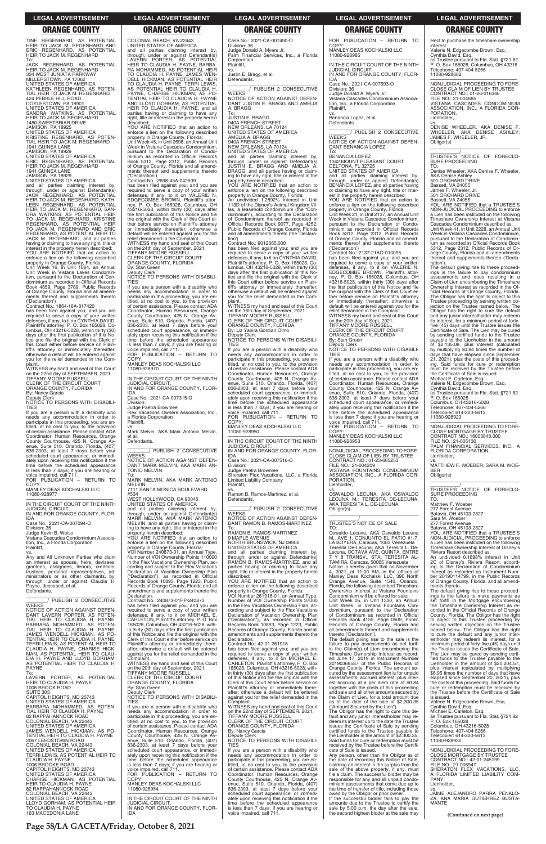**Page 58/LA GACETA/Friday, October 8, 2021**

JAMISON, PA 18925<br>UNITED STATES OF AMERICA<br>KRISTINE REGENHARD, AS POTEN-<br>TIAL HEIR TO JACK M. REGENHARD 1941 GUINEA LANE JAMISON, PA 18929

To: JACK REGENHARD, AS POTENTIAL HEIR TO JACK M. REGENHARD 334 WEST JUNIATA PARKWAY MILLERSTOWN, PA 17062 UNITED STATES OF AMERICA KATHLEEN REGENHARD, AS POTEN-TIAL HEIR TO JACK M. REGENHARD 424 PEBBLE HILL ROAD DOYLESTOWN, PA 18901 UNITED STATES OF AMERICA SANDRA WATKINS, AS POTENTIAL HEIR TO JACK M. REGENHARD 1480 SWEETBRIAR DRIVE

UNITED STATES OF AMERICA ERIC REGENHARD, AS POTENTIAL HEIR TO JACK M. REGENHARD 1941 GUINEA LANE

JAMISON, PA 18929 UNITED STATES OF AMERICA

and all parties claiming interest by, through, under or against Defendant(s) JACK REGENHARD, AS POTENTIAL HEIR TO JACK M. REGENHARD, KATH-LEEN REGENHARD, AS POTENTIAL<br>HEIR TO JACK M. REGENHARD, SAN-<br>DRA WATKINS, AS POTENTIAL HEIR<br>TO JACK M. REGENHARD, KRISTINE<br>REGENHARD, AS POTENTIAL HEIR<br>TO JACK M. REGENHARD AND ERIC REGENHARD, AS POTENTIAL HEIR TO JACK M. REGENHARD, and all parties having or claiming to have any right, title or interest in the property herein described; YOU ARE NOTIFIED that an action to

plaint. WITNESS my hand and seal of this Court on the 22nd day of SEPTEMBER, 2021.<br>TIFFANY MOORE RUSSELL<br>CLERK OF THE CIRCUIT COURT<br>ORANGE COUNTY, FLORIDA

enforce a lien on the following described property in Orange County, Florida: Unit Week 16, in Unit 1864, an Annual Unit Week in Vistana Lakes Condominium, pursuant to the Declaration of Condominium as recorded in Official Records Book 4859, Page 3789, Public Records of Orange County, Florida and all amend-ments thereof and supplements thereto

COP<sup>'</sup> MANLEY DEAS KOCHALSKI LLC 11080-928977

Vistana Cascades Condominium Association, Inc., a Florida Corporation **Plaintiff** 

Any and All Unknown Parties who claim an interest as spouse, heirs, devisees, grantees, assignees, lienors, creditors, trustees, personal representatives, ad-ministrators or as other claimants, by, through, under or against Claudia H. Payne, deceased, et al. **Defendants** 

('Declaration') Contract No.: 1864-16A-817420

has been filed against you; and you are required to serve a copy of your written<br>defenses, if any, to it on CYNTHIA DAVID,<br>Plaintiff's attorney, P. O. Box 165028, Co-<br>lumbus, OH 43216-5028, within thirty (30) days after the first publication of this Notice and file the original with the Clerk of this Court either before service on Plain-tiff's attorney or immediately thereafter; otherwise a default will be entered against you for the relief demanded in the

By: Nancy Garcia Deputy Clerk NOTICE TO PERSONS WITH DISABILI-

COLONIAL BEACH, VA 22443 UNITED STATES OF AMERICA

TIES If you are a person with a disability who needs any accommodation in order to eds any accommodation in order to participate in this proceeding, you are en-titled, at no cost to you, to the provision of certain assistance. Please contact ADA Coordinator, Human Resources, Orange County Courthouse, 425 N. Orange Av-enue, Suite 510, Orlando, Florida, (407) 836-2303, at least 7 days before your scheduled court appearance, or immediately upon receiving this notification if the time before the scheduled appearance is less than 7 days; if you are hearing or voice impaired, call 711. FOR PUBLICATION – RETURN TO

—————————————————— IN THE CIRCUIT COURT OF THE NINTH JUDICIAL CIRCUIT, IN AND FOR ORANGE COUNTY, FLOR-

IDA Case No.: 2021-CA-007094-O

Division: 35 Judge Kevin B. Weiss By: Stan Green Deputy Clerk

vs.

—<br>IN THE CIRCUIT COURT OF THE NINTH<br>JUDICIAL CIRCUIT, IN AND FOR ORANGE COUNTY, FLOR-

Flex Vacations Owners Association, Inc.

\_\_\_\_\_\_\_\_\_\_\_\_\_\_\_\_\_\_\_\_\_\_\_\_\_\_\_\_\_\_\_ \_\_\_\_\_\_\_\_/ PUBLISH 2 CONSECUTIVE WEEKS NOTICE OF ACTION AGAINST DEFEN-DANT LAVERN PORTER, AS POTEN-TIAL HEIR TO CLAUDIA H. PAYNE,

et al. **Defendants** 

and all parties claiming interest by, through, under or against Defendant(s) LAVERN PORTER, AS POTENTIAL HEIR TO CLAUDIA H. PAYNE, BARBA-

RA MOHAMMED, AS POTENTIAL HEIR<br>TO CLAUDIA H. PAYNE, JAMES WEN-<br>DELL HICKMAN, AS POTENTIAL HEIR<br>TO CLAUDIA H. PAYNE, TERRI LEWIS,

\_\_\_\_\_\_\_\_\_\_\_\_\_\_\_\_\_\_\_\_\_\_\_\_\_\_\_\_\_\_\_ \_\_\_\_\_\_\_\_/ PUBLISH 2 CONSECUTIVE **WEEKS** NOTICE OF ACTION AGAINST DEFEN-DANT JUSTIN E. BRAGG AND AMELIA A. BRAGG<br>To:

AS POTENTIAL HEIR TO CLAUDIA H. PAYNE, CHARISE HICKMAN, AS PO-TENTIAL HEIR TO CLAUDIA H. PAYNE AND LLOYD GORHAM, AS POTENTIAL HEIR TO CLAUDIA H. PAYNE, and all parties having or claiming to have any right, title or interest in the property herein

described;

YOU ARE NOTIFIED that an action to enforce a lien on the following described property in Orange County, Florida: Unit Week 45, in Unit 2698, an Annual Unit Week in Vistana Cascades Condominium, pursuant to the Declaration of Condominium as recorded in Official Records Book 5312, Page 2312, Public Records of Orange County, Florida and all amend-ments thereof and supplements thereto

To:<br>JUSTIN E. BRAGG<br>940A FRENCH STREET<br>NEW ORLEANS, LA 70124<br>UNITED STATES OF AMERICA AMELIA A. BRAGG 940A FRENCH STREET NEW ORLEANS, LA 70124 UNITED STATES OF AMERICA and all parties claiming interest by, through, under or against Defendant(s) JUSTIN E. BRAGG AND AMELIA A. BRAGG, and all parties having or claiming to have any right, title or interest in the property herein described; YOU ARE NOTIFIED that an action to enforce a lien on the following described property in Orange County, Florida: An undivided 1.2892% interest in Unit 113D of the Disney's Animal Kingdom Villas, a leasehold condominium (the "Condominium"), according to the Declaration of Condominium thereof as recorded in Official Records Book 9077, Page 4252, Public Records of Orange County, Florida and all amendments thereto (the 'Declaration') Contract No.: 9012665.000

('Declaration') Contract No.: 2698-45A-042509

has been filed against you; and you are required to serve a copy of your written defenses, if any, to it on VALERIE N. EDGECOMBE BROWN, Plaintiff's attor-

If you are a person with a disability who needs any accommodation in order to participate in this proceeding, you are en-titled, at no cost to you, to the provision of certain assistance. Please contact ADA Coordinator, Human Resources, Orange County Courthouse, 425 N. Orange Av-enue, Suite 510, Orlando, Florida, (407) 836-2303, at least 7 days before your scheduled court appearance, or immediately upon receiving this notification if the time before the scheduled appearance is less than 7 days; if you are hearing or voice impaired, call 711. FOR PUBLICATION – RETURN TO **COPY** 

ney, P. O. Box 165028, Columbus, OH 43216-5028, within thirty (30) days after the first publication of this Notice and file the original with the Clerk of this Court either before service on Plaintiff's attorney or immediately thereafter; otherwise default will be entered against you for the relief demanded in the Complaint. WITNESS my hand and seal of this Court on the 24th day of September, 2021. TIFFANY MOORE RUSSELL CLERK OF THE CIRCUIT COURT ORANGE COUNTY, FLORIDA

NOTICE TO PERSONS WITH DISABILI-

TIES

If you are a person with a disability who needs any accommodation in order to participate in this proceeding, you are en-titled, at no cost to you, to the provision of certain assistance. Please contact ADA Coordinator, Human Resources, Orange County Courthouse, 425 N. Orange Av-enue, Suite 510, Orlando, Florida, (407) 836-2303, at least 7 days before your scheduled court appearance, or immedi-ately upon receiving this notification if the

> cording and subject to the Flex Vacations Declaration of Vacation Ownership Plan<br>
> "Declaration") as recorded in Official ("Declaration"), as recorded in Official

time before the scheduled appearance is less than 7 days; if you are hearing or voice impaired, call 711. FOR PUBLICATION – RETURN TO

COPY:

MANLEY DEAS KOCHALSKI LLC

11080-928970

IDA

Case No.: 2021-CA-007315-O Division: Judge Paetra Brownlee

a Florida Corporation

Plaintiff,

**WEEKS** 

vs. Mark Melvin, AKA Mark Antonio Melvin,

\_\_\_\_\_\_\_\_\_\_\_\_\_\_\_\_\_\_\_\_\_\_\_\_\_\_\_\_\_\_\_ \_\_\_\_\_\_\_\_/ PUBLISH 2 CONSECUTIVE

NOTICE OF ACTION AGAINST DEFEN-DANT MARK MELVIN, AKA MARK AN-

TONIO MELVIN

To: MARK MELVIN, AKA MARK ANTONIO

MELVIN

7111 SANTA MONICA BOULEVARD #534 WEST HOLLYWOOD, CA 90046 UNITED STATES OF AMERICA

property herein described

and all parties claiming interest by, through, under or against Defendant(s) MARK MELVIN, AKA MARK ANTONIO MELVIN, and all parties having or claiming to have any right, title or interest in the

YOU ARE NOTIFIED that an action to enforce a lien on the following described property in Orange County, Florida: VOI Number 240873-01, an Annual Type, Number of VOI Ownership Points 110000 in the Flex Vacations Ownership Plan, according and subject to the Flex Vacations Declaration of Vacation Ownership Plan ("Declaration"), as recorded in Official Records Book 10893, Page 1223, Public Records of Orange County, Florida and all amendments and supplements thereto the

Declaration.

Contract No.: 240873-01PP-240873 has been filed against you; and you are

vs.<br>OSWALDO LECUNA, AKA OSWALDO<br>LECUNA M.; TERESITA DE-LECUNA,<br>AKA TERESITA L. DE-LECUNA Obligor(s) \_\_\_\_\_\_\_\_\_\_\_\_\_\_\_\_\_\_\_\_\_\_\_\_\_\_\_\_\_\_\_\_\_

Case No.: 2021-CA-007490-O Division: 36 Judge Donald A. Myers Jr. Palm Financial Services, Inc., a Florida Corporation Plaintiff,

vs. Justin E. Bragg, et al. Defendants.

> vs.<br>DENISE WHEELER, AKA DENISE F.<br>WHEELER, AKA DENISE ASHLEY;<br>JAMES「F.WHEELER,JR. Obligor(s) \_\_\_\_\_\_\_\_\_\_\_\_\_\_\_\_\_\_\_\_\_\_\_\_\_\_\_\_\_\_\_\_\_

> The default giving rise to these proceed-ings is the failure to pay condominium assessments and dues resulting in a Claim of Lien encumbering the Timeshare Ownership Interest as recorded in the Of-ficial Records of Orange County, Florida. The Obligor has the right to object to this Trustee proceeding by serving written ob-jection on the Trustee named below. The Obligor has the right to cure the default and any junior interestholder may redeem its interest, for a minimum period of fortyfive (45) days until the Trustee issues the Certificate of Sale. The Lien may be cured by sending certified funds to the Trustee payable to the Lienholder in the amount of \$2,135.08, plus interest (calculated by multiplying \$0.84 times the number of days that have elapsed since September 21, 2021), plus the costs of this proceed-ing. Said funds for cure or redemption must be received by the Trustee before the Certificate of Sale is issued. Michael E. Carleton, Esq.

has been filed against you; and you are required to serve a copy of your written defenses, if any, to it on CYNTHIA DAVID, Plaintiff's attorney, P. O. Box 165028, Co-lumbus, OH 43216-5028, within thirty (30) days after the first publication of this Notice and file the original with the Clerk of this Court either before service on Plaintiff's attorney or immediately thereafter; otherwise a default will be entered against you for the relief demanded in the Complaint.

> \_\_\_\_\_\_\_\_\_\_\_/ TRUSTEE'S NOTICE OF FORECLO-SURE PROCEEDING

WITNESS my hand and seal of this Court on the 16th day of September, 2021. TIFFANY MOORE RUSSELL CLERK OF THE CIRCUIT COURT ORANGE COUNTY, FLORIDA

By: Liz Yanira Gordian Olmo

Deputy Clerk NOTICE TO PERSONS WITH DISABILI-TIES

MANLEY DEAS KOCHALSKI LLC 11080-928950

—————————————————— IN THE CIRCUIT COURT OF THE NINTH JUDICIAL CIRCUIT, IN AND FOR ORANGE COUNTY, FLOR-

IDA Case No.: 2021-CA-007516-O Division: Judge Paetra Brownlee

Sheraton Flex Vacations, LLC, a Florida Limited Liability Company Plaintiff,

vs. Ramon B. Ramos-Martinez, et al. Defendants.

\_\_\_\_\_\_\_\_\_\_\_\_\_\_\_\_\_\_\_\_\_\_\_\_\_\_\_\_\_\_\_ \_\_\_\_\_\_\_\_/ PUBLISH 2 CONSECUTIVE **WEEKS** NOTICE OF ACTION AGAINST DEFEN-DANT RAMON B. RAMOS-MARTINEZ

To: RAMON B. RAMOS-MARTINEZ 9 MAPLE AVENUE NORTH BRUNSWICK, NJ 08902 UNITED STATES OF AMERICA and all parties claiming interest by, through, under or against Defendant(s) RAMON B. RAMOS-MARTINEZ, and all parties having or claiming to have any right, title or interest in the property herein

described; YOU ARE NOTIFIED that an action to enforce a lien on the following described property in Orange County, Florida: VOI Number 261918-01, an Annual Type, Number of VOI Ownership Points 37000 in the Flex Vacations Ownership Plan, ac-

| NOTICE OF ACTION AGAINST DEFEN-   | required to serve a copy of your written        | cording and subject to the Flex Vacations       | dominium, pursuant to the Declaration          | corded in the Official Records of Orange     |
|-----------------------------------|-------------------------------------------------|-------------------------------------------------|------------------------------------------------|----------------------------------------------|
| DANT LAVERN PORTER, AS POTEN-     | defenses, if any, to it on MICHAEL E.           | Declaration of Vacation Ownership Plan          | of Condominium as recorded in Official         | County, Florida. The Obligor has the right   |
| TIAL HEIR TO CLAUDIA H. PAYNE.    | CARLETON, Plaintiff's attorney, P.O. Box        | ("Declaration"), as recorded in Official        | Records Book 4155, Page 0509, Public           | to object to this Trustee proceeding by      |
| BARBARA MOHAMMED. AS POTEN-       | 165028. Columbus. OH 43216-5028. with-          | Records Book 10893, Page 1223, Public           | Records of Orange County, Florida and          | serving written objection on the Trustee     |
| TIAL HEIR TO CLAUDIA H. PAYNE.    | in thirty (30) days after the first publication | Records of Orange County, Florida and all       | all amendments thereof and supplements         | named below. The Obligor has the right       |
| JAMES WENDELL HICKMAN, AS PO-     | of this Notice and file the original with the   | amendments and supplements thereto the          | thereto ('Declaration').                       | to cure the default and any junior inter-    |
| TENTIAL HEIR TO CLAUDIA H. PAYNE. | Clerk of this Court either before service on    | Declaration.                                    | The default giving rise to the sale is the     | estholder may redeem its interest, for a     |
| TERRI LEWIS, AS POTENTIAL HEIR TO | Plaintiff's attorney or immediately there-      | Contract No.: 42-01-261918                      | failure to pay assessments as set forth        | minimum period of forty-five (45) days until |
| CLAUDIA H. PAYNE, CHARISE HICK-   | after; otherwise a default will be entered      | has been filed against you; and you are         | in the Claim(s) of Lien encumbering the        | the Trustee issues the Certificate of Sale.  |
| MAN, AS POTENTIAL HEIR TO CLAU-   | against you for the relief demanded in the      | required to serve a copy of your written        | Timeshare Ownership Interest as record-        | The Lien may be cured by sending certi-      |
| DIA H. PAYNE AND LLOYD GORHAM.    | Complaint.                                      | defenses, if any, to it on MICHAEL E.           | ed June 17, 2019 in Instrument Number          | fied funds to the Trustee payable to the     |
| AS POTENTIAL HEIR TO CLAUDIA H.   | WITNESS my hand and seal of this Court          | CARLETON, Plaintiff's attorney, P. O. Box       | 20190369587 of the Public Records of           | Lienholder in the amount of \$20,204.57.     |
| <b>PAYNE</b>                      | on the 20th day of September, 2021.             | 165028, Columbus, OH 43216-5028, with-          | Orange County, Florida. The amount se-         | plus interest (calculated by multiplying     |
| To:                               | <b>TIFFANY MOORE RUSSELL</b>                    | in thirty (30) days after the first publication | cured by the assessment lien is for unpaid     | \$6.95 times the number of days that have    |
| LAVERN PORTER. AS POTENTIAL       | CLERK OF THE CIRCUIT COURT                      | of this Notice and file the original with the   | assessments, accrued interest, plus inter-     | elapsed since September 20, 2021), plus      |
| HEIR TO CLAUDIA H. PAYNE          | ORANGE COUNTY, FLORIDA                          | Clerk of this Court either before service on    | est accruing at a per diem rate of \$0.84      | the costs of this proceeding. Said funds for |
| 1006 BROOK ROAD                   | By: Stan Green                                  | Plaintiff's attorney or immediately there-      | together with the costs of this proceeding     | cure or redemption must be received by       |
| <b>SUITE 303</b>                  | Deputy Clerk                                    | after: otherwise a default will be entered      | and sale and all other amounts secured by      | the Trustee before the Certificate of Sale   |
| CAPITOL HEIGHTS, MD 20743         | NOTICE TO PERSONS WITH DISABILI-                | against you for the relief demanded in the      | the Claim of Lien, for a total amount due      | is issued.                                   |
| UNITED STATES OF AMERICA          | <b>TIES</b>                                     | Complaint.                                      | as of the date of the sale of \$2,300,35       | Valerie N. Edgecombe Brown, Esg.             |
| BARBARA MOHAMMED, AS POTEN-       | If you are a person with a disability who       | WITNESS my hand and seal of this Court          | ("Amount Secured by the Lien").                | Cynthia David, Esg.                          |
| TIAL HEIR TO CLAUDIA H. PAYNE     | needs any accommodation in order to             | on the 22nd day of SEPTEMBER, 2021.             | The Obligor has the right to cure this de-     | Michael E. Carleton, Esq.                    |
| <b>82 RAPPAHANNOCK ROAD</b>       | participate in this proceeding, you are en-     | <b>TIFFANY MOORE RUSSELL</b>                    | fault and any junior interestholder may re-    | as Trustee pursuant to Fla. Stat. §721.82    |
| COLONIAL BEACH, VA 22443          | titled, at no cost to you, to the provision     | CLERK OF THE CIRCUIT COURT                      | deem its interest up to the date the Trustee   | P. O. Box 165028                             |
| UNITED STATES OF AMERICA          | of certain assistance. Please contact ADA       | ORANGE COUNTY, FLORIDA                          | issues the Certificate of Sale by sending      | Columbus, OH 43216-5028                      |
| JAMES WENDELL HICKMAN, AS PO-     | Coordinator, Human Resources, Orange            | By: Nancy Garcia                                | certified funds to the Trustee payable to      | Telephone: 407-404-5266                      |
| TENTIAL HEIR TO CLAUDIA H. PAYNE  | County Courthouse, 425 N. Orange Av-            | Deputy Clerk                                    | the Lienholder in the amount of \$2,300.35.    | Telecopier: 614-220-5613                     |
| 2067 LEEDSTOWN ROAD               | enue, Suite 510, Orlando, Florida, (407)        | NOTICE TO PERSONS WITH DISABILI-                | Said funds for cure or redemption must be      | 11080-928930                                 |
| COLONIAL BEACH, VA 22443          | 836-2303, at least 7 days before your           | <b>TIES</b>                                     | received by the Trustee before the Certifi-    |                                              |
| UNITED STATES OF AMERICA          | scheduled court appearance, or immedi-          | If you are a person with a disability who       | cate of Sale is issued.                        | NONJUDICIAL PROCEEDING TO FORE-              |
| TERRI LEWIS, AS POTENTIAL HEIR TO | ately upon receiving this notification if the   | needs any accommodation in order to             | Any person, other than the Obligor as of       | <b>CLOSE MORTGAGE BY TRUSTEE</b>             |
| CLAUDIA H. PAYNE                  | time before the scheduled appearance            | participate in this proceeding, you are en-     | the date of recording this Notice of Sale,     | CONTRACT NO.: 42-01-245199                   |
| 1006 BROOKE ROAD                  | is less than 7 days; if you are hearing or      | titled, at no cost to you, to the provision     | claiming an interest in the surplus from the   | FILE NO.: 21-006947                          |
| CAPITOL HEIGHTS, MD 20743         | voice impaired, call 711.                       | of certain assistance. Please contact ADA       | sale of the above property, if any, must       | SHERATON FLEX VACATIONS. LLC.                |
| UNITED STATES OF AMERICA          | FOR PUBLICATION - RETURN TO                     | Coordinator, Human Resources, Orange            | file a claim. The successful bidder may be     | A FLORIDA LIMITED LIABILITY COM-             |
| CHARISE HICKMAN, AS POTENTIAL     | COPY:                                           | County Courthouse, 425 N. Orange Av-            | responsible for any and all unpaid condo-      | PANY.                                        |
| HEIR TO CLAUDIA H. PAYNE          | MANLEY DEAS KOCHALSKI LLC                       | enue, Suite 510, Orlando, Florida, (407)        | minium assessments that come due up to         | Lienholder,                                  |
| <b>82 RAPPAHANNOCK ROAD</b>       | 11080-928954                                    | 836-2303, at least 7 days before your           | the time of transfer of title, including those | VS.                                          |
| COLONIAL BEACH, VA 22443          |                                                 | scheduled court appearance, or immedi-          | owed by the Obligor or prior owner.            | JAIME ALEJANDRO PARRA PENALO-                |
| UNITED STATES OF AMERICA          | IN THE CIRCUIT COURT OF THE NINTH               | ately upon receiving this notification if the   | If the successful bidder fails to pay the      | ZA: ANA MARIA GUTIERREZ BUSTA-               |
| LLOYD GORHAM, AS POTENTIAL HEIR   | <b>JUDICIAL CIRCUIT</b>                         | time before the scheduled appearance            | amounts due to the Trustee to certify the      | <b>MANTE</b>                                 |
| TO CLAUDIA H. PAYNE               | IN AND FOR ORANGE COUNTY, FLOR-                 | is less than 7 days; if you are hearing or      | sale by 5:00 p.m. the day after the sale.      |                                              |
| <b>163 MACEDONIA LANE</b>         | IDA                                             | voice impaired, call 711.                       | the second highest bidder at the sale may      | (Continued on next page)                     |
|                                   |                                                 |                                                 |                                                |                                              |

FOR PUBLICATION – RETURN TO COPY: MANLEY DEAS KOCHALSKI LLC 11080-928985

—————————————————— IN THE CIRCUIT COURT OF THE NINTH JUDICIAL CIRCUIT, IN AND FOR ORANGE COUNTY, FLOR-

IDA Case No.: 2021-CA-007693-O

Division: 36 Judge Donald A. Myers Jr. Vistana Cascades Condominium Association, Inc., a Florida Corporation Plaintiff, vs.

Benancia Lopez, et al. Defendants.

\_\_\_\_\_\_\_\_\_\_\_\_\_\_\_\_\_\_\_\_\_\_\_\_\_\_\_\_\_\_\_ \_\_\_\_\_\_\_\_/ PUBLISH 2 CONSECUTIVE WEEKS NOTICE OF ACTION AGAINST DEFEN-DANT BENANCIA LOPEZ

To: BENANCIA LOPEZ 1342 MOUNT PLEASANT COURT DELTONA, FL 32725 UNITED STATES OF AMERICA

and all parties claiming interest by, through, under or against Defendant(s) BENANCIA LOPEZ, and all parties having or claiming to have any right, title or inter-

est in the property herein described; YOU ARE NOTIFIED that an action to enforce a lien on the following described

property in Orange County, Florida: Unit Week 21, in Unit 2137, an Annual Unit Week in Vistana Cascades Condominium, pursuant to the Declaration of Condominium as recorded in Official Records Book 5312, Page 2312, Public Records of Orange County, Florida and all amendments thereof and supplements thereto

('Declaration') Contract No.: 2137-21AO-010095 has been filed against you; and you are required to serve a copy of your written<br>defenses, if any, to it on VALERIE N.<br>EDGECOMBE BROWN, Plaintiff's attor-<br>ney, P. O. Box 165028, Columbus, OH<br>43216-5028, within thirty (30) days after<br>the first publication of this the original with the Clerk of this Court either before service on Plaintiff's attorney immediately thereafter; otherwise default will be entered against you for the relief demanded in the Complaint. WITNESS my hand and seal of this Court on the 20th day of Sept, 2021. TIFFANY MOORE RUSSELL CLERK OF THE CIRCUIT COURT ORANGE COUNTY, FLORIDA

By: Stan Green

Deputy Clerk NOTICE TO PERSONS WITH DISABILI-TIES

If you are a person with a disability who needs any accommodation in order to participate in this proceeding, you are en-titled, at no cost to you, to the provision of certain assistance. Please contact ADA Coordinator, Human Resources, Orange County Courthouse, 425 N. Orange Av-enue, Suite 510, Orlando, Florida, (407) 836-2303, at least 7 days before your scheduled court appearance, or immedi-ately upon receiving this notification if the time before the scheduled appearance is less than 7 days; if you are hearing or voice impaired, call 711. FOR PUBLICATION – RETURN TO

COPY: MANLEY DEAS KOCHALSKI LLC 11080-928953

—————————————————— NONJUDICIAL PROCEEDING TO FORE-CLOSE CLAIM OF LIEN BY TRUSTEE CONTRACT NO.: 01-23-605253 FILE NO.: 21-004209 VISTANA FOUNTAINS CONDOMINIUM

ASSOCIATION, INC., A FLORIDA COR-PORATION, Lienholder,

### \_\_\_\_\_\_\_\_\_\_\_/ TRUSTEE'S NOTICE OF SALE

TO:<br>Oswaldo Lecuna. AKA Oswaldo Lecuna Oswaldo Lecuna, AKA Oswaldo Lecuna<br>M., AVE 1. CONJUNTO EL PATIO #1-7,<br>LA BOYERA, Caracas, 1083 Venezuela<br>Teresita De-Lecuna, AKA Teresita L. De-<br>Lecuna, OCTAVA AVE. QUINTA, ENTRE<br>7 Y 8 TRANSV., STA. TERESITA AL-<br>TAMIRA, Ca

Notice is hereby given that on November 4, 2021, at 11:00 AM, in the offices of Manley Deas Kochalski LLC, 390 North Orange Avenue, Suite 1540, Orlando, Florida, the following described Timeshare Ownership Interest at Vistana Fountains Condominium will be offered for sale:

Unit Week 05, in Unit 1330, an Annual Unit Week, in Vistana Fountains Condominium, pursuant to the Declaration of Condominium as recorded in Official Records Book 4155, Page 0509, Public

elect to purchase the timeshare ownership interest. Valerie N. Edgecombe Brown, Esq.

Cynthia David, Esq. as Trustee pursuant to Fla. Stat. §721.82 P. O. Box 165028, Columbus, OH 43216 Telephone: 407-404-5266 11080-928682

—————————————————— NONJUDICIAL PROCEEDING TO FORE-CLOSE CLAIM OF LIEN BY TRUSTEE CONTRACT NO.: 01-26-016346 FILE NO.: 21-004685 VISTANA CASCADES CONDOMINIUM ASSOCIATION, INC., A FLORIDA COR-PORATION, Lienholder,

\_\_\_\_\_\_\_\_\_\_\_/ TRUSTEE'S NOTICE OF FORECLO-SURE PROCEEDING TO:

Denise Wheeler, AKA Denise F. Wheeler, AKA Denise Ashley 501 ORCHARD DRIVE

Bassett, VA 24055 James F. Wheeler, Jr. 501 ORCHARD DRIVE

Bassett, VA 24055

YOU ARE NOTIFIED that a TRUSTEE'S NON-JUDICIAL PROCEEDING to enforce a Lien has been instituted on the following Timeshare Ownership Interest at Vistana Cascades Condominium described as: Unit Week 41, in Unit 2228, an Annual Unit

Week in Vistana Cascades Condominium, pursuant to the Declaration of Condominium as recorded in Official Records Book 5312, Page 2312, Public Records of Orange County, Florida and all amendments thereof and supplements thereto ('Declaration').

Valerie N. Edgecombe Brown, Esq.

Cynthia David, Esq. as Trustee pursuant to Fla. Stat. §721.82 P. O. Box 165028 Columbus, OH 43216-5028 Telephone: 407-404-5266 Telecopier: 614-220-5613 11080-928923

—————————————————— NONJUDICIAL PROCEEDING TO FORE-CLOSE MORTGAGE BY TRUSTEE CONTRACT NO.: 16003848.000 FILE NO.: 21-005130 PALM FINANCIAL SERVICES, INC., A FLORIDA CORPORATION, Lienholder,

vs. MATTHEW F. WOEBER; SARA M. WOE-BER Obligor(s) \_\_\_\_\_\_\_\_\_\_\_\_\_\_\_\_\_\_\_\_\_\_\_\_\_\_\_\_\_\_\_\_\_

TO: Matthew F. Woeber

277 Forest Avenue Batavia, OH 45103-2827 Sara M. Woeber

277 Forest Avenue Batavia, OH 45103-2827

YOU ARE NOTIFIED that a TRUSTEE'S NON-JUDICIAL PROCEEDING to enforce a Lien has been instituted on the following Timeshare Ownership Interest at Disney's Riviera Resort described as:

An undivided 0.1698% interest in Unit 2C of Disney's Riviera Resort, accord-ing to the Declaration of Condominium thereof as recorded as Instrument Number 20190114799, in the Public Records of Orange County, Florida, and all amendments thereto.

The default giving rise to these proceedings is the failure to make payments as set forth in the Mortgage encumbering the Timeshare Ownership Interest as re-corded in the Official Records of Orange County, Florida. The Obligor has the right to object to this Trustee proceeding by

### **LEGAL ADVERTISEMENT LEGAL ADVERTISEMENT LEGAL ADVERTISEMENT LEGAL ADVERTISEMENT LEGAL ADVERTISEMENT**

### **ORANGE COUNTY ORANGE COUNTY ORANGE COUNTY ORANGE COUNTY ORANGE COUNTY**

TINE REGENHARD, AS POTENTIAL<br>HEIR TO JACK M. REGENHARD AND<br>ERIC REGENHARD, AS POTENTIAL<br>HEIR-TO JACK-M. REGENHARD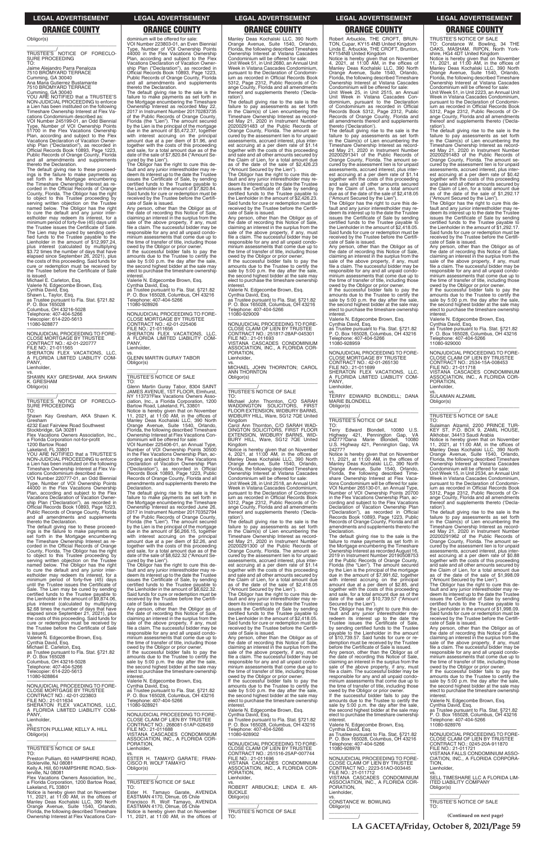Obligor(s) \_\_\_\_\_\_\_\_\_\_\_\_\_\_\_\_\_\_\_\_\_\_\_\_\_\_\_\_\_\_\_\_\_

\_\_\_\_\_\_\_\_\_\_\_/ TRUSTEE'S NOTICE OF FORECLO-SURE PROCEEDING TO:

Jaime Alejandro Parra Penaloza 7510 BROMYARD TERRACE Cumming, GA 30040 Ana Maria Gutierrez Bustamante

7510 BROMYARD TERRACE

Cumming, GA 30040 YOU ARE NOTIFIED that a TRUSTEE'S NON-JUDICIAL PROCEEDING to enforce a Lien has been instituted on the following Timeshare Ownership Interest at Flex Vacations Condominium described as:

VOI Number 245199-01, an Odd Biennial Type, Number of VOI Ownership Points 51700 in the Flex Vacations Ownership Plan, according and subject to the Flex Vacations Declaration of Vacation Ownership Plan ("Declaration"), as recorded in Official Records Book 10893, Page 1223, Public Records of Orange County, Florida and all amendments and supplements

—————————————————— NONJUDICIAL PROCEEDING TO FORE-CLOSE MORTGAGE BY TRUSTEE CONTRACT NO.: 42-01-220777<br>FILE NO.: 21-011565<br>SHERATON FLEX VACATIONS, LLC,<br>A FLORIDA LIMITED LIABILITY COM-PANY, Lienholder

Stockbridge, GA 30281 Flex Vacations Owners Association, Inc.,

thereto the Declaration. The default giving rise to these proceedings is the failure to make payments as set forth in the Mortgage encumbering the Timeshare Ownership Interest as recorded in the Official Records of Orange County, Florida. The Obligor has the right to object to this Trustee proceeding by serving written objection on the Trustee named below. The Obligor has the right to cure the default and any junior interestholder may redeem its interest, for a minimum period of forty-five (45) days until the Trustee issues the Certificate of Sale. The Lien may be cured by sending certified funds to the Trustee payable to the<br>Lienholder in the amount of \$12,997.24, plus interest (calculated by multiplying \$3.72 times the number of days that have elapsed since September 26, 2021), plus the costs of this proceeding. Said funds for cure or redemption must be received by the Trustee before the Certificate of Sale

is issued. Michael E. Carleton, Esq. Valerie N. Edgecombe Brown, Esq. Cynthia David, Esq. Shawn L. Taylor, Esq. as Trustee pursuant to Fla. Stat. §721.82 P. O. Box 165028 Columbus, OH 43216-5028 Telephone: 407-404-5266 Telecopier: 614-220-5613 11080-928877

vs. SHAWN KAY GRESHAM, AKA SHAWN K. GRESHAM Obligor(s)

\_\_\_\_\_\_\_\_\_\_\_\_\_\_\_\_\_\_\_\_\_\_\_\_\_\_\_\_\_\_\_\_\_ \_\_\_\_\_\_\_\_\_\_\_/ TRUSTEE'S NOTICE OF FORECLO-SURE PROCEEDING TO:

Shawn Kay Gresham, AKA Shawn K. Gresham 4232 East Fairview Road Southwest

a Florida Corporation not-for-profit 1200 Bartow Road

Lakeland, FL 33801 YOU ARE NOTIFIED that a TRUSTEE'S NON-JUDICIAL PROCEEDING to enforce a Lien has been instituted on the following Timeshare Ownership Interest at Flex Va-cations Condominium described as:

VOI Number 220777-01, an Odd Biennial Type, Number of VOI Ownership Points 44000 in the Flex Vacations Ownership Plan, according and subject to the Flex Vacations Declaration of Vacation Owner-ship Plan ("Declaration"), as recorded in Official Records Book 10893, Page 1223, Public Records of Orange County, Florida and all amendments and supplements thereto the Declaration.

The default giving rise to these proceed-ings is the failure to make payments as set forth in the Mortgage encumbering the Timeshare Ownership Interest as re-corded in the Official Records of Orange County, Florida. The Obligor has the right to object to this Trustee proceeding by serving written objection on the Trustee named below. The Obligor has the right to cure the default and any junior inter-estholder may redeem its interest, for a minimum period of forty-five (45) days until the Trustee issues the Certificate of Sale. The Lien may be cured by sending certified funds to the Trustee payable to the Lienholder in the amount of \$9,874.06, plus interest (calculated by multiplying \$2.68 times the number of days that have elapsed since September 21, 2021), plus the costs of this proceeding. Said funds for

Declaration of Vacation Ownership Plan ("Declaration"), as recorded in Official Records Book 10893, Page 1223, Public Records of Orange County, Florida and all amendments and supplements thereto the **Declaration.** 

The Obligor has the right to cure this default and any junior interestholder may re-deem its interest up to the date the Trustee issues the Certificate of Sale, by sending certified funds to the Trustee payable to the Lienholder in the amount of \$8,622.32. Said funds for cure or redemption must be received by the Trustee before the Certificate of Sale is issued.

dominium will be offered for sale: VOI Number 223803-01, an Even Biennial Type, Number of VOI Ownership Points 44000 in the Flex Vacations Ownership Plan, according and subject to the Flex Vacations Declaration of Vacation Owner-ship Plan ("Declaration"), as recorded in Official Records Book 10893, Page 1223, Public Records of Orange County, Florida and all amendments and supplements thereto the Declaration.

The default giving rise to the sale is the failure to make payments as set forth in the Mortgage encumbering the Timeshare Ownership Interest as recorded May 22, 2017 in Instrument Number 20170283735 of the Public Records of Orange County, Florida (the "Lien"). The amount secured by the Lien is the principal of the mortgage due in the amount of \$5,472.37, together with interest accruing on the principal amount due at a per diem of \$1.96, and together with the costs of this proceeding and sale, for a total amount due as of the date of the sale of \$7,820.84 ("Amount Se-

cured by the Lien"). The Obligor has the right to cure this de-fault and any junior interestholder may redeem its interest up to the date the Trustee issues the Certificate of Sale, by sending certified funds to the Trustee payable to the Lienholder in the amount of \$7,820.84. Said funds for cure or redemption must be received by the Trustee before the Certificate of Sale is issued.

Any person, other than the Obligor as of the date of recording this Notice of Sale, claiming an interest in the surplus from the sale of the above property, if any, must file a claim. The successful bidder may be responsible for any and all unpaid condo-minium assessments that come due up to the time of transfer of title, including those owed by the Obligor or prior owner. If the successful bidder fails to pay the amounts due to the Trustee to certify the

sale by 5:00 p.m. the day after the sale, the second highest bidder at the sale may elect to purchase the timeshare ownership interest.

Valerie N. Edgecombe Brown, Esq. Cynthia David, Esq. as Trustee pursuant to Fla. Stat. §721.82 P. O. Box 165028, Columbus, OH 43216 Telephone: 407-404-5266 11080-928926

—————————————————— NONJUDICIAL PROCEEDING TO FORE-CLOSE MORTGAGE BY TRUSTEE CONTRACT NO.: 42-01-225406 FILE NO.: 21-011656 SHERATON FLEX VACATIONS, LLC, A FLORIDA LIMITED LIABILITY COM-PANY<sub></sub> Lienholder,

vs. GLENN MARTIN GURAY TABOR Obligor(s)

\_\_\_\_\_\_\_\_\_\_\_\_\_\_\_\_\_\_\_\_\_\_\_\_\_\_\_\_\_\_\_\_\_

### \_\_\_\_\_\_\_\_\_\_\_/ TRUSTEE'S NOTICE OF SALE TO:

Glenn Martin Guray Tabor, 8304 SAINT JAMES AVENUE, 1ST FLOOR, Elmhurst, NY 11373?Flex Vacations Owners Asso-ciation, Inc., a Florida Corporation, 1200 Bartow Road, Lakeland, FL 33801

Notice is hereby given that on November 11, 2021, at 11:00 AM, in the offices of Manley Deas Kochalski LLC, 390 North Orange Avenue, Suite 1540, Orlando, Florida, the following described Timeshare Ownership Interest at Flex Vacations Condominium will be offered for sale: VOI Number 225406-01, an Annual Type, Number of VOI Ownership Points 30500 in the Flex Vacations Ownership Plan, ac-cording and subject to the Flex Vacations

The default giving rise to the sale is the failure to make payments as set forth in the Mortgage encumbering the Timeshare Ownership Interest as recorded June 26, 2017 in Instrument Number 20170352794 of the Public Records of Orange County, Florida (the "Lien"). The amount secured by the Lien is the principal of the mortgage due in the amount of \$6,266.15, together with interest accruing on the principal amount due at a per diem of \$2.26, and together with the costs of this proceeding and sale, for a total amount due as of the date of the sale of \$8,622.32 ("Amount Se-cured by the Lien").

The Obligor has the right to cure this default and any junior interestholder may re-deem its interest up to the date the Trustee issues the Certificate of Sale by sending certified funds to the Trustee payable to the Lienholder in the amount of \$2,418.05. Said funds for cure or redemption must be received by the Trustee before the Certifi-cate of Sale is issued.

Any person, other than the Obligor as of the date of recording this Notice of Sale, claiming an interest in the surplus from the

Notice is hereby given that on November 11, 2021, at 11:00 AM, in the offices of Manley Deas Kochalski LLC, 390 North Orange Avenue, Suite 1540, Orlando, Florida, the following described Timeshare Ownership Interest at Flex Vacations Condominium will be offered for sale: VOI Number 265130-01, an Annual Type, Number of VOI Ownership Points 20700 in the Flex Vacations Ownership Plan, ac-cording and subject to the Flex Vacations Declaration of Vacation Ownership Plan ("Declaration"), as recorded in Official Records Book 10893, Page 1223, Public Records of Orange County, Florida and all amendments and supplements thereto the **Declaration.** 

The default giving rise to the sale is the failure to make payments as set forth in the Mortgage encumbering the Timeshare Ownership Interest as recorded August 16, 2019 in Instrument Number 20190508753 of the Public Records of Orange County, Florida (the "Lien"). The amount secured by the Lien is the principal of the mortgage due in the amount of \$7,991.62, together with interest accruing on the principal amount due at a per diem of \$2.85, and together with the costs of this proceeding and sale, for a total amount due as of the date of the sale of \$10,739.57 ("Amount Secured by the Lien").

The Obligor has the right to cure this default and any junior interestholder may<br>redeem its interest up to the date the<br>Trustee issues the Certificate of Sale,

# Manley Deas Kochalski LLC, 390 North

Orange Avenue, Suite 1540, Orlando, Florida, the following described Timeshare Ownership Interest at Vistana Cascades Condominium will be offered for sale: Unit Week 51, in Unit 2680, an Annual Unit Week in Vistana Cascades Condominium, pursuant to the Declaration of Condominium as recorded in Official Records Book 5312, Page 2312, Public Records of Orange County, Florida and all amendments thereof and supplements thereto ('Declaration'). The default giving rise to the sale is the failure to pay assessments as set forth in the Claim(s) of Lien encumbering the

> The Obligor has the right to cure this default and any junior interestholder may re-deem its interest up to the date the Trustee issues the Certificate of Sale by sending certified funds to the Trustee payable to the Lienholder in the amount of \$1,292.17. Said funds for cure or redemption must be received by the Trustee before the Certifi-cate of Sale is issued.

> Any person, other than the Obligor as of the date of recording this Notice of Sale, claiming an interest in the surplus from the sale of the above property, if any, must file a claim. The successful bidder may be responsible for any and all unpaid condominium assessments that come due up to the time of transfer of title, including those

> elect to purchase the timeshare ownership **interest**

Timeshare Ownership Interest as record-ed May 21, 2020 in Instrument Number 20200291483 of the Public Records of Orange County, Florida. The amount secured by the assessment lien is for unpaid assessments, accrued interest, plus interest accruing at a per diem rate of \$1.14 together with the costs of this proceeding and sale and all other amounts secured by the Claim of Lien, for a total amount due as of the date of the sale of \$2,426.23 ("Amount Secured by the Lien"). The Obligor has the right to cure this de-fault and any junior interestholder may re-deem its interest up to the date the Trustee issues the Certificate of Sale by sending certified funds to the Trustee payable to the Lienholder in the amount of \$2,426.23. Said funds for cure or redemption must be received by the Trustee before the Certifi-cate of Sale is issued. Any person, other than the Obligor as of the date of recording this Notice of Sale, claiming an interest in the surplus from the sale of the above property, if any, must file a claim. The successful bidder may be responsible for any and all unpaid condominium assessments that come due up to the time of transfer of title, including those owed by the Obligor or prior owner. If the successful bidder fails to pay the amounts due to the Trustee to certify the sale by 5:00 p.m. the day after the sale, the second highest bidder at the sale may elect to purchase the timeshare ownership interest. Valerie N. Edgecombe Brown, Esq. Cynthia David, Esq. as Trustee pursuant to Fla. Stat. §721.82 P. O. Box 165028, Columbus, OH 43216

Telephone: 407-404-5266 11080-929009

—————————————————— NONJUDICIAL PROCEEDING TO FORE-CLOSE CLAIM OF LIEN BY TRUSTEE CONTRACT NO.: 251817-28AP-045301 FILE NO.: 21-011693 VISTANA CASCADES CONDOMINIUM ASSOCIATION, INC., A FLORIDA COR-

PORATION, Lienholder,

vs. MICHAEL JOHN THORNTON; CAROL

ANN THORNTON Obligor(s)

\_\_\_\_\_\_\_\_\_\_\_\_\_\_\_\_\_\_\_\_\_\_\_\_\_\_\_\_\_\_\_\_\_ \_\_\_\_\_\_\_\_\_\_\_/ TRUSTEE'S NOTICE OF SALE

TO: Michael John Thornton, C/O SARAH WADDINGTON SOLICITORS, FIRST FLOOR EXTENSION, WIDBURY BARNS, WIDBURY HILL, Ware, SG12 7QE United

Kingdom

Carol Ann Thornton, C/O SARAH WAD-DINGTON SOLICITORS, FIRST FLOOR EXTENSION, WIDBURY BARNS, WID-BURY HILL, Ware, SG12 7QE United

Kingdom

Notice is hereby given that on November 4, 2021, at 11:00 AM, in the offices of Manley Deas Kochalski LLC, 390 North

| elapsed since September 21, 2021), plus<br>the costs of this proceeding. Said funds for<br>cure or redemption must be received by<br>the Trustee before the Certificate of Sale<br>is issued.<br>Valerie N. Edgecombe Brown, Esq.<br>Cynthia David, Esq.<br>Michael E. Carleton, Esq.<br>as Trustee pursuant to Fla. Stat. §721.82<br>P. O. Box 165028<br>Columbus, OH 43216-5028<br>Telephone: 407-404-5266<br>Telecopier: 614-220-5613<br>11080-928864                                                                                         | the date of recording this Notice of Sale.<br>claiming an interest in the surplus from the<br>sale of the above property, if any, must<br>file a claim. The successful bidder may be<br>responsible for any and all unpaid condo-<br>minium assessments that come due up to<br>the time of transfer of title, including those<br>owed by the Obligor or prior owner.<br>If the successful bidder fails to pay the<br>amounts due to the Trustee to certify the<br>sale by 5:00 p.m. the day after the sale,<br>the second highest bidder at the sale may<br>elect to purchase the timeshare ownership<br>interest.<br>Valerie N. Edgecombe Brown, Esg. | certified funds to the Trustee payable to<br>the Lienholder in the amount of \$2.418.05.<br>Said funds for cure or redemption must be<br>received by the Trustee before the Certifi-<br>cate of Sale is issued.<br>Any person, other than the Obligor as of<br>the date of recording this Notice of Sale,<br>claiming an interest in the surplus from the<br>sale of the above property, if any, must<br>file a claim. The successful bidder may be<br>responsible for any and all unpaid condo-<br>minium assessments that come due up to<br>the time of transfer of title, including those<br>owed by the Obligor or prior owner.<br>If the successful bidder fails to pay the | fault and any junior interestholder may<br>redeem its interest up to the date the<br>Trustee issues the Certificate of Sale,<br>by sending certified funds to the Trustee<br>payable to the Lienholder in the amount<br>of \$10,739.57. Said funds for cure or re-<br>demption must be received by the Trustee<br>before the Certificate of Sale is issued.<br>Any person, other than the Obligor as of<br>the date of recording this Notice of Sale,<br>claiming an interest in the surplus from the<br>sale of the above property, if any, must<br>file a claim. The successful bidder may be<br>responsible for any and all unpaid condo- | Said funds for cure or redemption must be<br>received by the Trustee before the Certifi-<br>cate of Sale is issued.<br>Any person, other than the Obligor as of<br>the date of recording this Notice of Sale,<br>claiming an interest in the surplus from the<br>sale of the above property, if any, must<br>file a claim. The successful bidder may be<br>responsible for any and all unpaid condo-<br>minium assessments that come due up to<br>the time of transfer of title, including those<br>owed by the Obligor or prior owner.<br>If the successful bidder fails to pay the<br>amounts due to the Trustee to certify the |
|--------------------------------------------------------------------------------------------------------------------------------------------------------------------------------------------------------------------------------------------------------------------------------------------------------------------------------------------------------------------------------------------------------------------------------------------------------------------------------------------------------------------------------------------------|--------------------------------------------------------------------------------------------------------------------------------------------------------------------------------------------------------------------------------------------------------------------------------------------------------------------------------------------------------------------------------------------------------------------------------------------------------------------------------------------------------------------------------------------------------------------------------------------------------------------------------------------------------|----------------------------------------------------------------------------------------------------------------------------------------------------------------------------------------------------------------------------------------------------------------------------------------------------------------------------------------------------------------------------------------------------------------------------------------------------------------------------------------------------------------------------------------------------------------------------------------------------------------------------------------------------------------------------------|----------------------------------------------------------------------------------------------------------------------------------------------------------------------------------------------------------------------------------------------------------------------------------------------------------------------------------------------------------------------------------------------------------------------------------------------------------------------------------------------------------------------------------------------------------------------------------------------------------------------------------------------|-----------------------------------------------------------------------------------------------------------------------------------------------------------------------------------------------------------------------------------------------------------------------------------------------------------------------------------------------------------------------------------------------------------------------------------------------------------------------------------------------------------------------------------------------------------------------------------------------------------------------------------|
| NONJUDICIAL PROCEEDING TO FORE-<br><b>CLOSE MORTGAGE BY TRUSTEE</b><br>CONTRACT NO.: 42-01-223803<br>FILE NO.: 21-011634<br>SHERATON FLEX VACATIONS. LLC.<br>A FLORIDA LIMITED LIABILITY COM-<br>PANY.<br>Lienholder.<br>VS.<br>PRESTON PULLIAM; KELLY A. HILL<br>Obligor(s)                                                                                                                                                                                                                                                                     | Cynthia David, Esq.<br>as Trustee pursuant to Fla. Stat. §721.82<br>P. O. Box 165028, Columbus, OH 43216<br>Telephone: 407-404-5266<br>11080-928921<br>NONJUDICIAL PROCEEDING TO FORE-<br>CLOSE CLAIM OF LIEN BY TRUSTEE<br>CONTRACT NO.: 268081-51AP-026459<br>FILE NO.: 21-011688<br>VISTANA CASCADES CONDOMINIUM<br>ASSOCIATION, INC., A FLORIDA COR-                                                                                                                                                                                                                                                                                               | amounts due to the Trustee to certify the<br>sale by 5:00 p.m. the day after the sale,<br>the second highest bidder at the sale may<br>elect to purchase the timeshare ownership<br>interest.<br>Valerie N. Edgecombe Brown, Esq.<br>Cynthia David, Esg.<br>as Trustee pursuant to Fla. Stat. §721.82<br>P. O. Box 165028, Columbus, OH 43216<br>Telephone: 407-404-5266<br>11080-928902                                                                                                                                                                                                                                                                                         | minium assessments that come due up to<br>the time of transfer of title, including those<br>owed by the Obligor or prior owner.<br>If the successful bidder fails to pay the<br>amounts due to the Trustee to certify the<br>sale by 5:00 p.m. the day after the sale,<br>the second highest bidder at the sale may<br>elect to purchase the timeshare ownership<br>interest.<br>Valerie N. Edgecombe Brown, Esq.<br>Cynthia David, Esq.<br>as Trustee pursuant to Fla. Stat. §721.82<br>P. O. Box 165028, Columbus, OH 43216                                                                                                                | sale by 5:00 p.m. the day after the sale,<br>the second highest bidder at the sale may<br>elect to purchase the timeshare ownership<br>interest.<br>Valerie N. Edgecombe Brown, Esg.<br>Cynthia David, Esq.<br>as Trustee pursuant to Fla. Stat. §721.82<br>P. O. Box 165028, Columbus, OH 43216<br>Telephone: 407-404-5266<br>11080-928976<br>NONJUDICIAL PROCEEDING TO FORE-<br>CLOSE CLAIM OF LIEN BY TRUSTEE                                                                                                                                                                                                                  |
| TRUSTEE'S NOTICE OF SALE<br>TO:<br>Preston Pulliam, 60 HAMPSHIRE ROAD.<br>Sicklerville, NJ 08081<br>Kelly A. Hill, 60 HAMPSHIRE ROAD, Sick-<br>lerville, NJ 08081<br>Flex Vacations Owners Association. Inc<br>a Florida Corporation, 1200 Bartow Road,<br>Lakeland, FL 33801<br>Notice is hereby given that on November<br>11, 2021, at $11:00$ AM, in the offices of<br>Manley Deas Kochalski LLC, 390 North<br>Orange Avenue, Suite 1540, Orlando,<br>Florida, the following described Timeshare<br>Ownership Interest at Flex Vacations Con- | PORATION.<br>Lienholder,<br>VS.<br>ESTER H. TAMAYO GARATE: FRAN-<br>CISCO R. WOLF TAMAYO<br>Obligor(s)<br><b>TRUSTEE'S NOTICE OF SALE</b><br>TO:<br>Ester H. Tamayo Garate, AVENIDA<br>EASTMAN 4170, Olmue, 05 Chile<br>Francisco R. Wolf Tamayo, AVENIDA<br>EASTMAN 4170, Olmue, 05 Chile<br>Notice is hereby given that on November<br>11, 2021, at 11:00 AM, in the offices of                                                                                                                                                                                                                                                                      | NONJUDICIAL PROCEEDING TO FORE-<br>CLOSE CLAIM OF LIEN BY TRUSTEE<br>CONTRACT NO.: 251516-25AP-007744<br>FILE NO.: 21-011696<br>VISTANA CASCADES CONDOMINIUM<br>ASSOCIATION, INC., A FLORIDA COR-<br>PORATION.<br>Lienholder.<br>VS.<br>ROBERT ARBUCKLE; LINDA E. AR-<br><b>BUCKLE</b><br>Obligor(s)<br><b>TRUSTEE'S NOTICE OF SALE</b><br>TO:                                                                                                                                                                                                                                                                                                                                   | Telephone: 407-404-5266<br>11080-928978<br>NONJUDICIAL PROCEEDING TO FORE-<br>CLOSE CLAIM OF LIEN BY TRUSTEE<br>CONTRACT NO.: 2223-51AO-003445<br>FILE NO.: 21-011712<br>VISTANA CASCADES CONDOMINIUM<br>ASSOCIATION, INC., A FLORIDA COR-<br>PORATION.<br>Lienholder.<br>VS.<br><b>CONSTANCE W. BOWLING</b><br>Obligor(s)                                                                                                                                                                                                                                                                                                                   | CONTRACT NO.: 0245-20A-911870<br>FILE NO.: 21-011721<br>VISTANA FALLS CONDOMINIUM ASSO-<br>CIATION. INC., A FLORIDA CORPORA-<br>TION.<br>Lienholder,<br>VS.<br>SELL TIMESHARE LLC A FLORIDA LIM-<br><b>ITED LIABILITY COMPANY</b><br>Obligor(s)<br>TRUSTEE'S NOTICE OF SALE<br>TO:<br>(Continued on next page)                                                                                                                                                                                                                                                                                                                    |

Orange Avenue, Suite 1540, Orlando, Florida, the following described Timeshare Ownership Interest at Vistana Cascades Condominium will be offered for sale: Unit Week 28, in Unit 2518, an Annual Unit Week in Vistana Cascades Condominium, pursuant to the Declaration of Condominium as recorded in Official Records Book 5312, Page 2312, Public Records of Orange County, Florida and all amendments thereof and supplements thereto ('Declaration'). The default giving rise to the sale is the failure to pay assessments as set forth in the Claim(s) of Lien encumbering the Timeshare Ownership Interest as recorded May 21, 2020 in Instrument Number 20200291300 of the Public Records of Orange County, Florida. The amount secured by the assessment lien is for unpaid assessments, accrued interest, plus interest accruing at a per diem rate of \$1.14 together with the costs of this proceeding and sale and all other amounts secured by

the Claim of Lien, for a total amount due as of the date of the sale of \$2,418.05 ("Amount Secured by the Lien"). The Obligor has the right to cure this default and any junior interestholder may re-deem its interest up to the date the Trustee issues the Certificate of Sale by sending

Notice is hereby given that on November 4, 2021, at 11:00 AM, in the offices of Manley Deas Kochalski LLC, 390 North Orange Avenue, Suite 1540, Orlando, Florida, the following described Timeshare Ownership Interest at Vistana Cascades Condominium will be offered for sale:

Unit Week 25, in Unit 2515, an Annual Unit Week in Vistana Cascades Condominium, pursuant to the Declaration of Condominium as recorded in Official Records Book 5312, Page 2312, Public Records of Orange County, Florida and all amendments thereof and supplements thereto ('Declaration').

The default giving rise to the sale is the failure to pay assessments as set forth in the Claim(s) of Lien encumbering the Timeshare Ownership Interest as recorded May 21, 2020 in Instrument Number 20200291341 of the Public Records of Orange County, Florida. The amount secured by the assessment lien is for unpaid assessments, accrued interest, plus interest accruing at a per diem rate of \$1.14 together with the costs of this proceeding and sale and all other amounts secured by the Claim of Lien, for a total amount due as of the date of the sale of \$2,418.05 ("Amount Secured by the Lien").

Any person, other than the Obligor as of the date of recording this Notice of Sale, claiming an interest in the surplus from the sale of the above property, if any, must file a claim. The successful bidder may be responsible for any and all unpaid condominium assessments that come due up to the time of transfer of title, including those owed by the Obligor or prior owner.

If the successful bidder fails to pay the amounts due to the Trustee to certify the sale by 5:00 p.m. the day after the sale, the second highest bidder at the sale may elect to purchase the timeshare ownership interest.

Valerie N. Edgecombe Brown, Esq. Cynthia David, Esq. as Trustee pursuant to Fla. Stat. §721.82

P. O. Box 165028, Columbus, OH 43216 Telephone: 407-404-5266 11080-928959

—————————————————— NONJUDICIAL PROCEEDING TO FORE-CLOSE MORTGAGE BY TRUSTEE CONTRACT NO.: 42-01-265130 FILE NO.: 21-011699 SHERATON FLEX VACATIONS, LLC, A FLORIDA LIMITED LIABILITY COM-PANY,

Lienholder,

vs. TERRY EDWARD BLONDELL; DANA MARIE BLONDELL Obligor(s) \_\_\_\_\_\_\_\_\_\_\_\_\_\_\_\_\_\_\_\_\_\_\_\_\_\_\_\_\_\_\_\_\_

### \_\_\_\_\_\_\_\_\_\_\_/ TRUSTEE'S NOTICE OF SALE

TO: Terry Edward Blondell, 10080 U.S. Highway 421, Pennington Gap, VA 24277?Dana Marie Blondell, 10080 U.S. Highway 421, Pennington Gap, VA 24277?

TRUSTEE'S NOTICE OF SALE TO: Constance W. Bowling, 34 THE OAKS, MASHAM, RIPON, North Yorkshire, HG4 4DT United Kingdom

Notice is hereby given that on November 11, 2021, at 11:00 AM, in the offices of Manley Deas Kochalski LLC, 390 North Orange Avenue, Suite 1540, Orlando, Florida, the following described Timeshare Ownership Interest at Vistana Cascades Condominium will be offered for sale:

Unit Week 51, in Unit 2223, an Annual Unit Week in Vistana Cascades Condominium, pursuant to the Declaration of Condominium as recorded in Official Records Book 5312, Page 2312, Public Records of Orange County, Florida and all amendments thereof and supplements thereto ('Decla-ration').

The default giving rise to the sale is the failure to pay assessments as set forth in the Claim(s) of Lien encumbering the Timeshare Ownership Interest as recorded May 21, 2020 in Instrument Number 20200291483 of the Public Records of Orange County, Florida. The amount secured by the assessment lien is for unpaid assessments, accrued interest, plus interest accruing at a per diem rate of \$0.42 together with the costs of this proceeding and sale and all other amounts secured by the Claim of Lien, for a total amount due as of the date of the sale of \$1,292.17 ("Amount Secured by the Lien").

owed by the Obligor or prior owner. If the successful bidder fails to pay the amounts due to the Trustee to certify the sale by 5:00 p.m. the day after the sale, the second highest bidder at the sale may

Valerie N. Edgecombe Brown, Esq. Cynthia David, Esq. as Trustee pursuant to Fla. Stat. §721.82 P. O. Box 165028, Columbus, OH 43216 Telephone: 407-404-5266 11080-929000

—————————————————— NONJUDICIAL PROCEEDING TO FORE-CLOSE CLAIM OF LIEN BY TRUSTEE CONTRACT NO.: 2534-15A-008453 FILE NO.: 21-011718 VISTANA CASCADES CONDOMINIUM ASSOCIATION, INC., A FLORIDA COR-PORATION, Lienholder,

vs. SULAIMAN ALZAMIL Obligor(s)

\_\_\_\_\_\_\_\_\_\_\_\_\_\_\_\_\_\_\_\_\_\_\_\_\_\_\_\_\_\_\_\_\_

### \_\_\_\_\_\_\_\_\_\_\_/ TRUSTEE'S NOTICE OF SALE

TO: Sulaiman Alzamil, 2200 PRINCE TUR-KEY ST, P.O. BOX 9, ZAMIL HOUSE, Alkhobar, 34413 Saudi Arabia

Notice is hereby given that on November 11, 2021, at 11:00 AM, in the offices of Manley Deas Kochalski LLC, 390 North Orange Avenue, Suite 1540, Orlando, Florida, the following described Timeshare Ownership Interest at Vistana Cascades Condominium will be offered for sale: Unit Week 15, in Unit 2534, an Annual Unit

Week in Vistana Cascades Condominium, pursuant to the Declaration of Condominium as recorded in Official Records Book 5312, Page 2312, Public Records of Orange County, Florida and all amendments thereof and supplements thereto ('Declaration').

The default giving rise to the sale is the failure to pay assessments as set forth in the Claim(s) of Lien encumbering the Timeshare Ownership Interest as record-ed May 21, 2020 in Instrument Number 20200291962 of the Public Records of Orange County, Florida. The amount se-cured by the assessment lien is for unpaid assessments, accrued interest, plus interest accruing at a per diem rate of \$0.88 together with the costs of this proceeding and sale and all other amounts secured by the Claim of Lien, for a total amount due as of the date of the sale of \$1,998.09

("Amount Secured by the Lien"). The Obligor has the right to cure this de-fault and any junior interestholder may redeem its interest up to the date the Trustee issues the Certificate of Sale by sending certified funds to the Trustee payable to the Lienholder in the amount of \$1,998.09. Said funds for cure or redemption must be received by the Trustee before the Certifi-

### **ORANGE COUNTY ORANGE COUNTY ORANGE COUNTY ORANGE COUNTY ORANGE COUNTY**

Robert Arbuckle, THE CROFT, BRUN-<br>TON, Cupar, KY15 4NB United Kingdom<br>Linda E. Arbuckle, THE CROFT, Brunton,<br>KY154NB United Kingdom

**LA GACETA/Friday, October 8, 2021/Page 59**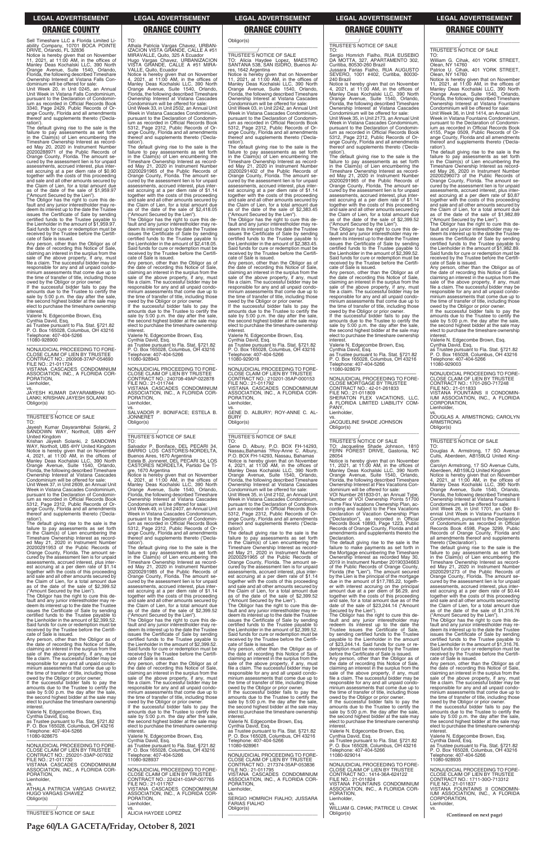**Page 60/LA GACETA/Friday, October 8, 2021**

Sell Timeshare LLC a Florida Limited Li-ability Company, 10701 BOCA POINTE DRIVE, Orlando, FL 32836

Notice is hereby given that on November 11, 2021, at 11:00 AM, in the offices of Manley Deas Kochalski LLC, 390 North Orange Avenue, Suite 1540, Orlando, Florida, the following described Timeshare Ownership Interest at Vistana Falls Condominium will be offered for sale:

Unit Week 20, in Unit 0245, an Annual Unit Week in Vistana Falls Condominium, pursuant to the Declaration of Condominium as recorded in Official Records Book 3340, Page 2429, Public Records of Orange County, Florida and all amendments thereof and supplements thereto ('Declaration').

The default giving rise to the sale is the failure to pay assessments as set forth<br>Timeshare Ownership Interest as record-<br>Ed May 20, 2020 in Instrument Number<br>ed May 20, 2020 in Instrument Number<br>20200288971 of the Public Records of Orange County, Florida. The amount se-cured by the assessment lien is for unpaid assessments, accrued interest, plus inter-est accruing at a per diem rate of \$0.90 together with the costs of this proceeding and sale and all other amounts secured by the Claim of Lien, for a total amount due as of the date of the sale of \$1,959.97

person, other than the Obligor as of the date of recording this Notice of Sale, claiming an interest in the surplus from the sale of the above property, if any, must file a claim. The successful bidder may be responsible for any and all unpaid condo-minium assessments that come due up to the time of transfer of title, including those owed by the Obligor or prior owner. If the successful bidder fails to pay the

("Amount Secured by the Lien"). The Obligor has the right to cure this default and any junior interestholder may redeem its interest up to the date the Trustee issues the Certificate of Sale by sending certified funds to the Trustee payable to the Lienholder in the amount of \$1,959.97. Said funds for cure or redemption must be received by the Trustee before the Certificate of Sale is issued.

amounts due to the Trustee to certify the sale by 5:00 p.m. the day after the sale, the second highest bidder at the sale may elect to purchase the timeshare ownership

interest. Valerie N. Edgecombe Brown, Esq. Cynthia David, Esq. as Trustee pursuant to Fla. Stat. §721.82 P. O. Box 165028, Columbus, OH 43216 Telephone: 407-404-5266 11080-928900

—————————————————— NONJUDICIAL PROCEEDING TO FORE-CLOSE CLAIM OF LIEN BY TRUSTEE CONTRACT NO.: 260908-37AP-054690 FILE NO.: 21-011724 VISTANA CASCADES CONDOMINIUM

ASSOCIATION, INC., A FLORIDA COR-PORATION, Lienholder,

vs. JAYESH KUMAR DAYARAMBHAI SO-LANKI; KRISHAN JAYESH SOLANKI Obligor(s) \_\_\_\_\_\_\_\_\_\_\_\_\_\_\_\_\_\_\_\_\_\_\_\_\_\_\_\_\_\_\_\_\_

\_\_\_\_\_\_\_\_\_\_\_/ TRUSTEE'S NOTICE OF SALE

TO: Jayesh Kumar Dayarambhai Solanki, 2 SANDOWN WAY, Northolt, UB5 4HY

United Kingdom Krishan Jayesh Solanki, 2 SANDOWN WAY, Northolt, UB5 4HY United Kingdom Notice is hereby given that on November 4, 2021, at 11:00 AM, in the offices of Manley Deas Kochalski LLC, 390 North Orange Avenue, Suite 1540, Orlando, Florida, the following described Timeshare Ownership Interest at Vistana Cascades Condominium will be offered for sale:

Unit Week 37, in Unit 2609, an Annual Unit Week in Vistana Cascades Condominium, pursuant to the Declaration of Condominium as recorded in Official Records Book 5312, Page 2312, Public Records of Orange County, Florida and all amendments thereof and supplements thereto ('Declaration').

The default giving rise to the sale is the failure to pay assessments as set forth in the Claim(s) of Lien encumbering the Timeshare Ownership Interest as recorded May 21, 2020 in Instrument Number 20200291965 of the Public Records of Orange County, Florida. The amount secured by the assessment lien is for unpaid assessments, accrued interest, plus interest accruing at a per diem rate of \$1.14 together with the costs of this proceeding and sale and all other amounts secured by the Claim of Lien, for a total amount due as of the date of the sale of \$2,418.05 ("Amount Secured by the Lien").

The default giving rise to the sale is the failure to pay assessments as set forth<br>Timeshare Ownership Interest as record-<br>Ed May 21, 2020 in Instrument Number<br>ed May 21, 2020 in Instrument Number<br>20200291953 of the Public Records of Orange County, Florida. The amount secured by the assessment lien is for unpaid assessments, accrued interest, plus interest accruing at a per diem rate of \$1.14 together with the costs of this proceeding and sale and all other amounts secured by the Claim of Lien, for a total amount due as of the date of the sale of \$2,399.52 ("Amount Secured by the Lien").

—————————————————— NONJUDICIAL PROCEEDING TO FORE-CLOSE CLAIM OF LIEN BY TRUSTEE CONTRACT NO.: 240708-49AP-022878 FILE NO.: 21-011744 VISTANA CASCADES CONDOMINIUM ASSOCIATION, INC., A FLORIDA COR-PORATION, Lienholder,

vs. SALVADOR P. BONIFACE; ESTELA B. JONNERET Obligor(s)  $\overline{\phantom{a}}$  ,  $\overline{\phantom{a}}$  ,  $\overline{\phantom{a}}$  ,  $\overline{\phantom{a}}$  ,  $\overline{\phantom{a}}$  ,  $\overline{\phantom{a}}$  ,  $\overline{\phantom{a}}$  ,  $\overline{\phantom{a}}$  ,  $\overline{\phantom{a}}$  ,  $\overline{\phantom{a}}$  ,  $\overline{\phantom{a}}$  ,  $\overline{\phantom{a}}$  ,  $\overline{\phantom{a}}$  ,  $\overline{\phantom{a}}$  ,  $\overline{\phantom{a}}$  ,  $\overline{\phantom{a}}$ 

The Obligor has the right to cure this default and any junior interestholder may re-deem its interest up to the date the Trustee issues the Certificate of Sale by sending certified funds to the Trustee payable to the Lienholder in the amount of \$2,399.52. TO: Athala Patricia Vargas Chavez, URBAN-IZACION VISTA GRANDE, CALLE A #51 MIRAVALLE, Quito, 325 A Ecuador Hugo Vargas Chavez, URBANIZACION VISTA GRANDE, CALLE A #51 MIRA-

VALLE, Quito, Ecuador Notice is hereby given that on November 4, 2021, at 11:00 AM, in the offices of Manley Deas Kochalski LLC, 390 North Orange Avenue, Suite 1540, Orlando, Florida, the following described Timeshare Ownership Interest at Vistana Cascades Condominium will be offered for sale: Unit Week 33, in Unit 2502, an Annual Unit Week in Vistana Cascades Condominium, pursuant to the Declaration of Condominium as recorded in Official Records Book 5312, Page 2312, Public Records of Orange County, Florida and all amendments thereof and supplements thereto ('Declaration').

> Any person, other than the Obligor as of the date of recording this Notice of Sale, claiming an interest in the surplus from the sale of the above property, if any, must file a claim. The successful bidder may be responsible for any and all unpaid condominium assessments that come due up to the time of transfer of title, including those owed by the Obligor or prior owner.

> If the successful bidder fails to pay the amounts due to the Trustee to certify the sale by 5:00 p.m. the day after the sale, the second highest bidder at the sale may elect to purchase the timeshare ownership **interest**

### $\overline{\phantom{a}}$  , and the set of the set of the set of the set of the set of the set of the set of the set of the set of the set of the set of the set of the set of the set of the set of the set of the set of the set of the s \_\_\_\_\_\_\_\_\_\_\_/ TRUSTEE'S NOTICE OF SALE

The Obligor has the right to cure this default and any junior interestholder may re-deem its interest up to the date the Trustee issues the Certificate of Sale by sending certified funds to the Trustee payable to the Lienholder in the amount of \$2,418.05. Said funds for cure or redemption must be received by the Trustee before the Certifi-cate of Sale is issued.

Any person, other than the Obligor as of the date of recording this Notice of Sale, claiming an interest in the surplus from the sale of the above property, if any, must file a claim. The successful bidder may be responsible for any and all unpaid condominium assessments that come due up to the time of transfer of title, including those owed by the Obligor or prior owner. If the successful bidder fails to pay the

amounts due to the Trustee to certify the sale by 5:00 p.m. the day after the sale, the second highest bidder at the sale may elect to purchase the timeshare ownership

interest. Valerie N. Edgecombe Brown, Esq. Cynthia David, Esq. as Trustee pursuant to Fla. Stat. §721.82 P. O. Box 165028, Columbus, OH 43216 Telephone: 407-404-5266 11080-928943

\_\_\_\_\_\_\_\_\_\_\_/ TRUSTEE'S NOTICE OF SALE

TO:<br>Salvador P. Boniface, DEL PECARI 34. Salvador P. Boniface, DEL PECARI 34,<br>BARRIO LOS CASTORES-NORDELTA,<br>Buenos Aires, 1670 Argentina<br>Estela B. Jonneret, DEL PECARI 34, LOS<br>CASTORES NORDELTA, Partido De Ti-

gre, 1670 Argentina Notice is hereby given that on November 4, 2021, at 11:00 AM, in the offices of Manley Deas Kochalski LLC, 390 North Orange Avenue, Suite 1540, Orlando, Florida, the following described Timeshare Ownership Interest at Vistana Cascades

Condominium will be offered for sale: Unit Week 49, in Unit 2407, an Annual Unit Week in Vistana Cascades Condominium, pursuant to the Declaration of Condominium as recorded in Official Records Book 5312, Page 2312, Public Records of Orange County, Florida and all amendments thereof and supplements thereto ('Declaration').

Any person, other than the Obligor as of the date of recording this Notice of Sale,<br>claiming an interest in the surplus from the<br>sale of the above property, if any, must<br>file a claim. The successful bidder may be responsible for any and all unpaid condominium assessments that come due up to the time of transfer of title, including those owed by the Obligor or prior owner. If the successful bidder fails to pay the amounts due to the Trustee to certify the sale by 5:00 p.m. the day after the sale, the second highest bidder at the sale may elect to purchase the timeshare ownership

The default giving rise to the sale is the failure to pay assessments as set forth in the Claim(s) of Lien encumbering the Timeshare Ownership Interest as record-ed May 21, 2020 in Instrument Number 20200291985 of the Public Records of Orange County, Florida. The amount se-cured by the assessment lien is for unpaid assessments, accrued interest, plus interest accruing at a per diem rate of \$1.14 together with the costs of this proceeding and sale and all other amounts secured by the Claim of Lien, for a total amount due as of the date of the sale of \$2,399.52

\_\_\_\_\_\_\_\_\_\_\_\_\_\_\_\_\_\_\_\_\_\_\_\_\_\_\_\_\_\_\_\_\_ \_\_\_\_\_\_\_\_\_\_\_/ TRUSTEE'S NOTICE OF SALE TO: Jacqueline Shade Johnson, 1810 FERN FOREST DRIVE, Gastonia, NC

Obligor(s)

### \_\_\_\_\_\_\_\_\_\_\_\_\_\_\_\_\_\_\_\_\_\_\_\_\_\_\_\_\_\_\_\_\_

\_\_\_\_\_\_\_\_\_\_\_/ TRUSTEE'S NOTICE OF SALE TO: Alicia Haydee Lopez, MAESTRO SANTANA 538, SAN ISIDRO, Buenos Aires, 1642 Argentina

Notice is hereby given that on November 11, 2021, at 11:00 AM, in the offices of Manley Deas Kochalski LLC, 390 North Orange Avenue, Suite 1540, Orlando, Florida, the following described Timeshare Ownership Interest at Vistana Cascades Condominium will be offered for sale: Unit Week 03, in Unit 2242, an Annual Unit Week in Vistana Cascades Condominium,

pursuant to the Declaration of Condominium as recorded in Official Records Book 5312, Page 2312, Public Records of Orange County, Florida and all amendments thereof and supplements thereto ('Declaration'). The default giving rise to the sale is the

failure to pay assessments as set forth in the Claim(s) of Lien encumbering the Timeshare Ownership Interest as recorded May 21, 2020 in Instrument Number 20200291402 of the Public Records of Orange County, Florida. The amount secured by the assessment lien is for unpaid assessments, accrued interest, plus interest accruing at a per diem rate of \$1.14 together with the costs of this proceeding and sale and all other amounts secured by the Claim of Lien, for a total amount due as of the date of the sale of \$2,383.45 ("Amount Secured by the Lien").

The Obligor has the right to cure this default and any junior interestholder may re-deem its interest up to the date the Trustee issues the Certificate of Sale by sending certified funds to the Trustee payable to the Lienholder in the amount of \$2,383.45. Said funds for cure or redemption must be received by the Trustee before the Certifi-cate of Sale is issued.

Valerie N. Edgecombe Brown, Esq. Cynthia David, Esq. as Trustee pursuant to Fla. Stat. §721.82 P. O. Box 165028, Columbus, OH 43216 Telephone: 407-404-5266 11080-929018

—————————————————— NONJUDICIAL PROCEEDING TO FORE-CLOSE CLAIM OF LIEN BY TRUSTEE CONTRACT NO.: 210201-35AP-000153 FILE NO.: 21-011792 VISTANA CASCADES CONDOMINIUM ASSOCIATION, INC., A FLORIDA COR-PORATION, Lienholder,

vs. GENE D. ALBURY; ROY-ANNE C. AL-**BURY** Obligor(s)

TO: Gene D. Albury, P.O. BOX FH-14293, Nassau,Bahamas ?Roy-Anne C. Albury, P.O. BOX FH-14293, Nassau, Bahamas Notice is hereby given that on November 4, 2021, at 11:00 AM, in the offices of Manley Deas Kochalski LLC, 390 North Orange Avenue, Suite 1540, Orlando, Florida, the following described Timeshare Ownership Interest at Vistana Cascades Condominium will be offered for sale:

Unit Week 35, in Unit 2102, an Annual Unit Week in Vistana Cascades Condominium, pursuant to the Declaration of Condominium as recorded in Official Records Book 5312, Page 2312, Public Records of Orange County, Florida and all amendments thereof and supplements thereto ('Declaration').

The default giving rise to the sale is the failure to pay assessments as set forth in the Claim(s) of Lien encumbering the Timeshare Ownership Interest as record-ed May 21, 2020 in Instrument Number 20200291965 of the Public Records of Orange County, Florida. The amount se-cured by the assessment lien is for unpaid assessments, accrued interest, plus interest accruing at a per diem rate of \$1.14 together with the costs of this proceeding and sale and all other amounts secured by the Claim of Lien, for a total amount due as of the date of the sale of \$2,399.52 ("Amount Secured by the Lien"). The Obligor has the right to cure this de-

fault and any junior interestholder may redeem its interest up to the date the Trustee issues the Certificate of Sale by sending

| certified funds to the Trustee payable to      | ("Amount Secured by the Lien").                | deem its interest up to the date the Trustee        | The Obligor has the right to cure this de-                        | ("Amount Secured by the Lien").                |
|------------------------------------------------|------------------------------------------------|-----------------------------------------------------|-------------------------------------------------------------------|------------------------------------------------|
| the Lienholder in the amount of \$2,399.52.    | The Obligor has the right to cure this de-     | issues the Certificate of Sale by sending           | fault and any junior interestholder may                           | The Obligor has the right to cure this de-     |
| Said funds for cure or redemption must be      | fault and any junior interestholder may re-    | certified funds to the Trustee payable to           | redeem its interest up to the date the                            | fault and any junior interestholder may re-    |
| received by the Trustee before the Certifi-    | deem its interest up to the date the Trustee   | the Lienholder in the amount of \$2,399.52.         | Trustee issues the Certificate of Sale,                           | deem its interest up to the date the Trustee   |
| cate of Sale is issued.                        | issues the Certificate of Sale by sending      | Said funds for cure or redemption must be           | by sending certified funds to the Trustee                         | issues the Certificate of Sale by sending      |
| Any person, other than the Obligor as of       | certified funds to the Trustee payable to      | received by the Trustee before the Certifi-         | payable to the Lienholder in the amount                           | certified funds to the Trustee payable to      |
| the date of recording this Notice of Sale,     | the Lienholder in the amount of \$2,399.52.    | cate of Sale is issued.                             | of \$23.244.14. Said funds for cure or re-                        | the Lienholder in the amount of \$1.316.76.    |
| claiming an interest in the surplus from the   | Said funds for cure or redemption must be      | Any person, other than the Obligor as of            | demption must be received by the Trustee                          | Said funds for cure or redemption must be      |
| sale of the above property, if any, must       | received by the Trustee before the Certifi-    | the date of recording this Notice of Sale.          | before the Certificate of Sale is issued.                         | received by the Trustee before the Certifi-    |
| file a claim. The successful bidder may be     | cate of Sale is issued.                        | claiming an interest in the surplus from the        | Any person, other than the Obligor as of                          | cate of Sale is issued.                        |
| responsible for any and all unpaid condo-      | Any person, other than the Obligor as of       | sale of the above property, if any, must            | the date of recording this Notice of Sale,                        | Any person, other than the Obligor as of       |
| minium assessments that come due up to         | the date of recording this Notice of Sale,     | file a claim. The successful bidder may be          | claiming an interest in the surplus from the                      | the date of recording this Notice of Sale,     |
| the time of transfer of title, including those | claiming an interest in the surplus from the   | responsible for any and all unpaid condo-           | sale of the above property, if any, must                          | claiming an interest in the surplus from the   |
| owed by the Obligor or prior owner.            | sale of the above property, if any, must       | minium assessments that come due up to              | file a claim. The successful bidder may be                        | sale of the above property, if any, must       |
| If the successful bidder fails to pay the      | file a claim. The successful bidder may be     | the time of transfer of title, including those      | responsible for any and all unpaid condo-                         | file a claim. The successful bidder may be     |
| amounts due to the Trustee to certify the      | responsible for any and all unpaid condo-      | owed by the Obligor or prior owner.                 | minium assessments that come due up to                            | responsible for any and all unpaid condo-      |
| sale by 5:00 p.m. the day after the sale,      | minium assessments that come due up to         | If the successful bidder fails to pay the           | the time of transfer of title, including those                    | minium assessments that come due up to         |
| the second highest bidder at the sale may      | the time of transfer of title, including those | amounts due to the Trustee to certify the           | owed by the Obligor or prior owner.                               | the time of transfer of title, including those |
| elect to purchase the timeshare ownership      | owed by the Obligor or prior owner.            | sale by 5:00 p.m. the day after the sale,           | If the successful bidder fails to pay the                         | owed by the Obligor or prior owner.            |
| interest.                                      | If the successful bidder fails to pay the      | the second highest bidder at the sale may           | amounts due to the Trustee to certify the                         | If the successful bidder fails to pay the      |
| Valerie N. Edgecombe Brown, Esg.               | amounts due to the Trustee to certify the      | elect to purchase the timeshare ownership           | sale by 5:00 p.m. the day after the sale,                         | amounts due to the Trustee to certify the      |
| Cynthia David, Esq.                            | sale by 5:00 p.m. the day after the sale,      | interest.                                           | the second highest bidder at the sale may                         | sale by 5:00 p.m. the day after the sale,      |
| as Trustee pursuant to Fla. Stat. §721.82      | the second highest bidder at the sale may      | Valerie N. Edgecombe Brown, Esg.                    | elect to purchase the timeshare ownership                         | the second highest bidder at the sale may      |
| P. O. Box 165028, Columbus, OH 43216           | elect to purchase the timeshare ownership      | Cynthia David, Esg.                                 | interest.                                                         | elect to purchase the timeshare ownership      |
| Telephone: 407-404-5266                        | interest.                                      | as Trustee pursuant to Fla. Stat. §721.82           | Valerie N. Edgecombe Brown, Esg.                                  | interest.                                      |
| 11080-928675                                   | Valerie N. Edgecombe Brown, Esg.               | P. O. Box 165028, Columbus, OH 43216                | Cynthia David, Esq.                                               | Valerie N. Edgecombe Brown, Esg.               |
|                                                | Cynthia David, Esg.                            | Telephone: 407-404-5266                             | as Trustee pursuant to Fla. Stat. §721.82                         | Cynthia David, Esq.                            |
| NONJUDICIAL PROCEEDING TO FORE-                | as Trustee pursuant to Fla. Stat. §721.82      | 11080-928961                                        | P. O. Box 165028, Columbus, OH 43216                              | as Trustee pursuant to Fla. Stat. §721.82      |
| CLOSE CLAIM OF LIEN BY TRUSTEE                 | P. O. Box 165028, Columbus, OH 43216           |                                                     | Telephone: 407-404-5266                                           | P. O. Box 165028, Columbus, OH 43216           |
| CONTRACT NO.: 250201-33AP-007932               | Telephone: 407-404-5266                        | NONJUDICIAL PROCEEDING TO FORE-                     | 11080-929014                                                      | Telephone: 407-404-5266                        |
| FILE NO.: 21-011730                            | 11080-928937                                   | CLOSE CLAIM OF LIEN BY TRUSTEE                      |                                                                   | 11080-928935                                   |
| VISTANA CASCADES CONDOMINIUM                   | NONJUDICIAL PROCEEDING TO FORE-                | CONTRACT NO.: 217374-35AP-053836                    | NONJUDICIAL PROCEEDING TO FORE-<br>CLOSE CLAIM OF LIEN BY TRUSTEE | NONJUDICIAL PROCEEDING TO FORE-                |
| ASSOCIATION, INC., A FLORIDA COR-<br>PORATION. | CLOSE CLAIM OF LIEN BY TRUSTEE                 | FILE NO.: 21-011795<br>VISTANA CASCADES CONDOMINIUM | CONTRACT NO.: 1414-36A-624122                                     | CLOSE CLAIM OF LIEN BY TRUSTEE                 |
| Lienholder.                                    | CONTRACT NO.: 224241-03AP-007765               | ASSOCIATION, INC., A FLORIDA COR-                   | FILE NO.: 21-011824                                               | CONTRACT NO.: 1711-300-713312                  |
| VS.                                            | FILE NO.: 21-011767                            | PORATION.                                           | <b>VISTANA FOUNTAINS CONDOMINIUM</b>                              | FILE NO.: 21-011837                            |
| ATHALA PATRICIA VARGAS CHAVEZ:                 | VISTANA CASCADES CONDOMINIUM                   | Lienholder.                                         | ASSOCIATION, INC., A FLORIDA COR-                                 | VISTANA FOUNTAINS II CONDOMIN-                 |
| <b>HUGO VARGAS CHAVEZ</b>                      | ASSOCIATION, INC., A FLORIDA COR-              | VS.                                                 | PORATION.                                                         | IUM ASSOCIATION, INC., A FLORIDA               |
| Obligor(s)                                     | PORATION,                                      | SERGIO HOMRICH FIALHO; JUSSARA                      | Lienholder.                                                       | CORPORATION,                                   |
|                                                | Lienholder,                                    | <b>FARIAS FIALHO</b>                                | VS.                                                               | Lienholder,                                    |
|                                                |                                                | Obligor(s)                                          | WILLIAM G. CIHAK; PATRICE U. CIHAK                                | VS.                                            |
| <b>TRUSTEE'S NOTICE OF SALE</b>                | <b>ALICIA HAYDEE LOPEZ</b>                     |                                                     | Obligor(s)                                                        |                                                |
|                                                |                                                |                                                     |                                                                   | (Continued on next page)                       |

\_\_\_\_\_\_\_\_\_\_\_/ TRUSTEE'S NOTICE OF SALE

TO:

Sergio Homrich Fialho, RUA EUSEBIO DA MOTTA, 327, APARTAMENTO 302, Curitiba, 80530-260 Brazil Jussara Farias Fialho, RUA AUGUSTO SEVERO, 1001 #402, Curitiba, 80030-

240 Brazil

Notice is hereby given that on November 4, 2021, at 11:00 AM, in the offices of Manley Deas Kochalski LLC, 390 North Orange Avenue, Suite 1540, Orlando, Florida, the following described Timeshare Ownership Interest at Vistana Cascades Condominium will be offered for sale: Unit Week 35, in Unit 2173, an Annual Unit Week in Vistana Cascades Condominium, pursuant to the Declaration of Condomin ium as recorded in Official Records Book 5312, Page 2312, Public Records of Orange County, Florida and all amendments thereof and supplements thereto ('Decla-

ration').

The default giving rise to the sale is the

failure to pay assessments as set forth<br>Timeshare Ownership Interest as record-<br>Ed May 21, 2020 in Instrument Number<br>ed May 21, 2020 in Instrument Number<br>20200291965 of the Public Records of

Orange County, Florida. The amount se-cured by the assessment lien is for unpaid assessments, accrued interest, plus interest accruing at a per diem rate of \$1.14 together with the costs of this proceeding and sale and all other amounts secured by the Claim of Lien, for a total amount due as of the date of the sale of \$2,399.52 ("Amount Secured by the Lien"). The Obligor has the right to cure this default and any junior interestholder may redeem its interest up to the date the Trustee deem no increasing to the care by sending certified funds to the Trustee payable to the Lienholder in the amount of \$2,399.52. Said funds for cure or redemption must be received by the Trustee before the Certifi-

cate of Sale is issued.

interest.

Valerie N. Edgecombe Brown, Esq. Cynthia David, Esq. as Trustee pursuant to Fla. Stat. §721.82 P. O. Box 165028, Columbus, OH 43216

Telephone: 407-404-5266 11080-928679

—————————————————— NONJUDICIAL PROCEEDING TO FORE-CLOSE MORTGAGE BY TRUSTEE

CONTRACT NO.: 42-01-261833<br>FILE NO.: 21-011809<br>SHERATON FLEX VACATIONS, LLC,<br>A FLORIDA LIMITED LIABILITY COM-

PANY, Lienholder,

vs. JACQUELINE SHADE JOHNSON

Obligor(s)

28054

Notice is hereby given that on November 11, 2021, at 11:00 AM, in the offices of Manley Deas Kochalski LLC, 390 North Orange Avenue, Suite 1540, Orlando, Florida, the following described Timeshare Ownership Interest at Flex Vacations Condominium will be offered for sale: VOI Number 261833-01, an Annual Type, Number of VOI Ownership Points 51700 in the Flex Vacations Ownership Plan, ac-cording and subject to the Flex Vacations Declaration of Vacation Ownership Plan ("Declaration"), as recorded in Official Records Book 10893, Page 1223, Public Records of Orange County, Florida and all amendments and supplements thereto the

Declaration.

The default giving rise to the sale is the failure to make payments as set forth in the Mortgage encumbering the Timeshare Ownership Interest as recorded May 30, 2019 in Instrument Number 20190334663 of the Public Records of Orange County, Florida (the "Lien"). The amount secured by the Lien is the principal of the mortgage due in the amount of \$17,785.22, together with interest accruing on the principal amount due at a per diem of \$6.29, and together with the costs of this proceeding and sale, for a total amount due as of the date of the sale of \$23,244.14 ("Amount

Secured by the Lien").

\_\_\_\_\_\_\_\_\_\_\_\_\_\_\_\_\_\_\_\_\_\_\_\_\_\_\_\_\_\_\_\_\_

\_\_\_\_\_\_\_\_\_\_\_/ TRUSTEE'S NOTICE OF SALE TO:

William G. Cihak, 401 YORK STREET, Olean, NY 14760 Patrice U. Cihak, 401 YORK STREET. Olean, NY 14760

Notice is hereby given that on November 11, 2021, at 11:00 AM, in the offices of Manley Deas Kochalski LLC, 390 North Orange Avenue, Suite 1540, Orlando, Florida, the following described Timeshare Ownership Interest at Vistana Fountains Condominium will be offered for sale:

Unit Week 36, in Unit 1414, an Annual Unit Week in Vistana Fountains Condominium, pursuant to the Declaration of Condominium as recorded in Official Records Book 4155, Page 0509, Public Records of Orange County, Florida and all amendments thereof and supplements thereto ('Declaration').

The default giving rise to the sale is the failure to pay assessments as set forth in the Claim(s) of Lien encumbering the Timeshare Ownership Interest as record-ed May 26, 2020 in Instrument Number 20200296073 of the Public Records of Orange County, Florida. The amount secured by the assessment lien is for unpaid assessments, accrued interest, plus interest accruing at a per diem rate of \$0.87 together with the costs of this proceeding and sale and all other amounts secured by the Claim of Lien, for a total amount due as of the date of the sale of \$1,982.89 ("Amount Secured by the Lien").

The Obligor has the right to cure this de-fault and any junior interestholder may redeem its interest up to the date the Trustee issues the Certificate of Sale by sending certified funds to the Trustee payable to the Lienholder in the amount of \$1,982.89. Said funds for cure or redemption must be received by the Trustee before the Certificate of Sale is issued.

Any person, other than the Obligor as of date of recording this Notice of Sale, claiming an interest in the surplus from the sale of the above property, if any, must file a claim. The successful bidder may be responsible for any and all unpaid condominium assessments that come due up to the time of transfer of title, including those owed by the Obligor or prior owner.

If the successful bidder fails to pay the amounts due to the Trustee to certify the sale by 5:00 p.m. the day after the sale, the second highest bidder at the sale may elect to purchase the timeshare ownership interest.

Valerie N. Edgecombe Brown, Esq.

Cynthia David, Esq. as Trustee pursuant to Fla. Stat. §721.82 P. O. Box 165028, Columbus, OH 43216 Telephone: 407-404-5266 11080-929003

—————————————————— NONJUDICIAL PROCEEDING TO FORE-CLOSE CLAIM OF LIEN BY TRUSTEE CONTRACT NO.: 1701-26O-717248

FILE NO.: 21-011833 VISTANA FOUNTAINS II CONDOMIN-IUM ASSOCIATION, INC., A FLORIDA CORPORATION. Lienholder,

vs. DOUGLAS A. ARMSTRONG; CAROLYN ARMSTRONG Obligor(s) \_\_\_\_\_\_\_\_\_\_\_\_\_\_\_\_\_\_\_\_\_\_\_\_\_\_\_\_\_\_\_\_\_

### \_\_\_\_\_\_\_\_\_\_\_/ TRUSTEE'S NOTICE OF SALE TO:

Douglas A. Armstrong, 17 SO Avenue Cults, Aberdeen, AB159LQ United Kingdom

Carolyn Armstrong, 17 SO Avenue Cults, Aberdeen, AB159LQ United Kingdom Notice is hereby given that on November 4, 2021, at 11:00 AM, in the offices of Manley Deas Kochalski LLC, 390 North Orange Avenue, Suite 1540, Orlando, Florida, the following described Timeshare Ownership Interest at Vistana Fountains II Condominium will be offered for sale:

Unit Week 26, in Unit 1701, an Odd Biennial Unit Week in Vistana Fountains II Condominium, pursuant to the Declaration of Condominium as recorded in Official Records Book 4598, Page 3299, Public Records of Orange County, Florida and all amendments thereof and supplements thereto ('Declaration').

The default giving rise to the sale is the failure to pay assessments as set forth<br>Timeshare Ownership Interest as record-<br>Ed May 21, 2020 in Instrument Number<br>ed May 21, 2020 in Instrument Number<br>20200291273 of the Public Records of Orange County, Florida. The amount se-cured by the assessment lien is for unpaid assessments, accrued interest, plus interest accruing at a per diem rate of \$0.44 together with the costs of this proceeding and sale and all other amounts secured by the Claim of Lien, for a total amount due as of the date of the sale of \$1,316.76

### **LEGAL ADVERTISEMENT LEGAL ADVERTISEMENT LEGAL ADVERTISEMENT LEGAL ADVERTISEMENT LEGAL ADVERTISEMENT**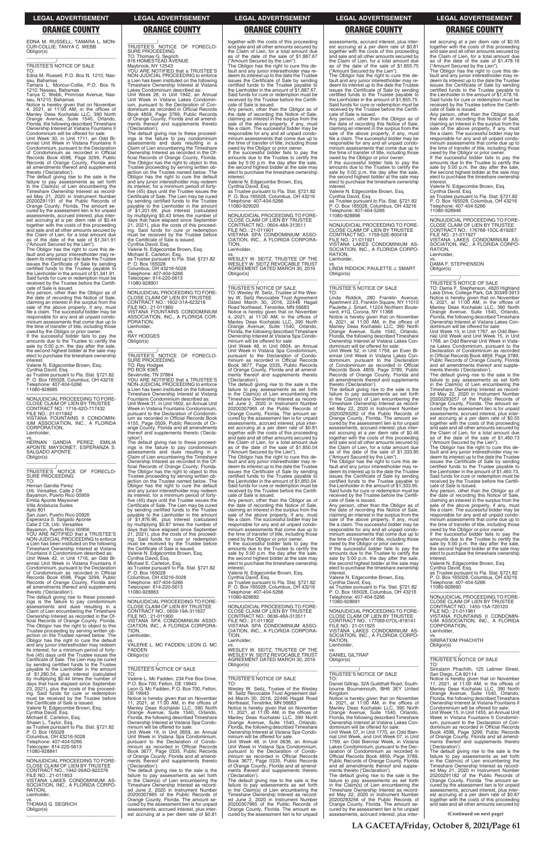EDNA M. RUSSELL; TAMARA L. MON-CUR-COLLIE; TANYA C. WEBB Obligor(s) \_\_\_\_\_\_\_\_\_\_\_\_\_\_\_\_\_\_\_\_\_\_\_\_\_\_\_\_\_\_\_\_\_

### \_\_\_\_\_\_\_\_\_\_\_/ TRUSTEE'S NOTICE OF SALE

TO: Edna M. Russell, P.O. Box N. 1210, Nassau, Bahamas Tamara L. Moncur-Collie, P.O. Box N.

1210, Nassau, Bahamas Tanya C. Webb, Primrose Avenue, Nas-sau, N1210, Bahamas

Notice is hereby given that on November 4, 2021, at 11:00 AM, in the offices of Manley Deas Kochalski LLC, 390 North Orange Avenue, Suite 1540, Orlando, Florida, the following described Timeshare Ownership Interest at Vistana Fountains II

Condominium will be offered for sale: Unit Week 30, in Unit 1711, an Odd Bi-ennial Unit Week in Vistana Fountains II Condominium, pursuant to the Declaration of Condominium as recorded in Official Records Book 4598, Page 3299, Public Records of Orange County, Florida and all amendments thereof and supplements thereto ('Declaration').

The default giving rise to the sale is the failure to pay assessments as set forth in the Claim(s) of Lien encumbering the Timeshare Ownership Interest as record-ed May 21, 2020 in Instrument Number 20200291191 of the Public Records of Orange County, Florida. The amount se-cured by the assessment lien is for unpaid assessments, accrued interest, plus interest accruing at a per diem rate of \$0.44 together with the costs of this proceeding and sale and all other amounts secured by the Claim of Lien, for a total amount due as of the date of the sale of \$1,341.91 ("Amount Secured by the Lien").

vs. HERNAN GANDIA PEREZ; EMILIA APONTE MAYSONET; ESPERANZA S. SALGADO APONTE Obligor(s)

The Obligor has the right to cure this de-fault and any junior interestholder may re-deem its interest up to the date the Trustee issues the Certificate of Sale by sending certified funds to the Trustee payable to the Lienholder in the amount of \$1,341.91. Said funds for cure or redemption must be received by the Trustee before the Certificate of Sale is issued.

Any person, other than the Obligor as of the date of recording this Notice of Sale, claiming an interest in the surplus from the sale of the above property, if any, must file a claim. The successful bidder may be responsible for any and all unpaid condominium assessments that come due up to the time of transfer of title, including those owed by the Obligor or prior owner.

If the successful bidder fails to pay the amounts due to the Trustee to certify the sale by 5:00 p.m. the day after the sale, the second highest bidder at the sale may elect to purchase the timeshare ownership interest.

Valerie N. Edgecombe Brown, Esq. Cynthia David, Esq. as Trustee pursuant to Fla. Stat. §721.82 P. O. Box 165028, Columbus, OH 43216 Telephone: 407-404-5266 11080-928685

TRUSTEE'S<br>SURE PROCEEDING<br>TO: Thomas G. Segrich 816 HOMESTEAD AVENUE Maybrook, NY 12543 YOU ARE NOTIFIED that a TRUSTEE'S

—————————————————— NONJUDICIAL PROCEEDING TO FORE-CLOSE CLAIM OF LIEN BY TRUSTEE CONTRACT NO.: 1716-42O-717432 FILE NO.: 21-011842 VISTANA FOUNTAINS II CONDOMIN-IUM ASSOCIATION, INC., A FLORIDA CORPORATION, Lienholder,

\_\_\_\_\_\_\_\_\_\_\_\_\_\_\_\_\_\_\_\_\_\_\_\_\_\_\_\_\_\_\_\_\_ \_\_\_\_\_\_\_\_\_\_\_/<br>TRUSTEE'S NOTICE OF FORECLO-<br>SURE PROCEEDING TO:

Hernan Gandia Perez Urb. Versalles, Calle 2 C8 Bayamon, Puerto Rico 00959<br>Emilia Aponte Maysonet Emilia Aponte Maysonet Villa Andalucia Suites

Apto 801 San Juan, Puerto Rico 00926 Esperanza S. Salgado Aponte

Calle 2 C8, Urb. Versailles Bayamon, Puerto Rico 00956 YOU ARE NOTIFIED that a TRUSTEE'S NON-JUDICIAL PROCEEDING to enforce a Lien has been instituted on the following Timeshare Ownership Interest at Vistana Fountains II Condominium described as: Unit Week 42, in Unit 1716, an Odd Bi-ennial Unit Week in Vistana Fountains II Condominium, pursuant to the Declaration of Condominium as recorded in Official Records Book 4598, Page 3299, Public Records of Orange County, Florida and all amendments thereof and supplements \_\_\_\_\_\_\_\_\_\_\_\_\_\_\_\_\_\_\_\_\_\_\_\_\_\_\_\_\_\_\_\_\_ \_\_\_\_\_\_\_\_\_\_\_/<br>TRUSTEE'S NOTICE OF FORECLO-<br>SURE PROCEEDING

YOU ARE NOTIFIED that a TRUSTEE'S NON-JUDICIAL PROCEEDING to enforce a Lien has been instituted on the following Timeshare Ownership Interest at Vistana Fountains Condominium described as: Unit Week 31, in Unit 1602, an Annual Unit Week in Vistana Fountains Condominium, pursuant to the Declaration of Condomin-ium as recorded in Official Records Book 4155, Page 0509, Public Records of Or-ange County, Florida and all amendments thereof and supplements thereto ('Declaration')

thereto ('Declaration'). The default giving rise to these proceed-ings is the failure to pay condominium assessments and dues resulting in a Claim of Lien encumbering the Timeshare Ownership Interest as recorded in the Of-ficial Records of Orange County, Florida.

NON-JUDICIAL PROCEEDING to enforce a Lien has been instituted on the following Timeshare Ownership Interest at Vistana

owed by the Obligor or prior owner. If the successful bidder fails to pay the amounts due to the Trustee to certify the sale by 5:00 p.m. the day after the sale, the second highest bidder at the sale may elect to purchase the timeshare ownership **interest** 

Lakes Condominium described as: Unit Week 26, in Unit 1942, an Annual Unit Week in Vistana Lakes Condominium, pursuant to the Declaration of Con-dominium as recorded in Official Records Book 4859, Page 3789, Public Records of Orange County, Florida and all amend-ments thereof and supplements thereto ('Declaration').

The default giving rise to these proceed-ings is the failure to pay condominium assessments and dues resulting in a Claim of Lien encumbering the Timeshare Ownership Interest as recorded in the Of-ficial Records of Orange County, Florida. The Obligor has the right to object to this Trustee proceeding by serving written ob-jection on the Trustee named below. The Obligor has the right to cure the default and any junior interestholder may redeem its interest, for a minimum period of fortyfive (45) days until the Trustee issues the Certificate of Sale. The Lien may be cured by sending certified funds to the Trustee payable to the Lienholder in the amount of \$1,201.69, plus interest (calculated by multiplying \$0.43 times the number of days that have elapsed since September 21, 2021), plus the costs of this proceed-ing. Said funds for cure or redemption must be received by the Trustee before the Certificate of Sale is issued.

> failure to pay assessments as set forth in the Claim(s) of Lien encumbering the Timeshare Ownership Interest as record-ed June 2, 2020 in Instrument Number 20200307965 of the Public Records of Orange County, Florida. The amount se-cured by the assessment lien is for unpaid assessments, accrued interest, plus inter-est accruing at a per diem rate of \$0.81 together with the costs of this proceeding and sale and all other amounts secured by the Claim of Lien, for a total amount due as of the date of the sale of \$1,850.04

Cynthia David, Esq. Valerie N. Edgecombe Brown, Esq. Michael E. Carleton, Esq. as Trustee pursuant to Fla. Stat. §721.82 P. O. Box 165028 Columbus, OH 43216-5028 Telephone: 407-404-5266 Telecopier: 614-220-5613 11080-928901

> owed by the Obligor or prior owner. If the successful bidder fails to pay the amounts due to the Trustee to certify the sale by 5:00 p.m. the day after the sale, the second highest bidder at the sale may elect to purchase the timeshare ownership **interest**

—————————————————— NONJUDICIAL PROCEEDING TO FORE-CLOSE CLAIM OF LIEN BY TRUSTEE CLOSE CLAIM OF LIEN BY TRUSTE<br>CONTRACT NO.: 1602-31A-623218 FILE NO.: 21-011860 VISTANA FOUNTAINS CONDOMINIUM ASSOCIATION, INC., A FLORIDA COR-PORATION, Lienholder,

vs. RAY HODGES Obligor(s)

TO: Ray Hodges PO BOX 6365 Sevierville, TN 37864

The default giving rise to these proceed-ings is the failure to pay condominium assessments and dues resulting in a Claim of Lien encumbering the Timeshare Ownership Interest as recorded in the Of-<br>ficial Records of Orange C ficial Records of Orange County, Florida. The Obligor has the right to object to this Trustee proceeding by serving written objection on the Trustee named below. The Obligor has the right to cure the default and any junior interestholder may redeem its interest, for a minimum period of forty-five (45) days until the Trustee issues the Certificate of Sale. The Lien may be cured by sending certified funds to the Trustee payable to the Lienholder in the amount of \$1,876.96, plus interest (calculated by multiplying \$0.87 times the number of days that have elapsed since September 21, 2021), plus the costs of this proceeding. Said funds for cure or redemption must be received by the Trustee before the Certificate of Sale is issued.

If the successful bidder fails to pay the amounts due to the Trustee to certify the sale by 5:00 p.m. the day after the sale, the second highest bidder at the sale may elect to purchase the timeshare ownership **interest** 

—————————————————— NONJUDICIAL PROCEEDING TO FORE-CLOSE CLAIM OF LIEN BY TRUSTEE CONTRACT NO.: 1759-52E-800418 FILE NO.: 21-011921 VISTANA LAKES CONDOMINIUM AS-SOCIATION, INC., A FLORIDA CORPO-**RATION** Lienholder

Valerie N. Edgecombe Brown, Esq. Cynthia David, Esq. Michael E. Carleton, Esq. as Trustee pursuant to Fla. Stat. §721.82 P. O. Box 165028 Columbus, OH 43216-5028

Telephone: 407-404-5266 Telecopier: 614-220-5613 11080-928863

—————————————————— NONJUDICIAL PROCEEDING TO FORE-CLOSE CLAIM OF LIEN BY TRUSTEE CONTRACT NO.: 0659-19A-311637 FILE NO.: 21-011900

Unit Week 52, in Unit 1759, an Even Bi-ennial Unit Week in Vistana Lakes Con-dominium, pursuant to the Declaration of Condominium as recorded in Official Records Book 4859, Page 3789, Public Records of Orange County, Florida and all amendments thereof and supplements ereto ('Declaration').

Any person, other than the Obligor as of the date of recording this Notice of Sale, claiming an interest in the surplus from the sale of the above property, if any, must file a claim. The successful bidder may be responsible for any and all unpaid condo-minium assessments that come due up to the time of transfer of title, including those

together with the costs of this proceeding and sale and all other amounts secured by the Claim of Lien, for a total amount due as of the date of the sale of \$1,887.67 ("Amount Secured by the Lien"). The Obligor has the right to cure this de-fault and any junior interestholder may redeem its interest up to the date the Trustee issues the Certificate of Sale by sending certified funds to the Trustee payable to est accruing at a per diem rate of \$0.55 together with the costs of this proceeding and sale and all other amounts secured by the Claim of Lien, for a total amount due as of the date of the sale of \$1,478.16 Amount Secured by the Lien").

the Lienholder in the amount of \$1,887.67. Said funds for cure or redemption must be received by the Trustee before the Certificate of Sale is issued. Any person, other than the Obligor as of the date of recording this Notice of Sale, The Obligor has the right to cure this default and any junior interestholder may re-deem its interest up to the date the Trustee issues the Certificate of Sale by sending certified funds to the Trustee payable to the Lienholder in the amount of \$1,478.16. Said funds for cure or redemption must be received by the Trustee before the Certifi-cate of Sale is issued.

Any person, other than the Obligor as of the date of recording this Notice of Sale, claiming an interest in the surplus from the sale of the above property, if any, must file a claim. The successful bidder may be responsible for any and all unpaid condominium assessments that come due up to the time of transfer of title, including those

claiming an interest in the surplus from the sale of the above property, if any, must file a claim. The successful bidder may be responsible for any and all unpaid condo-minium assessments that come due up to the time of transfer of title, including those

> FILE NO.: 21-011927 VISTANA LAKES CONDOMINIUM AS-SOCIATION, INC., A FLORIDA CORPO-RATION, Lienholder,

Valerie N. Edgecombe Brown, Esq. Cynthia David, Esq.

as Trustee pursuant to Fla. Stat. §721.82 P. O. Box 165028, Columbus, OH 43216 Telephone: 407-404-5266 11080-929020

> \_\_\_\_\_\_\_\_\_\_\_\_/<br>TRUSTEE'S NOTICE OF SALE<br>TO: Dama F. Stephenson, 4820 Highland Lake Drive, College Park, GA 30349-3913 Notice is hereby given that on November 4, 2021, at 11:00 AM, in the offices of Manley Deas Kochalski LLC, 390 North Orange Avenue, Suite 1540, Orlando, Florida, the following described Timeshare Ownership Interest at Vistana Lakes Con-

—————————————————— NONJUDICIAL PROCEEDING TO FORE-CLOSE CLAIM OF LIEN BY TRUSTEE CONTRACT NO.: 0604-48A-313511 FILE NO.: 21-011901 VISTANA SPA CONDOMINIUM ASSO-CIATION, INC., A FLORIDA CORPORA-TION,

Lienholder,

vs. WESLEY W. SEITZ, TRUSTEE OF THE WESLEY W. SEITZ REVOCABLE TRUST AGREEMENT DATED MARCH 30, 2016 Obligor(s) \_\_\_\_\_\_\_\_\_\_\_\_\_\_\_\_\_\_\_\_\_\_\_\_\_\_\_\_\_\_\_\_\_

\_\_\_\_\_\_\_\_\_\_\_/ TRUSTEE'S NOTICE OF SALE

TO: Wesley W. Seitz, Trustee of the Wes-ley W. Seitz Revocable Trust Agreement Dated March 30, 2016, 22446 Hagali Road Northeast, Tenstrike, MN 56683 Notice is hereby given that on November 4, 2021, at 11:00 AM, in the offices of Manley Deas Kochalski LLC, 390 North Orange Avenue, Suite 1540, Orlando, Florida, the following described Timeshare Ownership Interest at Vistana Spa Condo-minium will be offered for sale: Unit Week 48, in Unit 0604, an Annual

> the date of recording this Notice of Sale, claiming an interest in the surplus from the sale of the above property, if any, must file a claim. The successful bidder may be responsible for any and all unpaid condominium assessments that come due up to the time of transfer of title, including those

Unit Week in Vistana Spa Condominium, pursuant to the Declaration of Condo-minium as recorded in Official Records Book 3677, Page 0335, Public Records of Orange County, Florida and all amend-ments thereof and supplements thereto ('Declaration'). The default giving rise to the sale is the

| ficial Records of Orange County, Florida.<br>The Obligor has the right to object to this<br>Trustee proceeding by serving written ob-<br>iection on the Trustee named below. The<br>Obligor has the right to cure the default<br>and any junior interestholder may redeem<br>its interest, for a minimum period of forty-<br>five (45) days until the Trustee issues the<br>Certificate of Sale. The Lien may be cured<br>by sending certified funds to the Trustee<br>payable to the Lienholder in the amount<br>of \$1,280.54, plus interest (calculated<br>by multiplying \$0.44 times the number of<br>days that have elapsed since September<br>23, 2021), plus the costs of this proceed-<br>ing. Said funds for cure or redemption<br>must be received by the Trustee before<br>the Certificate of Sale is issued.<br>Valerie N. Edgecombe Brown, Esg.<br>Cynthia David, Esq.<br>Michael E. Carleton, Esg.<br>Shawn L. Taylor, Esq.<br>as Trustee pursuant to Fla. Stat. §721.82<br>P. O. Box 165028<br>Columbus, OH 43216-5028<br>Telephone: 407-404-5266<br>Telecopier: 614-220-5613<br>11080-928841<br>NONJUDICIAL PROCEEDING TO FORE-<br>CLOSE CLAIM OF LIEN BY TRUSTEE<br>CONTRACT NO.: 1942-26AO-822376<br>FILE NO.: 21-011853<br>VISTANA LAKES CONDOMINIUM AS-<br>SOCIATION, INC., A FLORIDA CORPO-<br>RATION,<br>Lienholder,<br>VS.<br>THOMAS G. SEGRICH<br>Obligor(s) | VISTANA SPA CONDOMINIUM ASSO-<br>CIATION, INC., A FLORIDA CORPORA-<br>TION.<br>Lienholder,<br>VS.<br>VALERIE L. MC FADDEN; LEON G. MC<br><b>FADDEN</b><br>Obligor(s)<br>TRUSTEE'S NOTICE OF SALE<br>TO:<br>Valerie L. Mc Fadden, 234 Fire Box Drive,<br>P.O. Box 700, Felton, DE 19943<br>Leon G. Mc Fadden, P.O. Box 700, Felton,<br>DE 19943<br>Notice is hereby given that on November<br>11, 2021, at 11:00 AM, in the offices of<br>Manley Deas Kochalski LLC, 390 North<br>Orange Avenue, Suite 1540, Orlando,<br>Florida, the following described Timeshare<br>Ownership Interest at Vistana Spa Condo-<br>minium will be offered for sale:<br>Unit Week 19, in Unit 0659, an Annual<br>Unit Week in Vistana Spa Condominium,<br>pursuant to the Declaration of Condo-<br>minium as recorded in Official Records<br>Book 3677, Page 0335, Public Records<br>of Orange County, Florida and all amend-<br>ments thereof and supplements thereto<br>('Declaration').<br>The default giving rise to the sale is the<br>failure to pay assessments as set forth<br>in the Claim(s) of Lien encumbering the<br>Timeshare Ownership Interest as record-<br>ed June 2, 2020 in Instrument Number<br>20200307965 of the Public Records of<br>Orange County, Florida. The amount se-<br>cured by the assessment lien is for unpaid<br>assessments, accrued interest, plus inter-<br>est accruing at a per diem rate of \$0.81 | FILE NO.: 21-011902<br>VISTANA SPA CONDOMINIUM ASSO-<br>CIATION, INC., A FLORIDA CORPORA-<br>TION.<br>Lienholder,<br>VS.<br>WESLEY W. SEITZ, TRUSTEE OF THE<br>WESLEY W. SEITZ REVOCABLE TRUST<br>AGREEMENT DATED MARCH 30, 2016<br>Obligor(s)<br>TRUSTEE'S NOTICE OF SALE<br>TO:<br>Wesley W. Seitz, Trustee of the Wesley<br>W. Seitz Revocable Trust Agreement dat-<br>ed March 30, 2016, 22446 Hagali Road<br>Northeast, Tenstrike, MN 56683<br>Notice is hereby given that on November<br>11, 2021, at $11:00$ AM, in the offices of<br>Manley Deas Kochalski LLC, 390 North<br>Orange Avenue, Suite 1540, Orlando,<br>Florida, the following described Timeshare<br>Ownership Interest at Vistana Spa Condo-<br>minium will be offered for sale:<br>Unit Week 48, in Unit 0636, an Annual<br>Unit Week in Vistana Spa Condominium,<br>pursuant to the Declaration of Condo-<br>minium as recorded in Official Records<br>Book 3677, Page 0335, Public Records<br>of Orange County, Florida and all amend-<br>ments thereof and supplements thereto<br>('Declaration').<br>The default giving rise to the sale is the<br>failure to pay assessments as set forth<br>in the Claim(s) of Lien encumbering the<br>Timeshare Ownership Interest as record-<br>ed June 2, 2020 in Instrument Number<br>20200307965 of the Public Records of<br>Orange County, Florida. The amount se-<br>cured by the assessment lien is for unpaid | CONTRACT NO.: 177069-07OL-818141<br>FILE NO.: 21-011925<br>VISTANA LAKES CONDOMINIUM AS-<br>SOCIATION, INC., A FLORIDA CORPO-<br>RATION,<br>Lienholder,<br>VS.<br><b>DANIEL GILTRAP</b><br>Obligor(s)<br>TRUSTEE'S NOTICE OF SALE<br>TO:<br>Daniel Giltrap, 32A Guildhall Road, South-<br>bourne Bournemouth, BH6 3EY United<br>Kingdom<br>Notice is hereby given that on November<br>4, 2021, at 11:00 AM, in the offices of<br>Manley Deas Kochalski LLC, 390 North<br>Orange Avenue, Suite 1540, Orlando,<br>Florida, the following described Timeshare<br>Ownership Interest at Vistana Lakes Con-<br>dominium will be offered for sale:<br>Unit Week 07, in Unit 1770, an Odd Bien-<br>nial Unit Week, and Unit Week 07, in Unit<br>1769, an Odd Biennial Week, in Vistana<br>Lakes Condominium, pursuant to the Dec-<br>laration of Condominium as recorded in<br>Official Records Book 4859, Page 3789,<br>Public Records of Orange County, Florida<br>and all amendments thereof and supple-<br>ments thereto ('Declaration').<br>The default giving rise to the sale is the<br>failure to pay assessments as set forth<br>in the Claim(s) of Lien encumbering the<br>Timeshare Ownership Interest as record-<br>ed May 22, 2020 in Instrument Number<br>20200293256 of the Public Records of<br>Orange County, Florida. The amount se-<br>cured by the assessment lien is for unpaid<br>assessments, accrued interest, plus inter- | IUM ASSOCIATION, INC., A FLORIDA<br>CORPORATION.<br>Lienholder.<br>VS.<br>SIRIRATXIM PHACHITH<br>Obligor(s)<br>TRUSTEE'S NOTICE OF SALE<br>TO.<br>Siriratxim Phachith, 125 Latimer Street,<br>San Diego, CA 92114<br>Notice is hereby given that on November<br>11, 2021, at $11:00$ AM, in the offices of<br>Manley Deas Kochalski LLC, 390 North<br>Orange Avenue, Suite 1540, Orlando,<br>Florida, the following described Timeshare<br>Ownership Interest at Vistana Fountains II<br>Condominium will be offered for sale:<br>Unit Week 15, in Unit 1455, an Annual Unit<br>Week in Vistana Fountains II Condomin-<br>ium, pursuant to the Declaration of Con-<br>dominium as recorded in Official Records<br>Book 4598, Page 3299, Public Records<br>of Orange County, Florida and all amend-<br>ments thereof and supplements thereto<br>('Declaration').<br>The default giving rise to the sale is the<br>failure to pay assessments as set forth<br>in the Claim(s) of Lien encumbering the<br>Timeshare Ownership Interest as record-<br>ed May 21, 2020 in Instrument Number<br>20200291182 of the Public Records of<br>Orange County, Florida. The amount se-<br>cured by the assessment lien is for unpaid<br>assessments, accrued interest, plus inter-<br>est accruing at a per diem rate of \$0.87<br>together with the costs of this proceeding<br>and sale and all other amounts secured by<br>(Continued on next page) |
|---------------------------------------------------------------------------------------------------------------------------------------------------------------------------------------------------------------------------------------------------------------------------------------------------------------------------------------------------------------------------------------------------------------------------------------------------------------------------------------------------------------------------------------------------------------------------------------------------------------------------------------------------------------------------------------------------------------------------------------------------------------------------------------------------------------------------------------------------------------------------------------------------------------------------------------------------------------------------------------------------------------------------------------------------------------------------------------------------------------------------------------------------------------------------------------------------------------------------------------------------------------------------------------------------------------------------------------------------------------------------------------|----------------------------------------------------------------------------------------------------------------------------------------------------------------------------------------------------------------------------------------------------------------------------------------------------------------------------------------------------------------------------------------------------------------------------------------------------------------------------------------------------------------------------------------------------------------------------------------------------------------------------------------------------------------------------------------------------------------------------------------------------------------------------------------------------------------------------------------------------------------------------------------------------------------------------------------------------------------------------------------------------------------------------------------------------------------------------------------------------------------------------------------------------------------------------------------------------------------------------------------------------------------------------------------------------------------------------------------------------------------------------------------------------------------------------|-------------------------------------------------------------------------------------------------------------------------------------------------------------------------------------------------------------------------------------------------------------------------------------------------------------------------------------------------------------------------------------------------------------------------------------------------------------------------------------------------------------------------------------------------------------------------------------------------------------------------------------------------------------------------------------------------------------------------------------------------------------------------------------------------------------------------------------------------------------------------------------------------------------------------------------------------------------------------------------------------------------------------------------------------------------------------------------------------------------------------------------------------------------------------------------------------------------------------------------------------------------------------------------------------------------------------------------------------------------------------------------------------------------------------------------|---------------------------------------------------------------------------------------------------------------------------------------------------------------------------------------------------------------------------------------------------------------------------------------------------------------------------------------------------------------------------------------------------------------------------------------------------------------------------------------------------------------------------------------------------------------------------------------------------------------------------------------------------------------------------------------------------------------------------------------------------------------------------------------------------------------------------------------------------------------------------------------------------------------------------------------------------------------------------------------------------------------------------------------------------------------------------------------------------------------------------------------------------------------------------------------------------------------------------------------------------------------------------------------------------------------------------------------------------------------------------------------------------------------------------------------------|------------------------------------------------------------------------------------------------------------------------------------------------------------------------------------------------------------------------------------------------------------------------------------------------------------------------------------------------------------------------------------------------------------------------------------------------------------------------------------------------------------------------------------------------------------------------------------------------------------------------------------------------------------------------------------------------------------------------------------------------------------------------------------------------------------------------------------------------------------------------------------------------------------------------------------------------------------------------------------------------------------------------------------------------------------------------------------------------------------------------------------------------------------------------------------------------------------------------------------------------------------------------------------------------------------------------------------------------------------------------------------------------------------------------------------------|
|---------------------------------------------------------------------------------------------------------------------------------------------------------------------------------------------------------------------------------------------------------------------------------------------------------------------------------------------------------------------------------------------------------------------------------------------------------------------------------------------------------------------------------------------------------------------------------------------------------------------------------------------------------------------------------------------------------------------------------------------------------------------------------------------------------------------------------------------------------------------------------------------------------------------------------------------------------------------------------------------------------------------------------------------------------------------------------------------------------------------------------------------------------------------------------------------------------------------------------------------------------------------------------------------------------------------------------------------------------------------------------------|----------------------------------------------------------------------------------------------------------------------------------------------------------------------------------------------------------------------------------------------------------------------------------------------------------------------------------------------------------------------------------------------------------------------------------------------------------------------------------------------------------------------------------------------------------------------------------------------------------------------------------------------------------------------------------------------------------------------------------------------------------------------------------------------------------------------------------------------------------------------------------------------------------------------------------------------------------------------------------------------------------------------------------------------------------------------------------------------------------------------------------------------------------------------------------------------------------------------------------------------------------------------------------------------------------------------------------------------------------------------------------------------------------------------------|-------------------------------------------------------------------------------------------------------------------------------------------------------------------------------------------------------------------------------------------------------------------------------------------------------------------------------------------------------------------------------------------------------------------------------------------------------------------------------------------------------------------------------------------------------------------------------------------------------------------------------------------------------------------------------------------------------------------------------------------------------------------------------------------------------------------------------------------------------------------------------------------------------------------------------------------------------------------------------------------------------------------------------------------------------------------------------------------------------------------------------------------------------------------------------------------------------------------------------------------------------------------------------------------------------------------------------------------------------------------------------------------------------------------------------------|---------------------------------------------------------------------------------------------------------------------------------------------------------------------------------------------------------------------------------------------------------------------------------------------------------------------------------------------------------------------------------------------------------------------------------------------------------------------------------------------------------------------------------------------------------------------------------------------------------------------------------------------------------------------------------------------------------------------------------------------------------------------------------------------------------------------------------------------------------------------------------------------------------------------------------------------------------------------------------------------------------------------------------------------------------------------------------------------------------------------------------------------------------------------------------------------------------------------------------------------------------------------------------------------------------------------------------------------------------------------------------------------------------------------------------------------|------------------------------------------------------------------------------------------------------------------------------------------------------------------------------------------------------------------------------------------------------------------------------------------------------------------------------------------------------------------------------------------------------------------------------------------------------------------------------------------------------------------------------------------------------------------------------------------------------------------------------------------------------------------------------------------------------------------------------------------------------------------------------------------------------------------------------------------------------------------------------------------------------------------------------------------------------------------------------------------------------------------------------------------------------------------------------------------------------------------------------------------------------------------------------------------------------------------------------------------------------------------------------------------------------------------------------------------------------------------------------------------------------------------------------------------|

("Amount Secured by the Lien"). The Obligor has the right to cure this de-fault and any junior interestholder may redeem its interest up to the date the Trustee issues the Certificate of Sale by sending certified funds to the Trustee payable to the Lienholder in the amount of \$1,850.04. Said funds for cure or redemption must be received by the Trustee before the Certifi-

cate of Sale is issued. Any person, other than the Obligor as of the date of recording this Notice of Sale, claiming an interest in the surplus from the sale of the above property, if any, must file a claim. The successful bidder may be responsible for any and all unpaid condo-minium assessments that come due up to the time of transfer of title, including those

Valerie N. Edgecombe Brown, Esq. Cynthia David, Esq.

as Trustee pursuant to Fla. Stat. §721.82 P. O. Box 165028, Columbus, OH 43216 Telephone: 407-404-5266 11080-928692

—————————————————— NONJUDICIAL PROCEEDING TO FORE-CLOSE CLAIM OF LIEN BY TRUSTEE CONTRACT NO.: 0636-48A-313511

assessments, accrued interest, plus interest accruing at a per diem rate of \$0.81 together with the costs of this proceeding and sale and all other amounts secured by the Claim of Lien, for a total amount due as of the date of the sale of \$1,855.75 ("Amount Secured by the Lien").

The Obligor has the right to cure this de-fault and any junior interestholder may re-deem its interest up to the date the Trustee issues the Certificate of Sale by sending certified funds to the Trustee payable to the Lienholder in the amount of \$1,855.75. Said funds for cure or redemption must be received by the Trustee before the Certificate of Sale is issued.

Any person, other than the Obligor as of the date of recording this Notice of Sale, claiming an interest in the surplus from the sale of the above property, if any, must file a claim. The successful bidder may be responsible for any and all unpaid condominium assessments that come due up to the time of transfer of title, including those owed by the Obligor or prior owner.

Valerie N. Edgecombe Brown, Esq. Cynthia David, Esq. as Trustee pursuant to Fla. Stat. §721.82 P. O. Box 165028, Columbus, OH 43216 Telephone: 407-404-5266 11080-928896

vs. LINDA RIDDICK; PAULETTE J. SMART Obligor(s) \_\_\_\_\_\_\_\_\_\_\_\_\_\_\_\_\_\_\_\_\_\_\_\_\_\_\_\_\_\_\_\_\_

\_\_\_\_\_\_\_\_\_\_\_/ TRUSTEE'S NOTICE OF SALE

TO: Linda Riddick, 280 Franklin Avenue, Apartment 23, Franklin Square, NY 11010 Paulette J. Smart, 11224 Northern Boule-vard, #1G, Corona, NY 11368

Notice is hereby given that on November 4, 2021, at 11:00 AM, in the offices of Manley Deas Kochalski LLC, 390 North Orange Avenue, Suite 1540, Orlando, Florida, the following described Timeshare Ownership Interest at Vistana Lakes Con-dominium will be offered for sale:

The default giving rise to the sale is the failure to pay assessments as set forth in the Claim(s) of Lien encumbering the Timeshare Ownership Interest as recorded May 22, 2020 in Instrument Number 20200293262 of the Public Records of Orange County, Florida. The amount secured by the assessment lien is for unpaid assessments, accrued interest, plus inter-est accruing at a per diem rate of \$0.46 together with the costs of this proceeding and sale and all other amounts secured by the Claim of Lien, for a total amount due as of the date of the sale of \$1,333.95 ("Amount Secured by the Lien"). The Obligor has the right to cure this de-

fault and any junior interestholder may re-deem its interest up to the date the Trustee issues the Certificate of Sale by sending certified funds to the Trustee payable to the Lienholder in the amount of \$1,333.95. Said funds for cure or redemption must be received by the Trustee before the Certifi-cate of Sale is issued.

owed by the Obligor or prior owner. If the successful bidder fails to pay the amounts due to the Trustee to certify the sale by 5:00 p.m. the day after the sale, the second highest bidder at the sale may elect to purchase the timeshare ownership

interest. Valerie N. Edgecombe Brown, Esq.

Cynthia David, Esq. as Trustee pursuant to Fla. Stat. §721.82 P. O. Box 165028, Columbus, OH 43216 Telephone: 407-404-5266 11080-928691

—————————————————— NONJUDICIAL PROCEEDING TO FORE-CLOSE CLAIM OF LIEN BY TRUSTEE CONTRACT NO.: 177069-07OL-818141

owed by the Obligor or prior owner. If the successful bidder fails to pay the amounts due to the Trustee to certify the sale by 5:00 p.m. the day after the sale, the second highest bidder at the sale may elect to purchase the timeshare ownership

interest. Valerie N. Edgecombe Brown, Esq.

Cynthia David, Esq. as Trustee pursuant to Fla. Stat. §721.82 P. O. Box 165028, Columbus, OH 43216 Telephone: 407-404-5266 11080-928946

—————————————————— NONJUDICIAL PROCEEDING TO FORE-CLOSE CLAIM OF LIEN BY TRUSTEE CONTRACT NO.: 176768-15OL-819287

vs. DAMA F. STEPHENSON Obligor(s)

\_\_\_\_\_\_\_\_\_\_\_\_\_\_\_\_\_\_\_\_\_\_\_\_\_\_\_\_\_\_\_\_\_

dominium will be offered for sale: Unit Week 15, in Unit 1767, an Odd Biennial Unit Week and Unit Week 15, in Unit 1768, an Odd Biennial Unit Week in Vistana Lakes Condominium, pursuant to the Declaration of Condominium as recorded in Official Records Book 4859, Page 3789, Public Records of Orange County, Florida and all amendments thereof and supple-ments thereto ('Declaration'). The default giving rise to the sale is the

failure to pay assessments as set forth in the Claim(s) of Lien encumbering the Timeshare Ownership Interest as recorded May 22, 2020 in Instrument Number 20200293257 of the Public Records of Orange County, Florida. The amount secured by the assessment lien is for unpaid assessments, accrued interest, plus inter-est accruing at a per diem rate of \$0.55 together with the costs of this proceeding and sale and all other amounts secured by the Claim of Lien, for a total amount due

as of the date of the sale of \$1,460.73 ("Amount Secured by the Lien"). The Obligor has the right to cure this default and any junior interestholder may re-deem its interest up to the date the Trustee issues the Certificate of Sale by sending certified funds to the Trustee payable to the Lienholder in the amount of \$1,460.73. Said funds for cure or redemption must be received by the Trustee before the Certifi-cate of Sale is issued. Any person, other than the Obligor as of

owed by the Obligor or prior owner. If the successful bidder fails to pay the amounts due to the Trustee to certify the sale by 5:00 p.m. the day after the sale, the second highest bidder at the sale may elect to purchase the timeshare ownership interest. Valerie N. Edgecombe Brown, Esq.

Cynthia David, Esq. as Trustee pursuant to Fla. Stat. §721.82 P. O. Box 165028, Columbus, OH 43216 Telephone: 407-404-5266 11080-928690

—————————————————— NONJUDICIAL PROCEEDING TO FORE-CLOSE CLAIM OF LIEN BY TRUSTEE CONTRACT NO.: 1455-15A-720120

FILE NO.: 21-011961 VISTANA FOUNTAINS II CONDOMIN-IUM ASSOCIATION, INC., A FLORIDA

### **LEGAL ADVERTISEMENT LEGAL ADVERTISEMENT LEGAL ADVERTISEMENT LEGAL ADVERTISEMENT LEGAL ADVERTISEMENT**

### **ORANGE COUNTY ORANGE COUNTY ORANGE COUNTY ORANGE COUNTY ORANGE COUNTY**

**LA GACETA/Friday, October 8, 2021/Page 61**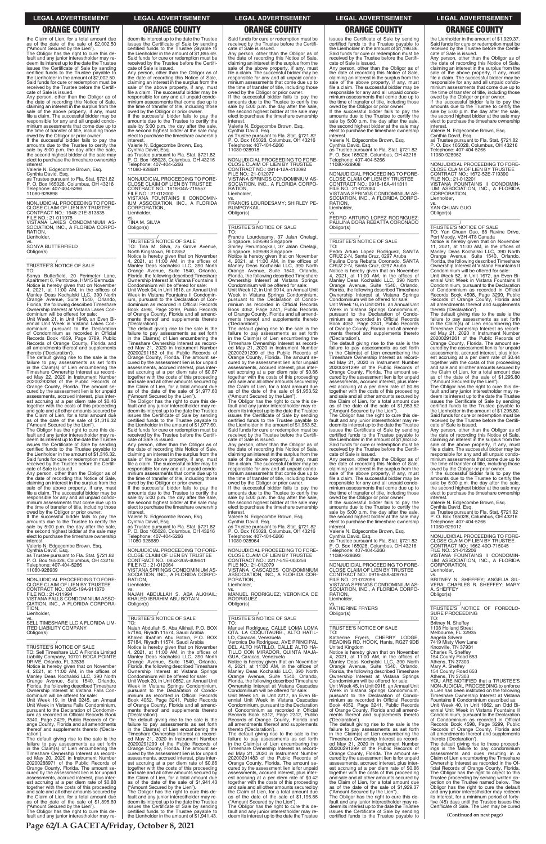### **LEGAL ADVERTISEMENT LEGAL ADVERTISEMENT LEGAL ADVERTISEMENT LEGAL ADVERTISEMENT LEGAL ADVERTISEMENT**

# **ORANGE COUNTY ORANGE COUNTY ORANGE COUNTY ORANGE COUNTY ORANGE COUNTY**

the Claim of Lien, for a total amount due as of the date of the sale of \$2,002.50 ("Amount Secured by the Lien").

Obligor has the right to cure this default and any junior interestholder may redeem its interest up to the date the Trustee issues the Certificate of Sale by sending certified funds to the Trustee payable to the Lienholder in the amount of \$2,002.50. Said funds for cure or redemption must be received by the Trustee before the Certifi-

owed by the Obligor or prior owner. If the successful bidder fails to pay the amounts due to the Trustee to certify the sale by 5:00 p.m. the day after the sale, the second highest bidder at the sale may elect to purchase the timeshare ownership **interest** 

cate of Sale is issued. Any person, other than the Obligor as of the date of recording this Notice of Sale, claiming an interest in the surplus from the sale of the above property, if any, must file a claim. The successful bidder may be responsible for any and all unpaid condo-minium assessments that come due up to the time of transfer of title, including those

Obligor(s)  $\overline{\phantom{a}}$  , and the set of the set of the set of the set of the set of the set of the set of the set of the set of the set of the set of the set of the set of the set of the set of the set of the set of the set of the s

Valerie N. Edgecombe Brown, Esq. Cynthia David, Esq.

as Trustee pursuant to Fla. Stat. §721.82 P. O. Box 165028, Columbus, OH 43216 Telephone: 407-404-5266 11080-928898

—————————————————— NONJUDICIAL PROCEEDING TO FORE-CLOSE CLAIM OF LIEN BY TRUSTEE CONTRACT NO.: 1948-21E-813835 FILE NO.: 21-011978 VISTANA LAKES CONDOMINIUM AS-SOCIATION, INC., A FLORIDA CORPO-RATION, Lienholder vs. SONYA BUTTERFIELD

## \_\_\_\_\_\_\_\_\_\_\_/ TRUSTEE'S NOTICE OF SALE

owed by the Obligor or prior owner. If the successful bidder fails to pay the amounts due to the Trustee to certify the sale by 5:00 p.m. the day after the sale, the second highest bidder at the sale may elect to purchase the timeshare ownership **interest** 

TO: Sonya Butterfield, 20 Perimeter Lane, Apartment 6, Pembroke, HM15 Bermuda Notice is hereby given that on November 4, 2021, at 11:00 AM, in the offices of Manley Deas Kochalski LLC, 390 North Orange Avenue, Suite 1540, Orlando, Florida, the following described Timeshare Ownership Interest at Vistana Lakes Con-

dominium will be offered for sale: Unit Week 21, in Unit 1948, an Even Biennial Unit Week in Vistana Lakes Con-dominium, pursuant to the Declaration of Condominium as recorded in Official Records Book 4859, Page 3789, Public Records of Orange County, Florida and all amendments thereof and supplements thereto ('Declaration'). The default giving rise to the sale is the

failure to pay assessments as set forth in the Claim(s) of Lien encumbering the Timeshare Ownership Interest as record-ed May 22, 2020 in Instrument Number 20200293258 of the Public Records of Orange County, Florida. The amount se-cured by the assessment lien is for unpaid assessments, accrued interest, plus inter-est accruing at a per diem rate of \$0.46 together with the costs of this proceeding and sale and all other amounts secured by the Claim of Lien, for a total amount due as of the date of the sale of \$1,316.32

Any person, other than the Obligor as of the date of recording this Notice of Sale, claiming an interest in the surplus from the sale of the above property, if any, must file a claim. The successful bidder may be responsible for any and all unpaid condominium assessments that come due up to the time of transfer of title, including those

("Amount Secured by the Lien"). The Obligor has the right to cure this de-fault and any junior interestholder may redeem its interest up to the date the Trustee issues the Certificate of Sale by sending certified funds to the Trustee payable to the Lienholder in the amount of \$1,316.32. Said funds for cure or redemption must be received by the Trustee before the Certifi-

cate of Sale is issued. Any person, other than the Obligor as of the date of recording this Notice of Sale, claiming an interest in the surplus from the sale of the above property, if any, must file a claim. The successful bidder may be responsible for any and all unpaid condo-minium assessments that come due up to the time of transfer of title, including those

\_\_\_\_\_\_\_\_\_\_\_/<br>TRUSTEE'S NOTICE OF SALE<br>TO: Tina M. Silva, 75 Grove Avenue, North Kingstown, RI 02852

Valerie N. Edgecombe Brown, Esq. Cynthia David, Esq.

as Trustee pursuant to Fla. Stat. §721.82 P. O. Box 165028, Columbus, OH 43216 Telephone: 407-404-5266 11080-928939

failure to pay assessments as set forth in the Claim(s) of Lien encumbering the Timeshare Ownership Interest as record-ed May 21, 2020 in Instrument Number 20200291182 of the Public Records of Orange County, Florida. The amount se-cured by the assessment lien is for unpaid assessments, accrued interest, plus interest accruing at a per diem rate of \$0.87 together with the costs of this proceeding and sale and all other amounts secured by the Claim of Lien, for a total amount due as of the date of the sale of \$1,977.60

—————————————————— NONJUDICIAL PROCEEDING TO FORE-CLOSE CLAIM OF LIEN BY TRUSTEE CONTRACT NO.: 0245-19A-911870 FILE NO.: 21-011994 VISTANA FALLS CONDOMINIUM ASSO-ION, INC., A FLORIDA CORPORA-TION, Lienholder,

vs.

owed by the Obligor or prior owner. If the successful bidder fails to pay the amounts due to the Trustee to certify the sale by 5:00 p.m. the day after the sale, the second highest bidder at the sale may elect to purchase the timeshare ownership **interest** 

VISTANA SPRINGS CONDOMINIUM AS-SOCIATION, INC., A FLORIDA CORPO-RATION, Lienholder

deem its interest up to the date the Trustee issues the Certificate of Sale by sending certified funds to the Trustee payable to the Lienholder in the amount of \$1,895.69. Said funds for cure or redemption must be received by the Trustee before the Certifi-cate of Sale is issued.

> amounts due to the Trustee to certify the sale by 5:00 p.m. the day after the sale, the second highest bidder at the sale may elect to purchase the timeshare ownership **interest**

owed by the Obligor or prior owner. If the successful bidder fails to pay the amounts due to the Trustee to certify the sale by 5:00 p.m. the day after the sale, the second highest bidder at the sale may elect to purchase the timeshare ownership

interest. Valerie N. Edgecombe Brown, Esq.

Cynthia David, Esq. as Trustee pursuant to Fla. Stat. §721.82 P. O. Box 165028, Columbus, OH 43216 Telephone: 407-404-5266 11080-928681

—————————————————— NONJUDICIAL PROCEEDING TO FORE-CLOSE CLAIM OF LIEN BY TRUSTEE CONTRACT NO.: 1618-04A-719557 FILE NO.: 21-012000 VISTANA FOUNTAINS II CONDOMIN-IUM ASSOCIATION, INC., A FLORIDA CORPORATION, Lienholder,

vs. TINA M. SILVA Obligor(s)

\_\_\_\_\_\_\_\_\_\_\_\_\_\_\_\_\_\_\_\_\_\_\_\_\_\_\_\_\_\_\_\_\_

owed by the Obligor or prior owner. If the successful bidder fails to pay the amounts due to the Trustee to certify the sale by 5:00 p.m. the day after the sale, the second highest bidder at the sale may elect to purchase the timeshare ownership **interest** 

Notice is hereby given that on November 4, 2021, at 11:00 AM, in the offices of Manley Deas Kochalski LLC, 390 North Orange Avenue, Suite 1540, Orlando, Florida, the following described Timeshare Ownership Interest at Vistana Fountains II Condominium will be offered for sale: Unit Week 04, in Unit 1618, an Annual Unit Week in Vistana Fountains II Condomin-ium, pursuant to the Declaration of Con-dominium as recorded in Official Records Book 4598, Page 3299, Public Records of Orange County, Florida and all amendments thereof and supplements thereto ('Declaration'). The default giving rise to the sale is the

("Amount Secured by the Lien"). The Obligor has the right to cure this de-fault and any junior interestholder may redeem its interest up to the date the Trustee issues the Certificate of Sale by sending certified funds to the Trustee payable to the Lienholder in the amount of \$1,977.60. Said funds for cure or redemption must be received by the Trustee before the Certifi-

owed by the Obligor or prior owner. If the successful bidder fails to pay the amounts due to the Trustee to certify the sale by 5:00 p.m. the day after the sale, the second highest bidder at the sale may elect to purchase the timeshare ownership **interest** 

cate of Sale is issued. Any person, other than the Obligor as of the date of recording this Notice of Sale, claiming an interest in the surplus from the sale of the above property, if any, must file a claim. The successful bidder may be responsible for any and all unpaid condo-minium assessments that come due up to the time of transfer of title, including those

Valerie N. Edgecombe Brown, Esq. Cynthia David, Esq.

as Trustee pursuant to Fla. Stat. §721.82 P. O. Box 165028, Columbus, OH 43216 Telephone: 407-404-5266 11080-928689

—————————————————— NONJUDICIAL PROCEEDING TO FORE-CLOSE CLAIM OF LIEN BY TRUSTEE CONTRACT NO.: 0852-20A-409641 FILE NO.: 21-012064

failure to pay assessments as set forth in the Claim(s) of Lien encumbering the Timeshare Ownership Interest as record-ed May 21, 2020 in Instrument Number 20200291299 of the Public Records of Orange County, Florida. The amount se-cured by the assessment lien is for unpaid assessments, accrued interest, plus inter-est accruing at a per diem rate of \$0.86 together with the costs of this proceeding and sale and all other amounts secured by the Claim of Lien, for a total amount due as of the date of the sale of \$1,953.52

vs. NAJAH ABDULLAH S. ABA ALKHAIL; KHALED IBRAHIM ABU BOTAIN Obligor(s) \_\_\_\_\_\_\_\_\_\_\_\_\_\_\_\_\_\_\_\_\_\_\_\_\_\_\_\_\_\_\_\_\_

\_\_\_\_\_\_\_\_\_\_\_/ TRUSTEE'S NOTICE OF SALE

owed by the Obligor or prior owner. If the successful bidder fails to pay the amounts due to the Trustee to certify the sale by 5:00 p.m. the day after the sale, the second highest bidder at the sale may elect to purchase the timeshare ownership **interest** 

Obligor(s)  $\overline{\phantom{a}}$  , and the set of the set of the set of the set of the set of the set of the set of the set of the set of the set of the set of the set of the set of the set of the set of the set of the set of the set of the s

Said funds for cure or redemption must be received by the Trustee before the Certifi-

cate of Sale is issued. Any person, other than the Obligor as of the date of recording this Notice of Sale, claiming an interest in the surplus from the sale of the above property, if any, must file a claim. The successful bidder may be responsible for any and all unpaid condo-minium assessments that come due up to the time of transfer of title, including those owed by the Obligor or prior owner. If the successful bidder fails to pay the

Valerie N. Edgecombe Brown, Esq. Cynthia David, Esq.

as Trustee pursuant to Fla. Stat. §721.82 P. O. Box 165028, Columbus, OH 43216 Telephone: 407-404-5266 11080-928918

> failure to pay assessments as set forth in the Claim(s) of Lien encumbering the Timeshare Ownership Interest as record-ed May 21, 2020 in Instrument Number

—————————————————— NONJUDICIAL PROCEEDING TO FORE-CLOSE CLAIM OF LIEN BY TRUSTEE CONTRACT NO.: 0914-12A-410092 FILE NO.: 21-012077 VISTANA SPRINGS CONDOMINIUM AS-SOCIATION, INC., A FLORIDA CORPO-RATION,

Lienholder

vs. FRANCIS LOURDESAMY; SHIRLEY PE-RUMPOYKAIL Obligor(s) \_\_\_\_\_\_\_\_\_\_\_\_\_\_\_\_\_\_\_\_\_\_\_\_\_\_\_\_\_\_\_\_\_

\_\_\_\_\_\_\_\_\_\_\_/ TRUSTEE'S NOTICE OF SALE

TO: Francis Lourdesamy, 37 Jalan Chelagi, Singapore, 509598 Singapore Shirley Perumpoykail, 37 Jalan Chelagi, Singapore, 509598 Singapore Notice is hereby given that on November 4, 2021, at 11:00 AM, in the offices of Manley Deas Kochalski LLC, 390 North Orange Avenue, Suite 1540, Orlando, Florida, the following described Timeshare Ownership Interest at Vistana Springs Condominium will be offered for sale: Unit Week 12, in Unit 0914, an Annual Unit Week in Vistana Springs Condominium, pursuant to the Declaration of Condo-minium as recorded in Official Records Book 4052, Page 3241, Public Records of Orange County, Florida and all amendments thereof and supplements thereto ('Declaration'). The default giving rise to the sale is the

failure to pay assessments as set forth in the Claim(s) of Lien encumbering the Timeshare Ownership Interest as record-ed May 21, 2020 in Instrument Number 20200291299 of the Public Records of Orange County, Florida. The amount se-cured by the assessment lien is for unpaid assessments, accrued interest, plus interest accruing at a per diem rate of \$0.86 together with the costs of this proceeding and sale and all other amounts secured by the Claim of Lien, for a total amount due as of the date of the sale of \$1,953.52

| SELL TIMESHARE LLC A FLORIDA LIM-                                                    | TO:                                                                                     | TO:                                                                                  |                                                                                         | Britney N. Sheffey                                                                     |  |
|--------------------------------------------------------------------------------------|-----------------------------------------------------------------------------------------|--------------------------------------------------------------------------------------|-----------------------------------------------------------------------------------------|----------------------------------------------------------------------------------------|--|
| <b>ITED LIABILITY COMPANY</b>                                                        | Najah Abdullah S. Aba Alkhail, P.O. BOX                                                 | Manuel Rodriguez, CALLE LOMA LOMA                                                    | TRUSTEE'S NOTICE OF SALE                                                                | 1108 Holland Street                                                                    |  |
| Obligor(s)                                                                           | 57184, Riyadh 11574, Saudi Arabia                                                       | QTA. LA COQUITAURB., ALTO HATIL-                                                     | TO:                                                                                     | Melbourne, FL 32935                                                                    |  |
|                                                                                      | Khaled Ibrahim Abu Botain, P.O. BOX                                                     | LO. Caracas, Venezuela                                                               | Katherine Frvers. CHERRY LODGE.                                                         | Angelia Silvera                                                                        |  |
|                                                                                      | 57184, Riyadh 11574, Saudi Arabia                                                       | Veronica De Rodriguez, AVE PRINCIPAL                                                 | READING RD, HOOK, Hants, RG27 9DB                                                       | 7419 Misty View Lane                                                                   |  |
| TRUSTEE'S NOTICE OF SALE                                                             | Notice is hereby given that on November                                                 | DEL ALTO HATILLO, CALLE ALTO HA-                                                     | United Kingdom                                                                          | Knoxville, TN 37931                                                                    |  |
| TO: Sell Timeshare LLC A Florida Limited                                             | 4, 2021, at 11:00 AM, in the offices of                                                 | TILLO CON MIRADOR, QUINTA MAJA-                                                      | Notice is hereby given that on November                                                 | Charles R. Sheffey                                                                     |  |
| Liability Company, 10701 BOCA POINTE                                                 | Manley Deas Kochalski LLC, 390 North                                                    | GUA, Caracas, Venezuela                                                              | 4, 2021, at $11:00$ AM, in the offices of                                               | 154 County Road 653                                                                    |  |
| DRIVE, Orlando, FL 32836                                                             | Orange Avenue, Suite 1540, Orlando,                                                     | Notice is hereby given that on November                                              | Manley Deas Kochalski LLC, 390 North                                                    | Athens, TN 37303                                                                       |  |
| Notice is hereby given that on November                                              | Florida, the following described Timeshare                                              | 4, 2021, at 11:00 AM, in the offices of                                              | Orange Avenue, Suite 1540, Orlando,                                                     | Mary A. Sheffey                                                                        |  |
| 4, 2021, at $11:00$ AM, in the offices of                                            | Ownership Interest at Vistana Springs                                                   | Manley Deas Kochalski LLC, 390 North                                                 | Florida, the following described Timeshare                                              | 154 County Road 653                                                                    |  |
| Manley Deas Kochalski LLC, 390 North                                                 | Condominium will be offered for sale:                                                   | Orange Avenue, Suite 1540, Orlando,                                                  | Ownership Interest at Vistana Springs                                                   | Athens, TN 37303                                                                       |  |
| Orange Avenue, Suite 1540, Orlando,                                                  | Unit Week 20, in Unit 0852, an Annual Unit                                              | Florida, the following described Timeshare                                           | Condominium will be offered for sale:                                                   | YOU ARE NOTIFIED that a TRUSTEE'S                                                      |  |
| Florida, the following described Timeshare                                           | Week in Vistana Springs Condominium,                                                    | Ownership Interest at Vistana Cascades                                               | Unit Week 45, in Unit 0916, an Annual Unit                                              | NON-JUDICIAL PROCEEDING to enforce                                                     |  |
| Ownership Interest at Vistana Falls Con-                                             | pursuant to the Declaration of Condo-                                                   | Condominium will be offered for sale:                                                | Week in Vistana Springs Condominium,                                                    | a Lien has been instituted on the following                                            |  |
| dominium will be offered for sale:                                                   | minium as recorded in Official Records                                                  | Unit Week 51, in Unit 2217, an Even Bi-                                              | pursuant to the Declaration of Condo-                                                   | Timeshare Ownership Interest at Vistana                                                |  |
| Unit Week 19, in Unit 0245, an Annual                                                | Book 4052, Page 3241, Public Records                                                    | ennial Unit Week in Vistana Cascades                                                 | minium as recorded in Official Records                                                  | Fountains II Condominium described as:                                                 |  |
| Unit Week in Vistana Falls Condominium,                                              | of Orange County, Florida and all amend-                                                | Condominium, pursuant to the Declaration                                             | Book 4052, Page 3241, Public Records                                                    | Unit Week 40, in Unit 1662, an Odd Bi-                                                 |  |
| pursuant to the Declaration of Condomin-                                             | ments thereof and supplements thereto                                                   | of Condominium as recorded in Official                                               | of Orange County, Florida and all amend-                                                | ennial Unit Week in Vistana Fountains II                                               |  |
| ium as recorded in Official Records Book                                             | ('Declaration').                                                                        | Records Book 5312, Page 2312, Public                                                 | ments thereof and supplements thereto                                                   | Condominium, pursuant to the Declaration                                               |  |
| 3340, Page 2429, Public Records of Or-                                               | The default giving rise to the sale is the                                              | Records of Orange County, Florida and                                                | ('Declaration').                                                                        | of Condominium as recorded in Official                                                 |  |
| ange County, Florida and all amendments                                              | failure to pay assessments as set forth                                                 | all amendments thereof and supplements                                               | The default giving rise to the sale is the                                              | Records Book 4598, Page 3299, Public                                                   |  |
| thereof and supplements thereto ('Decla-                                             | in the Claim(s) of Lien encumbering the                                                 | thereto ('Declaration').                                                             | failure to pay assessments as set forth                                                 | Records of Orange County, Florida and                                                  |  |
| ration').                                                                            | Timeshare Ownership Interest as record-                                                 | The default giving rise to the sale is the                                           | in the Claim(s) of Lien encumbering the                                                 | all amendments thereof and supplements                                                 |  |
| The default giving rise to the sale is the                                           | ed May 21, 2020 in Instrument Number                                                    | failure to pay assessments as set forth                                              | Timeshare Ownership Interest as record-                                                 | thereto ('Declaration').                                                               |  |
| failure to pay assessments as set forth                                              | 20200291299 of the Public Records of                                                    | in the Claim(s) of Lien encumbering the                                              | ed May 21, 2020 in Instrument Number                                                    | The default giving rise to these proceed-                                              |  |
| in the Claim(s) of Lien encumbering the                                              | Orange County, Florida. The amount se-                                                  | Timeshare Ownership Interest as record-                                              | 20200291299 of the Public Records of                                                    | ings is the failure to pay condominium                                                 |  |
| Timeshare Ownership Interest as record-                                              | cured by the assessment lien is for unpaid                                              | ed May 21, 2020 in Instrument Number                                                 | Orange County, Florida. The amount se-                                                  | assessments and dues resulting in a                                                    |  |
| ed May 20, 2020 in Instrument Number<br>20200288971 of the Public Records of         | assessments, accrued interest, plus inter-                                              | 20200291483 of the Public Records of                                                 | cured by the assessment lien is for unpaid                                              | Claim of Lien encumbering the Timeshare                                                |  |
|                                                                                      | est accruing at a per diem rate of \$0.86<br>together with the costs of this proceeding | Orange County, Florida. The amount se-<br>cured by the assessment lien is for unpaid | assessments, accrued interest, plus inter-                                              | Ownership Interest as recorded in the Of-<br>ficial Records of Orange County, Florida. |  |
| Orange County, Florida. The amount se-<br>cured by the assessment lien is for unpaid | and sale and all other amounts secured by                                               | assessments, accrued interest, plus inter-                                           | est accruing at a per diem rate of \$0.86<br>together with the costs of this proceeding | The Obligor has the right to object to this                                            |  |
| assessments, accrued interest, plus inter-                                           | the Claim of Lien, for a total amount due                                               | est accruing at a per diem rate of \$0.42                                            | and sale and all other amounts secured by                                               | Trustee proceeding by serving written ob-                                              |  |
| est accruing at a per diem rate of \$0.88                                            | as of the date of the sale of \$1,941.43                                                | together with the costs of this proceeding                                           | the Claim of Lien, for a total amount due                                               | jection on the Trustee named below. The                                                |  |
| together with the costs of this proceeding                                           | ("Amount Secured by the Lien").                                                         | and sale and all other amounts secured by                                            | as of the date of the sale of \$1,929.37                                                | Obligor has the right to cure the default                                              |  |
| and sale and all other amounts secured by                                            | The Obligor has the right to cure this de-                                              | the Claim of Lien, for a total amount due                                            | ("Amount Secured by the Lien").                                                         | and any junior interestholder may redeem                                               |  |
| the Claim of Lien, for a total amount due                                            | fault and any junior interestholder may re-                                             | as of the date of the sale of \$1,196.86                                             | The Obligor has the right to cure this de-                                              | its interest, for a minimum period of forty-                                           |  |
| as of the date of the sale of \$1,895.69                                             | deem its interest up to the date the Trustee                                            | ("Amount Secured by the Lien").                                                      | fault and any junior interestholder may re-                                             | five (45) days until the Trustee issues the                                            |  |
| ("Amount Secured by the Lien").                                                      | issues the Certificate of Sale by sending                                               | The Obligor has the right to cure this de-                                           | deem its interest up to the date the Trustee                                            | Certificate of Sale. The Lien may be cured                                             |  |
| The Obligor has the right to cure this de-                                           | certified funds to the Trustee pavable to                                               | fault and any junior interestholder may re-                                          | issues the Certificate of Sale by sending                                               |                                                                                        |  |
| fault and any junior interestholder may re-                                          | the Lienholder in the amount of \$1,941.43.                                             | deem its interest up to the date the Trustee                                         | certified funds to the Trustee payable to                                               | (Continued on next page)                                                               |  |
|                                                                                      |                                                                                         |                                                                                      |                                                                                         |                                                                                        |  |
| Page 62/LA GACETA/Friday, October 8, 2021                                            |                                                                                         |                                                                                      |                                                                                         |                                                                                        |  |
|                                                                                      |                                                                                         |                                                                                      |                                                                                         |                                                                                        |  |

("Amount Secured by the Lien"). The Obligor has the right to cure this de-fault and any junior interestholder may redeem its interest up to the date the Trustee issues the Certificate of Sale by sending certified funds to the Trustee payable to the Lienholder in the amount of \$1,953.52. Said funds for cure or redemption must be received by the Trustee before the Certifi-

cate of Sale is issued. Any person, other than the Obligor as of the date of recording this Notice of Sale, claiming an interest in the surplus from the sale of the above property, if any, must file a claim. The successful bidder may be responsible for any and all unpaid condo-minium assessments that come due up to the time of transfer of title, including those

Valerie N. Edgecombe Brown, Esq. Cynthia David, Esq.

as Trustee pursuant to Fla. Stat. §721.82 P. O. Box 165028, Columbus, OH 43216 Telephone: 407-404-5266 11080-928964

—————————————————— NONJUDICIAL PROCEEDING TO FORE-CLOSE CLAIM OF LIEN BY TRUSTEE CONTRACT NO.: 2217-51E-003256 FILE NO.: 21-012079

VISTANA CASCADES CONDOMINIUM ASSOCIATION, INC., A FLORIDA COR-PORATION, Lienholder,

vs. MANUEL RODRIGUEZ; VERONICA DE RODRIGUEZ Obligor(s) \_\_\_\_\_\_\_\_\_\_\_\_\_\_\_\_\_\_\_\_\_\_\_\_\_\_\_\_\_\_\_\_\_

\_\_\_\_\_\_\_\_\_\_\_/<br>TRUSTEE'S NOTICE OF SALE<br>TO:

issues the Certificate of Sale by sending certified funds to the Trustee payable to the Lienholder in the amount of \$1,196.86. Said funds for cure or redemption must be received by the Trustee before the Certifi-

cate of Sale is issued. Any person, other than the Obligor as of the date of recording this Notice of Sale, claiming an interest in the surplus from the sale of the above property, if any, must file a claim. The successful bidder may be responsible for any and all unpaid condo-minium assessments that come due up to the time of transfer of title, including those

Valerie N. Edgecombe Brown, Esq. Cynthia David, Esq.

as Trustee pursuant to Fla. Stat. §721.82 P. O. Box 165028, Columbus, OH 43216 Telephone: 407-404-5266 11080-928908

—————————————————— NONJUDICIAL PROCEEDING TO FORE-CLOSE CLAIM OF LIEN BY TRUSTEE CONTRACT NO.: 0916-16A-411311 FILE NO.: 21-012084 VISTANA SPRINGS CONDOMINIUM AS-OCIATION, INC., A FLORIDA CORPO-RATION,

Lienholder.

vs. PEDRO ARTURO LOPEZ RODRIGUEZ; PAULINA DORA REBATTA CORONADO Obligor(s) \_\_\_\_\_\_\_\_\_\_\_\_\_\_\_\_\_\_\_\_\_\_\_\_\_\_\_\_\_\_\_\_\_

\_\_\_\_\_\_\_\_\_\_\_/ TRUSTEE'S NOTICE OF SALE TO:

Pedro Arturo Lopez Rodriguez, SANTA CRUZ 2-N, Santa Cruz, 0297 Aruba Paulina Dora Rebatta Coronado, SANTA

CRUZ 2-N, Santa Cruz, 0297 Aruba Notice is hereby given that on November 4, 2021, at 11:00 AM, in the offices of Manley Deas Kochalski LLC, 390 North Orange Avenue, Suite 1540, Orlando, Florida, the following described Timeshare Ownership Interest at Vistana Springs Condominium will be offered for sale: Unit Week 16, in Unit 0916, an Annual Unit

Week in Vistana Springs Condominium, pursuant to the Declaration of Condo-minium as recorded in Official Records Book 4052, Page 3241, Public Records of Orange County, Florida and all amendments thereof and supplements thereto ('Declaration'). The default giving rise to the sale is the

("Amount Secured by the Lien"). The Obligor has the right to cure this de-fault and any junior interestholder may redeem its interest up to the date the Trustee issues the Certificate of Sale by sending certified funds to the Trustee payable to the Lienholder in the amount of \$1,953.52. Said funds for cure or redemption must be received by the Trustee before the Certifi-

cate of Sale is issued. Any person, other than the Obligor as of the date of recording this Notice of Sale, claiming an interest in the surplus from the sale of the above property, if any, must file a claim. The successful bidder may be responsible for any and all unpaid condo-minium assessments that come due up to the time of transfer of title, including those

Valerie N. Edgecombe Brown, Esq. Cynthia David, Esq.

as Trustee pursuant to Fla. Stat. §721.82 P. O. Box 165028, Columbus, OH 43216 Telephone: 407-404-5266 11080-928693

—————————————————— NONJUDICIAL PROCEEDING TO FORE-CLOSE CLAIM OF LIEN BY TRUSTEE CONTRACT NO.: 0916-45A-409763 FILE NO.: 21-012096

VISTANA SPRINGS CONDOMINIUM AS-SOCIATION, INC., A FLORIDA CORPO-RATION, Lienholder,

vs. KATHERINE FRYERS

the Lienholder in the amount of \$1,929.37. Said funds for cure or redemption must be received by the Trustee before the Certifi-cate of Sale is issued.

Any person, other than the Obligor as of the date of recording this Notice of Sale, claiming an interest in the surplus from the sale of the above property, if any, must file a claim. The successful bidder may be responsible for any and all unpaid condominium assessments that come due up to the time of transfer of title, including those owed by the Obligor or prior owner. If the successful bidder fails to pay the

amounts due to the Trustee to certify the sale by 5:00 p.m. the day after the sale, the second highest bidder at the sale may elect to purchase the timeshare ownership interest. Valerie N. Edgecombe Brown, Esq.

Cynthia David, Esq. as Trustee pursuant to Fla. Stat. §721.82 P. O. Box 165028, Columbus, OH 43216 Telephone: 407-404-5266 11080-928962

—————————————————— NONJUDICIAL PROCEEDING TO FORE-CLOSE CLAIM OF LIEN BY TRUSTEE CONTRACT NO.: 1672-52E-719390 FILE NO.: 21-012201 VISTANA FOUNTAINS II CONDOMIN-IUM ASSOCIATION, INC., A FLORIDA

CORPORATION, Lienholder,

vs. YAN CHUAN GUO

Obligor(s) \_\_\_\_\_\_\_\_\_\_\_\_\_\_\_\_\_\_\_\_\_\_\_\_\_\_\_\_\_\_\_\_\_

\_\_\_\_\_\_\_\_\_\_\_/<br>TRUSTEE'S NOTICE OF SALE<br>TO: Yan Chuan Guo, 88 Ravine Drive,

Port Moody, V3H 4T8 Canada Notice is hereby given that on November 11, 2021, at 11:00 AM, in the offices of Manley Deas Kochalski LLC, 390 North Orange Avenue, Suite 1540, Orlando, Florida, the following described Timeshare Ownership Interest at Vistana Fountains II Condominium will be offered for sale: Unit Week 52, in Unit 1672, an Even Bi-

ennial Unit Week in Vistana Fountains II Condominium, pursuant to the Declaration of Condominium as recorded in Official Records Book 4598, Page 3299, Public Records of Orange County, Florida and all amendments thereof and supplements thereto ('Declaration'). The default giving rise to the sale is the

20200291261 of the Public Records of Orange County, Florida. The amount se-cured by the assessment lien is for unpaid

assessments, accrued interest, plus inter-est accruing at a per diem rate of \$0.44 together with the costs of this proceeding

and sale and all other amounts secured by the Claim of Lien, for a total amount due as of the date of the sale of \$1,295.80 ("Amount Secured by the Lien"). The Obligor has the right to cure this default and any junior interestholder may redeem its interest up to the date the Trustee issues the Certificate of Sale by sending certified funds to the Trustee payable to

the Lienholder in the amount of \$1,295.80. Said funds for cure or redemption must be received by the Trustee before the Certifi-

cate of Sale is issued. Any person, other than the Obligor as of the date of recording this Notice of Sale,

claiming an interest in the surplus from the sale of the above property, if any, must file a claim. The successful bidder may be

responsible for any and all unpaid condo-minium assessments that come due up to the time of transfer of title, including those owed by the Obligor or prior owner. If the successful bidder fails to pay the amounts due to the Trustee to certify the sale by 5:00 p.m. the day after the sale, the second highest bidder at the sale may elect to purchase the timeshare ownership

interest.

Valerie N. Edgecombe Brown, Esq. Cynthia David, Esq. as Trustee pursuant to Fla. Stat. §721.82 P. O. Box 165028, Columbus, OH 43216 Telephone: 407-404-5266

11080-929012

—————————————————— NONJUDICIAL PROCEEDING TO FORE-CLOSE CLAIM OF LIEN BY TRUSTEE CONTRACT NO.: 1662-40O-715045 FILE NO.: 21-012206

VISTANA FOUNTAINS II CONDOMIN-IUM ASSOCIATION, INC., A FLORIDA CORPORATION,

Lienholder,

vs. BRITNEY N. SHEFFEY; ANGELIA SIL-VERA; CHARLES R. SHEFFEY; MARY A. SHEFFEY

Obligor(s)

\_\_\_\_\_\_\_\_\_\_\_\_\_\_\_\_\_\_\_\_\_\_\_\_\_\_\_\_\_\_\_\_\_ \_\_\_\_\_\_\_\_\_\_\_/ TRUSTEE'S NOTICE OF FORECLO-

SURE PROCEEDING

TO: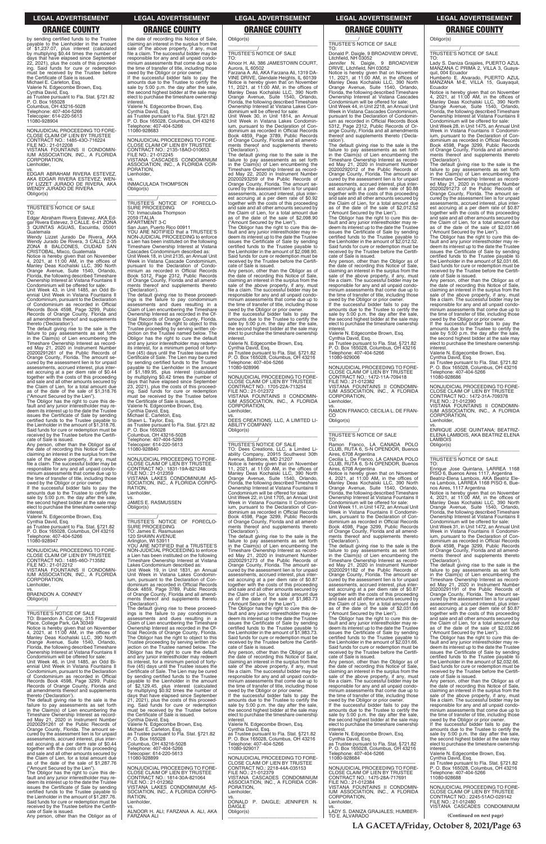**LA GACETA/Friday, October 8, 2021/Page 63**

**LEGAL ADVERTISEMENT LEGAL ADVERTISEMENT LEGAL ADVERTISEMENT LEGAL ADVERTISEMENT LEGAL ADVERTISEMENT**

# **ORANGE COUNTY ORANGE COUNTY ORANGE COUNTY ORANGE COUNTY ORANGE COUNTY**

by sending certified funds to the Trustee payable to the Lienholder in the amount of \$1,237.07, plus interest (calculated by multiplying \$0.44 times the number of days that have elapsed since September 22, 2021), plus the costs of this proceed-ing. Said funds for cure or redemption must be received by the Trustee before the Certificate of Sale is issued. Michael E. Carleton, Esq. Valerie N. Edgecombe Brown, Esq. Cynthia David, Esq. as Trustee pursuant to Fla. Stat. §721.82 P. O. Box 165028 Columbus, OH 43216-5028 Telephone: 407-404-5266 Telecopier: 614-220-5613 11080-928904 —————————————————— NONJUDICIAL PROCEEDING TO FORE-

CLOSE CLAIM OF LIEN BY TRUSTEE CONTRACT NO.: 1485-43O-716224 FILE NO.: 21-012208 VISTANA FOUNTAINS II CONDOMIN-IUM ASSOCIATION, INC., A FLORIDA CORPORATION, Lienholder,

vs. EDGAR ABRAHAM RIVERA ESTEVEZ, AKA EDGAR RIVERA ESTEVEZ; WEN-DY LIZZET JURADO DE RIVERA, AKA WENDY JURADO DE RIVERA Obligor(s)

 $\overline{\phantom{a}}$  , and the set of the set of the set of the set of the set of the set of the set of the set of the set of the set of the set of the set of the set of the set of the set of the set of the set of the set of the s

\_\_\_\_\_\_\_\_\_\_\_/ TRUSTEE'S NOTICE OF SALE

TO: Edgar Abraham Rivera Estevez, AKA Edgar Rivera Estevez, 3 CALLE. 6-41 ZONA 3 QUINTAS AGUAS, Escuintla, 05001 Guatemala

failure to pay assessments as set forth in the Claim(s) of Lien encumbering the Timeshare Ownership Interest as record-ed May 21, 2020 in Instrument Number 20200291261 of the Public Records of Orange County, Florida. The amount se-cured by the assessment lien is for unpaid assessments, accrued interest, plus interest accruing at a per diem rate of \$0.44 together with the costs of this proceeding and sale and all other amounts secured by the Claim of Lien, for a total amount due as of the date of the sale of \$1,318.76

Wendy Lizzet Jurado De Rivera, AKA Wendy Jurado De Rivera, 3 CALLE 2-35 ZONA 8 BALCONES, CIUDAD SAN

CRISTOBAL, Mixco, Guatemala Notice is hereby given that on November 4, 2021, at 11:00 AM, in the offices of Manley Deas Kochalski LLC, 390 North Orange Avenue, Suite 1540, Orlando, Florida, the following described Timeshare Ownership Interest at Vistana Fountains II Condominium will be offered for sale: Unit Week 43, in Unit 1485, an Odd Bi-

—————————————————— NONJUDICIAL PROCEEDING TO FORE-CLOSE CLAIM OF LIEN BY TRUSTEE CONTRACT NO.: 1485-46O-713582 FILE NO.: 21-012212 VISTANA FOUNTAINS II CONDOMIN-IUM ASSOCIATION, INC., A FLORIDA CORPORATION, Lienholder,

ennial Unit Week in Vistana Fountains II Condominium, pursuant to the Declaration of Condominium as recorded in Official Records Book 4598, Page 3299, Public Records of Orange County, Florida and all amendments thereof and supplements thereto ('Declaration'). The default giving rise to the sale is the

 $\overline{\phantom{a}}$  , and the set of the set of the set of the set of the set of the set of the set of the set of the set of the set of the set of the set of the set of the set of the set of the set of the set of the set of the s \_\_\_\_\_\_\_\_\_\_\_/ TRUSTEE'S NOTICE OF SALE

("Amount Secured by the Lien"). The Obligor has the right to cure this de-fault and any junior interestholder may redeem its interest up to the date the Trustee issues the Certificate of Sale by sending certified funds to the Trustee payable to the Lienholder in the amount of \$1,318.76. Said funds for cure or redemption must be received by the Trustee before the Certifi-

cate of Sale is issued. Any person, other than the Obligor as of the date of recording this Notice of Sale, claiming an interest in the surplus from the sale of the above property, if any, must file a claim. The successful bidder may be responsible for any and all unpaid condo-minium assessments that come due up to the time of transfer of title, including those

### \_\_\_\_\_\_\_\_\_\_\_\_/<br>TRUSTEE'S NOTICE OF FORECLO-SURE PROCEEDING TO: Inmaculada Thompson 2059 ITALIA

owed by the Obligor or prior owner. If the successful bidder fails to pay the amounts due to the Trustee to certify the sale by 5:00 p.m. the day after the sale, the second highest bidder at the sale may elect to purchase the timeshare ownership interest.

Valerie N. Edgecombe Brown, Esq. Cynthia David, Esq.

as Trustee pursuant to Fla. Stat. §721.82 P. O. Box 165028, Columbus, OH 43216 Telephone: 407-404-5266 11080-928947

vs. BRAENDON A. CONNEY Obligor(s)

\_\_\_\_\_\_\_\_\_\_\_\_/<br>TRUSTEE'S NOTICE OF FORECLO-SURE PROCEEDING TO: James E. Rasmussen 120 SHAWN AVENUE

the date of recording this Notice of Sale, claiming an interest in the surplus from the sale of the above property, if any, must file a claim. The successful bidder may be responsible for any and all unpaid condominium assessments that come due up to the time of transfer of title, including those owed by the Obligor or prior owner. If the successful bidder fails to pay the amounts due to the Trustee to certify the sale by 5:00 p.m. the day after the sale,

the second highest bidder at the sale may elect to purchase the timeshare ownership interest.

Valerie N. Edgecombe Brown, Esq. Cynthia David, Esq. as Trustee pursuant to Fla. Stat. §721.82 P. O. Box 165028, Columbus, OH 43216 Telephone: 407-404-5266 11080-928683

> owed by the Obligor or prior owner. If the successful bidder fails to pay the amounts due to the Trustee to certify the sale by 5:00 p.m. the day after the sale, the second highest bidder at the sale may elect to purchase the timeshare ownership interest

—————————————————— NONJUDICIAL PROCEEDING TO FORE-CLOSE CLAIM OF LIEN BY TRUSTEE CONTRACT NO.: 2135-18AO-010653 FILE NO.: 21-012245 VISTANA CASCADES CONDOMINIUM ASSOCIATION, INC., A FLORIDA COR-PORATION, Lienholder,

> eroc..<br>alerie N. Edgecombe Brown, Esq. Cynthia David, Esq.

vs. INMACULADA THOMPSON Obligor(s) \_\_\_\_\_\_\_\_\_\_\_\_\_\_\_\_\_\_\_\_\_\_\_\_\_\_\_\_\_\_\_\_\_

> vs. DEES CREATIONS, LLC, A LIMITED LI-ABILITY COMPANY<br>Obligor(s)<br>————————————————————

APARTMENT 3-C

San Juan, Puerto Rico 00911 YOU ARE NOTIFIED that a TRUSTEE'S NON-JUDICIAL PROCEEDING to enforce a Lien has been instituted on the following Timeshare Ownership Interest at Vistana

Cascades Condominium described as: Unit Week 18, in Unit 2135, an Annual Unit Week in Vistana Cascade Condominium, pursuant to the Declaration of Condo-minium as recorded in Official Records Book 5312, Page 2312, Public Records of Orange County, Florida and all amend-ments thereof and supplements thereto ('Declaration').

> The Obligor has the right to cure this default and any junior interestholder may redeem its interest up to the date the Trustee

The default giving rise to these proceed-ings is the failure to pay condominium assessments and dues resulting in a Claim of Lien encumbering the Timeshare Ownership Interest as recorded in the Of-ficial Records of Orange County, Florida. The Obligor has the right to object to this Trustee proceeding by serving written ob-jection on the Trustee named below. The Obligor has the right to cure the default and any junior interestholder may redeem its interest, for a minimum period of fortyfive (45) days until the Trustee issues the Certificate of Sale. The Lien may be cured by sending certified funds to the Trustee payable to the Lienholder in the amount of \$1,189.95, plus interest (calculated by multiplying \$0.42 times the number of days that have elapsed since September 23, 2021), plus the costs of this proceed-ing. Said funds for cure or redemption must be received by the Trustee before the Certificate of Sale is issued. Valerie N. Edgecombe Brown, Esq. Cynthia David, Esq. Michael E. Carleton, Esq. Shawn L. Taylor, Esq. as Trustee pursuant to Fla. Stat. §721.82 P. O. Box 165028 Columbus, OH 43216-5028

Telephone: 407-404-5266 Telecopier: 614-220-5613 11080-928840

—————————————————— NONJUDICIAL PROCEEDING TO FORE-CLOSE CLAIM OF LIEN BY TRUSTEE CONTRACT NO.: 1831-19A-821248 FILE NO.: 21-012359 VISTANA LAKES CONDOMINIUM AS-SOCIATION, INC., A FLORIDA CORPO-RATION, Lienholder,

vs. JAMES E. RASMUSSEN Obligor(s) \_\_\_\_\_\_\_\_\_\_\_\_\_\_\_\_\_\_\_\_\_\_\_\_\_\_\_\_\_\_\_\_\_

Arlington, WI 53911 YOU ARE NOTIFIED that a TRUSTEE'S NON-JUDICIAL PROCEEDING to enforce a Lien has been instituted on the following Timeshare Ownership Interest at Vistana Lakes Condominium described as: Unit Week 19, in Unit 1831, an Annual Unit Week in Vistana Lakes Condomin-ium, pursuant to the Declaration of Condominium as recorded in Official Records Book 4859, Page 3789, Public Records of Orange County, Florida and all amendments thereof and supplements thereto

('Declaration'). The default giving rise to these proceedings is the failure to pay condominium assessments and dues resulting in a

Obligor(s)

\_\_\_\_\_\_\_\_\_\_\_\_\_\_\_\_\_\_\_\_\_\_\_\_\_\_\_\_\_\_\_\_\_

\_\_\_\_\_\_\_\_\_\_\_/ TRUSTEE'S NOTICE OF SALE TO:

Alnoor H. Ali, 386 JAMESTOWN COURT,

Aurora, IL 60502 Farzana A. Ali, AKA Farzana Ali, 1319 DA-VINE DRIVE, Glendale Heights, IL 60139 Notice is hereby given that on November 11, 2021, at 11:00 AM, in the offices of Manley Deas Kochalski LLC, 390 North Orange Avenue, Suite 1540, Orlando, Florida, the following described Timeshare Ownership Interest at Vistana Lakes Con-

dominium will be offered for sale: Unit Week 30, in Unit 1814, an Annual Unit Week in Vistana Lakes Condomin-ium, pursuant to the Declaration of Con-dominium as recorded in Official Records Book 4859, Page 3789, Public Records of Orange County, Florida and all amend-ments thereof and supplements thereto ('Declaration'). The default giving rise to the sale is the

failure to pay assessments as set forth in the Claim(s) of Lien encumbering the Timeshare Ownership Interest as record-ed May 22, 2020 in Instrument Number 20200293259 of the Public Records of Orange County, Florida. The amount se-cured by the assessment lien is for unpaid assessments, accrued interest, plus interest accruing at a per diem rate of \$0.92 together with the costs of this proceeding and sale and all other amounts secured by the Claim of Lien, for a total amount due as of the date of the sale of \$2,098.90

> —————————————————— NONJUDICIAL PROCEEDING TO FORE-CLOSE CLAIM OF LIEN BY TRUSTEE CONTRACT NO.: 1472-31A-709378 FILE NO.: 21-012390 VISTANA FOUNTAINS II CONDOMIN-IUM ASSOCIATION, INC., A FLORIDA CORPORATION,

("Amount Secured by the Lien"). The Obligor has the right to cure this de-fault and any junior interestholder may redeem its interest up to the date the Trustee issues the Certificate of Sale by sending certified funds to the Trustee payable to the Lienholder in the amount of \$2,098.90. aid funds for cure or redemption must be received by the Trustee before the Certifi-

> na Lambois, LARREA 1168 PISO 6, Bue-<br>nos Aires, 1117 Argentina<br>Notice is hereby given that on November<br>4, 2021, at 11:00 AM, in the offices of<br>Manley Deas Kochalski LLC, 390 North<br>Orange Avenue, Suite 1540, Orlando, Florida, the following described Timeshare Ownership Interest at Vistana Fountains II Condominium will be offered for sale:

cate of Sale is issued. Any person, other than the Obligor as of the date of recording this Notice of Sale, claiming an interest in the surplus from the sale of the above property, if any, must file a claim. The successful bidder may be responsible for any and all unpaid condo-minium assessments that come due up to the time of transfer of title, including those

as Trustee pursuant to Fla. Stat. §721.82 P. O. Box 165028, Columbus, OH 43216 Telephone: 407-404-5266 11080-928996

—————————————————— NONJUDICIAL PROCEEDING TO FORE-CLOSE CLAIM OF LIEN BY TRUSTEE CONTRACT NO.: 1705-22A-713254 FILE NO.: 21-012372 VISTANA FOUNTAINS II CONDOMIN-IUM ASSOCIATION, INC., A FLORIDA CORPORATION, Lienholder,

\_\_\_\_\_\_\_\_\_\_\_/ TRUSTEE'S NOTICE OF SALE

TO: Dees Creations, LLC, a Limited Liability Company, 20915 Southwest 30th Avenue, Baltimore, MD 21207 Notice is hereby given that on November 11, 2021, at 11:00 AM, in the offices of Manley Deas Kochalski LLC, 390 North Orange Avenue, Suite 1540, Orlando, Florida, the following described Timeshare Ownership Interest at Vistana Fountains II Condominium will be offered for sale: Unit Week 22, in Unit 1705, an Annual Unit Week in Vistana Fountains II Condomin-ium, pursuant to the Declaration of Condominium as recorded in Official Records Book 4598, Page 3299, Public Records of Orange County, Florida and all amendments thereof and supplements thereto ('Declaration'). The default giving rise to the sale is the

failure to pay assessments as set forth in the Claim(s) of Lien encumbering the Timeshare Ownership Interest as recorded May 21, 2020 in Instrument Number 20200291273 of the Public Records of Orange County, Florida. The amount secured by the assessment lien is for unpaid assessments, accrued interest, plus inter-est accruing at a per diem rate of \$0.87 together with the costs of this proceeding and sale and all other amounts secured by the Claim of Lien, for a total amount due as of the date of the sale of \$1,983.73 ("Amount Secured by the Lien").

| TO: Braendon A. Conney, 315 Fitzgerald       | assessments and dues resulting in a          | deem its interest up to the date the Trustee   | The Obligor has the right to cure this de-     | and sale and all other amounts secured by      |
|----------------------------------------------|----------------------------------------------|------------------------------------------------|------------------------------------------------|------------------------------------------------|
| Place, College Park, GA 30349                | Claim of Lien encumbering the Timeshare      | issues the Certificate of Sale by sending      | fault and any junior interestholder may re-    | the Claim of Lien, for a total amount due      |
| Notice is hereby given that on November      | Ownership Interest as recorded in the Of-    | certified funds to the Trustee payable to      | deem its interest up to the date the Trustee   | as of the date of the sale of \$2,032.66       |
| 4. 2021. at 11:00 AM, in the offices of      | ficial Records of Orange County, Florida.    | the Lienholder in the amount of \$1,983.73.    | issues the Certificate of Sale by sending      | ("Amount Secured by the Lien").                |
| Manley Deas Kochalski LLC, 390 North         | The Obligor has the right to object to this  | Said funds for cure or redemption must be      | certified funds to the Trustee pavable to      | The Obligor has the right to cure this de-     |
| Orange Avenue, Suite 1540, Orlando,          | Trustee proceeding by serving written ob-    | received by the Trustee before the Certifi-    | the Lienholder in the amount of \$2,031.66.    | fault and any junior interestholder may re-    |
| Florida, the following described Timeshare   | jection on the Trustee named below. The      | cate of Sale is issued.                        | Said funds for cure or redemption must be      | deem its interest up to the date the Trustee   |
| Ownership Interest at Vistana Fountains II   | Obligor has the right to cure the default    | Any person, other than the Obligor as of       | received by the Trustee before the Certifi-    | issues the Certificate of Sale by sending      |
| Condominium will be offered for sale:        | and any junior interestholder may redeem     | the date of recording this Notice of Sale,     | cate of Sale is issued.                        | certified funds to the Trustee payable to      |
| Unit Week 46, in Unit 1485, an Odd Bi-       | its interest, for a minimum period of forty- | claiming an interest in the surplus from the   | Any person, other than the Obligor as of       | the Lienholder in the amount of \$2,032.66.    |
| ennial Unit Week in Vistana Fountains II     | five (45) days until the Trustee issues the  | sale of the above property, if any, must       | the date of recording this Notice of Sale.     | Said funds for cure or redemption must be      |
| Condominium, pursuant to the Declaration     | Certificate of Sale. The Lien may be cured   | file a claim. The successful bidder may be     | claiming an interest in the surplus from the   | received by the Trustee before the Certifi-    |
| of Condominium as recorded in Official       | by sending certified funds to the Trustee    | responsible for any and all unpaid condo-      | sale of the above property, if any, must       | cate of Sale is issued.                        |
| Records Book 4598, Page 3299, Public         | payable to the Lienholder in the amount      | minium assessments that come due up to         | file a claim. The successful bidder may be     | Any person, other than the Obligor as of       |
| Records of Orange County, Florida and        | of \$2,129.45, plus interest (calculated     | the time of transfer of title, including those | responsible for any and all unpaid condo-      | the date of recording this Notice of Sale,     |
| all amendments thereof and supplements       | by multiplying \$0.92 times the number of    | owed by the Obligor or prior owner.            | minium assessments that come due up to         | claiming an interest in the surplus from the   |
| thereto ('Declaration').                     | days that have elapsed since September       | If the successful bidder fails to pay the      | the time of transfer of title, including those | sale of the above property, if any, must       |
| The default giving rise to the sale is the   | 21, 2021), plus the costs of this proceed-   | amounts due to the Trustee to certify the      | owed by the Obligor or prior owner.            | file a claim. The successful bidder may be     |
| failure to pay assessments as set forth      | ing. Said funds for cure or redemption       | sale by 5:00 p.m. the day after the sale,      | If the successful bidder fails to pay the      | responsible for any and all unpaid condo-      |
| in the Claim(s) of Lien encumbering the      | must be received by the Trustee before       | the second highest bidder at the sale may      | amounts due to the Trustee to certify the      | minium assessments that come due up to         |
| Timeshare Ownership Interest as record-      | the Certificate of Sale is issued.           | elect to purchase the timeshare ownership      | sale by 5:00 p.m. the day after the sale,      | the time of transfer of title, including those |
| ed May 21, 2020 in Instrument Number         | Cynthia David, Esq.                          | interest.                                      | the second highest bidder at the sale may      | owed by the Obligor or prior owner.            |
| 20200291261 of the Public Records of         | Valerie N. Edgecombe Brown, Esq.             | Valerie N. Edgecombe Brown, Esg.               | elect to purchase the timeshare ownership      | If the successful bidder fails to pay the      |
| Orange County, Florida. The amount se-       | Michael E. Carleton, Esg.                    | Cynthia David, Esg.                            | interest.                                      | amounts due to the Trustee to certify the      |
| cured by the assessment lien is for unpaid   | as Trustee pursuant to Fla. Stat. §721.82    | as Trustee pursuant to Fla. Stat. §721.82      | Valerie N. Edgecombe Brown, Esq.               | sale by 5:00 p.m. the day after the sale,      |
| assessments, accrued interest, plus inter-   | P. O. Box 165028                             | P. O. Box 165028. Columbus, OH 43216           | Cynthia David, Esq.                            | the second highest bidder at the sale may      |
| est accruing at a per diem rate of \$0.44    | Columbus, OH 43216-5028                      | Telephone: 407-404-5266                        | as Trustee pursuant to Fla. Stat. §721.82      | elect to purchase the timeshare ownership      |
| together with the costs of this proceeding   | Telephone: 407-404-5266                      | 11080-929017                                   | P. O. Box 165028, Columbus, OH 43216           | interest.                                      |
| and sale and all other amounts secured by    | Telecopier: 614-220-5613                     |                                                | Telephone: 407-404-5266                        | Valerie N. Edgecombe Brown, Esq.               |
| the Claim of Lien, for a total amount due    | 11080-928899                                 | NONJUDICIAL PROCEEDING TO FORE-                | 11080-928684                                   | Cynthia David, Esq.                            |
| as of the date of the sale of \$1,287.76     |                                              | CLOSE CLAIM OF LIEN BY TRUSTEE                 |                                                | as Trustee pursuant to Fla. Stat. §721.82      |
| ("Amount Secured by the Lien").              | NONJUDICIAL PROCEEDING TO FORE-              | CONTRACT NO.: 2218-44A-035153                  | NONJUDICIAL PROCEEDING TO FORE-                | P. O. Box 165028, Columbus, OH 43216           |
| The Obligor has the right to cure this de-   | CLOSE CLAIM OF LIEN BY TRUSTEE               | FILE NO.: 21-012379                            | CLOSE CLAIM OF LIEN BY TRUSTEE                 | Telephone: 407-404-5266                        |
| fault and any junior interestholder may re-  | CONTRACT NO.: 1814-30A-821064                | VISTANA CASCADES CONDOMINIUM                   | CONTRACT NO.: 1475-28A-717691                  | 11080-928688                                   |
| deem its interest up to the date the Trustee | FILE NO.: 21-012362                          | ASSOCIATION. INC., A FLORIDA COR-              | FILE NO.: 21-012384                            |                                                |
| issues the Certificate of Sale by sending    | VISTANA LAKES CONDOMINIUM AS-                | PORATION.                                      | VISTANA FOUNTAINS II CONDOMIN-                 | NONJUDICIAL PROCEEDING TO FORE-                |
| certified funds to the Trustee payable to    | SOCIATION, INC., A FLORIDA CORPO-            | Lienholder,                                    | IUM ASSOCIATION, INC., A FLORIDA               | CLOSE CLAIM OF LIEN BY TRUSTEE                 |
| the Lienholder in the amount of \$1,287.76.  | RATION.                                      | VS.                                            | CORPORATION,                                   | CONTRACT NO.: 2245-51AO-029142                 |
| Said funds for cure or redemption must be    | Lienholder,                                  | DAIGLE: JENNIFER N.<br>DONALD P.               | Lienholder.                                    | FILE NO.: 21-012480                            |
| received by the Trustee before the Certifi-  | VS.                                          | <b>DAIGLE</b>                                  | vs.                                            | VISTANA CASCADES CONDOMINIUM                   |
| cate of Sale is issued.                      | ALNOOR H. ALI; FARZANA A. ALI, AKA           | Obligor(s)                                     | LADY S. DANIZA GRAJALES: HUMBER-               |                                                |
| Any person, other than the Obligor as of     | FARZANA ALI                                  |                                                | TO E. ALVARADO                                 | (Continued on next page)                       |

# \_\_\_\_\_\_\_\_\_\_\_/ TRUSTEE'S NOTICE OF SALE

TO:

Donald P. Daigle, 9 BROADVIEW DRIVE, Litchfield, NH 03052

Jennifer N. Daigle, 9 BROADVIEW DRIVE, Litchfield, NH 03052 Notice is hereby given that on November 11, 2021, at 11:00 AM, in the offices of Manley Deas Kochalski LLC, 390 North Orange Avenue, Suite 1540, Orlando, Florida, the following described Timeshare Ownership Interest at Vistana Cascades Condominium will be offered for sale:

Unit Week 44, in Unit 2218, an Annual Unit Week in Vistana Cascades Condominium, pursuant to the Declaration of Condominium as recorded in Official Records Book 5312, Page 2312, Public Records of Or-ange County, Florida and all amendments thereof and supplements thereto ('Decla-

ration'). The default giving rise to the sale is the failure to pay assessments as set forth in the Claim(s) of Lien encumbering the Timeshare Ownership Interest as recorded May 21, 2020 in Instrument Number 20200292012 of the Public Records of Orange County, Florida. The amount secured by the assessment lien is for unpaid assessments, accrued interest, plus est accruing at a per diem rate of \$0.88 together with the costs of this proceeding and sale and all other amounts secured by the Claim of Lien, for a total amount due as of the date of the sale of \$2,012.52 ("Amount Secured by the Lien"). The Obligor has the right to cure this de-

fault and any junior interestholder may re-deem its interest up to the date the Trustee issues the Certificate of Sale by sending certified funds to the Trustee payable to the Lienholder in the amount of \$2,012.52. Said funds for cure or redemption must be received by the Trustee before the Certifi-cate of Sale is issued. Any person, other than the Obligor as of

the date of recording this Notice of Sale, claiming an interest in the surplus from the sale of the above property, if any, must file a claim. The successful bidder may be responsible for any and all unpaid condo-minium assessments that come due up to the time of transfer of title, including those owed by the Obligor or prior owner. If the successful bidder fails to pay the

amounts due to the Trustee to certify the sale by 5:00 p.m. the day after the sale, the second highest bidder at the sale may elect to purchase the timeshare ownership

interest. Valerie N. Edgecombe Brown, Esq.

Cynthia David, Esq. as Trustee pursuant to Fla. Stat. §721.82 P. O. Box 165028, Columbus, OH 43216 Telephone: 407-404-5266 11080-929006

—————————————————— NONJUDICIAL PROCEEDING TO FORE-CLOSE CLAIM OF LIEN BY TRUSTEE CONTRACT NO.: 1472-11A-709418 FILE NO.: 21-012382 VISTANA FOUNTAINS II CONDOMIN-IUM ASSOCIATION, INC., A FLORIDA CORPORATION,

Lienholder,

vs. RAMON FRANCO; CECILIA L. DE FRAN-CO Obligor(s)

\_\_\_\_\_\_\_\_\_\_\_\_\_\_\_\_\_\_\_\_\_\_\_\_\_\_\_\_\_\_\_\_\_

\_\_\_\_\_\_\_\_\_\_\_/ TRUSTEE'S NOTICE OF SALE

TO: Ramon Franco, LA CANADA POLO CLUB, RUTA 6, S-N OPENDOR, Buenos Aires, 6708 Argentina Cecilia L. De Franco, LA CANADA POLO CLUB, RUTA 6, S-N OPENDOR, Buenos

Aires, 6708 Argentina Notice is hereby given that on November 4, 2021, at 11:00 AM, in the offices of Manley Deas Kochalski LLC, 390 North Orange Avenue, Suite 1540, Orlando, Florida, the following described Timeshare Ownership Interest at Vistana Fountains II Condominium will be offered for sale: Unit Week 11, in Unit 1472, an Annual Unit

Week in Vistana Fountains II Condomin-ium, pursuant to the Declaration of Con-dominium as recorded in Official Records Book 4598, Page 3299, Public Records of Orange County, Florida and all amend-ments thereof and supplements thereto

('Declaration'). The default giving rise to the sale is the failure to pay assessments as set forth in the Claim(s) of Lien encumbering the Timeshare Ownership Interest as record-ed May 21, 2020 in Instrument Number 20200291182 of the Public Records of Orange County, Florida. The amount se-cured by the assessment lien is for unpaid assessments, accrued interest, plus inter-est accruing at a per diem rate of \$0.87 together with the costs of this proceeding and sale and all other amounts secured by the Claim of Lien, for a total amount due as of the date of the sale of \$2,031.66

("Amount Secured by the Lien"). The Obligor has the right to cure this de-

Obligor(s) \_\_\_\_\_\_\_\_\_\_\_\_\_\_\_\_\_\_\_\_\_\_\_\_\_\_\_\_\_\_\_\_\_

\_\_\_\_\_\_\_\_\_\_\_/ TRUSTEE'S NOTICE OF SALE

TO: Lady S. Daniza Grajales, PUERTO AZUL MANZANA C PRIMA 2, VILLA 3, Guaya-quil, 004 Ecuador

Humberto E. Alvarado, PUERTO AZUL MANZANA M-E, VILLA 15, Guayaquil, Ecuador

Notice is hereby given that on November 4, 2021, at 11:00 AM, in the offices of Manley Deas Kochalski LLC, 390 North Orange Avenue, Suite 1540, Orlando, Florida, the following described Timeshare Ownership Interest at Vistana Fountains II

Condominium will be offered for sale: Unit Week 28, in Unit 1475, an Annual Unit Week in Vistana Fountains II Condominium, pursuant to the Declaration of Con-dominium as recorded in Official Records Book 4598, Page 3299, Public Records of Orange County, Florida and all amend-ments thereof and supplements thereto ('Declaration').

The default giving rise to the sale is the failure to pay assessments as set forth in the Claim(s) of Lien encumbering the Timeshare Ownership Interest as record-ed May 21, 2020 in Instrument Number 20200291273 of the Public Records of Orange County, Florida. The amount se-cured by the assessment lien is for unpaid assessments, accrued interest, plus interest accruing at a per diem rate of \$0.87 together with the costs of this proceeding and sale and all other amounts secured by the Claim of Lien, for a total amount due as of the date of the sale of \$2,031.66 ("Amount Secured by the Lien").

The Obligor has the right to cure this de-fault and any junior interestholder may re-deem its interest up to the date the Trustee issues the Certificate of Sale by sending certified funds to the Trustee payable to the Lienholder in the amount of \$2,031.66. Said funds for cure or redemption must be received by the Trustee before the Certifi-cate of Sale is issued.

Any person, other than the Obligor as of the date of recording this Notice of Sale, claiming an interest in the surplus from the sale of the above property, if any, must file a claim. The successful bidder may be responsible for any and all unpaid condominium assessments that come due up to the time of transfer of title, including those owed by the Obligor or prior owner.

If the successful bidder fails to pay the amounts due to the Trustee to certify the sale by 5:00 p.m. the day after the sale, the second highest bidder at the sale may elect to purchase the timeshare ownership interest.

Valerie N. Edgecombe Brown, Esq. Cynthia David, Esq. as Trustee pursuant to Fla. Stat. §721.82 P. O. Box 165028, Columbus, OH 43216 Telephone: 407-404-5266 11080-928686

Lienholder,

vs. ENRIQUE JOSE QUINTANA; BEATRIZ-ELENA LAMBOIS, AKA BEATRIZ ELENA LAMBOIS Obligor(s) \_\_\_\_\_\_\_\_\_\_\_\_\_\_\_\_\_\_\_\_\_\_\_\_\_\_\_\_\_\_\_\_\_

### \_\_\_\_\_\_\_\_\_\_\_/ TRUSTEE'S NOTICE OF SALE

TO: Enrique Jose Quintana, LARREA 1168 PISO 6, Buenos Aires 1117, Argentina Beatriz-Elena Lambois, AKA Beatriz Ele-

Unit Week 31, in Unit 1472, an Annual Unit Week in Vistana Fountains II Condomin-ium, pursuant to the Declaration of Condominium as recorded in Official Records Book 4598, Page 3299, Public Records of Orange County, Florida and all amendments thereof and supplements thereto

('Declaration'). The default giving rise to the sale is the failure to pay assessments as set forth in the Claim(s) of Lien encumbering the Timeshare Ownership Interest as recorded May 21, 2020 in Instrument Number 20200291191 of the Public Records of Orange County, Florida. The amount secured by the assessment lien is for unpaid assessments, accrued interest, plus inter-est accruing at a per diem rate of \$0.87 together with the costs of this proceeding and sale and all other amounts secured by the Claim of Lien, for a total amount due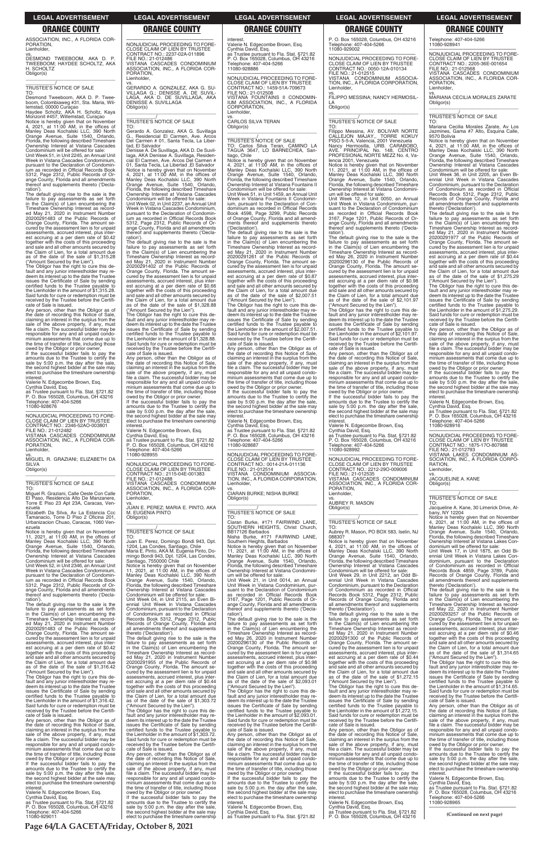**Page 64/LA GACETA/Friday, October 8, 2021**

### **LEGAL ADVERTISEMENT LEGAL ADVERTISEMENT LEGAL ADVERTISEMENT LEGAL ADVERTISEMENT LEGAL ADVERTISEMENT**

### **ORANGE COUNTY ORANGE COUNTY ORANGE COUNTY ORANGE COUNTY ORANGE COUNTY**

ASSOCIATION, INC., A FLORIDA COR-PORATION, Lienholder,

vs. DESMOND TWEEBOOM, AKA D. P. TWEEBOOM; HAYDEE SCHOLTZ, AKA H. SCHOLTZ Obligor(s)

\_\_\_\_\_\_\_\_\_\_\_\_\_\_\_\_\_\_\_\_\_\_\_\_\_\_\_\_\_\_\_\_\_

### \_\_\_\_\_\_\_\_\_\_\_/ TRUSTEE'S NOTICE OF SALE

TO: Desmond Tweeboom, AKA D. P. Twee-

boom, Colombiaweg #31, Sta. Maria, Wil-lemstad, 00000 Curaçao Haydee Scholtz, AKA H. Scholtz, Kaya Monzonit #457, Willemstad, Curaçao Notice is hereby given that on November<br>4, 2021, at 11:00 AM, in the offices of<br>Manley Deas Kochalski LLC, 390 North<br>Orange Avenue, Suite 1540, Orlando,<br>Florida, the following described Timeshare Ownership Interest at Vistana Cascades

Condominium will be offered for sale: Unit Week 51, in Unit 2245, an Annual Unit Week in Vistana Cascades Condominium, pursuant to the Declaration of Condomin-ium as recorded in Official Records Book 5312, Page 2312, Public Records of Orange County, Florida and all amendments thereof and supplements thereto ('Declaration').

The default giving rise to the sale is the failure to pay assessments as set forth in the Claim(s) of Lien encumbering the Timeshare Ownership Interest as record-ed May 21, 2020 in Instrument Number 20200291483 of the Public Records of Orange County, Florida. The amount se-cured by the assessment lien is for unpaid assessments, accrued interest, plus interest accruing at a per diem rate of \$0.42 together with the costs of this proceeding and sale and all other amounts secured by the Claim of Lien, for a total amount due as of the date of the sale of \$1,315.28

("Amount Secured by the Lien"). The Obligor has the right to cure this de-fault and any junior interestholder may redeem its interest up to the date the Trustee issues the Certificate of Sale by sending certified funds to the Trustee payable to the Lienholder in the amount of \$1,315.28. Said funds for cure or redemption must be received by the Trustee before the Certificate of Sale is issued.

Any person, other than the Obligor as of the date of recording this Notice of Sale,<br>claiming an interest in the surplus from the<br>sale of the above property, if any, must<br>file a claim. The successful bidder may be responsible for any and all unpaid condo-minium assessments that come due up to the time of transfer of title, including those owed by the Obligor or prior owner.

If the successful bidder fails to pay the amounts due to the Trustee to certify the sale by 5:00 p.m. the day after the sale, the second highest bidder at the sale may elect to purchase the timeshare ownership interest.

Valerie N. Edgecombe Brown, Esq. Cynthia David, Esq. as Trustee pursuant to Fla. Stat. §721.82 P. O. Box 165028, Columbus, OH 43216 Telephone: 407-404-5266 11080-928676

—————————————————— NONJUDICIAL PROCEEDING TO FORE-CLOSE CLAIM OF LIEN BY TRUSTEE CONTRACT NO.: 2346-52AO-003801 FILE NO.: 21-012482 VISTANA CASCADES CONDOMINIUM ASSOCIATION, INC., A FLORIDA COR-PORATION, Lienholder,

vs. MIGUEL R. GRAZIANI; ELIZABETH DA SILVA Obligor(s)

\_\_\_\_\_\_\_\_\_\_\_\_\_\_\_\_\_\_\_\_\_\_\_\_\_\_\_\_\_\_\_\_\_

### \_\_\_\_\_\_\_\_\_\_\_/ TRUSTEE'S NOTICE OF SALE

TO: Miguel R. Graziani, Calle Oeste Con Calle El Paso, Residencia Alto De Manzanere, Torre E Piso 23 Apt 23A, Caracas, Venezuela

Elizabeth Da Silva, Av La Estancia Ccc Tamanacio, Torre D Piso 2 Oficina 201, Urbanizacion Chuao, Caracas, 1060 Venezuela

ration'). The default giving rise to the sale is the failure to pay assessments as set forth in the Claim(s) of Lien encumbering the Timeshare Ownership Interest as record-ed May 21, 2020 in Instrument Number 20200291402 of the Public Records of Orange County, Florida. The amount secured by the assessment lien is for unpaid assessments, accrued interest, plus interest accruing at a per diem rate of \$0.66 together with the costs of this proceeding and sale and all other amounts secured by the Claim of Lien, for a total amount due as of the date of the sale of \$1,328.88 Amount Secured by the Lien").

Notice is hereby given that on November 11, 2021, at 11:00 AM, in the offices of Manley Deas Kochalski LLC, 390 North Orange Avenue, Suite 1540, Orlando, Florida, the following described Timeshare Ownership Interest at Vistana Cascades Condominium will be offered for sale:

Unit Week 52, in Unit 2346, an Annual Unit Week in Vistana Cascades Condominium, pursuant to the Declaration of Condomin-ium as recorded in Official Records Book 5312, Page 2312, Public Records of Or-ange County, Florida and all amendments thereof and supplements thereto ('Decla-

—————————————————— NONJUDICIAL PROCEEDING TO FORE-CLOSE CLAIM OF LIEN BY TRUSTEE CONTRACT NO.: 2115-04E-001383 FILE NO.: 21-012488 VISTANA CASCADES CONDOMINIUM ASSOCIATION, INC., A FLORIDA COR-PORATION, **Lienholder** 

ration'). The default giving rise to the sale is the failure to pay assessments as set forth in the Claim(s) of Lien encumbering the Timeshare Ownership Interest as record-ed May 21, 2020 in Instrument Number 20200291483 of the Public Records of Orange County, Florida. The amount se-cured by the assessment lien is for unpaid assessments, accrued interest, plus inter-<br>est accruing at a per diem rate of \$0.42<br>together with the costs of this proceeding<br>and sale and all other amounts secured by<br>the Claim of Lien, for a total amount due<br>as of the d ("Amount Secured by the Lien"). The Obligor has the right to cure this default and any junior interestholder may re-deem its interest up to the date the Trustee issues the Certificate of Sale by sending certified funds to the Trustee payable to the Lienholder in the amount of \$1,316.42. Said funds for cure or redemption must be received by the Trustee before the Certificate of Sale is issued. Any person, other than the Obligor as of the date of recording this Notice of Sale, claiming an interest in the surplus from the sale of the above property, if any, must file a claim. The successful bidder may be responsible for any and all unpaid condominium assessments that come due up to the time of transfer of title, including those owed by the Obligor or prior owner. If the successful bidder fails to pay the amounts due to the Trustee to certify the sale by 5:00 p.m. the day after the sale, the second highest bidder at the sale may elect to purchase the timeshare ownership

interest. Valerie N. Edgecombe Brown, Esq. Cynthia David, Esq. as Trustee pursuant to Fla. Stat. §721.82 P. O. Box 165028, Columbus, OH 43216 Telephone: 407-404-5266 11080-929011

interest Valerie N. Edgecombe Brown, Esq. Cynthia David, Esq. as Trustee pursuant to Fla. Stat. §721.82 P. O. Box 165028, Columbus, OH 43216

# —————————————————— NONJUDICIAL PROCEEDING TO FORE-CLOSE CLAIM OF LIEN BY TRUSTEE CONTRACT NO.: 2237-02A-011896

FILE NO.: 21-012486 VISTANA CASCADES CONDOMINIUM ASSOCIATION, INC., A FLORIDA COR-PORATION, Lienholder,

vs. GERARDO A. GONZALEZ, AKA G. SU-VILLAGA G.; DENISSE A. DE SUVIL-LAGA, AKA D. DE SUVILLAGA, AKA DENISSE A. SUVILLAGA Obligor(s)

\_\_\_\_\_\_\_\_\_\_\_\_\_\_\_\_\_\_\_\_\_\_\_\_\_\_\_\_\_\_\_\_\_

Notice is hereby given that on November<br>4, 2021, at 11:00 AM, in the offices of<br>Manley Deas Kochalski LLC, 390 North<br>Orange Avenue, Suite 1540, Orlando,<br>Florida, the following described Timeshare<br>Ownership Interest at Vist Condominium will be offered for sale:

\_\_\_\_\_\_\_\_\_\_\_/ TRUSTEE'S NOTICE OF SALE TO:

Gerardo A. Gonzalez, AKA G. Suvillaga G., Residencial El Carmen, Ave. Arcos Del Carmen # 01, Santa Tecla, La Libertad, El Salvador

Denisse A. De Suvillaga, AKA D. De Suvil-laga, AKA Denisse A. Suvillaga, Residen-cial El Carmen, Ave. Arcos Del Carmen # 01, Santa Tecla, La Libertad ,El Salvador Notice is hereby given that on November 4, 2021, at 11:00 AM, in the offices of Manley Deas Kochalski LLC, 390 North Orange Avenue, Suite 1540, Orlando, Florida, the following described Timeshare Ownership Interest at Vistana Cascades

Condominium will be offered for sale: Unit Week 02, in Unit 2237, an Annual Unit Week in Vistana Cascades Condominium, pursuant to the Declaration of Condominium as recorded in Official Records Book 5312, Page 2312, Public Records of Or-ange County, Florida and all amendments thereof and supplements thereto ('Decla-

> cate of Sale is issued.<br>Any person, other than the Obligor as of Any person, other than the Obligor as of the date of recording this Notice of Sale, claiming an interest in the surplus from the sale of the above property, if any, must file a claim. The successful bidder may be responsible for any and all unpaid condominium assessments that come due up to the time of transfer of title, including those owed by the Obligor or prior owner.

ration') The default giving rise to the sale is the

The Obligor has the right to cure this default and any junior interestholder may re-<br>deem its interest up to the date the Trustee<br>issues the Certificate of Sale by sending<br>certified funds to the Trustee payable to the Lienholder in the amount of \$1,328.88. Said funds for cure or redemption must be received by the Trustee before the Certificate of Sale is issued.

Any person, other than the Obligor as of the date of recording this Notice of Sale, claiming an interest in the surplus from the sale of the above property, if any, must file a claim. The successful bidder may be responsible for any and all unpaid condominium assessments that come due up to the time of transfer of title, including those

> failure to pay assessments as set forth in the Claim(s) of Lien encumbering the Timeshare Ownership Interest as recorded May 26, 2020 in Instrument Number 20200296130 of the Public Records of Orange County, Florida. The amount secured by the assessment lien is for unpaid assessments, accrued interest, plus inter-est accruing at a per diem rate of \$0.98 together with the costs of this proceeding and sale and all other amounts secured by the Claim of Lien, for a total amount due as of the date of the sale of \$2,093.01 ("Amount Secured by the Lien"). The Obligor has the right to cure this default and any junior interestholder may redeem its interest up to the date the Trustee issues the Certificate of Sale by sending certified funds to the Trustee payable to the Lienholder in the amount of \$2,093.01. Said funds for cure or redemption must be received by the Trustee before the Certificate of Sale is issued. Any person, other than the Obligor as of the date of recording this Notice of Sale, claiming an interest in the surplus from the

owed by the Obligor or prior owner. If the successful bidder fails to pay the amounts due to the Trustee to certify the sale by 5:00 p.m. the day after the sale, the second highest bidder at the sale may elect to purchase the timeshare ownership

interest. Valerie N. Edgecombe Brown, Esq.

Cynthia David, Esq. as Trustee pursuant to Fla. Stat. §721.82 P. O. Box 165028, Columbus, OH 43216 Telephone: 407-404-5266 11080-928955

vs. JUAN E. PEREZ; MARIA E. PINTO, AKA M. EUGENIA PINTO Obligor(s) \_\_\_\_\_\_\_\_\_\_\_\_\_\_\_\_\_\_\_\_\_\_\_\_\_\_\_\_\_\_\_\_\_

### \_\_\_\_\_\_\_\_\_\_\_/ TRUSTEE'S NOTICE OF SALE

TO: Juan E. Perez, Domingo Bondi 943, Dpt. 1204, Las Condes, Santiago, Chile Maria E. Pinto, AKA M. Eugenia Pinto, Do-mingo Bondi 943, Dpt. 1204, Las Condes, Santiago, 7550000 Chile

Notice is hereby given that on November<br>11, 2021, at 11:00 AM, in the offices of<br>Manley Deas Kochalski LLC, 390 North<br>Orange Avenue, Suite 1540, Orlando,<br>Florida, the following described Timeshare<br>Ownership Interest at Vis

The default giving rise to the sale is the failure to pay assessments as set forth in the Claim(s) of Lien encumbering the Timeshare Ownership Interest as record-ed May 26, 2020 in Instrument Number 20200296130 of the Public Records of Orange County, Florida. The amount se-cured by the assessment lien is for unpaid assessments, accrued interest, plus interest accruing at a per diem rate of \$0.98 together with the costs of this proceeding and sale and all other amounts secured by the Claim of Lien, for a total amount due as of the date of the sale of \$2,101.97 ("Amount Secured by the Lien").

Condominium will be offered for sale: Unit Week 04, in Unit 2115, an Even Bi-ennial Unit Week in Vistana Cascades Condominium, pursuant to the Declaration of Condominium as recorded in Official Records Book 5312, Page 2312, Public Records of Orange County, Florida and all amendments thereof and supplements thereto ('Declaration'). The default giving rise to the sale is the failure to pay assessments as set forth in the Claim(s) of Lien encumbering the Timeshare Ownership Interest as recorded May 21, 2020 in Instrument Number 20200291955 of the Public Records of Orange County, Florida. The amount se-cured by the assessment lien is for unpaid assessments, accrued interest, plus interest accruing at a per diem rate of \$0.44 together with the costs of this proceeding and sale and all other amounts secured by the Claim of Lien, for a total amount due as of the date of the sale of \$1,303.72 ("Amount Secured by the Lien"). The Obligor has the right to cure this de-fault and any junior interestholder may re-deem its interest up to the date the Trustee issues the Certificate of Sale by sending certified funds to the Trustee payable to the Lienholder in the amount of \$1,303.72. Said funds for cure or redemption must be received by the Trustee before the Certificate of Sale is issued. Any person, other than the Obligor as of the date of recording this Notice of Sale, claiming an interest in the surplus from the sale of the above property, if any, must file a claim. The successful bidder may be responsible for any and all unpaid condominium assessments that come due up to the time of transfer of title, including those owed by the Obligor or prior owner. If the successful bidder fails to pay the amounts due to the Trustee to certify the sale by 5:00 p.m. the day after the sale, the second highest bidder at the sale may elect to purchase the timeshare ownership

If the successful bidder fails to pay amounts due to the Trustee to certify the sale by 5:00 p.m. the day after the sale, the second highest bidder at the sale may elect to purchase the timeshare ownership interest.

Telephone: 407-404-5266 11080-928886

—————————————————— NONJUDICIAL PROCEEDING TO FORE-CLOSE CLAIM OF LIEN BY TRUSTEE CONTRACT NO.: 1459-51A-709673 FILE NO.: 21-012508 VISTANA FOUNTAINS II CONDOMIN-IUM ASSOCIATION, INC., A FLORIDA CORPORATION, Lienholder,

vs. CARLOS SILVA TERAN Obligor(s)

\_\_\_\_\_\_\_\_\_\_\_\_\_\_\_\_\_\_\_\_\_\_\_\_\_\_\_\_\_\_\_\_\_

# \_\_\_\_\_\_\_\_\_\_\_/ TRUSTEE'S NOTICE OF SALE TO: Carlos Silva Teran, CAMINO LA TAGUA 3647, LO BARNECHEA, San-tiago, Chile

Unit Week 51, in Unit 1459, an Annual Unit Week in Vistana Fountains II Condominium, pursuant to the Declaration of Condominium as recorded in Official Records Book 4598, Page 3299, Public Records of Orange County, Florida and all amendments thereof and supplements thereto ('Declaration').

The default giving rise to the sale is the failure to pay assessments as set forth in the Claim(s) of Lien encumbering the Timeshare Ownership Interest as recorded May 21, 2020 in Instrument Number 20200291261 of the Public Records of Orange County, Florida. The amount se-cured by the assessment lien is for unpaid assessments, accrued interest, plus interest accruing at a per diem rate of \$0.87 together with the costs of this proceeding and sale and all other amounts secured by the Claim of Lien, for a total amount due<br>as of the date of the sale of \$2,007.51<br>("Amount Secured by the Lien").<br>The Obligor has the right to cure this de-<br>fault and any junior interestholder may re-

> RATION, **Lienholder**

deem its interest up to the date the Trustee issues the Certificate of Sale by sending certified funds to the Trustee payable to the Lienholder in the amount of \$2,007.51. Said funds for cure or redemption must be received by the Trustee before the Certifi-

If the successful bidder fails to pay the amounts due to the Trustee to certify the sale by 5:00 p.m. the day after the sale, the second highest bidder at the sale may elect to purchase the timeshare ownership interest.

Valerie N. Edgecombe Brown, Esq.

Cynthia David, Esq. as Trustee pursuant to Fla. Stat. §721.82 P. O. Box 165028, Columbus, OH 43216 Telephone: 407-404-5266 11080-928687

—————————————————— NONJUDICIAL PROCEEDING TO FORE-CLOSE CLAIM OF LIEN BY TRUSTEE CONTRACT NO.: 0014-21A-011136 FILE NO.: 21-012514 VISTANA CONDOMINIUM ASSOCIA-TION, INC., A FLORIDA CORPORATION, Lienholder,

vs. CIARAN BURKE; NISHA BURKE Obligor(s) \_\_\_\_\_\_\_\_\_\_\_\_\_\_\_\_\_\_\_\_\_\_\_\_\_\_\_\_\_\_\_\_\_

### \_\_\_\_\_\_\_\_\_\_\_/ TRUSTEE'S NOTICE OF SALE

TO: Ciaran Burke, #171 FAIRWIND LANE, SOUTHERN HEIGHTS, Christ Church, BB17126 Barbados Nisha Burke, #171 FAIRWIND LANE,

Southern Heights, Barbados Notice is hereby given that on November 11, 2021, at 11:00 AM, in the offices of Manley Deas Kochalski LLC, 390 North Orange Avenue, Suite 1540, Orlando, Florida, the following described Timeshare Ownership Interest at Vistana Condomini-

um will be offered for sale: Unit Week 21, in Unit 0014, an Annual Unit Week in Vistana Condominium, pur-suant to the Declaration of Condominium as recorded in Official Records Book 3167, Page 1201, Public Records of Or-ange County, Florida and all amendments thereof and supplements thereto ('Decla-

sale of the above property, if any, must file a claim. The successful bidder may be responsible for any and all unpaid condominium assessments that come due up to the time of transfer of title, including those

owed by the Obligor or prior owner. If the successful bidder fails to pay the amounts due to the Trustee to certify the sale by 5:00 p.m. the day after the sale, the second highest bidder at the sale may elect to purchase the timeshare ownership

interest. Valerie N. Edgecombe Brown, Esq. Cynthia David, Esq. as Trustee pursuant to Fla. Stat. §721.82

P. O. Box 165028, Columbus, OH 43216 Telephone: 407-404-5266 11080-929002

—————————————————— NONJUDICIAL PROCEEDING TO FORE-CLOSE CLAIM OF LIEN BY TRUSTEE CONTRACT NO.: 0050-12A-010134 FILE NO.: 21-012515 VISTANA CONDOMINIUM ASSOCIA-TION, INC., A FLORIDA CORPORATION, Lienholder,

vs. FILIPPO MESSINA; NANCY HERMOSIL-LA

Obligor(s) \_\_\_\_\_\_\_\_\_\_\_\_\_\_\_\_\_\_\_\_\_\_\_\_\_\_\_\_\_\_\_\_\_

### \_\_\_\_\_\_\_\_\_\_\_/ TRUSTEE'S NOTICE OF SALE

TO: Filippo Messina, AV. BOLIVAR NORTE CALLEJON MAJAY,, TORRE KOKUY PISO 5-5-A, Valencia, 2001 Venezuela Nancy Hermosilla, URB. CARABOBO,<br>AVE. PRINCIPAL No. 148, CENTRO<br>PROFESIONALNORTE.MEZZ.No.4,Valencia 2001, Venezuela

Notice is hereby given that on November 11, 2021, at 11:00 AM, in the offices of Manley Deas Kochalski LLC, 390 North Orange Avenue, Suite 1540, Orlando, Florida, the following described Timeshare Ownership Interest at Vistana Condomini-

um will be offered for sale: Unit Week 12, in Unit 0050, an Annual Unit Week in Vistana Condominium, pursuant to the Declaration of Condominium as recorded in Official Records Book 3167, Page 1201, Public Records of Orange County, Florida and all amendments thereof and supplements thereto ('Declaration').

The Obligor has the right to cure this default and any junior interestholder may redeem its interest up to the date the Trustee issues the Certificate of Sale by sending certified funds to the Trustee payable to the Lienholder in the amount of \$2,101.97. Said funds for cure or redemption must be received by the Trustee before the Certifi-cate of Sale is issued.

Any person, other than the Obligor as of the date of recording this Notice of Sale, claiming an interest in the surplus from the sale of the above property, if any, must file a claim. The successful bidder may be responsible for any and all unpaid condo-minium assessments that come due up to the time of transfer of title, including those owed by the Obligor or prior owner. If the successful bidder fails to pay the

amounts due to the Trustee to certify the sale by 5:00 p.m. the day after the sale. the second highest bidder at the sale may elect to purchase the timeshare ownership interest.

Valerie N. Edgecombe Brown, Esq. Cynthia David, Esq. as Trustee pursuant to Fla. Stat. §721.82 P. O. Box 165028, Columbus, OH 43216 Telephone: 407-404-5266 11080-928992

—————————————————— NONJUDICIAL PROCEEDING TO FORE-CLOSE CLAIM OF LIEN BY TRUSTEE CONTRACT NO.: 2212-29O-009006 FILE NO.: 21-012535 VISTANA CASCADES CONDOMINIUM

ASSOCIATION, INC., A FLORIDA COR-PORATION, Lienholder,

vs. AUBREY R. MASON Obligor(s)

\_\_\_\_\_\_\_\_\_\_\_\_\_\_\_\_\_\_\_\_\_\_\_\_\_\_\_\_\_\_\_\_\_

### \_\_\_\_\_\_\_\_\_\_\_/ TRUSTEE'S NOTICE OF SALE

TO: Aubrey R. Mason, PO BOX 583, Iselin, NJ 08830?

Notice is hereby given that on November 4, 2021, at 11:00 AM, in the offices of Manley Deas Kochalski LLC, 390 North Orange Avenue, Suite 1540, Orlando, Florida, the following described Timeshare Ownership Interest at Vistana Cascades

Condominium will be offered for sale: Unit Week 29, in Unit 2212, an Odd Bi-ennial Unit Week in Vistana Cascades Condominium, pursuant to the Declaration of Condominium as recorded in Official Records Book 5312, Page 2312, Public Records of Orange County, Florida and all amendments thereof and supplements thereto ('Declaration').

The default giving rise to the sale is the

failure to pay assessments as set forth in the Claim(s) of Lien encumbering the Timeshare Ownership Interest as record-ed May 21, 2020 in Instrument Number 20200291300 of the Public Records of Orange County, Florida. The amount se-cured by the assessment lien is for unpaid assessments, accrued interest, plus interest accruing at a per diem rate of \$0.44 together with the costs of this proceeding and sale and all other amounts secured by the Claim of Lien, for a total amount due as of the date of the sale of \$1,272.15 ("Amount Secured by the Lien").

The Obligor has the right to cure this de-fault and any junior interestholder may redeem its interest up to the date the Trustee issues the Certificate of Sale by sending certified funds to the Trustee payable to the Lienholder in the amount of \$1,272.15. Said funds for cure or redemption must be received by the Trustee before the Certifi-cate of Sale is issued.

Any person, other than the Obligor as of the date of recording this Notice of Sale, claiming an interest in the surplus from the sale of the above property, if any, must file a claim. The successful bidder may be responsible for any and all unpaid condominium assessments that come due up to the time of transfer of title, including those owed by the Obligor or prior owner.

Valerie N. Edgecombe Brown, Esq. Cynthia David, Esq. as Trustee pursuant to Fla. Stat. §721.82

P. O. Box 165028, Columbus, OH 43216

Telephone: 407-404-5266 11080-928941

—————————————————— NONJUDICIAL PROCEEDING TO FORE-CLOSE CLAIM OF LIEN BY TRUSTEE CONTRACT NO.: 2205-36E-001654 FILE NO.: 21-012568 VISTANA CASCADES CONDOMINIUM

ASSOCIATION, INC., A FLORIDA COR-PORATION, Lienholder,

vs. MARIANA CECILIA MORALES ZARATE Obligor(s) \_\_\_\_\_\_\_\_\_\_\_\_\_\_\_\_\_\_\_\_\_\_\_\_\_\_\_\_\_\_\_\_\_

\_\_\_\_\_\_\_\_\_\_\_/ TRUSTEE'S NOTICE OF SALE

TO: Mariana Cecilia Morales Zarate, Av Los Jazmines, Gama #7 Alto, Esquina Calle, 9570 Bolivia

Notice is hereby given that on November 4, 2021, at 11:00 AM, in the offices of Manley Deas Kochalski LLC, 390 North Orange Avenue, Suite 1540, Orlando, Florida, the following described Timeshare Ownership Interest at Vistana Cascades Condominium will be offered for sale:

Unit Week 36, in Unit 2205, an Even Biennial Unit Week in Vistana Cascades Condominium, pursuant to the Declaration of Condominium as recorded in Official Records Book 5312, Page 2312, Public Records of Orange County, Florida and all amendments thereof and supplements thereto ('Declaration').

The default giving rise to the sale is the failure to pay assessments as set forth in the Claim(s) of Lien encumbering the Timeshare Ownership Interest as recorded May 21, 2020 in Instrument Number 20200291977 of the Public Records of Orange County, Florida. The amount secured by the assessment lien is for unpaid assessments, accrued interest, plus est accruing at a per diem rate of \$0.44 together with the costs of this proceeding and sale and all other amounts secured by the Claim of Lien, for a total amount due as of the date of the sale of \$1,275.29 ("Amount Secured by the Lien").

The Obligor has the right to cure this default and any junior interestholder may redeem its interest up to the date the Trustee issues the Certificate of Sale by sending certified funds to the Trustee payable to the Lienholder in the amount of \$1,275.29. Said funds for cure or redemption must be received by the Trustee before the Certifi-cate of Sale is issued.

Any person, other than the Obligor as of the date of recording this Notice of Sale, claiming an interest in the surplus from the sale of the above property, if any, must file a claim. The successful bidder may be responsible for any and all unpaid condominium assessments that come due up to the time of transfer of title, including those owed by the Obligor or prior owner. If the successful bidder fails to pay the amounts due to the Trustee to certify the sale by 5:00 p.m. the day after the sale, the second highest bidder at the sale may elect to purchase the timeshare ownership interest. Valerie N. Edgecombe Brown, Esq.

Cynthia David, Esq. as Trustee pursuant to Fla. Stat. §721.82 P. O. Box 165028, Columbus, OH 43216 Telephone: 407-404-5266

11080-928916

—————————————————— NONJUDICIAL PROCEEDING TO FORE-CLOSE CLAIM OF LIEN BY TRUSTEE CONTRACT NO.: 1875-17O-807988 FILE NO.: 21-012793 VISTANA LAKES CONDOMINIUM AS-SOCIATION, INC., A FLORIDA CORPO-

vs. JACQUELINE A. KANE

Obligor(s)

\_\_\_\_\_\_\_\_\_\_\_\_\_\_\_\_\_\_\_\_\_\_\_\_\_\_\_\_\_\_\_\_\_ \_\_\_\_\_\_\_\_\_\_\_/ TRUSTEE'S NOTICE OF SALE

TO: Jacqueline A. Kane, 30 Limerick Drive, Al-

bany, NY 12204

Notice is hereby given that on November 4, 2021, at 11:00 AM, in the offices of Manley Deas Kochalski LLC, 390 North Orange Avenue, Suite 1540, Orlando, Florida, the following described Timeshare

Ownership Interest at Vistana Lakes Con-dominium will be offered for sale: Unit Week 17, in Unit 1875, an Odd Bi-

ennial Unit Week in Vistana Lakes Con-dominium, pursuant to the Declaration of Condominium as recorded in Official Records Book 4859, Page 3789, Public Records of Orange County, Florida and all amendments thereof and supplements thereto ('Declaration'). The default giving rise to the sale is the failure to pay assessments as set forth in the Claim(s) of Lien encumbering the Timeshare Ownership Interest as recorded May 22, 2020 in Instrument Number

20200293257 of the Public Records of Orange County, Florida. The amount secured by the assessment lien is for unpaid assessments, accrued interest, plus est accruing at a per diem rate of \$0.46 together with the costs of this proceeding and sale and all other amounts secured by the Claim of Lien, for a total amount due as of the date of the sale of \$1,314.65 ("Amount Secured by the Lien").

The Obligor has the right to cure this default and any junior interestholder may re-<br>deem its interest up to the date the Trustee<br>issues the Certificate of Sale by sending<br>certified funds to the Trustee payable to the Lienholder in the amount of \$1,314.65. Said funds for cure or redemption must be received by the Trustee before the Certifi-

cate of Sale is issued. Any person, other than the Obligor as of the date of recording this Notice of Sale, claiming an interest in the surplus from the sale of the above property, if any, must file a claim. The successful bidder may be responsible for any and all unpaid condominium assessments that come due up to the time of transfer of title, including those owed by the Obligor or prior owner. If the successful bidder fails to pay the

amounts due to the Trustee to certify the sale by 5:00 p.m. the day after the sale, the second highest bidder at the sale may elect to purchase the timeshare ownership interest.

Valerie N. Edgecombe Brown, Esq.

Cynthia David, Esq. as Trustee pursuant to Fla. Stat. §721.82 P. O. Box 165028, Columbus, OH 43216 Telephone: 407-404-5266 11080-928965 ——————————————————

**(Continued on next page)**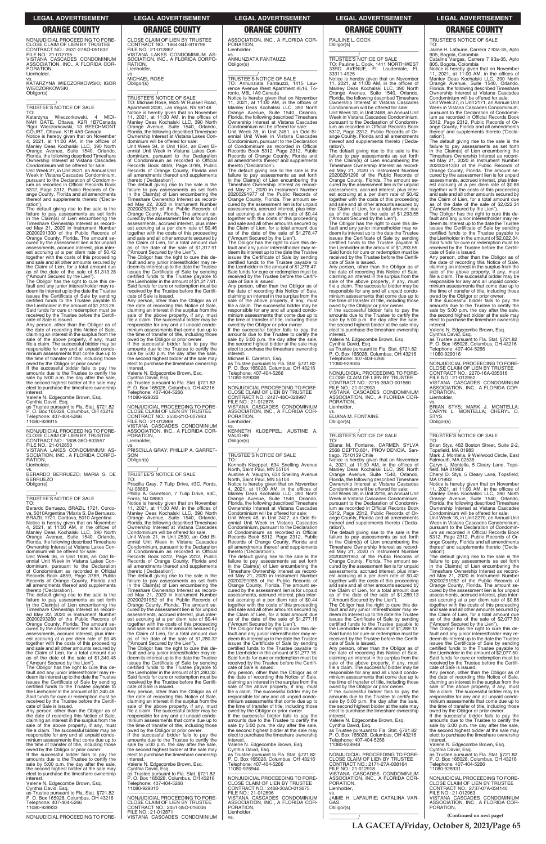**LA GACETA/Friday, October 8, 2021/Page 65**

**(Continued on next page)**

NONJUDICIAL PROCEEDING TO FORE-CLOSE CLAIM OF LIEN BY TRUSTEE CONTRACT NO.: 2631-27AO-051832 FILE NO.: 21-012795 VISTANA CASCADES CONDOMINIUM ASSOCIATION, INC., A FLORIDA COR-PORATION, Lienholder,

vs. KATARZYNA WIECZORKOWSKI; IGOR **WIECZORKOWSKI** Obligor(s) \_\_\_\_\_\_\_\_\_\_\_\_\_\_\_\_\_\_\_\_\_\_\_\_\_\_\_\_\_\_\_\_\_

### \_\_\_\_\_\_\_\_\_\_\_/ TRUSTEE'S NOTICE OF SALE

TO:<br>Katarzyna Katarzyna Wieczorkowski, 4 MIDI-NAH GATE, Ottawa, K2R 1B7Canada ?Igor Wieczorkowski, 13 BEECHMONT COURT, Ottawa, K1B 4A9 Canada<br>COURT, Ottawa, K1B 4A9 Canada

Notice is hereby given that on November<br>4, 2021, at 11:00 AM, in the offices of<br>Manley Deas Kochalski LLC, 390 North<br>Orange Avenue, Suite 1540, Orlando,<br>Florida, the following described Timeshare<br>Ownership Interest at Vist

Unit Week 27, in Unit 2631, an Annual Unit Week in Vistana Cascades Condominium, pursuant to the Declaration of Condominium as recorded in Official Records Book 5312, Page 2312, Public Records of Orange County, Florida and all amendments thereof and supplements thereto ('Declaration').

The default giving rise to the sale is the failure to pay assessments as set forth in the Claim(s) of Lien encumbering the Timeshare Ownership Interest as recorded May 21, 2020 in Instrument Number 20200291300 of the Public Records of Orange County, Florida. The amount secured by the assessment lien is for unpaid assessments, accrued interest, plus interest accruing at a per diem rate of \$0.42 together with the costs of this proceeding and sale and all other amounts secured by the Claim of Lien, for a total amount due as of the date of the sale of \$1,313.28 ("Amount Secured by the Lien").

RATION, Lienholder.

The Obligor has the right to cure this default and any junior interestholder may re-<br>deem its interest up to the date the Trustee<br>issues the Certificate of Sale by sending<br>certified funds to the Trustee payable to<br>the Lienholder in the amount of \$1,313.28. Said funds for cure or redemption must be received by the Trustee before the Certifi-cate of Sale is issued.

Any person, other than the Obligor as of the date of recording this Notice of Sale, claiming an interest in the surplus from the sale of the above property, if any, must file a claim. The successful bidder may be responsible for any and all unpaid condominium assessments that come due up to the time of transfer of title, including those

owed by the Obligor or prior owner. If the successful bidder fails to pay the amounts due to the Trustee to certify the sale by 5:00 p.m. the day after the sale, the second highest bidder at the sale may elect to purchase the timeshare ownership interest.

Valerie N. Edgecombe Brown, Esq.

Cynthia David, Esq. as Trustee pursuant to Fla. Stat. §721.82 P. O. Box 165028, Columbus, OH 43216 Telephone: 407-404-5266 11080-928915

—————————————————— NONJUDICIAL PROCEEDING TO FORE-CLOSE CLAIM OF LIEN BY TRUSTEE CONTRACT NO.: 1808-36O-803557 FILE NO.: 21-012850 VISTANA LAKES CONDOMINIUM AS-SOCIATION, INC., A FLORIDA CORPO-

vs. BERARDO BERRUEZO; MARIA S. DE BERRUEZO Obligor(s) \_\_\_\_\_\_\_\_\_\_\_\_\_\_\_\_\_\_\_\_\_\_\_\_\_\_\_\_\_\_\_\_\_

### \_\_\_\_\_\_\_\_\_\_\_/ TRUSTEE'S NOTICE OF SALE

TO: Berardo Berruezo, BRAZIL 1721, Cordova, 5010Argentina ?Maria S. De Berruezo,<br>BRAZIL 1721, Cordova, 5010 Argentina<br>Notice is hereby given that on November<br>4, 2021, at 11:00 AM, in the offices of<br>Manley Deas Kochalski LLC, 390 North<br>Orange Avenue, Suite 1540, Ownership Interest at Vistana Lakes Con-

dominium will be offered for sale: Unit Week 36, in Unit 1808, an Odd Bi-ennial Unit Week in Vistana Lakes Condominium, pursuant to the Declaration of Condominium as recorded in Official Records Book 4859, Page 3789, Public Records of Orange County, Florida and all amendments thereof and supplements thereto ('Declaration').

Any person, other than the Obligor as of the date of recording this Notice of Sale, claiming an interest in the surplus from the sale of the above property, if any, must file a claim. The successful bidder may be responsible for any and all unpaid condominium assessments that come due up to the time of transfer of title, including those

Notice is hereby given that on November<br>11, 2021, at 11:00 AM, in the offices of<br>Manley Deas Kochalski LLC, 390 North<br>Orange Avenue, Suite 1540, Orlando,<br>Florida, the following described Timeshare Ownership Interest at Vistana Cascades Condominium will be offered for sale:

The default giving rise to the sale is the failure to pay assessments as set forth in the Claim(s) of Lien encumbering the Timeshare Ownership Interest as record-ed May 22, 2020 in Instrument Number 30 of the Public R Orange County, Florida. The amount secured by the assessment lien is for unpaid assessments, accrued interest, plus interest accruing at a per diem rate of \$0.46 together with the costs of this proceeding and sale and all other amounts secured by the Claim of Lien, for a total amount due as of the date of the sale of \$1,340.48 ("Amount Secured by the Lien"). The Obligor has the right to cure this default and any junior interestholder may redeem its interest up to the date the Trustee issues the Certificate of Sale by sending certified funds to the Trustee payable to the Lienholder in the amount of \$1,340.48. Said funds for cure or redemption must be received by the Trustee before the Certificate of Sale is issued. Any person, other than the Obligor as of the date of recording this Notice of Sale, claiming an interest in the surplus from the sale of the above property, if any, must file a claim. The successful bidder may be responsible for any and all unpaid condominium assessments that come due up to the time of transfer of title, including those owed by the Obligor or prior owner. If the successful bidder fails to pay the amounts due to the Trustee to certify the sale by 5:00 p.m. the day after the sale, the second highest bidder at the sale may elect to purchase the timeshare ownership **interest** Valerie N. Edgecombe Brown, Esq. Cynthia David, Esq. as Trustee pursuant to Fla. Stat. §721.82 P. O. Box 165028, Columbus, OH 43216 Telephone: 407-404-5266 11080-928933

—————————————————— NONJUDICIAL PROCEEDING TO FORE-

ASSOCIATION, INC., A FLORIDA COR-PORATION, Lienholder,

CLOSE CLAIM OF LIEN BY TRUSTEE CONTRACT NO.: 1864-34E-819799 FILE NO.: 21-012867 VISTANA LAKES CONDOMINIUM AS-SOCIATION, INC., A FLORIDA CORPO-RATION, Lienholder,

vs. MICHAEL ROSE Obligor(s) \_\_\_\_\_\_\_\_\_\_\_\_\_\_\_\_\_\_\_\_\_\_\_\_\_\_\_\_\_\_\_\_\_

\_\_\_\_\_\_\_\_\_\_\_/ TRUSTEE'S NOTICE OF SALE TO: Michael Rose, 9625 W Russell Road, Apartment 2030, Las Vegas, NV 89148 Notice is hereby given that on November 11, 2021, at 11:00 AM, in the offices of Manley Deas Kochalski LLC, 390 North Orange Avenue, Suite 1540, Orlando, Florida, the following described Timeshare Ownership Interest at Vistana Lakes Con-

dominium will be offered for sale: Unit Week 34, in Unit 1864, an Even Bi-ennial Unit Week in Vistana Lakes Condominium, pursuant to the Declaration of Condominium as recorded in Official Records Book 4859, Page 3789, Public Records of Orange County, Florida and all amendments thereof and supplements thereto ('Declaration').

The default giving rise to the sale is the failure to pay assessments as set forth in the Claim(s) of Lien encumbering the Timeshare Ownership Interest as recorded May 22, 2020 in Instrument Number 20200293259 of the Public Records of Orange County, Florida. The amount secured by the assessment lien is for unpaid assessments, accrued interest, plus interest accruing at a per diem rate of \$0.46 together with the costs of this proceeding and sale and all other amounts secured by the Claim of Lien, for a total amount due as of the date of the sale of \$1,317.91 ("Amount Secured by the Lien").

The Obligor has the right to cure this de-fault and any junior interestholder may redeem its interest up to the date the Trustee issues the Certificate of Sale by sending certified funds to the Trustee payable to the Lienholder in the amount of \$1,317.91. Said funds for cure or redemption must be received by the Trustee before the Certificate of Sale is issued.

> The default giving rise to the sale is the failure to pay assessments as set forth in the Claim(s) of Lien encumbering the Timeshare Ownership Interest as record-ed May 21, 2020 in Instrument Number 20200291985 of the Public Records of Orange County, Florida. The amount secured by the assessment lien is for unpaid assessments, accrued interest, plus interest accruing at a per diem rate of \$0.44 together with the costs of this proceeding and sale and all other amounts secured by the Claim of Lien, for a total amount due of the date of the sale of  $$^{\circ}$ ("Amount Secured by the Lien"). The Obligor has the right to cure this default and any junior interestholder may re-deem its interest up to the date the Trustee issues the Certificate of Sale by sending certified funds to the Trustee payable to the Lienholder in the amount of \$1,277.16. Said funds for cure or redemption must be received by the Trustee before the Certifi-cate of Sale is issued. Any person, other than the Obligor as of the date of recording this Notice of Sale, claiming an interest in the surplus from the sale of the above property, if any, must file a claim. The successful bidder may be responsible for any and all unpaid condominium assessments that come due up to the time of transfer of title, including those owed by the Obligor or prior owner. If the successful bidder fails to pay the amounts due to the Trustee to certify the sale by 5:00 p.m. the day after the sale, the second highest bidder at the sale may elect to purchase the timeshare ownership<br>interest

owed by the Obligor or prior owner. If the successful bidder fails to pay the amounts due to the Trustee to certify the sale by 5:00 p.m. the day after the sale, the second highest bidder at the sale may elect to purchase the timeshare ownership interest.

Valerie N. Edgecombe Brown, Esq. Cynthia David, Esq. as Trustee pursuant to Fla. Stat. §721.82 P. O. Box 165028, Columbus, OH 43216 Telephone: 407-404-5266 11080-929022

—————————————————— NONJUDICIAL PROCEEDING TO FORE-CLOSE CLAIM OF LIEN BY TRUSTEE CONTRACT NO.: 2530-21O-007963 FILE NO.: 21-012869 VISTANA CASCADES CONDOMINIUM ASSOCIATION, INC., A FLORIDA COR-**PORATION** Lienholder,

vs. PRISCILLA GRAY; PHILLIP A. GARRET-SON Obligor(s) \_\_\_\_\_\_\_\_\_\_\_\_\_\_\_\_\_\_\_\_\_\_\_\_\_\_\_\_\_\_\_\_\_

### \_\_\_\_\_\_\_\_\_\_\_/ TRUSTEE'S NOTICE OF SALE

TO: Priscilla Gray, 7 Tulip Drive, #3C, Fords, NJ 08863

Phillip A. Garretson, 7 Tulip Drive, #3C, Fords, NJ 08863

Unit Week 21, in Unit 2530, an Odd Biennial Unit Week in Vistana Cascades Condominium, pursuant to the Declaration of Condominium as recorded in Official Records Book 5312, Page 2312, Public Records of Orange County, Florida and all amendments thereof and supplements thereto ('Declaration').

The Obligor has the right to cure this default and any junior interestholder may re-deem its interest up to the date the Trustee issues the Certificate of Sale by sending certified funds to the Trustee payable to the Lienholder in the amount of \$1,293.55. Said funds for cure or redemption must be received by the Trustee before the Certifi-cate of Sale is issued.

The default giving rise to the sale is the failure to pay assessments as set forth in the Claim(s) of Lien encumbering the Timeshare Ownership Interest as recorded May 21, 2020 in Instrument Number 20200291952 of the Public Records of Orange County, Florida. The amount secured by the assessment lien is for unpaid assessments, accrued interest, plus interest accruing at a per diem rate of \$0.44 together with the costs of this proceeding and sale and all other amounts secured by the Claim of Lien, for a total amount due as of the date of the sale of \$1,280.32 ("Amount Secured by the Lien"). The Obligor has the right to cure this de-fault and any junior interestholder may redeem its interest up to the date the Trustee issues the Certificate of Sale by sending certified funds to the Trustee payable to the Lienholder in the amount of \$1,280.32. Said funds for cure or redemption must be received by the Trustee before the Certificate of Sale is issued. Any person, other than the Obligor as of the date of recording this Notice of Sale, claiming an interest in the surplus from the sale of the above property, if any, must file a claim. The successful bidder may be responsible for any and all unpaid condominium assessments that come due up to the time of transfer of title, including those owed by the Obligor or prior owner. If the successful bidder fails to pay the amounts due to the Trustee to certify the sale by 5:00 p.m. the day after the sale, the second highest bidder at the sale may elect to purchase the timeshare ownership interest. Valerie N. Edgecombe Brown, Esq. Cynthia David, Esq. as Trustee pursuant to Fla. Stat. §721.82 P. O. Box 165028, Columbus, OH 43216 Telephone: 407-404-5266 11080-929010

Obligor(s) \_\_\_\_\_\_\_\_\_\_\_\_\_\_\_\_\_\_\_\_\_\_\_\_\_\_\_\_\_\_\_\_\_  $\overline{\phantom{a}}$ 

—————————————————— NONJUDICIAL PROCEEDING TO FORE-CLOSE CLAIM OF LIEN BY TRUSTEE CONTRACT NO.: 2451-35O-016006 FILE NO.: 21-012871 VISTANA CASCADES CONDOMINIUM

vs. ANNUNZIATA FANTAUZZI Obligor(s) \_\_\_\_\_\_\_\_\_\_\_\_\_\_\_\_\_\_\_\_\_\_\_\_\_\_\_\_\_\_\_\_\_

Notice is hereby given that on November<br>11, 2021, at 11:00 AM, in the offices of<br>Manley Deas Kochalski LLC, 390 North<br>Orange Avenue, Suite 1540, Orlando,<br>Florida, the following described Timeshare Ownership Interest at Vistana Cascades

\_\_\_\_\_\_\_\_\_\_\_/ TRUSTEE'S NOTICE OF SALE TO: Annunziata Fantauzzi, 1415 Lawrence Avenue West Apartment #516, To-

> The default giving rise to the sale is the failure to pay assessments as set forth in the Claim(s) of Lien encumbering the Timeshare Ownership Interest as recorded May 21, 2020 in Instrument Number 20200291300 of the Public Records of Orange County, Florida. The amount se-cured by the assessment lien is for unpaid assessments, accrued interest, plus interest accruing at a per diem rate of \$0.88 together with the costs of this proceeding and sale and all other amounts secured by the Claim of Lien, for a total amount due<br>as of the date of the sale of \$2,022.34<br>("Amount Secured by the Lien").<br>The Obligor has the right to cure this de-<br>fault and any junior interestholder may re-

ronto, M6L 1A9 Canada Notice is hereby given that on November<br>11, 2021, at 11:00 AM, in the offices of<br>Manley Deas Kochalski LLC, 390 North<br>Orange Avenue, Suite 1540, Orlando,<br>Florida, the following described Timeshare Ownership Interest at Vistana Cascades Condominium will be offered for sale:

Unit Week 35, in Unit 2451, an Odd Bi-ennial Unit Week in Vistana Cascades Condominium, pursuant to the Declaration of Condominium as recorded in Official Records Book 5312, Page 2312, Public Records of Orange County, Florida and all amendments thereof and supplements thereto ('Declaration').

The default giving rise to the sale is the failure to pay assessments as set forth in the Claim(s) of Lien encumbering the Timeshare Ownership Interest as recorded May 21, 2020 in Instrument Number 20200291977 of the Public Records of Orange County, Florida. The amount se-cured by the assessment lien is for unpaid assessments, accrued interest, plus interest accruing at a per diem rate of \$0.44 together with the costs of this proceeding and sale and all other amounts secured by the Claim of Lien, for a total amount due as of the date of the sale of \$1,278.47 ("Amount Secured by the Lien").

The Obligor has the right to cure this de-fault and any junior interestholder may redeem its interest up to the date the Trustee issues the Certificate of Sale by sending certified funds to the Trustee payable to the Lienholder in the amount of \$1,278.47. Said funds for cure or redemption must be received by the Trustee before the Certificate of Sale is issued.

Any person, other than the Obligor as of the date of recording this Notice of Sale, claiming an interest in the surplus from the sale of the above property, if any, must file a claim. The successful bidder may be responsible for any and all unpaid condominium assessments that come due up to the time of transfer of title, including those owed by the Obligor or prior owner. If the successful bidder fails to pay the

amounts due to the Trustee to certify the sale by 5:00 p.m. the day after the sale, the second highest bidder at the sale may elect to purchase the timeshare ownership interest.

> amounts due to the Trustee to certify the sale by 5:00 p.m. the day after the sale, the second highest bidder at the sale may elect to purchase the timeshare ownership<br>interest

Michael E. Carleton, Esq. as Trustee pursuant to Fla. Stat. §721.82 P. O. Box 165028, Columbus, OH 43216 Telephone: 407-404-5266 11080-929008

—————————————————— NONJUDICIAL PROCEEDING TO FORE-CLOSE CLAIM OF LIEN BY TRUSTEE CONTRACT NO.: 2427-48O-028997 FILE NO.: 21-012875 VISTANA CASCADES CONDOMINIUM ASSOCIATION, INC., A FLORIDA COR-PORATION, Lienholder,

vs. KENNETH KLOEPPEL; AUSTINE A. VAUGHN Obligor(s) \_\_\_\_\_\_\_\_\_\_\_\_\_\_\_\_\_\_\_\_\_\_\_\_\_\_\_\_\_\_\_\_\_

### \_\_\_\_\_\_\_\_\_\_\_/ TRUSTEE'S NOTICE OF SALE

TO: Kenneth Kloeppel, 634 Snelling Avenue North, Saint Paul, MN 55104 Austine A. Vaughn, 634 Snelling Avenue North, Saint Paul, MN 55104

Notice is hereby given that on November 4, 2021, at 11:00 AM, in the offices of Manley Deas Kochalski LLC, 390 North Orange Avenue, Suite 1540, Orlando, Florida, the following described Timeshare Ownership Interest at Vistana Cascades Condominium will be offered for sale:

Unit Week 48, in Unit 2427, an Odd Bi-ennial Unit Week in Vistana Cascades Condominium, pursuant to the Declaration of Condominium as recorded in Official Records Book 5312, Page 2312, Public Records of Orange County, Florida and all amendments thereof and supplements thereto ('Declaration').

interest. Valerie N. Edgecombe Brown, Esq. Cynthia David, Esq. as Trustee pursuant to Fla. Stat. §721.82 P. O. Box 165028, Columbus, OH 43216 Telephone: 407-404-5266 11080-928944

—————————————————— NONJUDICIAL PROCEEDING TO FORE-CLOSE CLAIM OF LIEN BY TRUSTEE CONTRACT NO.: 2468-30AO-013675 FILE NO.: 21-012896 VISTANA CASCADES CONDOMINIUM ASSOCIATION, INC., A FLORIDA COR-PORATION, Lienholder,

vs.

PAULINE L. COOK Obligor(s) \_\_\_\_\_\_\_\_\_\_\_\_\_\_\_\_\_\_\_\_\_\_\_\_\_\_\_\_\_\_\_\_\_

\_\_\_\_\_\_\_\_\_\_\_/ TRUSTEE'S NOTICE OF SALE TO: Pauline L. Cook, 1411 NORTHWEST 33RD AVENUE, Ft. Lauderdale, FL 33311-4926

Notice is hereby given that on November 11, 2021, at 11:00 AM, in the offices of Manley Deas Kochalski LLC, 390 North Orange Avenue, Suite 1540, Orlando, Florida, the following described Timeshare Ownership Interest at Vistana Cascades Condominium will be offered for sale:

Unit Week 30, in Unit 2468, an Annual Unit Week in Vistana Cascades Condominium, pursuant to the Declaration of Condominium as recorded in Official Records Book 5312, Page 2312, Public Records of Orange County, Florida and all amendments thereof and supplements thereto ('Declaration').

The default giving rise to the sale is the failure to pay assessments as set forth in the Claim(s) of Lien encumbering the Timeshare Ownership Interest as recorded May 21, 2020 in Instrument Number 20200291296 of the Public Records of Orange County, Florida. The amount secured by the assessment lien is for unpaid assessments, accrued interest, plus interest accruing at a per diem rate of \$0.42 together with the costs of this proceeding and sale and all other amounts secured by the Claim of Lien, for a total amount due as of the date of the sale of \$1,293.55 ("Amount Secured by the Lien").

Any person, other than the Obligor as of the date of recording this Notice of Sale, claiming an interest in the surplus from the sale of the above property, if any, must file a claim. The successful bidder may be responsible for any and all unpaid condominium assessments that come due up to the time of transfer of title, including those

owed by the Obligor or prior owner. If the successful bidder fails to pay the amounts due to the Trustee to certify the sale by 5:00 p.m. the day after the sale, the second highest bidder at the sale may elect to purchase the timeshare ownership interest.

Valerie N. Edgecombe Brown, Esq.

Cynthia David, Esq. as Trustee pursuant to Fla. Stat. §721.82 P. O. Box 165028, Columbus, OH 43216 Telephone: 407-404-5266 11080-929005

—————————————————— NONJUDICIAL PROCEEDING TO FORE-CLOSE CLAIM OF LIEN BY TRUSTEE CONTRACT NO.: 2216-39AO-001560 FILE NO.: 21-012903 VISTANA CASCADES CONDOMINIUM ASSOCIATION, INC., A FLORIDA COR-PORATION, Lienholder,

vs. ELIANA M. FONTAINE Obligor(s)

\_\_\_\_\_\_\_\_\_\_\_\_\_\_\_\_\_\_\_\_\_\_\_\_\_\_\_\_\_\_\_\_\_

Notice is hereby given that on November<br>4, 2021, at 11:00 AM, in the offices of<br>Manley Deas Kochalski LLC, 390 North<br>Orange Avenue, Suite 1540, Orlando,<br>Florida, the following described Timeshare<br>Ownership Interest at Vist

### \_\_\_\_\_\_\_\_\_\_\_/ TRUSTEE'S NOTICE OF SALE

TO: Eliana M. Fontaine, CARMEN SYLVA 2568 DEPTO.601, PROVIDENCIA, San-tiago, 7510139 Chile

Condominium will be offered for sale: Unit Week 39, in Unit 2216, an Annual Unit Week in Vistana Cascades Condominium, pursuant to the Declaration of Condominium as recorded in Official Records Book 5312, Page 2312, Public Records of Orange County, Florida and all amendments thereof and supplements thereto ('Declaration').

The default giving rise to the sale is the failure to pay assessments as set forth in the Claim(s) of Lien encumbering the Timeshare Ownership Interest as recorded May 21, 2020 in Instrument Number 20200291953 of the Public Records of Orange County, Florida. The amount secured by the assessment lien is for unpaid assessments, accrued interest, plus interest accruing at a per diem rate of \$0.42 together with the costs of this proceeding and sale and all other amounts secured by the Claim of Lien, for a total amount due as of the date of the sale of \$1,289.13 ("Amount Secured by the Lien").

The Obligor has the right to cure this de-fault and any junior interestholder may redeem its interest up to the date the Trustee issues the Certificate of Sale by sending certified funds to the Trustee payable to the Lienholder in the amount of \$1,289.13. Said funds for cure or redemption must be received by the Trustee before the Certificate of Sale is issued. Any person, other than the Obligor as of<br>the date of recording this Notice of Sale date of recording this Notice of Sale claiming an interest in the surplus from the sale of the above property, if any, must file a claim. The successful bidder may be responsible for any and all unpaid condominium assessments that come due up to the time of transfer of title, including those owed by the Obligor or prior owner. If the successful bidder fails to pay the amounts due to the Trustee to certify the sale by 5:00 p.m. the day after the sale, the second highest bidder at the sale may

elect to purchase the timeshare ownership interest. Valerie N. Edgecombe Brown, Esq.

Cynthia David, Esq. as Trustee pursuant to Fla. Stat. §721.82 P. O. Box 165028, Columbus, OH 43216

Telephone: 407-404-5266 11080-928948

—————————————————— NONJUDICIAL PROCEEDING TO FORE-CLOSE CLAIM OF LIEN BY TRUSTEE CONTRACT NO.: 2171-27A-008164 FILE NO.: 21-012918 VISTANA CASCADES CONDOMINIUM ASSOCIATION, INC., A FLORIDA COR-PORATION,

Lienholder,

vs. JAIME H. LAFAURIE; CATALINA VAR-GAS

### TRUSTEE'S NOTICE OF SALE

TO:

Jaime H. Lafaurie, Carrera 7 93a-35, Apto 805, Bogota, Colombia Catalina Vargas, Carrera 7 93a-35, Apto 805, Bogota, Colombia

Condominium will be offered for sale: Unit Week 27, in Unit 2171, an Annual Unit Week in Vistana Cascades Condominium, pursuant to the Declaration of Condomin-ium as recorded in Official Records Book 5312, Page 2312, Public Records of Orange County, Florida and all amendments thereof and supplements thereto ('Declaration').

deem its interest up to the date the Trustee issues the Certificate of Sale by sending certified funds to the Trustee payable to the Lienholder in the amount of \$2,022.34. Said funds for cure or redemption must be received by the Trustee before the Certificate of Sale is issued.

Any person, other than the Obligor as of the date of recording this Notice of Sale, claiming an interest in the surplus from the sale of the above property, if any, must file a claim. The successful bidder may be responsible for any and all unpaid condominium assessments that come due up to the time of transfer of title, including those

owed by the Obligor or prior owner. If the successful bidder fails to pay the amounts due to the Trustee to certify the sale by 5:00 p.m. the day after the sale, the second highest bidder at the sale may elect to purchase the timeshare ownership interest.

Valerie N. Edgecombe Brown, Esq.

Cynthia David, Esq. as Trustee pursuant to Fla. Stat. §721.82 P. O. Box 165028, Columbus, OH 43216 Telephone: 407-404-5266 11080-929016

—————————————————— NONJUDICIAL PROCEEDING TO FORE-CLOSE CLAIM OF LIEN BY TRUSTEE CONTRACT NO.: 2270-16A-035316

FILE NO.: 21-012952

VISTANA CASCADES CONDOMINIUM ASSOCIATION, INC., A FLORIDA COR-PORATION, Lienholder,

vs. BRIAN STYS; MARK J. MONTELLA; CARYN L. MONTELLA; CHERYL D. **STYS** Obligor(s)

\_\_\_\_\_\_\_\_\_\_\_\_\_\_\_\_\_\_\_\_\_\_\_\_\_\_\_\_\_\_\_\_\_

\_\_\_\_\_\_\_\_\_\_\_/ TRUSTEE'S NOTICE OF SALE

### TO: Brian Stys, 462 Boston Street, Suite 2-2, Topsfield, MA 01983

Mark J. Montella, 9 Wellwood Circle, East Falmouth, MA 02536

Caryn L. Montella, 5 Cleary Lane, Topsfield, MA 01983 Cheryl D. Stys, 5 Cleary Lane, Topsfield, MA 01983

Notice is hereby given that on November 11, 2021, at 11:00 AM, in the offices of Manley Deas Kochalski LLC, 390 North Orange Avenue, Suite 1540, Orlando, Florida, the following described Timeshare Ownership Interest at Vistana Cascades Condominium will be offered for sale: Unit Week 16, in Unit 2270, an Annual Unit Week in Vistana Cascades Condominium, pursuant to the Declaration of Condominum as recorded in Official Records Book 5312, Page 2312, Public Records of Orange County, Florida and all amendments thereof and supplements thereto ('Decla-

ration').

The default giving rise to the sale is the failure to pay assessments as set forth in the Claim(s) of Lien encumbering the Timeshare Ownership Interest as recorded May 21, 2020 in Instrument Number 20200291962 of the Public Records of Orange County, Florida. The amount secured by the assessment lien is for unpaid assessments, accrued interest, plus interest accruing at a per diem rate of \$0.88 together with the costs of this proceeding and sale and all other amounts secured by

the Claim of Lien, for a total amount due as of the date of the sale of ("Amount Secured by the Lien").

The Obligor has the right to cure this default and any junior interestholder may re-deem its interest up to the date the Trustee issues the Certificate of Sale by sending certified funds to the Trustee payable to the Lienholder in the amount of \$2,077.50. Said funds for cure or redemption must be received by the Trustee before the Certifi-cate of Sale is issued.

Any person, other than the Obligor as of the date of recording this Notice of Sale, claiming an interest in the surplus from the sale of the above property, if any, must file a claim. The successful bidder may be responsible for any and all unpaid condominium assessments that come due up to the time of transfer of title, including those owed by the Obligor or prior owner. If the successful bidder fails to pay the

interest. Valerie N. Edgecombe Brown, Esq. Cynthia David, Esq. as Trustee pursuant to Fla. Stat. §721.82 P. O. Box 165028, Columbus, OH 43216

Telephone: 407-404-5266 11080-928931

—————————————————— NONJUDICIAL PROCEEDING TO FORE-CLOSE CLAIM OF LIEN BY TRUSTEE CONTRACT NO.: 2737-07A-034140 FILE NO.: 21-012963 VISTANA CASCADES CONDOMINIUM ASSOCIATION, INC., A FLORIDA COR-PORATION,

**LEGAL ADVERTISEMENT LEGAL ADVERTISEMENT LEGAL ADVERTISEMENT LEGAL ADVERTISEMENT LEGAL ADVERTISEMENT**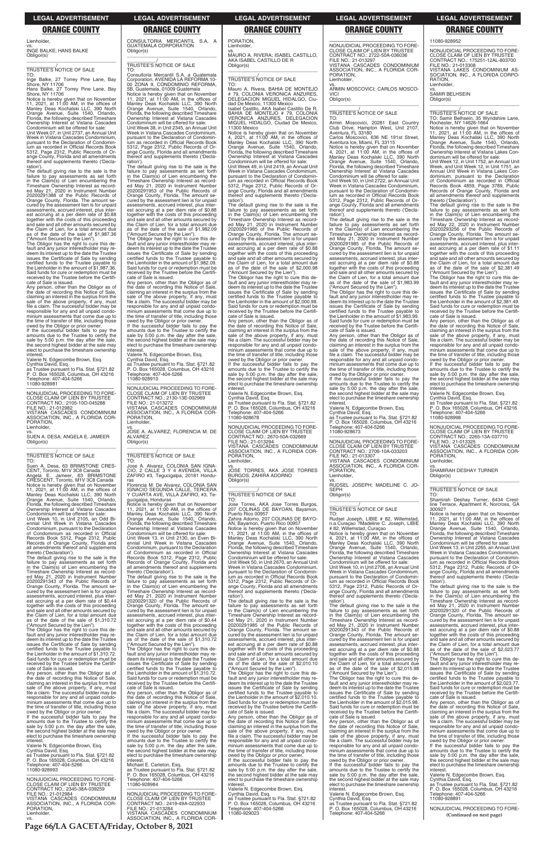**Page 66/LA GACETA/Friday, October 8, 2021**

### **LEGAL ADVERTISEMENT LEGAL ADVERTISEMENT LEGAL ADVERTISEMENT LEGAL ADVERTISEMENT LEGAL ADVERTISEMENT**

### **ORANGE COUNTY ORANGE COUNTY ORANGE COUNTY ORANGE COUNTY ORANGE COUNTY**

Lienholder,

vs. INGE BALKE; HANS BALKE Obligor(s)

\_\_\_\_\_\_\_\_\_\_\_\_\_\_\_\_\_\_\_\_\_\_\_\_\_\_\_\_\_\_\_\_\_

### \_\_\_\_\_\_\_\_\_\_\_/ TRUSTEE'S NOTICE OF SALE

TO: IO:<br>Inge Balke, 27 Torrey Pine Lane, Bay Shore, NY 11706 Hans Balke, 27 Torrey Pine Lane, Bay Shore, NY 11706

Notice is hereby given that on November 11, 2021, at 11:00 AM, in the offices of Manley Deas Kochalski LLC, 390 North Orange Avenue, Suite 1540, Orlando, Florida, the following described Timeshare Ownership Interest at Vistana Cascades

Condominium will be offered for sale: Unit Week 07, in Unit 2737, an Annual Unit Week in Vistana Cascades Condominium, pursuant to the Declaration of Condomin-ium as recorded in Official Records Book 5312, Page 2312, Public Records of Orange County, Florida and all amendments thereof and supplements thereto ('Declaration').

The default giving rise to the sale is the failure to pay assessments as set forth in the Claim(s) of Lien encumbering the Timeshare Ownership Interest as record-ed May 21, 2020 in Instrument Number 20200291388 of the Public Records of Orange County, Florida. The amount se-cured by the assessment lien is for unpaid assessments, accrued interest, plus interest accruing at a per diem rate of \$0.88 together with the costs of this proceeding and sale and all other amounts secured by the Claim of Lien, for a total amount due as of the date of the sale of \$1,987.36 ("Amount Secured by the Lien").

The Obligor has the right to cure this default and any junior interestholder may redeem its interest up to the date the Trustee issues the Certificate of Sale by sending certified funds to the Trustee payable to the Lienholder in the amount of \$1,987.36. Said funds for cure or redemption must be received by the Trustee before the Certificate of Sale is issued.

Any person, other than the Obligor as of the date of recording this Notice of Sale, claiming an interest in the surplus from the sale of the above property, if any, must file a claim. The successful bidder may be responsible for any and all unpaid condo-minium assessments that come due up to the time of transfer of title, including those owed by the Obligor or prior owner.

If the successful bidder fails to pay the amounts due to the Trustee to certify the sale by 5:00 p.m. the day after the sale, the second highest bidder at the sale may elect to purchase the timeshare ownership interest.

owed by the Obligor or prior owner. If the successful bidder fails to pay the amounts due to the Trustee to certify the sale by 5:00 p.m. the day after the sale, the second highest bidder at the sale may elect to purchase the timeshare ownership **interest** 

Valerie N. Edgecombe Brown, Esq. Cynthia David, Esq. as Trustee pursuant to Fla. Stat. §721.82 P. O. Box 165028, Columbus, OH 43216 Telephone: 407-404-5266 11080-928981

—————————————————— NONJUDICIAL PROCEEDING TO FORE-CLOSE CLAIM OF LIEN BY TRUSTEE CONTRACT NO.: 2105-10O-045288 FILE NO.: 21-012982 VISTANA CASCADES CONDOMINIUM ASSOCIATION, INC., A FLORIDA COR-PORATION, Lienholder,

vs. SUEN A. DESA; ANGELA E. JAMEER Obligor(s) \_\_\_\_\_\_\_\_\_\_\_\_\_\_\_\_\_\_\_\_\_\_\_\_\_\_\_\_\_\_\_\_\_

### \_\_\_\_\_\_\_\_\_\_\_/ TRUSTEE'S NOTICE OF SALE

TO: Suen A. Desa, 63 BRIMSTONE CRES-CENT, Toronto, M1V 3C8 Canada Angela E. Jameer, 63 BRIMSTONE CRESCENT, Toronto, M1V 3C8 Canada Notice is hereby given that on November 11, 2021, at 11:00 AM, in the offices of Manley Deas Kochalski LLC, 390 North Orange Avenue, Suite 1540, Orlando, Florida, the following described Timeshare Ownership Interest at Vistana Cascades Condominium will be offered for sale: Unit Week 10, in Unit 2105, an Odd Bi-ennial Unit Week in Vistana Cascades

Condominium, pursuant to the Declaration of Condominium as recorded in Official Records Book 5312, Page 2312, Public Records of Orange County, Florida and all amendments thereof and supplements thereto ('Declaration').

The default giving rise to the sale is the failure to pay assessments as set forth in the Claim(s) of Lien encumbering the Timeshare Ownership Interest as recorded May 21, 2020 in Instrument Number 20200291343 of the Public Records of Orange County, Florida. The amount se-cured by the assessment lien is for unpaid assessments, accrued interest, plus interest accruing at a per diem rate of \$0.44 together with the costs of this proceeding and sale and all other amounts secured by

the Claim of Lien, for a total amount due

as of the date of the sale of \$1,310.72 ("Amount Secured by the Lien").

The Obligor has the right to cure this default and any junior interestholder may redeem its interest up to the date the Trustee issues the Certificate of Sale by sending certified funds to the Trustee payable to the Lienholder in the amount of \$1,310.72. Said funds for cure or redemption must be received by the Trustee before the Certificate of Sale is issued.

Any person, other than the Obligor as of date of recording this Notice of Sale, claiming an interest in the surplus from the sale of the above property, if any, must file a claim. The successful bidder may be responsible for any and all unpaid condominium assessments that come due up to the time of transfer of title, including those

Valerie N. Edgecombe Brown, Esq. Cynthia David, Esq. as Trustee pursuant to Fla. Stat. §721.82 P. O. Box 165028, Columbus, OH 43216 Telephone: 407-404-5266 11080-928993

The default giving rise to the sale is the failure to pay assessments as set forth in the Claim(s) of Lien encumbering the Timeshare Ownership Interest as record-ed May 21, 2020 in Instrument Number 20200291320 of the Public Records of Orange County, Florida. The amount secured by the assessment lien is for unpaid assessments, accrued interest, plus interest accruing at a per diem rate of \$0.44 together with the costs of this proceeding and sale and all other amounts secured by the Claim of Lien, for a total amount due as of the date of the sale of \$1,310.72 ("Amount Secured by the Lien"). The Obligor has the right to cure this default and any junior interestholder may redeem its interest up to the date the Trustee issues the Certificate of Sale by sending certified funds to the Trustee payable to the Lienholder in the amount of \$1,310.72. Said funds for cure or redemption must be received by the Trustee before the Certificate of Sale is issued. Any person, other than the Obligor as of the date of recording this Notice of Sale, claiming an interest in the surplus from the sale of the above property, if any, must file a claim. The successful bidder may be responsible for any and all unpaid condo-minium assessments that come due up to the time of transfer of title, including those owed by the Obligor or prior owner. If the successful bidder fails to pay the amounts due to the Trustee to certify the sale by 5:00 p.m. the day after the sale, the second highest bidder at the sale may elect to purchase the timeshare ownership interest.

—————————————————— NONJUDICIAL PROCEEDING TO FORE-CLOSE CLAIM OF LIEN BY TRUSTEE CONTRACT NO.: 2345-38A-039259 FILE NO.: 21-012984 VISTANA CASCADES CONDOMINIUM ASSOCIATION, INC., A FLORIDA COR-PORATION, Lienholder, vs.

### CONSULTORIA MERCANTIL S.A, A GUATEMALA CORPORATION Obligor(s)

\_\_\_\_\_\_\_\_\_\_\_\_\_\_\_\_\_\_\_\_\_\_\_\_\_\_\_\_\_\_\_\_\_

\_\_\_\_\_\_\_\_\_\_\_/ TRUSTEE'S NOTICE OF SALE

TO: Consultoria Mercantil S.A, a Guatemala Corporation, AVENIDA LA REFORMA 10- 00 ZONA 9, CONDOMINIO REFORMA, 5B, Guatemala, 01009 Guatemala Notice is hereby given that on November 11, 2021, at 11:00 AM, in the offices of Manley Deas Kochalski LLC, 390 North Orange Avenue, Suite 1540, Orlando,

> Notice is hereby given that on November<br>4, 2021, at 11:00 AM, in the offices of<br>Manley Deas Kochalski LLC, 390 North<br>Orange Avenue, Suite 1540, Orlando,<br>Florida, the following described Timeshare<br>Ownership Interest at Vist Unit Week 49, in Unit 2419, an Annual Unit

Week in Vistana Cascades Condominium, pursuant to the Declaration of Condominium as recorded in Official Records Book 5312, Page 2312, Public Records of Or-ange County, Florida and all amendments thereof and supplements thereto ('Declaration')

Florida, the following described Timeshare Ownership Interest at Vistana Cascades Condominium will be offered for sale: Unit Week 38, in Unit 2345, an Annual Unit Week in Vistana Cascades Condominium, pursuant to the Declaration of Condominium as recorded in Official Records Book 5312, Page 2312, Public Records of Orange County, Florida and all amendments thereof and supplements thereto ('Declaration').

The default giving rise to the sale is the failure to pay assessments as set forth in the Claim(s) of Lien encumbering the Timeshare Ownership Interest as recorded May 21, 2020 in Instrument Number 20200291953 of the Public Records of Orange County, Florida. The amount se-cured by the assessment lien is for unpaid assessments, accrued interest, plus interest accruing at a per diem rate of \$0.88 together with the costs of this proceeding and sale and all other amounts secured by the Claim of Lien, for a total amount due as of the date of the sale of \$1,982.09 ("Amount Secured by the Lien"). The Obligor has the right to cure this de-fault and any junior interestholder may re-

deem its interest up to the date the Trustee issues the Certificate of Sale by sending certified funds to the Trustee payable to the Lienholder in the amount of \$1,982.09. Said funds for cure or redemption must be received by the Trustee before the Certificate of Sale is issued.

Any person, other than the Obligor as of the date of recording this Notice of Sale, claiming an interest in the surplus from the sale of the above property, if any, must file a claim. The successful bidder may be responsible for any and all unpaid condominium assessments that come due up to the time of transfer of title, including those owed by the Obligor or prior owner. If the successful bidder fails to pay the

amounts due to the Trustee to certify the sale by 5:00 p.m. the day after the sale, the second highest bidder at the sale may elect to purchase the timeshare ownership interest.

Valerie N. Edgecombe Brown, Esq. Cynthia David, Esq. as Trustee pursuant to Fla. Stat. §721.82 P. O. Box 165028, Columbus, OH 43216 Telephone: 407-404-5266 11080-928910

—————————————————— NONJUDICIAL PROCEEDING TO FORE-CLOSE CLAIM OF LIEN BY TRUSTEE CONTRACT NO.: 2130-13E-002969 FILE NO.: 21-013272 VISTANA CASCADES CONDOMINIUM ASSOCIATION, INC., A FLORIDA COR-PORATION, Lienholder,

vs. JOSE A. ALVAREZ; FLORENCIA M. DE ALVAREZ Obligor(s) \_\_\_\_\_\_\_\_\_\_\_\_\_\_\_\_\_\_\_\_\_\_\_\_\_\_\_\_\_\_\_\_\_

### \_\_\_\_\_\_\_\_\_\_\_/ TRUSTEE'S NOTICE OF SALE

TO: Jose A. Alvarez, COLONIA SAN IGNA-CIO, 2 CALLE 3 Y 4 AVENIDA, VILLA ZAFIRO #3, Tegucigalpa, 20181 Honduras

Florencia M. De Alvarez, COLONIA SAN IGNACIO SEGUNDA CALLE, TERCERA Y CUARTA AVE, VILLA ZAFIRO, #3, Tegucigalpa, Honduras

Week in Vistana Cascades Condominium, pursuant to the Declaration of Condomin-ium as recorded in Official Records Book 5312, Page 2312, Public Records of Or-ange County, Florida and all amendments thereof and supplements thereto ('Declaration')

Notice is hereby given that on November 11, 2021, at 11:00 AM, in the offices of Manley Deas Kochalski LLC, 390 North Orange Avenue, Suite 1540, Orlando, Florida, the following described Timeshare Ownership Interest at Vistana Cascades Condominium will be offered for sale:

Unit Week 13, in Unit 2130, an Even Bi-ennial Unit Week in Vistana Cascades Condominium, pursuant to the Declaration of Condominium as recorded in Official Records Book 5312, Page 2312, Public Records of Orange County, Florida and all amendments thereof and supplements thereto ('Declaration').

The Obligor has the right to cure this default and any junior interestholder may redeem its interest up to the date the Trustee issues the Certificate of Sale by sending certified funds to the Trustee payable to the Lienholder in the amount of \$1,983.99. Said funds for cure or redemption must be received by the Trustee before the Certificate of Sale is issued.

Michael E. Carleton, Esq. as Trustee pursuant to Fla. Stat. §721.82 P. O. Box 165028, Columbus, OH 43216 Telephone: 407-404-5266 11080-928984

—————————————————— NONJUDICIAL PROCEEDING TO FORE-CLOSE CLAIM OF LIEN BY TRUSTEE CONTRACT NO.: 175251-12AL-803700 FILE NO.: 21-013308 VISTANA LAKES CONDOMINIUM AS-SOCIATION, INC., A FLORIDA CORPO-RATION, Lienholder

—————————————————— NONJUDICIAL PROCEEDING TO FORE-CLOSE CLAIM OF LIEN BY TRUSTEE CONTRACT NO.: 2419-49A-022933 FILE NO.: 21-013284 VISTANA CASCADES CONDOMINIUM ASSOCIATION, INC., A FLORIDA COR- PORATION,

Lienholder,

vs. MAURO A. RIVERA; ISABEL CASTILLO, AKA ISABEL CASTILLO DE R Obligor(s)

\_\_\_\_\_\_\_\_\_\_\_\_\_\_\_\_\_\_\_\_\_\_\_\_\_\_\_\_\_\_\_\_\_

\_\_\_\_\_\_\_\_\_\_\_/ TRUSTEE'S NOTICE OF SALE

TO: Mauro A. Rivera, BAHIA DE MONTEJO # 79, COLONIA VERONICA ANZURES, DELEGACION MIGUEL HIDALGO, Ciu-dad De Mexico, 11300 Mexico Isabel Castillo, AKA Isabel Castillo De R, BAHIA DE MONTEJO # 79, COLONIA VERONICA ANZURES, DELEGACION MIGUEL HIDALGO, Ciudad De Mexico, 11300 Mexico

> The default giving rise to the sale is the failure to pay assessments as set forth in the Claim(s) of Lien encumbering the Timeshare Ownership Interest as record-ed May 22, 2020 in Instrument Number 20200293256 of the Public Records of Orange County, Florida. The amount secured by the assessment lien is for unpaid assessments, accrued interest, plus est accruing at a per diem rate of \$1.11 together with the costs of this proceeding and sale and all other amounts secured by the Claim of Lien, for a total amount due as of the date of the sale of \$2,381.49 ("Amount Secured by the Lien").

The default giving rise to the sale is the failure to pay assessments as set forth in the Claim(s) of Lien encumbering the Timeshare Ownership Interest as recorded May 21, 2020 in Instrument Number 20200291985 of the Public Records of Orange County, Florida. The amount secured by the assessment lien is for unpaid assessments, accrued interest, plus est accruing at a per diem rate of \$0.88 together with the costs of this proceeding and sale and all other amounts secured by the Claim of Lien, for a total amount due as of the date of the sale of \$2,000.98 ("Amount Secured by the Lien").

The Obligor has the right to cure this default and any junior interestholder may redeem its interest up to the date the Trustee issues the Certificate of Sale by sending certified funds to the Trustee payable to the Lienholder in the amount of \$2,000.98. Said funds for cure or redemption must be received by the Trustee before the Certificate of Sale is issued.

Any person, other than the Obligor as of the date of recording this Notice of Sale, claiming an interest in the surplus from the sale of the above property, if any, must file a claim. The successful bidder may be responsible for any and all unpaid condominium assessments that come due up to the time of transfer of title, including those

> The Obligor has the right to cure this default and any junior interestholder may redeem its interest up to the date the Trustee issues the Certificate of Sale by sending certified funds to the Trustee payable to the Lienholder in the amount of \$2,023.77. Said funds for cure or redemption must be received by the Trustee before the Certifi-cate of Sale is issued.

owed by the Obligor or prior owner. If the successful bidder fails to pay the amounts due to the Trustee to certify the sale by 5:00 p.m. the day after the sale the second highest bidder at the sale may elect to purchase the timeshare ownership

interest. Valerie N. Edgecombe Brown, Esq. Cynthia David, Esq.

as Trustee pursuant to Fla. Stat. §721.82 P. O. Box 165028, Columbus, OH 43216 Telephone: 407-404-5266 11080-928678

—————————————————— NONJUDICIAL PROCEEDING TO FORE-CLOSE CLAIM OF LIEN BY TRUSTEE CONTRACT NO.: 2670-50A-032669 FILE NO.: 21-013294 VISTANA CASCADES CONDOMINIUM ASSOCIATION, INC., A FLORIDA COR-PORATION, Lienholder,

vs. JOSE TORRES, AKA JOSE TORRES BURGOS; ZAHIRA ADORNO Obligor(s) \_\_\_\_\_\_\_\_\_\_\_\_\_\_\_\_\_\_\_\_\_\_\_\_\_\_\_\_\_\_\_\_\_

### \_\_\_\_\_\_\_\_\_\_\_/ TRUSTEE'S NOTICE OF SALE

TO: Jose Torres, AKA Jose Torres Burgos, 207 COLINAS DE BAYOAN, Bayamon, Puerto Rico 00957

Zahira Adorno, 207 COLINAS DE BAYO-AN, Bayamon, Puerto Rico 00957 Notice is hereby given that on November<br>11, 2021, at 11:00 AM, in the offices of<br>Manley Deas Kochalski LLC, 390 North<br>Orange Avenue, Suite 1540, Orlando,<br>Florida, the following described Timeshare<br>Ownership Interest at Vis Condominium will be offered for sale:

Unit Week 50, in Unit 2670, an Annual Unit Week in Vistana Cascades Condominium, pursuant to the Declaration of Condominium as recorded in Official Records Book 5312, Page 2312, Public Records of Orange County, Florida and all amendments thereof and supplements thereto ('Declaration'). The default giving rise to the sale is the

failure to pay assessments as set forth in the Claim(s) of Lien encumbering the Timeshare Ownership Interest as record-<br>ad May 21, 2020 in Instrument Number ed May 21, 2020 in Instrument Number 20200291985 of the Public Records of Orange County, Florida. The amount secured by the assessment lien is for unpaid assessments, accrued interest, plus interest accruing at a per diem rate of \$0.88 together with the costs of this proceeding and sale and all other amounts secured by the Claim of Lien, for a total amount due as of the date of the sale of \$2,010.10 ("Amount Secured by the Lien"). The Obligor has the right to cure this de-fault and any junior interestholder may redeem its interest up to the date the Trustee issues the Certificate of Sale by sending certified funds to the Trustee payable to the Lienholder in the amount of \$2,010.10. Said funds for cure or redemption must be received by the Trustee before the Certificate of Sale is issued. Any person, other than the Obligor as of the date of recording this Notice of Sale, claiming an interest in the surplus from the sale of the above property, if any, must file a claim. The successful bidder may be responsible for any and all unpaid condominium assessments that come due up to the time of transfer of title, including those owed by the Obligor or prior owner. If the successful bidder fails to pay the amounts due to the Trustee to certify the sale by 5:00 p.m. the day after the sale, the second highest bidder at the sale may elect to purchase the timeshare ownership interest Valerie N. Edgecombe Brown, Esq. Cynthia David, Esq. as Trustee pursuant to Fla. Stat. §721.82 P. O. Box 165028, Columbus, OH 43216 Telephone: 407-404-5266 11080-929023

—————————————————— NONJUDICIAL PROCEEDING TO FORE-CLOSE CLAIM OF LIEN BY TRUSTEE CONTRACT NO.: 2722-50A-036036 FILE NO.: 21-013297 VISTANA CASCADES CONDOMINIUM ASSOCIATION, INC., A FLORIDA COR-PORATION, Lienholder,

vs. ARMIN MOSCOVICI; CARLOS MOSCO-VICI Obligor(s)

\_\_\_\_\_\_\_\_\_\_\_\_\_\_\_\_\_\_\_\_\_\_\_\_\_\_\_\_\_\_\_\_\_ \_\_\_\_\_\_\_\_\_\_\_/ TRUSTEE'S NOTICE OF SALE

TO: Armin Moscovici, 20281 East Country Club Drive, Hampton West, Unit 2107, Aventura, FL 33180 Carlos Moscovici, 636 NE 191st Street,

Aventura Ice, Miami, FL 33115 Notice is hereby given that on November 4, 2021, at 11:00 AM, in the offices of Manley Deas Kochalski LLC, 390 North Orange Avenue, Suite 1540, Orlando, Florida, the following described Timeshare Ownership Interest at Vistana Cascades Condominium will be offered for sale: Unit Week 50, in Unit 2722, an Annual Unit

The default giving rise to the sale is the failure to pay assessments as set forth in the Claim(s) of Lien encumbering the Timeshare Ownership Interest as recorded May 21, 2020 in Instrument Number 20200291985 of the Public Records of Orange County, Florida. The amount secured by the assessment lien is for unpaid assessments, accrued interest, plus interest accruing at a per diem rate of \$0.88 together with the costs of this proceeding and sale and all other amounts secured by the Claim of Lien, for a total amount due as of the date of the sale of \$1,983.99 ("Amount Secured by the Lien").

Any person, other than the Obligor as of the date of recording this Notice of Sale, claiming an interest in the surplus from the sale of the above property, if any, must file a claim. The successful bidder may be responsible for any and all unpaid condominium assessments that come due up to the time of transfer of title, including those owed by the Obligor or prior owner. If the successful bidder fails to pay the

amounts due to the Trustee to certify the sale by 5:00 p.m. the day after the sale, the second highest bidder at the sale may elect to purchase the timeshare ownership interest.

Valerie N. Edgecombe Brown, Esq. Cynthia David, Esq. as Trustee pursuant to Fla. Stat. §721.82 P. O. Box 165028, Columbus, OH 43216 Telephone: 407-404-5266 11080-928673

—————————————————— NONJUDICIAL PROCEEDING TO FORE-CLOSE CLAIM OF LIEN BY TRUSTEE CONTRACT NO.: 2706-10A-033203 FILE NO.: 21-013307

VISTANA CASCADES CONDOMINIUM ASSOCIATION, INC., A FLORIDA COR-PORATION,

Lienholder,

vs. RUDSEL JOSEPH; MADELINE C. JO-SEPH Obligor(s)

\_\_\_\_\_\_\_\_\_\_\_\_\_\_\_\_\_\_\_\_\_\_\_\_\_\_\_\_\_\_\_\_\_ \_\_\_\_\_\_\_\_\_\_\_/ TRUSTEE'S NOTICE OF SALE

TO:

Rudsel Joseph, LIBIE # 82, Willemstad, n.a.Curaçao ?Madeline C. Joseph, LIBIE # 82, Willemstad, Curaçao

Notice is hereby given that on November 4, 2021, at 11:00 AM, in the offices of Manley Deas Kochalski LLC, 390 North Orange Avenue, Suite 1540, Orlando, Florida, the following described Timeshare Ownership Interest at Vistana Cascades Condominium will be offered for sale: Unit Week 10, in Unit 2706, an Annual Unit

Week in Vistana Cascades Condominium, pursuant to the Declaration of Condomin-ium as recorded in Official Records Book 5312, Page 2312, Public Records of Orange County, Florida and all amendments thereof and supplements thereto ('Declaration').

The default giving rise to the sale is the failure to pay assessments as set forth in the Claim(s) of Lien encumbering the Timeshare Ownership Interest as record-ed May 21, 2020 in Instrument Number 20200291343 of the Public Records of Orange County, Florida. The amount se-cured by the assessment lien is for unpaid assessments, accrued interest, plus interest accruing at a per diem rate of \$0.88 together with the costs of this proceeding and sale and all other amounts secured by the Claim of Lien, for a total amount due as of the date of the sale of \$2,015.98 ("Amount Secured by the Lien"). The Obligor has the right to cure this default and any junior interestholder may redeem its interest up to the date the Trustee issues the Certificate of Sale by sending certified funds to the Trustee payable to the Lienholder in the amount of \$2,015.98. Said funds for cure or redemption must be received by the Trustee before the Certificate of Sale is issued. Any person, other than the Obligor as of the date of recording this Notice of Sale, claiming an interest in the surplus from the sale of the above property, if any, must file a claim. The successful bidder may be responsible for any and all unpaid condominium assessments that come due up to the time of transfer of title, including those owed by the Obligor or prior owner. If the successful bidder fails to pay the amounts due to the Trustee to certify the sale by 5:00 p.m. the day after the sale. the second highest bidder at the sale may elect to purchase the timeshare ownership interest. Valerie N. Edgecombe Brown, Esq. Cynthia David, Esq. as Trustee pursuant to Fla. Stat. §721.82 P. O. Box 165028, Columbus, OH 43216 Telephone: 407-404-5266

11080-928952

vs. SAMIR BELHSEIN

Obligor(s) \_\_\_\_\_\_\_\_\_\_\_\_\_\_\_\_\_\_\_\_\_\_\_\_\_\_\_\_\_\_\_\_\_

\_\_\_\_\_\_\_\_\_\_\_/ TRUSTEE'S NOTICE OF SALE TO: Samir Belhsein, 35 Wyndshire Lane, Rochester, NY 14626-1664

Notice is hereby given that on November 11, 2021, at 11:00 AM, in the offices of Manley Deas Kochalski LLC, 390 North Orange Avenue, Suite 1540, Orlando, Florida, the following described Timeshare Ownership Interest at Vistana Lakes Con-

dominium will be offered for sale: Unit Week 12, in Unit 1752, an Annual Unit Week, and Unit Week 12, in Unit 1751, an Annual Unit Week in Vistana Lakes Con-dominium, pursuant to the Declaration of Condominium as recorded in Official Records Book 4859, Page 3789, Public Records of Orange County, Florida and all amendments thereof and supplements thereto ('Declaration').

The Obligor has the right to cure this default and any junior interestholder may re-<br>deem its interest up to the date the Trustee<br>issues the Certificate of Sale by sending<br>certified funds to the Trustee payable to the Lienholder in the amount of \$2,381.49. Said funds for cure or redemption must be received by the Trustee before the Certificate of Sale is issued.

Any person, other than the Obligor as of the date of recording this Notice of Sale, claiming an interest in the surplus from the sale of the above property, if any, must file a claim. The successful bidder may be responsible for any and all unpaid condominium assessments that come due up to the time of transfer of title, including those

owed by the Obligor or prior owner. If the successful bidder fails to pay the amounts due to the Trustee to certify the sale by 5:00 p.m. the day after the sale, the second highest bidder at the sale may elect to purchase the timeshare ownership interest.

Valerie N. Edgecombe Brown, Esq. Cynthia David, Esq.

as Trustee pursuant to Fla. Stat. §721.82 P. O. Box 165028, Columbus, OH 43216 Telephone: 407-404-5266 11080-928998

—————————————————— NONJUDICIAL PROCEEDING TO FORE-CLOSE CLAIM OF LIEN BY TRUSTEE CONTRACT NO.: 2265-13A-037710 FILE NO.: 21-013325 VISTANA CASCADES CONDOMINIUM ASSOCIATION, INC., A FLORIDA COR-PORATION,

Lienholder,

vs. SHAMIRAH DESHAY TURNER

Obligor(s)

\_\_\_\_\_\_\_\_\_\_\_\_\_\_\_\_\_\_\_\_\_\_\_\_\_\_\_\_\_\_\_\_\_ \_\_\_\_\_\_\_\_\_\_\_/ TRUSTEE'S NOTICE OF SALE

TO:

Shamirah Deshay Turner, 6434 Crestline Terrace, Apartment K, Norcross, GA 30092?

Notice is hereby given that on November 11, 2021, at 11:00 AM, in the offices of Manley Deas Kochalski LLC, 390 North Orange Avenue, Suite 1540, Orlando, Florida, the following described Timeshare Ownership Interest at Vistana Cascades Condominium will be offered for sale: Unit Week 13, in Unit 2265, an Annual Unit Week in Vistana Cascades Condominium, pursuant to the Declaration of Condominium as recorded in Official Records Book 5312, Page 2312, Public Records of Orange County, Florida and all amendments thereof and supplements thereto ('Decla-

ration').

The default giving rise to the sale is the failure to pay assessments as set forth in the Claim(s) of Lien encumbering the Timeshare Ownership Interest as recorded May 21, 2020 in Instrument Number 20200291320 of the Public Records of

Orange County, Florida. The amount se-cured by the assessment lien is for unpaid assessments, accrued interest, plus interest accruing at a per diem rate of \$0.88 together with the costs of this proceeding and sale and all other amounts secured by the Claim of Lien, for a total amount due as of the date of the sale of \$2,023.77 ("Amount Secured by the Lien").

Any person, other than the Obligor as of the date of recording this Notice of Sale, claiming an interest in the surplus from the sale of the above property, if any, must file a claim. The successful bidder may be responsible for any and all unpaid condominium assessments that come due up to the time of transfer of title, including those owed by the Obligor or prior owner.

If the successful bidder fails to pay the amounts due to the Trustee to certify the sale by 5:00 p.m. the day after the sale, the second highest bidder at the sale may elect to purchase the timeshare ownership interest.

Valerie N. Edgecombe Brown, Esq. Cynthia David, Esq. as Trustee pursuant to Fla. Stat. §721.82 P. O. Box 165028, Columbus, OH 43216 Telephone: 407-404-5266 11080-928891

—————————————————— NONJUDICIAL PROCEEDING TO FORE- **(Continued on next page)**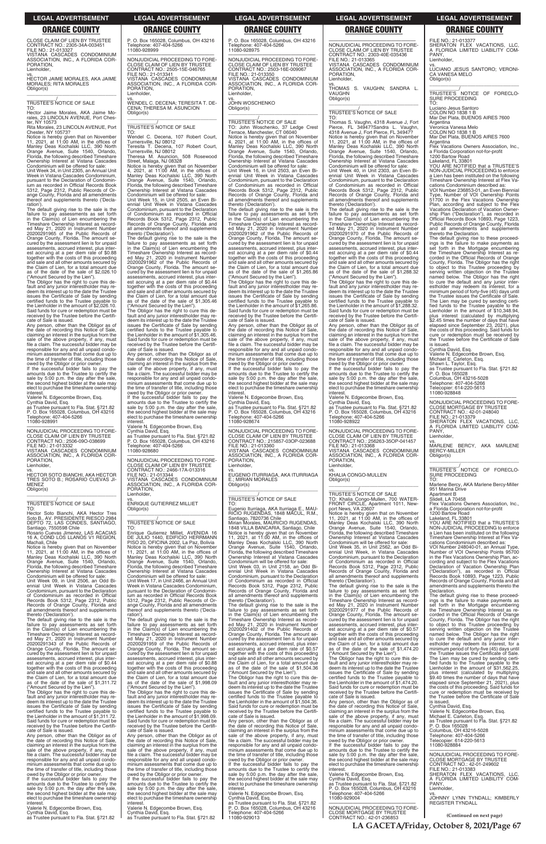**LA GACETA/Friday, October 8, 2021/Page 67**

**(Continued on next page)**

### **LEGAL ADVERTISEMENT LEGAL ADVERTISEMENT LEGAL ADVERTISEMENT LEGAL ADVERTISEMENT LEGAL ADVERTISEMENT**

### **ORANGE COUNTY ORANGE COUNTY ORANGE COUNTY ORANGE COUNTY ORANGE COUNTY**

CLOSE CLAIM OF LIEN BY TRUSTEE CONTRACT NO.: 2305-34A-003451 FILE NO.: 21-013327 VISTANA CASCADES CONDOMINIUM SOCIATION, INC., A FLORIDA COR-PORATION,

Lienholder,

vs. HECTOR JAIME MORALES, AKA JAIME MORALES; RITA MORALES Obligor(s) \_\_\_\_\_\_\_\_\_\_\_\_\_\_\_\_\_\_\_\_\_\_\_\_\_\_\_\_\_\_\_\_\_

\_\_\_\_\_\_\_\_\_\_\_/ TRUSTEE'S NOTICE OF SALE

TO: Hector Jaime Morales, AKA Jaime Mo-rales, 23 LINCOLN AVENUE, Port Ches-ter, NY 10573

Rita Morales, 23 LINCOLN AVENUE, Port Chester, NY 10573? Notice is hereby given that on November 11, 2021, at 11:00 AM, in the offices of Manley Deas Kochalski LLC, 390 North Orange Avenue, Suite 1540, Orlando, Florida, the following described Timeshare Ownership Interest at Vistana Cascades Condominium will be offered for sale:

Unit Week 34, in Unit 2305, an Annual Unit Week in Vistana Cascades Condominium, pursuant to the Declaration of Condomin-

ium as recorded in Official Records Book 5312, Page 2312, Public Records of Or-ange County, Florida and all amendments thereof and supplements thereto ('Declaration'). The default giving rise to the sale is the

failure to pay assessments as set forth in the Claim(s) of Lien encumbering the Timeshare Ownership Interest as recorded May 21, 2020 in Instrument Number 20200291965 of the Public Records of Orange County, Florida. The amount secured by the assessment lien is for unpaid assessments, accrued interest, plus interest accruing at a per diem rate of \$0.88 together with the costs of this proceeding and sale and all other amounts secured by the Claim of Lien, for a total amount due as of the date of the sale of \$2,026.10 ("Amount Secured by the Lien").

The Obligor has the right to cure this default and any junior interestholder may re-deem its interest up to the date the Trustee issues the Certificate of Sale by sending certified funds to the Trustee payable to the Lienholder in the amount of \$2,026.10. Said funds for cure or redemption must be received by the Trustee before the Certifi-cate of Sale is issued.

Any person, other than the Obligor as of the date of recording this Notice of Sale, claiming an interest in the surplus from the sale of the above property, if any, must file a claim. The successful bidder may be responsible for any and all unpaid condominium assessments that come due up to the time of transfer of title, including those owed by the Obligor or prior owner. If the successful bidder fails to pay the

amounts due to the Trustee to certify the sale by 5:00 p.m. the day after the sale, the second highest bidder at the sale may elect to purchase the timeshare ownership

interest. Valerie N. Edgecombe Brown, Esq.

Cynthia David, Esq. as Trustee pursuant to Fla. Stat. §721.82 P. O. Box 165028, Columbus, OH 43216 Telephone: 407-404-5266 11080-928991

—————————————————— NONJUDICIAL PROCEEDING TO FORE-CLOSE CLAIM OF LIEN BY TRUSTEE CONTRACT NO.: 2506-09O-038699 FILE NO.: 21-013332 VISTANA CASCADES CONDOMINIUM ASSOCIATION, INC., A FLORIDA COR-PORATION, Lienholder,

vs.<br>HECTOR SOTO BIANCHI, AKA HECTOR HECTOR SOTO BIANCHI, AKA HECTOR TRES SOTO B.; ROSARIO CUEVAS JI-MENEZ Obligor(s)  $\overline{\phantom{a}}$  , and the set of the set of the set of the set of the set of the set of the set of the set of the set of the set of the set of the set of the set of the set of the set of the set of the set of the set of the s

 $\overline{\phantom{a}}$  , and the set of the set of the set of the set of the set of the set of the set of the set of the set of the set of the set of the set of the set of the set of the set of the set of the set of the set of the s \_\_\_\_\_\_\_\_\_\_\_/ TRUSTEE'S NOTICE OF SALE

\_\_\_\_\_\_\_\_\_\_\_/ TRUSTEE'S NOTICE OF SALE

TO: Hector Soto Bianchi, AKA Hector Tres Soto B., AV. PRESIDENTE RIESCO 2984 DEPTO 72, LAS CONDES, SANTIAGO, Santiago, 7550598 Chile

Rosario Cuevas Jimenez, LAS ACACIAS **COND LOS LLANOS V1 REGION,** Machali, Chile

Notice is hereby given that on November 11, 2021, at 11:00 AM, in the offices of Manley Deas Kochalski LLC, 390 North Orange Avenue, Suite 1540, Orlando, Florida, the following described Timeshare Ownership Interest at Vistana Cascades

Condominium will be offered for sale: Unit Week 09, in Unit 2506, an Odd Bi-ennial Unit Week in Vistana Cascades Condominium, pursuant to the Declaration of Condominium as recorded in Official Records Book 5312, Page 2312, Public Records of Orange County, Florida and all amendments thereof and supplements thereto ('Declaration').

The default giving rise to the sale is the failure to pay assessments as set forth in the Claim(s) of Lien encumbering the Timeshare Ownership Interest as record-ed May 21, 2020 in Instrument Number 20200291343 of the Public Records of Orange County, Florida. The amount se-cured by the assessment lien is for unpaid assessments, accrued interest, plus interest accruing at a per diem rate of \$0.44 together with the costs of this proceeding and sale and all other amounts secured by the Claim of Lien, for a total amount due as of the date of the sale of \$1,311.72 ("Amount Secured by the Lien"). The Obligor has the right to cure this de-fault and any junior interestholder may re-deem its interest up to the date the Trustee issues the Certificate of Sale by sending certified funds to the Trustee payable to the Lienholder in the amount of \$1,311.72. Said funds for cure or redemption must be received by the Trustee before the Certifi-cate of Sale is issued. Any person, other than the Obligor as of the date of recording this Notice of Sale, claiming an interest in the surplus from the sale of the above property, if any, must file a claim. The successful bidder may be responsible for any and all unpaid condominium assessments that come due up to the of transfer of title, including those owed by the Obligor or prior owner. If the successful bidder fails to pay the amounts due to the Trustee to certify the sale by 5:00 p.m. the day after the sale, the second highest bidder at the sale may elect to purchase the timeshare ownership interest.

Valerie N. Edgecombe Brown, Esq. Cynthia David, Esq. as Trustee pursuant to Fla. Stat. §721.82

P. O. Box 165028, Columbus, OH 43216 Telephone: 407-404-5266 11080-928999

—————————————————— NONJUDICIAL PROCEEDING TO FORE-CLOSE CLAIM OF LIEN BY TRUSTEE CONTRACT NO.: 2505-15E-046765 FILE NO.: 21-013341 VISTANA CASCADES CONDOMINIUM ASSOCIATION, INC., A FLORIDA COR-

PORATION, Lienholder,

vs. WENDEL C. DECENA; TERESITA T. DE-CENA; THERESA M. ASUNCION

Obligor(s)

TO: Wendel C. Decena, 107 Robert Court, Turnersville, NJ 08012 Teresita T. Decena, 107 Robert Court, Turnersville, NJ 08012

Theresa M. Asuncion, 508 Rosewood Street, Malaga, NJ 08328 Notice is hereby given that on November 4, 2021, at 11:00 AM, in the offices of Manley Deas Kochalski LLC, 390 North Orange Avenue, Suite 1540, Orlando,

Florida, the following described Timeshare Ownership Interest at Vistana Cascades Condominium will be offered for sale:

Unit Week 15, in Unit 2505, an Even Bi-ennial Unit Week in Vistana Cascades Condominium, pursuant to the Declaration

of Condominium as recorded in Official Records Book 5312, Page 2312, Public Records of Orange County, Florida and

all amendments thereof and supplements thereto ('Declaration'). The default giving rise to the sale is the

failure to pay assessments as set forth in the Claim(s) of Lien encumbering the Timeshare Ownership Interest as record-

ed May 21, 2020 in Instrument Number 20200291962 of the Public Records of Orange County, Florida. The amount se-

cured by the assessment lien is for unpaid assessments, accrued interest, plus inter-est accruing at a per diem rate of \$0.44

together with the costs of this proceeding and sale and all other amounts secured by the Claim of Lien, for a total amount due as of the date of the sale of \$1,305.46 ("Amount Secured by the Lien"). The Obligor has the right to cure this default and any junior interestholder may re-deem its interest up to the date the Trustee issues the Certificate of Sale by sending certified funds to the Trustee payable to the Lienholder in the amount of \$1,305.46. Said funds for cure or redemption must be received by the Trustee before the Certifi-cate of Sale is issued. Any person, other than the Obligor as of the date of recording this Notice of Sale, claiming an interest in the surplus from the sale of the above property, if any, must file a claim. The successful bidder may be responsible for any and all unpaid condominium assessments that come due up to the time of transfer of title, including those owed by the Obligor or prior owner. If the successful bidder fails to pay the amounts due to the Trustee to certify the sale by 5:00 p.m. the day after the sale, the second highest bidder at the sale may elect to purchase the timeshare ownership interest. Valerie N. Edgecombe Brown, Esq. Cynthia David, Esq. as Trustee pursuant to Fla. Stat. §721.82 P. O. Box 165028, Columbus, OH 43216

—————————————————— NONJUDICIAL PROCEEDING TO FORE-CLOSE CLAIM OF LIEN BY TRUSTEE CONTRACT NO.: 2303-40E-035436 FILE NO.: 21-013365 VISTANA CASCADES CONDOMINIUM ASSOCIATION, INC., A FLORIDA COR-OBOD: ....

vs. THOMAS S. VAUGHN; SANDRA L. VAUGHN Obligor(s)  $\overline{\phantom{a}}$  , and the set of the set of the set of the set of the set of the set of the set of the set of the set of the set of the set of the set of the set of the set of the set of the set of the set of the set of the s

Telephone: 407-404-5266

11080-928680

—————————————————— NONJUDICIAL PROCEEDING TO FORE-CLOSE CLAIM OF LIEN BY TRUSTEE CONTRACT NO.: 2466-17A-013316 FILE NO.: 21-013344 VISTANA CASCADES CONDOMINIUM ASSOCIATION, INC., A FLORIDA COR-

PORATION, Lienholder,

vs. ENRIQUE GUTIERREZ MILLIET

Obligor(s)

\_\_\_\_\_\_\_\_\_\_\_\_\_\_\_\_\_\_\_\_\_\_\_\_\_\_\_\_\_\_\_\_\_ \_\_\_\_\_\_\_\_\_\_\_/ TRUSTEE'S NOTICE OF SALE

TO:

Enrique Gutierrez Milliet, AVENIDA 16 DE JULIO 1440, EDIFICIO HERRMANN PISO 20, OFICINA 2002, La Paz, Bolivia

Notice is hereby given that on November 11, 2021, at 11:00 AM, in the offices of Manley Deas Kochalski LLC, 390 North

Orange Avenue, Suite 1540, Orlando, Florida, the following described Timeshare Ownership Interest at Vistana Cascades

The Obligor has the right to cure this default and any junior interestholder may re-deem its interest up to the date the Trustee issues the Certificate of Sale by sending certified funds to the Trustee payable to the Lienholder in the amount of \$1,288.32. Said funds for cure or redemption must be received by the Trustee before the Certifi-cate of Sale is issued. Any person, other than the Obligor as of

Condominium will be offered for sale: Unit Week 17, in Unit 2466, an Annual Unit Week in Vistana Cascades Condominium, pursuant to the Declaration of Condominium as recorded in Official Records Book 5312, Page 2312, Public Records of Orange County, Florida and all amendments thereof and supplements thereto ('Decla-

ration').

The default giving rise to the sale is the failure to pay assessments as set forth in the Claim(s) of Lien encumbering the Timeshare Ownership Interest as record-ed May 21, 2020 in Instrument Number 20200291959 of the Public Records of Orange County, Florida. The amount se-cured by the assessment lien is for unpaid assessments, accrued interest, plus interest accruing at a per diem rate of \$0.88 together with the costs of this proceeding and sale and all other amounts secured by the Claim of Lien, for a total amount due as of the date of the sale of \$1,998.09 ("Amount Secured by the Lien"). TO: Khalia Congo-Mullen, 700 WATER-<br>FRONT CIRCLE, Apartment 1011, New-<br>port News, VA 23607<br>Notice is hereby given that on November<br>11, 2021, at 11:00 AM, in the offices of<br>Manley Deas Kochalski LLC, 390 North<br>Orange Avenue Florida, the following described Timeshare Ownership Interest at Vistana Cascades Condominium will be offered for sale:

The Obligor has the right to cure this de-fault and any junior interestholder may redeem its interest up to the date the Trustee issues the Certificate of Sale by sending certified funds to the Trustee payable to the Lienholder in the amount of \$1,998.09. Said funds for cure or redemption must be received by the Trustee before the Certificate of Sale is issued.

Any person, other than the Obligor as of the date of recording this Notice of Sale, claiming an interest in the surplus from the sale of the above property, if any, must file a claim. The successful bidder may be responsible for any and all unpaid condominium assessments that come due up to the time of transfer of title, including those owed by the Obligor or prior owner.

If the successful bidder fails to pay the amounts due to the Trustee to certify the sale by 5:00 p.m. the day after the sale, the second highest bidder at the sale may elect to purchase the timeshare ownership interest.

FILE NO.: 21-013377 SHERATON FLEX VACATIONS, LLC, A FLORIDA LIMITED LIABILITY COM-PANY Lienholder

vs. LUCIANO JESUS SANTORO; VERONI-CA VANESA MELO Obligor(s)

Valerie N. Edgecombe Brown, Esq. Cynthia David, Esq. as Trustee pursuant to Fla. Stat. §721.82

P. O. Box 165028, Columbus, OH 43216 Telephone: 407-404-5266 11080-928975

Lakeland, FL 33801 YOU ARE NOTIFIED that a TRUSTEE'S NON-JUDICIAL PROCEEDING to enforce a Lien has been instituted on the following a Lien has been instituted on the following<br>Timeshare Ownership Interest at Flex Va-

—————————————————— NONJUDICIAL PROCEEDING TO FORE-CLOSE CLAIM OF LIEN BY TRUSTEE CONTRACT NO.: 2503-16E-009067 FILE NO.: 21-013350 VISTANA CASCADES CONDOMINIUM ASSOCIATION, INC., A FLORIDA COR-PORATION, Lienholder,

> cations Condominium described as: VOI Number 236853-01, an Even Biennial Type, Number of VOI Ownership Points 51700 in the Flex Vacations Ownership Plan, according and subject to the Flex Vacations Declaration of Vacation Ownership Plan ("Declaration"), as recorded in Official Records Book 10893, Page 1223, Public Records of Orange County, Florida and all amendments and supplements ereto the Declaration.

vs. JOHN WOSCHENKO Obligor(s)

\_\_\_\_\_\_\_\_\_\_\_\_\_\_\_\_\_\_\_\_\_\_\_\_\_\_\_\_\_\_\_\_\_

\_\_\_\_\_\_\_\_\_\_\_/ TRUSTEE'S NOTICE OF SALE TO: John Woschenko, 37 Ledge Crest Terrace, Manchester, CT 06040 Notice is hereby given that on November 4, 2021, at 11:00 AM, in the offices of Manley Deas Kochalski LLC, 390 North Orange Avenue, Suite 1540, Orlando, Florida, the following described Timeshare Ownership Interest at Vistana Cascades Condominium will be offered for sale: Unit Week 16, in Unit 2503, an Even Bi-<br>ennial Unit Week in Vistana\_Cascades ennial Unit Week in Vistana Cascades Condominium, pursuant to the Declaration of Condominium as recorded in Official Records Book 5312, Page 2312, Public Records of Orange County, Florida and all amendments thereof and supplements thereto ('Declaration'). The default giving rise to the sale is the

failure to pay assessments as set forth in the Claim(s) of Lien encumbering the Timeshare Ownership Interest as recorded May 21, 2020 in Instrument Number 20200291962 of the Public Records of Orange County, Florida. The amount secured by the assessment lien is for unpaid assessments, accrued interest, plus interest accruing at a per diem rate of \$0.44 together with the costs of this proceeding and sale and all other amounts secured by the Claim of Lien, for a total amount due as of the date of the sale of \$1,265.86 ("Amount Secured by the Lien"). The Obligor has the right to cure this de-

fault and any junior interestholder may re-deem its interest up to the date the Trustee issues the Certificate of Sale by sending certified funds to the Trustee payable to the Lienholder in the amount of \$1,265.86. Said funds for cure or redemption must be received by the Trustee before the Certifi-cate of Sale is issued.

Any person, other than the Obligor as of the date of recording this Notice of Sale, claiming an interest in the surplus from the sale of the above property, if any, must file a claim. The successful bidder may be responsible for any and all unpaid condominium assessments that come due up to the time of transfer of title, including those owed by the Obligor or prior owner. If the successful bidder fails to pay the

amounts due to the Trustee to certify the sale by 5:00 p.m. the day after the sale, the second highest bidder at the sale may elect to purchase the timeshare ownership interest. Valerie N. Edgecombe Brown, Esq.

Cynthia David, Esq. as Trustee pursuant to Fla. Stat. §721.82 P. O. Box 165028, Columbus, OH 43216 Telephone: 407-404-5266 11080-928674

—————————————————— NONJUDICIAL PROCEEDING TO FORE-CLOSE CLAIM OF LIEN BY TRUSTEE CONTRACT NO.: 215857-03OP-023688 FILE NO.: 21-013360 VISTANA CASCADES CONDOMINIUM ASSOCIATION, INC., A FLORIDA COR-

MIRIAN MORALES

PORATION, Lienholder vs. EUGENIO ITURRIAGA, AKA ITURRIAGA Obligor(s) \_\_\_\_\_\_\_\_\_\_\_\_\_\_\_\_\_\_\_\_\_\_\_\_\_\_\_\_\_\_\_\_\_

### \_\_\_\_\_\_\_\_\_\_\_/ TRUSTEE'S NOTICE OF SALE

TO: Eugenio Iturriaga, AKA Iturriaga E., MAU-RICIO RUGENDAS, 1848 MACUL, R.M., Santiago, 7820736 Chile Mirian Morales, MAURICIO RUGENDAS, 1848 VILLA BANCARIA, Santiago, Chile

Notice is hereby given that on November 11, 2021, at 11:00 AM, in the offices of Manley Deas Kochalski LLC, 390 North Orange Avenue, Suite 1540, Orlando, Florida, the following described Timeshare Ownership Interest at Vistana Cascades

Condominium will be offered for sale: Unit Week 03, in Unit 2158, an Odd Bi-ennial Unit Week in Vistana Cascades Condominium, pursuant to the Declaration of Condominium as recorded in Official Records Book 5312, Page 2312, Public Records of Orange County, Florida and all amendments thereof and supplements thereto ('Declaration').

The default giving rise to the sale is the failure to pay assessments as set forth in the Claim(s) of Lien encumbering the Timeshare Ownership Interest as record-ed May 21, 2020 in Instrument Number 20200291402 of the Public Records of Orange County, Florida. The amount se-cured by the assessment lien is for unpaid assessments, accrued interest, plus interest accruing at a per diem rate of \$0.57 together with the costs of this proceeding and sale and all other amounts secured by the Claim of Lien, for a total amount due as of the date of the sale of \$1,504.36 ("Amount Secured by the Lien"). The Obligor has the right to cure this de-fault and any junior interestholder may re-deem its interest up to the date the Trustee issues the Certificate of Sale by sending certified funds to the Trustee payable to the Lienholder in the amount of \$1,504.36. Said funds for cure or redemption must be received by the Trustee before the Certifi-cate of Sale is issued. Any person, other than the Obligor as of the date of recording this Notice of Sale, claiming an interest in the surplus from the sale of the above property, if any, must file a claim. The successful bidder may be responsible for any and all unpaid condominium assessments that come due up to the time of transfer of title, including those owed by the Obligor or prior owner. If the successful bidder fails to pay the amounts due to the Trustee to certify the sale by 5:00 p.m. the day after the sale, the second highest bidder at the sale may elect to purchase the timeshare ownership interest. Valerie N. Edgecombe Brown, Esq. Cynthia David, Esq. as Trustee pursuant to Fla. Stat. §721.82 P. O. Box 165028, Columbus, OH 43216 Telephone: 407-404-5266 11080-929013

Lienholder,

\_\_\_\_\_\_\_\_\_\_\_/ TRUSTEE'S NOTICE OF SALE

TO: Thomas S. Vaughn, 4318 Avenue J, Fort Pierce, FL 34947?Sandra L. Vaughn, 4318 Avenue J, Fort Pierce, FL 34947? Notice is hereby given that on November 11, 2021, at 11:00 AM, in the offices of Manley Deas Kochalski LLC, 390 North Orange Avenue, Suite 1540, Orlando, Florida, the following described Timeshare Ownership Interest at Vistana Cascades Condominium will be offered for sale:

Unit Week 40, in Unit 2303, an Even Bi-ennial Unit Week in Vistana Cascades Condominium, pursuant to the Declaration of Condominium as recorded in Official Records Book 5312, Page 2312, Public Records of Orange County, Florida and all amendments thereof and supplements thereto ('Declaration'). The default giving rise to the sale is the

failure to pay assessments as set forth in the Claim(s) of Lien encumbering the Timeshare Ownership Interest as recorded May 21, 2020 in Instrument Number 20200291970 of the Public Records of Orange County, Florida. The amount secured by the assessment lien is for unpaid assessments, accrued interest, plus interest accruing at a per diem rate of \$0.44 together with the costs of this proceeding and sale and all other amounts secured by the Claim of Lien, for a total amount due as of the date of the sale of \$1,288.32 ("Amount Secured by the Lien").

the date of recording this Notice of Sale, claiming an interest in the surplus from the sale of the above property, if any, must file a claim. The successful bidder may be responsible for any and all unpaid condominium assessments that come due up to the time of transfer of title, including those owed by the Obligor or prior owner. If the successful bidder fails to pay the

amounts due to the Trustee to certify the sale by 5:00 p.m. the day after the sale, the second highest bidder at the sale may elect to purchase the timeshare ownership

interest. Valerie N. Edgecombe Brown, Esq.

Cynthia David, Esq. as Trustee pursuant to Fla. Stat. §721.82 P. O. Box 165028, Columbus, OH 43216 Telephone: 407-404-5266 11080-928922

—————————————————— NONJUDICIAL PROCEEDING TO FORE-CLOSE CLAIM OF LIEN BY TRUSTEE CONTRACT NO.: 256263-35OP-041457 FILE NO.: 21-013368 VISTANA CASCADES CONDOMINIUM ASSOCIATION, INC., A FLORIDA COR-PORATION, Lienholder,

vs. KHALIA CONGO-MULLEN Obligor(s)

\_\_\_\_\_\_\_\_\_\_\_\_\_\_\_\_\_\_\_\_\_\_\_\_\_\_\_\_\_\_\_\_\_

### \_\_\_\_\_\_\_\_\_\_\_/ TRUSTEE'S NOTICE OF SALE

Unit Week 35, in Unit 2562, an Odd Bi-ennial Unit Week, in Vistana Cascades Condominium, pursuant to the Declaration of Condominium as recorded in Official Records Book 5312, Page 2312, Public Records of Orange County, Florida and all amendments thereof and supplements thereto ('Declaration').

The default giving rise to the sale is the failure to pay assessments as set forth in the Claim(s) of Lien encumbering the Timeshare Ownership Interest as recorded May 21, 2020 in Instrument Number 20200291977 of the Public Records of Orange County, Florida. The amount secured by the assessment lien is for unpaid assessments, accrued interest, plus interest accruing at a per diem rate of \$0.57 together with the costs of this proceeding and sale and all other amounts secured by the Claim of Lien, for a total amount due as of the date of the sale of \$1,474.20 ("Amount Secured by the Lien"). The Obligor has the right to cure this default and any junior interestholder may re-deem its interest up to the date the Trustee issues the Certificate of Sale by sending certified funds to the Trustee payable to the Lienholder in the amount of \$1,474.20. Said funds for cure or redemption must be received by the Trustee before the Certifi-cate of Sale is issued. Any person, other than the Obligor as of the date of recording this Notice of Sale, claiming an interest in the surplus from the sale of the above property, if any, must file a claim. The successful bidder may be responsible for any and all unpaid condominium assessments that come due up to the time of transfer of title, including those owed by the Obligor or prior owner. If the successful bidder fails to pay the amounts due to the Trustee to certify the sale by 5:00 p.m. the day after the sale, the second highest bidder at the sale may elect to purchase the timeshare ownership interest. Valerie N. Edgecombe Brown, Esq. Cynthia David, Esq. as Trustee pursuant to Fla. Stat. §721.82 P. O. Box 165028, Columbus, OH 43216 Telephone: 407-404-5266 11080-929004 —————————————————— NONJUDICIAL PROCEEDING TO FORE-CLOSE MORTGAGE BY TRUSTEE CONTRACT NO.: 42-01-236853

\_\_\_\_\_\_\_\_\_\_\_\_\_\_\_\_\_\_\_\_\_\_\_\_\_\_\_\_\_\_\_\_\_ \_\_\_\_\_\_\_\_\_\_\_/ TRUSTEE'S NOTICE OF FORECLO-SURE PROCEEDING

TO: Luciano Jesus Santoro

COLON NO 1838 1 B Mar Del Plata, BUENOS AIRES 7600 Argentina

Veronica Vanesa Melo COLON NO 1838 1 B Mar Del Plata, BUENOS AIRES 7600

Argentina Flex Vacations Owners Association, Inc., a Florida Corporation not-for-profit 1200 Bartow Road

The default giving rise to these proceedings is the failure to make payments as set forth in the Mortgage encumbering the Timeshare Ownership Interest as recorded in the Official Records of Orange County, Florida. The Obligor has the right to object to this Trustee proceeding by serving written objection on the Trustee named below. The Obligor has the right to cure the default and any junior interestholder may redeem its interest, for a minimum period of forty-five (45) days until the Trustee issues the Certificate of Sale. The Lien may be cured by sending certi-fied funds to the Trustee payable to the Lienholder in the amount of \$10,348.94, plus interest (calculated by multiplying \$2.45 times the number of days that have elapsed since September 23, 2021), plus the costs of this proceeding. Said funds for cure or redemption must be received by the Trustee before the Certificate of Sale is issued.

Cynthia David, Esq. Valerie N. Edgecombe Brown, Esq.

Michael E. Carleton, Esq. Shawn L. Taylor, Esq. as Trustee pursuant to Fla. Stat. §721.82 P. O. Box 165028 Columbus, OH 43216-5028 Telephone: 407-404-5266

Telecopier: 614-220-5613 11080-928848

—————————————————— NONJUDICIAL PROCEEDING TO FORE-CLOSE MORTGAGE BY TRUSTEE CONTRACT NO.: 42-01-248040

FILE NO.: 21-013379 SHERATON FLEX VACATIONS, LLC, A FLORIDA LIMITED LIABILITY COM-PANY,

Lienholder

vs. MARLENE BERCY, AKA MARLENE BERCY-MILLER Obligor(s) \_\_\_\_\_\_\_\_\_\_\_\_\_\_\_\_\_\_\_\_\_\_\_\_\_\_\_\_\_\_\_\_\_

\_\_\_\_\_\_\_\_\_\_\_/ TRUSTEE'S NOTICE OF FORECLO-SURE PROCEEDING

TO: Marlene Bercy, AKA Marlene Bercy-Miller 951 Marina Drive Apartment B Slidell, LA 70458

Flex Vacations Owners Association, Inc., a Florida Corporation not-for-profit 1200 Bartow Road

Lakeland, FL 33801 YOU ARE NOTIFIED that a TRUSTEE'S NON-JUDICIAL PROCEEDING to enforce a Lien has been instituted on the following Timeshare Ownership Interest at Flex Vacations Condominium described as:

VOI Number 248040-01, an Annual Type, Number of VOI Ownership Points 95700 in the Flex Vacations Ownership Plan, according and subject to the Flex Vacations<br>Declaration of Vacation Ownership Plan<br>("Declaration"), as recorded in Official<br>Records Book 10893, Page 1223, Public<br>Records of Orange County, Florida and all<br>amendments and suppl Declaration.

The default giving rise to these proceedings is the failure to make payments as set forth in the Mortgage encumbering the Timeshare Ownership Interest as re-corded in the Official Records of Orange County, Florida. The Obligor has the right to object to this Trustee proceeding by serving written objection on the Trustee named below. The Obligor has the right to cure the default and any junior inter-estholder may redeem its interest, for a minimum period of forty-five (45) days until the Trustee issues the Certificate of Sale. The Lien may be cured by sending certified funds to the Trustee payable to the Lienholder in the amount of \$31,562.25, plus interest (calculated by multiplying \$9.40 times the number of days that have elapsed since September 21, 2021), plus the costs of this proceeding. Said funds for cure or redemption must be received by the Trustee before the Certificate of Sale is issued. Cynthia David, Esq. Valerie N. Edgecombe Brown, Esq. Michael E. Carleton, Esq. as Trustee pursuant to Fla. Stat. §721.82 P. O. Box 165028 Columbus, OH 43216-5028 Telephone: 407-404-5266 Telecopier: 614-220-5613 11080-928884

—————————————————— NONJUDICIAL PROCEEDING TO FORE-CLOSE MORTGAGE BY TRUSTEE CONTRACT NO.: 42-01-249602 FILE NO.: 21-013383 SHERATON FLEX VACATIONS, LLC, A FLORIDA LIMITED LIABILITY COM-PANY, Lienholder,

vs. JOHNNY LYNN TYNDALL; KIMBERLY REGISTER TYNDALL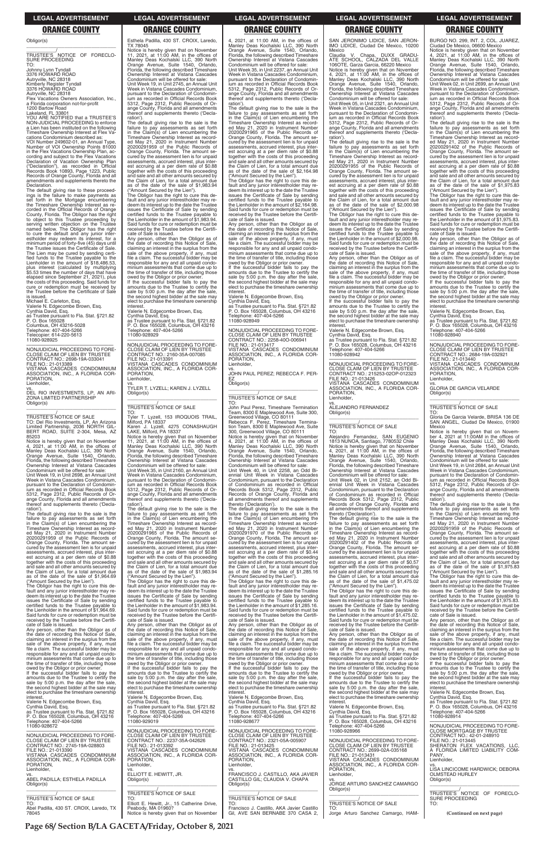**Page 68/ Section B/LA GACETA/Friday, October 8, 2021**

### **LEGAL ADVERTISEMENT LEGAL ADVERTISEMENT LEGAL ADVERTISEMENT LEGAL ADVERTISEMENT LEGAL ADVERTISEMENT**

### **ORANGE COUNTY ORANGE COUNTY ORANGE COUNTY ORANGE COUNTY ORANGE COUNTY**

Flex Vacations Owners Association, Inc., a Florida corporation not-for-profit 1200 Bartow Road Lakeland, FL 33801

Obligor(s) \_\_\_\_\_\_\_\_\_\_\_\_\_\_\_\_\_\_\_\_\_\_\_\_\_\_\_\_\_\_\_\_\_

\_\_\_\_\_\_\_\_\_\_\_/ TRUSTEE'S NOTICE OF FORECLO-SURE PROCEEDING

TO: Johnny Lynn Tyndall 3376 HOWARD ROAD Autryville, NC 28318 Kimberly Register Tyndall 3376 HOWARD ROAD Autryville, NC 28318

YOU ARE NOTIFIED that a TRUSTEE'S NON-JUDICIAL PROCEEDING to enforce a Lien has been instituted on the following Timeshare Ownership Interest at Flex Vacations Condominium described as:

VOI Number 249602-01, an Annual Type, Number of VOI Ownership Points 81000 in the Flex Vacations Ownership Plan, according and subject to the Flex Vacations Declaration of Vacation Ownership Plan ("Declaration"), as recorded in Official Records Book 10893, Page 1223, Public Records of Orange County, Florida and all amendments and supplements thereto the Declaration.

Notice is hereby given that on November 4, 2021, at 11:00 AM, in the offices of Manley Deas Kochalski LLC, 390 North Orange Avenue, Suite 1540, Orlando, Florida, the following described Timeshare Ownership Interest at Vistana Cascades Condominium will be offered for sale: Unit Week 19, in Unit 2698, an Annual Unit Week in Vistana Cascades Condominium, pursuant to the Declaration of Condominium as recorded in Official Records Book 5312, Page 2312, Public Records of Orange County, Florida and all amendments thereof and supplements thereto ('Declaration')

The default giving rise to these proceed-ings is the failure to make payments as set forth in the Mortgage encumbering the Timeshare Ownership Interest as recorded in the Official Records of Orange County, Florida. The Obligor has the right to object to this Trustee proceeding by serving written objection on the Trustee named below. The Obligor has the right to cure the default and any junior inter-estholder may redeem its interest, for a minimum period of forty-five (45) days until the Trustee issues the Certificate of Sale. The Lien may be cured by sending certi-fied funds to the Trustee payable to the Lienholder in the amount of \$18,486.53, plus interest (calculated by multiplying \$5.53 times the number of days that have elapsed since September 21, 2021), plus the costs of this proceeding. Said funds for cure or redemption must be received by the Trustee before the Certificate of Sale is issued.

Michael E. Carleton, Esq. Valerie N. Edgecombe Brown, Esq. Cynthia David, Esq.

as Trustee pursuant to Fla. Stat. §721.82 P. O. Box 165028 Columbus, OH 43216-5028 Telephone: 407-404-5266 Telecopier: 614-220-5613

11080-928925

—————————————————— NONJUDICIAL PROCEEDING TO FORE-CLOSE CLAIM OF LIEN BY TRUSTEE CONTRACT NO.: 2698-19A-033041 FILE NO.: 21-013389 VISTANA CASCADES CONDOMINIUM ASSOCIATION, INC., A FLORIDA COR-PORATION, Lienholder,

vs. DEL RIO INVESTMENTS, LP, AN ARI-ZONA LIMITED PARTNERSHIP

Obligor(s) \_\_\_\_\_\_\_\_\_\_\_\_\_\_\_\_\_\_\_\_\_\_\_\_\_\_\_\_\_\_\_\_\_

\_\_\_\_\_\_\_\_\_\_\_/ TRUSTEE'S NOTICE OF SALE

TO: Del Rio Investments, LP, An Arizona Limited Partnership, 2036 NORTH GIL-BERT ROAD, SUITE 2-304, Mesa, AZ 85203

The default giving rise to the sale is the failure to pay assessments as set forth in the Claim(s) of Lien encumbering the Timeshare Ownership Interest as recorded May 21, 2020 in Instrument Number 20200291959 of the Public Records of Orange County, Florida. The amount se-cured by the assessment lien is for unpaid assessments, accrued interest, plus interest accruing at a per diem rate of \$0.88 together with the costs of this proceeding and sale and all other amounts secured by the Claim of Lien, for a total amount due as of the date of the sale of \$1,964.69

("Amount Secured by the Lien"). The Obligor has the right to cure this de-fault and any junior interestholder may redeem its interest up to the date the Trustee issues the Certificate of Sale by sending certified funds to the Trustee payable to the Lienholder in the amount of \$1,964.69. Said funds for cure or redemption must be received by the Trustee before the Certifi-

The Obligor has the right to cure this default and any junior interestholder may redeem its interest up to the date the Trustee issues the Certificate of Sale by sending certified funds to the Trustee payable to the Lienholder in the amount of \$1,983.94. Said funds for cure or redemption must be received by the Trustee before the Certifi-cate of Sale is issued.

Esthela Padilla, 430 ST. CROIX, Laredo, TX 78045

Notice is hereby given that on November 11, 2021, at 11:00 AM, in the offices of Manley Deas Kochalski LLC, 390 North Orange Avenue, Suite 1540, Orlando, Florida, the following described Timeshare Ownership Interest at Vistana Cascades Condominium will be offered for sale: Unit Week 19, in Unit 2745, an Annual Unit Week in Vistana Cascades Condominium, pursuant to the Declaration of Condominium as recorded in Official Records Book 5312, Page 2312, Public Records of Orange County, Florida and all amendments thereof and supplements thereto ('Declaration').

The default giving rise to the sale is the failure to pay assessments as set forth in the Claim(s) of Lien encumbering the Timeshare Ownership Interest as record-ed May 21, 2020 in Instrument Number 20200291959 of the Public Records of Orange County, Florida. The amount secured by the assessment lien is for unpaid assessments, accrued interest, plus interest accruing at a per diem rate of \$0.88 together with the costs of this proceeding and sale and all other amounts secured by the Claim of Lien, for a total amount due as of the date of the sale of \$1,983.94 ("Amount Secured by the Lien").

The Obligor has the right to cure this de-fault and any junior interestholder may redeem its interest up to the date the Trustee issues the Certificate of Sale by sending certified funds to the Trustee payable to the Lienholder in the amount of \$1,983.94. Said funds for cure or redemption must be received by the Trustee before the Certificate of Sale is issued.

Any person, other than the Obligor as of the date of recording this Notice of Sale, claiming an interest in the surplus from the sale of the above property, if any, must file a claim. The successful bidder may be responsible for any and all unpaid condominium assessments that come due up to the time of transfer of title, including those owed by the Obligor or prior owner.

If the successful bidder fails to pay the amounts due to the Trustee to certify the sale by 5:00 p.m. the day after the sale, the second highest bidder at the sale may elect to purchase the timeshare ownership interest.

Valerie N. Edgecombe Brown, Esq.

The Obligor has the right to cure this default and any junior interestholder may redeem its interest up to the date the Trustee issues the Certificate of Sale by sending certified funds to the Trustee payable to the Lienholder in the amount of \$1,285.16. Said funds for cure or redemption must be received by the Trustee before the Certifi-cate of Sale is issued.

Cynthia David, Esq. as Trustee pursuant to Fla. Stat. §721.82 P. O. Box 165028, Columbus, OH 43216 Telephone: 407-404-5266 11080-928929

—————————————————— NONJUDICIAL PROCEEDING TO FORE-CLOSE CLAIM OF LIEN BY TRUSTEE CONTRACT NO.: 2160-35A-007085 FILE NO.: 21-013391 VISTANA CASCADES CONDOMINIUM ASSOCIATION, INC., A FLORIDA COR-**PORATION** Lienholder,

vs. TYLER T. LYZELL; KAREN J. LYZELL Obligor(s) \_\_\_\_\_\_\_\_\_\_\_\_\_\_\_\_\_\_\_\_\_\_\_\_\_\_\_\_\_\_\_\_\_

### \_\_\_\_\_\_\_\_\_\_\_/ TRUSTEE'S NOTICE OF SALE

TO: Tyler T. Lyzell, 153 IROQUOIS TRAIL, Milford, PA 18337 Karen J. Lyzell, 4275 CONASHAUGH LAKE, Milford, PA 18337

Notice is hereby given that on November<br>11, 2021, at 11:00 AM, in the offices of<br>Manley Deas Kochalski LLC, 390 North<br>Orange Avenue, Suite 1540, Orlando,<br>Florida, the following described Timeshare<br>Ownership Interest at Vis

SAN JERONIMO LIDICE, SAN JERON-IMO LIDICE, Ciudad De Mexico, 10200 Mexico

Unit Week 35, in Unit 2160, an Annual Unit Week in Vistana Cascades Condominium, pursuant to the Declaration of Condomin-ium as recorded in Official Records Book 5312, Page 2312, Public Records of Orange County, Florida and all amendments thereof and supplements thereto ('Declaration').

The default giving rise to the sale is the failure to pay assessments as set forth in the Claim(s) of Lien encumbering the Timeshare Ownership Interest as recorded May 21, 2020 in Instrument Number 20200291965 of the Public Records of Orange County, Florida. The amount se-cured by the assessment lien is for unpaid assessments, accrued interest, plus interest accruing at a per diem rate of \$0.88 together with the costs of this proceeding and sale and all other amounts secured by the Claim of Lien, for a total amount due as of the date of the sale of \$1,983.94 ("Amount Secured by the Lien").

Any person, other than the Obligor as of the date of recording this Notice of Sale, claiming an interest in the surplus from the sale of the above property, if any, must file a claim. The successful bidder may be responsible for any and all unpaid condo-minium assessments that come due up to the time of transfer of title, including those owed by the Obligor or prior owner

If the successful bidder fails to pay the amounts due to the Trustee to certify the sale by 5:00 p.m. the day after the sale, the second highest bidder at the sale may elect to purchase the timeshare ownership **interest** 

Alejandro Fernandez, SAN EUGENIO<br>1813 NUNOA, Santiago, 7780532 Chile<br>Notice is hereby given that on November<br>4, 2021, at 11:00 AM, in the offices of Manley Deas Kochalski LLC, 390 North Orange Avenue, Suite 1540, Orlando, Florida, the following described Timeshare Ownership Interest at Vistana Cascades Condominium will be offered for sale:

failure to pay assessments as set forth<br>Timeshare Ownership Interest as record-<br>Ed May 21, 2020 in Instrument Number<br>ed May 21, 2020 in Instrument Number<br>20200291402 of the Public Records of Orange County, Florida. The amount secured by the assessment lien is for unpaid assessments, accrued interest, plus interest accruing at a per diem rate of \$0.57 together with the costs of this proceeding and sale and all other amounts secured by the Claim of Lien, for a total amount due as of the date of the sale of \$1,475.02

4, 2021, at 11:00 AM, in the offices of Manley Deas Kochalski LLC, 390 North Orange Avenue, Suite 1540, Orlando, Florida, the following described Timeshare Ownership Interest at Vistana Cascades Condominium will be offered for sale: Unit Week 35, in Unit 2237, an Annual Unit Week in Vistana Cascades Condominium, pursuant to the Declaration of Condominium as recorded in Official Records Book 5312, Page 2312, Public Records of Orange County, Florida and all amendments thereof and supplements thereto ('Declaration'). The default giving rise to the sale is the

failure to pay assessments as set forth in the Claim(s) of Lien encumbering the Timeshare Ownership Interest as recorded May 21, 2020 in Instrument Number 20200291965 of the Public Records of Orange County, Florida. The amount se-cured by the assessment lien is for unpaid assessments, accrued interest, plus interest accruing at a per diem rate of \$0.88 together with the costs of this proceeding and sale and all other amounts secured by the Claim of Lien, for a total amount due as of the date of the sale of \$2,164.98 ("Amount Secured by the Lien").

> —————————————————— NONJUDICIAL PROCEEDING TO FORE-CLOSE CLAIM OF LIEN BY TRUSTEE CONTRACT NO.: 2684-19A-032921 FILE NO.: 21-013440 VISTANA CASCADES CONDOMINIUM ASSOCIATION, INC., A FLORIDA COR-**PORATION**

The Obligor has the right to cure this de-fault and any junior interestholder may redeem its interest up to the date the Trustee issues the Certificate of Sale by sending certified funds to the Trustee payable to the Lienholder in the amount of \$2,164.98. Said funds for cure or redemption must be received by the Trustee before the Certificate of Sale is issued.

Any person, other than the Obligor as of the date of recording this Notice of Sale, claiming an interest in the surplus from the sale of the above property, if any, must file a claim. The successful bidder may be responsible for any and all unpaid condominium assessments that come due up to the time of transfer of title, including those owed by the Obligor or prior owner.

If the successful bidder fails to pay the amounts due to the Trustee to certify the sale by 5:00 p.m. the day after the sale, the second highest bidder at the sale may elect to purchase the timeshare ownership interest.

Valerie N. Edgecombe Brown, Esq. Cynthia David, Esq. as Trustee pursuant to Fla. Stat. §721.82 P. O. Box 165028, Columbus, OH 43216

Telephone: 407-404-5266 11080-928949

—————————————————— NONJUDICIAL PROCEEDING TO FORE-CLOSE CLAIM OF LIEN BY TRUSTEE CONTRACT NO.: 2258-40O-006941 FILE NO : 21-013417 VISTANA CASCADES CONDOMINIUM ASSOCIATION, INC., A FLORIDA COR-PORATION, Lienholder,

vs. JOHN PAUL PEREZ; REBECCA F. PER-EZ Obligor(s)

\_\_\_\_\_\_\_\_\_\_\_\_\_\_\_\_\_\_\_\_\_\_\_\_\_\_\_\_\_\_\_\_\_

### \_\_\_\_\_\_\_\_\_\_\_/ TRUSTEE'S NOTICE OF SALE TO:

| received by the Trustee belore the Certifi-<br>cate of Sale is issued.<br>Any person, other than the Obligor as of<br>the date of recording this Notice of Sale,<br>claiming an interest in the surplus from the<br>sale of the above property, if any, must<br>file a claim. The successful bidder may be<br>responsible for any and all unpaid condo-<br>minium assessments that come due up to<br>the time of transfer of title, including those<br>owed by the Obligor or prior owner.<br>If the successful bidder fails to pay the<br>amounts due to the Trustee to certify the<br>sale by 5:00 p.m. the day after the sale,<br>the second highest bidder at the sale may<br>elect to purchase the timeshare ownership<br>interest.<br>Valerie N. Edgecombe Brown, Esg.<br>Cynthia David, Esq.<br>as Trustee pursuant to Fla. Stat. §721.82<br>P. O. Box 165028. Columbus, OH 43216<br>Telephone: 407-404-5266 | cale of oale is issued.<br>Any person, other than the Obligor as of<br>the date of recording this Notice of Sale,<br>claiming an interest in the surplus from the<br>sale of the above property, if any, must<br>file a claim. The successful bidder may be<br>responsible for any and all unpaid condo-<br>minium assessments that come due up to<br>the time of transfer of title, including those<br>owed by the Obligor or prior owner.<br>If the successful bidder fails to pay the<br>amounts due to the Trustee to certify the<br>sale by 5:00 p.m. the day after the sale,<br>the second highest bidder at the sale may<br>elect to purchase the timeshare ownership<br>interest.<br>Valerie N. Edgecombe Brown, Esq.<br>Cynthia David, Esq.<br>as Trustee pursuant to Fla. Stat. §721.82<br>P. O. Box 165028, Columbus, OH 43216<br>Telephone: 407-404-5266<br>11080-929019 | cale of oale is issued.<br>Any person, other than the Obligor as of<br>the date of recording this Notice of Sale.<br>claiming an interest in the surplus from the<br>sale of the above property, if any, must<br>file a claim. The successful bidder may be<br>responsible for any and all unpaid condo-<br>minium assessments that come due up to<br>the time of transfer of title, including those<br>owed by the Obligor or prior owner.<br>If the successful bidder fails to pay the<br>amounts due to the Trustee to certify the<br>sale by 5:00 p.m. the day after the sale.<br>the second highest bidder at the sale may<br>elect to purchase the timeshare ownership<br>interest.<br>Valerie N. Edgecombe Brown, Esg.<br>Cynthia David, Esq.<br>as Trustee pursuant to Fla. Stat. §721.82<br>P. O. Box 165028, Columbus, OH 43216<br>Telephone: 407-404-5266<br>11080-928677 | Salu furius for cure or regerription must be<br>received by the Trustee before the Certifi-<br>cate of Sale is issued.<br>Any person, other than the Obligor as of<br>the date of recording this Notice of Sale.<br>claiming an interest in the surplus from the<br>sale of the above property, if any, must<br>file a claim. The successful bidder may be<br>responsible for any and all unpaid condo-<br>minium assessments that come due up to<br>the time of transfer of title, including those<br>owed by the Obligor or prior owner.<br>If the successful bidder fails to pay the<br>amounts due to the Trustee to certify the<br>sale by 5:00 p.m. the day after the sale,<br>the second highest bidder at the sale may<br>elect to purchase the timeshare ownership<br>interest.<br>Valerie N. Edgecombe Brown, Esg.<br>Cynthia David, Esg.<br>as Trustee pursuant to Fla. Stat. §721.82<br>P. O. Box 165028, Columbus, OH 43216 | Ally person, other than the Obligor as of<br>the date of recording this Notice of Sale.<br>claiming an interest in the surplus from the<br>sale of the above property, if any, must<br>file a claim. The successful bidder may be<br>responsible for any and all unpaid condo-<br>minium assessments that come due up to<br>the time of transfer of title, including those<br>owed by the Obligor or prior owner.<br>If the successful bidder fails to pay the<br>amounts due to the Trustee to certify the<br>sale by 5:00 p.m. the day after the sale,<br>the second highest bidder at the sale may<br>elect to purchase the timeshare ownership<br>interest.<br>Valerie N. Edgecombe Brown, Esg.<br>Cynthia David, Esq.<br>as Trustee pursuant to Fla. Stat. §721.82<br>P. O. Box 165028, Columbus, OH 43216<br>Telephone: 407-404-5266<br>11080-928914 |
|---------------------------------------------------------------------------------------------------------------------------------------------------------------------------------------------------------------------------------------------------------------------------------------------------------------------------------------------------------------------------------------------------------------------------------------------------------------------------------------------------------------------------------------------------------------------------------------------------------------------------------------------------------------------------------------------------------------------------------------------------------------------------------------------------------------------------------------------------------------------------------------------------------------------|--------------------------------------------------------------------------------------------------------------------------------------------------------------------------------------------------------------------------------------------------------------------------------------------------------------------------------------------------------------------------------------------------------------------------------------------------------------------------------------------------------------------------------------------------------------------------------------------------------------------------------------------------------------------------------------------------------------------------------------------------------------------------------------------------------------------------------------------------------------------------------------|--------------------------------------------------------------------------------------------------------------------------------------------------------------------------------------------------------------------------------------------------------------------------------------------------------------------------------------------------------------------------------------------------------------------------------------------------------------------------------------------------------------------------------------------------------------------------------------------------------------------------------------------------------------------------------------------------------------------------------------------------------------------------------------------------------------------------------------------------------------------------------------|------------------------------------------------------------------------------------------------------------------------------------------------------------------------------------------------------------------------------------------------------------------------------------------------------------------------------------------------------------------------------------------------------------------------------------------------------------------------------------------------------------------------------------------------------------------------------------------------------------------------------------------------------------------------------------------------------------------------------------------------------------------------------------------------------------------------------------------------------------------------------------------------------------------------------------------|------------------------------------------------------------------------------------------------------------------------------------------------------------------------------------------------------------------------------------------------------------------------------------------------------------------------------------------------------------------------------------------------------------------------------------------------------------------------------------------------------------------------------------------------------------------------------------------------------------------------------------------------------------------------------------------------------------------------------------------------------------------------------------------------------------------------------------------------------------|
| 11080-928672                                                                                                                                                                                                                                                                                                                                                                                                                                                                                                                                                                                                                                                                                                                                                                                                                                                                                                        | NONJUDICIAL PROCEEDING TO FORE-                                                                                                                                                                                                                                                                                                                                                                                                                                                                                                                                                                                                                                                                                                                                                                                                                                                      | NONJUDICIAL PROCEEDING TO FORE-                                                                                                                                                                                                                                                                                                                                                                                                                                                                                                                                                                                                                                                                                                                                                                                                                                                      | Telephone: 407-404-5266                                                                                                                                                                                                                                                                                                                                                                                                                                                                                                                                                                                                                                                                                                                                                                                                                                                                                                                  | NONJUDICIAL PROCEEDING TO FORE-                                                                                                                                                                                                                                                                                                                                                                                                                                                                                                                                                                                                                                                                                                                                                                                                                            |
| NONJUDICIAL PROCEEDING TO FORE-                                                                                                                                                                                                                                                                                                                                                                                                                                                                                                                                                                                                                                                                                                                                                                                                                                                                                     | CLOSE CLAIM OF LIEN BY TRUSTEE                                                                                                                                                                                                                                                                                                                                                                                                                                                                                                                                                                                                                                                                                                                                                                                                                                                       | CLOSE CLAIM OF LIEN BY TRUSTEE                                                                                                                                                                                                                                                                                                                                                                                                                                                                                                                                                                                                                                                                                                                                                                                                                                                       | 11080-928966                                                                                                                                                                                                                                                                                                                                                                                                                                                                                                                                                                                                                                                                                                                                                                                                                                                                                                                             | <b>CLOSE MORTGAGE BY TRUSTEE</b>                                                                                                                                                                                                                                                                                                                                                                                                                                                                                                                                                                                                                                                                                                                                                                                                                           |
| CLOSE CLAIM OF LIEN BY TRUSTEE                                                                                                                                                                                                                                                                                                                                                                                                                                                                                                                                                                                                                                                                                                                                                                                                                                                                                      | CONTRACT NO.: 2237-35A-042626                                                                                                                                                                                                                                                                                                                                                                                                                                                                                                                                                                                                                                                                                                                                                                                                                                                        | CONTRACT NO.: 2321-05A-005907                                                                                                                                                                                                                                                                                                                                                                                                                                                                                                                                                                                                                                                                                                                                                                                                                                                        | NONJUDICIAL PROCEEDING TO FORE-                                                                                                                                                                                                                                                                                                                                                                                                                                                                                                                                                                                                                                                                                                                                                                                                                                                                                                          | CONTRACT NO.: 42-01-248910                                                                                                                                                                                                                                                                                                                                                                                                                                                                                                                                                                                                                                                                                                                                                                                                                                 |
| CONTRACT NO.: 2745-19A-028803                                                                                                                                                                                                                                                                                                                                                                                                                                                                                                                                                                                                                                                                                                                                                                                                                                                                                       | FILE NO.: 21-013392                                                                                                                                                                                                                                                                                                                                                                                                                                                                                                                                                                                                                                                                                                                                                                                                                                                                  | FILE NO.: 21-013425                                                                                                                                                                                                                                                                                                                                                                                                                                                                                                                                                                                                                                                                                                                                                                                                                                                                  | CLOSE CLAIM OF LIEN BY TRUSTEE                                                                                                                                                                                                                                                                                                                                                                                                                                                                                                                                                                                                                                                                                                                                                                                                                                                                                                           | FILE NO.: 21-013445                                                                                                                                                                                                                                                                                                                                                                                                                                                                                                                                                                                                                                                                                                                                                                                                                                        |
| FILE NO.: 21-013390                                                                                                                                                                                                                                                                                                                                                                                                                                                                                                                                                                                                                                                                                                                                                                                                                                                                                                 | VISTANA CASCADES CONDOMINIUM                                                                                                                                                                                                                                                                                                                                                                                                                                                                                                                                                                                                                                                                                                                                                                                                                                                         | VISTANA CASCADES CONDOMINIUM                                                                                                                                                                                                                                                                                                                                                                                                                                                                                                                                                                                                                                                                                                                                                                                                                                                         | CONTRACT NO.: 2699-02A-035168                                                                                                                                                                                                                                                                                                                                                                                                                                                                                                                                                                                                                                                                                                                                                                                                                                                                                                            | SHERATON FLEX VACATIONS. LLC.                                                                                                                                                                                                                                                                                                                                                                                                                                                                                                                                                                                                                                                                                                                                                                                                                              |
| VISTANA CASCADES CONDOMINIUM                                                                                                                                                                                                                                                                                                                                                                                                                                                                                                                                                                                                                                                                                                                                                                                                                                                                                        | ASSOCIATION, INC., A FLORIDA COR-                                                                                                                                                                                                                                                                                                                                                                                                                                                                                                                                                                                                                                                                                                                                                                                                                                                    | ASSOCIATION, INC., A FLORIDA COR-                                                                                                                                                                                                                                                                                                                                                                                                                                                                                                                                                                                                                                                                                                                                                                                                                                                    | FILE NO.: 21-013431                                                                                                                                                                                                                                                                                                                                                                                                                                                                                                                                                                                                                                                                                                                                                                                                                                                                                                                      | A FLORIDA LIMITED LIABILITY COM-                                                                                                                                                                                                                                                                                                                                                                                                                                                                                                                                                                                                                                                                                                                                                                                                                           |
| ASSOCIATION, INC., A FLORIDA COR-                                                                                                                                                                                                                                                                                                                                                                                                                                                                                                                                                                                                                                                                                                                                                                                                                                                                                   | PORATION.                                                                                                                                                                                                                                                                                                                                                                                                                                                                                                                                                                                                                                                                                                                                                                                                                                                                            | PORATION.                                                                                                                                                                                                                                                                                                                                                                                                                                                                                                                                                                                                                                                                                                                                                                                                                                                                            | VISTANA CASCADES CONDOMINIUM                                                                                                                                                                                                                                                                                                                                                                                                                                                                                                                                                                                                                                                                                                                                                                                                                                                                                                             | PANY.                                                                                                                                                                                                                                                                                                                                                                                                                                                                                                                                                                                                                                                                                                                                                                                                                                                      |
| PORATION.                                                                                                                                                                                                                                                                                                                                                                                                                                                                                                                                                                                                                                                                                                                                                                                                                                                                                                           | Lienholder,                                                                                                                                                                                                                                                                                                                                                                                                                                                                                                                                                                                                                                                                                                                                                                                                                                                                          | Lienholder,                                                                                                                                                                                                                                                                                                                                                                                                                                                                                                                                                                                                                                                                                                                                                                                                                                                                          | ASSOCIATION, INC., A FLORIDA COR-                                                                                                                                                                                                                                                                                                                                                                                                                                                                                                                                                                                                                                                                                                                                                                                                                                                                                                        | Lienholder,                                                                                                                                                                                                                                                                                                                                                                                                                                                                                                                                                                                                                                                                                                                                                                                                                                                |
| Lienholder,                                                                                                                                                                                                                                                                                                                                                                                                                                                                                                                                                                                                                                                                                                                                                                                                                                                                                                         | VS.                                                                                                                                                                                                                                                                                                                                                                                                                                                                                                                                                                                                                                                                                                                                                                                                                                                                                  | VS.                                                                                                                                                                                                                                                                                                                                                                                                                                                                                                                                                                                                                                                                                                                                                                                                                                                                                  | PORATION.                                                                                                                                                                                                                                                                                                                                                                                                                                                                                                                                                                                                                                                                                                                                                                                                                                                                                                                                | VS.                                                                                                                                                                                                                                                                                                                                                                                                                                                                                                                                                                                                                                                                                                                                                                                                                                                        |
| VS.                                                                                                                                                                                                                                                                                                                                                                                                                                                                                                                                                                                                                                                                                                                                                                                                                                                                                                                 | ELLIOTT E. HEWITT, JR.                                                                                                                                                                                                                                                                                                                                                                                                                                                                                                                                                                                                                                                                                                                                                                                                                                                               | FRANCISCO J. CASTILLO, AKA JAVIER                                                                                                                                                                                                                                                                                                                                                                                                                                                                                                                                                                                                                                                                                                                                                                                                                                                    | Lienholder.                                                                                                                                                                                                                                                                                                                                                                                                                                                                                                                                                                                                                                                                                                                                                                                                                                                                                                                              | LISA LINCICOME HARDWICK; DEBORA                                                                                                                                                                                                                                                                                                                                                                                                                                                                                                                                                                                                                                                                                                                                                                                                                            |
| ABEL PADILLA: ESTHELA PADILLA                                                                                                                                                                                                                                                                                                                                                                                                                                                                                                                                                                                                                                                                                                                                                                                                                                                                                       | Obligor(s)                                                                                                                                                                                                                                                                                                                                                                                                                                                                                                                                                                                                                                                                                                                                                                                                                                                                           | CASTILLO GIL; CLAUDIA V. CHAPA                                                                                                                                                                                                                                                                                                                                                                                                                                                                                                                                                                                                                                                                                                                                                                                                                                                       | VS.                                                                                                                                                                                                                                                                                                                                                                                                                                                                                                                                                                                                                                                                                                                                                                                                                                                                                                                                      | <b>OLMSTEAD HURLEY</b>                                                                                                                                                                                                                                                                                                                                                                                                                                                                                                                                                                                                                                                                                                                                                                                                                                     |
| Obligor(s)                                                                                                                                                                                                                                                                                                                                                                                                                                                                                                                                                                                                                                                                                                                                                                                                                                                                                                          | TRUSTEE'S NOTICE OF SALE                                                                                                                                                                                                                                                                                                                                                                                                                                                                                                                                                                                                                                                                                                                                                                                                                                                             | Obligor(s)                                                                                                                                                                                                                                                                                                                                                                                                                                                                                                                                                                                                                                                                                                                                                                                                                                                                           | JORGE ARTURO SANCHEZ CAMARGO                                                                                                                                                                                                                                                                                                                                                                                                                                                                                                                                                                                                                                                                                                                                                                                                                                                                                                             | Obligor(s)                                                                                                                                                                                                                                                                                                                                                                                                                                                                                                                                                                                                                                                                                                                                                                                                                                                 |
| <b>TRUSTEE'S NOTICE OF SALE</b>                                                                                                                                                                                                                                                                                                                                                                                                                                                                                                                                                                                                                                                                                                                                                                                                                                                                                     | TO:                                                                                                                                                                                                                                                                                                                                                                                                                                                                                                                                                                                                                                                                                                                                                                                                                                                                                  | <b>TRUSTEE'S NOTICE OF SALE</b>                                                                                                                                                                                                                                                                                                                                                                                                                                                                                                                                                                                                                                                                                                                                                                                                                                                      | Obligor(s)                                                                                                                                                                                                                                                                                                                                                                                                                                                                                                                                                                                                                                                                                                                                                                                                                                                                                                                               | TRUSTEE'S NOTICE OF FORECLO-                                                                                                                                                                                                                                                                                                                                                                                                                                                                                                                                                                                                                                                                                                                                                                                                                               |
| TO:                                                                                                                                                                                                                                                                                                                                                                                                                                                                                                                                                                                                                                                                                                                                                                                                                                                                                                                 | Elliott E. Hewitt, Jr., 15 Catherine Drive,                                                                                                                                                                                                                                                                                                                                                                                                                                                                                                                                                                                                                                                                                                                                                                                                                                          | TO:                                                                                                                                                                                                                                                                                                                                                                                                                                                                                                                                                                                                                                                                                                                                                                                                                                                                                  | TRUSTEE'S NOTICE OF SALE                                                                                                                                                                                                                                                                                                                                                                                                                                                                                                                                                                                                                                                                                                                                                                                                                                                                                                                 | <b>SURE PROCEEDING</b>                                                                                                                                                                                                                                                                                                                                                                                                                                                                                                                                                                                                                                                                                                                                                                                                                                     |
| Abel Padilla, 430 ST. CROIX, Laredo, TX                                                                                                                                                                                                                                                                                                                                                                                                                                                                                                                                                                                                                                                                                                                                                                                                                                                                             | Peabody, MA 01960?                                                                                                                                                                                                                                                                                                                                                                                                                                                                                                                                                                                                                                                                                                                                                                                                                                                                   | Francisco J. Castillo, AKA Javier Castillo                                                                                                                                                                                                                                                                                                                                                                                                                                                                                                                                                                                                                                                                                                                                                                                                                                           | TO:                                                                                                                                                                                                                                                                                                                                                                                                                                                                                                                                                                                                                                                                                                                                                                                                                                                                                                                                      | TO:                                                                                                                                                                                                                                                                                                                                                                                                                                                                                                                                                                                                                                                                                                                                                                                                                                                        |
| 78045                                                                                                                                                                                                                                                                                                                                                                                                                                                                                                                                                                                                                                                                                                                                                                                                                                                                                                               | Notice is hereby given that on November                                                                                                                                                                                                                                                                                                                                                                                                                                                                                                                                                                                                                                                                                                                                                                                                                                              | Gil, AVE SAN BERNABE 370 CASA 2,                                                                                                                                                                                                                                                                                                                                                                                                                                                                                                                                                                                                                                                                                                                                                                                                                                                     | Jorge Arturo Sanchez Camargo, HAM-                                                                                                                                                                                                                                                                                                                                                                                                                                                                                                                                                                                                                                                                                                                                                                                                                                                                                                       | (Continued on next page)                                                                                                                                                                                                                                                                                                                                                                                                                                                                                                                                                                                                                                                                                                                                                                                                                                   |

John Paul Perez, Timeshare Termination Team, 8300 E Maplewood Ave, Suite 300, Greenwood Village, CO 80111 Rebecca F. Perez, Timeshare Termina-tion Team, 8300 E Maplewood Ave, Suite 300, Greenwood Village, CO 80111 Notice is hereby given that on November 4, 2021, at 11:00 AM, in the offices of Manley Deas Kochalski LLC, 390 North Orange Avenue, Suite 1540, Orlando, Florida, the following described Timeshare Ownership Interest at Vistana Cascades Condominium will be offered for sale: Unit Week 40, in Unit 2258, an Odd Biennial Unit Week in Vistana Cascades Condominium, pursuant to the Declaration of Condominium as recorded in Official Records Book 5312, Page 2312, Public Records of Orange County, Florida and all amendments thereof and supplements

thereto ('Declaration'). The default giving rise to the sale is the failure to pay assessments as set forth in the Claim(s) of Lien encumbering the Timeshare Ownership Interest as recorded May 21, 2020 in Instrument Number 20200291970 of the Public Records of Orange County, Florida. The amount secured by the assessment lien is for unpaid assessments, accrued interest, plus interest accruing at a per diem rate of \$0.44 together with the costs of this proceeding and sale and all other amounts secured by the Claim of Lien, for a total amount due as of the date of the sale of \$1,285.16 ("Amount Secured by the Lien").

Claudia V. Chapa, DUXX GRADU-ATE SCHOOL, CALZADA DEL VALLE 106OTE, Garza Garcia, 66220 Mexico Notice is hereby given that on November 4, 2021, at 11:00 AM, in the offices of Manley Deas Kochalski LLC, 390 North Orange Avenue, Suite 1540, Orlando, Florida, the following described Timeshare Ownership Interest at Vistana Cascades Condominium will be offered for sale:

Unit Week 05, in Unit 2321, an Annual Unit Week in Vistana Cascades Condominium, pursuant to the Declaration of Condomin ium as recorded in Official Records Book 5312, Page 2312, Public Records of Orange County, Florida and all amendments thereof and supplements thereto ('Declaration').

The default giving rise to the sale is the failure to pay assessments as set forth in the Claim(s) of Lien encumbering the Timeshare Ownership Interest as record-ed May 21, 2020 in Instrument Number 20200291955 of the Public Records of Orange County, Florida. The amount se-cured by the assessment lien is for unpaid assessments, accrued interest, plus interest accruing at a per diem rate of \$0.88 together with the costs of this proceeding and sale and all other amounts secured by the Claim of Lien, for a total amount due as of the date of the sale of \$2,000.98

("Amount Secured by the Lien"). The Obligor has the right to cure this default and any junior interestholder may redeem its interest up to the date the Trustee issues the Certificate of Sale by sending certified funds to the Trustee payable to the Lienholder in the amount of \$2,000.98. Said funds for cure or redemption must be received by the Trustee before the Certificate of Sale is issued.

Valerie N. Edgecombe Brown, Esq.

Cynthia David, Esq. as Trustee pursuant to Fla. Stat. §721.82 P. O. Box 165028, Columbus, OH 43216 Telephone: 407-404-5266 11080-928942

—————————————————— NONJUDICIAL PROCEEDING TO FORE-CLOSE CLAIM OF LIEN BY TRUSTEE CONTRACT NO.: 215253-02OP-012323 FILE NO.: 21-013426 VISTANA CASCADES CONDOMINIUM ASSOCIATION, INC., A FLORIDA COR-PORATION, Lienholder,

vs. ALEJANDRO FERNANDEZ Obligor(s)

\_\_\_\_\_\_\_\_\_\_\_\_\_\_\_\_\_\_\_\_\_\_\_\_\_\_\_\_\_\_\_\_\_

### \_\_\_\_\_\_\_\_\_\_\_/ TRUSTEE'S NOTICE OF SALE TO:

Unit Week 02, in Unit 2152, an Odd Bi-ennial Unit Week in Vistana Cascades Condominium, pursuant to the Declaration of Condominium as recorded in Official Records Book 5312, Page 2312, Public

Records of Orange County, Florida and all amendments thereof and supplements thereto ('Declaration'). The default giving rise to the sale is the

("Amount Secured by the Lien"). The Obligor has the right to cure this default and any junior interestholder may redeem its interest up to the date the Trustee issues the Certificate of Sale by sending certified funds to the Trustee payable to the Lienholder in the amount of \$1,475.02. Said funds for cure or redemption must be

BURGO NO. 299, INT. 2, COL. JUAREZ, Ciudad De Mexico, 06600 Mexico Notice is hereby given that on November 4, 2021, at 11:00 AM, in the offices of Manley Deas Kochalski LLC, 390 North Orange Avenue, Suite 1540, Orlando, Florida, the following described Timeshare Ownership Interest at Vistana Cascades Condominium will be offered for sale:

Unit Week 02, in Unit 2699, an Annual Unit Week in Vistana Cascades Condominium, pursuant to the Declaration of Condominium as recorded in Official Records Book 5312, Page 2312, Public Records of Orange County, Florida and all amendments thereof and supplements thereto ('Declaration').

The default giving rise to the sale is the failure to pay assessments as set forth in the Claim(s) of Lien encumbering the Timeshare Ownership Interest as recorded May 21, 2020 in Instrument Number 20200291402 of the Public Records of Orange County, Florida. The amount secured by the assessment lien is for unpaid assessments, accrued interest, plus interest accruing at a per diem rate of \$0.88 together with the costs of this proceeding and sale and all other amounts secured by the Claim of Lien, for a total amount due as of the date of the sale of \$1,975.83 ("Amount Secured by the Lien").

The Obligor has the right to cure this de-fault and any junior interestholder may redeem its interest up to the date the Trustee issues the Certificate of Sale by sending certified funds to the Trustee payable to the Lienholder in the amount of \$1,975.83. Said funds for cure or redemption must be received by the Trustee before the Certificate of Sale is issued.

Any person, other than the Obligor as of date of recording this Notice of Sale claiming an interest in the surplus from the sale of the above property, if any, must file a claim. The successful bidder may be responsible for any and all unpaid condominium assessments that come due up to the time of transfer of title, including those owed by the Obligor or prior owner.

If the successful bidder fails to pay the amounts due to the Trustee to certify the sale by 5:00 p.m. the day after the sale, the second highest bidder at the sale may elect to purchase the timeshare ownership interest.

Valerie N. Edgecombe Brown, Esq.

Cynthia David, Esq. as Trustee pursuant to Fla. Stat. §721.82 P. O. Box 165028, Columbus, OH 43216 Telephone: 407-404-5266 11080-928940

Lienholder,

vs. GLORIA DE GARCIA VELARDE Obligor(s) \_\_\_\_\_\_\_\_\_\_\_\_\_\_\_\_\_\_\_\_\_\_\_\_\_\_\_\_\_\_\_\_\_

\_\_\_\_\_\_\_\_\_\_\_/ TRUSTEE'S NOTICE OF SALE

TO: Gloria De Garcia Velarde, BRISA 136 DE SAN ANGEL, Ciudad De Mexico, 01900 Mexico

Notice is hereby given that on Novem-ber 4, 2021 at 11:00AM in the offices of Manley Deas Kochalski LLC, 390 North Orange Avenue, Suite 1540, Orlando, Florida, the following described Timeshare Ownership Interest at Vistana Cascades Condominium will be offered for sale:

Unit Week 19, in Unit 2684, an Annual Unit Week in Vistana Cascades Condominium, pursuant to the Declaration of Condomin ium as recorded in Official Records Book 5312, Page 2312, Public Records of Orange County, Florida and all amendments thereof and supplements thereto ('Declaration').

The default giving rise to the sale is the failure to pay assessments as set forth in the Claim(s) of Lien encumbering the Timeshare Ownership Interest as record-ed May 21, 2020 in Instrument Number 20200291959 of the Public Records of Orange County, Florida. The amount secured by the assessment lien is for unpaid assessments, accrued interest, plus interest accruing at a per diem rate of \$0.88 together with the costs of this proceeding and sale and all other amounts secured by the Claim of Lien, for a total amount due as of the date of the sale of \$1,975.83

("Amount Secured by the Lien"). The Obligor has the right to cure this de-fault and any junior interestholder may redeem its interest up to the date the Trustee issues the Certificate of Sale by sending certified funds to the Trustee payable to the Lienholder in the amount of \$1,975.83. Said funds for cure or redemption must be received by the Trustee before the Certifi-

cate of Sale is issued. Any person, other than the Obligor as of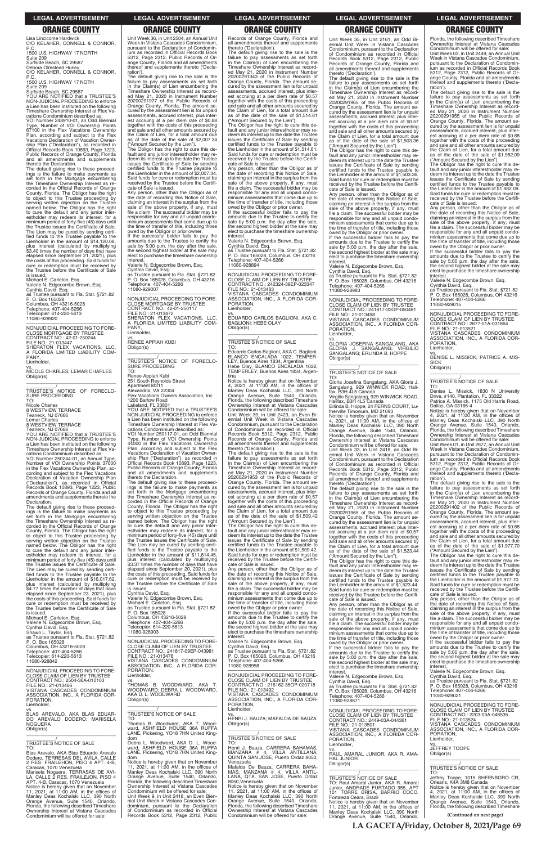**LA GACETA/Friday, October 8, 2021/Page 69**

### **LEGAL ADVERTISEMENT LEGAL ADVERTISEMENT LEGAL ADVERTISEMENT LEGAL ADVERTISEMENT LEGAL ADVERTISEMENT**

# **ORANGE COUNTY ORANGE COUNTY ORANGE COUNTY ORANGE COUNTY ORANGE COUNTY**

Lisa Lincicome Hardwick C/O KELAHER, CONNELL & CONNOR, P.C. 1500 U.S. HIGHWAY 17 NORTH

Suite 209 Surfside Beach, SC 29587

Debora Olmstead Hurley C/O KELAHER, CONNELL & CONNOR, P.C.

1500 U.S. HIGHWAY 17 NOTH Suite 209

Surfside Beach, SC 29587 YOU ARE NOTIFIED that a TRUSTEE'S NON-JUDICIAL PROCEEDING to enforce a Lien has been instituted on the following Timeshare Ownership Interest at Flex Va-cations Condominium described as:

VOI Number 248910-01, an Odd Biennial Type, Number of VOI Ownership Points 67100 in the Flex Vacations Ownership Plan, according and subject to the Flex Vacations Declaration of Vacation Owner-ship Plan ("Declaration"), as recorded in Official Records Book 10893, Page 1223, Public Records of Orange County, Florida and all amendments and supplements thereto the Declaration.

\_\_\_\_\_\_\_\_\_\_\_/<br>TRUSTEE'S NOTICE OF FORECLO-<br>SURE PROCEEDING TO:

VOI Number 250244-01, an Annual Type, Number of VOI Ownership Points 37000 in the Flex Vacations Ownership Plan, according and subject to the Flex Vacations Declaration of Vacation Ownership Plan ("Declaration"), as recorded in Official Records Book 10893, Page 1223, Public Records of Orange County, Florida and all amendments and supplements thereto the **Declaration** 

The default giving rise to these proceed-ings is the failure to make payments as set forth in the Mortgage encumbering the Timeshare Ownership Interest as re-corded in the Official Records of Orange County, Florida. The Obligor has the right to object to this Trustee proceeding by serving written objection on the Trustee named below. The Obligor has the right to cure the default and any junior inter-estholder may redeem its interest, for a minimum period of forty-five (45) days until the Trustee issues the Certificate of Sale. The Lien may be cured by sending certi-fied funds to the Trustee payable to the Lienholder in the amount of \$14,120.08, plus interest (calculated by multiplying \$3.40 times the number of days that have elapsed since September 21, 2021), plus the costs of this proceeding. Said funds for cure or redemption must be received by the Trustee before the Certificate of Sale

is issued. Michael E. Carleton, Esq.

is issued. Michael E. Carleton, Esq.

Valerie N. Edgecombe Brown, Esq. Cynthia David, Esq. as Trustee pursuant to Fla. Stat. §721.82 P. O. Box 165028 Columbus, OH 43216-5028 Telephone: 407-404-5266 Telecopier: 614-220-5613

11080-928920 —————————————————— NONJUDICIAL PROCEEDING TO FORE-

CLOSE MORTGAGE BY TRUSTEE CONTRACT NO.: 42-01-250244 FILE NO.: 21-013447

SHERATON FLEX VACATIONS, LLC, A FLORIDA LIMITED LIABILITY COM-PANY, Lienholder,

vs. NICOLE CHARLES; LEMAR CHARLES Obligor(s) \_\_\_\_\_\_\_\_\_\_\_\_\_\_\_\_\_\_\_\_\_\_\_\_\_\_\_\_\_\_\_\_\_

Nicole Charles 8 WESTVIEW TERRACE Teaneck, NJ 07666

Lemar Charles 8 WESTVIEW TERRACE

Teaneck, NJ 07666

YOU ARE NOTIFIED that a TRUSTEE'S NON-JUDICIAL PROCEEDING to enforce a Lien has been instituted on the following Timeshare Ownership Interest at Flex Vacations Condominium described as:

The Obligor has the right to cure this default and any junior interestholder may re-deem its interest up to the date the Trustee issues the Certificate of Sale by sending certified funds to the Trustee payable to the Lienholder in the amount of \$2,007.34. Said funds for cure or redemption must be received by the Trustee before the Certifi-

—————————————————— NONJUDICIAL PROCEEDING TO FORE-CLOSE MORTGAGE BY TRUSTEE CONTRACT NO.: 42-01-250117 FILE NO.: 21-013472 SHERATON FLEX VACATIONS, LLC, A FLORIDA LIMITED LIABILITY COM-A FLU<br>PANY, Lienholder,

The default giving rise to these proceed-ings is the failure to make payments as set forth in the Mortgage encumbering the Timeshare Ownership Interest as re-corded in the Official Records of Orange County, Florida. The Obligor has the right to object to this Trustee proceeding by serving written objection on the Trustee named below. The Obligor has the right to cure the default and any junior inter-estholder may redeem its interest, for a minimum period of forty-five (45) days until the Trustee issues the Certificate of Sale. The Lien may be cured by sending certi-fied funds to the Trustee payable to the Lienholder in the amount of \$16,017.62, plus interest (calculated by multiplying \$4.77 times the number of days that have elapsed since September 23, 2021), plus the costs of this proceeding. Said funds for cure or redemption must be received by the Trustee before the Certificate of Sale

Unit Week 36, in Unit 2504, an Annual Unit Week in Vistana Cascades Condominium, pursuant to the Declaration of Condomin-ium as recorded in Official Records Book 5312, Page 2312, Public Records of Orange County, Florida and all amendments thereof and supplements thereto ('Declaration'). The default giving rise to the sale is the

failure to pay assessments as set forth in the Claim(s) of Lien encumbering the Timeshare Ownership Interest as record-ed May 21, 2020 in Instrument Number 20200291977 of the Public Records of Orange County, Florida. The amount secured by the assessment lien is for unpaid assessments, accrued interest, plus est accruing at a per diem rate of \$0.88 together with the costs of this proceeding and sale and all other amounts secured by the Claim of Lien, for a total amount due as of the date of the sale of \$2,007.34 ("Amount Secured by the Lien").

cate of Sale is issued. Any person, other than the Obligor as of the date of recording this Notice of Sale, claiming an interest in the surplus from the sale of the above property, if any, must file a claim. The successful bidder may be responsible for any and all unpaid condominium assessments that come due up to the time of transfer of title, including those

owed by the Obligor or prior owner. If the successful bidder fails to pay the amounts due to the Trustee to certify the sale by 5:00 p.m. the day after the sale, the second highest bidder at the sale may elect to purchase the timeshare ownership

> The default giving rise to the sale is the failure to pay assessments as set forth in the Claim(s) of Lien encumbering the Timeshare Ownership Interest as record-ed May 21, 2020 in Instrument Number 20200291953 of the Public Records of Orange County, Florida. The amount secured by the assessment lien is for unpaid assessments, accrued interest, plus inter-est accruing at a per diem rate of \$0.57 together with the costs of this proceeding and sale and all other amounts secured by the Claim of Lien, for a total amount due as of the date of the sale of \$1,509.42 ("Amount Secured by the Lien").

interest. Valerie N. Edgecombe Brown, Esq.

Cynthia David, Esq. as Trustee pursuant to Fla. Stat. §721.82 P. O. Box 165028, Columbus, OH 43216 Telephone: 407-404-5266 11080-929007

vs. RENEE APPIAH KUBI Obligor(s)

\_\_\_\_\_\_\_\_\_\_\_\_\_\_\_\_\_\_\_\_\_\_\_\_\_\_\_\_\_\_\_\_\_ \_\_\_\_\_\_\_\_\_\_\_\_/<br>TRUSTEE'S NOTICE OF FORECLO-<br>SURE PROCEEDING TO:

Renee Appiah Kubi

251 South Reynolds Street Apartment M311

Alexandria, VA 22304 Flex Vacations Owners Association, Inc 1200 Bartow Road

Lakeland, FL 33801 YOU ARE NOTIFIED that a TRUSTEE'S NON-JUDICIAL PROCEEDING to enforce a Lien has been instituted on the following Timeshare Ownership Interest at Flex Vacations Condominium described as: VOI Number 250117-01, an Odd Biennial Type, Number of VOI Ownership Points 44000 in the Flex Vacations Ownership Plan, according and subject to the Flex Vacations Declaration of Vacation Ownership Plan ("Declaration"), as recorded in Official Records Book 10893, Page 1223, Public Records of Orange County, Florida and all amendments and supplements

thereto the Declaration. The default giving rise to these proceed-ings is the failure to make payments as set forth in the Mortgage encumbering the Timeshare Ownership Interest as re-corded in the Official Records of Orange County, Florida. The Obligor has the right to object to this Trustee proceeding by serving written objection on the Trustee named below. The Obligor has the right to cure the default and any junior inter-estholder may redeem its interest, for a minimum period of forty-five (45) days until the Trustee issues the Certificate of Sale. The Lien may be cured by sending certified funds to the Trustee payable Lienholder in the amount of \$11,614.45, plus interest (calculated by multiplying \$3.37 times the number of days that have elapsed since September 20, 2021), plus the costs of this proceeding. Said funds for cure or redemption must be received by the Trustee before the Certificate of Sale is issued.

Cynthia David, Esq. Valerie N. Edgecombe Brown, Esq. Michael E. Carleton, Esq. as Trustee pursuant to Fla. Stat. §721.82<br>P. O. Box 165028 P. O. Box 165028 Columbus, OH 43216-5028

The default giving rise to the sale is the failure to pay assessments as set forth in the Claim(s) of Lien encumbering the Timeshare Ownership Interest as recorded May 21, 2020 in Instrument Number 20200291965 of the Public Records of Orange County, Florida. The amount secured by the assessment lien is for unpaid assessments, accrued interest, plus inter-est accruing at a per diem rate of \$0.57 together with the costs of this proceeding and sale and all other amounts secured by the Claim of Lien, for a total amount due as of the date of the sale of \$1,523.44

Records of Orange County, Florida and all amendments thereof and supplements thereto ('Declaration').

The default giving rise to the sale is the failure to pay assessments as set forth in the Claim(s) of Lien encumbering the Timeshare Ownership Interest as recorded May 21, 2020 in Instrument Number 20200291343 of the Public Records of Orange County, Florida. The amount secured by the assessment lien is for unpaid assessments, accrued interest, plus interest accruing at a per diem rate of \$0.57 together with the costs of this proceeding and sale and all other amounts secured by the Claim of Lien, for a total amount due as of the date of the sale of \$1,514.61 ("Amount Secured by the Lien"). The Obligor has the right to cure this de-

fault and any junior interestholder may re-deem its interest up to the date the Trustee issues the Certificate of Sale by sending certified funds to the Trustee payable to the Lienholder in the amount of \$1,514.61. Said funds for cure or redemption must be received by the Trustee before the Certifi-cate of Sale is issued.

Any person, other than the Obligor as of the date of recording this Notice of Sale, claiming an interest in the surplus from the sale of the above property, if any, must file a claim. The successful bidder may be responsible for any and all unpaid condominium assessments that come due up to the time of transfer of title, including those owed by the Obligor or prior owner. If the successful bidder fails to pay the amounts due to the Trustee to certify the sale by 5:00 p.m. the day after the sale,

> Obligor(s)  $\overline{\phantom{a}}$  ,  $\overline{\phantom{a}}$  ,  $\overline{\phantom{a}}$  ,  $\overline{\phantom{a}}$  ,  $\overline{\phantom{a}}$  ,  $\overline{\phantom{a}}$  ,  $\overline{\phantom{a}}$  ,  $\overline{\phantom{a}}$  ,  $\overline{\phantom{a}}$  ,  $\overline{\phantom{a}}$  ,  $\overline{\phantom{a}}$  ,  $\overline{\phantom{a}}$  ,  $\overline{\phantom{a}}$  ,  $\overline{\phantom{a}}$  ,  $\overline{\phantom{a}}$  ,  $\overline{\phantom{a}}$

the second highest bidder at the sale may elect to purchase the timeshare ownership interest Valerie N. Edgecombe Brown, Esq.

Cynthia David, Esq. as Trustee pursuant to Fla. Stat. §721.82 P. O. Box 165028, Columbus, OH 43216 Telephone: 407-404-5266 11080-928894

—————————————————— NONJUDICIAL PROCEEDING TO FORE-CLOSE CLAIM OF LIEN BY TRUSTEE CONTRACT NO.: 242324-39EP-023347 FILE NO.: 21-013483 VISTANA CASCADES CONDOMINIUM ASSOCIATION, INC., A FLORIDA COR-PORATION, Lienholder,

vs. EDUARDO CARLOS BAGLIONI, AKA C. BAGLIONI; HEBE OLAY Obligor(s) \_\_\_\_\_\_\_\_\_\_\_\_\_\_\_\_\_\_\_\_\_\_\_\_\_\_\_\_\_\_\_\_\_

### \_\_\_\_\_\_\_\_\_\_\_/ TRUSTEE'S NOTICE OF SALE

TO: Eduardo Carlos Baglioni, AKA C. Baglioni, BLANCO ENCALADA 1022, TEMPER-LEY, Buenos Aires 1834, Argentina Hebe Olay, BLANCO ENCALADA 1022, TEMPERLEY, Buenos Aires 1834, Argen-

tina<br>Notice is hereby given that on November<br>Notice is hereby given that on November<br>4, 2021, at 11:00 AM, in the offices of<br>Manley Deas Kochalski LLC, 390 North<br>Orange Avenue, Suite 1540, Orlando,<br>Ownership Interest at Vi

Unit Week 39, in Unit 2423, an Even Biennial Unit Week in Vistana Cascades Condominium, pursuant to the Declaration of Condominium as recorded in Official Records Book 5312, Page 2312, Public Records of Orange County, Florida and all amendments thereof and supplements thereto ('Declaration').

The Obligor has the right to cure this default and any junior interestholder may redeem its interest up to the date the Trustee issues the Certificate of Sale by sending certified funds to the Trustee payable to the Lienholder in the amount of \$1,509.42. Said funds for cure or redemption must be received by the Trustee before the Certificate of Sale is issued.

Any person, other than the Obligor as of the date of recording this Notice of Sale, claiming an interest in the surplus from the sale of the above property, if any, must file a claim. The successful bidder may be responsible for any and all unpaid condominium assessments that come due up to the time of transfer of title, including those

owed by the Obligor or prior owner. If the successful bidder fails to pay the

| Michael E. Carleton, Esg.<br>Valerie N. Edgecombe Brown, Esq.<br>Cynthia David, Esg.<br>Shawn L. Taylor, Esg.<br>as Trustee pursuant to Fla. Stat. §721.82<br>P. O. Box 165028<br>Columbus, OH 43216-5028<br>Telephone: 407-404-5266<br>Telecopier: 614-220-5613<br>11080-928842                                                        | Columbus, OH 43216-5028<br>Telephone: 407-404-5266<br>Telecopier: 614-220-5613<br>11080-928903<br>NONJUDICIAL PROCEEDING TO FORE-<br>CLOSE CLAIM OF LIEN BY TRUSTEE<br>CONTRACT NO.: 241817-09EP-043981<br>FILE NO.: 21-013478<br>VISTANA CASCADES CONDOMINIUM<br>ASSOCIATION, INC., A FLORIDA COR-                                            | amounts due to the Trustee to certify the<br>sale by 5:00 p.m. the day after the sale,<br>the second highest bidder at the sale may<br>elect to purchase the timeshare ownership<br>interest.<br>Valerie N. Edgecombe Brown, Esg.<br>Cynthia David, Esq.<br>as Trustee pursuant to Fla. Stat. §721.82<br>P. O. Box 165028, Columbus, OH 43216<br>Telephone: 407-404-5266<br>11080-928958 | sale of the above property, if any, must<br>file a claim. The successful bidder may be<br>responsible for any and all unpaid condo-<br>minium assessments that come due up to<br>the time of transfer of title, including those<br>owed by the Obligor or prior owner.<br>If the successful bidder fails to pay the<br>amounts due to the Trustee to certify the<br>sale by 5:00 p.m. the day after the sale,<br>the second highest bidder at the sale may | file a claim. The successful bidder may be<br>responsible for any and all unpaid condo-<br>minium assessments that come due up to<br>the time of transfer of title, including those<br>owed by the Obligor or prior owner.<br>If the successful bidder fails to pay the<br>amounts due to the Trustee to certify the<br>sale by 5:00 p.m. the day after the sale.<br>the second highest bidder at the sale may<br>elect to purchase the timeshare ownership<br>interest. |
|-----------------------------------------------------------------------------------------------------------------------------------------------------------------------------------------------------------------------------------------------------------------------------------------------------------------------------------------|------------------------------------------------------------------------------------------------------------------------------------------------------------------------------------------------------------------------------------------------------------------------------------------------------------------------------------------------|------------------------------------------------------------------------------------------------------------------------------------------------------------------------------------------------------------------------------------------------------------------------------------------------------------------------------------------------------------------------------------------|------------------------------------------------------------------------------------------------------------------------------------------------------------------------------------------------------------------------------------------------------------------------------------------------------------------------------------------------------------------------------------------------------------------------------------------------------------|--------------------------------------------------------------------------------------------------------------------------------------------------------------------------------------------------------------------------------------------------------------------------------------------------------------------------------------------------------------------------------------------------------------------------------------------------------------------------|
| NONJUDICIAL PROCEEDING TO FORE-<br>CLOSE CLAIM OF LIEN BY TRUSTEE<br>CONTRACT NO.: 2504-36A-010103<br>FILE NO.: 21-013466<br>VISTANA CASCADES CONDOMINIUM<br>ASSOCIATION, INC., A FLORIDA COR-<br>PORATION.                                                                                                                             | PORATION.<br>Lienholder,<br>VS.<br>THOMAS B. WOODWARD, AKA T.<br>WOODWARD: DEBRA L. WOODWARD.<br>AKA D. L. WOODWARD<br>Obligor(s)                                                                                                                                                                                                              | NONJUDICIAL PROCEEDING TO FORE-<br>CLOSE CLAIM OF LIEN BY TRUSTEE<br>CONTRACT NO.: 216162-35OP-020718<br>FILE NO.: 21-013492<br>VISTANA CASCADES CONDOMINIUM<br>ASSOCIATION, INC., A FLORIDA COR-                                                                                                                                                                                        | elect to purchase the timeshare ownership<br>interest.<br>Valerie N. Edgecombe Brown, Esg.<br>Cynthia David, Esg.<br>as Trustee pursuant to Fla. Stat. §721.82<br>P. O. Box 165028, Columbus, OH 43216<br>Telephone: 407-404-5266<br>11080-928671                                                                                                                                                                                                          | Valerie N. Edgecombe Brown, Esg.<br>Cynthia David, Esq.<br>as Trustee pursuant to Fla. Stat. §721.82<br>P. O. Box 165028, Columbus, OH 43216<br>Telephone: 407-404-5266<br>11080-929021                                                                                                                                                                                                                                                                                  |
| Lienholder,<br>VS.<br>BLAS AREVALO, AKA BLAS EDUAR-<br>DO AREVALO DODERO; MARISELA<br><b>NOGUERA</b><br>Obligor(s)                                                                                                                                                                                                                      | <b>TRUSTEE'S NOTICE OF SALE</b><br>TO:<br>Thomas B. Woodward, AKA T. Wood-<br>ward. ASHFIELD HOUSE 36A RUFFA<br>LANE, Pickering, YO18 7HN United King-<br>dom                                                                                                                                                                                  | PORATION.<br>Lienholder.<br>VS.<br>HENRI J. BAUZA; MAFALDA DE BAUZA<br>Obligor(s)<br>TRUSTEE'S NOTICE OF SALE                                                                                                                                                                                                                                                                            | NONJUDICIAL PROCEEDING TO FORE-<br>CLOSE CLAIM OF LIEN BY TRUSTEE<br>CONTRACT NO.: 2449-03A-044361<br>FILE NO.: 21-013501<br>VISTANA CASCADES CONDOMINIUM<br>ASSOCIATION, INC., A FLORIDA COR-<br>PORATION.                                                                                                                                                                                                                                                | NONJUDICIAL PROCEEDING TO FORE-<br>CLOSE CLAIM OF LIEN BY TRUSTEE<br>CONTRACT NO.: 2203-03A-046535<br>FILE NO.: 21-013524<br>VISTANA CASCADES CONDOMINIUM<br>ASSOCIATION, INC., A FLORIDA COR-<br>PORATION.<br>Lienholder.                                                                                                                                                                                                                                               |
| TRUSTEE'S NOTICE OF SALE<br>TO.<br>Blas Arevalo, AKA Blas Eduardo Arevalo<br>Dodero, TERRESAS DEL AVILA, CALLE<br>2 RES. FRAILEHON. PISO 4 APT. 4-B.<br>Caracas, 1070 Venezuela<br>Marisela Noguera, TERRASAS DE AVI-                                                                                                                   | Debra L. Woodward, AKA D. L. Wood-<br>ward. ASHFIELD HOUSE 36A RUFFA<br>LANE, Pickering, YO18 7HN United King-<br>dom<br>Notice is hereby given that on November<br>11. 2021. at 11:00 AM. in the offices of<br>Manley Deas Kochalski LLC, 390 North                                                                                           | TO.<br>Henri J. Bauza, CARRERA BAHAMAS,<br>MANZANA # 4, VILLA ANTILLANA,<br>QUINTA SAN JOSE, Puerto Ordaz 8050,<br>Venezuela<br>Mafalda De Bauza, CARRERA BAHA-<br>MAS, MANZANA # 4, VILLA ANTIL-                                                                                                                                                                                        | Lienholder,<br>VS.<br>RAUL AMARAL JUNIOR. AKA R. AMA-<br><b>RAL JUNIOR</b><br>Obligor(s)                                                                                                                                                                                                                                                                                                                                                                   | VS.<br>JEFFREY TOOPE<br>Obligor(s)<br>TRUSTEE'S NOTICE OF SALE<br>TO:                                                                                                                                                                                                                                                                                                                                                                                                    |
| LA. CALLE 2 RES. FRAILEJON. PISO 4<br>APT. 4-B, Caracas, 1070 Venezuela<br>Notice is hereby given that on November<br>11, 2021, at $11:00$ AM, in the offices of<br>Manley Deas Kochalski LLC, 390 North<br>Orange Avenue, Suite 1540, Orlando,<br>Florida, the following described Timeshare<br>Ownership Interest at Vistana Cascades | Orange Avenue, Suite 1540, Orlando,<br>Florida, the following described Timeshare<br>Ownership Interest at Vistana Cascades<br>Condominium will be offered for sale:<br>Unit Week 9, in Unit 2418, an Even Bien-<br>nial Unit Week in Vistana Cascades Con-<br>dominium, pursuant to the Declaration<br>of Condominium as recorded in Official | LANA, QTA. SAN JOSE, Puerto Ordaz<br>8050. Venezuela<br>Notice is hereby given that on November<br>11, 2021, at 11:00 AM, in the offices of<br>Manley Deas Kochalski LLC, 390 North<br>Orange Avenue, Suite 1540, Orlando,<br>Florida, the following described Timeshare<br>Ownership Interest at Vistana Cascades                                                                       | TRUSTEE'S NOTICE OF SALE<br>TO: Raul Amaral Junior, AKA R. Amaral<br>Junior, ANDRADE FURTADO 955, APT<br>101 TORRE BRISA, BARRIO COCO,<br>Fortaleza Ceara, Brazil<br>Notice is hereby given that on November<br>11, 2021, at 11:00 AM, in the offices of                                                                                                                                                                                                   | Jeffrey Toope, 1015 SHEENBORO CR,<br>Orleans, K4A 3M8 Canada<br>Notice is hereby given that on November<br>4, 2021, at 11:00 AM, in the offices of<br>Manley Deas Kochalski LLC, 390 North<br>Orange Avenue, Suite 1540, Orlando,<br>Florida, the following described Timeshare                                                                                                                                                                                          |
| Condominium will be offered for sale:                                                                                                                                                                                                                                                                                                   | Records Book 5312, Page 2312, Public                                                                                                                                                                                                                                                                                                           | Condominium will be offered for sale:                                                                                                                                                                                                                                                                                                                                                    | Manley Deas Kochalski LLC, 390 North<br>Orange Avenue, Suite 1540, Orlando,                                                                                                                                                                                                                                                                                                                                                                                | (Continued on next page)                                                                                                                                                                                                                                                                                                                                                                                                                                                 |

Unit Week 35, in Unit 2161, an Odd Bi-ennial Unit Week in Vistana Cascades Condominium, pursuant to the Declaration of Condominium as recorded in Official Records Book 5312, Page 2312, Public Records of Orange County, Florida and all amendments thereof and supplements thereto ('Declaration').

The default giving rise to the sale is the failure to pay assessments as set forth in the Claim(s) of Lien encumbering the Timeshare Ownership Interest as record-ed May 21, 2020 in Instrument Number 20200291965 of the Public Records of Orange County, Florida. The amount se-cured by the assessment lien is for unpaid assessments, accrued interest, plus interest accruing at a per diem rate of \$0.57 together with the costs of this proceeding and sale and all other amounts secured by the Claim of Lien, for a total amount due as of the date of the sale of \$1,503.36

("Amount Secured by the Lien"). The Obligor has the right to cure this default and any junior interestholder may redeem its interest up to the date the Trustee issues the Certificate of Sale by sending certified funds to the Trustee payable to the Lienholder in the amount of \$1,503.36. Said funds for cure or redemption must be received by the Trustee before the Certificate of Sale is issued.

Any person, other than the Obligor as of the date of recording this Notice of Sale, claiming an interest in the surplus from the sale of the above property, if any, must file a claim. The successful bidder may be responsible for any and all unpaid condo-minium assessments that come due up to the time of transfer of title, including those

owed by the Obligor or prior owner. If the successful bidder fails to pay the amounts due to the Trustee to certify the sale by 5:00 p.m. the day after the sale, the second highest bidder at the sale may elect to purchase the timeshare ownership interest.

Valerie N. Edgecombe Brown, Esq. Cynthia David, Esq. as Trustee pursuant to Fla. Stat. §721.82 P. O. Box 165028, Columbus, OH 43216 Telephone: 407-404-5266 11080-928983

—————————————————— NONJUDICIAL PROCEEDING TO FORE-CLOSE CLAIM OF LIEN BY TRUSTEE CONTRACT NO.: 241817-33OP-050481 FILE NO.: 21-013498 VISTANA CASCADES CONDOMINIUM ASSOCIATION, INC., A FLORIDA COR-PORATION, Lienholder,

vs. GLORIA JOSEFINA SANGALANG, AKA GLORIA J. SANGALANG; VIRGILIO SANGALANG; ERLINDA B. HOPPE Obligor(s)

\_\_\_\_\_\_\_\_\_\_\_\_\_\_\_\_\_\_\_\_\_\_\_\_\_\_\_\_\_\_\_\_\_

Virgilio Sangalang, 929 WINWICK ROAD,<br>Halifax, B3H 4L5 Canada<br>Erlinda B. Hoppe, 24 FERNS COURT, Lu-<br>therville Timonium, MD 21093

\_\_\_\_\_\_\_\_\_\_\_/ TRUSTEE'S NOTICE OF SALE

TO:

Gloria Josefina Sangalang, AKA Gloria J. Sangalang, 929 WINWICK ROAD, Hali-fax, B3H 4L5 Canada

Notice is hereby given that on November 4, 2021, at 11:00 AM, in the offices of Manley Deas Kochalski LLC, 390 North Orange Avenue, Suite 1540, Orlando, Florida, the following described Timeshare Ownership Interest at Vistana Cascades Condominium will be offered for sale:

Unit Week 33, in Unit 2418, an Odd Biennial Unit Week in Vistana Cascades Condominium, pursuant to the Declaration of Condominium as recorded in Official Records Book 5312, Page 2312, Public Records of Orange County, Florida and all amendments thereof and supplements thereto ('Declaration').

("Amount Secured by the Lien"). The Obligor has the right to cure this default and any junior interestholder may re-deem its interest up to the date the Trustee issues the Certificate of Sale by sending certified funds to the Trustee payable to the Lienholder in the amount of \$1,523.44. Said funds for cure or redemption must be received by the Trustee before the Certificate of Sale is issued.

Any person, other than the Obligor as of the date of recording this Notice of Sale, claiming an interest in the surplus from the sale of the above property, if any, must

Florida, the following described Timeshare Ownership Interest at Vistana Cascades Condominium will be offered for sale: Unit Week 03, in Unit 2449, an Annual Unit Week in Vistana Cascades Condominium, pursuant to the Declaration of Condomin-ium as recorded in Official Records Book 5312, Page 2312, Public Records of Orange County, Florida and all amendments thereof and supplements thereto ('Declaration').

The default giving rise to the sale is the failure to pay assessments as set forth in the Claim(s) of Lien encumbering the Timeshare Ownership Interest as record-ed May 21, 2020 in Instrument Number 20200291955 of the Public Records of Orange County, Florida. The amount se-cured by the assessment lien is for unpaid assessments, accrued interest, plus interest accruing at a per diem rate of \$0.88 together with the costs of this proceeding and sale and all other amounts secured by the Claim of Lien, for a total amount due as of the date of the sale of \$1,982.09 ("Amount Secured by the Lien").

The Obligor has the right to cure this de-fault and any junior interestholder may re-deem its interest up to the date the Trustee issues the Certificate of Sale by sending certified funds to the Trustee payable to the Lienholder in the amount of \$1,982.09. Said funds for cure or redemption must be received by the Trustee before the Certifi-cate of Sale is issued.

Any person, other than the Obligor as of the date of recording this Notice of Sale, claiming an interest in the surplus from the sale of the above property, if any, must file a claim. The successful bidder may be responsible for any and all unpaid condominium assessments that come due up to the time of transfer of title, including those owed by the Obligor or prior owner.

If the successful bidder fails to pay the amounts due to the Trustee to certify the sale by 5:00 p.m. the day after the sale, the second highest bidder at the sale may elect to purchase the timeshare ownership interest.

Valerie N. Edgecombe Brown, Esq. Cynthia David, Esq. as Trustee pursuant to Fla. Stat. §721.82 P. O. Box 165028, Columbus, OH 43216 Telephone: 407-404-5266 11080-929015

—————————————————— NONJUDICIAL PROCEEDING TO FORE-CLOSE CLAIM OF LIEN BY TRUSTEE CONTRACT NO.: 2677-01A-031864

FILE NO.: 21-013521 VISTANA CASCADES CONDOMINIUM ASSOCIATION, INC., A FLORIDA COR-ORATION, Lienholder,

vs. DENISE L. MISSICK; PATRICE A. MIS-SICK

### \_\_\_\_\_\_\_\_\_\_\_/ TRUSTEE'S NOTICE OF SALE

TO: Denise L. Missick, 1830 N University Drive, #140, Plantation, FL 33322 Patrice A. Missick, 1175 Old Harris Road, Dallas, GA 03186-4

Notice is hereby given that on November 4, 2021, at 11:00 AM, in the offices of Manley Deas Kochalski LLC, 390 North Orange Avenue, Suite 1540, Orlando, Florida, the following described Timeshare Ownership Interest at Vistana Cascades

Condominium will be offered for sale: Unit Week 01, in Unit 2677, an Annual Unit Week in Vistana Cascades Condominium, pursuant to the Declaration of Condominium as recorded in Official Records Book 5312, Page 2312, Public Records of Orange County, Florida and all amendments thereof and supplements thereto ('Declaration').

The default giving rise to the sale is the failure to pay assessments as set forth in the Claim(s) of Lien encumbering the Timeshare Ownership Interest as record-ed May 21, 2020 in Instrument Number 20200291402 of the Public Records of Orange County, Florida. The amount se-cured by the assessment lien is for unpaid assessments, accrued interest, plus interest accruing at a per diem rate of \$0.88 together with the costs of this proceeding and sale and all other amounts secured by the Claim of Lien, for a total amount due as of the date of the sale of \$1,977.70 ("Amount Secured by the Lien").

The Obligor has the right to cure this de-fault and any junior interestholder may re-deem its interest up to the date the Trustee issues the Certificate of Sale by sending certified funds to the Trustee payable to the Lienholder in the amount of \$1,977.70. Said funds for cure or redemption must be received by the Trustee before the Certificate of Sale is issued.

Any person, other than the Obligor as of the date of recording this Notice of Sale, claiming an interest in the surplus from the sale of the above property, if any, must file a claim. The successful bidder may be responsible for any and all unpaid condo-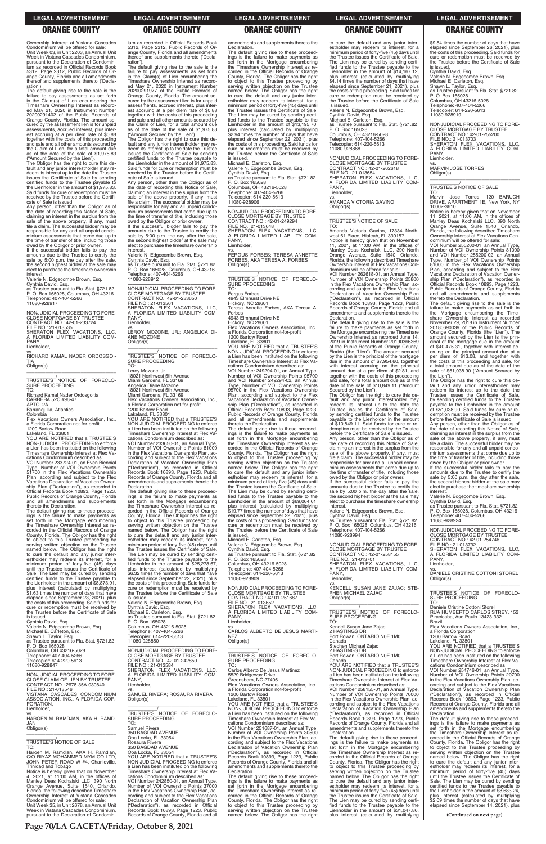Ownership Interest at Vistana Cascades Condominium will be offered for sale: Unit Week 03, in Unit 2203, an Annual Unit Week in Vistana Cascades Condominium, pursuant to the Declaration of Condominium as recorded in Official Records Book 5312, Page 2312, Public Records of Or-ange County, Florida and all amendments thereof and supplements thereto ('Declaration').

The default giving rise to the sale is the failure to pay assessments as set forth in the Claim(s) of Lien encumbering the Timeshare Ownership Interest as recorded May 21, 2020 in Instrument Number 20200291402 of the Public Records of Orange County, Florida. The amount secured by the assessment lien is for unpaid assessments, accrued interest, plus inter-est accruing at a per diem rate of \$0.88 together with the costs of this proceeding and sale and all other amounts secured by the Claim of Lien, for a total amount due as of the date of the sale of \$1,975.83

("Amount Secured by the Lien"). The Obligor has the right to cure this default and any junior interestholder may re-deem its interest up to the date the Trustee issues the Certificate of Sale by sending certified funds to the Trustee payable to the Lienholder in the amount of \$1,975.83. Said funds for cure or redemption must be received by the Trustee before the Certifi-

VOI Number 233724-01, an Even Biennial Type, Number of VOI Ownership Points 51700 in the Flex Vacations Ownership Plan, according and subject to the Flex Vacations Declaration of Vacation Ownership Plan ("Declaration"), as recorded in Official Records Book 10893, Page 1223, Public Records of Orange County, Florida and all amendments and supplements<br>thereto the Declaration

cate of Sale is issued. Any person, other than the Obligor as of the date of recording this Notice of Sale, claiming an interest in the surplus from the sale of the above property, if any, must file a claim. The successful bidder may be responsible for any and all unpaid condo-minium assessments that come due up to the time of transfer of title, including those owed by the Obligor or prior owner. If the successful bidder fails to pay the

amounts due to the Trustee to certify the sale by 5:00 p.m. the day after the sale, the second highest bidder at the sale may elect to purchase the timeshare ownership interest.

Valerie N. Edgecombe Brown, Esq.

Cynthia David, Esq. as Trustee pursuant to Fla. Stat. §721.82 P. O. Box 165028, Columbus, OH 43216 Telephone: 407-404-5266 11080-928917

—————————————————— NONJUDICIAL PROCEEDING TO FORE-CLOSE MORTGAGE BY TRUSTEE CONTRACT NO.: 42-01-233724 FILE NO.: 21-013535 SHERATON FLEX VACATIONS, LLC, A FLORIDA LIMITED LIABILITY COM-PANY, Lienholder,

vs. RICHARD KAMAL NADER ORDOSGOI-TIA Obligor(s)

\_\_\_\_\_\_\_\_\_\_\_\_\_\_\_\_\_\_\_\_\_\_\_\_\_\_\_\_\_\_\_\_\_ \_\_\_\_\_\_\_\_\_\_\_/ TRUSTEE'S NOTICE OF FORECLO-SURE PROCEEDING

TO: Richard Kamal Nader Ordosgoitia CARRERA 52C #96-47 APTO. 2A

Barranquilla, Atlantico

Colombia

Flex Vacations Owners Association, Inc., a Florida Corporation not-for-profit

ium as recorded in Official Records Book 5312, Page 2312, Public Records of Orange County, Florida and all amendments thereof and supplements thereto ('Declaration')

1200 Bartow Road Lakeland, FL 33801 YOU ARE NOTIFIED that a TRUSTEE'S NON-JUDICIAL PROCEEDING to enforce a Lien has been instituted on the following Timeshare Ownership Interest at Flex Vacations Condominium described as:

thereto the Declaration. The default giving rise to these proceed-ings is the failure to make payments as set forth in the Mortgage encumbering the Timeshare Ownership Interest as recorded in the Official Records of Orange County, Florida. The Obligor has the right to object to this Trustee proceeding by serving written objection on the Trustee named below. The Obligor has the right to cure the default and any junior interestholder may redeem its interest, for a minimum period of forty-five (45) days until the Trustee issues the Certificate of Sale. The Lien may be cured by sending certified funds to the Trustee pavable to certified funds to the Trustee payable to the Lienholder in the amount of \$8,873.91, plus interest (calculated by multiplying \$1.63 times the number of days that have elapsed since September 23, 2021), plus the costs of this proceeding. Said funds for cure or redemption must be received by the Trustee before the Certificate of Sale

is issued.

The default giving rise to the sale is the failure to pay assessments as set forth in the Claim(s) of Lien encumbering the Timeshare Ownership Interest as recorded May 21, 2020 in Instrument Number 20200291977 of the Public Records of Orange County, Florida. The amount secured by the assessment lien is for unpaid assessments, accrued interest, plus interest accruing at a per diem rate of \$0.88 together with the costs of this proceeding and sale and all other amounts secured by the Claim of Lien, for a total amount due as of the date of the sale of \$1,975.83 ("Amount Secured by the Lien").

> SHERATON FLEX VACATIONS, LLC FLORIDA LIMITED LIABILITY COM-PANY, **Lienholder** vs. FERGUS FORBES; TERESA ANNETTE FORBES, AKA TERESA A. FORBES

Hickory, NC 28601 Flex Vacations Owners Association, Inc.,

The Obligor has the right to cure this de-fault and any junior interestholder may re-deem its interest up to the date the Trustee issues the Certificate of Sale by sending certified funds to the Trustee payable to the Lienholder in the amount of \$1,975.83. Said funds for cure or redemption must be received by the Trustee before the Certificate of Sale is issued.

Any person, other than the Obligor as of the date of recording this Notice of Sale, claiming an interest in the surplus from the sale of the above property, if any, must file a claim. The successful bidder may be responsible for any and all unpaid condominium assessments that come due up to the time of transfer of title, including those owed by the Obligor or prior owner. If the successful bidder fails to pay the amounts due to the Trustee to certify the sale by 5:00 p.m. the day after the sale, the second highest bidder at the sale may

elect to purchase the timeshare ownership interest Valerie N. Edgecombe Brown, Esq. Cynthia David, Esq. as Trustee pursuant to Fla. Stat. §721.82

P. O. Box 165028, Columbus, OH 43216 Telephone: 407-404-5266 11080-928912

Columbus, OH 43216-5028 Telephone: 407-404-5266 copier: 614-220-5613

—————————————————— NONJUDICIAL PROCEEDING TO FORE-CLOSE MORTGAGE BY TRUSTEE CONTRACT NO.: 42-01-233650 FILE NO.: 21-013561 SHERATON FLEX VACATIONS, LLC, A FLORIDA LIMITED LIABILITY COM-PANY, Lienholder, vs. LEROY MOZONE, JR.; ANGELICA DI-ANE MOZONE Obligor(s)  $\overline{\phantom{a}}$  , and the set of the set of the set of the set of the set of the set of the set of the set of the set of the set of the set of the set of the set of the set of the set of the set of the set of the set of the s TRUSTEE'S NOTICE OF FORECLO-SURE PROCEEDING TO: Leroy Mozone, Jr. 18021 Northwest 5th Avenue Miami Gardens, FL 33169 Angelica Diane Mozone 18021 Northwest 5th Avenue Miami Gardens, FL 33169 Flex Vacations Owners Association, Inc., a Florida Corporation not-for-profit 1200 Bartow Road Lakeland, FL 33801 YOU ARE NOTIFIED that a TRUSTEE'S NON-JUDICIAL PROCEEDING to enforce a Lien has been instituted on the following Timeshare Ownership Interest at Flex Va-cations Condominium described as: VOI Number 233650-01, an Annual Type, Number of VOI Ownership Points 81000 in the Flex Vacations Ownership Plan, according and subject to the Flex Vacations Declaration of Vacation Ownership Plan ("Declaration"), as recorded in Official Records Book 10893, Page 1223, Public Records of Orange County, Florida and all amendments and supplements thereto the Declaration. The default giving rise to these proceed-ings is the failure to make payments as set forth in the Mortgage encumbering the Timeshare Ownership Interest as re-corded in the Official Records of Orange County, Florida. The Obligor has the right to object to this Trustee proceeding by serving written objection on the Trustee named below. The Obligor has the right to cure the default and any junior inter-estholder may redeem its interest, for a minimum period of forty-five (45) days until the Trustee issues the Certificate of Sale. Lien may be cured by sending certified funds to the Trustee payable to the Lienholder in the amount of \$25,278.67, plus interest (calculated by multiplying \$6.32 times the number of days that have elapsed since September 22, 2021), plus the costs of this proceeding. Said funds for cure or redemption must be received by the Trustee before the Certificate of Sale is issued. Valerie N. Edgecombe Brown, Esq. Cynthia David, Esq. Michael E. Carleton, Esq. as Trustee pursuant to Fla. Stat. §721.82

amendments and supplements thereto the Declaration. The default giving rise to these proceed-

> —————————————————— NONJUDICIAL PROCEEDING TO FORE-CLOSE MORTGAGE BY TRUSTEE CONTRACT NO.: 42-01-255200 FILE NO.: 21-013703 SHERATON FLEX VACATIONS, LLC, FLORIDA LIMITED LIABILITY COM-PANY, Lienholder

ings is the failure to make payments as set forth in the Mortgage encumbering the Timeshare Ownership Interest as recorded in the Official Records of Orange County, Florida. The Obligor has the right to object to this Trustee proceeding by serving written objection on the Trustee named below. The Obligor has the right to cure the default and any junior inter-estholder may redeem its interest, for a minimum period of forty-five (45) days until the Trustee issues the Certificate of Sale. The Lien may be cured by sending certi-fied funds to the Trustee payable to the Lienholder in the amount of \$13,195.70, plus interest (calculated by multiplying \$2.94 times the number of days that have elapsed since September 22, 2021), plus the costs of this proceeding. Said funds for cure or redemption must be received by the Trustee before the Certificate of Sale is issued. Michael E. Carleton, Esq.

Valerie N. Edgecombe Brown, Esq. Cynthia David, Esq. as Trustee pursuant to Fla. Stat. §721.82

P. O. Box 165028

Columbus, OH 43216-5028 Telephone: 407-404-5266 Telecopier: 614-220-5613

11080-928906

—————————————————— NONJUDICIAL PROCEEDING TO FORE-CLOSE MORTGAGE BY TRUSTEE CONTRACT NO.: 42-01-249294 FILE NO.: 21-013648

> owed by the Obligor or prior owner. If the successful bidder fails to pay the amounts due to the Trustee to certify the sale by 5:00 p.m. the day after the sale, the second highest bidder at the sale may elect to purchase the timeshare ownership interes

Obligor(s)

\_\_\_\_\_\_\_\_\_\_\_\_\_\_\_\_\_\_\_\_\_\_\_\_\_\_\_\_\_\_\_\_\_ \_\_\_\_\_\_\_\_\_\_\_/ TRUSTEE'S NOTICE OF FORECLO-SURE PROCEEDING

TO: Fergus Forbes 4943 Elmhurst Drive NE Hickory, NC 28601 Teresa Annette Forbes, AKA Teresa A.

Forbes 4943 Elmhurst Drive NE

a Florida Corporation not-for-profit 1200 Bartow Road

\_\_\_\_\_\_\_\_\_\_\_/ TRUSTEE'S NOTICE OF FORECLO-SURE PROCEEDING

Lakeland, FL 33801 YOU ARE NOTIFIED that a TRUSTEE'S NON-JUDICIAL PROCEEDING to enforce a Lien has been instituted on the following Timeshare Ownership Interest at Flex Va-cations Condominium described as: VOI Number 249294-01, an Annual Type,<br>Number of VOI Ownership Points 95700<br>and VOI Number 249294-02, an Annual<br>Type, Number of VOI Ownership Points<br>95700 in the Flex Vacations Ownership<br>Plan, according and subject to the F Vacations Declaration of Vacation Ownership Plan ("Declaration"), as recorded in Official Records Book 10893, Page 1223,

Public Records of Orange County, Florida and all amendments and supplements thereto the Declaration.

The default giving rise to these proceed-ings is the failure to make payments as set forth in the Mortgage encumbering the Timeshare Ownership Interest as recorded in the Official Records of Orange County, Florida. The Obligor has the right to object to this Trustee proceeding by serving written objection on the Trustee named below. The Obligor has the right to cure the default and any junior inter-estholder may redeem its interest, for a minimum period of forty-five (45) days until the Trustee issues the Certificate of Sale. The Lien may be cured by sending certi-fied funds to the Trustee payable to the Lienholder in the amount of \$69,064.61, plus interest (calculated by multiplying \$19.77 times the number of days that have elapsed since September 22, 2021), plus the costs of this proceeding. Said funds for cure or redemption must be received by the Trustee before the Certificate of Sale is issued.

Michael E. Carleton, Esq.

Valerie N. Edgecombe Brown, Esq. Cynthia David, Esq. as Trustee pursuant to Fla. Stat. §721.82 P. O. Box 165028

Columbus, OH 43216-5028 Telephone: 407-404-5266 Telecopier: 614-220-5613 11080-928909

—————————————————— NONJUDICIAL PROCEEDING TO FORE-CLOSE MORTGAGE BY TRUSTEE CONTRACT NO.: 42-01-251687 FILE NO.: 21-013652 SHERATON FLEX VACATIONS, LLC, A FLORIDA LIMITED LIABILITY COM-

PANY,

| Cynthia David, Esg.                        | P. O. Box 165028                            | Lienholder,                                 | TO.                                                    | Brazil                                      |
|--------------------------------------------|---------------------------------------------|---------------------------------------------|--------------------------------------------------------|---------------------------------------------|
| Valerie N. Edgecombe Brown, Esq.           | Columbus, OH 43216-5028                     | VS.                                         | Kendell Susan Jane Zajac                               | Flex Vacations Owners Association, Inc.,    |
| Michael E. Carleton, Esq.                  | Telephone: 407-404-5266                     | CARLOS ALBERTO DE JESUS MARTI-              | 2 HASTINGS DR                                          | a Florida Corporation                       |
| Shawn L. Taylor, Esq.                      | Telecopier: 614-220-5613                    | <b>NEZ</b>                                  | Port Rowan, ONTARIO NOE 1M0                            | 1200 Bartow Road                            |
| as Trustee pursuant to Fla. Stat. §721.82  | 11080-928850                                | Obligor(s)                                  | Canada                                                 | Lakeland. FL 33801                          |
| P. O. Box 165028                           |                                             |                                             | Stephen Michael Zajac                                  | YOU ARE NOTIFIED that a TRUSTEE'S           |
| Columbus, OH 43216-5028                    | NONJUDICIAL PROCEEDING TO FORE-             |                                             | 2 HASTINGS DR                                          | NON-JUDICIAL PROCEEDING to enforce          |
| Telephone: 407-404-5266                    | <b>CLOSE MORTGAGE BY TRUSTEE</b>            | TRUSTEE'S NOTICE OF FORECLO-                | Port Rowan, ONTARIO N0E 1M0                            | a Lien has been instituted on the following |
| Telecopier: 614-220-5613                   | CONTRACT NO.: 42-01-242850                  | <b>SURE PROCEEDING</b>                      | Canada                                                 | Timeshare Ownership Interest at Flex Va-    |
| 11080-928847                               | FILE NO.: 21-013584                         | TO:                                         | YOU ARE NOTIFIED that a TRUSTEE'S                      | cations Condominium described as:           |
|                                            | SHERATON FLEX VACATIONS. LLC.               | Carlos Alberto De Jesus Martinez            | NON-JUDICIAL PROCEEDING to enforce                     | VOI Number 254746-01, an Annual Type.       |
| NONJUDICIAL PROCEEDING TO FORE-            | A FLORIDA LIMITED LIABILITY COM-            | 5529 Bridgeway Drive                        | a Lien has been instituted on the following            | Number of VOI Ownership Points 20700        |
| CLOSE CLAIM OF LIEN BY TRUSTEE             | PANY.                                       | Greensboro, NC 27406                        | Timeshare Ownership Interest at Flex Va-               | in the Flex Vacations Ownership Plan, ac-   |
| CONTRACT NO.: 2678-35A-030840              | Lienholder.                                 | Flex Vacations Owners Association. Inc      | cations Condominium described as:                      | cording and subject to the Flex Vacations   |
| FILE NO.: 21-013546                        | VS.                                         | a Florida Corporation not-for-profit        | VOI Number 258155-01, an Annual Type,                  | Declaration of Vacation Ownership Plan      |
| VISTANA CASCADES CONDOMINIUM               | SAMUEL RIVERA: ROSAURA RIVERA               | 1200 Bartow Road                            | Number of VOI Ownership Points 70000                   | ("Declaration"), as recorded in Official    |
| ASSOCIATION, INC., A FLORIDA COR-          |                                             | Lakeland. FL 33801                          | in the Flex Vacations Ownership Plan, ac-              | Records Book 10893, Page 1223, Public       |
| PORATION.                                  | Obligor(s)                                  | YOU ARE NOTIFIED that a TRUSTEE'S           | cording and subject to the Flex Vacations              | Records of Orange County, Florida and all   |
| Lienholder,                                |                                             | NON-JUDICIAL PROCEEDING to enforce          | Declaration of Vacation Ownership Plan                 | amendments and supplements thereto the      |
|                                            | TRUSTEE'S NOTICE OF FORECLO-                | a Lien has been instituted on the following | ("Declaration"), as recorded in Official               | Declaration.                                |
| HAROEN M. RAMDJAN, AKA H. RAMD-            | SURE PROCEEDING                             | Timeshare Ownership Interest at Flex Va-    | Records Book 10893, Page 1223, Public                  | The default giving rise to these proceed-   |
| JAN                                        | TO:                                         | cations Condominium described as:           |                                                        | ings is the failure to make payments as     |
|                                            | Samuel Rivera                               |                                             | Records of Orange County, Florida and all              |                                             |
| Obligor(s)                                 |                                             | VOI Number 251687-01, an Annual Type,       | amendments and supplements thereto the<br>Declaration. | set forth in the Mortgage encumbering       |
|                                            | 350 BAGDAD AVENUE                           | Number of VOI Ownership Points 30500        |                                                        | the Timeshare Ownership Interest as re-     |
|                                            | Opa Locka, FL 33054                         | in the Flex Vacations Ownership Plan, ac-   | The default giving rise to these proceed-              | corded in the Official Records of Orange    |
| TRUSTEE'S NOTICE OF SALE                   | Rosaura Rivera                              | cording and subject to the Flex Vacations   | ings is the failure to make payments as                | County, Florida. The Obligor has the right  |
| TO:                                        | 350 BAGDAD AVENUE                           | Declaration of Vacation Ownership Plan      | set forth in the Mortgage encumbering                  | to object to this Trustee proceeding by     |
| Haroen M. Ramdian, AKA H. Ramdian,         | Opa Locka, FL 33054                         | ("Declaration"), as recorded in Official    | the Timeshare Ownership Interest as re-                | serving written objection on the Trustee    |
| C/O RIYAZ MOHAMMED MYM CO LTD.             | YOU ARE NOTIFIED that a TRUSTEE'S           | Records Book 10893, Page 1223, Public       | corded in the Official Records of Orange               | named below. The Obligor has the right      |
| JOHN PETER ROAD W #4, Charlieville,        | NON-JUDICIAL PROCEEDING to enforce          | Records of Orange County, Florida and all   | County, Florida. The Obligor has the right             | to cure the default and any junior inter-   |
| Trinidad and Tobago                        | a Lien has been instituted on the following | amendments and supplements thereto the      | to object to this Trustee proceeding by                | estholder may redeem its interest, for a    |
| Notice is hereby given that on November    | Timeshare Ownership Interest at Flex Va-    | Declaration.                                | serving written objection on the Trustee               | minimum period of forty-five (45) days      |
| 4, 2021, at $11:00$ AM, in the offices of  | cations Condominium described as:           | The default giving rise to these proceed-   | named below. The Obligor has the right                 | until the Trustee issues the Certificate of |
| Manley Deas Kochalski LLC, 390 North       | VOI Number 242850-01, an Annual Type,       | ings is the failure to make payments as     | to cure the default and any junior inter-              | Sale. The Lien may be cured by sending      |
| Orange Avenue, Suite 1540, Orlando,        | Number of VOI Ownership Points 37000        | set forth in the Mortgage encumbering       | estholder may redeem its interest, for a               | certified funds to the Trustee pavable to   |
| Florida, the following described Timeshare | in the Flex Vacations Ownership Plan, ac-   | the Timeshare Ownership Interest as re-     | minimum period of forty-five (45) days until           | the Lienholder in the amount of \$8,683.24, |
| Ownership Interest at Vistana Cascades     | cording and subject to the Flex Vacations   | corded in the Official Records of Orange    | the Trustee issues the Certificate of Sale.            | plus interest (calculated by multiplying    |
| Condominium will be offered for sale:      | Declaration of Vacation Ownership Plan      | County, Florida. The Obligor has the right  | The Lien may be cured by sending certi-                | \$2.09 times the number of days that have   |
| Unit Week 35, in Unit 2678, an Annual Unit | ("Declaration"), as recorded in Official    | to object to this Trustee proceeding by     | fied funds to the Trustee payable to the               | elapsed since September 14, 2021), plus     |
| Week in Vistana Cascades Condominium.      | Records Book 10893, Page 1223, Public       | serving written objection on the Trustee    | Lienholder in the amount of \$31,047.86,               |                                             |
| pursuant to the Declaration of Condomin-   | Records of Orange County, Florida and all   | named below. The Obligor has the right      | plus interest (calculated by multiplying               | (Continued on next page)                    |
|                                            |                                             |                                             |                                                        |                                             |

to cure the default and any junior inter-estholder may redeem its interest, for a minimum period of forty-five (45) days until the Trustee issues the Certificate of The Lien may be cured by sending certified funds to the Trustee payable to the Lienholder in the amount of \$14,167.12, plus interest (calculated by multiplying \$4.14 times the number of days that have elapsed since September 21, 2021), plus the costs of this proceeding. Said funds for cure or redemption must be received by the Trustee before the Certificate of Sale<br>is issued. is issued. Valerie N. Edgecombe Brown, Esq. Cynthia David, Esq. Michael E. Carleton, Esq.

as Trustee pursuant to Fla. Stat. §721.82 P. O. Box 165028

11080-928868

Lienholder

—————————————————— NONJUDICIAL PROCEEDING TO FORE-CLOSE MORTGAGE BY TRUSTEE CONTRACT NO.: 42-01-262618

FILE NO.: 21-013654 SHERATON FLEX VACATIONS, LLC, A FLORIDA LIMITED LIABILITY COM-PANY,

vs. AMANDA VICTORIA GAVINO

Obligor(s)

**Declaration** 

\_\_\_\_\_\_\_\_\_\_\_\_\_\_\_\_\_\_\_\_\_\_\_\_\_\_\_\_\_\_\_\_\_ \_\_\_\_\_\_\_\_\_\_\_/ TRUSTEE'S NOTICE OF SALE

TO:

Amanda Victoria Gavino, 17334 North-west 61 Place, Hialeah, FL 33015? Notice is hereby given that on November 11, 2021, at 11:00 AM, in the offices of Manley Deas Kochalski LLC, 390 North

Orange Avenue, Suite 1540, Orlando, Florida, the following described Timeshare Ownership Interest at Flex Vacations Condominium will be offered for sale: VOI Number 262618-01, an Annual Type, Number of VOI Ownership Points 25800 in the Flex Vacations Ownership Plan, according and subject to the Flex Vacations Declaration of Vacation Ownership Plan ("Declaration"), as recorded in Official Records Book 10893, Page 1223, Public Records of Orange County, Florida and all amendments and supplements thereto the

The default giving rise to the sale is the failure to make payments as set forth in the Mortgage encumbering the Timeshare Ownership Interest as recorded June 14, 2019 in Instrument Number 20190366369 of the Public Records of Orange County, Florida (the "Lien"). The amount secured by the Lien is the principal of the mortgage due in the amount of \$7,954.60, together with interest accruing on the principal amount due at a per diem of \$2.81, and together with the costs of this proceeding and sale, for a total amount due as of the date of the sale of \$10,849.11 ("Amount Secured by the Lien"). The Obligor has the right to cure this default and any junior interestholder may redeem its interest up to the date the Trustee issues the Certificate of Sale,

by sending certified funds to the Trustee payable to the Lienholder in the amount of \$10,849.11. Said funds for cure or redemption must be received by the Trustee before the Certificate of Sale is issued. Any person, other than the Obligor as of the date of recording this Notice of Sale, claiming an interest in the surplus from the sale of the above property, if any, must file a claim. The successful bidder may be responsible for any and all unpaid condo-minium assessments that come due up to the time of transfer of title, including those owed by the Obligor or prior owner. If the successful bidder fails to pay the amounts due to the Trustee to certify the sale by 5:00 p.m. the day after the sale, the second highest bidder at the sale may elect to purchase the timeshare ownership

interest.

Valerie N. Edgecombe Brown, Esq.

Cynthia David, Esq. as Trustee pursuant to Fla. Stat. §721.82 P. O. Box 165028, Columbus, OH 43216 Telephone: 407-404-5266 11080-928994 —————————————————— NONJUDICIAL PROCEEDING TO FORE-

CLOSE MORTGAGE BY TRUSTEE CONTRACT NO.: 42-01-258155 FILE NO.: 21-013701 SHERATON FLEX VACATIONS, LLC, A FLORIDA LIMITED LIABILITY COM-

PANY,

PHEN MICHAEL ZAJAC

Lienholder, vs. KENDELL SUSAN JANE ZAJAC; STE-Obligor(s) SURE PROCEEDING

\_\_\_\_\_\_\_\_\_\_\_\_\_\_\_\_\_\_\_\_\_\_\_\_\_\_\_\_\_\_\_\_\_ \_\_\_\_\_\_\_\_\_\_\_/ TRUSTEE'S NOTICE OF FORECLO-

\$9.54 times the number of days that have elapsed since September 26, 2021), plus the costs of this proceeding. Said funds for cure or redemption must be received by the Trustee before the Certificate of Sale is issued. Cynthia David, Esq. Valerie N. Edgecombe Brown, Esq. Michael E. Carleton, Esq. Shawn L. Taylor, Esq. as Trustee pursuant to Fla. Stat. §721.82 P. O. Box 165028 Columbus, OH 43216-5028 Telephone: 407-404-5266 Telecopier: 614-220-5613 11080-928919

vs. MARVIN JOSE TORRES Obligor(s) \_\_\_\_\_\_\_\_\_\_\_\_\_\_\_\_\_\_\_\_\_\_\_\_\_\_\_\_\_\_\_\_\_

\_\_\_\_\_\_\_\_\_\_\_/ TRUSTEE'S NOTICE OF SALE TO:

Marvin Jose Torres, 120 BARUCH DRIVE, APARTMENT 1E, New York, NY 10002-3610

Notice is hereby given that on November 11, 2021, at 11:00 AM, in the offices of Manley Deas Kochalski LLC, 390 North Orange Avenue, Suite 1540, Orlando, Florida, the following described Timeshare Ownership Interest at Flex Vacations Condominium will be offered for sale:

VOI Number 255200-01, an Annual Type, Number of VOI Ownership Points 81000 and VOI Number 255200-02, an Annual Type, Number of VOI Ownership Points 81000 in the Flex Vacations Ownership Plan, according and subject to the Flex Vacations Declaration of Vacation Owner-ship Plan ("Declaration"), as recorded in Official Records Book 10893, Page 1223, Public Records of Orange County, Florida and all amendments and supplements thereto the Declaration.

The default giving rise to the sale is the failure to make payments as set forth in the Mortgage encumbering the Time-share Ownership Interest as recorded November 29, 2018 in Instrument Number 20180690039 of the Public Records of Crange County Florida (the "Lien"). The Orange County, Florida (the "Lien"). The amount secured by the Lien is the principal of the mortgage due in the amount of \$40,475.31, together with interest ac-cruing on the principal amount due at a per diem of \$13.08, and together with the costs of this proceeding and sale, for a total amount due as of the date of the sale of \$51,038.90 ("Amount Secured by

the Lien"). The Obligor has the right to cure this default and any junior interestholder may redeem its interest up to the date the Trustee issues the Certificate of Sale, by sending certified funds to the Trustee payable to the Lienholder in the amount of \$51,038.90. Said funds for cure or redemption must be received by the Trustee

before the Certificate of Sale is issued. Any person, other than the Obligor as of the date of recording this Notice of Sale,<br>claiming an interest in the surplus from the<br>sale of the above property, if any, must<br>file a claim. The successful bidder may be responsible for any and all unpaid condo-minium assessments that come due up to the time of transfer of title, including those

Valerie N. Edgecombe Brown, Esq. Cynthia David, Esq. as Trustee pursuant to Fla. Stat. §721.82 P. O. Box 165028, Columbus, OH 43216 Telephone: 407-404-5266

11080-928924

—————————————————— NONJUDICIAL PROCEEDING TO FORE-CLOSE MORTGAGE BY TRUSTEE CONTRACT NO.: 42-01-254746 FILE NO.: 21-013732

SHERATON FLEX VACATIONS, LLC FLORIDA LIMITED LIABILITY COM-PANY, Lienholder

vs. DANIELE CRISTINE COTTONI STOREL Obligor(s) \_\_\_\_\_\_\_\_\_\_\_\_\_\_\_\_\_\_\_\_\_\_\_\_\_\_\_\_\_\_\_\_\_

TO:

Daniele Cristine Cottoni Storel RUA HUMBERTO CARLOS STREY, 152 Piracicaba, Aso Paulo 13423-332

### **LEGAL ADVERTISEMENT LEGAL ADVERTISEMENT LEGAL ADVERTISEMENT LEGAL ADVERTISEMENT LEGAL ADVERTISEMENT**

# **ORANGE COUNTY ORANGE COUNTY ORANGE COUNTY ORANGE COUNTY ORANGE COUNTY**

**Page 70/LA GACETA/Friday, October 8, 2021**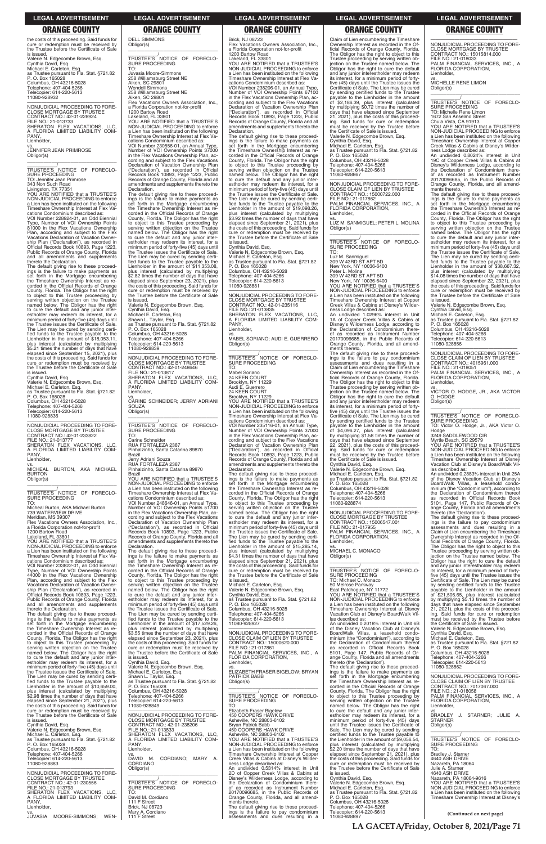the costs of this proceeding. Said funds for cure or redemption must be received by the Trustee before the Certificate of Sale is issued. Valerie N. Edgecombe Brown, Esq. Cynthia David, Esq. Michael E. Carleton, Esq. as Trustee pursuant to Fla. Stat. §721.82 P. O. Box 165028 Columbus, OH 43216-5028 Telephone: 407-404-5266 Telecopier: 614-220-5613 11080-928932

\_\_\_\_\_\_\_\_\_\_\_/<br>TRUSTEE'S NOTICE OF FORECLO-<br>SURE PROCEEDING TO: Jennifer Jean Primrose 343 Non Such Road Livingston, TX 77351

—————————————————— NONJUDICIAL PROCEEDING TO FORE-CLOSE MORTGAGE BY TRUSTEE CONTRACT NO.: 42-01-228924 FILE NO.: 21-013733 SHERATON FLEX VACATIONS, LLC, A FLORIDA LIMITED LIABILITY COM-PANY Lienholder, vs.

JENNIFER JEAN PRIMROSE Obligor(s) \_\_\_\_\_\_\_\_\_\_\_\_\_\_\_\_\_\_\_\_\_\_\_\_\_\_\_\_\_\_\_\_\_

YOU ARE NOTIFIED that a TRUSTEE'S NON-JUDICIAL PROCEEDING to enforce a Lien has been instituted on the following Timeshare Ownership Interest at Flex Vacations Condominium described as: VOI Number 228924-01, an Odd Biennial

Type, Number of VOI Ownership Points 81000 in the Flex Vacations Ownership Plan, according and subject to the Flex Vacations Declaration of Vacation Owner-ship Plan ("Declaration"), as recorded in Official Records Book 10893, Page 1223, Public Records of Orange County, Florida and all amendments and supplements thereto the Declaration.

The default giving rise to these proceed-ings is the failure to make payments as set forth in the Mortgage encumbering the Timeshare Ownership Interest as re-corded in the Official Records of Orange County, Florida. The Obligor has the right to object to this Trustee proceeding by serving written objection on the Trustee named below. The Obligor has the right to cure the default and any junior interestholder may redeem its interest, for a minimum period of forty-five (45) days until the Trustee issues the Certificate of Sale. The Lien may be cured by sending certified funds to the Trustee payable to the<br>Lienholder in the amount of \$18,053.11, plus interest (calculated by multiplying \$5.21 times the number of days that have elapsed since September 15, 2021), plus the costs of this proceeding. Said funds for cure or redemption must be received by the Trustee before the Certificate of Sale

is issued. Cynthia David, Esq. Valerie N. Edgecombe Brown, Esq. Michael E. Carleton, Esq. as Trustee pursuant to Fla. Stat. §721.82 P. O. Box 165028 Columbus, OH 43216-5028 Telephone: 407-404-5266 Telecopier: 614-220-5613 11080-928836

—————————————————— NONJUDICIAL PROCEEDING TO FORE-CLOSE MORTGAGE BY TRUSTEE CONTRACT NO.: 42-01-233822 FILE NO.: 21-013777 SHERATON FLEX VACATIONS, LLC, A FLORIDA LIMITED LIABILITY COM-PANY, Lienholder,

vs. MICHEAL BURTON, AKA MICHAEL BURTON Obligor(s) \_\_\_\_\_\_\_\_\_\_\_\_\_\_\_\_\_\_\_\_\_\_\_\_\_\_\_\_\_\_\_\_\_

\_\_\_\_\_\_\_\_\_\_\_/ TRUSTEE'S NOTICE OF FORECLO-SURE PROCEEDING

TO: Micheal Burton, AKA Michael Burton 739 WATERVIEW DRIVE Meridian, MS 39307

Flex Vacations Owners Association, Inc., a Florida Corporation not-for-profit 1200 Bartow Road

Lakeland, FL 33801

YOU ARE NOTIFIED that a TRUSTEE'S NON-JUDICIAL PROCEEDING to enforce a Lien has been instituted on the following Timeshare Ownership Interest at Flex Va-

cations Condominium described as: VOI Number 233822-01, an Odd Biennial Type, Number of VOI Ownership Points 44000 in the Flex Vacations Ownership Plan, according and subject to the Flex Vacations Declaration of Vacation Ownership Plan ("Declaration"), as recorded in Official Records Book 10893, Page 1223, Public Records of Orange County, Florida and all amendments and supplements thereto the Declaration.

The default giving rise to these proceed-ings is the failure to make payments as

**SOUZA** Obligor(s)

("Declaration"), as recorded in Official Records Book 10893, Page 1223, Public Records of Orange County, Florida and all amendments and supplements thereto the Declaration.<br>The default giving rise to these proceed-

The default giving rise to these proceed-<br>ings is the failure to make payments as<br>set forth in the Mortgage encumbering<br>the Timeshare Ownership Interest as re-<br>corded in the Official Records of Orange<br>County, Florida. The

YOU ARE NOTIFIED that a TRUSTEE'S NON-JUDICIAL PROCEEDING to enforce a Lien has been instituted on the following Timeshare Ownership Interest at Flex Vacations Condominium described as: VOI Number 238206-01, an Annual Type, Number of VOI Ownership Points 67100 in the Flex Vacations Ownership Plan, according and subject to the Flex Vacations Declaration of Vacation Ownership Plan ("Declaration"), as recorded in Official ("Declaration"), as recorded in Official<br>Records Book 10893, Page 1223, Public

DELL SIMMONS Obligor(s)

\_\_\_\_\_\_\_\_\_\_\_\_\_\_\_\_\_\_\_\_\_\_\_\_\_\_\_\_\_\_\_\_\_ \_\_\_\_\_\_\_\_\_\_\_/ TRUSTEE'S NOTICE OF FORECLO-

SURE PROCEEDING TO: Juvasia Moore-Simmons 258 Williamsburg Street NE Aiken, SC 29801 Wendell Simmons 258 Williamsburg Street NE Aiken, SC 29801

Flex Vacations Owners Association, Inc., a Florida Corporation not-for-profit

1200 Bartow Road Lakeland, FL 33801

YOU ARE NOTIFIED that a TRUSTEE'S NON-JUDICIAL PROCEEDING to enforce a Lien has been instituted on the following Timeshare Ownership Interest at Flex Vacations Condominium described as: cations Condominium described as:<br>VOI Number 230556-01, an Annual Type, Number of VOI Ownership Points 37000 in the Flex Vacations Ownership Plan, according and subject to the Flex Vacations

Declaration of Vacation Ownership Plan ("Declaration"), as recorded in Official Records Book 10893, Page 1223, Public Records of Orange County, Florida and all amendments and supplements thereto the

—————————————————— NONJUDICIAL PROCEEDING TO FORE-CLOSE MORTGAGE BY TRUSTEE CONTRACT NO.: 42-01-235116 FILE NO.: 21-013835 SHERATON FLEX VACATIONS, LLC, A FLORIDA LIMITED LIABILITY COM-**PANY** Lienholder,

Declaration.

\_\_\_\_\_\_\_\_\_\_\_/<br>TRUSTEE'S NOTICE OF FORECLO-<br>SURE PROCEEDING TO:

The default giving rise to these proceed-ings is the failure to make payments as set forth in the Mortgage encumbering the Timeshare Ownership Interest as re-corded in the Official Records of Orange

County, Florida. The Obligor has the right to object to this Trustee proceeding by serving written objection on the Trustee named below. The Obligor has the right to cure the default and any junior inter-estholder may redeem its interest, for a

minimum period of forty-five (45) days until<br>the Trustee issues the Certificate of Sale.<br>The Lien may be cured by sending certified funds to the Trustee payable to the<br>Lienholder in the amount of \$11,353.08,<br>plus interest

The default giving rise to these proceed-ings is the failure to make payments as set forth in the Mortgage encumbering the Timeshare Ownership Interest as re-corded in the Official Records of Orange County, Florida. The Obligor has the right to object to this Trustee proceeding by serving written objection on the Trustee named below. The Obligor has the right to cure the default and any junior inter-estholder may redeem its interest, for a minimum period of forty-five (45) days until the Trustee issues the Certificate of Sale. The Lien may be cured by sending certified funds to the Trustee payable to the<br>Lienholder in the amount of \$15,285.14, plus interest (calculated by multiplying<br>\$4.31 times the number of days that have<br>elapsed since September 21, 2021), plus<br>the costs of this proceeding. Said funds for<br>cure or redemption must be received by<br>the Trustee befo

\$2.82 times the number of days that have elapsed since September 23, 2021), plus the costs of this proceeding. Said funds for cure or redemption must be received by the Trustee before the Certificate of Sale is issued. Valerie N. Edgecombe Brown, Esq.

Cynthia David, Esq. Michael E. Carleton, Esq. Shawn L. Taylor, Esq. as Trustee pursuant to Fla. Stat. §721.82 P. O. Box 165028 Columbus, OH 43216-5028

Telephone: 407-404-5266 Telecopier: 614-220-5613 11080-928839

—————————————————— NONJUDICIAL PROCEEDING TO FORE-CLOSE MORTGAGE BY TRUSTEE

CONTRACT NO.: 42-01-248646 FILE NO.: 21-013817 SHERATON FLEX VACATIONS, LLC,

A FLORIDA LIMITED LIABILITY COM-PANY, Lienholder, vs. CARINE SCHNEIDER; JERRY ADRIANI

 $\overline{\phantom{a}}$  ,  $\overline{\phantom{a}}$  ,  $\overline{\phantom{a}}$  ,  $\overline{\phantom{a}}$  ,  $\overline{\phantom{a}}$  ,  $\overline{\phantom{a}}$  ,  $\overline{\phantom{a}}$  ,  $\overline{\phantom{a}}$  ,  $\overline{\phantom{a}}$  ,  $\overline{\phantom{a}}$  ,  $\overline{\phantom{a}}$  ,  $\overline{\phantom{a}}$  ,  $\overline{\phantom{a}}$  ,  $\overline{\phantom{a}}$  ,  $\overline{\phantom{a}}$  ,  $\overline{\phantom{a}}$ \_\_\_\_\_\_\_\_\_\_\_/<br>TRUSTEE'S NOTICE OF FORECLO-<br>SURE PROCEEDING

TO:

Carine Schneider RUA FORTALEZA 2387 Pinhalzinho, Santa Catarina 89870

Brazil

Jerry Adriani Souza RUA FORTALEZA 2387 Pinhalzinho, Santa Catarina 89870

Brazil

YOU ARE NOTIFIED that a TRUSTEE'S NON-JUDICIAL PROCEEDING to enforce a Lien has been instituted on the following Timeshare Ownership Interest at Flex Va-

cations Condominium described as:<br>VOI Number 248646-01, an Annual Type,<br>Number of VOI Ownership Points 51700<br>in the Flex Vacations Ownership Plan, ac-<br>cording and subject to the Flex Vacations<br>Declaration of Vacation Owner

\_\_\_\_\_\_\_\_\_\_\_/<br>TRUSTEE'S NOTICE OF FORECLO-<br>SURE PROCEEDING TO:

to object to this Trustee proceeding by serving written objection on the Trustee named below. The Obligor has the right

to cure the default and any junior inter-estholder may redeem its interest, for a minimum period of forty-five (45) days until the Trustee issues the Certificate of Sale. The Lien may be cured by sending certified funds to the Trustee payable to the

Brick, NJ 08723 Flex Vacations Owners Association, Inc., a Florida Corporation not-for-profit 1200 Bartow Road Lakeland, FL 33801

Records of Orange County, Florida and all amendments and supplements thereto the Declaration. The default giving rise to these proceedings is the failure to make payments as set forth in the Mortgage encumbering the Timeshare Ownership Interest as re-corded in the Official Records of Orange County, Florida. The Obligor has the right to object to this Trustee proceeding by serving written objection on the Trustee named below. The Obligor has the right to cure the default and any junior inter-estholder may redeem its interest, for a minimum period of forty-five (45) days until the Trustee issues the Certificate of Sale. The Lien may be cured by sending certi-fied funds to the Trustee payable to the Lienholder in the amount of \$19,098.26, plus interest (calculated by multiplying \$3.92 times the number of days that have elapsed since September 21, 2021), plus the costs of this proceeding. Said funds for cure or redemption must be received by the Trustee before the Certificate of Sale is issued.

ments thereto.<br>The default giving rise to these proceed-<br>ings is the failure to make payments as<br>set forth in the Mortgage encumbering<br>the Timeshare Ownership Interest as re-<br>corded in the Official Records of Orange County, Florida. The Obligor has the right<br>to object to this Trustee proceeding by<br>serving written objection on the Trustee<br>named below. The Obligor has the right<br>to cure the default and any junior inter-<br>estholder may red the Trustee issues the Certificate of Sale. The Lien may be cured by sending certi-<br>fied funds to the Trustee payable to the<br>Lienholder in the amount of \$38,667.32,<br>plus interest (calculated by multiplying<br>\$14.08 times the number of days that have elapsed since September 22, 2021), plus the costs of this proceeding. Said funds for cure or redemption must be received by the Trustee before the Certificate of Sale is issued. Valerie N. Edgecombe Brown, Esq.

\_\_\_\_\_\_\_\_\_\_\_/<br>TRUSTEE'S NOTICE OF FORECLO-<br>SURE PROCEEDING TO: Victor O. Hodge, Jr., AKA Victor O.

Cynthia David, Esq. Valerie N. Edgecombe Brown, Esq. Michael E. Carleton, Esq. as Trustee pursuant to Fla. Stat. §721.82 P. O. Box 165028 Columbus, OH 43216-5028 Telephone: 407-404-5266 Telecopier: 614-220-5613 11080-928881

vs. MABEL SORIANO; AUDI E. GUERRERO Obligor(s) \_\_\_\_\_\_\_\_\_\_\_\_\_\_\_\_\_\_\_\_\_\_\_\_\_\_\_\_\_\_\_\_\_

Mabel Soriano

24 KEEN COURT Brooklyn, NY 11229 Audi E. Guerrero 24 KEEN COURT

> ange County, Florida and all amendments<br>thereto (the 'Declaration').<br>The default giving rise to these proceed-<br>ings is the failure to pay condominium<br>assessments and dues resulting in a<br>Claim of Lien encumbering the Timesh ficial Records of Orange County, Florida. The Obligor has the right to object to this Trustee proceeding by serving written ob-jection on the Trustee named below. The Obligor has the right to cure the default and any junior interestholder may redeem its interest, for a minimum period of forty-five (45) days until the Trustee issues the Certificate of Sale. The Lien may be cured by sending certified funds to the Trustee payable to the Lienholder in the amount of \$21,506.65, plus interest (calculated by multiplying \$5.13 times the number of days that have elapsed since September 21, 2021), plus the costs of this proceed-ing. Said funds for cure or redemption must be received by the Trustee before the Certificate of Sale is issued.

Brooklyn, NY 11229 YOU ARE NOTIFIED that a TRUSTEE'S NON-JUDICIAL PROCEEDING to enforce a Lien has been instituted on the following Timeshare Ownership Interest at Flex Vacations Condominium described as:

VOI Number 235116-01, an Annual Type, Number of VOI Ownership Points 37000 in the Flex Vacations Ownership Plan, according and subject to the Flex Vacations Declaration of Vacation Ownership Plan ("Declaration"), as recorded in Official Records Book 10893, Page 1223, Public Records of Orange County, Florida and all amendments and supplements thereto the Declaration.

is issued. Michael E. Carleton, Esq. Valerie N. Edgecombe Brown, Esq. Cynthia David, Esq. as Trustee pursuant to Fla. Stat. §721.82 P. O. Box 165028 Columbus, OH 43216-5028 Telephone: 407-404-5266 Telecopier: 614-220-5613

| set forth in the Mortgage encumbering                                               | Lienholder in the amount of \$17,529.26,                                              | 11080-928927                                                                    | An undivided 0.2018% interest in Unit 6B                                                | the Certificate of Sale is issued.                                                      |
|-------------------------------------------------------------------------------------|---------------------------------------------------------------------------------------|---------------------------------------------------------------------------------|-----------------------------------------------------------------------------------------|-----------------------------------------------------------------------------------------|
| the Timeshare Ownership Interest as re-<br>corded in the Official Records of Orange | plus interest (calculated by multiplying<br>\$3.55 times the number of days that have | NONJUDICIAL PROCEEDING TO FORE-                                                 | of the Disney Vacation Club at Disney's<br>BoardWalk Villas, a leasehold condo-         | Valerie N. Edgecombe Brown, Esg.<br>Cynthia David, Esq.                                 |
| County, Florida. The Obligor has the right                                          | elapsed since September 23, 2021), plus                                               | CLOSE CLAIM OF LIEN BY TRUSTEE                                                  | minium (the "Condominium"), according to                                                | Michael E. Carleton, Esq.                                                               |
| to object to this Trustee proceeding by                                             | the costs of this proceeding. Said funds for                                          | CONTRACT NO.: 15000620.000                                                      | the Declaration of Condominium thereof                                                  | as Trustee pursuant to Fla. Stat. §721.82                                               |
| serving written objection on the Trustee                                            | cure or redemption must be received by                                                | FILE NO.: 21-017861                                                             | as recorded in Official Records Book                                                    | P. O. Box 165028                                                                        |
| named below. The Obligor has the right                                              | the Trustee before the Certificate of Sale                                            | PALM FINANCIAL SERVICES, INC., A                                                | 5101, Page 147, Public Records of Or-                                                   | Columbus, OH 43216-5028                                                                 |
| to cure the default and any junior inter-                                           | is issued.                                                                            | FLORIDA CORPORATION,                                                            | ange County, Florida and all amendments                                                 | Telephone: 407-404-5266                                                                 |
| estholder may redeem its interest, for a                                            | Cynthia David, Esq.                                                                   | Lienholder.                                                                     | thereto (the 'Declaration').                                                            | Telecopier: 614-220-5613                                                                |
| minimum period of forty-five (45) days until                                        | Valerie N. Edgecombe Brown, Esq.                                                      | VS.                                                                             | The default giving rise to these proceed-                                               | 11080-928862                                                                            |
| the Trustee issues the Certificate of Sale.                                         | Michael E. Carleton, Esg.                                                             | ELIZABETH FRASER BIGELOW: BRYAN                                                 | ings is the failure to make payments as                                                 | NONJUDICIAL PROCEEDING TO FORE-                                                         |
| The Lien may be cured by sending certi-<br>fied funds to the Trustee payable to the | Shawn L. Taylor, Esq.                                                                 | <b>PATRICK BABB</b>                                                             | set forth in the Mortgage encumbering<br>the Timeshare Ownership Interest as re-        | CLOSE CLAIM OF LIEN BY TRUSTEE                                                          |
| Lienholder in the amount of \$10,659.00,                                            | as Trustee pursuant to Fla. Stat. §721.82<br>P. O. Box 165028                         | Obligor(s)                                                                      | corded in the Official Records of Orange                                                | CONTRACT NO.: 7017067.000                                                               |
| plus interest (calculated by multiplying                                            | Columbus, OH 43216-5028                                                               |                                                                                 | County, Florida. The Obligor has the right                                              | FILE NO.: 21-018058                                                                     |
| \$2.98 times the number of days that have                                           | Telephone: 407-404-5266                                                               | TRUSTEE'S NOTICE OF FORECLO-                                                    | to object to this Trustee proceeding by                                                 | PALM FINANCIAL SERVICES, INC., A                                                        |
| elapsed since September 21, 2021), plus                                             | Telecopier: 614-220-5613                                                              | <b>SURE PROCEEDING</b>                                                          | serving written objection on the Trustee                                                | FLORIDA CORPORATION,                                                                    |
| the costs of this proceeding. Said funds for                                        | 11080-928849                                                                          | TO:                                                                             | named below. The Obligor has the right                                                  | Lienholder,                                                                             |
| cure or redemption must be received by                                              |                                                                                       | Elizabeth Fraser Bigelow                                                        | to cure the default and any junior inter-                                               | VS.                                                                                     |
| the Trustee before the Certificate of Sale                                          | NONJUDICIAL PROCEEDING TO FORE-                                                       | 450 COOPERS HAWK DRIVE                                                          | estholder may redeem its interest, for a                                                | BRADLEY J.<br>STARNER: JULIE A.                                                         |
| is issued.                                                                          | <b>CLOSE MORTGAGE BY TRUSTEE</b>                                                      | Asheville, NC 28803-6102                                                        | minimum period of forty-five (45) days                                                  | <b>STARNER</b>                                                                          |
| Cynthia David, Esq.                                                                 | CONTRACT NO.: 42-01-238206                                                            | <b>Bryan Patrick Babb</b>                                                       | until the Trustee issues the Certificate of                                             | Obligor(s)                                                                              |
| Valerie N. Edgecombe Brown, Esq.                                                    | FILE NO.: 21-013833                                                                   | 450 COOPERS HAWK DRIVE                                                          | Sale. The Lien may be cured by sending                                                  |                                                                                         |
| Michael E. Carleton, Esq.                                                           | SHERATON FLEX VACATIONS. LLC.<br>A FLORIDA LIMITED LIABILITY COM-                     | Asheville, NC 28803-6102<br>YOU ARE NOTIFIED that a TRUSTEE'S                   | certified funds to the Trustee payable to                                               | TRUSTEE'S NOTICE<br>OF<br>FORECLO-                                                      |
| as Trustee pursuant to Fla. Stat. §721.82<br>P. O. Box 165028                       | PANY.                                                                                 | NON-JUDICIAL PROCEEDING to enforce                                              | the Lienholder in the amount of \$9,056.54,<br>plus interest (calculated by multiplying | <b>SURE PROCEEDING</b>                                                                  |
| Columbus, OH 43216-5028                                                             | Lienholder,                                                                           | a Lien has been instituted on the following                                     | \$2.20 times the number of days that have                                               | TO:                                                                                     |
| Telephone: 407-404-5266                                                             | VS.                                                                                   | Timeshare Ownership Interest at Copper                                          | elapsed since September 21, 2021), plus                                                 | Bradley J. Starner                                                                      |
| Telecopier: 614-220-5613                                                            | DAVID M.<br>CORDIANO;<br>MARY A.                                                      | Creek Villas & Cabins at Disney's Wilder-                                       | the costs of this proceeding. Said funds for                                            | 4640 ASH DRIVE                                                                          |
| 11080-928883                                                                        | CORDIANO                                                                              | ness Lodge described as:                                                        | cure or redemption must be received by                                                  | Nazareth, PA 18064                                                                      |
|                                                                                     | Obligor(s)                                                                            | An undivided 0.5314% interest in Unit                                           | the Trustee before the Certificate of Sale                                              | Julie A. Starner                                                                        |
| NONJUDICIAL PROCEEDING TO FORE-                                                     |                                                                                       | 2D of Copper Creek Villas & Cabins at                                           | is issued.                                                                              | 4640 ASH DRIVE                                                                          |
| <b>CLOSE MORTGAGE BY TRUSTEE</b>                                                    |                                                                                       | Disney's Wilderness Lodge, according to                                         | Cynthia David, Esq.                                                                     | Nazareth, PA 18064-9616                                                                 |
| CONTRACT NO.: 42-01-230556                                                          | TRUSTEE'S NOTICE OF<br>FORECLO-                                                       | the Declaration of Condominium there-                                           | Valerie N. Edgecombe Brown, Esg.                                                        | YOU ARE NOTIFIED that a TRUSTEE'S                                                       |
| FILE NO.: 21-013793                                                                 | <b>SURE PROCEEDING</b>                                                                | of as recorded as Instrument Number                                             | Michael E. Carleton, Esg.                                                               | NON-JUDICIAL PROCEEDING to enforce                                                      |
| SHERATON FLEX VACATIONS. LLC.<br>A FLORIDA LIMITED LIABILITY COM-                   | TO:<br>David M. Cordiano                                                              | 20170096685, in the Public Records of<br>Orange County, Florida, and all amend- | as Trustee pursuant to Fla. Stat. §721.82<br>P. O. Box 165028                           | a Lien has been instituted on the following<br>Timeshare Ownership Interest at Disney's |
| PANY,                                                                               | 111 F Street                                                                          | ments thereto.                                                                  | Columbus, OH 43216-5028                                                                 |                                                                                         |
| Lienholder,                                                                         | Brick, NJ 08723                                                                       | The default giving rise to these proceed-                                       | Telephone: 407-404-5266                                                                 |                                                                                         |
| VS.                                                                                 | Mary A. Cordiano                                                                      | ings is the failure to pay condominium                                          | Telecopier: 614-220-5613                                                                |                                                                                         |
| JUVASIA MOORE-SIMMONS:<br>WEN-                                                      | 111 F Street                                                                          | assessments and dues resulting in a                                             | 11080-928897                                                                            | (Continued on next page)                                                                |
|                                                                                     |                                                                                       |                                                                                 |                                                                                         |                                                                                         |

Claim of Lien encumbering the Timeshare Ownership Interest as recorded in the Official Records of Orange County, Florida. The Obligor has the right to object to this Trustee proceeding by serving written ob-jection on the Trustee named below. The Obligor has the right to cure the default and any junior interestholder may redeem its interest, for a minimum period of fortyfive (45) days until the Trustee issues the Certificate of Sale. The Lien may be cured by sending certified funds to the Trustee payable to the Lienholder in the amount \$2,186.39, plus interest (calculated by multiplying \$0.72 times the number of days that have elapsed since September 21, 2021), plus the costs of this proceeding. Said funds for cure or redemption must be received by the Trustee before the Certificate of Sale is issued. Valerie N. Edgecombe Brown, Esq. Cynthia David, Esq. Michael E. Carleton, Esq. as Trustee pursuant to Fla. Stat. §721.82 P. O. Box 165028 Columbus, OH 43216-5028 Telephone: 407-404-5266 Telecopier: 614-220-5613 11080-928867

—————————————————— NONJUDICIAL PROCEEDING TO FORE-CLOSE CLAIM OF LIEN BY TRUSTEE CONTRACT NO.: 15000722.000 FILE NO.: 21-017862 PALM FINANCIAL SERVICES, INC., A FLORIDA CORPORATION, Lienholder,

vs. LUZ M. SANMIGUEL; PETER L. MOLINA Obligor(s) \_\_\_\_\_\_\_\_\_\_\_\_\_\_\_\_\_\_\_\_\_\_\_\_\_\_\_\_\_\_\_\_\_

Luz M. Sanmiguel 309 W 43RD ST APT 5D New York, NY 10036-6400 Peter L. Molina 309 W 43RD ST APT 5D New York, NY 10036-6400 YOU ARE NOTIFIED that a TRUSTEE'S NON-JUDICIAL PROCEEDING to enforce a Lien has been instituted on the following Timeshare Ownership Interest at Copper Creek Villas & Cabins at Disney's Wilderness Lodge described as: An undivided 1.0296% interest in Unit 1A of Copper Creek Villas & Cabins at Disney's Wilderness Lodge, according to the Declaration of Condominium thereof as recorded as Instrument Number 20170096685, in the Public Records of Orange County, Florida, and all amend-

ments thereto. The default giving rise to these proceed-ings is the failure to pay condominium assessments and dues resulting in a Claim of Lien encumbering the Timeshare Ownership Interest as recorded in the Of-ficial Records of Orange County, Florida. The Obligor has the right to object to this Trustee proceeding by serving written ob-jection on the Trustee named below. The Obligor has the right to cure the default and any junior interestholder may redeem its interest, for a minimum period of fortyfive (45) days until the Trustee issues the Certificate of Sale. The Lien may be cured by sending certified funds to the Trustee payable to the Lienholder in the amount of \$4,096.27, plus interest (calculated by multiplying \$1.58 times the number of days that have elapsed since September 22, 2021), plus the costs of this proceed-ing. Said funds for cure or redemption must be received by the Trustee before the Certificate of Sale is issued.

Cynthia David, Esq. Valerie N. Edgecombe Brown, Esq. Michael E. Carleton, Esq. as Trustee pursuant to Fla. Stat. §721.82 P. O. Box 165028 Columbus, OH 43216-5028 Telephone: 407-404-5266 Telecopier: 614-220-5613 11080-928874

—————————————————— NONJUDICIAL PROCEEDING TO FORE-CLOSE MORTGAGE BY TRUSTEE CONTRACT NO.: 15006547.001 FILE NO.: 21-017955 PALM FINANCIAL SERVICES, INC., A FLORIDA CORPORATION, Lienholder,

vs. MICHAEL C. MONACO Obligor(s)

TRUSTEE'S<br>SURE PROCEEDING<br>TO: Michael C. Monaco<br>TO: Michael C. Monaco

 $\overline{\phantom{a}}$  , and the set of the set of the set of the set of the set of the set of the set of the set of the set of the set of the set of the set of the set of the set of the set of the set of the set of the set of the s

50 Melrose Parkway East Patchogue, NY 11772 YOU ARE NOTIFIED that a TRUSTEE'S NON-JUDICIAL PROCEEDING to enforce a Lien has been instituted on the following Timeshare Ownership Interest at Disney Vacation Club at Disney's BoardWalk Villas described as:

—————————————————— NONJUDICIAL PROCEEDING TO FORE-CLOSE MORTGAGE BY TRUSTEE CONTRACT NO.: 15015814.000 FILE NO.: 21-018033 PALM FINANCIAL SERVICES, INC., A FLORIDA CORPORATION, Lienholder,

vs. MICHELLE RENE LIMON Obligor(s)

\_\_\_\_\_\_\_\_\_\_\_\_\_\_\_\_\_\_\_\_\_\_\_\_\_\_\_\_\_\_\_\_\_

\_\_\_\_\_\_\_\_\_\_\_/ TRUSTEE'S NOTICE OF FORECLO-SURE PROCEEDING TO: Michelle Rene Limon 1672 San Anselmo Street

Chula Vista, CA 91913 YOU ARE NOTIFIED that a TRUSTEE'S NON-JUDICIAL PROCEEDING to enforce a Lien has been instituted on the following Timeshare Ownership Interest at Copper Creek Villas & Cabins at Disney's Wilder-

ness Lodge described as: An undivided 0.8024% interest in Unit 19C of Copper Creek Villas & Cabins at Disney's Wilderness Lodge, according to the Declaration of Condominium thereof as recorded as Instrument Number 20170096685, in the Public Records of Orange County, Florida, and all amend-

Cynthia David, Esq. Michael E. Carleton, Esq. as Trustee pursuant to Fla. Stat. §721.82 P. O. Box 165028 Columbus, OH 43216-5028 Telephone: 407-404-5266 Telecopier: 614-220-5613 11080-928856

—————————————————— NONJUDICIAL PROCEEDING TO FORE-CLOSE CLAIM OF LIEN BY TRUSTEE CONTRACT NO.: 4015961.000

FILE NO.: 21-018051 PALM FINANCIAL SERVICES, INC., A FLORIDA CORPORATION, Lienholder,

vs. VICTOR O. HODGE, JR., AKA VICTOR O. HODGE Obligor(s) \_\_\_\_\_\_\_\_\_\_\_\_\_\_\_\_\_\_\_\_\_\_\_\_\_\_\_\_\_\_\_\_\_

Hodge 3249 SADDLEWOOD CIR

Myrtle Beach, SC 29579 YOU ARE NOTIFIED that a TRUSTEE'S NON-JUDICIAL PROCEEDING to enforce a Lien has been instituted on the following Timeshare Ownership Interest at Disney Vacation Club at Disney's BoardWalk Villas described as: An undivided 0.2883% interest in Unit 25A

of the Disney Vacation Club at Disney's BoardWalk Villas, a leasehold condo-minium (the "Condominium"), according to the Declaration of Condominium thereof as recorded in Official Records Book 5101, Page 147, Public Records of Or-

### **LEGAL ADVERTISEMENT LEGAL ADVERTISEMENT LEGAL ADVERTISEMENT LEGAL ADVERTISEMENT LEGAL ADVERTISEMENT**

# **ORANGE COUNTY ORANGE COUNTY ORANGE COUNTY ORANGE COUNTY ORANGE COUNTY**

**LA GACETA/Friday, October 8, 2021/Page 71**